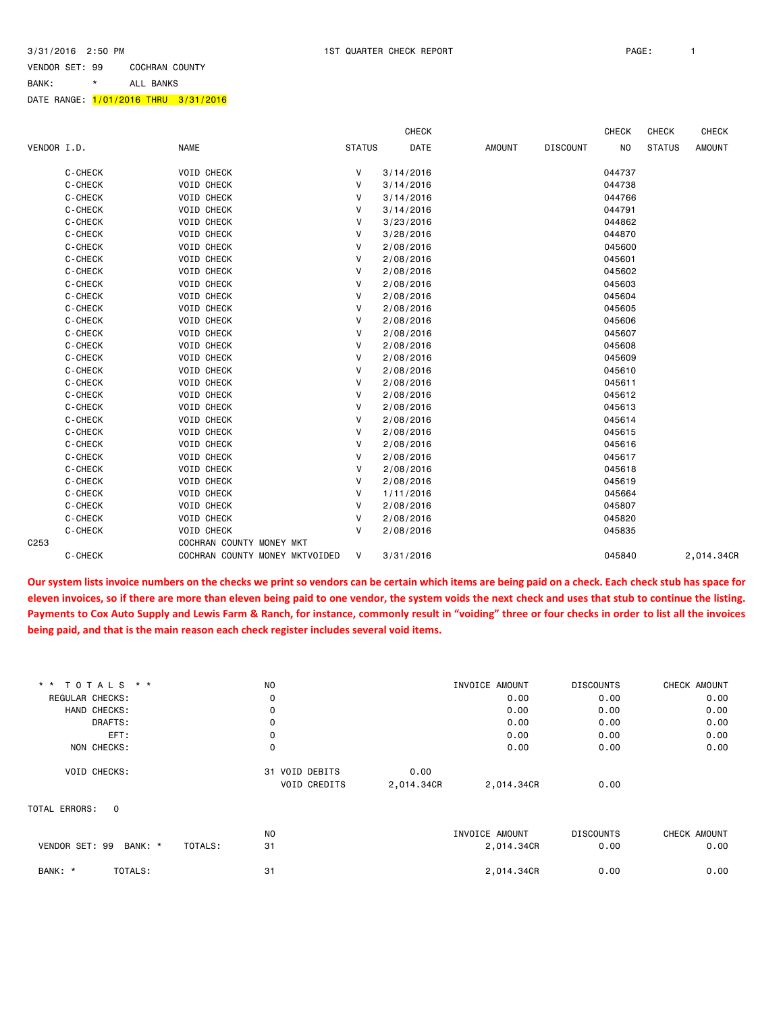BANK: \* ALL BANKS

#### DATE RANGE: <mark>1/01/2016 THRU 3/31/2016</mark>

|             |         |                                |               | <b>CHECK</b> |               |                 | <b>CHECK</b> | <b>CHECK</b>  | <b>CHECK</b>  |
|-------------|---------|--------------------------------|---------------|--------------|---------------|-----------------|--------------|---------------|---------------|
| VENDOR I.D. |         | <b>NAME</b>                    | <b>STATUS</b> | DATE         | <b>AMOUNT</b> | <b>DISCOUNT</b> | <b>NO</b>    | <b>STATUS</b> | <b>AMOUNT</b> |
|             | C-CHECK | VOID CHECK                     | V             | 3/14/2016    |               |                 | 044737       |               |               |
|             | C-CHECK | <b>VOID CHECK</b>              | V             | 3/14/2016    |               |                 | 044738       |               |               |
|             | C-CHECK | <b>VOID CHECK</b>              | V             | 3/14/2016    |               |                 | 044766       |               |               |
|             | C-CHECK | <b>VOID CHECK</b>              | V             | 3/14/2016    |               |                 | 044791       |               |               |
|             | C-CHECK | <b>VOID CHECK</b>              | V             | 3/23/2016    |               |                 | 044862       |               |               |
|             | C-CHECK | <b>VOID CHECK</b>              | V             | 3/28/2016    |               |                 | 044870       |               |               |
|             | C-CHECK | <b>VOID CHECK</b>              | V             | 2/08/2016    |               |                 | 045600       |               |               |
|             | C-CHECK | <b>VOID CHECK</b>              | V             | 2/08/2016    |               |                 | 045601       |               |               |
|             | C-CHECK | <b>VOID CHECK</b>              | v             | 2/08/2016    |               |                 | 045602       |               |               |
|             | C-CHECK | VOID CHECK                     | v             | 2/08/2016    |               |                 | 045603       |               |               |
|             | C-CHECK | <b>VOID CHECK</b>              | V             | 2/08/2016    |               |                 | 045604       |               |               |
|             | C-CHECK | <b>VOID CHECK</b>              | V             | 2/08/2016    |               |                 | 045605       |               |               |
|             | C-CHECK | <b>VOID CHECK</b>              | V             | 2/08/2016    |               |                 | 045606       |               |               |
|             | C-CHECK | <b>VOID CHECK</b>              | V             | 2/08/2016    |               |                 | 045607       |               |               |
|             | C-CHECK | <b>VOID CHECK</b>              | V             | 2/08/2016    |               |                 | 045608       |               |               |
|             | C-CHECK | <b>VOID CHECK</b>              | V             | 2/08/2016    |               |                 | 045609       |               |               |
|             | C-CHECK | <b>VOID CHECK</b>              | V             | 2/08/2016    |               |                 | 045610       |               |               |
|             | C-CHECK | <b>VOID CHECK</b>              | V             | 2/08/2016    |               |                 | 045611       |               |               |
|             | C-CHECK | <b>VOID CHECK</b>              | V             | 2/08/2016    |               |                 | 045612       |               |               |
|             | C-CHECK | <b>VOID CHECK</b>              | V             | 2/08/2016    |               |                 | 045613       |               |               |
|             | C-CHECK | <b>VOID CHECK</b>              | V             | 2/08/2016    |               |                 | 045614       |               |               |
|             | C-CHECK | <b>VOID CHECK</b>              | V             | 2/08/2016    |               |                 | 045615       |               |               |
|             | C-CHECK | <b>VOID CHECK</b>              | V             | 2/08/2016    |               |                 | 045616       |               |               |
|             | C-CHECK | <b>VOID CHECK</b>              | V             | 2/08/2016    |               |                 | 045617       |               |               |
|             | C-CHECK | <b>VOID CHECK</b>              | V             | 2/08/2016    |               |                 | 045618       |               |               |
|             | C-CHECK | <b>VOID CHECK</b>              | V             | 2/08/2016    |               |                 | 045619       |               |               |
|             | C-CHECK | <b>VOID CHECK</b>              | V             | 1/11/2016    |               |                 | 045664       |               |               |
|             | C-CHECK | <b>VOID CHECK</b>              | V             | 2/08/2016    |               |                 | 045807       |               |               |
|             | C-CHECK | <b>VOID CHECK</b>              | V             | 2/08/2016    |               |                 | 045820       |               |               |
|             | C-CHECK | <b>VOID CHECK</b>              | $\mathsf{V}$  | 2/08/2016    |               |                 | 045835       |               |               |
| C253        |         | COCHRAN COUNTY MONEY MKT       |               |              |               |                 |              |               |               |
|             | C-CHECK | COCHRAN COUNTY MONEY MKTVOIDED | V             | 3/31/2016    |               |                 | 045840       |               | 2,014.34CR    |

**Our system lists invoice numbers on the checks we print so vendors can be certain which items are being paid on a check. Each check stub has space for eleven invoices, so if there are more than eleven being paid to one vendor, the system voids the next check and uses that stub to continue the listing. Payments to Cox Auto Supply and Lewis Farm & Ranch, for instance, commonly result in "voiding" three or four checks in order to list all the invoices being paid, and that is the main reason each check register includes several void items.**

| * * TOTALS * *                       | N <sub>O</sub>      |            | INVOICE AMOUNT | <b>DISCOUNTS</b> | CHECK AMOUNT |
|--------------------------------------|---------------------|------------|----------------|------------------|--------------|
| REGULAR CHECKS:                      | 0                   |            | 0.00           | 0.00             | 0.00         |
| HAND CHECKS:                         | 0                   |            | 0.00           | 0.00             | 0.00         |
| DRAFTS:                              | 0                   |            | 0.00           | 0.00             | 0.00         |
| EFT:                                 | 0                   |            | 0.00           | 0.00             | 0.00         |
| NON CHECKS:                          | 0                   |            | 0.00           | 0.00             | 0.00         |
| <b>VOID CHECKS:</b>                  | 31 VOID DEBITS      | 0.00       |                |                  |              |
|                                      | <b>VOID CREDITS</b> | 2,014.34CR | 2,014.34CR     | 0.00             |              |
| TOTAL ERRORS: 0                      |                     |            |                |                  |              |
|                                      | N <sub>O</sub>      |            | INVOICE AMOUNT | <b>DISCOUNTS</b> | CHECK AMOUNT |
| VENDOR SET: 99<br>BANK: *<br>TOTALS: | 31                  |            | 2,014.34CR     | 0.00             | 0.00         |
| TOTALS:<br>BANK: *                   | 31                  |            | 2,014.34CR     | 0.00             | 0.00         |
|                                      |                     |            |                |                  |              |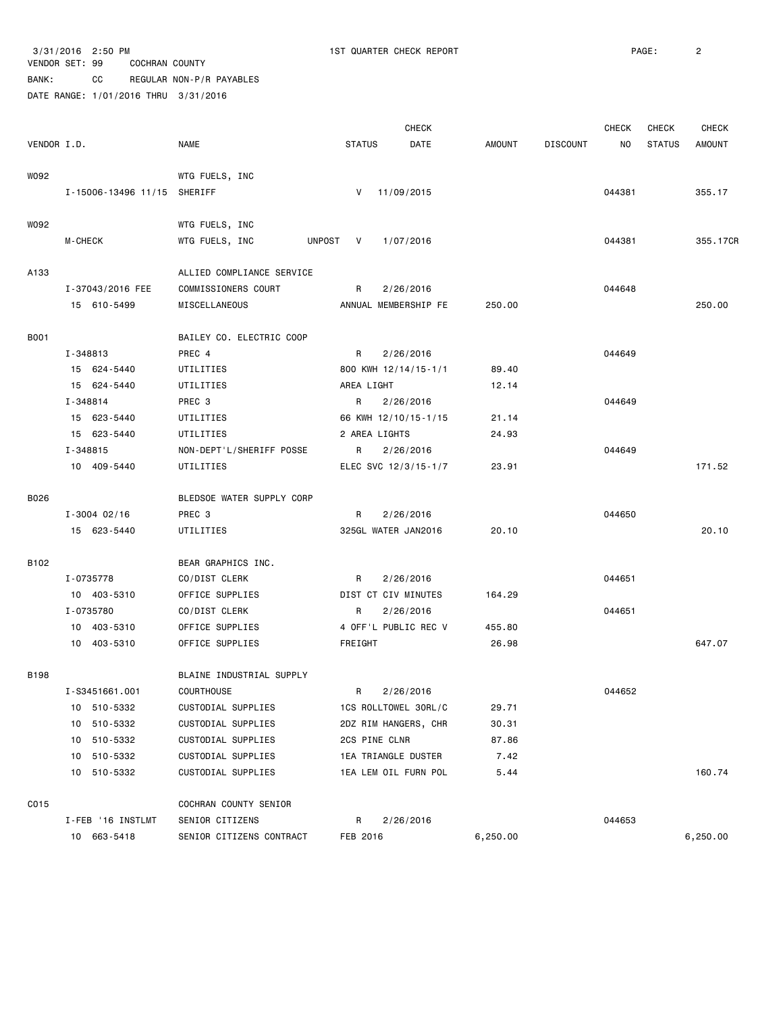## VENDOR SET: 99 COCHRAN COUNTY BANK: CC REGULAR NON-P/R PAYABLES DATE RANGE: 1/01/2016 THRU 3/31/2016

|             |                             |                            |                      | <b>CHECK</b> |               |                 | <b>CHECK</b> | CHECK         | <b>CHECK</b>  |
|-------------|-----------------------------|----------------------------|----------------------|--------------|---------------|-----------------|--------------|---------------|---------------|
| VENDOR I.D. |                             | <b>NAME</b>                | <b>STATUS</b>        | DATE         | <b>AMOUNT</b> | <b>DISCOUNT</b> | NO.          | <b>STATUS</b> | <b>AMOUNT</b> |
| W092        |                             | WTG FUELS, INC             |                      |              |               |                 |              |               |               |
|             | I-15006-13496 11/15 SHERIFF |                            | V                    | 11/09/2015   |               |                 | 044381       |               | 355.17        |
| W092        |                             | WTG FUELS, INC             |                      |              |               |                 |              |               |               |
|             | M-CHECK                     | WTG FUELS, INC<br>UNPOST V |                      | 1/07/2016    |               |                 | 044381       |               | 355.17CR      |
|             |                             |                            |                      |              |               |                 |              |               |               |
| A133        |                             | ALLIED COMPLIANCE SERVICE  |                      |              |               |                 |              |               |               |
|             | I-37043/2016 FEE            | COMMISSIONERS COURT        | R                    | 2/26/2016    |               |                 | 044648       |               |               |
|             | 15 610-5499                 | MISCELLANEOUS              | ANNUAL MEMBERSHIP FE |              | 250.00        |                 |              |               | 250.00        |
| <b>B001</b> |                             | BAILEY CO. ELECTRIC COOP   |                      |              |               |                 |              |               |               |
|             | I-348813                    | PREC 4                     | R                    | 2/26/2016    |               |                 | 044649       |               |               |
|             | 15 624-5440                 | UTILITIES                  | 800 KWH 12/14/15-1/1 |              | 89.40         |                 |              |               |               |
|             | 15 624-5440                 | UTILITIES                  | AREA LIGHT           |              | 12.14         |                 |              |               |               |
|             | I-348814                    | PREC 3                     | R                    | 2/26/2016    |               |                 | 044649       |               |               |
|             | 15 623-5440                 | UTILITIES                  | 66 KWH 12/10/15-1/15 |              | 21.14         |                 |              |               |               |
|             | 15 623-5440                 | UTILITIES                  | 2 AREA LIGHTS        |              | 24.93         |                 |              |               |               |
|             | I-348815                    | NON-DEPT'L/SHERIFF POSSE   | R                    | 2/26/2016    |               |                 | 044649       |               |               |
|             | 10 409-5440                 | UTILITIES                  | ELEC SVC 12/3/15-1/7 |              | 23.91         |                 |              |               | 171.52        |
| B026        |                             | BLEDSOE WATER SUPPLY CORP  |                      |              |               |                 |              |               |               |
|             | $I - 3004 02/16$            | PREC 3                     | R                    | 2/26/2016    |               |                 | 044650       |               |               |
|             | 15 623-5440                 | UTILITIES                  | 325GL WATER JAN2016  |              | 20.10         |                 |              |               | 20.10         |
|             |                             |                            |                      |              |               |                 |              |               |               |
| B102        |                             | BEAR GRAPHICS INC.         |                      |              |               |                 |              |               |               |
|             | I-0735778                   | CO/DIST CLERK              | R                    | 2/26/2016    |               |                 | 044651       |               |               |
|             | 10 403-5310                 | OFFICE SUPPLIES            | DIST CT CIV MINUTES  |              | 164.29        |                 |              |               |               |
|             | I-0735780                   | CO/DIST CLERK              | R.                   | 2/26/2016    |               |                 | 044651       |               |               |
|             | 10 403-5310                 | OFFICE SUPPLIES            | 4 OFF'L PUBLIC REC V |              | 455.80        |                 |              |               |               |
|             | 10 403-5310                 | OFFICE SUPPLIES            | FREIGHT              |              | 26.98         |                 |              |               | 647.07        |
| <b>B198</b> |                             | BLAINE INDUSTRIAL SUPPLY   |                      |              |               |                 |              |               |               |
|             | I-S3451661.001              | <b>COURTHOUSE</b>          | R                    | 2/26/2016    |               |                 | 044652       |               |               |
|             | 10 510-5332                 | CUSTODIAL SUPPLIES         | 1CS ROLLTOWEL 30RL/C |              | 29.71         |                 |              |               |               |
|             | 510-5332<br>10              | CUSTODIAL SUPPLIES         | 2DZ RIM HANGERS, CHR |              | 30.31         |                 |              |               |               |
|             | 510-5332<br>10              | CUSTODIAL SUPPLIES         | 2CS PINE CLNR        |              | 87.86         |                 |              |               |               |
|             | 10 510-5332                 | CUSTODIAL SUPPLIES         | 1EA TRIANGLE DUSTER  |              | 7.42          |                 |              |               |               |
|             | 10 510-5332                 | CUSTODIAL SUPPLIES         | 1EA LEM OIL FURN POL |              | 5.44          |                 |              |               | 160.74        |
| C015        |                             | COCHRAN COUNTY SENIOR      |                      |              |               |                 |              |               |               |
|             | I-FEB '16 INSTLMT           | SENIOR CITIZENS            | R                    | 2/26/2016    |               |                 | 044653       |               |               |
|             | 10 663-5418                 | SENIOR CITIZENS CONTRACT   | FEB 2016             |              | 6,250.00      |                 |              |               | 6,250.00      |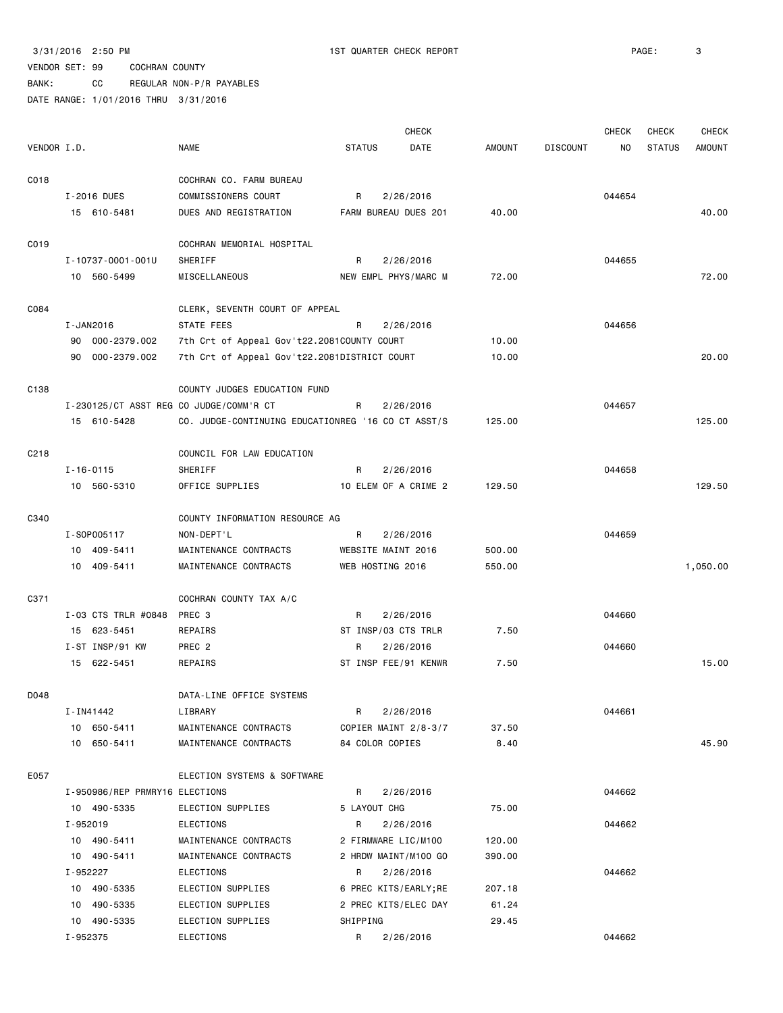BANK: CC REGULAR NON-P/R PAYABLES

|                  |                                         |                                                    |                       | <b>CHECK</b> |               |                 | CHECK  | <b>CHECK</b>  | <b>CHECK</b>  |
|------------------|-----------------------------------------|----------------------------------------------------|-----------------------|--------------|---------------|-----------------|--------|---------------|---------------|
| VENDOR I.D.      |                                         | <b>NAME</b>                                        | <b>STATUS</b>         | DATE         | <b>AMOUNT</b> | <b>DISCOUNT</b> | NO.    | <b>STATUS</b> | <b>AMOUNT</b> |
| C018             |                                         | COCHRAN CO. FARM BUREAU                            |                       |              |               |                 |        |               |               |
|                  | I-2016 DUES                             | COMMISSIONERS COURT                                | R                     | 2/26/2016    |               |                 | 044654 |               |               |
|                  | 15 610-5481                             | DUES AND REGISTRATION                              | FARM BUREAU DUES 201  |              | 40.00         |                 |        |               | 40.00         |
| C019             |                                         | COCHRAN MEMORIAL HOSPITAL                          |                       |              |               |                 |        |               |               |
|                  | I-10737-0001-001U                       | SHERIFF                                            | R                     | 2/26/2016    |               |                 | 044655 |               |               |
|                  | 10 560-5499                             | MISCELLANEOUS                                      | NEW EMPL PHYS/MARC M  |              | 72.00         |                 |        |               | 72.00         |
|                  |                                         |                                                    |                       |              |               |                 |        |               |               |
| C084             |                                         | CLERK, SEVENTH COURT OF APPEAL                     |                       |              |               |                 |        |               |               |
|                  | I-JAN2016                               | STATE FEES                                         | R                     | 2/26/2016    |               |                 | 044656 |               |               |
|                  | 90 000-2379.002                         | 7th Crt of Appeal Gov't22.2081COUNTY COURT         |                       |              | 10.00         |                 |        |               |               |
|                  | 90 000-2379.002                         | 7th Crt of Appeal Gov't22.2081DISTRICT COURT       |                       |              | 10.00         |                 |        |               | 20.00         |
| C138             |                                         | COUNTY JUDGES EDUCATION FUND                       |                       |              |               |                 |        |               |               |
|                  | I-230125/CT ASST REG CO JUDGE/COMM'R CT |                                                    | R                     | 2/26/2016    |               |                 | 044657 |               |               |
|                  | 15 610-5428                             | CO. JUDGE-CONTINUING EDUCATIONREG '16 CO CT ASST/S |                       |              | 125.00        |                 |        |               | 125.00        |
| C <sub>218</sub> |                                         | COUNCIL FOR LAW EDUCATION                          |                       |              |               |                 |        |               |               |
|                  | $I - 16 - 0115$                         | SHERIFF                                            | R                     | 2/26/2016    |               |                 | 044658 |               |               |
|                  | 10 560-5310                             | OFFICE SUPPLIES                                    | 10 ELEM OF A CRIME 2  |              | 129.50        |                 |        |               | 129.50        |
| C340             |                                         | COUNTY INFORMATION RESOURCE AG                     |                       |              |               |                 |        |               |               |
|                  | I-S0P005117                             | NON-DEPT'L                                         | R                     | 2/26/2016    |               |                 | 044659 |               |               |
|                  | 10 409-5411                             | MAINTENANCE CONTRACTS                              | WEBSITE MAINT 2016    |              | 500.00        |                 |        |               |               |
|                  | 10 409-5411                             | MAINTENANCE CONTRACTS                              | WEB HOSTING 2016      |              | 550.00        |                 |        |               | 1,050.00      |
|                  |                                         |                                                    |                       |              |               |                 |        |               |               |
| C371             |                                         | COCHRAN COUNTY TAX A/C                             |                       |              |               |                 |        |               |               |
|                  | I-03 CTS TRLR #0848                     | PREC 3                                             | R                     | 2/26/2016    |               |                 | 044660 |               |               |
|                  | 15 623-5451                             | REPAIRS                                            | ST INSP/03 CTS TRLR   |              | 7.50          |                 |        |               |               |
|                  | I-ST INSP/91 KW                         | PREC <sub>2</sub>                                  | R                     | 2/26/2016    |               |                 | 044660 |               |               |
|                  | 15 622-5451                             | REPAIRS                                            | ST INSP FEE/91 KENWR  |              | 7.50          |                 |        |               | 15.00         |
| D048             |                                         | DATA-LINE OFFICE SYSTEMS                           |                       |              |               |                 |        |               |               |
|                  | I-IN41442                               | LIBRARY                                            | R                     | 2/26/2016    |               |                 | 044661 |               |               |
|                  | 10 650-5411                             | MAINTENANCE CONTRACTS                              | COPIER MAINT 2/8-3/7  |              | 37.50         |                 |        |               |               |
|                  | 10 650-5411                             | MAINTENANCE CONTRACTS                              | 84 COLOR COPIES       |              | 8.40          |                 |        |               | 45.90         |
| E057             |                                         | ELECTION SYSTEMS & SOFTWARE                        |                       |              |               |                 |        |               |               |
|                  | I-950986/REP PRMRY16 ELECTIONS          |                                                    | R                     | 2/26/2016    |               |                 | 044662 |               |               |
|                  | 10 490-5335                             | ELECTION SUPPLIES                                  | 5 LAYOUT CHG          |              | 75.00         |                 |        |               |               |
|                  | I-952019                                | ELECTIONS                                          | R                     | 2/26/2016    |               |                 | 044662 |               |               |
|                  | 10 490-5411                             | MAINTENANCE CONTRACTS                              | 2 FIRMWARE LIC/M100   |              | 120.00        |                 |        |               |               |
|                  | 10 490-5411                             | MAINTENANCE CONTRACTS                              | 2 HRDW MAINT/M100 GO  |              | 390.00        |                 |        |               |               |
|                  | I-952227                                | ELECTIONS                                          | R                     | 2/26/2016    |               |                 | 044662 |               |               |
|                  | 10 490-5335                             | ELECTION SUPPLIES                                  | 6 PREC KITS/EARLY; RE |              | 207.18        |                 |        |               |               |
|                  | 10 490-5335                             | ELECTION SUPPLIES                                  | 2 PREC KITS/ELEC DAY  |              | 61.24         |                 |        |               |               |
|                  | 10 490-5335                             | ELECTION SUPPLIES                                  | SHIPPING              |              | 29.45         |                 |        |               |               |
|                  | I-952375                                | ELECTIONS                                          | R                     | 2/26/2016    |               |                 | 044662 |               |               |
|                  |                                         |                                                    |                       |              |               |                 |        |               |               |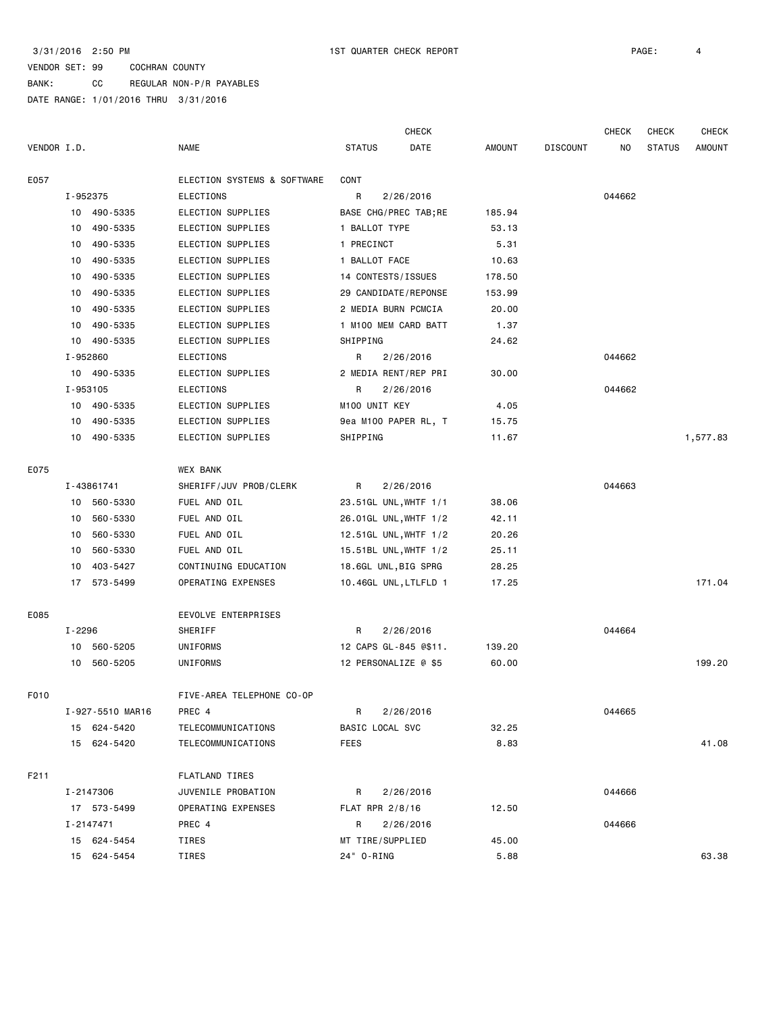BANK: CC REGULAR NON-P/R PAYABLES

|             |          |                  |                                      |                                | <b>CHECK</b>          |               |                 | <b>CHECK</b> | CHECK         | <b>CHECK</b>  |
|-------------|----------|------------------|--------------------------------------|--------------------------------|-----------------------|---------------|-----------------|--------------|---------------|---------------|
| VENDOR I.D. |          |                  | <b>NAME</b>                          | <b>STATUS</b>                  | DATE                  | <b>AMOUNT</b> | <b>DISCOUNT</b> | NO.          | <b>STATUS</b> | <b>AMOUNT</b> |
| E057        |          |                  | ELECTION SYSTEMS & SOFTWARE          | CONT                           |                       |               |                 |              |               |               |
|             | I-952375 |                  | ELECTIONS                            | R                              | 2/26/2016             |               |                 | 044662       |               |               |
|             |          | 10 490-5335      | ELECTION SUPPLIES                    |                                | BASE CHG/PREC TAB; RE | 185.94        |                 |              |               |               |
|             | 10       | 490-5335         | ELECTION SUPPLIES                    | 1 BALLOT TYPE                  |                       | 53.13         |                 |              |               |               |
|             | 10       | 490-5335         | ELECTION SUPPLIES                    | 1 PRECINCT                     |                       | 5.31          |                 |              |               |               |
|             | 10       | 490-5335         | ELECTION SUPPLIES                    | 1 BALLOT FACE                  |                       | 10.63         |                 |              |               |               |
|             | 10       | 490-5335         | ELECTION SUPPLIES                    | 14 CONTESTS/ISSUES             |                       | 178.50        |                 |              |               |               |
|             | 10       | 490-5335         | ELECTION SUPPLIES                    |                                | 29 CANDIDATE/REPONSE  | 153.99        |                 |              |               |               |
|             | 10       | 490-5335         | ELECTION SUPPLIES                    | 2 MEDIA BURN PCMCIA            |                       | 20.00         |                 |              |               |               |
|             | 10       | 490-5335         | ELECTION SUPPLIES                    |                                | 1 M100 MEM CARD BATT  | 1.37          |                 |              |               |               |
|             | 10       | 490-5335         | ELECTION SUPPLIES                    | SHIPPING                       |                       | 24.62         |                 |              |               |               |
|             | I-952860 |                  | <b>ELECTIONS</b>                     | R                              | 2/26/2016             |               |                 | 044662       |               |               |
|             |          | 10 490-5335      | ELECTION SUPPLIES                    |                                | 2 MEDIA RENT/REP PRI  | 30.00         |                 |              |               |               |
|             | I-953105 |                  | <b>ELECTIONS</b>                     | R                              | 2/26/2016             |               |                 | 044662       |               |               |
|             | 10       | 490-5335         | ELECTION SUPPLIES                    | M100 UNIT KEY                  |                       | 4.05          |                 |              |               |               |
|             | 10       | 490-5335         | ELECTION SUPPLIES                    |                                | 9ea M100 PAPER RL, T  | 15.75         |                 |              |               |               |
|             | 10       | 490-5335         | ELECTION SUPPLIES                    | SHIPPING                       |                       | 11.67         |                 |              |               | 1,577.83      |
|             |          |                  |                                      |                                |                       |               |                 |              |               |               |
| E075        |          |                  | <b>WEX BANK</b>                      |                                |                       |               |                 |              |               |               |
|             |          | I-43861741       | SHERIFF/JUV PROB/CLERK               | R                              | 2/26/2016             |               |                 | 044663       |               |               |
|             |          | 10 560-5330      | FUEL AND OIL                         |                                | 23.51GL UNL, WHTF 1/1 | 38.06         |                 |              |               |               |
|             | 10       | 560-5330         | FUEL AND OIL                         |                                | 26.01GL UNL, WHTF 1/2 | 42.11         |                 |              |               |               |
|             | 10       | 560-5330         | FUEL AND OIL                         |                                | 12.51GL UNL, WHTF 1/2 | 20.26         |                 |              |               |               |
|             | 10       | 560-5330         | FUEL AND OIL                         |                                | 15.51BL UNL, WHTF 1/2 | 25.11         |                 |              |               |               |
|             | 10       | 403-5427         | CONTINUING EDUCATION                 | 18.6GL UNL, BIG SPRG           |                       | 28.25         |                 |              |               |               |
|             |          | 17 573-5499      | OPERATING EXPENSES                   |                                | 10.46GL UNL, LTLFLD 1 | 17.25         |                 |              |               | 171.04        |
| E085        |          |                  | EEVOLVE ENTERPRISES                  |                                |                       |               |                 |              |               |               |
|             | I-2296   |                  | SHERIFF                              | R                              | 2/26/2016             |               |                 | 044664       |               |               |
|             | 10       | 560-5205         | UNIFORMS                             |                                | 12 CAPS GL-845 @\$11. | 139.20        |                 |              |               |               |
|             | 10       | 560-5205         | UNIFORMS                             | 12 PERSONALIZE @ \$5           |                       | 60.00         |                 |              |               | 199.20        |
|             |          |                  |                                      |                                |                       |               |                 |              |               |               |
| F010        |          |                  | FIVE-AREA TELEPHONE CO-OP            |                                |                       |               |                 |              |               |               |
|             |          | I-927-5510 MAR16 | PREC 4                               | R                              | 2/26/2016             |               |                 | 044665       |               |               |
|             |          | 15 624-5420      | TELECOMMUNICATIONS                   | BASIC LOCAL SVC                |                       | 32.25         |                 |              |               |               |
|             |          | 15 624-5420      | TELECOMMUNICATIONS                   | <b>FEES</b>                    |                       | 8.83          |                 |              |               | 41.08         |
| F211        |          |                  |                                      |                                |                       |               |                 |              |               |               |
|             |          | I-2147306        | FLATLAND TIRES<br>JUVENILE PROBATION | R                              | 2/26/2016             |               |                 | 044666       |               |               |
|             |          | 17 573-5499      | OPERATING EXPENSES                   | FLAT RPR 2/8/16                |                       | 12.50         |                 |              |               |               |
|             |          | I-2147471        | PREC 4                               | R                              | 2/26/2016             |               |                 | 044666       |               |               |
|             |          | 15 624-5454      |                                      |                                |                       | 45.00         |                 |              |               |               |
|             |          | 15 624-5454      | TIRES<br>TIRES                       | MT TIRE/SUPPLIED<br>24" 0-RING |                       | 5.88          |                 |              |               | 63.38         |
|             |          |                  |                                      |                                |                       |               |                 |              |               |               |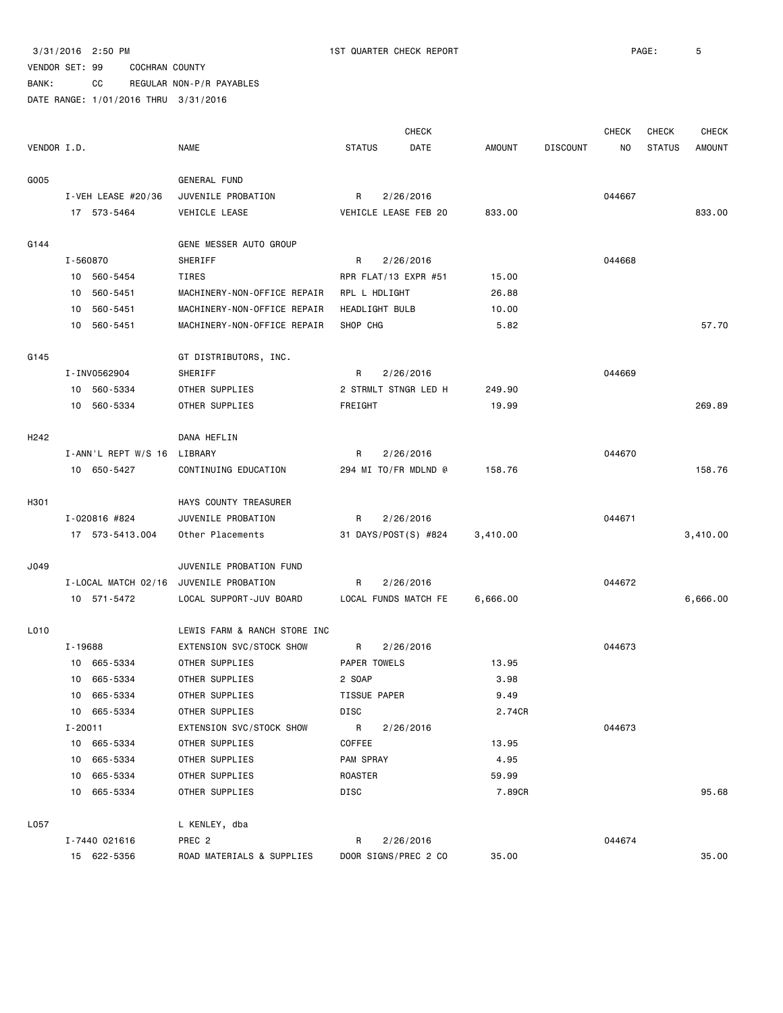BANK: CC REGULAR NON-P/R PAYABLES

|             |          |                     |                                               |               |                | <b>CHECK</b>         |          |                 | <b>CHECK</b> | CHECK         | <b>CHECK</b>  |
|-------------|----------|---------------------|-----------------------------------------------|---------------|----------------|----------------------|----------|-----------------|--------------|---------------|---------------|
| VENDOR I.D. |          |                     | <b>NAME</b>                                   | <b>STATUS</b> |                | DATE                 | AMOUNT   | <b>DISCOUNT</b> | NO.          | <b>STATUS</b> | <b>AMOUNT</b> |
|             |          |                     |                                               |               |                |                      |          |                 |              |               |               |
| G005        |          |                     | GENERAL FUND                                  |               |                |                      |          |                 |              |               |               |
|             |          | I-VEH LEASE #20/36  | JUVENILE PROBATION                            | R             |                | 2/26/2016            |          |                 | 044667       |               |               |
|             |          | 17 573-5464         | VEHICLE LEASE                                 |               |                | VEHICLE LEASE FEB 20 | 833.00   |                 |              |               | 833.00        |
|             |          |                     |                                               |               |                |                      |          |                 |              |               |               |
| G144        |          |                     | GENE MESSER AUTO GROUP                        |               |                |                      |          |                 |              |               |               |
|             | I-560870 |                     | SHERIFF                                       | R             |                | 2/26/2016            |          |                 | 044668       |               |               |
|             |          | 10 560-5454         | TIRES                                         |               |                | RPR FLAT/13 EXPR #51 | 15.00    |                 |              |               |               |
|             |          | 10 560-5451         | MACHINERY-NON-OFFICE REPAIR                   |               | RPL L HDLIGHT  |                      | 26.88    |                 |              |               |               |
|             | 10       | 560-5451            | MACHINERY-NON-OFFICE REPAIR                   |               | HEADLIGHT BULB |                      | 10.00    |                 |              |               |               |
|             |          | 10 560-5451         | MACHINERY-NON-OFFICE REPAIR                   | SHOP CHG      |                |                      | 5.82     |                 |              |               | 57.70         |
| G145        |          |                     | GT DISTRIBUTORS, INC.                         |               |                |                      |          |                 |              |               |               |
|             |          | I-INV0562904        | SHERIFF                                       | R             |                | 2/26/2016            |          |                 | 044669       |               |               |
|             |          | 10 560-5334         | OTHER SUPPLIES                                |               |                | 2 STRMLT STNGR LED H | 249.90   |                 |              |               |               |
|             |          | 10 560-5334         | OTHER SUPPLIES                                | FREIGHT       |                |                      | 19.99    |                 |              |               | 269.89        |
|             |          |                     |                                               |               |                |                      |          |                 |              |               |               |
| H242        |          |                     | DANA HEFLIN                                   |               |                |                      |          |                 |              |               |               |
|             |          | I-ANN'L REPT W/S 16 | LIBRARY                                       | R             |                | 2/26/2016            |          |                 | 044670       |               |               |
|             |          | 10 650-5427         | CONTINUING EDUCATION                          |               |                | 294 MI TO/FR MDLND @ | 158.76   |                 |              |               | 158.76        |
|             |          |                     |                                               |               |                |                      |          |                 |              |               |               |
| H301        |          |                     | HAYS COUNTY TREASURER                         |               |                |                      |          |                 |              |               |               |
|             |          | I-020816 #824       | JUVENILE PROBATION                            | R             |                | 2/26/2016            |          |                 | 044671       |               |               |
|             |          | 17 573-5413.004     | Other Placements                              |               |                | 31 DAYS/POST(S) #824 | 3,410.00 |                 |              |               | 3,410.00      |
|             |          |                     |                                               |               |                |                      |          |                 |              |               |               |
| J049        |          | I-LOCAL MATCH 02/16 | JUVENILE PROBATION FUND<br>JUVENILE PROBATION | R             |                | 2/26/2016            |          |                 | 044672       |               |               |
|             |          | 10 571-5472         | LOCAL SUPPORT-JUV BOARD                       |               |                | LOCAL FUNDS MATCH FE | 6,666.00 |                 |              |               | 6,666.00      |
|             |          |                     |                                               |               |                |                      |          |                 |              |               |               |
| L010        |          |                     | LEWIS FARM & RANCH STORE INC                  |               |                |                      |          |                 |              |               |               |
|             | I-19688  |                     | EXTENSION SVC/STOCK SHOW                      | R             |                | 2/26/2016            |          |                 | 044673       |               |               |
|             |          | 10 665-5334         | OTHER SUPPLIES                                |               | PAPER TOWELS   |                      | 13.95    |                 |              |               |               |
|             |          | 10 665-5334         | OTHER SUPPLIES                                | 2 SOAP        |                |                      | 3.98     |                 |              |               |               |
|             |          | 10 665-5334         | OTHER SUPPLIES                                |               | TISSUE PAPER   |                      | 9.49     |                 |              |               |               |
|             |          | 10 665-5334         | OTHER SUPPLIES                                | DISC          |                |                      | 2.74CR   |                 |              |               |               |
|             | I-20011  |                     | EXTENSION SVC/STOCK SHOW                      | R             |                | 2/26/2016            |          |                 | 044673       |               |               |
|             |          | 10 665-5334         | OTHER SUPPLIES                                | COFFEE        |                |                      | 13.95    |                 |              |               |               |
|             |          | 10 665-5334         | OTHER SUPPLIES                                | PAM SPRAY     |                |                      | 4.95     |                 |              |               |               |
|             |          | 10 665-5334         | OTHER SUPPLIES                                | ROASTER       |                |                      | 59.99    |                 |              |               |               |
|             |          | 10 665-5334         | OTHER SUPPLIES                                | DISC          |                |                      | 7.89CR   |                 |              |               | 95.68         |
| L057        |          |                     |                                               |               |                |                      |          |                 |              |               |               |
|             |          | I-7440 021616       | L KENLEY, dba<br>PREC <sub>2</sub>            | R             |                | 2/26/2016            |          |                 | 044674       |               |               |
|             |          | 15 622-5356         | ROAD MATERIALS & SUPPLIES                     |               |                | DOOR SIGNS/PREC 2 CO | 35.00    |                 |              |               | 35.00         |
|             |          |                     |                                               |               |                |                      |          |                 |              |               |               |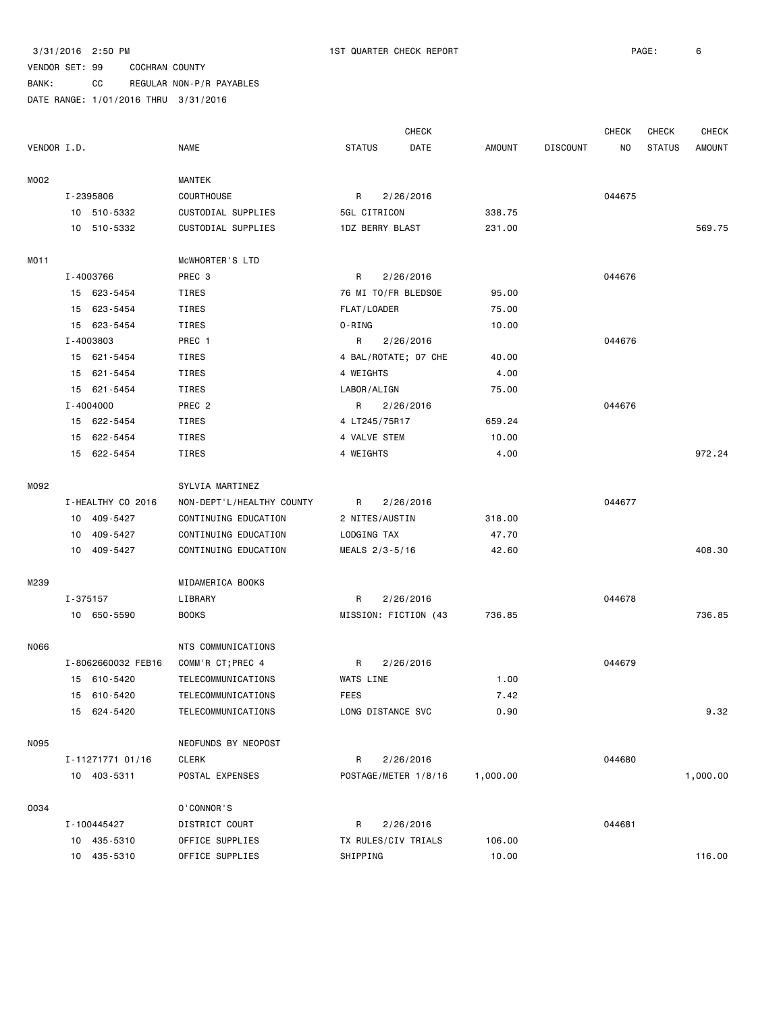|             |          |                    |                           |               |                   | <b>CHECK</b>         |               |                 | <b>CHECK</b> | CHECK         | <b>CHECK</b>  |
|-------------|----------|--------------------|---------------------------|---------------|-------------------|----------------------|---------------|-----------------|--------------|---------------|---------------|
| VENDOR I.D. |          |                    | <b>NAME</b>               | <b>STATUS</b> |                   | DATE                 | <b>AMOUNT</b> | <b>DISCOUNT</b> | NO           | <b>STATUS</b> | <b>AMOUNT</b> |
| M002        |          |                    | MANTEK                    |               |                   |                      |               |                 |              |               |               |
|             |          | I-2395806          | <b>COURTHOUSE</b>         | R             |                   | 2/26/2016            |               |                 | 044675       |               |               |
|             |          | 10 510-5332        | CUSTODIAL SUPPLIES        |               | 5GL CITRICON      |                      | 338.75        |                 |              |               |               |
|             |          | 10 510-5332        | CUSTODIAL SUPPLIES        |               | 1DZ BERRY BLAST   |                      | 231.00        |                 |              |               | 569.75        |
| MO11        |          |                    | MCWHORTER'S LTD           |               |                   |                      |               |                 |              |               |               |
|             |          | I-4003766          | PREC 3                    | R             |                   | 2/26/2016            |               |                 | 044676       |               |               |
|             |          | 15 623-5454        | TIRES                     |               |                   | 76 MI TO/FR BLEDSOE  | 95.00         |                 |              |               |               |
|             |          | 15 623-5454        | TIRES                     |               | FLAT/LOADER       |                      | 75.00         |                 |              |               |               |
|             |          | 15 623-5454        | TIRES                     | 0-RING        |                   |                      | 10.00         |                 |              |               |               |
|             |          | I-4003803          | PREC 1                    | R             |                   | 2/26/2016            |               |                 | 044676       |               |               |
|             |          | 15 621-5454        | TIRES                     |               |                   | 4 BAL/ROTATE; 07 CHE | 40.00         |                 |              |               |               |
|             | 15       | 621-5454           | TIRES                     | 4 WEIGHTS     |                   |                      | 4.00          |                 |              |               |               |
|             | 15       | 621-5454           | TIRES                     |               | LABOR/ALIGN       |                      | 75.00         |                 |              |               |               |
|             |          | I-4004000          | PREC <sub>2</sub>         | R             |                   | 2/26/2016            |               |                 | 044676       |               |               |
|             |          | 15 622-5454        | TIRES                     |               | 4 LT245/75R17     |                      | 659.24        |                 |              |               |               |
|             |          | 15 622-5454        | TIRES                     |               | 4 VALVE STEM      |                      |               |                 |              |               |               |
|             |          |                    |                           |               |                   |                      | 10.00         |                 |              |               | 972.24        |
|             |          | 15 622-5454        | TIRES                     | 4 WEIGHTS     |                   |                      | 4.00          |                 |              |               |               |
| M092        |          |                    | SYLVIA MARTINEZ           |               |                   |                      |               |                 |              |               |               |
|             |          | I-HEALTHY CO 2016  | NON-DEPT'L/HEALTHY COUNTY | R             |                   | 2/26/2016            |               |                 | 044677       |               |               |
|             |          | 10 409-5427        | CONTINUING EDUCATION      |               | 2 NITES/AUSTIN    |                      | 318.00        |                 |              |               |               |
|             | 10       | 409-5427           | CONTINUING EDUCATION      |               | LODGING TAX       |                      | 47.70         |                 |              |               |               |
|             |          | 10 409-5427        | CONTINUING EDUCATION      |               | MEALS 2/3-5/16    |                      | 42.60         |                 |              |               | 408.30        |
| M239        |          |                    | MIDAMERICA BOOKS          |               |                   |                      |               |                 |              |               |               |
|             | I-375157 |                    | LIBRARY                   | R             |                   | 2/26/2016            |               |                 | 044678       |               |               |
|             |          | 10 650-5590        | <b>BOOKS</b>              |               |                   | MISSION: FICTION (43 | 736.85        |                 |              |               | 736.85        |
| N066        |          |                    | NTS COMMUNICATIONS        |               |                   |                      |               |                 |              |               |               |
|             |          | I-8062660032 FEB16 | COMM'R CT; PREC 4         | R             |                   | 2/26/2016            |               |                 | 044679       |               |               |
|             |          | 15 610-5420        | TELECOMMUNICATIONS        | WATS LINE     |                   |                      | 1.00          |                 |              |               |               |
|             |          | 15 610-5420        | TELECOMMUNICATIONS        | FEES          |                   |                      | 7.42          |                 |              |               |               |
|             |          | 15 624-5420        | TELECOMMUNICATIONS        |               | LONG DISTANCE SVC |                      | 0.90          |                 |              |               | 9.32          |
|             |          |                    |                           |               |                   |                      |               |                 |              |               |               |
| N095        |          |                    | NEOFUNDS BY NEOPOST       |               |                   |                      |               |                 |              |               |               |
|             |          | I-11271771 01/16   | CLERK                     | R             |                   | 2/26/2016            |               |                 | 044680       |               |               |
|             |          | 10 403-5311        | POSTAL EXPENSES           |               |                   | POSTAGE/METER 1/8/16 | 1,000.00      |                 |              |               | 1,000.00      |
| 0034        |          |                    | 0'CONNOR'S                |               |                   |                      |               |                 |              |               |               |
|             |          | I-100445427        | DISTRICT COURT            | R             |                   | 2/26/2016            |               |                 | 044681       |               |               |
|             |          | 10 435-5310        | OFFICE SUPPLIES           |               |                   | TX RULES/CIV TRIALS  | 106.00        |                 |              |               |               |
|             |          | 10 435-5310        | OFFICE SUPPLIES           | SHIPPING      |                   |                      | 10.00         |                 |              |               | 116.00        |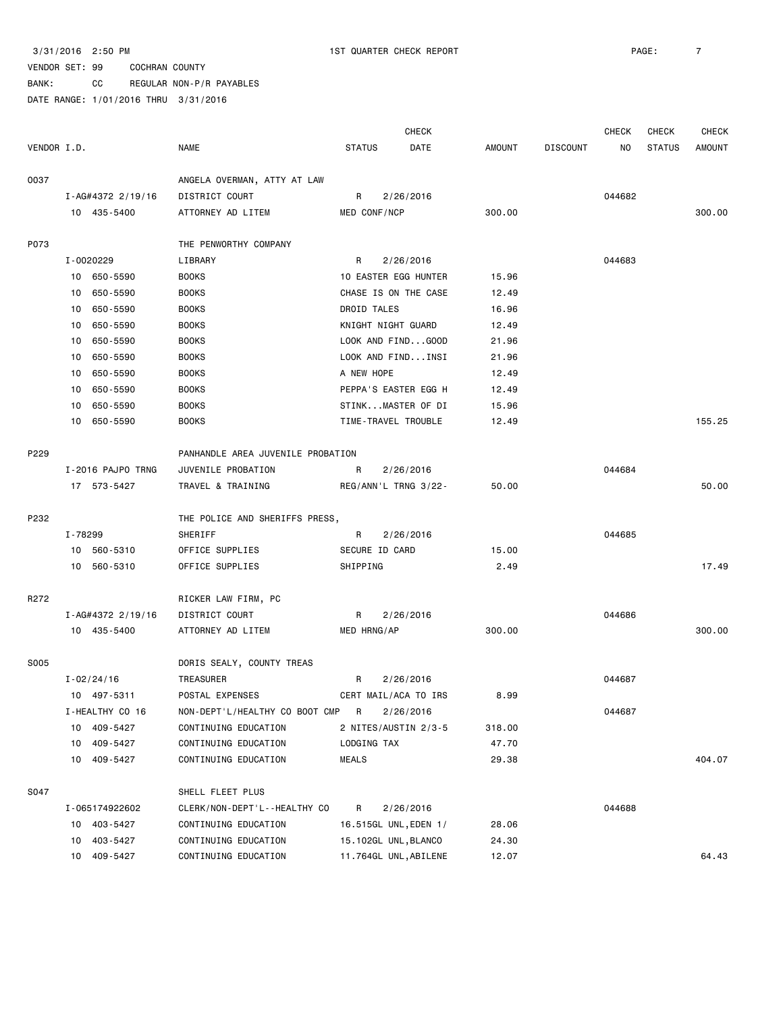|             |                   |                                   |                      | <b>CHECK</b>          |        |                 | <b>CHECK</b> | <b>CHECK</b>  | <b>CHECK</b>  |
|-------------|-------------------|-----------------------------------|----------------------|-----------------------|--------|-----------------|--------------|---------------|---------------|
| VENDOR I.D. |                   | <b>NAME</b>                       | <b>STATUS</b>        | DATE                  | AMOUNT | <b>DISCOUNT</b> | NO.          | <b>STATUS</b> | <b>AMOUNT</b> |
| 0037        |                   | ANGELA OVERMAN, ATTY AT LAW       |                      |                       |        |                 |              |               |               |
|             | I-AG#4372 2/19/16 | DISTRICT COURT                    | R                    | 2/26/2016             |        |                 | 044682       |               |               |
|             | 10 435-5400       | ATTORNEY AD LITEM                 | MED CONF/NCP         |                       | 300.00 |                 |              |               | 300.00        |
| P073        |                   | THE PENWORTHY COMPANY             |                      |                       |        |                 |              |               |               |
|             | I-0020229         | LIBRARY                           | R                    | 2/26/2016             |        |                 | 044683       |               |               |
|             | 10 650-5590       | <b>BOOKS</b>                      |                      | 10 EASTER EGG HUNTER  | 15.96  |                 |              |               |               |
|             | 650-5590<br>10    | <b>BOOKS</b>                      |                      | CHASE IS ON THE CASE  | 12.49  |                 |              |               |               |
|             | 650-5590<br>10    | <b>BOOKS</b>                      | DROID TALES          |                       | 16.96  |                 |              |               |               |
|             | 650-5590<br>10    | <b>BOOKS</b>                      | KNIGHT NIGHT GUARD   |                       | 12.49  |                 |              |               |               |
|             | 650-5590<br>10    | <b>BOOKS</b>                      |                      | LOOK AND FINDGOOD     | 21.96  |                 |              |               |               |
|             | 10<br>650-5590    | <b>BOOKS</b>                      |                      | LOOK AND FINDINSI     | 21.96  |                 |              |               |               |
|             | 10<br>650-5590    | <b>BOOKS</b>                      | A NEW HOPE           |                       | 12.49  |                 |              |               |               |
|             | 650-5590<br>10    | <b>BOOKS</b>                      |                      | PEPPA'S EASTER EGG H  | 12.49  |                 |              |               |               |
|             | 650-5590<br>10    | <b>BOOKS</b>                      |                      | STINKMASTER OF DI     | 15.96  |                 |              |               |               |
|             | 10 650-5590       | <b>BOOKS</b>                      | TIME-TRAVEL TROUBLE  |                       | 12.49  |                 |              |               | 155.25        |
| P229        |                   | PANHANDLE AREA JUVENILE PROBATION |                      |                       |        |                 |              |               |               |
|             | I-2016 PAJPO TRNG | JUVENILE PROBATION                | R                    | 2/26/2016             |        |                 | 044684       |               |               |
|             | 17 573-5427       | TRAVEL & TRAINING                 |                      | REG/ANN'L TRNG 3/22-  | 50.00  |                 |              |               | 50.00         |
| P232        |                   | THE POLICE AND SHERIFFS PRESS,    |                      |                       |        |                 |              |               |               |
|             | I-78299           | SHERIFF                           | R                    | 2/26/2016             |        |                 | 044685       |               |               |
|             | 10 560-5310       | OFFICE SUPPLIES                   | SECURE ID CARD       |                       | 15.00  |                 |              |               |               |
|             | 10 560-5310       | OFFICE SUPPLIES                   | SHIPPING             |                       | 2.49   |                 |              |               | 17.49         |
| R272        |                   | RICKER LAW FIRM, PC               |                      |                       |        |                 |              |               |               |
|             | I-AG#4372 2/19/16 | DISTRICT COURT                    | R                    | 2/26/2016             |        |                 | 044686       |               |               |
|             | 10 435-5400       | ATTORNEY AD LITEM                 | MED HRNG/AP          |                       | 300.00 |                 |              |               | 300.00        |
| S005        |                   | DORIS SEALY, COUNTY TREAS         |                      |                       |        |                 |              |               |               |
|             | $I - 02/24/16$    | TREASURER                         | R                    | 2/26/2016             |        |                 | 044687       |               |               |
|             | 10 497-5311       | POSTAL EXPENSES                   |                      | CERT MAIL/ACA TO IRS  | 8.99   |                 |              |               |               |
|             | I-HEALTHY CO 16   | NON-DEPT'L/HEALTHY CO BOOT CMP R  |                      | 2/26/2016             |        |                 | 044687       |               |               |
|             | 10 409-5427       | CONTINUING EDUCATION              |                      | 2 NITES/AUSTIN 2/3-5  | 318.00 |                 |              |               |               |
|             | 10 409-5427       | CONTINUING EDUCATION              | LODGING TAX          |                       | 47.70  |                 |              |               |               |
|             | 10 409-5427       | CONTINUING EDUCATION              | MEALS                |                       | 29.38  |                 |              |               | 404.07        |
| S047        |                   | SHELL FLEET PLUS                  |                      |                       |        |                 |              |               |               |
|             | I-065174922602    | CLERK/NON-DEPT'L--HEALTHY CO      | R                    | 2/26/2016             |        |                 | 044688       |               |               |
|             | 10 403-5427       | CONTINUING EDUCATION              |                      | 16.515GL UNL, EDEN 1/ | 28.06  |                 |              |               |               |
|             | 10 403-5427       | CONTINUING EDUCATION              | 15.102GL UNL, BLANCO |                       | 24.30  |                 |              |               |               |
|             | 10 409-5427       | CONTINUING EDUCATION              |                      | 11.764GL UNL, ABILENE | 12.07  |                 |              |               | 64.43         |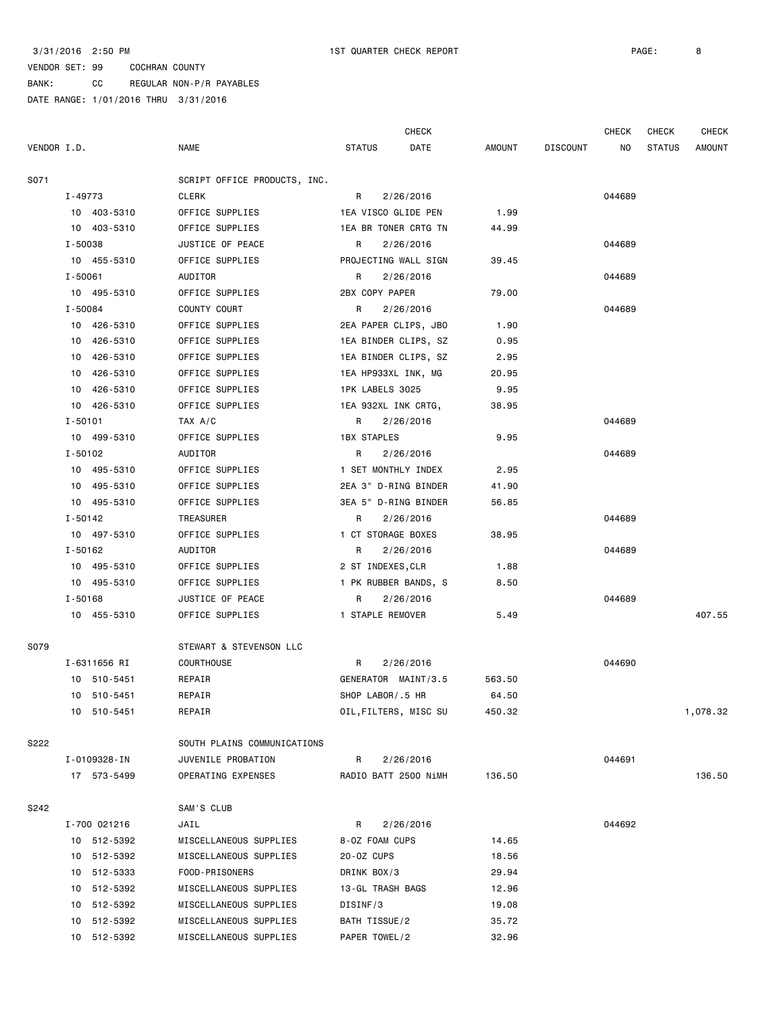|             |                |                              |                       | <b>CHECK</b> |        |                 | <b>CHECK</b> | <b>CHECK</b>  | CHECK         |
|-------------|----------------|------------------------------|-----------------------|--------------|--------|-----------------|--------------|---------------|---------------|
| VENDOR I.D. |                | <b>NAME</b>                  | <b>STATUS</b>         | DATE         | AMOUNT | <b>DISCOUNT</b> | NO           | <b>STATUS</b> | <b>AMOUNT</b> |
| S071        |                | SCRIPT OFFICE PRODUCTS, INC. |                       |              |        |                 |              |               |               |
|             | I-49773        | <b>CLERK</b>                 | R                     | 2/26/2016    |        |                 | 044689       |               |               |
|             | 10 403-5310    | OFFICE SUPPLIES              | 1EA VISCO GLIDE PEN   |              | 1.99   |                 |              |               |               |
|             | 10 403-5310    | OFFICE SUPPLIES              | 1EA BR TONER CRTG TN  |              | 44.99  |                 |              |               |               |
|             | I-50038        | JUSTICE OF PEACE             | R                     | 2/26/2016    |        |                 | 044689       |               |               |
|             | 10 455-5310    | OFFICE SUPPLIES              | PROJECTING WALL SIGN  |              | 39.45  |                 |              |               |               |
|             | I-50061        | AUDITOR                      | R                     | 2/26/2016    |        |                 | 044689       |               |               |
|             | 10 495-5310    | OFFICE SUPPLIES              | 2BX COPY PAPER        |              | 79.00  |                 |              |               |               |
|             | I-50084        | COUNTY COURT                 | R                     | 2/26/2016    |        |                 | 044689       |               |               |
|             | 10 426-5310    | OFFICE SUPPLIES              | 2EA PAPER CLIPS, JBO  |              | 1.90   |                 |              |               |               |
|             | 10 426-5310    | OFFICE SUPPLIES              | 1EA BINDER CLIPS, SZ  |              | 0.95   |                 |              |               |               |
|             | 10 426-5310    | OFFICE SUPPLIES              | 1EA BINDER CLIPS, SZ  |              | 2.95   |                 |              |               |               |
|             | 10<br>426-5310 | OFFICE SUPPLIES              | 1EA HP933XL INK, MG   |              | 20.95  |                 |              |               |               |
|             | 426-5310<br>10 | OFFICE SUPPLIES              | 1PK LABELS 3025       |              | 9.95   |                 |              |               |               |
|             | 10<br>426-5310 | OFFICE SUPPLIES              | 1EA 932XL INK CRTG,   |              | 38.95  |                 |              |               |               |
|             | $I - 50101$    | TAX A/C                      | R                     | 2/26/2016    |        |                 | 044689       |               |               |
|             | 10 499-5310    | OFFICE SUPPLIES              | 1BX STAPLES           |              | 9.95   |                 |              |               |               |
|             | $I - 50102$    | AUDITOR                      | R                     | 2/26/2016    |        |                 | 044689       |               |               |
|             | 10 495-5310    | OFFICE SUPPLIES              | 1 SET MONTHLY INDEX   |              | 2.95   |                 |              |               |               |
|             | 10 495-5310    | OFFICE SUPPLIES              | 2EA 3" D-RING BINDER  |              | 41.90  |                 |              |               |               |
|             | 10 495-5310    | OFFICE SUPPLIES              | 3EA 5" D-RING BINDER  |              | 56.85  |                 |              |               |               |
|             | I-50142        | TREASURER                    | R                     | 2/26/2016    |        |                 | 044689       |               |               |
|             | 10 497-5310    | OFFICE SUPPLIES              | 1 CT STORAGE BOXES    |              | 38.95  |                 |              |               |               |
|             | I-50162        | AUDITOR                      | R                     | 2/26/2016    |        |                 | 044689       |               |               |
|             | 10 495-5310    | OFFICE SUPPLIES              | 2 ST INDEXES, CLR     |              | 1.88   |                 |              |               |               |
|             | 10 495-5310    | OFFICE SUPPLIES              | 1 PK RUBBER BANDS, S  |              | 8.50   |                 |              |               |               |
|             | I-50168        | JUSTICE OF PEACE             | R                     | 2/26/2016    |        |                 | 044689       |               |               |
|             | 10 455-5310    | OFFICE SUPPLIES              | 1 STAPLE REMOVER      |              | 5.49   |                 |              |               | 407.55        |
|             |                |                              |                       |              |        |                 |              |               |               |
| S079        |                | STEWART & STEVENSON LLC      |                       |              |        |                 |              |               |               |
|             | I-6311656 RI   | <b>COURTHOUSE</b>            | R                     | 2/26/2016    |        |                 | 044690       |               |               |
|             | 10 510-5451    | REPAIR                       | GENERATOR MAINT/3.5   |              | 563.50 |                 |              |               |               |
|             | 10 510-5451    | REPAIR                       | SHOP LABOR/.5 HR      |              | 64.50  |                 |              |               |               |
|             | 10 510-5451    | REPAIR                       | OIL, FILTERS, MISC SU |              | 450.32 |                 |              |               | 1,078.32      |
| S222        |                | SOUTH PLAINS COMMUNICATIONS  |                       |              |        |                 |              |               |               |
|             | I-0109328-IN   | JUVENILE PROBATION           | R                     | 2/26/2016    |        |                 | 044691       |               |               |
|             | 17 573-5499    | OPERATING EXPENSES           | RADIO BATT 2500 NiMH  |              | 136.50 |                 |              |               | 136.50        |
|             |                |                              |                       |              |        |                 |              |               |               |
| S242        |                | SAM'S CLUB                   |                       |              |        |                 |              |               |               |
|             | I-700 021216   | JAIL                         | R                     | 2/26/2016    |        |                 | 044692       |               |               |
|             | 10 512-5392    | MISCELLANEOUS SUPPLIES       | 8-0Z FOAM CUPS        |              | 14.65  |                 |              |               |               |
|             | 10 512-5392    | MISCELLANEOUS SUPPLIES       | 20-0Z CUPS            |              | 18.56  |                 |              |               |               |
|             | 10 512-5333    | FOOD-PRISONERS               | DRINK BOX/3           |              | 29.94  |                 |              |               |               |
|             | 10 512-5392    | MISCELLANEOUS SUPPLIES       | 13-GL TRASH BAGS      |              | 12.96  |                 |              |               |               |
|             | 512-5392<br>10 | MISCELLANEOUS SUPPLIES       | DISINF/3              |              | 19.08  |                 |              |               |               |
|             | 10 512-5392    | MISCELLANEOUS SUPPLIES       | BATH TISSUE/2         |              | 35.72  |                 |              |               |               |
|             | 10 512-5392    | MISCELLANEOUS SUPPLIES       | PAPER TOWEL/2         |              | 32.96  |                 |              |               |               |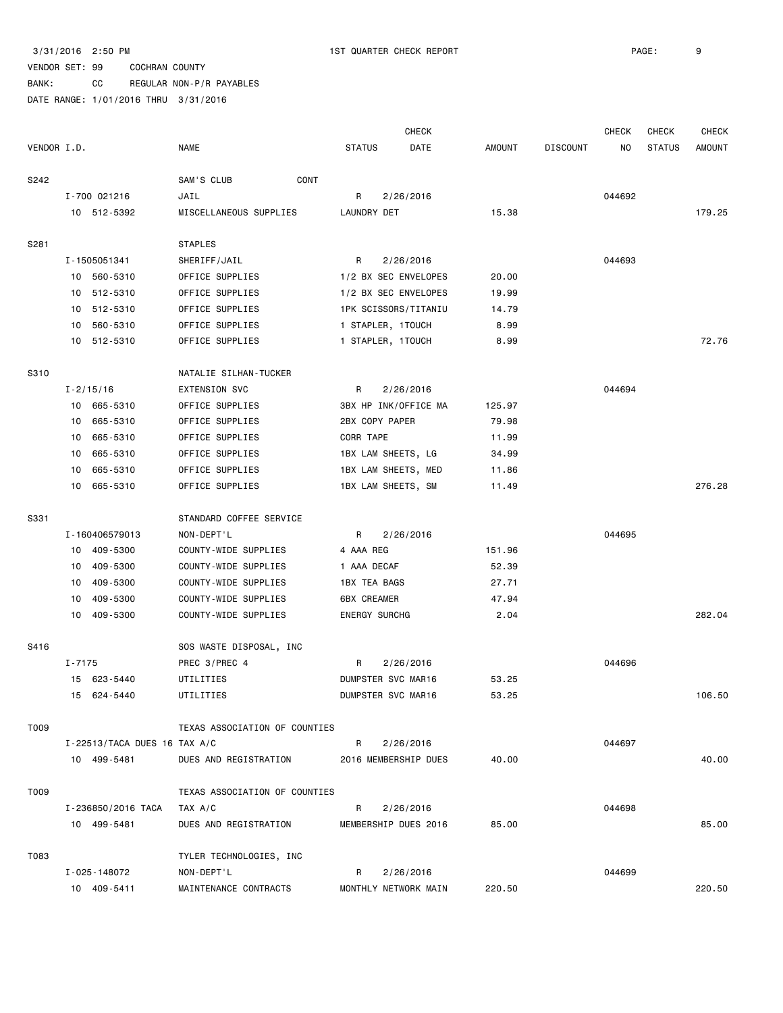BANK: CC REGULAR NON-P/R PAYABLES

|             |            |                              |                               |                      | <b>CHECK</b>         |               |                 | <b>CHECK</b> | CHECK         | <b>CHECK</b>  |
|-------------|------------|------------------------------|-------------------------------|----------------------|----------------------|---------------|-----------------|--------------|---------------|---------------|
| VENDOR I.D. |            |                              | <b>NAME</b>                   | <b>STATUS</b>        | DATE                 | <b>AMOUNT</b> | <b>DISCOUNT</b> | NO.          | <b>STATUS</b> | <b>AMOUNT</b> |
| S242        |            |                              | SAM'S CLUB<br>CONT            |                      |                      |               |                 |              |               |               |
|             |            | I-700 021216                 | JAIL                          | R                    | 2/26/2016            |               |                 | 044692       |               |               |
|             |            | 10 512-5392                  | MISCELLANEOUS SUPPLIES        | LAUNDRY DET          |                      | 15.38         |                 |              |               | 179.25        |
| S281        |            |                              | <b>STAPLES</b>                |                      |                      |               |                 |              |               |               |
|             |            | I-1505051341                 | SHERIFF/JAIL                  | R                    | 2/26/2016            |               |                 | 044693       |               |               |
|             |            | 10 560-5310                  | OFFICE SUPPLIES               |                      | 1/2 BX SEC ENVELOPES | 20.00         |                 |              |               |               |
|             |            | 10 512-5310                  | OFFICE SUPPLIES               |                      | 1/2 BX SEC ENVELOPES | 19.99         |                 |              |               |               |
|             |            | 10 512-5310                  | OFFICE SUPPLIES               |                      | 1PK SCISSORS/TITANIU | 14.79         |                 |              |               |               |
|             | 10         | 560-5310                     | OFFICE SUPPLIES               | 1 STAPLER, 1TOUCH    |                      | 8.99          |                 |              |               |               |
|             |            | 10 512-5310                  | OFFICE SUPPLIES               | 1 STAPLER, 1TOUCH    |                      | 8.99          |                 |              |               | 72.76         |
| <b>S310</b> |            |                              | NATALIE SILHAN-TUCKER         |                      |                      |               |                 |              |               |               |
|             |            | $I - 2/15/16$                | <b>EXTENSION SVC</b>          | R                    | 2/26/2016            |               |                 | 044694       |               |               |
|             | 10         | 665-5310                     | OFFICE SUPPLIES               |                      | 3BX HP INK/OFFICE MA | 125.97        |                 |              |               |               |
|             | 10         | 665-5310                     | OFFICE SUPPLIES               | 2BX COPY PAPER       |                      | 79.98         |                 |              |               |               |
|             | 10         | 665-5310                     | OFFICE SUPPLIES               | CORR TAPE            |                      | 11.99         |                 |              |               |               |
|             | 10         | 665-5310                     | OFFICE SUPPLIES               | 1BX LAM SHEETS, LG   |                      | 34.99         |                 |              |               |               |
|             | 10         | 665-5310                     | OFFICE SUPPLIES               | 1BX LAM SHEETS, MED  |                      | 11.86         |                 |              |               |               |
|             | 10         | 665-5310                     | OFFICE SUPPLIES               | 1BX LAM SHEETS, SM   |                      | 11.49         |                 |              |               | 276.28        |
| S331        |            |                              | STANDARD COFFEE SERVICE       |                      |                      |               |                 |              |               |               |
|             |            | I-160406579013               | NON-DEPT'L                    | R                    | 2/26/2016            |               |                 | 044695       |               |               |
|             |            | 10 409-5300                  | COUNTY-WIDE SUPPLIES          | 4 AAA REG            |                      | 151.96        |                 |              |               |               |
|             | 10         | 409-5300                     | COUNTY-WIDE SUPPLIES          | 1 AAA DECAF          |                      | 52.39         |                 |              |               |               |
|             | 10         | 409-5300                     | COUNTY-WIDE SUPPLIES          | 1BX TEA BAGS         |                      | 27.71         |                 |              |               |               |
|             | 10         | 409-5300                     | COUNTY-WIDE SUPPLIES          | 6BX CREAMER          |                      | 47.94         |                 |              |               |               |
|             | 10         | 409-5300                     | COUNTY-WIDE SUPPLIES          | <b>ENERGY SURCHG</b> |                      | 2.04          |                 |              |               | 282.04        |
| S416        |            |                              | SOS WASTE DISPOSAL, INC       |                      |                      |               |                 |              |               |               |
|             | $I - 7175$ |                              | PREC 3/PREC 4                 | R                    | 2/26/2016            |               |                 | 044696       |               |               |
|             | 15         | 623-5440                     | UTILITIES                     | DUMPSTER SVC MAR16   |                      | 53.25         |                 |              |               |               |
|             |            | 15 624-5440                  | UTILITIES                     | DUMPSTER SVC MAR16   |                      | 53.25         |                 |              |               | 106.50        |
| T009        |            |                              | TEXAS ASSOCIATION OF COUNTIES |                      |                      |               |                 |              |               |               |
|             |            | I-22513/TACA DUES 16 TAX A/C |                               | R                    | 2/26/2016            |               |                 | 044697       |               |               |
|             |            | 10 499-5481                  | DUES AND REGISTRATION         |                      | 2016 MEMBERSHIP DUES | 40.00         |                 |              |               | 40.00         |
| T009        |            |                              | TEXAS ASSOCIATION OF COUNTIES |                      |                      |               |                 |              |               |               |
|             |            | I-236850/2016 TACA           | TAX A/C                       | R                    | 2/26/2016            |               |                 | 044698       |               |               |
|             |            | 10 499-5481                  | DUES AND REGISTRATION         |                      | MEMBERSHIP DUES 2016 | 85.00         |                 |              |               | 85.00         |
| T083        |            |                              | TYLER TECHNOLOGIES, INC       |                      |                      |               |                 |              |               |               |
|             |            | I-025-148072                 | NON-DEPT'L                    | R                    | 2/26/2016            |               |                 | 044699       |               |               |
|             |            | 10 409-5411                  | MAINTENANCE CONTRACTS         |                      | MONTHLY NETWORK MAIN | 220.50        |                 |              |               | 220.50        |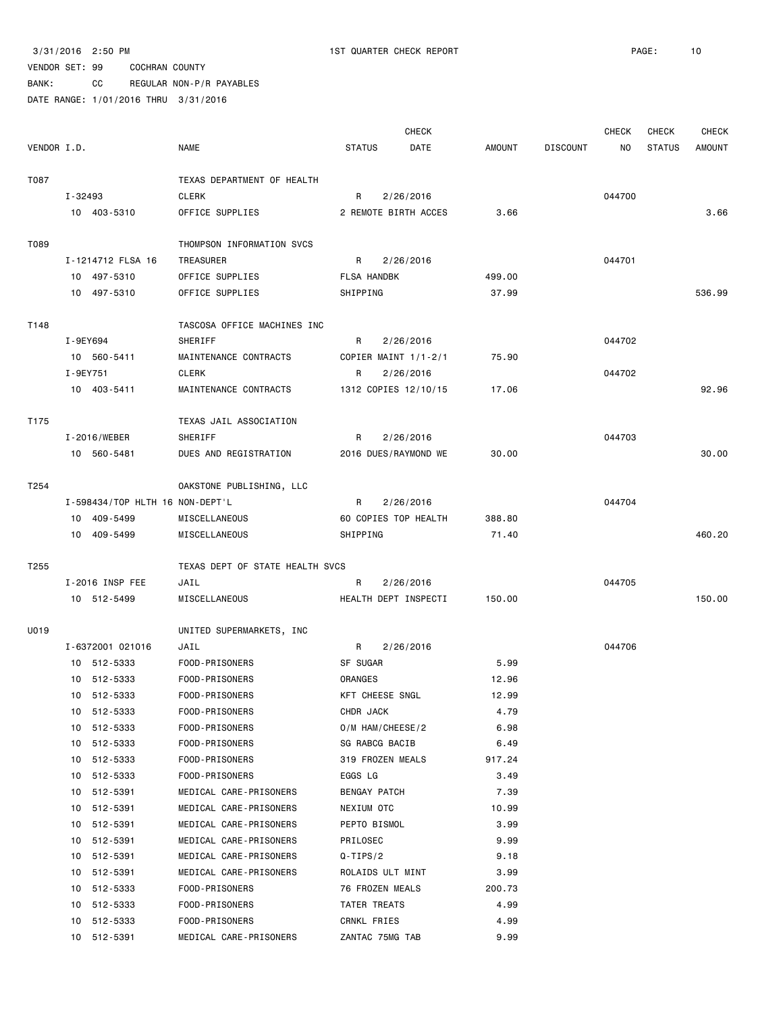BANK: CC REGULAR NON-P/R PAYABLES

|             |          |                                 |                                 |                 | <b>CHECK</b>         |        |                 | <b>CHECK</b> | <b>CHECK</b>  | <b>CHECK</b>  |
|-------------|----------|---------------------------------|---------------------------------|-----------------|----------------------|--------|-----------------|--------------|---------------|---------------|
| VENDOR I.D. |          |                                 | <b>NAME</b>                     | <b>STATUS</b>   | DATE                 | AMOUNT | <b>DISCOUNT</b> | NO           | <b>STATUS</b> | <b>AMOUNT</b> |
| T087        |          |                                 | TEXAS DEPARTMENT OF HEALTH      |                 |                      |        |                 |              |               |               |
|             | I-32493  |                                 | <b>CLERK</b>                    | R               | 2/26/2016            |        |                 | 044700       |               |               |
|             |          | 10 403-5310                     | OFFICE SUPPLIES                 |                 | 2 REMOTE BIRTH ACCES | 3.66   |                 |              |               | 3.66          |
| T089        |          |                                 | THOMPSON INFORMATION SVCS       |                 |                      |        |                 |              |               |               |
|             |          | I-1214712 FLSA 16               | TREASURER                       | R               | 2/26/2016            |        |                 | 044701       |               |               |
|             |          | 10 497-5310                     | OFFICE SUPPLIES                 | FLSA HANDBK     |                      | 499.00 |                 |              |               |               |
|             |          | 10 497-5310                     | OFFICE SUPPLIES                 | SHIPPING        |                      | 37.99  |                 |              |               | 536.99        |
| T148        |          |                                 | TASCOSA OFFICE MACHINES INC     |                 |                      |        |                 |              |               |               |
|             | I-9EY694 |                                 | SHERIFF                         | R               | 2/26/2016            |        |                 | 044702       |               |               |
|             |          | 10 560-5411                     | MAINTENANCE CONTRACTS           |                 | COPIER MAINT 1/1-2/1 | 75.90  |                 |              |               |               |
|             | I-9EY751 |                                 | CLERK                           | R               | 2/26/2016            |        |                 | 044702       |               |               |
|             |          | 10 403-5411                     | MAINTENANCE CONTRACTS           |                 | 1312 COPIES 12/10/15 | 17.06  |                 |              |               | 92.96         |
| T175        |          |                                 | TEXAS JAIL ASSOCIATION          |                 |                      |        |                 |              |               |               |
|             |          | I-2016/WEBER                    | SHERIFF                         | R               | 2/26/2016            |        |                 | 044703       |               |               |
|             |          | 10 560-5481                     | DUES AND REGISTRATION           |                 | 2016 DUES/RAYMOND WE | 30.00  |                 |              |               | 30.00         |
| T254        |          |                                 | OAKSTONE PUBLISHING, LLC        |                 |                      |        |                 |              |               |               |
|             |          | I-598434/TOP HLTH 16 NON-DEPT'L |                                 | R               | 2/26/2016            |        |                 | 044704       |               |               |
|             |          | 10 409-5499                     | MISCELLANEOUS                   |                 | 60 COPIES TOP HEALTH | 388.80 |                 |              |               |               |
|             |          | 10 409-5499                     | MISCELLANEOUS                   | SHIPPING        |                      | 71.40  |                 |              |               | 460.20        |
| T255        |          |                                 | TEXAS DEPT OF STATE HEALTH SVCS |                 |                      |        |                 |              |               |               |
|             |          | I-2016 INSP FEE                 | JAIL                            | R               | 2/26/2016            |        |                 | 044705       |               |               |
|             |          | 10 512-5499                     | MISCELLANEOUS                   |                 | HEALTH DEPT INSPECTI | 150.00 |                 |              |               | 150.00        |
| U019        |          |                                 | UNITED SUPERMARKETS, INC        |                 |                      |        |                 |              |               |               |
|             |          | I-6372001 021016                | JAIL                            | R               | 2/26/2016            |        |                 | 044706       |               |               |
|             |          | 10 512-5333                     | FOOD-PRISONERS                  | SF SUGAR        |                      | 5.99   |                 |              |               |               |
|             |          | 10 512-5333                     | FOOD-PRISONERS                  | ORANGES         |                      | 12.96  |                 |              |               |               |
|             |          | 10 512-5333                     | FOOD-PRISONERS                  | KFT CHEESE SNGL |                      | 12.99  |                 |              |               |               |
|             |          | 10 512-5333                     | FOOD-PRISONERS                  | CHDR JACK       |                      | 4.79   |                 |              |               |               |
|             |          | 10 512-5333                     | FOOD-PRISONERS                  |                 | O/M HAM/CHEESE/2     | 6.98   |                 |              |               |               |
|             |          | 10 512-5333                     | FOOD-PRISONERS                  | SG RABCG BACIB  |                      | 6.49   |                 |              |               |               |
|             | 10       | 512-5333                        | FOOD-PRISONERS                  |                 | 319 FROZEN MEALS     | 917.24 |                 |              |               |               |
|             | 10       | 512-5333                        | FOOD-PRISONERS                  | EGGS LG         |                      | 3.49   |                 |              |               |               |
|             | 10       | 512-5391                        | MEDICAL CARE-PRISONERS          | BENGAY PATCH    |                      | 7.39   |                 |              |               |               |
|             | 10       | 512-5391                        | MEDICAL CARE-PRISONERS          | NEXIUM OTC      |                      | 10.99  |                 |              |               |               |
|             | 10       | 512-5391                        | MEDICAL CARE-PRISONERS          | PEPTO BISMOL    |                      | 3.99   |                 |              |               |               |
|             | 10       | 512-5391                        | MEDICAL CARE-PRISONERS          | PRILOSEC        |                      | 9.99   |                 |              |               |               |
|             | 10       | 512-5391                        | MEDICAL CARE-PRISONERS          | $Q-TIPS/2$      |                      | 9.18   |                 |              |               |               |
|             | 10       | 512-5391                        | MEDICAL CARE-PRISONERS          |                 | ROLAIDS ULT MINT     | 3.99   |                 |              |               |               |
|             | 10       | 512-5333                        | FOOD-PRISONERS                  | 76 FROZEN MEALS |                      | 200.73 |                 |              |               |               |
|             |          | 10 512-5333                     | FOOD-PRISONERS                  | TATER TREATS    |                      | 4.99   |                 |              |               |               |
|             |          | 10 512-5333                     | FOOD-PRISONERS                  | CRNKL FRIES     |                      | 4.99   |                 |              |               |               |
|             |          | 10 512-5391                     | MEDICAL CARE-PRISONERS          | ZANTAC 75MG TAB |                      | 9.99   |                 |              |               |               |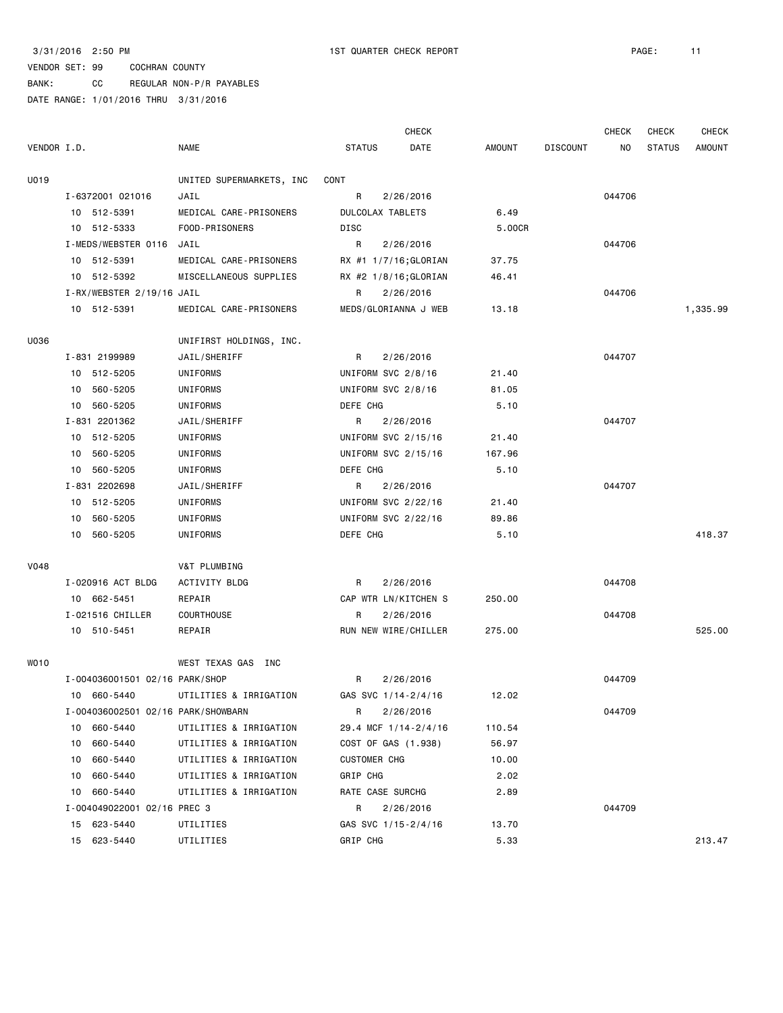CHECK CHECK CHECK CHECK

## VENDOR SET: 99 COCHRAN COUNTY

BANK: CC REGULAR NON-P/R PAYABLES

DATE RANGE: 1/01/2016 THRU 3/31/2016 VENDOR I.D. NAME STATUS DATE AMOUNT DISCOUNT NO STATUS AMOUNT

| U019 |                                    | UNITED SUPERMARKETS, INC | CONT                  |        |        |          |
|------|------------------------------------|--------------------------|-----------------------|--------|--------|----------|
|      | I-6372001 021016                   | JAIL                     | R<br>2/26/2016        |        | 044706 |          |
|      | 10 512-5391                        | MEDICAL CARE-PRISONERS   | DULCOLAX TABLETS      | 6.49   |        |          |
|      | 10 512-5333                        | FOOD-PRISONERS           | DISC                  | 5.00CR |        |          |
|      | I-MEDS/WEBSTER 0116 JAIL           |                          | R<br>2/26/2016        |        | 044706 |          |
|      | 10 512-5391                        | MEDICAL CARE-PRISONERS   | RX #1 1/7/16;GLORIAN  | 37.75  |        |          |
|      | 10 512-5392                        | MISCELLANEOUS SUPPLIES   | RX #2 1/8/16; GLORIAN | 46.41  |        |          |
|      | I-RX/WEBSTER 2/19/16 JAIL          |                          | R<br>2/26/2016        |        | 044706 |          |
|      | 10 512-5391                        | MEDICAL CARE-PRISONERS   | MEDS/GLORIANNA J WEB  | 13.18  |        | 1,335.99 |
| U036 |                                    | UNIFIRST HOLDINGS, INC.  |                       |        |        |          |
|      | I-831 2199989                      | JAIL/SHERIFF             | R<br>2/26/2016        |        | 044707 |          |
|      | 10 512-5205                        | UNIFORMS                 | UNIFORM SVC 2/8/16    | 21.40  |        |          |
|      | 10<br>560-5205                     | UNIFORMS                 | UNIFORM SVC 2/8/16    | 81.05  |        |          |
|      | 10 560-5205                        | UNIFORMS                 | DEFE CHG              | 5.10   |        |          |
|      | I-831 2201362                      | JAIL/SHERIFF             | R<br>2/26/2016        |        | 044707 |          |
|      | 10 512-5205                        | UNIFORMS                 | UNIFORM SVC 2/15/16   | 21.40  |        |          |
|      | 10 560-5205                        | UNIFORMS                 | UNIFORM SVC 2/15/16   | 167.96 |        |          |
|      | 10 560-5205                        | UNIFORMS                 | DEFE CHG              | 5.10   |        |          |
|      | I-831 2202698                      | JAIL/SHERIFF             | R<br>2/26/2016        |        | 044707 |          |
|      | 10 512-5205                        | UNIFORMS                 | UNIFORM SVC 2/22/16   | 21.40  |        |          |
|      | 10 560-5205                        | UNIFORMS                 | UNIFORM SVC 2/22/16   | 89.86  |        |          |
|      | 10 560-5205                        | UNIFORMS                 | DEFE CHG              | 5.10   |        | 418.37   |
| V048 |                                    | V&T PLUMBING             |                       |        |        |          |
|      | I-020916 ACT BLDG                  | ACTIVITY BLDG            | R<br>2/26/2016        |        | 044708 |          |
|      | 10 662-5451                        | REPAIR                   | CAP WTR LN/KITCHEN S  | 250.00 |        |          |
|      | I-021516 CHILLER                   | COURTHOUSE               | R<br>2/26/2016        |        | 044708 |          |
|      | 10 510-5451                        | REPAIR                   | RUN NEW WIRE/CHILLER  | 275.00 |        | 525.00   |
| WO10 |                                    | WEST TEXAS GAS INC       |                       |        |        |          |
|      | I-004036001501 02/16 PARK/SHOP     |                          | R<br>2/26/2016        |        | 044709 |          |
|      | 10 660-5440                        | UTILITIES & IRRIGATION   | GAS SVC 1/14-2/4/16   | 12.02  |        |          |
|      | I-004036002501 02/16 PARK/SHOWBARN |                          | R<br>2/26/2016        |        | 044709 |          |
|      | 10<br>660-5440                     | UTILITIES & IRRIGATION   | 29.4 MCF 1/14-2/4/16  | 110.54 |        |          |
|      | 660-5440<br>10                     | UTILITIES & IRRIGATION   | COST OF GAS (1.938)   | 56.97  |        |          |
|      | 660-5440<br>10                     | UTILITIES & IRRIGATION   | <b>CUSTOMER CHG</b>   | 10.00  |        |          |
|      | 660-5440<br>10                     | UTILITIES & IRRIGATION   | GRIP CHG              | 2.02   |        |          |
|      | 660-5440<br>10                     | UTILITIES & IRRIGATION   | RATE CASE SURCHG      | 2.89   |        |          |
|      | I-004049022001 02/16 PREC 3        |                          | R<br>2/26/2016        |        | 044709 |          |
|      | 15 623-5440                        | UTILITIES                | GAS SVC 1/15-2/4/16   | 13.70  |        |          |
|      | 15 623-5440                        | UTILITIES                | GRIP CHG              | 5.33   |        | 213.47   |
|      |                                    |                          |                       |        |        |          |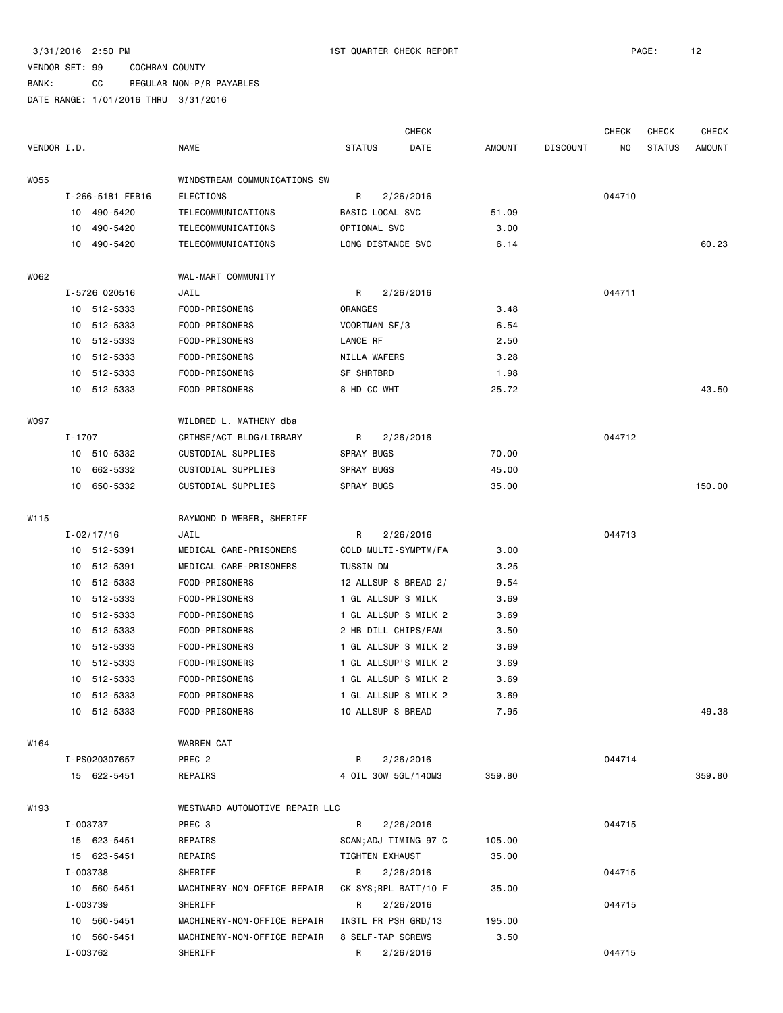BANK: CC REGULAR NON-P/R PAYABLES

|             |        |                  |                                |                       | CHECK     |               |          | <b>CHECK</b>   | <b>CHECK</b>  | <b>CHECK</b>  |
|-------------|--------|------------------|--------------------------------|-----------------------|-----------|---------------|----------|----------------|---------------|---------------|
| VENDOR I.D. |        |                  | <b>NAME</b>                    | <b>STATUS</b>         | DATE      | <b>AMOUNT</b> | DISCOUNT | N <sub>O</sub> | <b>STATUS</b> | <b>AMOUNT</b> |
| W055        |        |                  | WINDSTREAM COMMUNICATIONS SW   |                       |           |               |          |                |               |               |
|             |        | I-266-5181 FEB16 | ELECTIONS                      | R                     | 2/26/2016 |               |          | 044710         |               |               |
|             |        | 10 490-5420      | TELECOMMUNICATIONS             | BASIC LOCAL SVC       |           | 51.09         |          |                |               |               |
|             | 10     | 490-5420         | TELECOMMUNICATIONS             | OPTIONAL SVC          |           | 3.00          |          |                |               |               |
|             | 10     | 490-5420         | TELECOMMUNICATIONS             | LONG DISTANCE SVC     |           | 6.14          |          |                |               | 60.23         |
| W062        |        |                  | WAL-MART COMMUNITY             |                       |           |               |          |                |               |               |
|             |        | I-5726 020516    | JAIL                           | R                     | 2/26/2016 |               |          | 044711         |               |               |
|             |        | 10 512-5333      | FOOD-PRISONERS                 | ORANGES               |           | 3.48          |          |                |               |               |
|             |        | 10 512-5333      | FOOD-PRISONERS                 | VOORTMAN SF/3         |           | 6.54          |          |                |               |               |
|             | 10     | 512-5333         | FOOD-PRISONERS                 | LANCE RF              |           | 2.50          |          |                |               |               |
|             |        | 10 512-5333      | FOOD-PRISONERS                 | NILLA WAFERS          |           | 3.28          |          |                |               |               |
|             | 10     | 512-5333         | FOOD-PRISONERS                 | SF SHRTBRD            |           | 1.98          |          |                |               |               |
|             | 10     | 512-5333         | FOOD-PRISONERS                 | 8 HD CC WHT           |           | 25.72         |          |                |               | 43.50         |
|             |        |                  |                                |                       |           |               |          |                |               |               |
| W097        |        |                  | WILDRED L. MATHENY dba         |                       |           |               |          |                |               |               |
|             | I-1707 |                  | CRTHSE/ACT BLDG/LIBRARY        | R                     | 2/26/2016 |               |          | 044712         |               |               |
|             |        | 10 510-5332      | CUSTODIAL SUPPLIES             | <b>SPRAY BUGS</b>     |           | 70.00         |          |                |               |               |
|             | 10     | 662-5332         | CUSTODIAL SUPPLIES             | SPRAY BUGS            |           | 45.00         |          |                |               |               |
|             |        | 10 650-5332      | CUSTODIAL SUPPLIES             | SPRAY BUGS            |           | 35.00         |          |                |               | 150.00        |
| W115        |        |                  | RAYMOND D WEBER, SHERIFF       |                       |           |               |          |                |               |               |
|             |        | $I - 02/17/16$   | JAIL                           | R                     | 2/26/2016 |               |          | 044713         |               |               |
|             |        | 10 512-5391      | MEDICAL CARE-PRISONERS         | COLD MULTI-SYMPTM/FA  |           | 3.00          |          |                |               |               |
|             | 10     | 512-5391         | MEDICAL CARE-PRISONERS         | TUSSIN DM             |           | 3.25          |          |                |               |               |
|             | 10     | 512-5333         | FOOD-PRISONERS                 | 12 ALLSUP'S BREAD 2/  |           | 9.54          |          |                |               |               |
|             | 10     | 512-5333         | FOOD-PRISONERS                 | 1 GL ALLSUP'S MILK    |           | 3.69          |          |                |               |               |
|             | 10     | 512-5333         | FOOD-PRISONERS                 | 1 GL ALLSUP'S MILK 2  |           | 3.69          |          |                |               |               |
|             |        | 10 512-5333      | FOOD-PRISONERS                 | 2 HB DILL CHIPS/FAM   |           | 3.50          |          |                |               |               |
|             | 10     | 512-5333         | FOOD-PRISONERS                 | 1 GL ALLSUP'S MILK 2  |           | 3.69          |          |                |               |               |
|             | 10     | 512-5333         | FOOD-PRISONERS                 | 1 GL ALLSUP'S MILK 2  |           | 3.69          |          |                |               |               |
|             | 10     | 512-5333         | FOOD-PRISONERS                 | 1 GL ALLSUP'S MILK 2  |           | 3.69          |          |                |               |               |
|             |        | 10 512-5333      | FOOD-PRISONERS                 | 1 GL ALLSUP'S MILK 2  |           | 3.69          |          |                |               |               |
|             |        | 10 512-5333      | FOOD-PRISONERS                 | 10 ALLSUP'S BREAD     |           | 7.95          |          |                |               | 49.38         |
| W164        |        |                  | WARREN CAT                     |                       |           |               |          |                |               |               |
|             |        | I-PS020307657    | PREC <sub>2</sub>              | R                     | 2/26/2016 |               |          | 044714         |               |               |
|             |        | 15 622-5451      | REPAIRS                        | 4 OIL 30W 5GL/140M3   |           | 359.80        |          |                |               | 359.80        |
| W193        |        |                  | WESTWARD AUTOMOTIVE REPAIR LLC |                       |           |               |          |                |               |               |
|             |        | I-003737         | PREC 3                         | R                     | 2/26/2016 |               |          | 044715         |               |               |
|             |        | 15 623-5451      | REPAIRS                        | SCAN; ADJ TIMING 97 C |           | 105.00        |          |                |               |               |
|             |        | 15 623-5451      | REPAIRS                        | TIGHTEN EXHAUST       |           | 35.00         |          |                |               |               |
|             |        | I-003738         | SHERIFF                        | R                     | 2/26/2016 |               |          | 044715         |               |               |
|             |        | 10 560-5451      | MACHINERY-NON-OFFICE REPAIR    | CK SYS; RPL BATT/10 F |           | 35.00         |          |                |               |               |
|             |        | I-003739         | SHERIFF                        | R                     | 2/26/2016 |               |          | 044715         |               |               |
|             |        | 10 560-5451      | MACHINERY-NON-OFFICE REPAIR    | INSTL FR PSH GRD/13   |           | 195.00        |          |                |               |               |
|             |        | 10 560-5451      | MACHINERY-NON-OFFICE REPAIR    | 8 SELF-TAP SCREWS     |           | 3.50          |          |                |               |               |
|             |        | I-003762         | SHERIFF                        | R 2/26/2016           |           |               |          | 044715         |               |               |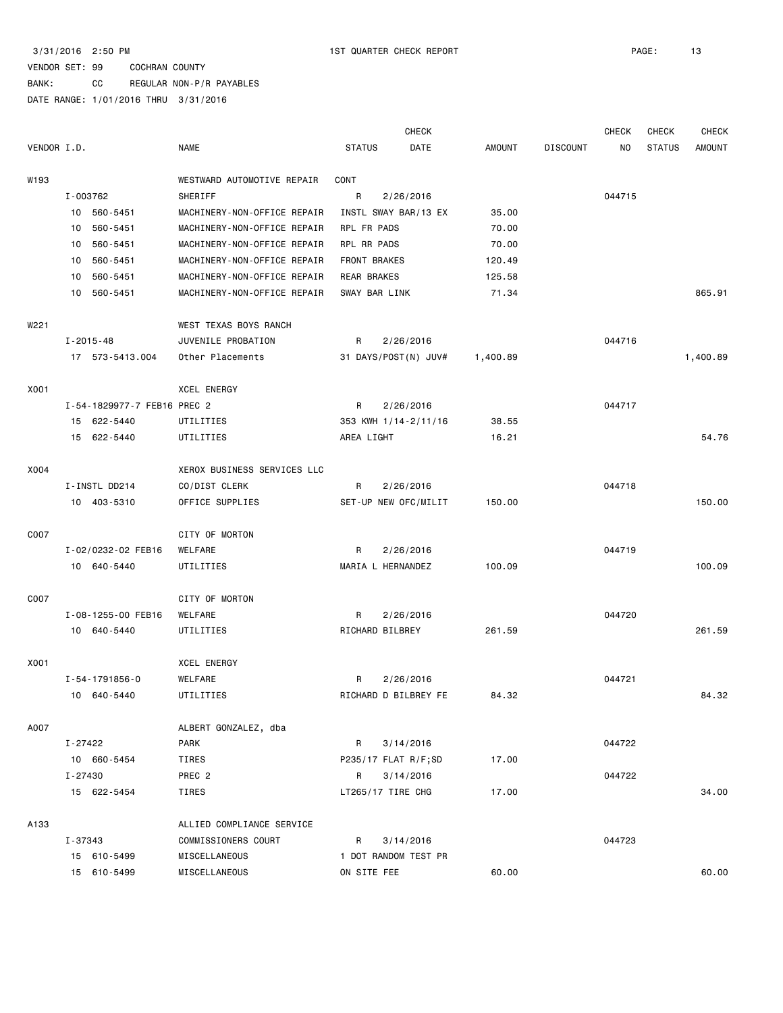BANK: CC REGULAR NON-P/R PAYABLES

|             |                             |                             |                      | <b>CHECK</b>         |          |                 | <b>CHECK</b> | <b>CHECK</b>  | <b>CHECK</b>  |
|-------------|-----------------------------|-----------------------------|----------------------|----------------------|----------|-----------------|--------------|---------------|---------------|
| VENDOR I.D. |                             | <b>NAME</b>                 | <b>STATUS</b>        | DATE                 | AMOUNT   | <b>DISCOUNT</b> | NO           | <b>STATUS</b> | <b>AMOUNT</b> |
| W193        |                             | WESTWARD AUTOMOTIVE REPAIR  | CONT                 |                      |          |                 |              |               |               |
|             | I-003762                    | SHERIFF                     | R                    | 2/26/2016            |          |                 | 044715       |               |               |
|             | 10 560-5451                 | MACHINERY-NON-OFFICE REPAIR | INSTL SWAY BAR/13 EX |                      | 35.00    |                 |              |               |               |
|             | 560-5451<br>10              | MACHINERY-NON-OFFICE REPAIR | RPL FR PADS          |                      | 70.00    |                 |              |               |               |
|             | 560-5451<br>10              | MACHINERY-NON-OFFICE REPAIR | RPL RR PADS          |                      | 70.00    |                 |              |               |               |
|             | 560-5451<br>10              | MACHINERY-NON-OFFICE REPAIR | FRONT BRAKES         |                      | 120.49   |                 |              |               |               |
|             | 560-5451<br>10              | MACHINERY-NON-OFFICE REPAIR | REAR BRAKES          |                      | 125.58   |                 |              |               |               |
|             | 560-5451<br>10              | MACHINERY-NON-OFFICE REPAIR | SWAY BAR LINK        |                      | 71.34    |                 |              |               | 865.91        |
| W221        |                             | WEST TEXAS BOYS RANCH       |                      |                      |          |                 |              |               |               |
|             | $I - 2015 - 48$             | JUVENILE PROBATION          | R                    | 2/26/2016            |          |                 | 044716       |               |               |
|             | 17 573-5413.004             | Other Placements            | 31 DAYS/POST(N) JUV# |                      | 1,400.89 |                 |              |               | 1,400.89      |
|             |                             |                             |                      |                      |          |                 |              |               |               |
| X001        |                             | <b>XCEL ENERGY</b>          |                      |                      |          |                 |              |               |               |
|             | I-54-1829977-7 FEB16 PREC 2 |                             | R                    | 2/26/2016            |          |                 | 044717       |               |               |
|             | 15 622-5440                 | UTILITIES                   | 353 KWH 1/14-2/11/16 |                      | 38.55    |                 |              |               |               |
|             | 15 622-5440                 | UTILITIES                   | AREA LIGHT           |                      | 16.21    |                 |              |               | 54.76         |
| X004        |                             | XEROX BUSINESS SERVICES LLC |                      |                      |          |                 |              |               |               |
|             | I-INSTL DD214               | CO/DIST CLERK               | R                    | 2/26/2016            |          |                 | 044718       |               |               |
|             | 10 403-5310                 | OFFICE SUPPLIES             | SET-UP NEW OFC/MILIT |                      | 150.00   |                 |              |               | 150.00        |
| C007        |                             | CITY OF MORTON              |                      |                      |          |                 |              |               |               |
|             | I-02/0232-02 FEB16          | WELFARE                     | R                    | 2/26/2016            |          |                 | 044719       |               |               |
|             | 10 640-5440                 | UTILITIES                   | MARIA L HERNANDEZ    |                      | 100.09   |                 |              |               | 100.09        |
|             |                             |                             |                      |                      |          |                 |              |               |               |
| C007        |                             | CITY OF MORTON              |                      |                      |          |                 |              |               |               |
|             | I-08-1255-00 FEB16          | WELFARE                     | R                    | 2/26/2016            |          |                 | 044720       |               |               |
|             | 10 640-5440                 | UTILITIES                   | RICHARD BILBREY      |                      | 261.59   |                 |              |               | 261.59        |
| X001        |                             | XCEL ENERGY                 |                      |                      |          |                 |              |               |               |
|             | I-54-1791856-0              | WELFARE                     | R                    | 2/26/2016            |          |                 | 044721       |               |               |
|             | 10 640-5440                 | UTILITIES                   |                      | RICHARD D BILBREY FE | 84.32    |                 |              |               | 84.32         |
| A007        |                             | ALBERT GONZALEZ, dba        |                      |                      |          |                 |              |               |               |
|             | I-27422                     | PARK                        | R                    | 3/14/2016            |          |                 | 044722       |               |               |
|             | 10 660-5454                 | TIRES                       | P235/17 FLAT R/F;SD  |                      | 17.00    |                 |              |               |               |
|             | I-27430                     | PREC <sub>2</sub>           | R                    | 3/14/2016            |          |                 | 044722       |               |               |
|             | 15 622-5454                 | TIRES                       | LT265/17 TIRE CHG    |                      | 17.00    |                 |              |               | 34.00         |
| A133        |                             | ALLIED COMPLIANCE SERVICE   |                      |                      |          |                 |              |               |               |
|             | I-37343                     | COMMISSIONERS COURT         | R                    | 3/14/2016            |          |                 | 044723       |               |               |
|             | 15 610-5499                 | MISCELLANEOUS               | 1 DOT RANDOM TEST PR |                      |          |                 |              |               |               |
|             | 15 610-5499                 | MISCELLANEOUS               | ON SITE FEE          |                      | 60.00    |                 |              |               | 60.00         |
|             |                             |                             |                      |                      |          |                 |              |               |               |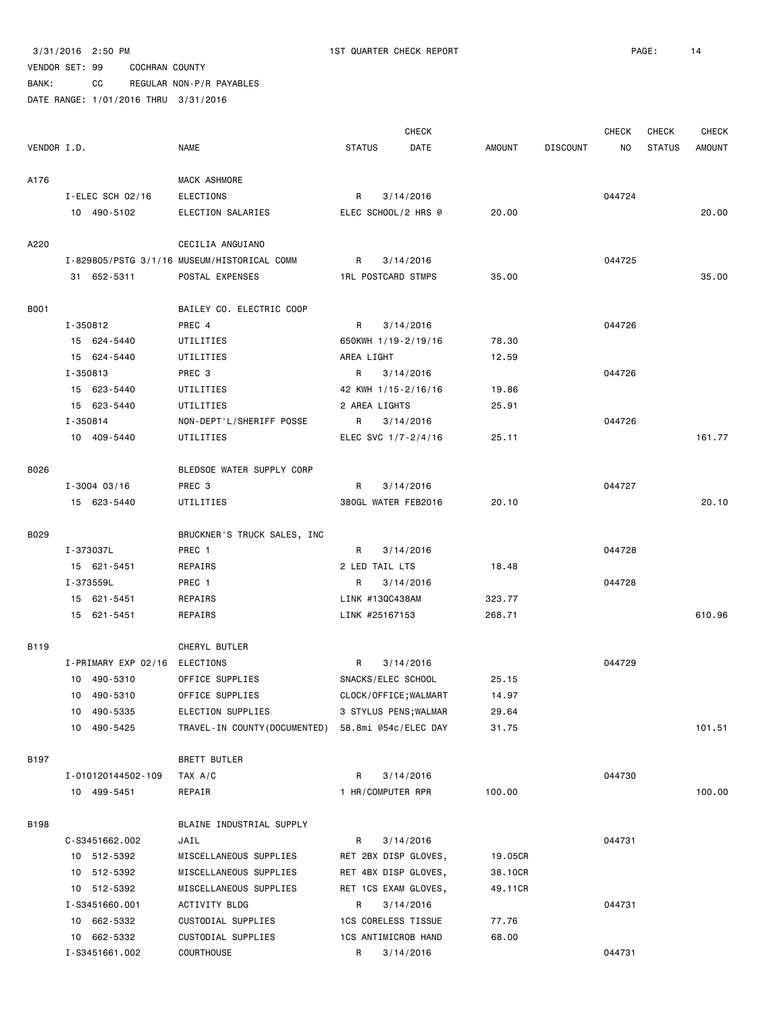|             |                     |                                                   |                            | <b>CHECK</b> |               |                 | <b>CHECK</b> | <b>CHECK</b>  | <b>CHECK</b>  |
|-------------|---------------------|---------------------------------------------------|----------------------------|--------------|---------------|-----------------|--------------|---------------|---------------|
| VENDOR I.D. |                     | <b>NAME</b>                                       | <b>STATUS</b>              | DATE         | <b>AMOUNT</b> | <b>DISCOUNT</b> | NO           | <b>STATUS</b> | <b>AMOUNT</b> |
| A176        |                     | MACK ASHMORE                                      |                            |              |               |                 |              |               |               |
|             | I-ELEC SCH 02/16    | ELECTIONS                                         | R                          | 3/14/2016    |               |                 | 044724       |               |               |
|             | 10 490-5102         | ELECTION SALARIES                                 | ELEC SCHOOL/2 HRS @        |              | 20,00         |                 |              |               | 20.00         |
|             |                     |                                                   |                            |              |               |                 |              |               |               |
| A220        |                     | CECILIA ANGUIANO                                  |                            |              |               |                 |              |               |               |
|             |                     | I-829805/PSTG 3/1/16 MUSEUM/HISTORICAL COMM       | R                          | 3/14/2016    |               |                 | 044725       |               |               |
|             | 31 652-5311         | POSTAL EXPENSES                                   | <b>1RL POSTCARD STMPS</b>  |              | 35.00         |                 |              |               | 35.00         |
| <b>B001</b> |                     | BAILEY CO. ELECTRIC COOP                          |                            |              |               |                 |              |               |               |
|             | I-350812            | PREC 4                                            | R                          | 3/14/2016    |               |                 | 044726       |               |               |
|             | 15 624-5440         | UTILITIES                                         | 650KWH 1/19-2/19/16        |              | 78.30         |                 |              |               |               |
|             | 15 624-5440         | UTILITIES                                         | AREA LIGHT                 |              | 12.59         |                 |              |               |               |
|             | I-350813            | PREC 3                                            | R                          | 3/14/2016    |               |                 | 044726       |               |               |
|             | 15 623-5440         | UTILITIES                                         | 42 KWH 1/15-2/16/16        |              | 19.86         |                 |              |               |               |
|             | 15 623-5440         | UTILITIES                                         | 2 AREA LIGHTS              |              | 25.91         |                 |              |               |               |
|             | I-350814            | NON-DEPT'L/SHERIFF POSSE                          | R                          | 3/14/2016    |               |                 | 044726       |               |               |
|             | 10 409-5440         | UTILITIES                                         | ELEC SVC 1/7-2/4/16        |              | 25.11         |                 |              |               | 161.77        |
| B026        |                     | BLEDSOE WATER SUPPLY CORP                         |                            |              |               |                 |              |               |               |
|             | $I - 3004$ 03/16    | PREC 3                                            | R                          | 3/14/2016    |               |                 | 044727       |               |               |
|             | 15 623-5440         | UTILITIES                                         | 380GL WATER FEB2016        |              | 20.10         |                 |              |               | 20.10         |
|             |                     |                                                   |                            |              |               |                 |              |               |               |
| B029        |                     | BRUCKNER'S TRUCK SALES, INC                       |                            |              |               |                 |              |               |               |
|             | I-373037L           | PREC 1                                            | R                          | 3/14/2016    |               |                 | 044728       |               |               |
|             | 15 621-5451         | REPAIRS                                           | 2 LED TAIL LTS             |              | 18.48         |                 |              |               |               |
|             | I-373559L           | PREC 1                                            | R                          | 3/14/2016    |               |                 | 044728       |               |               |
|             | 15 621-5451         | REPAIRS                                           | LINK #13QC438AM            |              | 323.77        |                 |              |               |               |
|             | 15 621-5451         | REPAIRS                                           | LINK #25167153             |              | 268.71        |                 |              |               | 610.96        |
| B119        |                     | CHERYL BUTLER                                     |                            |              |               |                 |              |               |               |
|             | I-PRIMARY EXP 02/16 | ELECTIONS                                         | R                          | 3/14/2016    |               |                 | 044729       |               |               |
|             | 10 490-5310         | OFFICE SUPPLIES                                   | SNACKS/ELEC SCHOOL         |              | 25.15         |                 |              |               |               |
|             | 10 490-5310         | OFFICE SUPPLIES                                   | CLOCK/OFFICE; WALMART      |              | 14.97         |                 |              |               |               |
|             | 10 490-5335         | ELECTION SUPPLIES                                 | 3 STYLUS PENS; WALMAR      |              | 29.64         |                 |              |               |               |
|             | 10 490-5425         | TRAVEL-IN COUNTY(DOCUMENTED) 58.8mi @54c/ELEC DAY |                            |              | 31.75         |                 |              |               | 101.51        |
|             |                     |                                                   |                            |              |               |                 |              |               |               |
| B197        |                     | BRETT BUTLER                                      |                            |              |               |                 |              |               |               |
|             | I-010120144502-109  | TAX A/C                                           | R                          | 3/14/2016    |               |                 | 044730       |               |               |
|             | 10 499-5451         | REPAIR                                            | 1 HR/COMPUTER RPR          |              | 100.00        |                 |              |               | 100.00        |
| B198        |                     | BLAINE INDUSTRIAL SUPPLY                          |                            |              |               |                 |              |               |               |
|             | C-S3451662.002      | JAIL                                              | R                          | 3/14/2016    |               |                 | 044731       |               |               |
|             | 10 512-5392         | MISCELLANEOUS SUPPLIES                            | RET 2BX DISP GLOVES,       |              | 19.05CR       |                 |              |               |               |
|             | 10 512-5392         | MISCELLANEOUS SUPPLIES                            | RET 4BX DISP GLOVES,       |              | 38.10CR       |                 |              |               |               |
|             | 10 512-5392         | MISCELLANEOUS SUPPLIES                            | RET 1CS EXAM GLOVES,       |              | 49.11CR       |                 |              |               |               |
|             | I-S3451660.001      | ACTIVITY BLDG                                     | R                          | 3/14/2016    |               |                 | 044731       |               |               |
|             | 10 662-5332         | CUSTODIAL SUPPLIES                                | <b>1CS CORELESS TISSUE</b> |              | 77.76         |                 |              |               |               |
|             | 10 662-5332         | CUSTODIAL SUPPLIES                                | 1CS ANTIMICROB HAND        |              | 68.00         |                 |              |               |               |
|             | I-S3451661.002      | COURTHOUSE                                        | R                          | 3/14/2016    |               |                 | 044731       |               |               |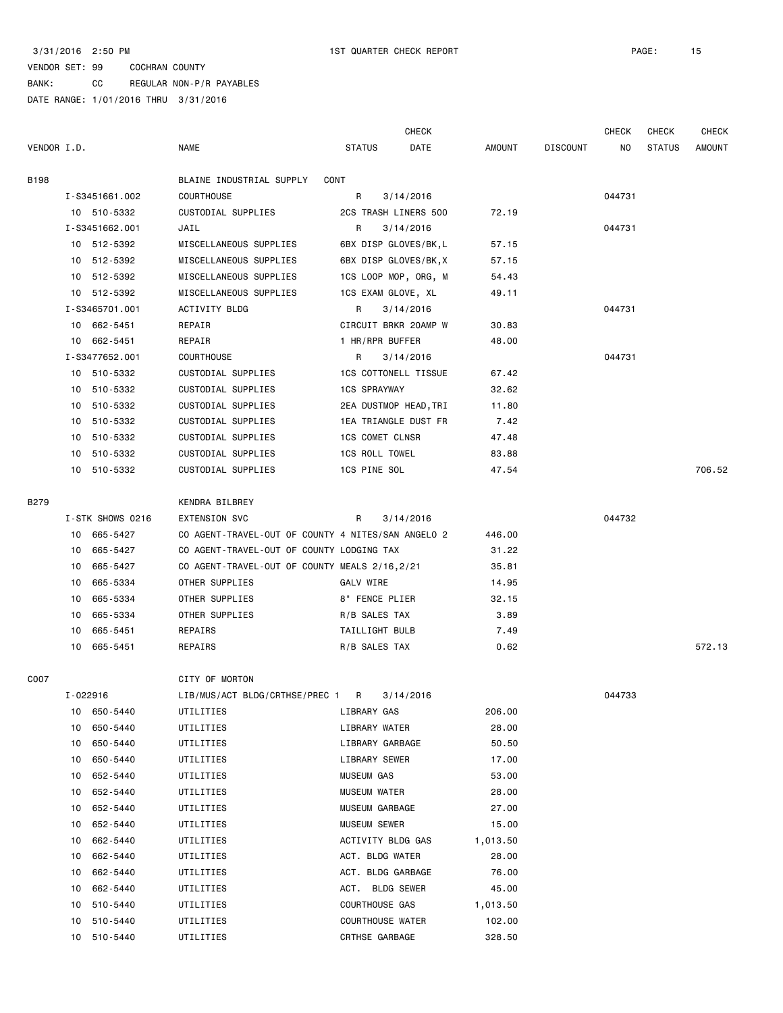BANK: CC REGULAR NON-P/R PAYABLES

|             |    |                  |                                                    |                         | <b>CHECK</b>          |          |                 | <b>CHECK</b> | <b>CHECK</b>  | <b>CHECK</b>  |
|-------------|----|------------------|----------------------------------------------------|-------------------------|-----------------------|----------|-----------------|--------------|---------------|---------------|
| VENDOR I.D. |    |                  | <b>NAME</b>                                        | <b>STATUS</b>           | DATE                  | AMOUNT   | <b>DISCOUNT</b> | NO.          | <b>STATUS</b> | <b>AMOUNT</b> |
| <b>B198</b> |    |                  | BLAINE INDUSTRIAL SUPPLY<br>CONT                   |                         |                       |          |                 |              |               |               |
|             |    | I-S3451661.002   | <b>COURTHOUSE</b>                                  | R                       | 3/14/2016             |          |                 | 044731       |               |               |
|             |    | 10 510-5332      | CUSTODIAL SUPPLIES                                 |                         | 2CS TRASH LINERS 500  | 72.19    |                 |              |               |               |
|             |    | I-S3451662.001   | JAIL                                               | R                       | 3/14/2016             |          |                 | 044731       |               |               |
|             |    | 10 512-5392      | MISCELLANEOUS SUPPLIES                             |                         | 6BX DISP GLOVES/BK,L  | 57.15    |                 |              |               |               |
|             |    | 10 512-5392      | MISCELLANEOUS SUPPLIES                             |                         | 6BX DISP GLOVES/BK, X | 57.15    |                 |              |               |               |
|             |    | 10 512-5392      | MISCELLANEOUS SUPPLIES                             |                         | 1CS LOOP MOP, ORG, M  | 54.43    |                 |              |               |               |
|             |    | 10 512-5392      | MISCELLANEOUS SUPPLIES                             | 1CS EXAM GLOVE, XL      |                       | 49.11    |                 |              |               |               |
|             |    | I-S3465701.001   | ACTIVITY BLDG                                      | R                       | 3/14/2016             |          |                 | 044731       |               |               |
|             |    | 10 662-5451      | REPAIR                                             |                         | CIRCUIT BRKR 20AMP W  | 30.83    |                 |              |               |               |
|             |    | 10 662-5451      | REPAIR                                             | 1 HR/RPR BUFFER         |                       | 48.00    |                 |              |               |               |
|             |    | I-S3477652.001   | COURTHOUSE                                         | R                       | 3/14/2016             |          |                 | 044731       |               |               |
|             |    | 10 510-5332      | CUSTODIAL SUPPLIES                                 |                         | 1CS COTTONELL TISSUE  |          |                 |              |               |               |
|             |    |                  |                                                    | <b>1CS SPRAYWAY</b>     |                       | 67.42    |                 |              |               |               |
|             |    | 10 510-5332      | CUSTODIAL SUPPLIES                                 |                         |                       | 32.62    |                 |              |               |               |
|             |    | 10 510-5332      | CUSTODIAL SUPPLIES                                 |                         | 2EA DUSTMOP HEAD, TRI | 11.80    |                 |              |               |               |
|             |    | 10 510-5332      | CUSTODIAL SUPPLIES                                 |                         | 1EA TRIANGLE DUST FR  | 7.42     |                 |              |               |               |
|             |    | 10 510-5332      | CUSTODIAL SUPPLIES                                 | <b>1CS COMET CLNSR</b>  |                       | 47.48    |                 |              |               |               |
|             |    | 10 510-5332      | CUSTODIAL SUPPLIES                                 | <b>1CS ROLL TOWEL</b>   |                       | 83.88    |                 |              |               |               |
|             |    | 10 510-5332      | CUSTODIAL SUPPLIES                                 | 1CS PINE SOL            |                       | 47.54    |                 |              |               | 706.52        |
| B279        |    |                  | KENDRA BILBREY                                     |                         |                       |          |                 |              |               |               |
|             |    | I-STK SHOWS 0216 | <b>EXTENSION SVC</b>                               | R                       | 3/14/2016             |          |                 | 044732       |               |               |
|             |    | 10 665-5427      | CO AGENT-TRAVEL-OUT OF COUNTY 4 NITES/SAN ANGELO 2 |                         |                       | 446.00   |                 |              |               |               |
|             |    | 10 665-5427      | CO AGENT-TRAVEL-OUT OF COUNTY LODGING TAX          |                         |                       | 31.22    |                 |              |               |               |
|             | 10 | 665-5427         | CO AGENT-TRAVEL-OUT OF COUNTY MEALS 2/16,2/21      |                         |                       | 35.81    |                 |              |               |               |
|             |    | 10 665-5334      | OTHER SUPPLIES                                     | GALV WIRE               |                       | 14.95    |                 |              |               |               |
|             | 10 | 665-5334         | OTHER SUPPLIES                                     | 8" FENCE PLIER          |                       | 32.15    |                 |              |               |               |
|             | 10 | 665-5334         | OTHER SUPPLIES                                     | R/B SALES TAX           |                       | 3.89     |                 |              |               |               |
|             | 10 | 665-5451         | REPAIRS                                            | TAILLIGHT BULB          |                       | 7.49     |                 |              |               |               |
|             |    | 10 665-5451      | REPAIRS                                            | R/B SALES TAX           |                       | 0.62     |                 |              |               | 572.13        |
| C007        |    |                  | CITY OF MORTON                                     |                         |                       |          |                 |              |               |               |
|             |    | $I - 022916$     | LIB/MUS/ACT BLDG/CRTHSE/PREC 1 R 3/14/2016         |                         |                       |          |                 | 044733       |               |               |
|             | 10 | 650-5440         | UTILITIES                                          | LIBRARY GAS             |                       | 206.00   |                 |              |               |               |
|             | 10 | 650-5440         | UTILITIES                                          | LIBRARY WATER           |                       | 28.00    |                 |              |               |               |
|             | 10 | 650-5440         |                                                    |                         |                       | 50.50    |                 |              |               |               |
|             |    |                  | UTILITIES                                          | LIBRARY GARBAGE         |                       |          |                 |              |               |               |
|             | 10 | 650-5440         | UTILITIES                                          | LIBRARY SEWER           |                       | 17.00    |                 |              |               |               |
|             | 10 | 652-5440         | UTILITIES                                          | MUSEUM GAS              |                       | 53.00    |                 |              |               |               |
|             | 10 | 652-5440         | UTILITIES                                          | MUSEUM WATER            |                       | 28.00    |                 |              |               |               |
|             | 10 | 652-5440         | UTILITIES                                          | MUSEUM GARBAGE          |                       | 27.00    |                 |              |               |               |
|             | 10 | 652-5440         | UTILITIES                                          | MUSEUM SEWER            |                       | 15.00    |                 |              |               |               |
|             | 10 | 662-5440         | UTILITIES                                          | ACTIVITY BLDG GAS       |                       | 1,013.50 |                 |              |               |               |
|             | 10 | 662-5440         | UTILITIES                                          | ACT. BLDG WATER         |                       | 28.00    |                 |              |               |               |
|             | 10 | 662-5440         | UTILITIES                                          | ACT. BLDG GARBAGE       |                       | 76.00    |                 |              |               |               |
|             | 10 | 662-5440         | UTILITIES                                          | ACT. BLDG SEWER         |                       | 45.00    |                 |              |               |               |
|             | 10 | 510-5440         | UTILITIES                                          | COURTHOUSE GAS          |                       | 1,013.50 |                 |              |               |               |
|             | 10 | 510-5440         | UTILITIES                                          | <b>COURTHOUSE WATER</b> |                       | 102.00   |                 |              |               |               |
|             |    | 10 510-5440      | UTILITIES                                          | CRTHSE GARBAGE          |                       | 328.50   |                 |              |               |               |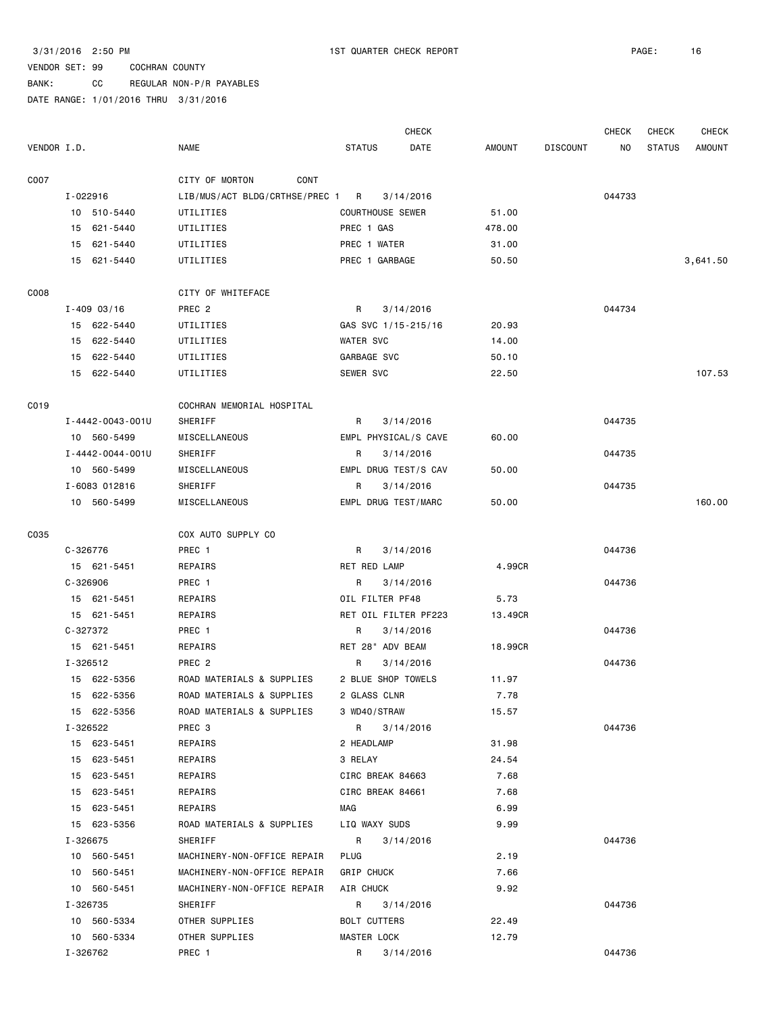BANK: CC REGULAR NON-P/R PAYABLES

|             |          |                  |                                |                         | <b>CHECK</b>         |               |                 | <b>CHECK</b> | <b>CHECK</b>  | <b>CHECK</b>  |
|-------------|----------|------------------|--------------------------------|-------------------------|----------------------|---------------|-----------------|--------------|---------------|---------------|
| VENDOR I.D. |          |                  | <b>NAME</b>                    | <b>STATUS</b>           | DATE                 | <b>AMOUNT</b> | <b>DISCOUNT</b> | ΝO           | <b>STATUS</b> | <b>AMOUNT</b> |
| C007        |          |                  | CITY OF MORTON<br><b>CONT</b>  |                         |                      |               |                 |              |               |               |
|             | I-022916 |                  | LIB/MUS/ACT BLDG/CRTHSE/PREC 1 | R                       | 3/14/2016            |               |                 | 044733       |               |               |
|             |          | 10 510-5440      | UTILITIES                      | <b>COURTHOUSE SEWER</b> |                      | 51.00         |                 |              |               |               |
|             |          | 15 621-5440      | UTILITIES                      | PREC 1 GAS              |                      | 478.00        |                 |              |               |               |
|             |          | 15 621-5440      | UTILITIES                      | PREC 1 WATER            |                      | 31.00         |                 |              |               |               |
|             |          | 15 621-5440      | UTILITIES                      | PREC 1 GARBAGE          |                      | 50.50         |                 |              |               | 3,641.50      |
| C008        |          |                  | CITY OF WHITEFACE              |                         |                      |               |                 |              |               |               |
|             |          | $I - 409$ 03/16  | PREC 2                         | R                       | 3/14/2016            |               |                 | 044734       |               |               |
|             |          | 15 622-5440      | UTILITIES                      | GAS SVC 1/15-215/16     |                      | 20.93         |                 |              |               |               |
|             | 15       | 622-5440         | UTILITIES                      | WATER SVC               |                      | 14.00         |                 |              |               |               |
|             | 15       | 622-5440         | UTILITIES                      | GARBAGE SVC             |                      | 50.10         |                 |              |               |               |
|             |          | 15 622-5440      | UTILITIES                      | SEWER SVC               |                      | 22.50         |                 |              |               | 107.53        |
| C019        |          |                  | COCHRAN MEMORIAL HOSPITAL      |                         |                      |               |                 |              |               |               |
|             |          | I-4442-0043-001U | SHERIFF                        | R                       | 3/14/2016            |               |                 | 044735       |               |               |
|             |          | 10 560-5499      | MISCELLANEOUS                  |                         | EMPL PHYSICAL/S CAVE | 60.00         |                 |              |               |               |
|             |          | I-4442-0044-001U | SHERIFF                        | R                       | 3/14/2016            |               |                 | 044735       |               |               |
|             |          | 10 560-5499      | MISCELLANEOUS                  | EMPL DRUG TEST/S CAV    |                      | 50.00         |                 |              |               |               |
|             |          | I-6083 012816    | SHERIFF                        | R                       | 3/14/2016            |               |                 | 044735       |               |               |
|             |          | 10 560-5499      | MISCELLANEOUS                  | EMPL DRUG TEST/MARC     |                      | 50.00         |                 |              |               | 160.00        |
| C035        |          |                  | COX AUTO SUPPLY CO             |                         |                      |               |                 |              |               |               |
|             | C-326776 |                  | PREC 1                         | R                       | 3/14/2016            |               |                 | 044736       |               |               |
|             |          | 15 621-5451      | REPAIRS                        | RET RED LAMP            |                      | 4.99CR        |                 |              |               |               |
|             | C-326906 |                  | PREC 1                         | R                       | 3/14/2016            |               |                 | 044736       |               |               |
|             |          | 15 621-5451      | REPAIRS                        | OIL FILTER PF48         |                      | 5.73          |                 |              |               |               |
|             |          | 15 621-5451      | REPAIRS                        | RET OIL FILTER PF223    |                      | 13.49CR       |                 |              |               |               |
|             | C-327372 |                  | PREC 1                         | R                       | 3/14/2016            |               |                 | 044736       |               |               |
|             |          | 15 621-5451      | REPAIRS                        | RET 28" ADV BEAM        |                      | 18.99CR       |                 |              |               |               |
|             |          | I-326512         | PREC <sub>2</sub>              | R                       | 3/14/2016            |               |                 | 044736       |               |               |
|             |          | 15 622-5356      | ROAD MATERIALS & SUPPLIES      | 2 BLUE SHOP TOWELS      |                      | 11.97         |                 |              |               |               |
|             |          | 15 622-5356      | ROAD MATERIALS & SUPPLIES      | 2 GLASS CLNR            |                      | 7.78          |                 |              |               |               |
|             |          | 15 622-5356      | ROAD MATERIALS & SUPPLIES      | 3 WD40/STRAW            |                      | 15.57         |                 |              |               |               |
|             |          | I-326522         | PREC <sub>3</sub>              | $R \sim$                | 3/14/2016            |               |                 | 044736       |               |               |
|             |          | 15 623-5451      | REPAIRS                        | 2 HEADLAMP              |                      | 31.98         |                 |              |               |               |
|             |          | 15 623-5451      | REPAIRS                        | 3 RELAY                 |                      | 24.54         |                 |              |               |               |
|             |          | 15 623-5451      | REPAIRS                        | CIRC BREAK 84663        |                      | 7.68          |                 |              |               |               |
|             |          | 15 623-5451      | REPAIRS                        | CIRC BREAK 84661        |                      | 7.68          |                 |              |               |               |
|             |          | 15 623-5451      | REPAIRS                        | MAG                     |                      | 6.99          |                 |              |               |               |
|             |          | 15 623-5356      | ROAD MATERIALS & SUPPLIES      | LIQ WAXY SUDS           |                      | 9.99          |                 |              |               |               |
|             |          | I-326675         | SHERIFF                        | R                       | 3/14/2016            |               |                 | 044736       |               |               |
|             |          | 10 560-5451      | MACHINERY-NON-OFFICE REPAIR    | PLUG                    |                      | 2.19          |                 |              |               |               |
|             |          | 10 560-5451      | MACHINERY-NON-OFFICE REPAIR    | <b>GRIP CHUCK</b>       |                      | 7.66          |                 |              |               |               |
|             |          | 10 560-5451      | MACHINERY-NON-OFFICE REPAIR    | AIR CHUCK               |                      | 9.92          |                 |              |               |               |
|             |          | I-326735         | SHERIFF                        | R                       | 3/14/2016            |               |                 | 044736       |               |               |
|             |          | 10 560-5334      | OTHER SUPPLIES                 | BOLT CUTTERS            |                      | 22.49         |                 |              |               |               |
|             |          | 10 560-5334      | OTHER SUPPLIES                 | MASTER LOCK             |                      | 12.79         |                 |              |               |               |
|             |          | I-326762         | PREC 1                         | R                       | 3/14/2016            |               |                 | 044736       |               |               |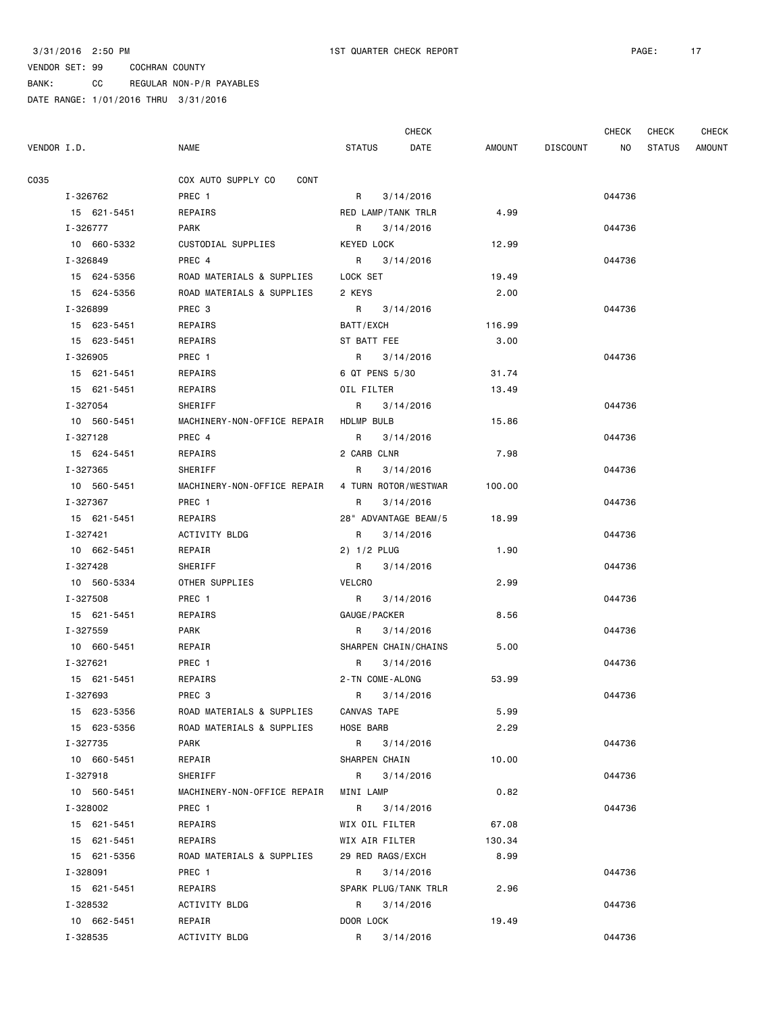BANK: CC REGULAR NON-P/R PAYABLES

|             |             |                             |                    | <b>CHECK</b>         |        |                 | <b>CHECK</b> | CHECK         | <b>CHECK</b>  |
|-------------|-------------|-----------------------------|--------------------|----------------------|--------|-----------------|--------------|---------------|---------------|
| VENDOR I.D. |             | <b>NAME</b>                 | <b>STATUS</b>      | DATE                 | AMOUNT | <b>DISCOUNT</b> | ΝO           | <b>STATUS</b> | <b>AMOUNT</b> |
| C035        |             | COX AUTO SUPPLY CO<br>CONT  |                    |                      |        |                 |              |               |               |
|             | I-326762    | PREC 1                      | R                  | 3/14/2016            |        |                 | 044736       |               |               |
|             | 15 621-5451 | REPAIRS                     | RED LAMP/TANK TRLR |                      | 4.99   |                 |              |               |               |
|             | I-326777    | PARK                        | R                  | 3/14/2016            |        |                 | 044736       |               |               |
|             | 10 660-5332 | CUSTODIAL SUPPLIES          | KEYED LOCK         |                      | 12.99  |                 |              |               |               |
|             | I-326849    | PREC 4                      |                    | R 3/14/2016          |        |                 | 044736       |               |               |
|             | 15 624-5356 | ROAD MATERIALS & SUPPLIES   | LOCK SET           |                      | 19.49  |                 |              |               |               |
|             | 15 624-5356 | ROAD MATERIALS & SUPPLIES   | 2 KEYS             |                      | 2.00   |                 |              |               |               |
|             | I-326899    | PREC 3                      |                    | R 3/14/2016          |        |                 | 044736       |               |               |
|             | 15 623-5451 | REPAIRS                     | BATT/EXCH          |                      | 116.99 |                 |              |               |               |
|             | 15 623-5451 | REPAIRS                     | ST BATT FEE        |                      | 3.00   |                 |              |               |               |
|             | I-326905    | PREC 1                      |                    | R 3/14/2016          |        |                 | 044736       |               |               |
|             | 15 621-5451 | REPAIRS                     | 6 QT PENS 5/30     |                      | 31.74  |                 |              |               |               |
|             | 15 621-5451 | REPAIRS                     | OIL FILTER         |                      | 13.49  |                 |              |               |               |
|             | I-327054    | SHERIFF                     | R                  | 3/14/2016            |        |                 | 044736       |               |               |
|             | 10 560-5451 | MACHINERY-NON-OFFICE REPAIR | HDLMP BULB         |                      | 15.86  |                 |              |               |               |
|             | I-327128    | PREC 4                      | R                  | 3/14/2016            |        |                 | 044736       |               |               |
|             | 15 624-5451 | REPAIRS                     | 2 CARB CLNR        |                      | 7.98   |                 |              |               |               |
|             | I-327365    | <b>SHERIFF</b>              | R                  | 3/14/2016            |        |                 | 044736       |               |               |
|             | 10 560-5451 | MACHINERY-NON-OFFICE REPAIR |                    | 4 TURN ROTOR/WESTWAR | 100.00 |                 |              |               |               |
|             | I-327367    | PREC 1                      | R                  | 3/14/2016            |        |                 | 044736       |               |               |
|             | 15 621-5451 | REPAIRS                     |                    | 28" ADVANTAGE BEAM/5 | 18.99  |                 |              |               |               |
|             | I-327421    | ACTIVITY BLDG               | R                  | 3/14/2016            |        |                 | 044736       |               |               |
|             | 10 662-5451 | REPAIR                      | 2) 1/2 PLUG        |                      | 1.90   |                 |              |               |               |
|             | I-327428    | SHERIFF                     | $R \sim$           | 3/14/2016            |        |                 | 044736       |               |               |
|             | 10 560-5334 | OTHER SUPPLIES              | VELCRO             |                      | 2.99   |                 |              |               |               |
|             | I-327508    | PREC 1                      | R                  | 3/14/2016            |        |                 | 044736       |               |               |
|             | 15 621-5451 | REPAIRS                     | GAUGE / PACKER     |                      | 8.56   |                 |              |               |               |
|             | I-327559    | PARK                        | R                  | 3/14/2016            |        |                 | 044736       |               |               |
|             | 10 660-5451 | REPAIR                      |                    | SHARPEN CHAIN/CHAINS | 5.00   |                 |              |               |               |
|             | I-327621    | PREC 1                      | R                  | 3/14/2016            |        |                 | 044736       |               |               |
|             | 15 621-5451 | REPAIRS                     | 2-TN COME-ALONG    |                      | 53.99  |                 |              |               |               |
|             | I-327693    | PREC <sub>3</sub>           | R 3/14/2016        |                      |        |                 | 044736       |               |               |
|             | 15 623-5356 | ROAD MATERIALS & SUPPLIES   | CANVAS TAPE        |                      | 5.99   |                 |              |               |               |
|             | 15 623-5356 | ROAD MATERIALS & SUPPLIES   | HOSE BARB          |                      | 2.29   |                 |              |               |               |
|             | I-327735    | <b>PARK</b>                 | R 3/14/2016        |                      |        |                 | 044736       |               |               |
|             | 10 660-5451 | REPAIR                      | SHARPEN CHAIN      |                      | 10.00  |                 |              |               |               |
|             | I-327918    | SHERIFF                     |                    | R 3/14/2016          |        |                 | 044736       |               |               |
|             | 10 560-5451 | MACHINERY-NON-OFFICE REPAIR | MINI LAMP          |                      | 0.82   |                 |              |               |               |
|             | I-328002    | PREC 1                      |                    | R 3/14/2016          |        |                 | 044736       |               |               |
|             | 15 621-5451 | REPAIRS                     | WIX OIL FILTER     |                      | 67.08  |                 |              |               |               |
|             | 15 621-5451 | REPAIRS                     | WIX AIR FILTER     |                      | 130.34 |                 |              |               |               |
|             | 15 621-5356 | ROAD MATERIALS & SUPPLIES   | 29 RED RAGS/EXCH   |                      | 8.99   |                 |              |               |               |
|             | I-328091    | PREC 1                      | $R \sim$           | 3/14/2016            |        |                 | 044736       |               |               |
|             | 15 621-5451 | REPAIRS                     |                    | SPARK PLUG/TANK TRLR | 2.96   |                 |              |               |               |
|             | I-328532    | ACTIVITY BLDG               |                    | R 3/14/2016          |        |                 | 044736       |               |               |
|             | 10 662-5451 | REPAIR                      | DOOR LOCK          |                      | 19.49  |                 |              |               |               |
|             | I-328535    | ACTIVITY BLDG               | R                  | 3/14/2016            |        |                 | 044736       |               |               |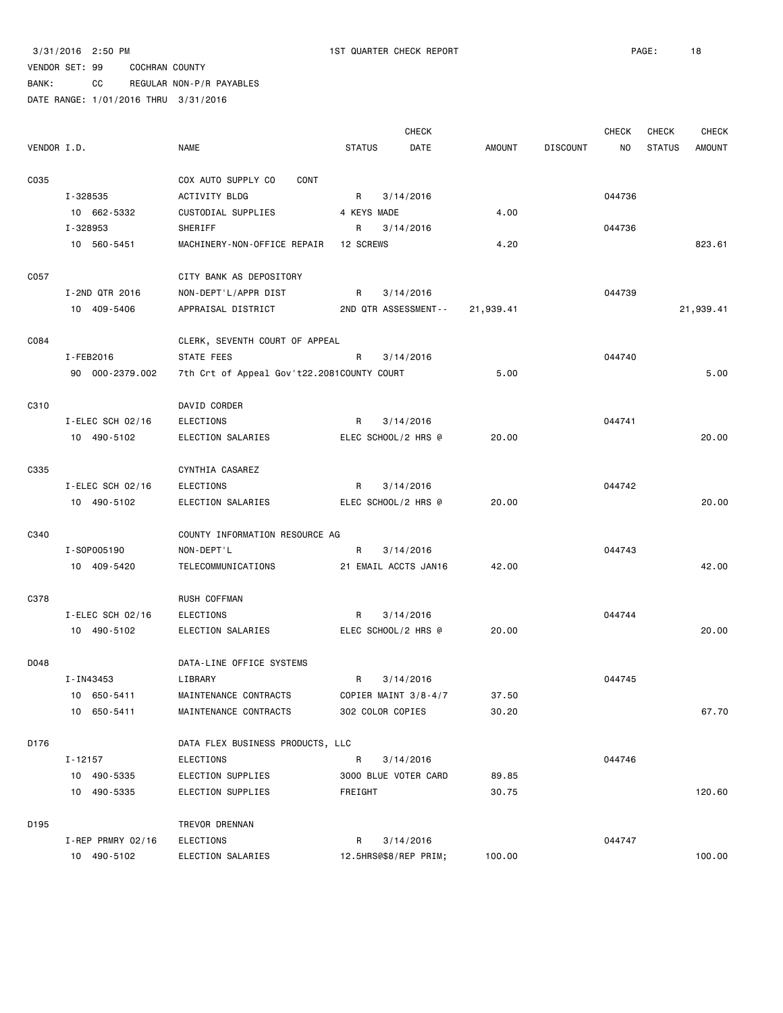3/31/2016 2:50 PM 1ST QUARTER CHECK REPORT PAGE: 18

### VENDOR SET: 99 COCHRAN COUNTY

BANK: CC REGULAR NON-P/R PAYABLES

|             |                      |                                            |                  | <b>CHECK</b>          |               |                 | <b>CHECK</b> | CHECK         | <b>CHECK</b>  |
|-------------|----------------------|--------------------------------------------|------------------|-----------------------|---------------|-----------------|--------------|---------------|---------------|
| VENDOR I.D. |                      | <b>NAME</b>                                | <b>STATUS</b>    | DATE                  | <b>AMOUNT</b> | <b>DISCOUNT</b> | NO.          | <b>STATUS</b> | <b>AMOUNT</b> |
| C035        |                      | COX AUTO SUPPLY CO<br>CONT                 |                  |                       |               |                 |              |               |               |
|             | I-328535             | ACTIVITY BLDG                              | R                | 3/14/2016             |               |                 | 044736       |               |               |
|             | 10 662-5332          | CUSTODIAL SUPPLIES                         | 4 KEYS MADE      |                       | 4.00          |                 |              |               |               |
|             | I-328953             | SHERIFF                                    | R                | 3/14/2016             |               |                 | 044736       |               |               |
|             | 10 560-5451          | MACHINERY-NON-OFFICE REPAIR                | 12 SCREWS        |                       | 4.20          |                 |              |               | 823.61        |
| C057        |                      | CITY BANK AS DEPOSITORY                    |                  |                       |               |                 |              |               |               |
|             | I-2ND QTR 2016       | NON-DEPT'L/APPR DIST                       | R                | 3/14/2016             |               |                 | 044739       |               |               |
|             | 10 409-5406          | APPRAISAL DISTRICT                         |                  | 2ND QTR ASSESSMENT--  | 21,939.41     |                 |              |               | 21,939.41     |
| C084        |                      | CLERK, SEVENTH COURT OF APPEAL             |                  |                       |               |                 |              |               |               |
|             | I-FEB2016            | STATE FEES                                 | R                | 3/14/2016             |               |                 | 044740       |               |               |
|             | 90 000-2379.002      | 7th Crt of Appeal Gov't22.2081COUNTY COURT |                  |                       | 5.00          |                 |              |               | 5.00          |
| C310        |                      | DAVID CORDER                               |                  |                       |               |                 |              |               |               |
|             | $I$ -ELEC SCH 02/16  | <b>ELECTIONS</b>                           | R                | 3/14/2016             |               |                 | 044741       |               |               |
|             | 10 490-5102          | ELECTION SALARIES                          |                  | ELEC SCHOOL/2 HRS @   | 20.00         |                 |              |               | 20.00         |
| C335        |                      | CYNTHIA CASAREZ                            |                  |                       |               |                 |              |               |               |
|             | $I$ -ELEC SCH 02/16  | ELECTIONS                                  | R                | 3/14/2016             |               |                 | 044742       |               |               |
|             | 10 490-5102          | ELECTION SALARIES                          |                  | ELEC SCHOOL/2 HRS @   | 20.00         |                 |              |               | 20.00         |
| C340        |                      | COUNTY INFORMATION RESOURCE AG             |                  |                       |               |                 |              |               |               |
|             | I-S0P005190          | NON-DEPT'L                                 | R                | 3/14/2016             |               |                 | 044743       |               |               |
|             | 10 409-5420          | TELECOMMUNICATIONS                         |                  | 21 EMAIL ACCTS JAN16  | 42.00         |                 |              |               | 42.00         |
| C378        |                      | RUSH COFFMAN                               |                  |                       |               |                 |              |               |               |
|             | $I$ -ELEC SCH 02/16  | <b>ELECTIONS</b>                           | R                | 3/14/2016             |               |                 | 044744       |               |               |
|             | 10 490-5102          | ELECTION SALARIES                          |                  | ELEC SCHOOL/2 HRS @   | 20.00         |                 |              |               | 20.00         |
| D048        |                      | DATA-LINE OFFICE SYSTEMS                   |                  |                       |               |                 |              |               |               |
|             | I-IN43453            | LIBRARY                                    | R                | 3/14/2016             |               |                 | 044745       |               |               |
|             | 10 650-5411          | MAINTENANCE CONTRACTS                      |                  | COPIER MAINT 3/8-4/7  | 37.50         |                 |              |               |               |
|             | 10 650-5411          | MAINTENANCE CONTRACTS                      | 302 COLOR COPIES |                       | 30.20         |                 |              |               | 67.70         |
| D176        |                      | DATA FLEX BUSINESS PRODUCTS, LLC           |                  |                       |               |                 |              |               |               |
|             | I-12157              | ELECTIONS                                  | R                | 3/14/2016             |               |                 | 044746       |               |               |
|             | 10 490-5335          | ELECTION SUPPLIES                          |                  | 3000 BLUE VOTER CARD  | 89.85         |                 |              |               |               |
|             | 10 490-5335          | ELECTION SUPPLIES                          | FREIGHT          |                       | 30.75         |                 |              |               | 120.60        |
| D195        |                      | TREVOR DRENNAN                             |                  |                       |               |                 |              |               |               |
|             | $I$ -REP PRMRY 02/16 | ELECTIONS                                  | R                | 3/14/2016             |               |                 | 044747       |               |               |
|             | 10 490-5102          | ELECTION SALARIES                          |                  | 12.5HRS@\$8/REP PRIM; | 100.00        |                 |              |               | 100.00        |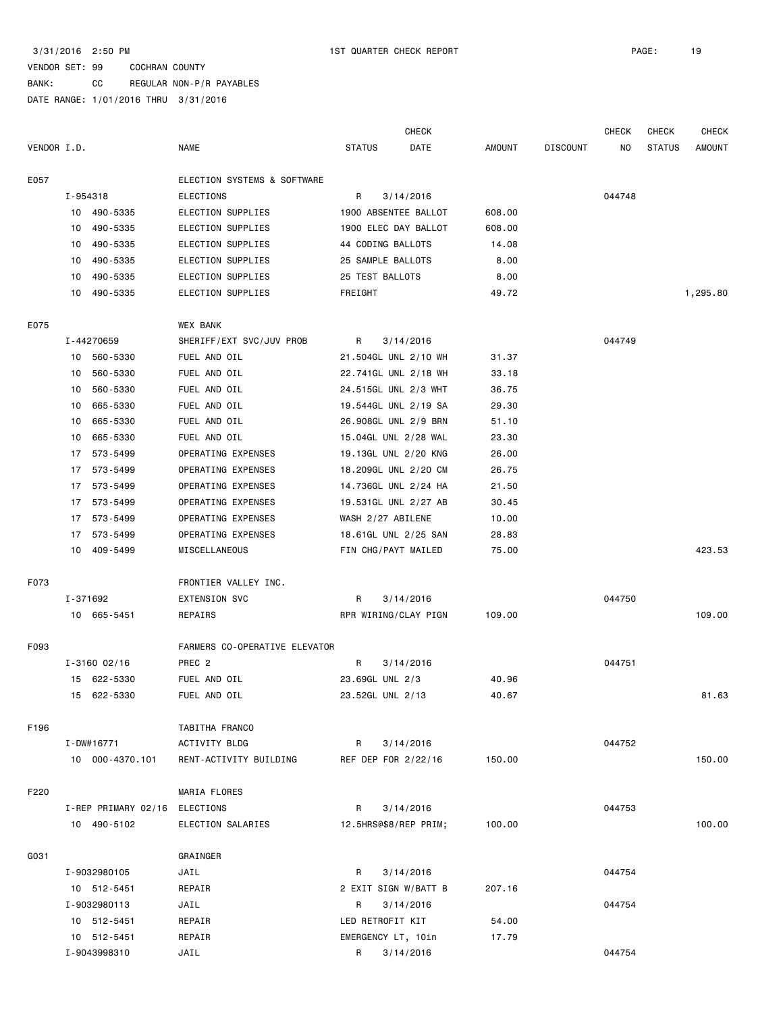BANK: CC REGULAR NON-P/R PAYABLES

|             |    |                     |                               |                       | <b>CHECK</b>         |        |                 | <b>CHECK</b> | CHECK         | <b>CHECK</b> |
|-------------|----|---------------------|-------------------------------|-----------------------|----------------------|--------|-----------------|--------------|---------------|--------------|
| VENDOR I.D. |    |                     | <b>NAME</b>                   | <b>STATUS</b>         | DATE                 | AMOUNT | <b>DISCOUNT</b> | NO.          | <b>STATUS</b> | AMOUNT       |
| E057        |    |                     | ELECTION SYSTEMS & SOFTWARE   |                       |                      |        |                 |              |               |              |
|             |    | I-954318            | ELECTIONS                     | R                     | 3/14/2016            |        |                 | 044748       |               |              |
|             |    | 10 490-5335         | ELECTION SUPPLIES             |                       | 1900 ABSENTEE BALLOT | 608.00 |                 |              |               |              |
|             |    | 10 490-5335         | ELECTION SUPPLIES             | 1900 ELEC DAY BALLOT  |                      | 608.00 |                 |              |               |              |
|             |    | 10 490-5335         | ELECTION SUPPLIES             | 44 CODING BALLOTS     |                      | 14.08  |                 |              |               |              |
|             |    | 10 490-5335         | ELECTION SUPPLIES             | 25 SAMPLE BALLOTS     |                      | 8.00   |                 |              |               |              |
|             | 10 | 490-5335            | ELECTION SUPPLIES             | 25 TEST BALLOTS       |                      | 8.00   |                 |              |               |              |
|             |    | 10 490-5335         | ELECTION SUPPLIES             | FREIGHT               |                      | 49.72  |                 |              |               | 1,295.80     |
| E075        |    |                     | WEX BANK                      |                       |                      |        |                 |              |               |              |
|             |    | I-44270659          | SHERIFF/EXT SVC/JUV PROB      | R                     | 3/14/2016            |        |                 | 044749       |               |              |
|             |    | 10 560-5330         | FUEL AND OIL                  | 21.504GL UNL 2/10 WH  |                      | 31.37  |                 |              |               |              |
|             |    | 10 560-5330         | FUEL AND OIL                  |                       | 22.741GL UNL 2/18 WH | 33.18  |                 |              |               |              |
|             |    | 10 560-5330         | FUEL AND OIL                  | 24.515GL UNL 2/3 WHT  |                      | 36.75  |                 |              |               |              |
|             |    | 10 665-5330         | FUEL AND OIL                  | 19.544GL UNL 2/19 SA  |                      | 29.30  |                 |              |               |              |
|             |    | 10 665-5330         | FUEL AND OIL                  | 26.908GL UNL 2/9 BRN  |                      | 51.10  |                 |              |               |              |
|             | 10 | 665-5330            | FUEL AND OIL                  | 15.04GL UNL 2/28 WAL  |                      | 23.30  |                 |              |               |              |
|             | 17 | 573-5499            | OPERATING EXPENSES            | 19.13GL UNL 2/20 KNG  |                      | 26.00  |                 |              |               |              |
|             |    | 17 573-5499         | OPERATING EXPENSES            | 18.209GL UNL 2/20 CM  |                      | 26.75  |                 |              |               |              |
|             |    | 17 573-5499         | OPERATING EXPENSES            | 14.736GL UNL 2/24 HA  |                      | 21.50  |                 |              |               |              |
|             |    | 17 573-5499         | OPERATING EXPENSES            | 19.531GL UNL 2/27 AB  |                      | 30.45  |                 |              |               |              |
|             |    | 17 573-5499         | OPERATING EXPENSES            | WASH 2/27 ABILENE     |                      | 10.00  |                 |              |               |              |
|             |    | 17 573-5499         | OPERATING EXPENSES            | 18.61GL UNL 2/25 SAN  |                      | 28.83  |                 |              |               |              |
|             |    | 10 409-5499         | MISCELLANEOUS                 | FIN CHG/PAYT MAILED   |                      | 75.00  |                 |              |               | 423.53       |
| F073        |    |                     | FRONTIER VALLEY INC.          |                       |                      |        |                 |              |               |              |
|             |    | I-371692            | EXTENSION SVC                 | R                     | 3/14/2016            |        |                 | 044750       |               |              |
|             |    | 10 665-5451         | REPAIRS                       |                       | RPR WIRING/CLAY PIGN | 109.00 |                 |              |               | 109.00       |
| F093        |    |                     | FARMERS CO-OPERATIVE ELEVATOR |                       |                      |        |                 |              |               |              |
|             |    | $I - 3160 02/16$    | PREC 2                        | R                     | 3/14/2016            |        |                 | 044751       |               |              |
|             |    | 15 622-5330         | FUEL AND OIL                  | 23.69GL UNL 2/3       |                      | 40.96  |                 |              |               |              |
|             |    | 15 622-5330         | FUEL AND OIL                  | 23.52GL UNL 2/13      |                      | 40.67  |                 |              |               | 81.63        |
| F196        |    |                     | TABITHA FRANCO                |                       |                      |        |                 |              |               |              |
|             |    | I-DW#16771          | ACTIVITY BLDG                 | R                     | 3/14/2016            |        |                 | 044752       |               |              |
|             |    | 10 000-4370.101     | RENT-ACTIVITY BUILDING        | REF DEP FOR 2/22/16   |                      | 150.00 |                 |              |               | 150.00       |
| F220        |    |                     | MARIA FLORES                  |                       |                      |        |                 |              |               |              |
|             |    | I-REP PRIMARY 02/16 | ELECTIONS                     | R                     | 3/14/2016            |        |                 | 044753       |               |              |
|             |    | 10 490-5102         | ELECTION SALARIES             | 12.5HRS@\$8/REP PRIM; |                      | 100.00 |                 |              |               | 100.00       |
| G031        |    |                     | GRAINGER                      |                       |                      |        |                 |              |               |              |
|             |    | I-9032980105        | JAIL                          | R                     | 3/14/2016            |        |                 | 044754       |               |              |
|             |    | 10 512-5451         | REPAIR                        | 2 EXIT SIGN W/BATT B  |                      | 207.16 |                 |              |               |              |
|             |    | I-9032980113        | JAIL                          | R                     | 3/14/2016            |        |                 | 044754       |               |              |
|             |    | 10 512-5451         | REPAIR                        | LED RETROFIT KIT      |                      | 54.00  |                 |              |               |              |
|             |    | 10 512-5451         | REPAIR                        | EMERGENCY LT, 10in    |                      | 17.79  |                 |              |               |              |
|             |    | I-9043998310        | JAIL                          | R 3/14/2016           |                      |        |                 | 044754       |               |              |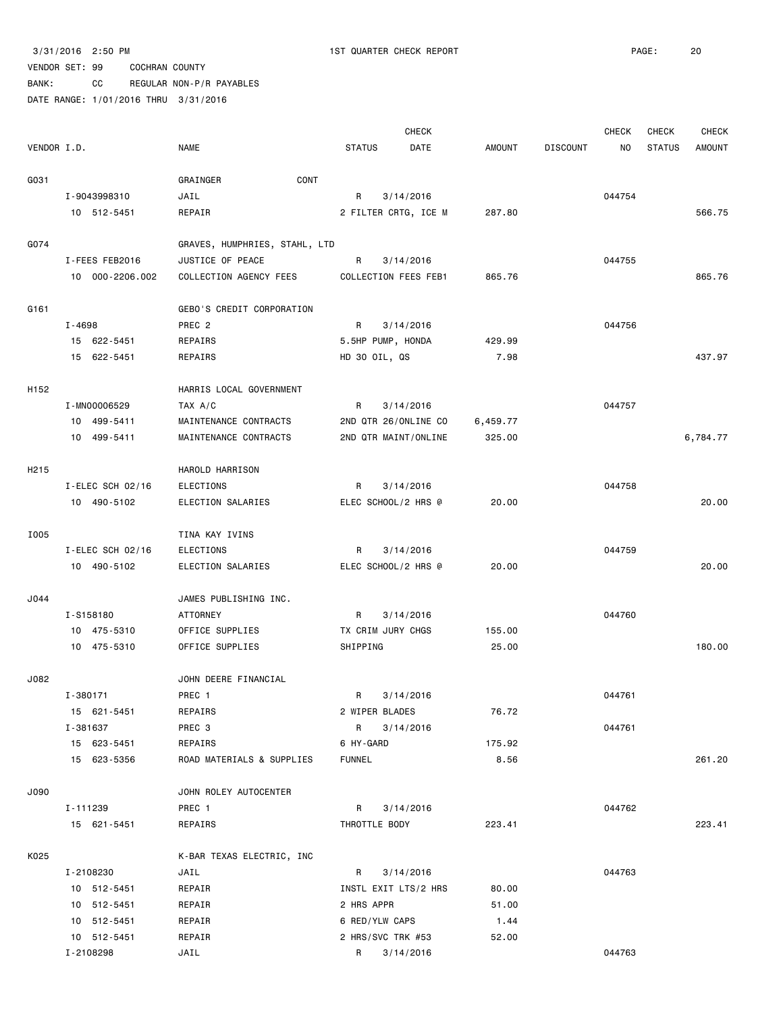BANK: CC REGULAR NON-P/R PAYABLES

|                   |                         |                               |                      | <b>CHECK</b>         |          |                 | <b>CHECK</b> | <b>CHECK</b>  | <b>CHECK</b>  |
|-------------------|-------------------------|-------------------------------|----------------------|----------------------|----------|-----------------|--------------|---------------|---------------|
| VENDOR I.D.       |                         | NAME                          | <b>STATUS</b>        | DATE                 | AMOUNT   | <b>DISCOUNT</b> | ΝO           | <b>STATUS</b> | <b>AMOUNT</b> |
| G031              |                         | CONT<br>GRAINGER              |                      |                      |          |                 |              |               |               |
|                   | I-9043998310            | JAIL                          | R                    | 3/14/2016            |          |                 | 044754       |               |               |
|                   | 10 512-5451             | REPAIR                        |                      | 2 FILTER CRTG, ICE M | 287.80   |                 |              |               | 566.75        |
|                   |                         |                               |                      |                      |          |                 |              |               |               |
| G074              |                         | GRAVES, HUMPHRIES, STAHL, LTD |                      |                      |          |                 |              |               |               |
|                   | I-FEES FEB2016          | JUSTICE OF PEACE              | R                    | 3/14/2016            |          |                 | 044755       |               |               |
|                   | 10 000-2206.002         | COLLECTION AGENCY FEES        | COLLECTION FEES FEB1 |                      | 865.76   |                 |              |               | 865.76        |
| G161              |                         | GEBO'S CREDIT CORPORATION     |                      |                      |          |                 |              |               |               |
|                   | $I - 4698$              | PREC <sub>2</sub>             | R                    | 3/14/2016            |          |                 | 044756       |               |               |
|                   | 15 622-5451             | REPAIRS                       | 5.5HP PUMP, HONDA    |                      | 429.99   |                 |              |               |               |
|                   | 15 622-5451             | REPAIRS                       | HD 30 OIL, QS        |                      | 7.98     |                 |              |               | 437.97        |
|                   |                         |                               |                      |                      |          |                 |              |               |               |
| H152              |                         | HARRIS LOCAL GOVERNMENT       |                      |                      |          |                 |              |               |               |
|                   | I-MN00006529            | TAX A/C                       | R                    | 3/14/2016            |          |                 | 044757       |               |               |
|                   | 10 499-5411             | MAINTENANCE CONTRACTS         |                      | 2ND QTR 26/ONLINE CO | 6,459.77 |                 |              |               |               |
|                   | 10 499-5411             | MAINTENANCE CONTRACTS         |                      | 2ND QTR MAINT/ONLINE | 325.00   |                 |              |               | 6,784.77      |
| H <sub>2</sub> 15 |                         | HAROLD HARRISON               |                      |                      |          |                 |              |               |               |
|                   | I-ELEC SCH 02/16        | <b>ELECTIONS</b>              | R                    | 3/14/2016            |          |                 | 044758       |               |               |
|                   | 10 490-5102             | ELECTION SALARIES             | ELEC SCHOOL/2 HRS @  |                      | 20.00    |                 |              |               | 20.00         |
|                   |                         |                               |                      |                      |          |                 |              |               |               |
| I005              |                         | TINA KAY IVINS                |                      |                      |          |                 |              |               |               |
|                   | I-ELEC SCH 02/16        | ELECTIONS                     | R                    | 3/14/2016            |          |                 | 044759       |               |               |
|                   | 10 490-5102             | ELECTION SALARIES             | ELEC SCHOOL/2 HRS @  |                      | 20.00    |                 |              |               | 20.00         |
| J044              |                         | JAMES PUBLISHING INC.         |                      |                      |          |                 |              |               |               |
|                   | I-S158180               | <b>ATTORNEY</b>               | R                    | 3/14/2016            |          |                 | 044760       |               |               |
|                   | 10 475-5310             | OFFICE SUPPLIES               | TX CRIM JURY CHGS    |                      | 155.00   |                 |              |               |               |
|                   | 10 475-5310             | OFFICE SUPPLIES               | SHIPPING             |                      | 25.00    |                 |              |               | 180.00        |
| J082              |                         | JOHN DEERE FINANCIAL          |                      |                      |          |                 |              |               |               |
|                   |                         |                               | R                    |                      |          |                 | 044761       |               |               |
|                   | I-380171                | PREC 1                        |                      | 3/14/2016            |          |                 |              |               |               |
|                   | 15 621-5451<br>I-381637 | REPAIRS<br>PREC 3             | 2 WIPER BLADES       |                      | 76.72    |                 |              |               |               |
|                   |                         |                               | R                    | 3/14/2016            |          |                 | 044761       |               |               |
|                   | 15 623-5451             | REPAIRS                       | 6 HY-GARD            |                      | 175.92   |                 |              |               |               |
|                   | 15 623-5356             | ROAD MATERIALS & SUPPLIES     | <b>FUNNEL</b>        |                      | 8.56     |                 |              |               | 261.20        |
| J090              |                         | JOHN ROLEY AUTOCENTER         |                      |                      |          |                 |              |               |               |
|                   | I-111239                | PREC 1                        | R                    | 3/14/2016            |          |                 | 044762       |               |               |
|                   | 15 621-5451             | REPAIRS                       | THROTTLE BODY        |                      | 223.41   |                 |              |               | 223.41        |
| K025              |                         | K-BAR TEXAS ELECTRIC, INC     |                      |                      |          |                 |              |               |               |
|                   | I-2108230               | JAIL                          | R                    | 3/14/2016            |          |                 | 044763       |               |               |
|                   | 10 512-5451             | REPAIR                        |                      | INSTL EXIT LTS/2 HRS | 80.00    |                 |              |               |               |
|                   | 10 512-5451             | REPAIR                        | 2 HRS APPR           |                      | 51.00    |                 |              |               |               |
|                   | 10 512-5451             | REPAIR                        | 6 RED/YLW CAPS       |                      | 1.44     |                 |              |               |               |
|                   | 10 512-5451             | REPAIR                        | 2 HRS/SVC TRK #53    |                      | 52.00    |                 |              |               |               |
|                   | I-2108298               | JAIL                          | R                    | 3/14/2016            |          |                 | 044763       |               |               |
|                   |                         |                               |                      |                      |          |                 |              |               |               |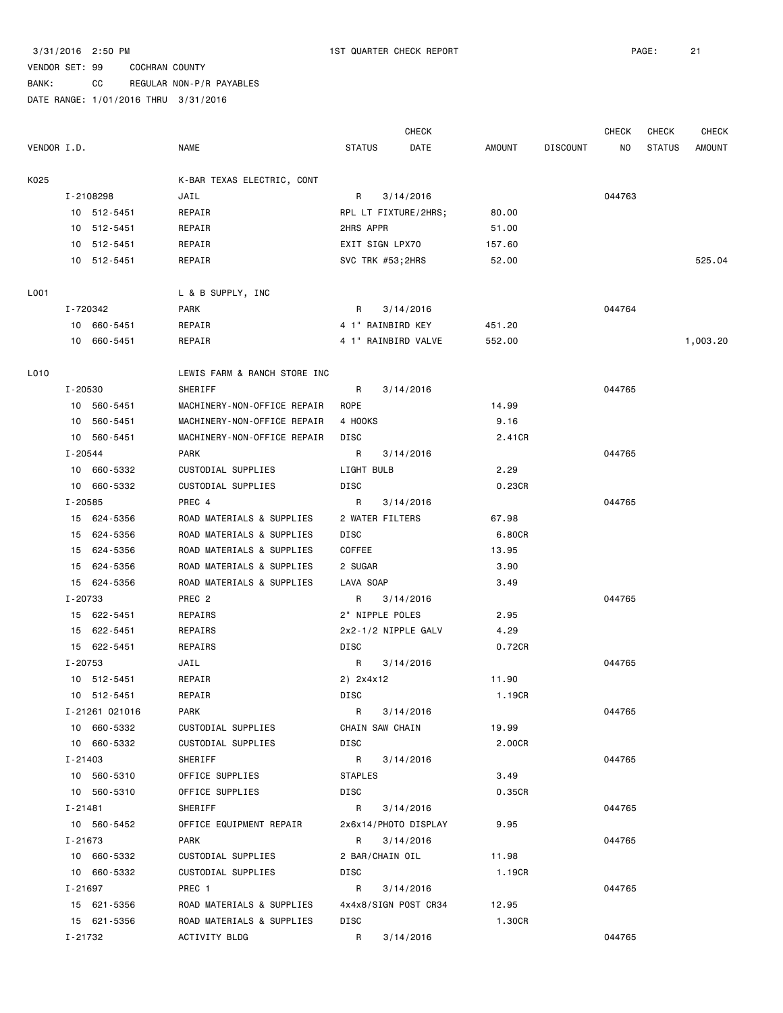BANK: CC REGULAR NON-P/R PAYABLES

|             |             |                |                              |                | <b>CHECK</b>         |        |                 | <b>CHECK</b> | CHECK         | <b>CHECK</b>  |
|-------------|-------------|----------------|------------------------------|----------------|----------------------|--------|-----------------|--------------|---------------|---------------|
| VENDOR I.D. |             |                | <b>NAME</b>                  | <b>STATUS</b>  | DATE                 | AMOUNT | <b>DISCOUNT</b> | NO.          | <b>STATUS</b> | <b>AMOUNT</b> |
| K025        |             |                | K-BAR TEXAS ELECTRIC, CONT   |                |                      |        |                 |              |               |               |
|             |             | I-2108298      | JAIL                         | R              | 3/14/2016            |        |                 | 044763       |               |               |
|             |             | 10 512-5451    | REPAIR                       |                | RPL LT FIXTURE/2HRS; | 80.00  |                 |              |               |               |
|             |             | 10 512-5451    | REPAIR                       | 2HRS APPR      |                      | 51.00  |                 |              |               |               |
|             |             | 10 512-5451    | REPAIR                       |                | EXIT SIGN LPX70      | 157.60 |                 |              |               |               |
|             |             | 10 512-5451    | REPAIR                       |                | SVC TRK #53;2HRS     | 52.00  |                 |              |               | 525.04        |
| L001        |             |                | L & B SUPPLY, INC            |                |                      |        |                 |              |               |               |
|             | I-720342    |                | <b>PARK</b>                  | R              | 3/14/2016            |        |                 | 044764       |               |               |
|             |             | 10 660-5451    | REPAIR                       |                | 4 1" RAINBIRD KEY    | 451.20 |                 |              |               |               |
|             |             | 10 660-5451    | REPAIR                       |                | 4 1" RAINBIRD VALVE  | 552.00 |                 |              |               | 1,003.20      |
| L010        |             |                | LEWIS FARM & RANCH STORE INC |                |                      |        |                 |              |               |               |
|             | I-20530     |                | SHERIFF                      | R              | 3/14/2016            |        |                 | 044765       |               |               |
|             |             | 10 560-5451    | MACHINERY-NON-OFFICE REPAIR  | ROPE           |                      | 14.99  |                 |              |               |               |
|             |             | 10 560-5451    | MACHINERY-NON-OFFICE REPAIR  | 4 HOOKS        |                      | 9.16   |                 |              |               |               |
|             |             | 10 560-5451    | MACHINERY-NON-OFFICE REPAIR  | DISC           |                      | 2.41CR |                 |              |               |               |
|             | $I - 20544$ |                | PARK                         | R              | 3/14/2016            |        |                 | 044765       |               |               |
|             |             | 10 660-5332    | CUSTODIAL SUPPLIES           | LIGHT BULB     |                      | 2.29   |                 |              |               |               |
|             |             | 10 660-5332    | CUSTODIAL SUPPLIES           | DISC           |                      | 0.23CR |                 |              |               |               |
|             | I-20585     |                | PREC 4                       | R              | 3/14/2016            |        |                 | 044765       |               |               |
|             |             | 15 624-5356    | ROAD MATERIALS & SUPPLIES    |                | 2 WATER FILTERS      | 67.98  |                 |              |               |               |
|             |             | 15 624-5356    | ROAD MATERIALS & SUPPLIES    | DISC           |                      | 6.80CR |                 |              |               |               |
|             |             | 15 624-5356    | ROAD MATERIALS & SUPPLIES    | COFFEE         |                      | 13.95  |                 |              |               |               |
|             |             | 15 624-5356    | ROAD MATERIALS & SUPPLIES    | 2 SUGAR        |                      | 3.90   |                 |              |               |               |
|             |             | 15 624-5356    | ROAD MATERIALS & SUPPLIES    | LAVA SOAP      |                      | 3.49   |                 |              |               |               |
|             | I-20733     |                | PREC <sub>2</sub>            | R              | 3/14/2016            |        |                 | 044765       |               |               |
|             |             | 15 622-5451    | REPAIRS                      |                | 2" NIPPLE POLES      | 2.95   |                 |              |               |               |
|             |             | 15 622-5451    | REPAIRS                      |                | 2x2-1/2 NIPPLE GALV  | 4.29   |                 |              |               |               |
|             |             | 15 622-5451    | REPAIRS                      | DISC           |                      | 0.72CR |                 |              |               |               |
|             | I-20753     |                | JAIL                         | R              | 3/14/2016            |        |                 | 044765       |               |               |
|             |             | 10 512-5451    | REPAIR                       | 2) 2x4x12      |                      | 11.90  |                 |              |               |               |
|             |             | 10 512-5451    | REPAIR                       | DISC           |                      | 1.19CR |                 |              |               |               |
|             |             | I-21261 021016 | PARK                         | R              | 3/14/2016            |        |                 | 044765       |               |               |
|             |             | 10 660-5332    | CUSTODIAL SUPPLIES           |                | CHAIN SAW CHAIN      | 19.99  |                 |              |               |               |
|             |             | 10 660-5332    | CUSTODIAL SUPPLIES           | DISC           |                      | 2.00CR |                 |              |               |               |
|             | $I - 21403$ |                | SHERIFF                      | $\mathsf{R}$   | 3/14/2016            |        |                 | 044765       |               |               |
|             |             | 10 560-5310    | OFFICE SUPPLIES              | <b>STAPLES</b> |                      | 3.49   |                 |              |               |               |
|             |             | 10 560-5310    | OFFICE SUPPLIES              | DISC           |                      | 0.35CR |                 |              |               |               |
|             | I-21481     |                | SHERIFF                      | R              | 3/14/2016            |        |                 | 044765       |               |               |
|             |             | 10 560-5452    | OFFICE EQUIPMENT REPAIR      |                | 2x6x14/PHOTO DISPLAY | 9.95   |                 |              |               |               |
|             | I-21673     |                | PARK                         | R              | 3/14/2016            |        |                 | 044765       |               |               |
|             |             | 10 660-5332    | CUSTODIAL SUPPLIES           |                | 2 BAR/CHAIN OIL      | 11.98  |                 |              |               |               |
|             |             | 10 660-5332    | CUSTODIAL SUPPLIES           | DISC           |                      | 1.19CR |                 |              |               |               |
|             | I-21697     |                | PREC 1                       | R              | 3/14/2016            |        |                 | 044765       |               |               |
|             |             | 15 621-5356    | ROAD MATERIALS & SUPPLIES    |                | 4x4x8/SIGN POST CR34 | 12.95  |                 |              |               |               |
|             |             | 15 621-5356    | ROAD MATERIALS & SUPPLIES    | DISC           |                      | 1.30CR |                 |              |               |               |
|             | I-21732     |                | ACTIVITY BLDG                | R              | 3/14/2016            |        |                 | 044765       |               |               |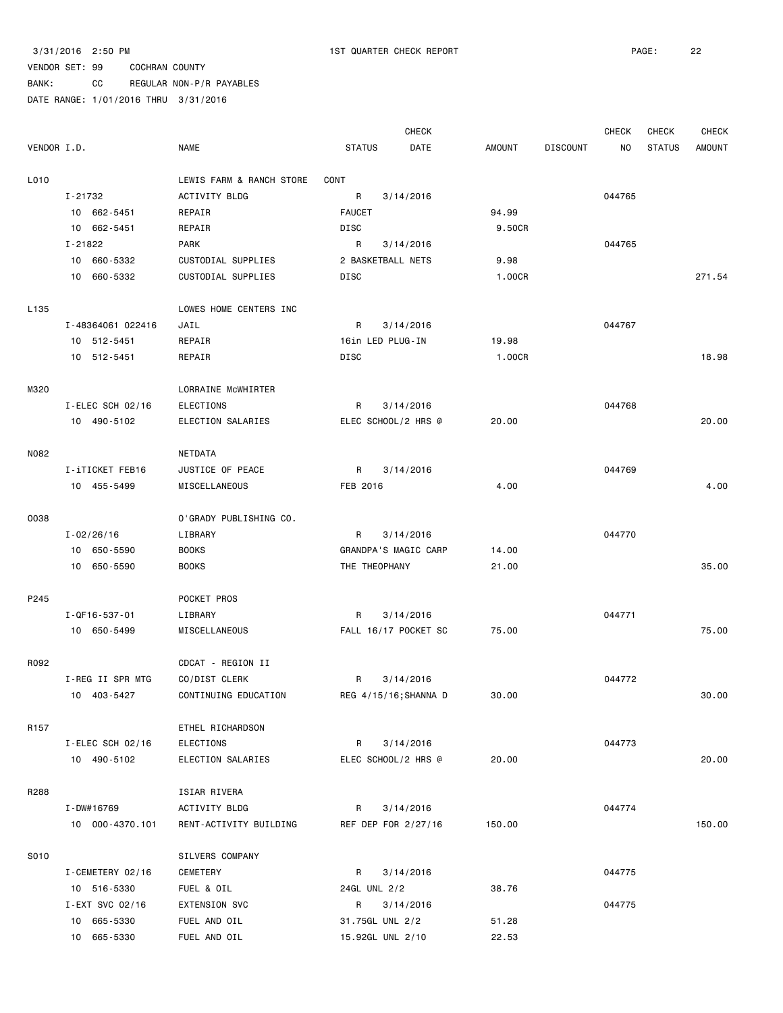BANK: CC REGULAR NON-P/R PAYABLES

|                  |                       |                          |                      | <b>CHECK</b>          |               |                 | <b>CHECK</b> | CHECK         | <b>CHECK</b>  |
|------------------|-----------------------|--------------------------|----------------------|-----------------------|---------------|-----------------|--------------|---------------|---------------|
| VENDOR I.D.      |                       | <b>NAME</b>              | <b>STATUS</b>        | DATE                  | <b>AMOUNT</b> | <b>DISCOUNT</b> | NO           | <b>STATUS</b> | <b>AMOUNT</b> |
| L010             |                       | LEWIS FARM & RANCH STORE | CONT                 |                       |               |                 |              |               |               |
|                  | I-21732               | <b>ACTIVITY BLDG</b>     | R                    | 3/14/2016             |               |                 | 044765       |               |               |
|                  | 10 662-5451           | REPAIR                   | <b>FAUCET</b>        |                       | 94.99         |                 |              |               |               |
|                  | 10 662-5451           | REPAIR                   | DISC                 |                       | 9.50CR        |                 |              |               |               |
|                  | I-21822               | <b>PARK</b>              | R                    | 3/14/2016             |               |                 | 044765       |               |               |
|                  | 10 660-5332           | CUSTODIAL SUPPLIES       | 2 BASKETBALL NETS    |                       | 9.98          |                 |              |               |               |
|                  | 10 660-5332           | CUSTODIAL SUPPLIES       | DISC                 |                       | 1.00CR        |                 |              |               | 271.54        |
|                  |                       |                          |                      |                       |               |                 |              |               |               |
| L <sub>135</sub> |                       | LOWES HOME CENTERS INC   |                      |                       |               |                 |              |               |               |
|                  | I-48364061 022416     | JAIL                     | R                    | 3/14/2016             |               |                 | 044767       |               |               |
|                  | 10 512-5451           | REPAIR                   | 16in LED PLUG-IN     |                       | 19.98         |                 |              |               |               |
|                  | 10 512-5451           | REPAIR                   | DISC                 |                       | 1.00CR        |                 |              |               | 18.98         |
| M320             |                       | LORRAINE McWHIRTER       |                      |                       |               |                 |              |               |               |
|                  | I-ELEC SCH 02/16      | ELECTIONS                | R                    | 3/14/2016             |               |                 | 044768       |               |               |
|                  | 10 490-5102           | ELECTION SALARIES        | ELEC SCHOOL/2 HRS @  |                       | 20.00         |                 |              |               | 20.00         |
| N082             |                       | <b>NETDATA</b>           |                      |                       |               |                 |              |               |               |
|                  | I-iTICKET FEB16       | JUSTICE OF PEACE         | R                    | 3/14/2016             |               |                 | 044769       |               |               |
|                  | 10 455-5499           | MISCELLANEOUS            | FEB 2016             |                       | 4.00          |                 |              |               | 4.00          |
|                  |                       |                          |                      |                       |               |                 |              |               |               |
| 0038             |                       | O'GRADY PUBLISHING CO.   |                      |                       |               |                 |              |               |               |
|                  | $I - 02/26/16$        | LIBRARY                  | R                    | 3/14/2016             |               |                 | 044770       |               |               |
|                  | 10 650-5590           | <b>BOOKS</b>             | GRANDPA'S MAGIC CARP |                       | 14.00         |                 |              |               |               |
|                  | 10 650-5590           | <b>BOOKS</b>             | THE THEOPHANY        |                       | 21.00         |                 |              |               | 35.00         |
| P245             |                       | POCKET PROS              |                      |                       |               |                 |              |               |               |
|                  | $I - QF16 - 537 - 01$ | LIBRARY                  | R                    | 3/14/2016             |               |                 | 044771       |               |               |
|                  | 10 650-5499           | MISCELLANEOUS            |                      | FALL 16/17 POCKET SC  | 75.00         |                 |              |               | 75.00         |
|                  |                       |                          |                      |                       |               |                 |              |               |               |
| R092             |                       | CDCAT - REGION II        |                      |                       |               |                 |              |               |               |
|                  | I-REG II SPR MTG      | CO/DIST CLERK            | R                    | 3/14/2016             |               |                 | 044772       |               |               |
|                  | 10 403-5427           | CONTINUING EDUCATION     |                      | REG 4/15/16; SHANNA D | 30.00         |                 |              |               | 30.00         |
| R <sub>157</sub> |                       | ETHEL RICHARDSON         |                      |                       |               |                 |              |               |               |
|                  | I-ELEC SCH 02/16      | ELECTIONS                | R                    | 3/14/2016             |               |                 | 044773       |               |               |
|                  | 10 490-5102           | ELECTION SALARIES        | ELEC SCHOOL/2 HRS @  |                       | 20.00         |                 |              |               | 20.00         |
| R288             |                       | ISIAR RIVERA             |                      |                       |               |                 |              |               |               |
|                  | I-DW#16769            | ACTIVITY BLDG            | R                    | 3/14/2016             |               |                 | 044774       |               |               |
|                  | 10 000-4370.101       | RENT-ACTIVITY BUILDING   | REF DEP FOR 2/27/16  |                       | 150.00        |                 |              |               | 150.00        |
| S010             |                       | SILVERS COMPANY          |                      |                       |               |                 |              |               |               |
|                  | I-CEMETERY 02/16      | CEMETERY                 | R                    | 3/14/2016             |               |                 | 044775       |               |               |
|                  | 10 516-5330           | FUEL & OIL               | 24GL UNL 2/2         |                       | 38.76         |                 |              |               |               |
|                  | I-EXT SVC 02/16       | EXTENSION SVC            | R                    | 3/14/2016             |               |                 | 044775       |               |               |
|                  | 10 665-5330           | FUEL AND OIL             | 31.75GL UNL 2/2      |                       | 51.28         |                 |              |               |               |
|                  | 10 665-5330           | FUEL AND OIL             | 15.92GL UNL 2/10     |                       | 22.53         |                 |              |               |               |
|                  |                       |                          |                      |                       |               |                 |              |               |               |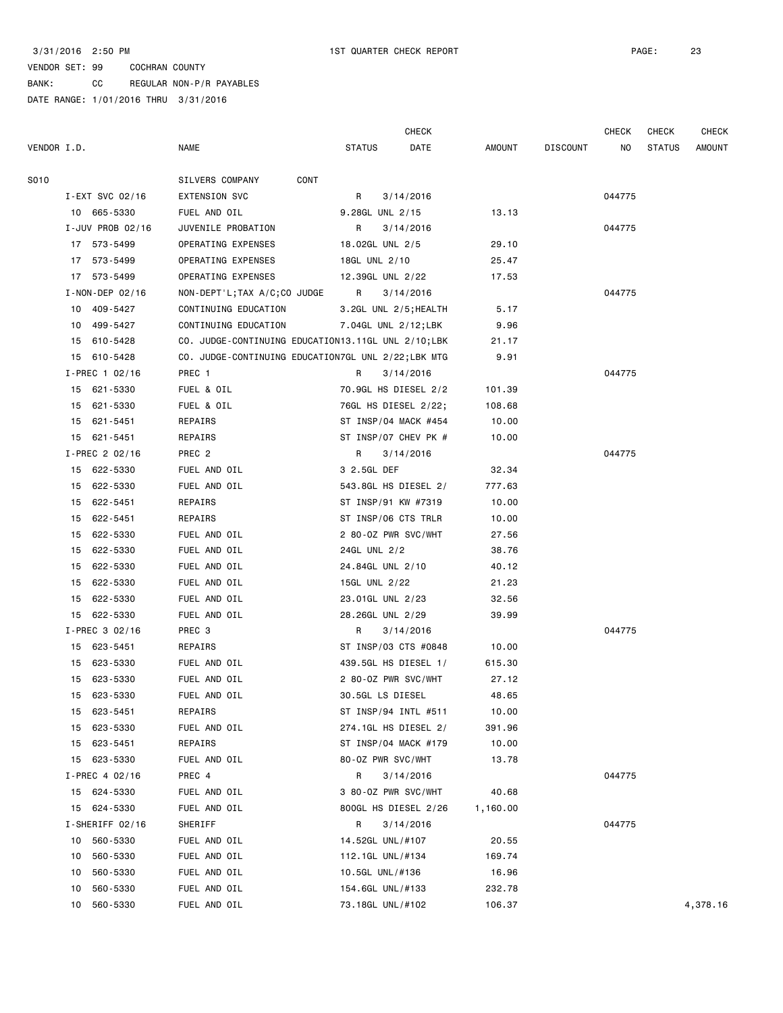BANK: CC REGULAR NON-P/R PAYABLES

|             |    |                       |                                                    | <b>CHECK</b>      |                       |          |                 | CHECK  | CHECK         | <b>CHECK</b>  |
|-------------|----|-----------------------|----------------------------------------------------|-------------------|-----------------------|----------|-----------------|--------|---------------|---------------|
| VENDOR I.D. |    |                       | <b>NAME</b>                                        | <b>STATUS</b>     | DATE                  | AMOUNT   | <b>DISCOUNT</b> | NO     | <b>STATUS</b> | <b>AMOUNT</b> |
|             |    |                       |                                                    |                   |                       |          |                 |        |               |               |
| S010        |    |                       | SILVERS COMPANY<br>CONT                            |                   |                       |          |                 |        |               |               |
|             |    | I-EXT SVC 02/16       | EXTENSION SVC                                      | R                 | 3/14/2016             |          |                 | 044775 |               |               |
|             |    | 10 665-5330           | FUEL AND OIL                                       | 9.28GL UNL 2/15   |                       | 13.13    |                 |        |               |               |
|             |    | $I$ -JUV PROB 02/16   | JUVENILE PROBATION                                 | R                 | 3/14/2016             |          |                 | 044775 |               |               |
|             |    | 17 573-5499           | OPERATING EXPENSES                                 | 18.02GL UNL 2/5   |                       | 29.10    |                 |        |               |               |
|             |    | 17 573-5499           | OPERATING EXPENSES                                 | 18GL UNL 2/10     |                       | 25.47    |                 |        |               |               |
|             |    | 17 573-5499           | OPERATING EXPENSES                                 | 12.39GL UNL 2/22  |                       | 17.53    |                 |        |               |               |
|             |    | $I - NON - DEP 02/16$ | NON-DEPT'L;TAX A/C;CO JUDGE                        | R                 | 3/14/2016             |          |                 | 044775 |               |               |
|             |    | 10 409-5427           | CONTINUING EDUCATION                               |                   | 3.2GL UNL 2/5; HEALTH | 5.17     |                 |        |               |               |
|             |    | 10 499-5427           | CONTINUING EDUCATION                               |                   | 7.04GL UNL 2/12;LBK   | 9.96     |                 |        |               |               |
|             |    | 15 610-5428           | CO. JUDGE-CONTINUING EDUCATION13.11GL UNL 2/10;LBK |                   |                       | 21.17    |                 |        |               |               |
|             |    | 15 610-5428           | CO. JUDGE-CONTINUING EDUCATION7GL UNL 2/22;LBK MTG |                   |                       | 9.91     |                 |        |               |               |
|             |    | I-PREC 1 02/16        | PREC 1                                             | R                 | 3/14/2016             |          |                 | 044775 |               |               |
|             |    | 15 621-5330           | FUEL & OIL                                         |                   | 70.9GL HS DIESEL 2/2  | 101.39   |                 |        |               |               |
|             |    | 15 621-5330           | FUEL & OIL                                         |                   | 76GL HS DIESEL 2/22;  | 108.68   |                 |        |               |               |
|             |    | 15 621-5451           | REPAIRS                                            |                   | ST INSP/04 MACK #454  | 10.00    |                 |        |               |               |
|             |    | 15 621-5451           | REPAIRS                                            |                   | ST INSP/07 CHEV PK #  | 10.00    |                 |        |               |               |
|             |    | I-PREC 2 02/16        | PREC 2                                             | R                 | 3/14/2016             |          |                 | 044775 |               |               |
|             |    | 15 622-5330           | FUEL AND OIL                                       | 3 2.5GL DEF       |                       | 32.34    |                 |        |               |               |
|             |    | 15 622-5330           | FUEL AND OIL                                       |                   | 543.8GL HS DIESEL 2/  | 777.63   |                 |        |               |               |
|             |    | 15 622-5451           | REPAIRS                                            |                   | ST INSP/91 KW #7319   | 10.00    |                 |        |               |               |
|             |    | 15 622-5451           | REPAIRS                                            |                   | ST INSP/06 CTS TRLR   | 10.00    |                 |        |               |               |
|             |    | 15 622-5330           | FUEL AND OIL                                       |                   | 2 80-0Z PWR SVC/WHT   | 27.56    |                 |        |               |               |
|             |    | 15 622-5330           | FUEL AND OIL                                       | 24GL UNL 2/2      |                       | 38.76    |                 |        |               |               |
|             | 15 | 622-5330              | FUEL AND OIL                                       | 24.84GL UNL 2/10  |                       | 40.12    |                 |        |               |               |
|             |    | 15 622-5330           | FUEL AND OIL                                       | 15GL UNL 2/22     |                       | 21.23    |                 |        |               |               |
|             |    | 15 622-5330           | FUEL AND OIL                                       | 23.01GL UNL 2/23  |                       | 32.56    |                 |        |               |               |
|             |    | 15 622-5330           | FUEL AND OIL                                       | 28.26GL UNL 2/29  |                       | 39.99    |                 |        |               |               |
|             |    | I-PREC 3 02/16        | PREC 3                                             | R                 | 3/14/2016             |          |                 | 044775 |               |               |
|             | 15 | 623-5451              | REPAIRS                                            |                   | ST INSP/03 CTS #0848  | 10.00    |                 |        |               |               |
|             |    | 15 623-5330           | FUEL AND OIL                                       |                   | 439.5GL HS DIESEL 1/  | 615.30   |                 |        |               |               |
|             |    | 15 623-5330           | FUEL AND OIL                                       |                   | 2 80-0Z PWR SVC/WHT   | 27.12    |                 |        |               |               |
|             |    | 15 623-5330           | FUEL AND OIL                                       | 30.5GL LS DIESEL  |                       | 48.65    |                 |        |               |               |
|             | 15 | 623-5451              | REPAIRS                                            |                   | ST INSP/94 INTL #511  | 10.00    |                 |        |               |               |
|             | 15 | 623-5330              | FUEL AND OIL                                       |                   | 274.1GL HS DIESEL 2/  | 391.96   |                 |        |               |               |
|             | 15 | 623-5451              | REPAIRS                                            |                   | ST INSP/04 MACK #179  | 10.00    |                 |        |               |               |
|             | 15 | 623-5330              | FUEL AND OIL                                       | 80-0Z PWR SVC/WHT |                       | 13.78    |                 |        |               |               |
|             |    | I-PREC 4 02/16        | PREC 4                                             | R                 | 3/14/2016             |          |                 | 044775 |               |               |
|             | 15 | 624-5330              | FUEL AND OIL                                       |                   | 3 80-0Z PWR SVC/WHT   | 40.68    |                 |        |               |               |
|             | 15 | 624-5330              | FUEL AND OIL                                       |                   | 800GL HS DIESEL 2/26  | 1,160.00 |                 |        |               |               |
|             |    | I-SHERIFF 02/16       | SHERIFF                                            | R                 | 3/14/2016             |          |                 | 044775 |               |               |
|             | 10 | 560-5330              | FUEL AND OIL                                       | 14.52GL UNL/#107  |                       | 20.55    |                 |        |               |               |
|             | 10 | 560-5330              | FUEL AND OIL                                       | 112.1GL UNL/#134  |                       | 169.74   |                 |        |               |               |
|             | 10 | 560-5330              | FUEL AND OIL                                       | 10.5GL UNL/#136   |                       | 16.96    |                 |        |               |               |
|             | 10 | 560-5330              | FUEL AND OIL                                       | 154.6GL UNL/#133  |                       | 232.78   |                 |        |               |               |
|             | 10 | 560-5330              | FUEL AND OIL                                       | 73.18GL UNL/#102  |                       | 106.37   |                 |        |               | 4,378.16      |
|             |    |                       |                                                    |                   |                       |          |                 |        |               |               |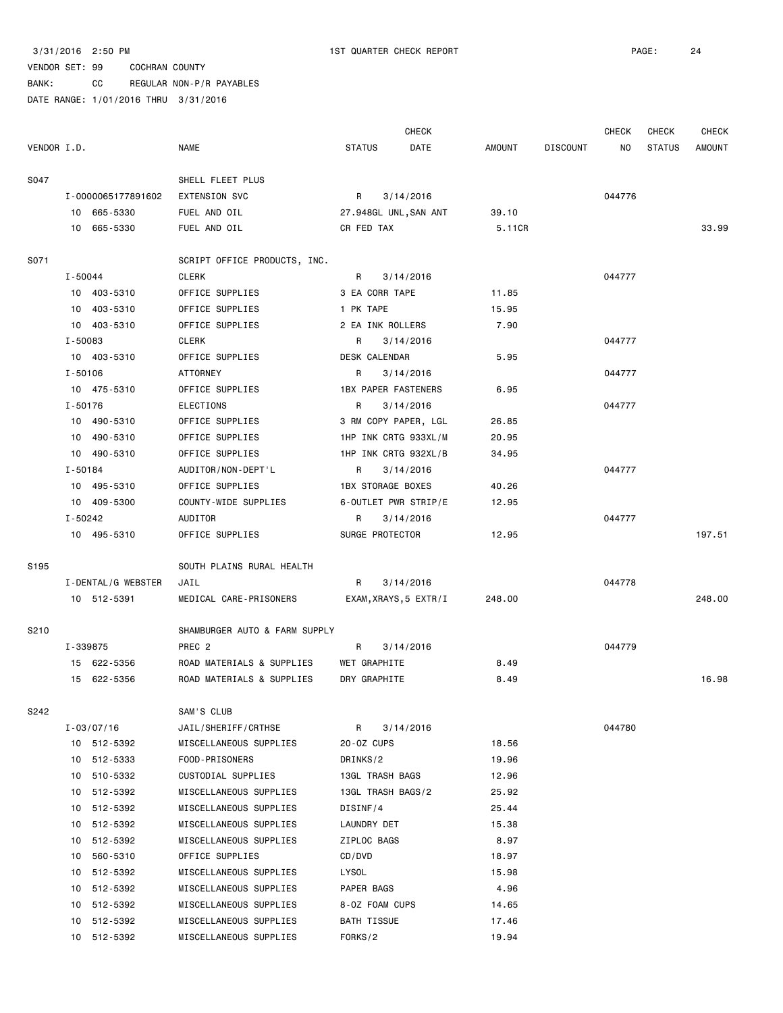|             |             |                    |                               |                            | <b>CHECK</b>          |        |                 | <b>CHECK</b> | CHECK         | <b>CHECK</b>  |
|-------------|-------------|--------------------|-------------------------------|----------------------------|-----------------------|--------|-----------------|--------------|---------------|---------------|
| VENDOR I.D. |             |                    | <b>NAME</b>                   | <b>STATUS</b>              | DATE                  | AMOUNT | <b>DISCOUNT</b> | NO.          | <b>STATUS</b> | <b>AMOUNT</b> |
| S047        |             |                    | SHELL FLEET PLUS              |                            |                       |        |                 |              |               |               |
|             |             | I-0000065177891602 | EXTENSION SVC                 | R                          | 3/14/2016             |        |                 | 044776       |               |               |
|             |             | 10 665-5330        | FUEL AND OIL                  | 27.948GL UNL, SAN ANT      |                       | 39.10  |                 |              |               |               |
|             |             | 10 665-5330        | FUEL AND OIL                  | CR FED TAX                 |                       | 5.11CR |                 |              |               | 33.99         |
| S071        |             |                    | SCRIPT OFFICE PRODUCTS, INC.  |                            |                       |        |                 |              |               |               |
|             | $I - 50044$ |                    | <b>CLERK</b>                  | R                          | 3/14/2016             |        |                 | 044777       |               |               |
|             |             | 10 403-5310        | OFFICE SUPPLIES               | 3 EA CORR TAPE             |                       | 11.85  |                 |              |               |               |
|             |             | 10 403-5310        | OFFICE SUPPLIES               | 1 PK TAPE                  |                       | 15.95  |                 |              |               |               |
|             |             | 10 403-5310        | OFFICE SUPPLIES               | 2 EA INK ROLLERS           |                       | 7.90   |                 |              |               |               |
|             | I-50083     |                    | <b>CLERK</b>                  | R                          | 3/14/2016             |        |                 | 044777       |               |               |
|             |             | 10 403-5310        | OFFICE SUPPLIES               | DESK CALENDAR              |                       | 5.95   |                 |              |               |               |
|             | $I - 50106$ |                    | ATTORNEY                      | R                          | 3/14/2016             |        |                 | 044777       |               |               |
|             |             | 10 475-5310        | OFFICE SUPPLIES               | <b>1BX PAPER FASTENERS</b> |                       | 6.95   |                 |              |               |               |
|             | I-50176     |                    | ELECTIONS                     | R                          | 3/14/2016             |        |                 | 044777       |               |               |
|             |             | 10 490-5310        | OFFICE SUPPLIES               | 3 RM COPY PAPER, LGL       |                       | 26.85  |                 |              |               |               |
|             |             | 10 490-5310        | OFFICE SUPPLIES               | 1HP INK CRTG 933XL/M       |                       | 20.95  |                 |              |               |               |
|             |             | 10 490-5310        | OFFICE SUPPLIES               | 1HP INK CRTG 932XL/B       |                       | 34.95  |                 |              |               |               |
|             | $I - 50184$ |                    | AUDITOR/NON-DEPT'L            | R                          | 3/14/2016             |        |                 | 044777       |               |               |
|             |             | 10 495-5310        | OFFICE SUPPLIES               | <b>1BX STORAGE BOXES</b>   |                       | 40.26  |                 |              |               |               |
|             |             | 10 409-5300        | COUNTY-WIDE SUPPLIES          | 6-OUTLET PWR STRIP/E       |                       | 12.95  |                 |              |               |               |
|             | I-50242     |                    | AUDITOR                       | R                          | 3/14/2016             |        |                 | 044777       |               |               |
|             |             | 10 495-5310        | OFFICE SUPPLIES               | SURGE PROTECTOR            |                       | 12.95  |                 |              |               | 197.51        |
| S195        |             |                    | SOUTH PLAINS RURAL HEALTH     |                            |                       |        |                 |              |               |               |
|             |             |                    |                               | R                          |                       |        |                 | 044778       |               |               |
|             |             | I-DENTAL/G WEBSTER | JAIL                          |                            | 3/14/2016             |        |                 |              |               |               |
|             |             | 10 512-5391        | MEDICAL CARE-PRISONERS        |                            | EXAM, XRAYS, 5 EXTR/I | 248.00 |                 |              |               | 248.00        |
| S210        |             |                    | SHAMBURGER AUTO & FARM SUPPLY |                            |                       |        |                 |              |               |               |
|             |             | I-339875           | PREC <sub>2</sub>             | R                          | 3/14/2016             |        |                 | 044779       |               |               |
|             |             | 15 622-5356        | ROAD MATERIALS & SUPPLIES     | WET GRAPHITE               |                       | 8.49   |                 |              |               |               |
|             |             | 15 622-5356        | ROAD MATERIALS & SUPPLIES     | DRY GRAPHITE               |                       | 8.49   |                 |              |               | 16.98         |
| S242        |             |                    | SAM'S CLUB                    |                            |                       |        |                 |              |               |               |
|             |             | $I - 03/07/16$     | JAIL/SHERIFF/CRTHSE           | R                          | 3/14/2016             |        |                 | 044780       |               |               |
|             |             | 10 512-5392        | MISCELLANEOUS SUPPLIES        | 20-0Z CUPS                 |                       | 18.56  |                 |              |               |               |
|             | 10          | 512-5333           | FOOD-PRISONERS                | DRINKS/2                   |                       | 19.96  |                 |              |               |               |
|             |             | 10 510-5332        | CUSTODIAL SUPPLIES            | 13GL TRASH BAGS            |                       | 12.96  |                 |              |               |               |
|             | 10          | 512-5392           | MISCELLANEOUS SUPPLIES        | 13GL TRASH BAGS/2          |                       | 25.92  |                 |              |               |               |
|             | 10          | 512-5392           | MISCELLANEOUS SUPPLIES        | DISINF/4                   |                       | 25.44  |                 |              |               |               |
|             | 10          | 512-5392           | MISCELLANEOUS SUPPLIES        | LAUNDRY DET                |                       | 15.38  |                 |              |               |               |
|             | 10          | 512-5392           | MISCELLANEOUS SUPPLIES        | ZIPLOC BAGS                |                       | 8.97   |                 |              |               |               |
|             | 10          | 560-5310           | OFFICE SUPPLIES               | CD/DVD                     |                       | 18.97  |                 |              |               |               |
|             |             | 10 512-5392        | MISCELLANEOUS SUPPLIES        | LYSOL                      |                       | 15.98  |                 |              |               |               |
|             | 10          | 512-5392           | MISCELLANEOUS SUPPLIES        | PAPER BAGS                 |                       | 4.96   |                 |              |               |               |
|             | 10          | 512-5392           | MISCELLANEOUS SUPPLIES        | 8-0Z FOAM CUPS             |                       | 14.65  |                 |              |               |               |
|             | 10          | 512-5392           | MISCELLANEOUS SUPPLIES        | BATH TISSUE                |                       | 17.46  |                 |              |               |               |
|             |             | 10 512-5392        | MISCELLANEOUS SUPPLIES        | FORKS/2                    |                       | 19.94  |                 |              |               |               |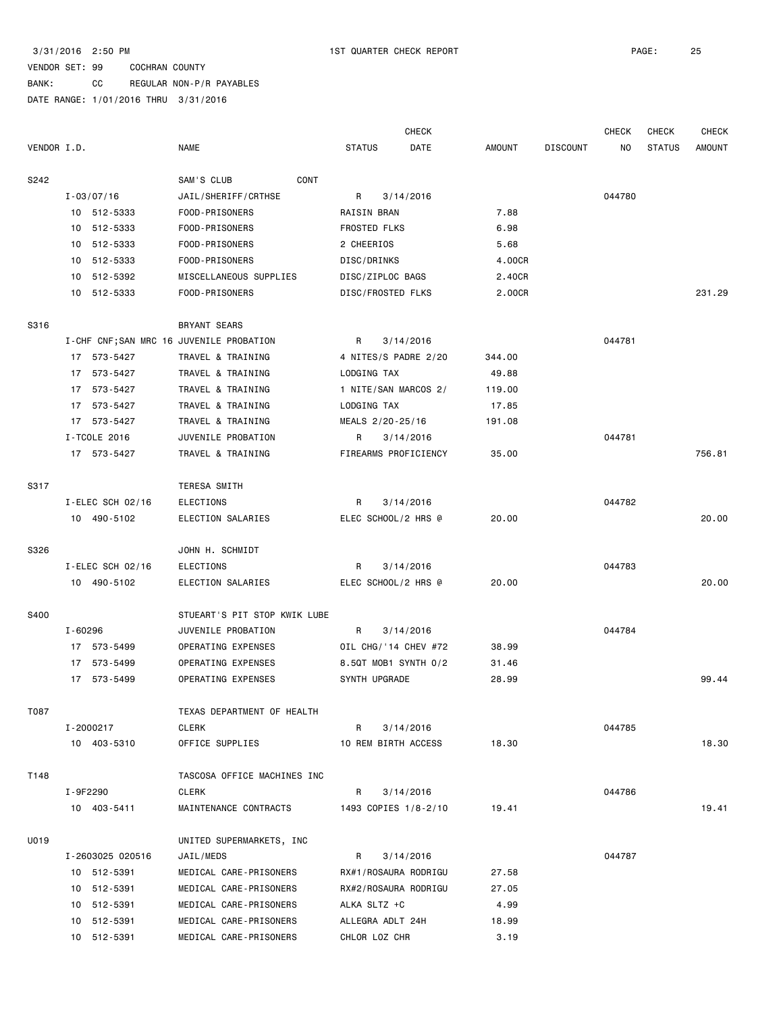BANK: CC REGULAR NON-P/R PAYABLES

|             |         |                     |                                          |                   | <b>CHECK</b>         |        |                 | <b>CHECK</b> | <b>CHECK</b>  | <b>CHECK</b>  |
|-------------|---------|---------------------|------------------------------------------|-------------------|----------------------|--------|-----------------|--------------|---------------|---------------|
| VENDOR I.D. |         |                     | <b>NAME</b>                              | <b>STATUS</b>     | DATE                 | AMOUNT | <b>DISCOUNT</b> | NO.          | <b>STATUS</b> | <b>AMOUNT</b> |
| S242        |         |                     | CONT<br>SAM'S CLUB                       |                   |                      |        |                 |              |               |               |
|             |         | $I - 03/07/16$      | JAIL/SHERIFF/CRTHSE                      | R                 | 3/14/2016            |        |                 | 044780       |               |               |
|             |         | 10 512-5333         | FOOD-PRISONERS                           | RAISIN BRAN       |                      | 7.88   |                 |              |               |               |
|             |         | 10 512-5333         | FOOD-PRISONERS                           | FROSTED FLKS      |                      | 6.98   |                 |              |               |               |
|             |         | 10 512-5333         | FOOD-PRISONERS                           | 2 CHEERIOS        |                      | 5.68   |                 |              |               |               |
|             |         | 10 512-5333         | FOOD-PRISONERS                           | DISC/DRINKS       |                      | 4.00CR |                 |              |               |               |
|             |         | 10 512-5392         | MISCELLANEOUS SUPPLIES                   | DISC/ZIPLOC BAGS  |                      | 2.40CR |                 |              |               |               |
|             |         | 10 512-5333         | FOOD-PRISONERS                           | DISC/FROSTED FLKS |                      | 2.00CR |                 |              |               | 231.29        |
| S316        |         |                     | BRYANT SEARS                             |                   |                      |        |                 |              |               |               |
|             |         |                     | I-CHF CNF; SAN MRC 16 JUVENILE PROBATION | R                 | 3/14/2016            |        |                 | 044781       |               |               |
|             |         | 17 573-5427         | TRAVEL & TRAINING                        |                   | 4 NITES/S PADRE 2/20 | 344.00 |                 |              |               |               |
|             |         | 17 573-5427         | TRAVEL & TRAINING                        | LODGING TAX       |                      | 49.88  |                 |              |               |               |
|             |         | 17 573-5427         | TRAVEL & TRAINING                        |                   | 1 NITE/SAN MARCOS 2/ | 119.00 |                 |              |               |               |
|             |         | 17 573-5427         | TRAVEL & TRAINING                        | LODGING TAX       |                      | 17.85  |                 |              |               |               |
|             |         | 17 573-5427         | TRAVEL & TRAINING                        | MEALS 2/20-25/16  |                      | 191.08 |                 |              |               |               |
|             |         | I-TCOLE 2016        | JUVENILE PROBATION                       | R                 | 3/14/2016            |        |                 | 044781       |               |               |
|             |         | 17 573-5427         | TRAVEL & TRAINING                        |                   | FIREARMS PROFICIENCY | 35,00  |                 |              |               | 756.81        |
| S317        |         |                     | TERESA SMITH                             |                   |                      |        |                 |              |               |               |
|             |         | $I$ -ELEC SCH 02/16 | ELECTIONS                                | R                 | 3/14/2016            |        |                 | 044782       |               |               |
|             |         | 10 490-5102         | ELECTION SALARIES                        |                   | ELEC SCHOOL/2 HRS @  | 20.00  |                 |              |               | 20.00         |
| S326        |         |                     | JOHN H. SCHMIDT                          |                   |                      |        |                 |              |               |               |
|             |         | I-ELEC SCH 02/16    | ELECTIONS                                | R                 | 3/14/2016            |        |                 | 044783       |               |               |
|             |         | 10 490-5102         | ELECTION SALARIES                        |                   | ELEC SCHOOL/2 HRS @  | 20.00  |                 |              |               | 20.00         |
| S400        |         |                     | STUEART'S PIT STOP KWIK LUBE             |                   |                      |        |                 |              |               |               |
|             | I-60296 |                     | JUVENILE PROBATION                       | R                 | 3/14/2016            |        |                 | 044784       |               |               |
|             |         | 17 573-5499         | OPERATING EXPENSES                       |                   | OIL CHG/'14 CHEV #72 | 38.99  |                 |              |               |               |
|             |         | 17 573-5499         | OPERATING EXPENSES                       |                   | 8.5QT MOB1 SYNTH 0/2 | 31.46  |                 |              |               |               |
|             |         | 17 573-5499         | OPERATING EXPENSES                       | SYNTH UPGRADE     |                      | 28.99  |                 |              |               | 99.44         |
| T087        |         |                     | TEXAS DEPARTMENT OF HEALTH               |                   |                      |        |                 |              |               |               |
|             |         | I-2000217           | CLERK                                    | R                 | 3/14/2016            |        |                 | 044785       |               |               |
|             |         | 10 403-5310         | OFFICE SUPPLIES                          |                   | 10 REM BIRTH ACCESS  | 18.30  |                 |              |               | 18.30         |
| T148        |         |                     | TASCOSA OFFICE MACHINES INC              |                   |                      |        |                 |              |               |               |
|             |         | I-9F2290            | CLERK                                    | R                 | 3/14/2016            |        |                 | 044786       |               |               |
|             |         | 10 403-5411         | MAINTENANCE CONTRACTS                    |                   | 1493 COPIES 1/8-2/10 | 19.41  |                 |              |               | 19.41         |
| U019        |         |                     | UNITED SUPERMARKETS, INC                 |                   |                      |        |                 |              |               |               |
|             |         | I-2603025 020516    | JAIL/MEDS                                | R                 | 3/14/2016            |        |                 | 044787       |               |               |
|             |         | 10 512-5391         | MEDICAL CARE-PRISONERS                   |                   | RX#1/ROSAURA RODRIGU | 27.58  |                 |              |               |               |
|             |         | 10 512-5391         | MEDICAL CARE-PRISONERS                   |                   | RX#2/ROSAURA RODRIGU | 27.05  |                 |              |               |               |
|             |         | 10 512-5391         | MEDICAL CARE-PRISONERS                   | ALKA SLTZ +C      |                      | 4.99   |                 |              |               |               |
|             |         | 10 512-5391         | MEDICAL CARE-PRISONERS                   | ALLEGRA ADLT 24H  |                      | 18.99  |                 |              |               |               |
|             |         | 10 512-5391         | MEDICAL CARE-PRISONERS                   | CHLOR LOZ CHR     |                      | 3.19   |                 |              |               |               |
|             |         |                     |                                          |                   |                      |        |                 |              |               |               |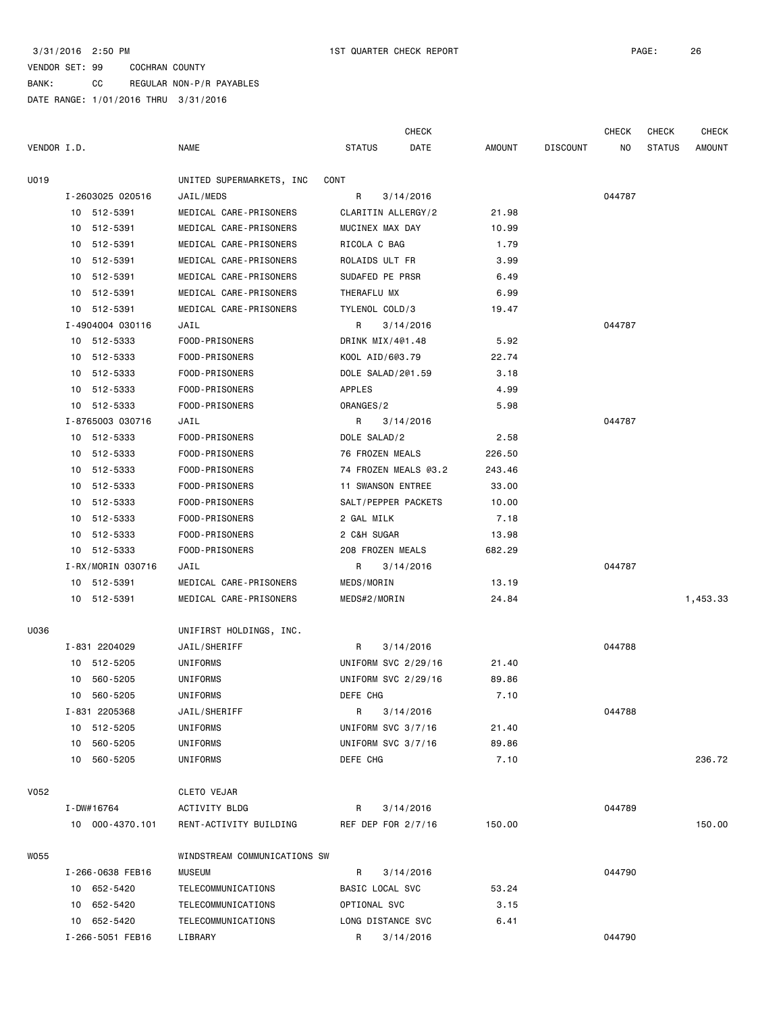|             |                   |                              |                     | <b>CHECK</b>         |        |                 | <b>CHECK</b> | <b>CHECK</b>  | <b>CHECK</b> |
|-------------|-------------------|------------------------------|---------------------|----------------------|--------|-----------------|--------------|---------------|--------------|
| VENDOR I.D. |                   | <b>NAME</b>                  | <b>STATUS</b>       | DATE                 | AMOUNT | <b>DISCOUNT</b> | ΝO           | <b>STATUS</b> | AMOUNT       |
| U019        |                   | UNITED SUPERMARKETS, INC     | CONT                |                      |        |                 |              |               |              |
|             | I-2603025 020516  | JAIL/MEDS                    | R                   | 3/14/2016            |        |                 | 044787       |               |              |
|             | 10 512-5391       | MEDICAL CARE-PRISONERS       | CLARITIN ALLERGY/2  |                      | 21.98  |                 |              |               |              |
|             | 10 512-5391       | MEDICAL CARE-PRISONERS       | MUCINEX MAX DAY     |                      | 10.99  |                 |              |               |              |
|             | 10 512-5391       | MEDICAL CARE-PRISONERS       | RICOLA C BAG        |                      | 1.79   |                 |              |               |              |
|             | 10 512-5391       | MEDICAL CARE-PRISONERS       | ROLAIDS ULT FR      |                      | 3.99   |                 |              |               |              |
|             | 512-5391<br>10    | MEDICAL CARE-PRISONERS       | SUDAFED PE PRSR     |                      | 6.49   |                 |              |               |              |
|             | 512-5391<br>10    | MEDICAL CARE-PRISONERS       | THERAFLU MX         |                      | 6.99   |                 |              |               |              |
|             | 10 512-5391       | MEDICAL CARE-PRISONERS       | TYLENOL COLD/3      |                      | 19.47  |                 |              |               |              |
|             | I-4904004 030116  | JAIL                         | R                   | 3/14/2016            |        |                 | 044787       |               |              |
|             | 10 512-5333       | FOOD-PRISONERS               | DRINK MIX/4@1.48    |                      | 5.92   |                 |              |               |              |
|             | 10 512-5333       | FOOD-PRISONERS               | KOOL AID/6@3.79     |                      | 22.74  |                 |              |               |              |
|             | 10 512-5333       | FOOD-PRISONERS               | DOLE SALAD/2@1.59   |                      | 3.18   |                 |              |               |              |
|             | 10 512-5333       | FOOD-PRISONERS               | APPLES              |                      | 4.99   |                 |              |               |              |
|             | 10 512-5333       | FOOD-PRISONERS               | ORANGES/2           |                      | 5.98   |                 |              |               |              |
|             | I-8765003 030716  | JAIL                         | R                   | 3/14/2016            |        |                 | 044787       |               |              |
|             | 10 512-5333       | FOOD-PRISONERS               | DOLE SALAD/2        |                      | 2.58   |                 |              |               |              |
|             | 512-5333<br>10    | FOOD-PRISONERS               | 76 FROZEN MEALS     |                      | 226.50 |                 |              |               |              |
|             | 10 512-5333       | FOOD-PRISONERS               |                     | 74 FROZEN MEALS @3.2 | 243.46 |                 |              |               |              |
|             | 10 512-5333       | FOOD-PRISONERS               | 11 SWANSON ENTREE   |                      | 33.00  |                 |              |               |              |
|             | 10 512-5333       | FOOD-PRISONERS               | SALT/PEPPER PACKETS |                      | 10.00  |                 |              |               |              |
|             | 10 512-5333       | FOOD-PRISONERS               | 2 GAL MILK          |                      | 7.18   |                 |              |               |              |
|             | 10<br>512-5333    | FOOD-PRISONERS               | 2 C&H SUGAR         |                      | 13.98  |                 |              |               |              |
|             | 10 512-5333       | FOOD-PRISONERS               | 208 FROZEN MEALS    |                      | 682.29 |                 |              |               |              |
|             | I-RX/MORIN 030716 | JAIL                         | R                   | 3/14/2016            |        |                 | 044787       |               |              |
|             | 10 512-5391       | MEDICAL CARE-PRISONERS       | MEDS/MORIN          |                      | 13.19  |                 |              |               |              |
|             | 10 512-5391       | MEDICAL CARE-PRISONERS       | MEDS#2/MORIN        |                      | 24.84  |                 |              |               | 1,453.33     |
| U036        |                   | UNIFIRST HOLDINGS, INC.      |                     |                      |        |                 |              |               |              |
|             | I-831 2204029     | JAIL/SHERIFF                 | R                   | 3/14/2016            |        |                 | 044788       |               |              |
|             | 10 512-5205       | UNIFORMS                     | UNIFORM SVC 2/29/16 |                      | 21.40  |                 |              |               |              |
|             | 10 560-5205       | UNIFORMS                     | UNIFORM SVC 2/29/16 |                      | 89.86  |                 |              |               |              |
|             | 10 560-5205       | UNIFORMS                     | DEFE CHG            |                      | 7.10   |                 |              |               |              |
|             | I-831 2205368     | JAIL/SHERIFF                 | R                   | 3/14/2016            |        |                 | 044788       |               |              |
|             | 10 512-5205       | UNIFORMS                     | UNIFORM SVC 3/7/16  |                      | 21.40  |                 |              |               |              |
|             | 10 560-5205       | UNIFORMS                     | UNIFORM SVC 3/7/16  |                      | 89.86  |                 |              |               |              |
|             | 10 560-5205       | <b>UNIFORMS</b>              | DEFE CHG            |                      | 7.10   |                 |              |               | 236.72       |
| V052        |                   | CLETO VEJAR                  |                     |                      |        |                 |              |               |              |
|             | I-DW#16764        | ACTIVITY BLDG                | R                   | 3/14/2016            |        |                 | 044789       |               |              |
|             | 10 000-4370.101   | RENT-ACTIVITY BUILDING       | REF DEP FOR 2/7/16  |                      | 150.00 |                 |              |               | 150.00       |
| W055        |                   | WINDSTREAM COMMUNICATIONS SW |                     |                      |        |                 |              |               |              |
|             | I-266-0638 FEB16  | <b>MUSEUM</b>                | R                   | 3/14/2016            |        |                 | 044790       |               |              |
|             | 10 652-5420       | TELECOMMUNICATIONS           | BASIC LOCAL SVC     |                      | 53.24  |                 |              |               |              |
|             | 10 652-5420       | TELECOMMUNICATIONS           | OPTIONAL SVC        |                      | 3.15   |                 |              |               |              |
|             | 10 652-5420       | TELECOMMUNICATIONS           | LONG DISTANCE SVC   |                      | 6.41   |                 |              |               |              |
|             | I-266-5051 FEB16  | LIBRARY                      | R                   | 3/14/2016            |        |                 | 044790       |               |              |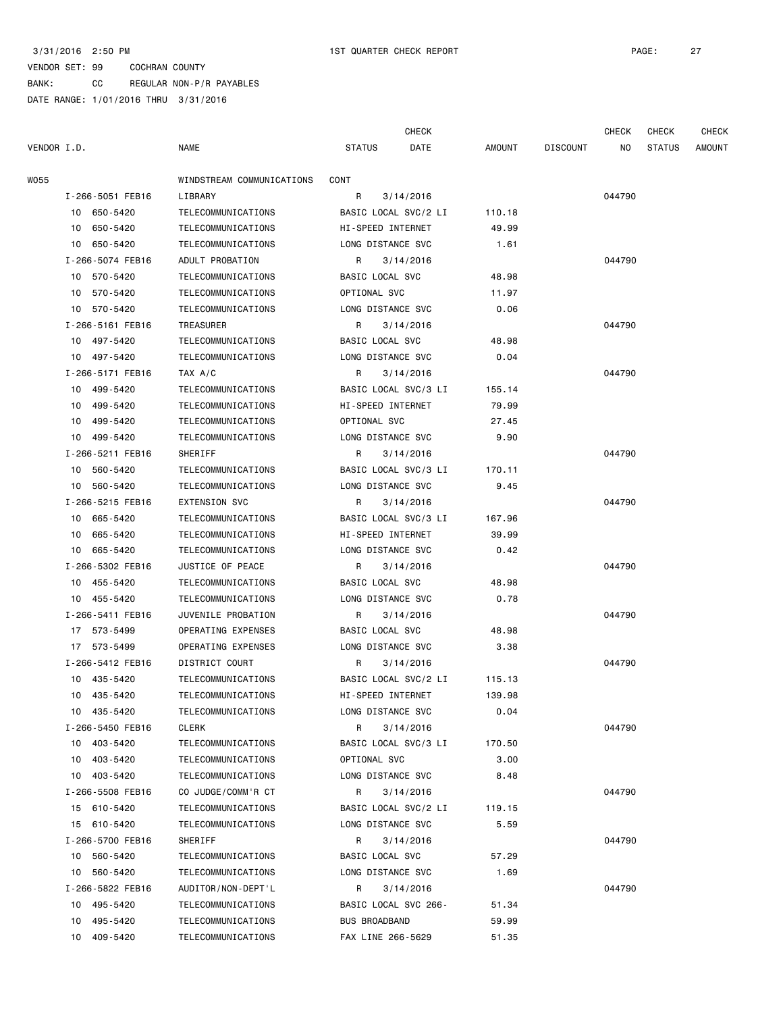BANK: CC REGULAR NON-P/R PAYABLES

|             |                  |                           |                      | <b>CHECK</b>         |        |                 | <b>CHECK</b> | <b>CHECK</b>  | <b>CHECK</b> |
|-------------|------------------|---------------------------|----------------------|----------------------|--------|-----------------|--------------|---------------|--------------|
| VENDOR I.D. |                  | <b>NAME</b>               | <b>STATUS</b>        | DATE                 | AMOUNT | <b>DISCOUNT</b> | NO.          | <b>STATUS</b> | AMOUNT       |
| W055        |                  | WINDSTREAM COMMUNICATIONS | CONT                 |                      |        |                 |              |               |              |
|             | I-266-5051 FEB16 | LIBRARY                   | R                    | 3/14/2016            |        |                 | 044790       |               |              |
|             | 10 650-5420      | TELECOMMUNICATIONS        | BASIC LOCAL SVC/2 LI |                      | 110.18 |                 |              |               |              |
|             | 10 650-5420      | TELECOMMUNICATIONS        | HI-SPEED INTERNET    |                      | 49.99  |                 |              |               |              |
|             | 10 650-5420      | TELECOMMUNICATIONS        | LONG DISTANCE SVC    |                      | 1.61   |                 |              |               |              |
|             | I-266-5074 FEB16 | ADULT PROBATION           | R                    | 3/14/2016            |        |                 | 044790       |               |              |
|             | 10 570-5420      | TELECOMMUNICATIONS        | BASIC LOCAL SVC      |                      | 48.98  |                 |              |               |              |
|             | 10 570-5420      | TELECOMMUNICATIONS        | OPTIONAL SVC         |                      | 11.97  |                 |              |               |              |
|             | 10 570-5420      | TELECOMMUNICATIONS        | LONG DISTANCE SVC    |                      | 0.06   |                 |              |               |              |
|             | I-266-5161 FEB16 | TREASURER                 | R                    | 3/14/2016            |        |                 | 044790       |               |              |
|             | 10 497-5420      | TELECOMMUNICATIONS        | BASIC LOCAL SVC      |                      | 48.98  |                 |              |               |              |
|             | 10 497-5420      | TELECOMMUNICATIONS        | LONG DISTANCE SVC    |                      | 0.04   |                 |              |               |              |
|             | I-266-5171 FEB16 | TAX A/C                   | R                    | 3/14/2016            |        |                 | 044790       |               |              |
|             | 10 499-5420      | TELECOMMUNICATIONS        |                      | BASIC LOCAL SVC/3 LI | 155.14 |                 |              |               |              |
|             | 10 499-5420      | TELECOMMUNICATIONS        | HI-SPEED INTERNET    |                      | 79.99  |                 |              |               |              |
|             | 499-5420<br>10   | TELECOMMUNICATIONS        | OPTIONAL SVC         |                      | 27.45  |                 |              |               |              |
|             | 10 499-5420      | TELECOMMUNICATIONS        | LONG DISTANCE SVC    |                      | 9.90   |                 |              |               |              |
|             | I-266-5211 FEB16 | SHERIFF                   | R                    | 3/14/2016            |        |                 | 044790       |               |              |
|             | 10 560-5420      | TELECOMMUNICATIONS        |                      | BASIC LOCAL SVC/3 LI | 170.11 |                 |              |               |              |
|             | 10 560-5420      | TELECOMMUNICATIONS        | LONG DISTANCE SVC    |                      | 9.45   |                 |              |               |              |
|             | I-266-5215 FEB16 | <b>EXTENSION SVC</b>      | R                    | 3/14/2016            |        |                 | 044790       |               |              |
|             | 10 665-5420      | TELECOMMUNICATIONS        | BASIC LOCAL SVC/3 LI |                      | 167.96 |                 |              |               |              |
|             | 10 665-5420      | TELECOMMUNICATIONS        | HI-SPEED INTERNET    |                      | 39.99  |                 |              |               |              |
|             | 10 665-5420      | TELECOMMUNICATIONS        | LONG DISTANCE SVC    |                      | 0.42   |                 |              |               |              |
|             | I-266-5302 FEB16 | JUSTICE OF PEACE          | R                    | 3/14/2016            |        |                 | 044790       |               |              |
|             | 10 455-5420      | TELECOMMUNICATIONS        | BASIC LOCAL SVC      |                      | 48.98  |                 |              |               |              |
|             | 10 455-5420      | TELECOMMUNICATIONS        | LONG DISTANCE SVC    |                      | 0.78   |                 |              |               |              |
|             | I-266-5411 FEB16 | JUVENILE PROBATION        | R                    | 3/14/2016            |        |                 | 044790       |               |              |
|             | 17 573-5499      | OPERATING EXPENSES        | BASIC LOCAL SVC      |                      | 48.98  |                 |              |               |              |
|             | 17 573-5499      | OPERATING EXPENSES        | LONG DISTANCE SVC    |                      | 3.38   |                 |              |               |              |
|             | I-266-5412 FEB16 | DISTRICT COURT            | R                    | 3/14/2016            |        |                 | 044790       |               |              |
|             | 10 435-5420      | TELECOMMUNICATIONS        |                      | BASIC LOCAL SVC/2 LI | 115.13 |                 |              |               |              |
|             | 10 435-5420      | TELECOMMUNICATIONS        | HI-SPEED INTERNET    |                      | 139.98 |                 |              |               |              |
|             | 10 435-5420      | TELECOMMUNICATIONS        | LONG DISTANCE SVC    |                      | 0.04   |                 |              |               |              |
|             | I-266-5450 FEB16 | CLERK                     | R                    | 3/14/2016            |        |                 | 044790       |               |              |
|             | 10 403-5420      | TELECOMMUNICATIONS        | BASIC LOCAL SVC/3 LI |                      | 170.50 |                 |              |               |              |
|             | 403-5420<br>10   | TELECOMMUNICATIONS        | OPTIONAL SVC         |                      | 3.00   |                 |              |               |              |
|             | 10 403-5420      | TELECOMMUNICATIONS        | LONG DISTANCE SVC    |                      | 8.48   |                 |              |               |              |
|             | I-266-5508 FEB16 | CO JUDGE/COMM'R CT        | R                    | 3/14/2016            |        |                 | 044790       |               |              |
|             | 15 610-5420      | TELECOMMUNICATIONS        |                      | BASIC LOCAL SVC/2 LI | 119.15 |                 |              |               |              |
|             | 15 610-5420      | TELECOMMUNICATIONS        | LONG DISTANCE SVC    |                      | 5.59   |                 |              |               |              |
|             | I-266-5700 FEB16 | SHERIFF                   | R                    | 3/14/2016            |        |                 | 044790       |               |              |
|             | 10 560-5420      | TELECOMMUNICATIONS        | BASIC LOCAL SVC      |                      | 57.29  |                 |              |               |              |
|             | 10 560-5420      | TELECOMMUNICATIONS        | LONG DISTANCE SVC    |                      | 1.69   |                 |              |               |              |
|             | I-266-5822 FEB16 | AUDITOR/NON-DEPT'L        | R                    | 3/14/2016            |        |                 | 044790       |               |              |
|             | 10 495-5420      | TELECOMMUNICATIONS        | BASIC LOCAL SVC 266- |                      | 51.34  |                 |              |               |              |
|             | 495-5420<br>10   | TELECOMMUNICATIONS        | <b>BUS BROADBAND</b> |                      | 59.99  |                 |              |               |              |
|             | 10 409-5420      | TELECOMMUNICATIONS        | FAX LINE 266-5629    |                      | 51.35  |                 |              |               |              |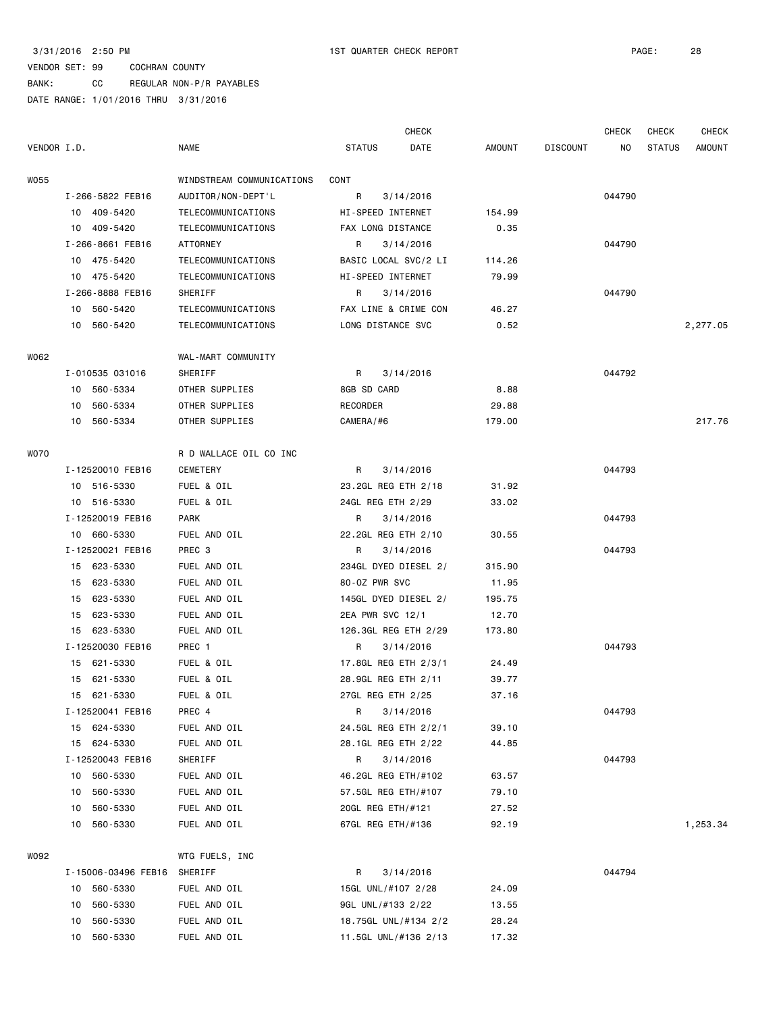|             |    |                     |                           |                      | <b>CHECK</b> |        |                 | <b>CHECK</b> | <b>CHECK</b>  | <b>CHECK</b>  |
|-------------|----|---------------------|---------------------------|----------------------|--------------|--------|-----------------|--------------|---------------|---------------|
| VENDOR I.D. |    |                     | NAME                      | <b>STATUS</b>        | DATE         | AMOUNT | <b>DISCOUNT</b> | NO.          | <b>STATUS</b> | <b>AMOUNT</b> |
| W055        |    |                     | WINDSTREAM COMMUNICATIONS | CONT                 |              |        |                 |              |               |               |
|             |    | I-266-5822 FEB16    | AUDITOR/NON-DEPT'L        | R                    | 3/14/2016    |        |                 | 044790       |               |               |
|             |    | 10 409-5420         | TELECOMMUNICATIONS        | HI-SPEED INTERNET    |              | 154.99 |                 |              |               |               |
|             |    | 10 409-5420         | TELECOMMUNICATIONS        | FAX LONG DISTANCE    |              | 0.35   |                 |              |               |               |
|             |    | I-266-8661 FEB16    | ATTORNEY                  | R                    | 3/14/2016    |        |                 | 044790       |               |               |
|             |    | 10 475-5420         | TELECOMMUNICATIONS        | BASIC LOCAL SVC/2 LI |              | 114.26 |                 |              |               |               |
|             |    | 10 475-5420         | TELECOMMUNICATIONS        | HI-SPEED INTERNET    |              | 79.99  |                 |              |               |               |
|             |    | I-266-8888 FEB16    | SHERIFF                   | R                    | 3/14/2016    |        |                 | 044790       |               |               |
|             |    | 10 560-5420         | TELECOMMUNICATIONS        | FAX LINE & CRIME CON |              | 46.27  |                 |              |               |               |
|             |    | 10 560-5420         | TELECOMMUNICATIONS        | LONG DISTANCE SVC    |              | 0.52   |                 |              |               | 2,277.05      |
| W062        |    |                     | WAL-MART COMMUNITY        |                      |              |        |                 |              |               |               |
|             |    | I-010535 031016     | SHERIFF                   | R                    | 3/14/2016    |        |                 | 044792       |               |               |
|             | 10 | 560-5334            | OTHER SUPPLIES            | 8GB SD CARD          |              | 8.88   |                 |              |               |               |
|             | 10 | 560-5334            | OTHER SUPPLIES            | RECORDER             |              | 29.88  |                 |              |               |               |
|             |    | 10 560-5334         | OTHER SUPPLIES            | CAMERA/#6            |              | 179.00 |                 |              |               | 217.76        |
| W070        |    |                     | R D WALLACE OIL CO INC    |                      |              |        |                 |              |               |               |
|             |    | I-12520010 FEB16    | CEMETERY                  | R                    | 3/14/2016    |        |                 | 044793       |               |               |
|             |    | 10 516-5330         | FUEL & OIL                | 23.2GL REG ETH 2/18  |              | 31.92  |                 |              |               |               |
|             |    | 10 516-5330         | FUEL & OIL                | 24GL REG ETH 2/29    |              | 33.02  |                 |              |               |               |
|             |    | I-12520019 FEB16    | <b>PARK</b>               | R                    | 3/14/2016    |        |                 | 044793       |               |               |
|             |    | 10 660-5330         | FUEL AND OIL              | 22.2GL REG ETH 2/10  |              | 30.55  |                 |              |               |               |
|             |    | I-12520021 FEB16    | PREC <sub>3</sub>         | R                    | 3/14/2016    |        |                 | 044793       |               |               |
|             | 15 | 623-5330            | FUEL AND OIL              | 234GL DYED DIESEL 2/ |              | 315.90 |                 |              |               |               |
|             |    | 15 623-5330         | FUEL AND OIL              | 80-0Z PWR SVC        |              | 11.95  |                 |              |               |               |
|             | 15 | 623-5330            | FUEL AND OIL              | 145GL DYED DIESEL 2/ |              | 195.75 |                 |              |               |               |
|             | 15 | 623-5330            | FUEL AND OIL              | 2EA PWR SVC 12/1     |              | 12.70  |                 |              |               |               |
|             | 15 | 623-5330            | FUEL AND OIL              | 126.3GL REG ETH 2/29 |              | 173.80 |                 |              |               |               |
|             |    | I-12520030 FEB16    | PREC 1                    | R                    | 3/14/2016    |        |                 | 044793       |               |               |
|             |    | 15 621-5330         | FUEL & OIL                | 17.8GL REG ETH 2/3/1 |              | 24.49  |                 |              |               |               |
|             | 15 | 621-5330            | FUEL & OIL                | 28.9GL REG ETH 2/11  |              | 39.77  |                 |              |               |               |
|             |    | 15 621-5330         | FUEL & OIL                | 27GL REG ETH 2/25    |              | 37.16  |                 |              |               |               |
|             |    | I-12520041 FEB16    | PREC 4                    | R                    | 3/14/2016    |        |                 | 044793       |               |               |
|             |    | 15 624-5330         | FUEL AND OIL              | 24.5GL REG ETH 2/2/1 |              | 39.10  |                 |              |               |               |
|             |    | 15 624-5330         | FUEL AND OIL              | 28.1GL REG ETH 2/22  |              | 44.85  |                 |              |               |               |
|             |    | I-12520043 FEB16    | SHERIFF                   | R                    | 3/14/2016    |        |                 | 044793       |               |               |
|             | 10 | 560-5330            | FUEL AND OIL              | 46.2GL REG ETH/#102  |              | 63.57  |                 |              |               |               |
|             | 10 | 560-5330            | FUEL AND OIL              | 57.5GL REG ETH/#107  |              | 79.10  |                 |              |               |               |
|             | 10 | 560-5330            | FUEL AND OIL              | 20GL REG ETH/#121    |              | 27.52  |                 |              |               |               |
|             | 10 | 560-5330            | FUEL AND OIL              | 67GL REG ETH/#136    |              | 92.19  |                 |              |               | 1,253.34      |
|             |    |                     |                           |                      |              |        |                 |              |               |               |
| W092        |    |                     | WTG FUELS, INC            |                      |              |        |                 |              |               |               |
|             |    | I-15006-03496 FEB16 | SHERIFF                   | R                    | 3/14/2016    |        |                 | 044794       |               |               |
|             | 10 | 560-5330            | FUEL AND OIL              | 15GL UNL/#107 2/28   |              | 24.09  |                 |              |               |               |
|             | 10 | 560-5330            | FUEL AND OIL              | 9GL UNL/#133 2/22    |              | 13.55  |                 |              |               |               |
|             | 10 | 560-5330            | FUEL AND OIL              | 18.75GL UNL/#134 2/2 |              | 28.24  |                 |              |               |               |
|             | 10 | 560-5330            | FUEL AND OIL              | 11.5GL UNL/#136 2/13 |              | 17.32  |                 |              |               |               |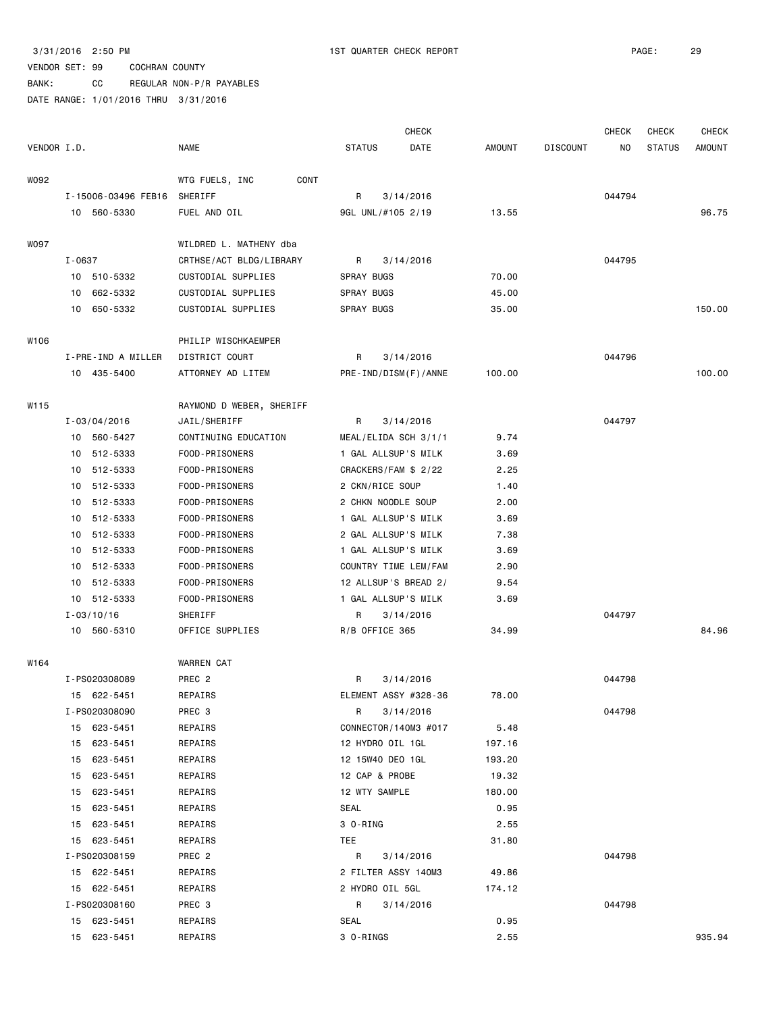BANK: CC REGULAR NON-P/R PAYABLES DATE RANGE: 1/01/2016 THRU 3/31/2016

|             |        |                                    |                          |                      | <b>CHECK</b>         |        |                 | <b>CHECK</b> | <b>CHECK</b>  | <b>CHECK</b>  |
|-------------|--------|------------------------------------|--------------------------|----------------------|----------------------|--------|-----------------|--------------|---------------|---------------|
| VENDOR I.D. |        |                                    | <b>NAME</b>              | <b>STATUS</b>        | DATE                 | AMOUNT | <b>DISCOUNT</b> | NO.          | <b>STATUS</b> | <b>AMOUNT</b> |
|             |        |                                    |                          |                      |                      |        |                 |              |               |               |
| W092        |        |                                    | WTG FUELS, INC<br>CONT   |                      |                      |        |                 |              |               |               |
|             |        | I-15006-03496 FEB16<br>10 560-5330 | SHERIFF                  | R                    | 3/14/2016            |        |                 | 044794       |               | 96.75         |
|             |        |                                    | FUEL AND OIL             | 9GL UNL/#105 2/19    |                      | 13.55  |                 |              |               |               |
| <b>WO97</b> |        |                                    | WILDRED L. MATHENY dba   |                      |                      |        |                 |              |               |               |
|             | I-0637 |                                    | CRTHSE/ACT BLDG/LIBRARY  | R                    | 3/14/2016            |        |                 | 044795       |               |               |
|             |        | 10 510-5332                        | CUSTODIAL SUPPLIES       | SPRAY BUGS           |                      | 70.00  |                 |              |               |               |
|             |        | 10 662-5332                        | CUSTODIAL SUPPLIES       | SPRAY BUGS           |                      | 45.00  |                 |              |               |               |
|             |        | 10 650-5332                        | CUSTODIAL SUPPLIES       | SPRAY BUGS           |                      | 35.00  |                 |              |               | 150.00        |
| W106        |        |                                    | PHILIP WISCHKAEMPER      |                      |                      |        |                 |              |               |               |
|             |        | I-PRE-IND A MILLER                 | DISTRICT COURT           | R                    | 3/14/2016            |        |                 | 044796       |               |               |
|             |        | 10 435-5400                        | ATTORNEY AD LITEM        |                      | PRE-IND/DISM(F)/ANNE | 100.00 |                 |              |               | 100.00        |
|             |        |                                    |                          |                      |                      |        |                 |              |               |               |
| W115        |        |                                    | RAYMOND D WEBER, SHERIFF |                      |                      |        |                 |              |               |               |
|             |        | $I - 03/04/2016$                   | JAIL/SHERIFF             | R                    | 3/14/2016            |        |                 | 044797       |               |               |
|             |        | 10 560-5427                        | CONTINUING EDUCATION     |                      | MEAL/ELIDA SCH 3/1/1 | 9.74   |                 |              |               |               |
|             |        | 10 512-5333                        | FOOD-PRISONERS           |                      | 1 GAL ALLSUP'S MILK  | 3.69   |                 |              |               |               |
|             |        | 10 512-5333                        | FOOD-PRISONERS           | CRACKERS/FAM \$ 2/22 |                      | 2.25   |                 |              |               |               |
|             |        | 10 512-5333                        | FOOD-PRISONERS           | 2 CKN/RICE SOUP      |                      | 1.40   |                 |              |               |               |
|             |        | 10 512-5333                        | FOOD-PRISONERS           | 2 CHKN NOODLE SOUP   |                      | 2.00   |                 |              |               |               |
|             |        | 10 512-5333                        | FOOD-PRISONERS           | 1 GAL ALLSUP'S MILK  |                      | 3.69   |                 |              |               |               |
|             |        | 10 512-5333                        | FOOD-PRISONERS           | 2 GAL ALLSUP'S MILK  |                      | 7.38   |                 |              |               |               |
|             |        | 10 512-5333                        | FOOD-PRISONERS           |                      | 1 GAL ALLSUP'S MILK  | 3.69   |                 |              |               |               |
|             |        | 10 512-5333                        | FOOD-PRISONERS           |                      | COUNTRY TIME LEM/FAM | 2.90   |                 |              |               |               |
|             |        | 10 512-5333                        | FOOD-PRISONERS           |                      | 12 ALLSUP'S BREAD 2/ | 9.54   |                 |              |               |               |
|             |        | 10 512-5333                        | FOOD-PRISONERS           | 1 GAL ALLSUP'S MILK  |                      | 3.69   |                 |              |               |               |
|             |        | $I - 03/10/16$                     | SHERIFF                  | R                    | 3/14/2016            |        |                 | 044797       |               |               |
|             |        | 10 560-5310                        | OFFICE SUPPLIES          | R/B OFFICE 365       |                      | 34.99  |                 |              |               | 84.96         |
| W164        |        |                                    | <b>WARREN CAT</b>        |                      |                      |        |                 |              |               |               |
|             |        | I-PS020308089                      | PREC <sub>2</sub>        | R                    | 3/14/2016            |        |                 | 044798       |               |               |
|             |        | 15 622-5451                        | REPAIRS                  |                      | ELEMENT ASSY #328-36 | 78.00  |                 |              |               |               |
|             |        | I-PS020308090                      | PREC 3                   | R                    | 3/14/2016            |        |                 | 044798       |               |               |
|             |        | 15 623-5451                        | REPAIRS                  |                      | CONNECTOR/140M3 #017 | 5.48   |                 |              |               |               |
|             |        | 15 623-5451                        | REPAIRS                  | 12 HYDRO OIL 1GL     |                      | 197.16 |                 |              |               |               |
|             |        | 15 623-5451                        | REPAIRS                  | 12 15W40 DEO 1GL     |                      | 193.20 |                 |              |               |               |
|             |        | 15 623-5451                        | REPAIRS                  | 12 CAP & PROBE       |                      | 19.32  |                 |              |               |               |
|             |        | 15 623-5451                        | REPAIRS                  | 12 WTY SAMPLE        |                      | 180.00 |                 |              |               |               |
|             |        | 15 623-5451                        | REPAIRS                  | SEAL                 |                      | 0.95   |                 |              |               |               |
|             |        | 15 623-5451                        | REPAIRS                  | 3 O-RING             |                      | 2.55   |                 |              |               |               |
|             |        | 15 623-5451                        | REPAIRS                  | TEE                  |                      | 31.80  |                 |              |               |               |
|             |        | I-PS020308159                      | PREC 2                   | R                    | 3/14/2016            |        |                 | 044798       |               |               |
|             |        | 15 622-5451                        | REPAIRS                  | 2 FILTER ASSY 140M3  |                      | 49.86  |                 |              |               |               |
|             |        | 15 622-5451                        | REPAIRS                  | 2 HYDRO OIL 5GL      |                      | 174.12 |                 |              |               |               |
|             |        | I-PS020308160                      | PREC 3                   | R                    | 3/14/2016            |        |                 | 044798       |               |               |
|             |        | 15 623-5451                        | REPAIRS                  | SEAL                 |                      | 0.95   |                 |              |               |               |
|             |        | 15 623-5451                        | REPAIRS                  | 3 O-RINGS            |                      | 2.55   |                 |              |               | 935.94        |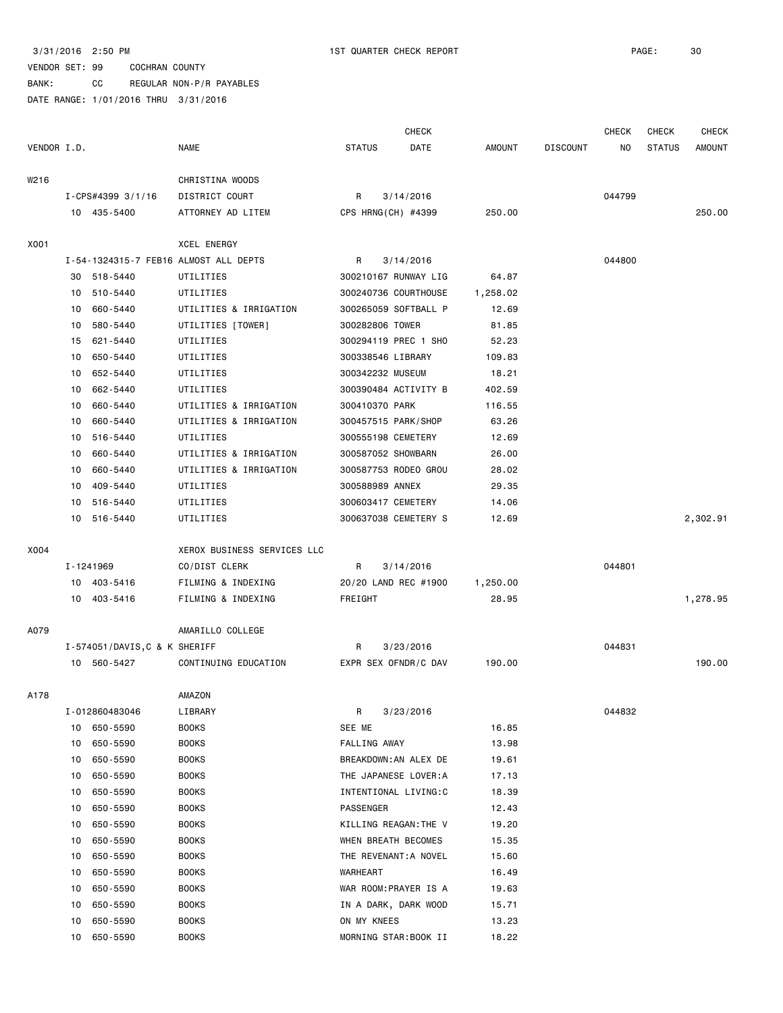#### VENDOR SET: 99 COCHRAN COUNTY BANK: CC REGULAR NON-P/R PAYABLES DATE RANGE: 1/01/2016 THRU 3/31/2016

|             |    |                               |                                       |                     | <b>CHECK</b>          |               |                 | <b>CHECK</b> | <b>CHECK</b>  | <b>CHECK</b> |
|-------------|----|-------------------------------|---------------------------------------|---------------------|-----------------------|---------------|-----------------|--------------|---------------|--------------|
| VENDOR I.D. |    |                               | NAME                                  | <b>STATUS</b>       | DATE                  | <b>AMOUNT</b> | <b>DISCOUNT</b> | ΝO           | <b>STATUS</b> | AMOUNT       |
| W216        |    |                               | CHRISTINA WOODS                       |                     |                       |               |                 |              |               |              |
|             |    | $I-CPS#4399$ 3/1/16           | DISTRICT COURT                        | R                   | 3/14/2016             |               |                 | 044799       |               |              |
|             |    | 10 435-5400                   | ATTORNEY AD LITEM                     | CPS HRNG(CH) #4399  |                       | 250.00        |                 |              |               | 250.00       |
| X001        |    |                               | XCEL ENERGY                           |                     |                       |               |                 |              |               |              |
|             |    |                               | I-54-1324315-7 FEB16 ALMOST ALL DEPTS | R                   | 3/14/2016             |               |                 | 044800       |               |              |
|             |    | 30 518-5440                   | UTILITIES                             |                     | 300210167 RUNWAY LIG  | 64.87         |                 |              |               |              |
|             | 10 | 510-5440                      | UTILITIES                             |                     | 300240736 COURTHOUSE  | 1,258.02      |                 |              |               |              |
|             | 10 | 660-5440                      | UTILITIES & IRRIGATION                |                     | 300265059 SOFTBALL P  | 12.69         |                 |              |               |              |
|             | 10 | 580-5440                      | UTILITIES [TOWER]                     | 300282806 TOWER     |                       | 81.85         |                 |              |               |              |
|             | 15 | 621-5440                      | UTILITIES                             |                     | 300294119 PREC 1 SHO  | 52.23         |                 |              |               |              |
|             | 10 | 650-5440                      | UTILITIES                             | 300338546 LIBRARY   |                       | 109.83        |                 |              |               |              |
|             | 10 | 652-5440                      | UTILITIES                             | 300342232 MUSEUM    |                       | 18.21         |                 |              |               |              |
|             | 10 | 662-5440                      | UTILITIES                             |                     | 300390484 ACTIVITY B  | 402.59        |                 |              |               |              |
|             | 10 | 660-5440                      | UTILITIES & IRRIGATION                | 300410370 PARK      |                       | 116.55        |                 |              |               |              |
|             | 10 | 660-5440                      | UTILITIES & IRRIGATION                | 300457515 PARK/SHOP |                       | 63.26         |                 |              |               |              |
|             | 10 | 516-5440                      | UTILITIES                             | 300555198 CEMETERY  |                       | 12.69         |                 |              |               |              |
|             | 10 | 660-5440                      | UTILITIES & IRRIGATION                | 300587052 SHOWBARN  |                       | 26.00         |                 |              |               |              |
|             | 10 | 660-5440                      | UTILITIES & IRRIGATION                |                     | 300587753 RODEO GROU  | 28.02         |                 |              |               |              |
|             | 10 | 409-5440                      | UTILITIES                             | 300588989 ANNEX     |                       | 29.35         |                 |              |               |              |
|             | 10 | 516-5440                      | UTILITIES                             | 300603417 CEMETERY  |                       | 14.06         |                 |              |               |              |
|             |    | 10 516-5440                   | UTILITIES                             |                     | 300637038 CEMETERY S  | 12.69         |                 |              |               | 2,302.91     |
| X004        |    |                               | XEROX BUSINESS SERVICES LLC           |                     |                       |               |                 |              |               |              |
|             |    | I-1241969                     | CO/DIST CLERK                         | R                   | 3/14/2016             |               |                 | 044801       |               |              |
|             |    | 10 403-5416                   | FILMING & INDEXING                    |                     | 20/20 LAND REC #1900  | 1,250.00      |                 |              |               |              |
|             |    | 10 403-5416                   | FILMING & INDEXING                    | FREIGHT             |                       | 28.95         |                 |              |               | 1,278.95     |
| A079        |    |                               | AMARILLO COLLEGE                      |                     |                       |               |                 |              |               |              |
|             |    | I-574051/DAVIS, C & K SHERIFF |                                       | R                   | 3/23/2016             |               |                 | 044831       |               |              |
|             |    | 10 560-5427                   | CONTINUING EDUCATION                  |                     | EXPR SEX OFNDR/C DAV  | 190.00        |                 |              |               | 190.00       |
| A178        |    |                               | AMAZON                                |                     |                       |               |                 |              |               |              |
|             |    | I-012860483046                | LIBRARY                               | R                   | 3/23/2016             |               |                 | 044832       |               |              |
|             |    | 10 650-5590                   | <b>BOOKS</b>                          | SEE ME              |                       | 16.85         |                 |              |               |              |
|             |    | 10 650-5590                   | <b>BOOKS</b>                          | FALLING AWAY        |                       | 13.98         |                 |              |               |              |
|             |    | 10 650-5590                   | <b>BOOKS</b>                          |                     | BREAKDOWN: AN ALEX DE | 19.61         |                 |              |               |              |
|             | 10 | 650-5590                      | <b>BOOKS</b>                          |                     | THE JAPANESE LOVER:A  | 17.13         |                 |              |               |              |
|             | 10 | 650-5590                      | <b>BOOKS</b>                          |                     | INTENTIONAL LIVING:C  | 18.39         |                 |              |               |              |
|             | 10 | 650-5590                      | <b>BOOKS</b>                          | PASSENGER           |                       | 12.43         |                 |              |               |              |
|             | 10 | 650-5590                      | <b>BOOKS</b>                          |                     | KILLING REAGAN: THE V | 19.20         |                 |              |               |              |
|             | 10 | 650-5590                      | <b>BOOKS</b>                          | WHEN BREATH BECOMES |                       | 15.35         |                 |              |               |              |
|             | 10 | 650-5590                      | <b>BOOKS</b>                          |                     | THE REVENANT: A NOVEL | 15.60         |                 |              |               |              |
|             | 10 | 650-5590                      | <b>BOOKS</b>                          | WARHEART            |                       | 16.49         |                 |              |               |              |
|             | 10 | 650-5590                      | <b>BOOKS</b>                          |                     | WAR ROOM:PRAYER IS A  | 19.63         |                 |              |               |              |
|             | 10 | 650-5590                      | <b>BOOKS</b>                          |                     | IN A DARK, DARK WOOD  | 15.71         |                 |              |               |              |
|             | 10 | 650-5590                      | <b>BOOKS</b>                          | ON MY KNEES         |                       | 13.23         |                 |              |               |              |
|             |    | 10 650-5590                   | <b>BOOKS</b>                          |                     | MORNING STAR:BOOK II  | 18.22         |                 |              |               |              |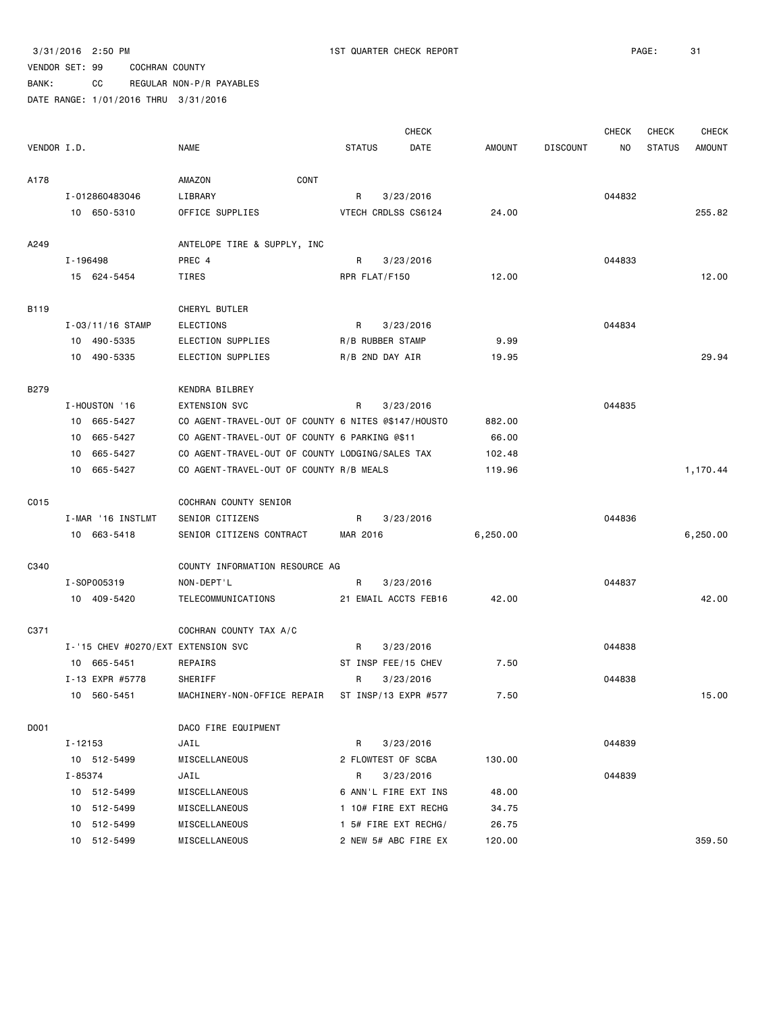BANK: CC REGULAR NON-P/R PAYABLES

|             |          |                                    |                                                     |               |                     | <b>CHECK</b>         |               |                 | <b>CHECK</b> | <b>CHECK</b>  | <b>CHECK</b>  |
|-------------|----------|------------------------------------|-----------------------------------------------------|---------------|---------------------|----------------------|---------------|-----------------|--------------|---------------|---------------|
| VENDOR I.D. |          |                                    | <b>NAME</b>                                         | <b>STATUS</b> |                     | DATE                 | <b>AMOUNT</b> | <b>DISCOUNT</b> | NO.          | <b>STATUS</b> | <b>AMOUNT</b> |
| A178        |          |                                    | AMAZON<br>CONT                                      |               |                     |                      |               |                 |              |               |               |
|             |          | I-012860483046                     | LIBRARY                                             | R             |                     | 3/23/2016            |               |                 | 044832       |               |               |
|             |          | 10 650-5310                        | OFFICE SUPPLIES                                     |               | VTECH CRDLSS CS6124 |                      | 24.00         |                 |              |               | 255.82        |
| A249        |          |                                    | ANTELOPE TIRE & SUPPLY, INC                         |               |                     |                      |               |                 |              |               |               |
|             | I-196498 |                                    | PREC 4                                              | R             |                     | 3/23/2016            |               |                 | 044833       |               |               |
|             |          | 15 624-5454                        | TIRES                                               |               | RPR FLAT/F150       |                      | 12.00         |                 |              |               | 12.00         |
| B119        |          |                                    | CHERYL BUTLER                                       |               |                     |                      |               |                 |              |               |               |
|             |          | $I - 03/11/16$ STAMP               | ELECTIONS                                           | R             | 3/23/2016           |                      |               |                 | 044834       |               |               |
|             |          | 10 490-5335                        | ELECTION SUPPLIES                                   |               | R/B RUBBER STAMP    |                      | 9.99          |                 |              |               |               |
|             |          | 10 490-5335                        | ELECTION SUPPLIES                                   |               | R/B 2ND DAY AIR     |                      | 19.95         |                 |              |               | 29.94         |
| B279        |          |                                    | KENDRA BILBREY                                      |               |                     |                      |               |                 |              |               |               |
|             |          | I-HOUSTON '16                      | <b>EXTENSION SVC</b>                                | R             | 3/23/2016           |                      |               |                 | 044835       |               |               |
|             | 10       | 665-5427                           | CO AGENT-TRAVEL-OUT OF COUNTY 6 NITES @\$147/HOUSTO |               |                     |                      | 882.00        |                 |              |               |               |
|             | 10       | 665-5427                           | CO AGENT-TRAVEL-OUT OF COUNTY 6 PARKING @\$11       |               |                     |                      | 66.00         |                 |              |               |               |
|             | 10       | 665-5427                           | CO AGENT-TRAVEL-OUT OF COUNTY LODGING/SALES TAX     |               |                     |                      | 102.48        |                 |              |               |               |
|             |          | 10 665-5427                        | CO AGENT-TRAVEL-OUT OF COUNTY R/B MEALS             |               |                     |                      | 119.96        |                 |              |               | 1,170.44      |
| C015        |          |                                    | COCHRAN COUNTY SENIOR                               |               |                     |                      |               |                 |              |               |               |
|             |          | I-MAR '16 INSTLMT                  | SENIOR CITIZENS                                     | R             |                     | 3/23/2016            |               |                 | 044836       |               |               |
|             |          | 10 663-5418                        | SENIOR CITIZENS CONTRACT                            | MAR 2016      |                     |                      | 6,250.00      |                 |              |               | 6,250.00      |
| C340        |          |                                    | COUNTY INFORMATION RESOURCE AG                      |               |                     |                      |               |                 |              |               |               |
|             |          | I-S0P005319                        | NON-DEPT'L                                          | R             |                     | 3/23/2016            |               |                 | 044837       |               |               |
|             |          | 10 409-5420                        | TELECOMMUNICATIONS                                  |               |                     | 21 EMAIL ACCTS FEB16 | 42.00         |                 |              |               | 42.00         |
| C371        |          |                                    | COCHRAN COUNTY TAX A/C                              |               |                     |                      |               |                 |              |               |               |
|             |          | I-'15 CHEV #0270/EXT EXTENSION SVC |                                                     | R             |                     | 3/23/2016            |               |                 | 044838       |               |               |
|             | 10       | 665-5451                           | REPAIRS                                             |               | ST INSP FEE/15 CHEV |                      | 7.50          |                 |              |               |               |
|             |          | I-13 EXPR #5778                    | SHERIFF                                             | R             | 3/23/2016           |                      |               |                 | 044838       |               |               |
|             |          | 10 560-5451                        | MACHINERY-NON-OFFICE REPAIR                         |               |                     | ST INSP/13 EXPR #577 | 7.50          |                 |              |               | 15.00         |
| D001        |          |                                    | DACO FIRE EQUIPMENT                                 |               |                     |                      |               |                 |              |               |               |
|             | I-12153  |                                    | JAIL                                                | R             |                     | 3/23/2016            |               |                 | 044839       |               |               |
|             |          | 10 512-5499                        | MISCELLANEOUS                                       |               | 2 FLOWTEST OF SCBA  |                      | 130.00        |                 |              |               |               |
|             | I-85374  |                                    | JAIL                                                | R             |                     | 3/23/2016            |               |                 | 044839       |               |               |
|             |          | 10 512-5499                        | MISCELLANEOUS                                       |               |                     | 6 ANN'L FIRE EXT INS | 48.00         |                 |              |               |               |
|             |          | 10 512-5499                        | MISCELLANEOUS                                       |               |                     | 1 10# FIRE EXT RECHG | 34.75         |                 |              |               |               |
|             |          | 10 512-5499                        | MISCELLANEOUS                                       |               |                     | 1 5# FIRE EXT RECHG/ | 26.75         |                 |              |               |               |
|             |          | 10 512-5499                        | MISCELLANEOUS                                       |               |                     | 2 NEW 5# ABC FIRE EX | 120.00        |                 |              |               | 359.50        |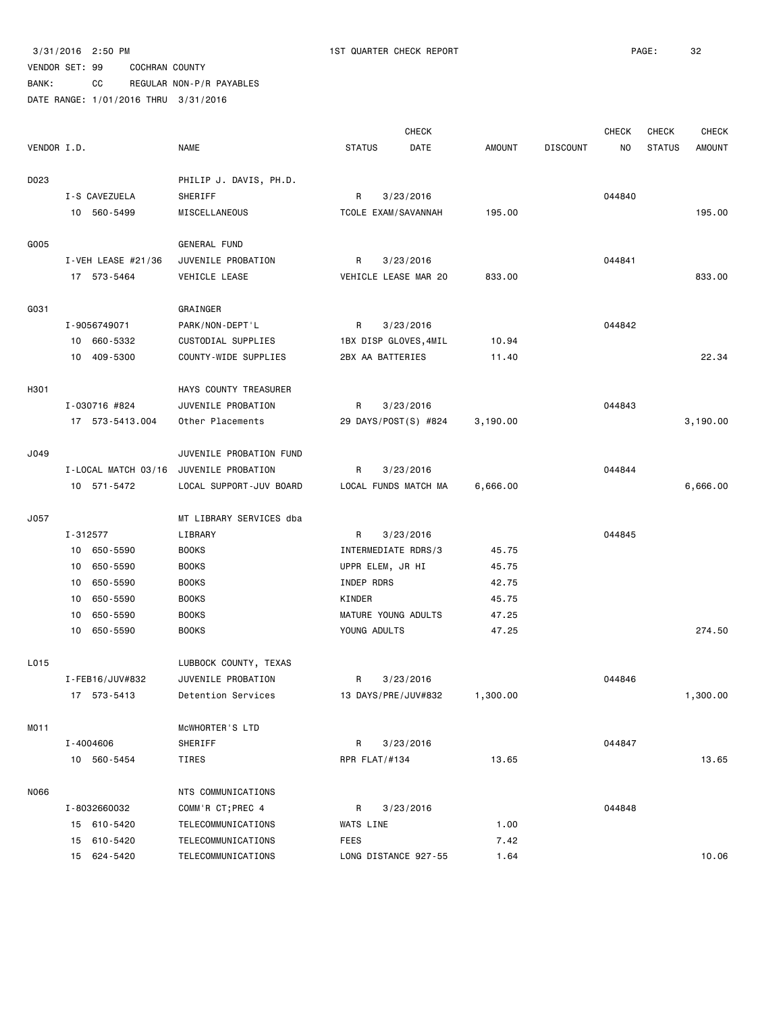BANK: CC REGULAR NON-P/R PAYABLES

|             |    |                        |                         |                  | <b>CHECK</b>          |          |                 | <b>CHECK</b> | <b>CHECK</b>  | <b>CHECK</b> |
|-------------|----|------------------------|-------------------------|------------------|-----------------------|----------|-----------------|--------------|---------------|--------------|
| VENDOR I.D. |    |                        | <b>NAME</b>             | <b>STATUS</b>    | DATE                  | AMOUNT   | <b>DISCOUNT</b> | ΝO           | <b>STATUS</b> | AMOUNT       |
| D023        |    |                        | PHILIP J. DAVIS, PH.D.  |                  |                       |          |                 |              |               |              |
|             |    | I-S CAVEZUELA          | SHERIFF                 | R                | 3/23/2016             |          |                 | 044840       |               |              |
|             |    | 10 560-5499            | MISCELLANEOUS           |                  | TCOLE EXAM/SAVANNAH   | 195.00   |                 |              |               | 195.00       |
| G005        |    |                        | GENERAL FUND            |                  |                       |          |                 |              |               |              |
|             |    | $I - VEH$ LEASE #21/36 | JUVENILE PROBATION      | R                | 3/23/2016             |          |                 | 044841       |               |              |
|             |    | 17 573-5464            | VEHICLE LEASE           |                  | VEHICLE LEASE MAR 20  | 833.00   |                 |              |               | 833.00       |
| G031        |    |                        | GRAINGER                |                  |                       |          |                 |              |               |              |
|             |    | I-9056749071           | PARK/NON-DEPT'L         | R                | 3/23/2016             |          |                 | 044842       |               |              |
|             |    | 10 660-5332            | CUSTODIAL SUPPLIES      |                  | 1BX DISP GLOVES, 4MIL | 10.94    |                 |              |               |              |
|             |    | 10 409-5300            | COUNTY-WIDE SUPPLIES    | 2BX AA BATTERIES |                       | 11.40    |                 |              |               | 22.34        |
| H301        |    |                        | HAYS COUNTY TREASURER   |                  |                       |          |                 |              |               |              |
|             |    | I-030716 #824          | JUVENILE PROBATION      | R                | 3/23/2016             |          |                 | 044843       |               |              |
|             |    | 17 573-5413.004        | Other Placements        |                  | 29 DAYS/POST(S) #824  | 3,190.00 |                 |              |               | 3,190.00     |
| J049        |    |                        | JUVENILE PROBATION FUND |                  |                       |          |                 |              |               |              |
|             |    | I-LOCAL MATCH 03/16    | JUVENILE PROBATION      | R                | 3/23/2016             |          |                 | 044844       |               |              |
|             |    | 10 571-5472            | LOCAL SUPPORT-JUV BOARD |                  | LOCAL FUNDS MATCH MA  | 6,666.00 |                 |              |               | 6,666.00     |
| J057        |    |                        | MT LIBRARY SERVICES dba |                  |                       |          |                 |              |               |              |
|             |    | I-312577               | LIBRARY                 | R                | 3/23/2016             |          |                 | 044845       |               |              |
|             |    | 10 650-5590            | <b>BOOKS</b>            |                  | INTERMEDIATE RDRS/3   | 45.75    |                 |              |               |              |
|             | 10 | 650-5590               | <b>BOOKS</b>            | UPPR ELEM, JR HI |                       | 45.75    |                 |              |               |              |
|             | 10 | 650-5590               | <b>BOOKS</b>            | INDEP RDRS       |                       | 42.75    |                 |              |               |              |
|             | 10 | 650-5590               | <b>BOOKS</b>            | KINDER           |                       | 45.75    |                 |              |               |              |
|             | 10 | 650-5590               | <b>BOOKS</b>            |                  | MATURE YOUNG ADULTS   | 47.25    |                 |              |               |              |
|             |    | 10 650-5590            | <b>BOOKS</b>            | YOUNG ADULTS     |                       | 47.25    |                 |              |               | 274.50       |
| L015        |    |                        | LUBBOCK COUNTY, TEXAS   |                  |                       |          |                 |              |               |              |
|             |    | I-FEB16/JUV#832        | JUVENILE PROBATION      | R                | 3/23/2016             |          |                 | 044846       |               |              |
|             |    | 17 573-5413            | Detention Services      |                  | 13 DAYS/PRE/JUV#832   | 1,300.00 |                 |              |               | 1,300.00     |
| MO11        |    |                        | MCWHORTER'S LTD         |                  |                       |          |                 |              |               |              |
|             |    | I-4004606              | SHERIFF                 | R                | 3/23/2016             |          |                 | 044847       |               |              |
|             |    | 10 560-5454            | TIRES                   | RPR FLAT/#134    |                       | 13.65    |                 |              |               | 13.65        |
| N066        |    |                        | NTS COMMUNICATIONS      |                  |                       |          |                 |              |               |              |
|             |    | I-8032660032           | COMM'R CT; PREC 4       | R                | 3/23/2016             |          |                 | 044848       |               |              |
|             |    | 15 610-5420            | TELECOMMUNICATIONS      | WATS LINE        |                       | 1.00     |                 |              |               |              |
|             |    | 15 610-5420            | TELECOMMUNICATIONS      | FEES             |                       | 7.42     |                 |              |               |              |
|             |    | 15 624-5420            | TELECOMMUNICATIONS      |                  | LONG DISTANCE 927-55  | 1.64     |                 |              |               | 10.06        |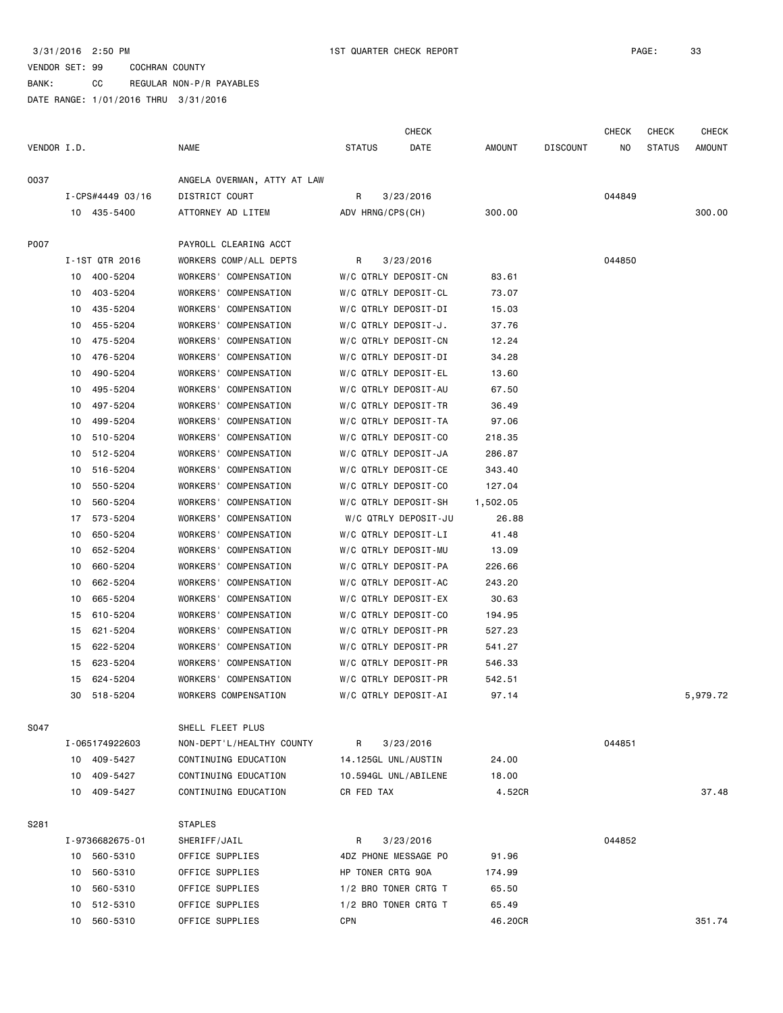#### VENDOR SET: 99 COCHRAN COUNTY BANK: CC REGULAR NON-P/R PAYABLES DATE RANGE: 1/01/2016 THRU 3/31/2016

 CHECK CHECK CHECK CHECK VENDOR I.D. NAME STATUS DATE AMOUNT DISCOUNT NO STATUS AMOUNT O037 ANGELA OVERMAN, ATTY AT LAW I-CPS#4449 03/16 DISTRICT COURT R 3/23/2016 044849 10 435-5400 ATTORNEY AD LITEM ADV HRNG/CPS(CH) 300.00 300.00 P007 PAYROLL CLEARING ACCT I-1ST QTR 2016 WORKERS COMP/ALL DEPTS R 3/23/2016 044850 10 400-5204 WORKERS' COMPENSATION W/C QTRLY DEPOSIT-CN 83.61 10 403-5204 WORKERS' COMPENSATION W/C QTRLY DEPOSIT-CL 73.07 10 435-5204 WORKERS' COMPENSATION W/C QTRLY DEPOSIT-DI 15.03 10 455-5204 WORKERS' COMPENSATION W/C QTRLY DEPOSIT-J. 37.76 10 475-5204 WORKERS' COMPENSATION W/C QTRLY DEPOSIT-CN 12.24 10 476-5204 WORKERS' COMPENSATION W/C QTRLY DEPOSIT-DI 34.28 10 490-5204 WORKERS' COMPENSATION W/C QTRLY DEPOSIT-EL 13.60 10 495-5204 WORKERS' COMPENSATION W/C QTRLY DEPOSIT-AU 67.50 10 497-5204 WORKERS' COMPENSATION W/C QTRLY DEPOSIT-TR 36.49 10 499-5204 WORKERS' COMPENSATION W/C QTRLY DEPOSIT-TA 97.06 10 510-5204 WORKERS' COMPENSATION W/C QTRLY DEPOSIT-CO 218.35 10 512-5204 WORKERS' COMPENSATION W/C QTRLY DEPOSIT-JA 286.87 10 516-5204 WORKERS' COMPENSATION W/C QTRLY DEPOSIT-CE 343.40 10 550-5204 WORKERS' COMPENSATION W/C QTRLY DEPOSIT-CO 127.04 10 560-5204 WORKERS' COMPENSATION W/C QTRLY DEPOSIT-SH 1,502.05 17 573-5204 WORKERS' COMPENSATION W/C QTRLY DEPOSIT-JU 26.88 10 650-5204 WORKERS' COMPENSATION W/C QTRLY DEPOSIT-LI 41.48 10 652-5204 WORKERS' COMPENSATION W/C QTRLY DEPOSIT-MU 13.09 10 660-5204 WORKERS' COMPENSATION W/C QTRLY DEPOSIT-PA 226.66 10 662-5204 WORKERS' COMPENSATION W/C QTRLY DEPOSIT-AC 243.20 10 665-5204 WORKERS' COMPENSATION W/C QTRLY DEPOSIT-EX 30.63 15 610-5204 WORKERS' COMPENSATION W/C QTRLY DEPOSIT-CO 194.95 15 621-5204 WORKERS' COMPENSATION W/C QTRLY DEPOSIT-PR 527.23 15 622-5204 WORKERS' COMPENSATION W/C QTRLY DEPOSIT-PR 541.27 15 623-5204 WORKERS' COMPENSATION W/C QTRLY DEPOSIT-PR 546.33 15 624-5204 WORKERS' COMPENSATION W/C QTRLY DEPOSIT-PR 542.51 30 518-5204 WORKERS COMPENSATION W/C QTRLY DEPOSIT-AI 97.14 5,979.72 S047 SHELL FLEET PLUS I-065174922603 NON-DEPT'L/HEALTHY COUNTY R 3/23/2016 044851 10 409-5427 CONTINUING EDUCATION 14.125GL UNL/AUSTIN 24.00 10 409-5427 CONTINUING EDUCATION 10.594GL UNL/ABILENE 18.00 10 409-5427 CONTINUING EDUCATION CR FED TAX 4.52CR 37.48 S281 STAPLES I-9736682675-01 SHERIFF/JAIL R 3/23/2016 044852 10 560-5310 OFFICE SUPPLIES 4DZ PHONE MESSAGE PO 91.96 10 560-5310 OFFICE SUPPLIES HP TONER CRTG 90A 174.99 10 560-5310 OFFICE SUPPLIES 1/2 BRO TONER CRTG T 65.50 10 512-5310 OFFICE SUPPLIES 1/2 BRO TONER CRTG T 65.49 10 560-5310 OFFICE SUPPLIES CPN 46.20CR 351.74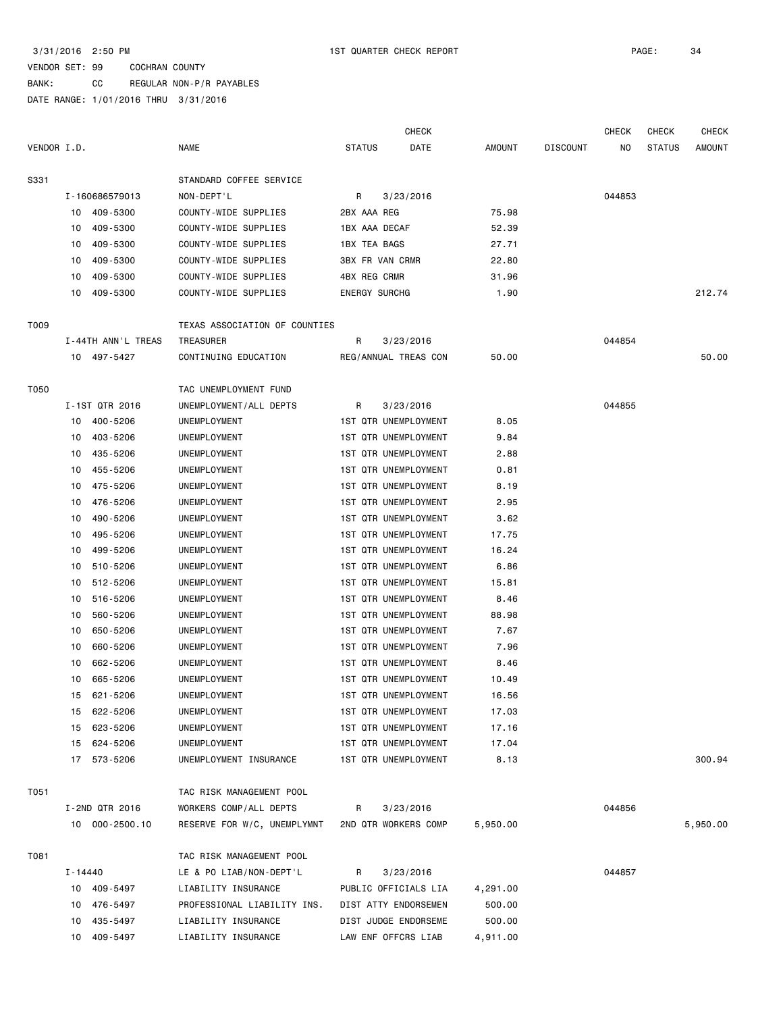BANK: CC REGULAR NON-P/R PAYABLES

|             |           |                    |                               |                             | <b>CHECK</b>         |          |                 | <b>CHECK</b> | <b>CHECK</b>  | <b>CHECK</b>  |
|-------------|-----------|--------------------|-------------------------------|-----------------------------|----------------------|----------|-----------------|--------------|---------------|---------------|
| VENDOR I.D. |           |                    | <b>NAME</b>                   | <b>STATUS</b>               | DATE                 | AMOUNT   | <b>DISCOUNT</b> | NO           | <b>STATUS</b> | <b>AMOUNT</b> |
| S331        |           |                    | STANDARD COFFEE SERVICE       |                             |                      |          |                 |              |               |               |
|             |           | I-160686579013     | NON-DEPT'L                    | R                           | 3/23/2016            |          |                 | 044853       |               |               |
|             | 10        | 409-5300           | COUNTY-WIDE SUPPLIES          | 2BX AAA REG                 |                      | 75.98    |                 |              |               |               |
|             | 10        | 409-5300           | COUNTY-WIDE SUPPLIES          | 1BX AAA DECAF               |                      | 52.39    |                 |              |               |               |
|             | 10        | 409-5300           | COUNTY-WIDE SUPPLIES          | <b>1BX TEA BAGS</b>         |                      | 27.71    |                 |              |               |               |
|             | 10        | 409-5300           | COUNTY-WIDE SUPPLIES          | <b>3BX FR VAN CRMR</b>      |                      | 22.80    |                 |              |               |               |
|             | 10        | 409-5300           | COUNTY-WIDE SUPPLIES          | 4BX REG CRMR                |                      | 31.96    |                 |              |               |               |
|             | 10        | 409-5300           | COUNTY-WIDE SUPPLIES          | <b>ENERGY SURCHG</b>        |                      | 1.90     |                 |              |               | 212.74        |
| T009        |           |                    | TEXAS ASSOCIATION OF COUNTIES |                             |                      |          |                 |              |               |               |
|             |           | I-44TH ANN'L TREAS | TREASURER                     | R                           | 3/23/2016            |          |                 | 044854       |               |               |
|             |           | 10 497-5427        | CONTINUING EDUCATION          | REG/ANNUAL TREAS CON        |                      | 50.00    |                 |              |               | 50.00         |
| T050        |           |                    | TAC UNEMPLOYMENT FUND         |                             |                      |          |                 |              |               |               |
|             |           | I-1ST QTR 2016     | UNEMPLOYMENT/ALL DEPTS        | R.                          | 3/23/2016            |          |                 | 044855       |               |               |
|             | 10        | 400-5206           | UNEMPLOYMENT                  | <b>1ST QTR UNEMPLOYMENT</b> |                      | 8.05     |                 |              |               |               |
|             | 10        | 403-5206           | UNEMPLOYMENT                  | <b>1ST QTR UNEMPLOYMENT</b> |                      | 9.84     |                 |              |               |               |
|             | 10        | 435-5206           | UNEMPLOYMENT                  | 1ST QTR UNEMPLOYMENT        |                      | 2.88     |                 |              |               |               |
|             | 10        | 455-5206           | UNEMPLOYMENT                  | 1ST QTR UNEMPLOYMENT        |                      | 0.81     |                 |              |               |               |
|             | 10        | 475-5206           | UNEMPLOYMENT                  | 1ST QTR UNEMPLOYMENT        |                      | 8.19     |                 |              |               |               |
|             | 10        | 476-5206           | UNEMPLOYMENT                  | 1ST QTR UNEMPLOYMENT        |                      | 2.95     |                 |              |               |               |
|             | 10        | 490-5206           | UNEMPLOYMENT                  | 1ST QTR UNEMPLOYMENT        |                      | 3.62     |                 |              |               |               |
|             | 10        | 495-5206           | UNEMPLOYMENT                  | 1ST QTR UNEMPLOYMENT        |                      | 17.75    |                 |              |               |               |
|             | 10        | 499-5206           | UNEMPLOYMENT                  | 1ST QTR UNEMPLOYMENT        |                      | 16.24    |                 |              |               |               |
|             | 10        | 510-5206           | UNEMPLOYMENT                  | 1ST QTR UNEMPLOYMENT        |                      | 6.86     |                 |              |               |               |
|             | 10        | 512-5206           | UNEMPLOYMENT                  | 1ST QTR UNEMPLOYMENT        |                      | 15.81    |                 |              |               |               |
|             | 10        | 516-5206           | UNEMPLOYMENT                  | 1ST QTR UNEMPLOYMENT        |                      | 8.46     |                 |              |               |               |
|             | 10        | 560-5206           | UNEMPLOYMENT                  | 1ST QTR UNEMPLOYMENT        |                      | 88.98    |                 |              |               |               |
|             | 10        | 650-5206           | UNEMPLOYMENT                  | 1ST QTR UNEMPLOYMENT        |                      | 7.67     |                 |              |               |               |
|             | 10        | 660-5206           | UNEMPLOYMENT                  | 1ST QTR UNEMPLOYMENT        |                      | 7.96     |                 |              |               |               |
|             | 10        | 662-5206           | UNEMPLOYMENT                  | 1ST QTR UNEMPLOYMENT        |                      | 8.46     |                 |              |               |               |
|             | 10        | 665-5206           | UNEMPLOYMENT                  | 1ST QTR UNEMPLOYMENT        |                      | 10.49    |                 |              |               |               |
|             |           | 15 621-5206        | UNEMPLOYMENT                  |                             | 1ST QTR UNEMPLOYMENT | 16.56    |                 |              |               |               |
|             |           | 15 622-5206        | UNEMPLOYMENT                  | 1ST QTR UNEMPLOYMENT        |                      | 17.03    |                 |              |               |               |
|             |           | 15 623-5206        | UNEMPLOYMENT                  | 1ST QTR UNEMPLOYMENT        |                      | 17.16    |                 |              |               |               |
|             |           | 15 624-5206        | UNEMPLOYMENT                  | 1ST QTR UNEMPLOYMENT        |                      | 17.04    |                 |              |               |               |
|             |           | 17 573-5206        | UNEMPLOYMENT INSURANCE        | 1ST QTR UNEMPLOYMENT        |                      | 8.13     |                 |              |               | 300.94        |
| T051        |           |                    | TAC RISK MANAGEMENT POOL      |                             |                      |          |                 |              |               |               |
|             |           | I-2ND QTR 2016     | WORKERS COMP/ALL DEPTS        | R                           | 3/23/2016            |          |                 | 044856       |               |               |
|             |           | 10 000-2500.10     | RESERVE FOR W/C, UNEMPLYMNT   | 2ND QTR WORKERS COMP        |                      | 5,950.00 |                 |              |               | 5,950.00      |
| T081        |           |                    | TAC RISK MANAGEMENT POOL      |                             |                      |          |                 |              |               |               |
|             | I - 14440 |                    | LE & PO LIAB/NON-DEPT'L       | R                           | 3/23/2016            |          |                 | 044857       |               |               |
|             |           | 10 409-5497        | LIABILITY INSURANCE           | PUBLIC OFFICIALS LIA        |                      | 4,291.00 |                 |              |               |               |
|             |           | 10 476-5497        | PROFESSIONAL LIABILITY INS.   | DIST ATTY ENDORSEMEN        |                      | 500.00   |                 |              |               |               |
|             | 10        | 435-5497           | LIABILITY INSURANCE           | DIST JUDGE ENDORSEME        |                      | 500.00   |                 |              |               |               |
|             |           | 10 409-5497        | LIABILITY INSURANCE           | LAW ENF OFFCRS LIAB         |                      | 4,911.00 |                 |              |               |               |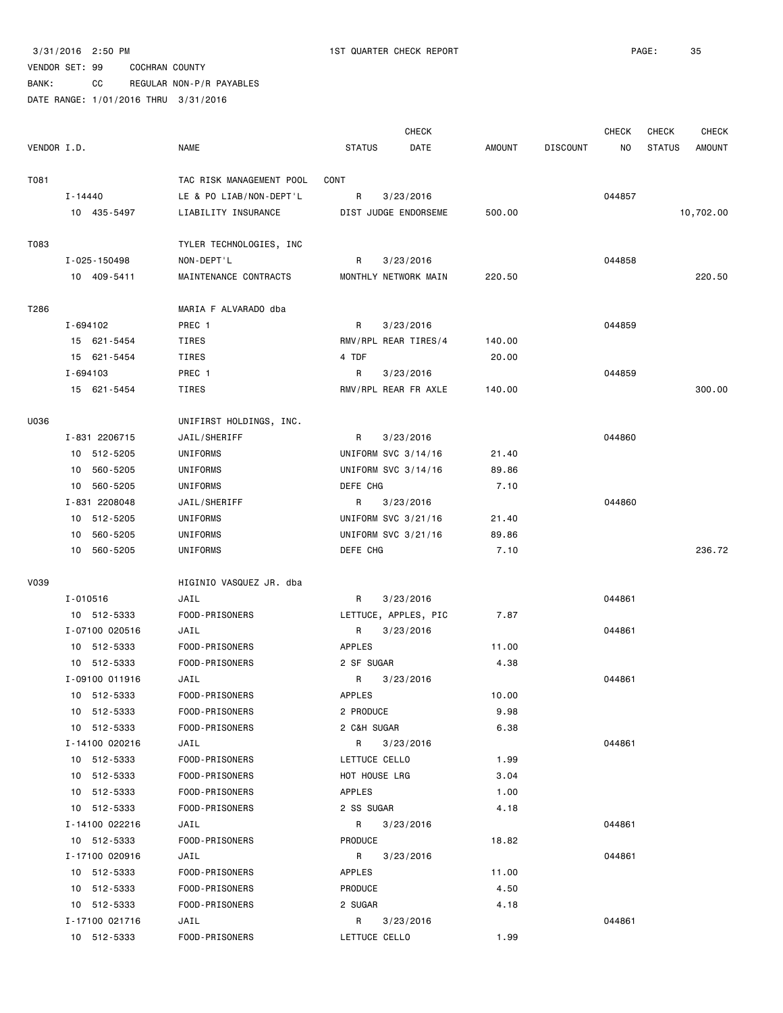BANK: CC REGULAR NON-P/R PAYABLES

|             |                |                          |                     | <b>CHECK</b>         |               |                 | <b>CHECK</b> | CHECK         | <b>CHECK</b>  |
|-------------|----------------|--------------------------|---------------------|----------------------|---------------|-----------------|--------------|---------------|---------------|
| VENDOR I.D. |                | <b>NAME</b>              | <b>STATUS</b>       | DATE                 | <b>AMOUNT</b> | <b>DISCOUNT</b> | ΝO           | <b>STATUS</b> | <b>AMOUNT</b> |
| T081        |                | TAC RISK MANAGEMENT POOL | CONT                |                      |               |                 |              |               |               |
|             | I-14440        | LE & PO LIAB/NON-DEPT'L  | R                   | 3/23/2016            |               |                 | 044857       |               |               |
|             | 10 435-5497    | LIABILITY INSURANCE      |                     | DIST JUDGE ENDORSEME | 500.00        |                 |              |               | 10,702.00     |
|             |                |                          |                     |                      |               |                 |              |               |               |
| T083        |                | TYLER TECHNOLOGIES, INC  |                     |                      |               |                 |              |               |               |
|             | I-025-150498   | NON-DEPT'L               | R                   | 3/23/2016            |               |                 | 044858       |               |               |
|             | 10 409-5411    | MAINTENANCE CONTRACTS    |                     | MONTHLY NETWORK MAIN | 220.50        |                 |              |               | 220.50        |
| T286        |                | MARIA F ALVARADO dba     |                     |                      |               |                 |              |               |               |
|             | I-694102       | PREC 1                   | R                   | 3/23/2016            |               |                 | 044859       |               |               |
|             | 15 621-5454    | TIRES                    |                     | RMV/RPL REAR TIRES/4 | 140.00        |                 |              |               |               |
|             | 15 621-5454    | TIRES                    | 4 TDF               |                      | 20.00         |                 |              |               |               |
|             | I-694103       | PREC 1                   | R                   | 3/23/2016            |               |                 | 044859       |               |               |
|             | 15 621-5454    | TIRES                    |                     | RMV/RPL REAR FR AXLE | 140.00        |                 |              |               | 300.00        |
|             |                |                          |                     |                      |               |                 |              |               |               |
| U036        |                | UNIFIRST HOLDINGS, INC.  |                     |                      |               |                 |              |               |               |
|             | I-831 2206715  | JAIL/SHERIFF             | R                   | 3/23/2016            |               |                 | 044860       |               |               |
|             | 10 512-5205    | UNIFORMS                 | UNIFORM SVC 3/14/16 |                      | 21.40         |                 |              |               |               |
|             | 10 560-5205    | UNIFORMS                 | UNIFORM SVC 3/14/16 |                      | 89.86         |                 |              |               |               |
|             | 10 560-5205    | UNIFORMS                 | DEFE CHG            |                      | 7.10          |                 |              |               |               |
|             | I-831 2208048  | JAIL/SHERIFF             | R                   | 3/23/2016            |               |                 | 044860       |               |               |
|             | 10 512-5205    | UNIFORMS                 | UNIFORM SVC 3/21/16 |                      | 21.40         |                 |              |               |               |
|             | 560-5205<br>10 | UNIFORMS                 | UNIFORM SVC 3/21/16 |                      | 89.86         |                 |              |               |               |
|             | 10 560-5205    | UNIFORMS                 | DEFE CHG            |                      | 7.10          |                 |              |               | 236.72        |
| <b>V039</b> |                | HIGINIO VASQUEZ JR. dba  |                     |                      |               |                 |              |               |               |
|             | I-010516       | JAIL                     | R                   | 3/23/2016            |               |                 | 044861       |               |               |
|             | 10 512-5333    | FOOD-PRISONERS           |                     | LETTUCE, APPLES, PIC | 7.87          |                 |              |               |               |
|             | I-07100 020516 | JAIL                     | R                   | 3/23/2016            |               |                 | 044861       |               |               |
|             | 10 512-5333    | FOOD-PRISONERS           | APPLES              |                      | 11.00         |                 |              |               |               |
|             | 10 512-5333    | FOOD-PRISONERS           | 2 SF SUGAR          |                      | 4.38          |                 |              |               |               |
|             | I-09100 011916 | JAIL                     | R                   | 3/23/2016            |               |                 | 044861       |               |               |
|             | 10 512-5333    | FOOD-PRISONERS           | <b>APPLES</b>       |                      | 10.00         |                 |              |               |               |
|             | 10 512-5333    | FOOD-PRISONERS           | 2 PRODUCE           |                      | 9.98          |                 |              |               |               |
|             | 10 512-5333    | FOOD-PRISONERS           | 2 C&H SUGAR         |                      | 6.38          |                 |              |               |               |
|             | I-14100 020216 | JAIL                     | R                   | 3/23/2016            |               |                 | 044861       |               |               |
|             | 10 512-5333    | FOOD-PRISONERS           | LETTUCE CELLO       |                      | 1.99          |                 |              |               |               |
|             | 10 512-5333    | FOOD-PRISONERS           | HOT HOUSE LRG       |                      | 3.04          |                 |              |               |               |
|             | 10 512-5333    | FOOD-PRISONERS           | APPLES              |                      | 1.00          |                 |              |               |               |
|             | 10 512-5333    | FOOD-PRISONERS           | 2 SS SUGAR          |                      | 4.18          |                 |              |               |               |
|             | I-14100 022216 | JAIL                     | R                   | 3/23/2016            |               |                 | 044861       |               |               |
|             | 10 512-5333    | FOOD-PRISONERS           | PRODUCE             |                      | 18.82         |                 |              |               |               |
|             | I-17100 020916 | JAIL                     | R                   | 3/23/2016            |               |                 | 044861       |               |               |
|             | 10 512-5333    | FOOD-PRISONERS           | APPLES              |                      | 11.00         |                 |              |               |               |
|             | 10 512-5333    | FOOD-PRISONERS           | PRODUCE             |                      | 4.50          |                 |              |               |               |
|             | 10 512-5333    | FOOD-PRISONERS           | 2 SUGAR             |                      | 4.18          |                 |              |               |               |
|             | I-17100 021716 | JAIL                     | R                   | 3/23/2016            |               |                 | 044861       |               |               |
|             | 10 512-5333    | FOOD-PRISONERS           | LETTUCE CELLO       |                      | 1.99          |                 |              |               |               |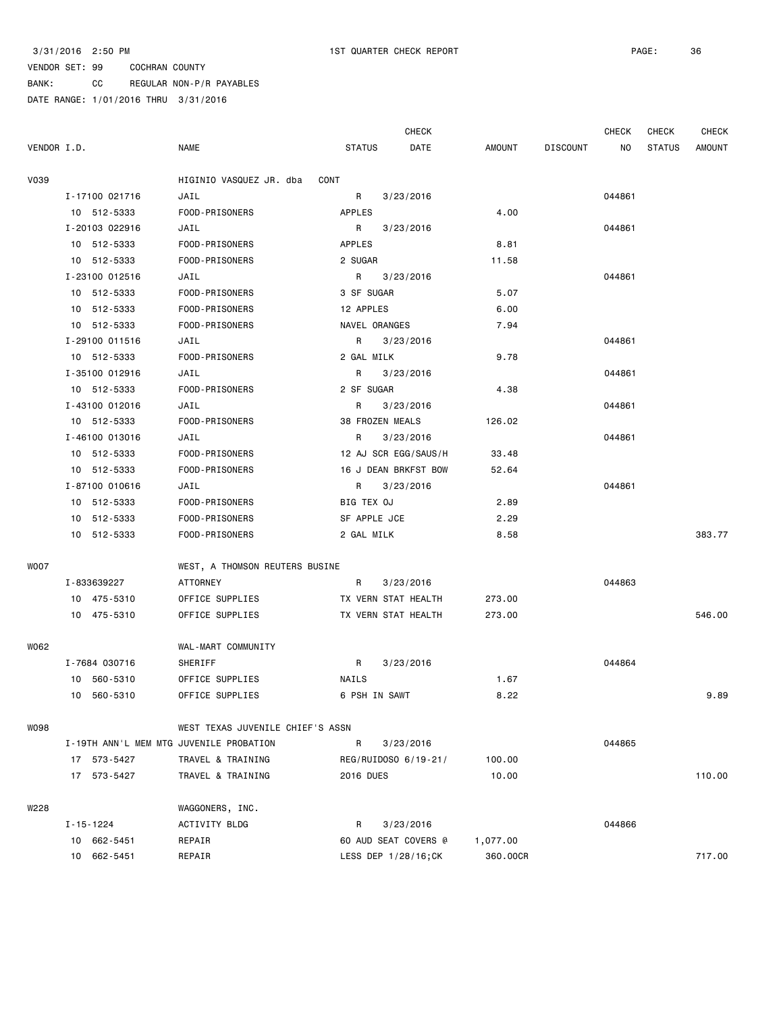BANK: CC REGULAR NON-P/R PAYABLES

|             |                 |                |                                         |                      | <b>CHECK</b> |               |                 | <b>CHECK</b> | <b>CHECK</b>  | <b>CHECK</b>  |
|-------------|-----------------|----------------|-----------------------------------------|----------------------|--------------|---------------|-----------------|--------------|---------------|---------------|
| VENDOR I.D. |                 |                | <b>NAME</b>                             | <b>STATUS</b>        | DATE         | <b>AMOUNT</b> | <b>DISCOUNT</b> | NO           | <b>STATUS</b> | <b>AMOUNT</b> |
| <b>V039</b> |                 |                | HIGINIO VASQUEZ JR. dba                 | CONT                 |              |               |                 |              |               |               |
|             |                 | I-17100 021716 | JAIL                                    | R                    | 3/23/2016    |               |                 | 044861       |               |               |
|             |                 | 10 512-5333    | FOOD-PRISONERS                          | APPLES               |              | 4.00          |                 |              |               |               |
|             |                 | I-20103 022916 | JAIL                                    | R                    | 3/23/2016    |               |                 | 044861       |               |               |
|             |                 | 10 512-5333    | FOOD-PRISONERS                          | APPLES               |              | 8.81          |                 |              |               |               |
|             |                 | 10 512-5333    | FOOD-PRISONERS                          | 2 SUGAR              |              | 11.58         |                 |              |               |               |
|             |                 | I-23100 012516 | JAIL                                    | R                    | 3/23/2016    |               |                 | 044861       |               |               |
|             |                 | 10 512-5333    | FOOD-PRISONERS                          | 3 SF SUGAR           |              | 5.07          |                 |              |               |               |
|             |                 | 10 512-5333    | FOOD-PRISONERS                          | 12 APPLES            |              | 6.00          |                 |              |               |               |
|             |                 | 10 512-5333    | FOOD-PRISONERS                          | NAVEL ORANGES        |              | 7.94          |                 |              |               |               |
|             |                 | I-29100 011516 | JAIL                                    | R                    | 3/23/2016    |               |                 | 044861       |               |               |
|             |                 | 10 512-5333    | FOOD-PRISONERS                          | 2 GAL MILK           |              | 9.78          |                 |              |               |               |
|             |                 | I-35100 012916 | JAIL                                    | R                    | 3/23/2016    |               |                 | 044861       |               |               |
|             | 10 512-5333     |                | FOOD-PRISONERS                          | 2 SF SUGAR           |              | 4.38          |                 |              |               |               |
|             |                 | I-43100 012016 | JAIL                                    | R                    | 3/23/2016    |               |                 | 044861       |               |               |
|             | 10 512-5333     |                | FOOD-PRISONERS                          | 38 FROZEN MEALS      |              | 126.02        |                 |              |               |               |
|             |                 | I-46100 013016 | JAIL                                    | R                    | 3/23/2016    |               |                 | 044861       |               |               |
|             |                 | 10 512-5333    | FOOD-PRISONERS                          | 12 AJ SCR EGG/SAUS/H |              | 33.48         |                 |              |               |               |
|             |                 | 10 512-5333    | FOOD-PRISONERS                          | 16 J DEAN BRKFST BOW |              | 52.64         |                 |              |               |               |
|             |                 | I-87100 010616 | JAIL                                    | R                    | 3/23/2016    |               |                 | 044861       |               |               |
|             |                 | 10 512-5333    | FOOD-PRISONERS                          | BIG TEX OJ           |              | 2.89          |                 |              |               |               |
|             |                 | 10 512-5333    | FOOD-PRISONERS                          | SF APPLE JCE         |              | 2.29          |                 |              |               |               |
|             |                 | 10 512-5333    | FOOD-PRISONERS                          | 2 GAL MILK           |              | 8.58          |                 |              |               | 383.77        |
| <b>WOO7</b> |                 |                | WEST, A THOMSON REUTERS BUSINE          |                      |              |               |                 |              |               |               |
|             | I-833639227     |                | ATTORNEY                                | R                    | 3/23/2016    |               |                 | 044863       |               |               |
|             |                 | 10 475-5310    | OFFICE SUPPLIES                         | TX VERN STAT HEALTH  |              | 273.00        |                 |              |               |               |
|             |                 | 10 475-5310    | OFFICE SUPPLIES                         | TX VERN STAT HEALTH  |              | 273.00        |                 |              |               | 546.00        |
| W062        |                 |                | WAL-MART COMMUNITY                      |                      |              |               |                 |              |               |               |
|             | I-7684 030716   |                | SHERIFF                                 | R                    | 3/23/2016    |               |                 | 044864       |               |               |
|             |                 | 10 560-5310    | OFFICE SUPPLIES                         | NAILS                |              | 1.67          |                 |              |               |               |
|             | 10 560-5310     |                | OFFICE SUPPLIES                         | 6 PSH IN SAWT        |              | 8.22          |                 |              |               | 9.89          |
| <b>WO98</b> |                 |                | WEST TEXAS JUVENILE CHIEF'S ASSN        |                      |              |               |                 |              |               |               |
|             |                 |                | I-19TH ANN'L MEM MTG JUVENILE PROBATION | R                    | 3/23/2016    |               |                 | 044865       |               |               |
|             |                 | 17 573-5427    | TRAVEL & TRAINING                       | REG/RUIDOSO 6/19-21/ |              | 100.00        |                 |              |               |               |
|             |                 | 17 573-5427    | TRAVEL & TRAINING                       | 2016 DUES            |              | 10.00         |                 |              |               | 110.00        |
| W228        |                 |                | WAGGONERS, INC.                         |                      |              |               |                 |              |               |               |
|             | $I - 15 - 1224$ |                | ACTIVITY BLDG                           | R                    | 3/23/2016    |               |                 | 044866       |               |               |
|             | 10 662-5451     |                | REPAIR                                  | 60 AUD SEAT COVERS @ |              | 1,077.00      |                 |              |               |               |
|             | 10              | 662-5451       | REPAIR                                  | LESS DEP 1/28/16;CK  |              | 360.00CR      |                 |              |               | 717.00        |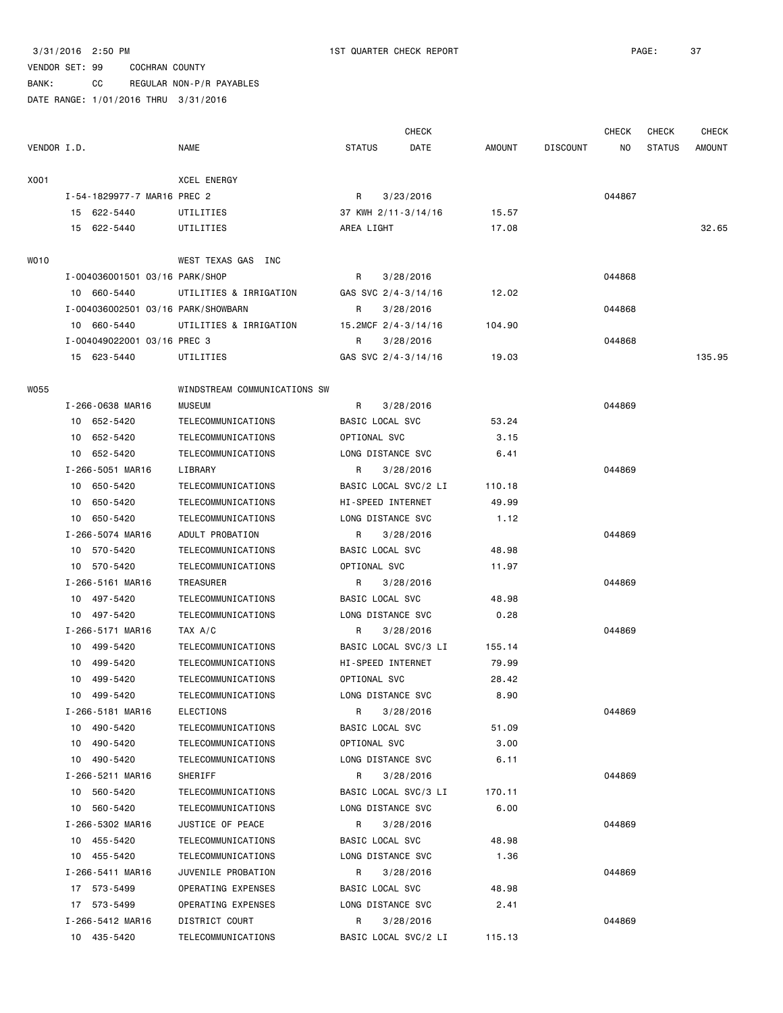### VENDOR SET: 99 COCHRAN COUNTY BANK: CC REGULAR NON-P/R PAYABLES

|             |                                    |                              |                      | <b>CHECK</b> |               |                 | <b>CHECK</b> | CHECK         | CHECK  |
|-------------|------------------------------------|------------------------------|----------------------|--------------|---------------|-----------------|--------------|---------------|--------|
| VENDOR I.D. |                                    | NAME                         | <b>STATUS</b>        | DATE         | <b>AMOUNT</b> | <b>DISCOUNT</b> | NO.          | <b>STATUS</b> | AMOUNT |
| X001        |                                    | XCEL ENERGY                  |                      |              |               |                 |              |               |        |
|             | I-54-1829977-7 MAR16 PREC 2        |                              | R                    | 3/23/2016    |               |                 | 044867       |               |        |
|             | 15 622-5440                        | UTILITIES                    | 37 KWH 2/11-3/14/16  |              | 15.57         |                 |              |               |        |
|             | 15 622-5440                        | UTILITIES                    | AREA LIGHT           |              | 17.08         |                 |              |               | 32.65  |
|             |                                    |                              |                      |              |               |                 |              |               |        |
| W010        |                                    | WEST TEXAS GAS INC           |                      |              |               |                 |              |               |        |
|             | I-004036001501 03/16 PARK/SHOP     |                              | R                    | 3/28/2016    |               |                 | 044868       |               |        |
|             | 10 660-5440                        | UTILITIES & IRRIGATION       | GAS SVC 2/4-3/14/16  |              | 12.02         |                 |              |               |        |
|             | I-004036002501 03/16 PARK/SHOWBARN |                              | R                    | 3/28/2016    |               |                 | 044868       |               |        |
|             | 10 660-5440                        | UTILITIES & IRRIGATION       | 15.2MCF 2/4-3/14/16  |              | 104.90        |                 |              |               |        |
|             | I-004049022001 03/16 PREC 3        |                              | R                    | 3/28/2016    |               |                 | 044868       |               |        |
|             | 15 623-5440                        | UTILITIES                    | GAS SVC 2/4-3/14/16  |              | 19.03         |                 |              |               | 135.95 |
| <b>W055</b> |                                    | WINDSTREAM COMMUNICATIONS SW |                      |              |               |                 |              |               |        |
|             | I-266-0638 MAR16                   | <b>MUSEUM</b>                | R                    | 3/28/2016    |               |                 | 044869       |               |        |
|             | 10 652-5420                        | TELECOMMUNICATIONS           | BASIC LOCAL SVC      |              | 53.24         |                 |              |               |        |
|             | 652-5420<br>10                     | TELECOMMUNICATIONS           | OPTIONAL SVC         |              | 3.15          |                 |              |               |        |
|             | 652-5420<br>10                     | TELECOMMUNICATIONS           | LONG DISTANCE SVC    |              | 6.41          |                 |              |               |        |
|             | I-266-5051 MAR16                   | LIBRARY                      | R                    | 3/28/2016    |               |                 | 044869       |               |        |
|             | 650-5420<br>10                     | TELECOMMUNICATIONS           | BASIC LOCAL SVC/2 LI |              | 110.18        |                 |              |               |        |
|             | 650-5420<br>10                     | TELECOMMUNICATIONS           | HI-SPEED INTERNET    |              | 49.99         |                 |              |               |        |
|             | 650-5420<br>10                     | TELECOMMUNICATIONS           | LONG DISTANCE SVC    |              | 1.12          |                 |              |               |        |
|             | I-266-5074 MAR16                   | ADULT PROBATION              | R                    | 3/28/2016    |               |                 | 044869       |               |        |
|             | 10 570-5420                        | TELECOMMUNICATIONS           | BASIC LOCAL SVC      |              | 48.98         |                 |              |               |        |
|             | 570-5420<br>10                     | TELECOMMUNICATIONS           | OPTIONAL SVC         |              | 11.97         |                 |              |               |        |
|             | I-266-5161 MAR16                   | TREASURER                    | R                    | 3/28/2016    |               |                 | 044869       |               |        |
|             | 10 497-5420                        | TELECOMMUNICATIONS           | BASIC LOCAL SVC      |              | 48.98         |                 |              |               |        |
|             | 10 497-5420                        | TELECOMMUNICATIONS           | LONG DISTANCE SVC    |              | 0.28          |                 |              |               |        |
|             | I-266-5171 MAR16                   | TAX A/C                      | R                    | 3/28/2016    |               |                 | 044869       |               |        |
|             | 499-5420<br>10                     | TELECOMMUNICATIONS           | BASIC LOCAL SVC/3 LI |              | 155.14        |                 |              |               |        |
|             | 499-5420<br>10                     | TELECOMMUNICATIONS           | HI-SPEED INTERNET    |              | 79.99         |                 |              |               |        |
|             | 10<br>499-5420                     | TELECOMMUNICATIONS           | OPTIONAL SVC         |              | 28.42         |                 |              |               |        |
|             | 499-5420<br>10                     | TELECOMMUNICATIONS           | LONG DISTANCE SVC    |              | 8.90          |                 |              |               |        |
|             | I-266-5181 MAR16                   | ELECTIONS                    | R                    | 3/28/2016    |               |                 | 044869       |               |        |
|             | 10 490-5420                        | TELECOMMUNICATIONS           | BASIC LOCAL SVC      |              | 51.09         |                 |              |               |        |
|             | 10 490-5420                        | TELECOMMUNICATIONS           | OPTIONAL SVC         |              | 3.00          |                 |              |               |        |
|             | 10 490-5420                        | TELECOMMUNICATIONS           | LONG DISTANCE SVC    |              | 6.11          |                 |              |               |        |
|             | I-266-5211 MAR16                   | SHERIFF                      | R                    | 3/28/2016    |               |                 | 044869       |               |        |
|             | 10 560-5420                        | TELECOMMUNICATIONS           | BASIC LOCAL SVC/3 LI |              | 170.11        |                 |              |               |        |
|             | 560-5420<br>10                     | TELECOMMUNICATIONS           | LONG DISTANCE SVC    |              | 6.00          |                 |              |               |        |
|             | I-266-5302 MAR16                   | JUSTICE OF PEACE             | R                    | 3/28/2016    |               |                 | 044869       |               |        |
|             | 10 455-5420                        | TELECOMMUNICATIONS           | BASIC LOCAL SVC      |              | 48.98         |                 |              |               |        |
|             | 10 455-5420                        | TELECOMMUNICATIONS           | LONG DISTANCE SVC    |              | 1.36          |                 |              |               |        |
|             | I-266-5411 MAR16                   | JUVENILE PROBATION           | R                    | 3/28/2016    |               |                 | 044869       |               |        |
|             | 17 573-5499                        | OPERATING EXPENSES           | BASIC LOCAL SVC      |              | 48.98         |                 |              |               |        |
|             | 17 573-5499                        | OPERATING EXPENSES           | LONG DISTANCE SVC    |              | 2.41          |                 |              |               |        |
|             | I-266-5412 MAR16                   | DISTRICT COURT               | R                    | 3/28/2016    |               |                 | 044869       |               |        |
|             | 10 435-5420                        | TELECOMMUNICATIONS           | BASIC LOCAL SVC/2 LI |              | 115.13        |                 |              |               |        |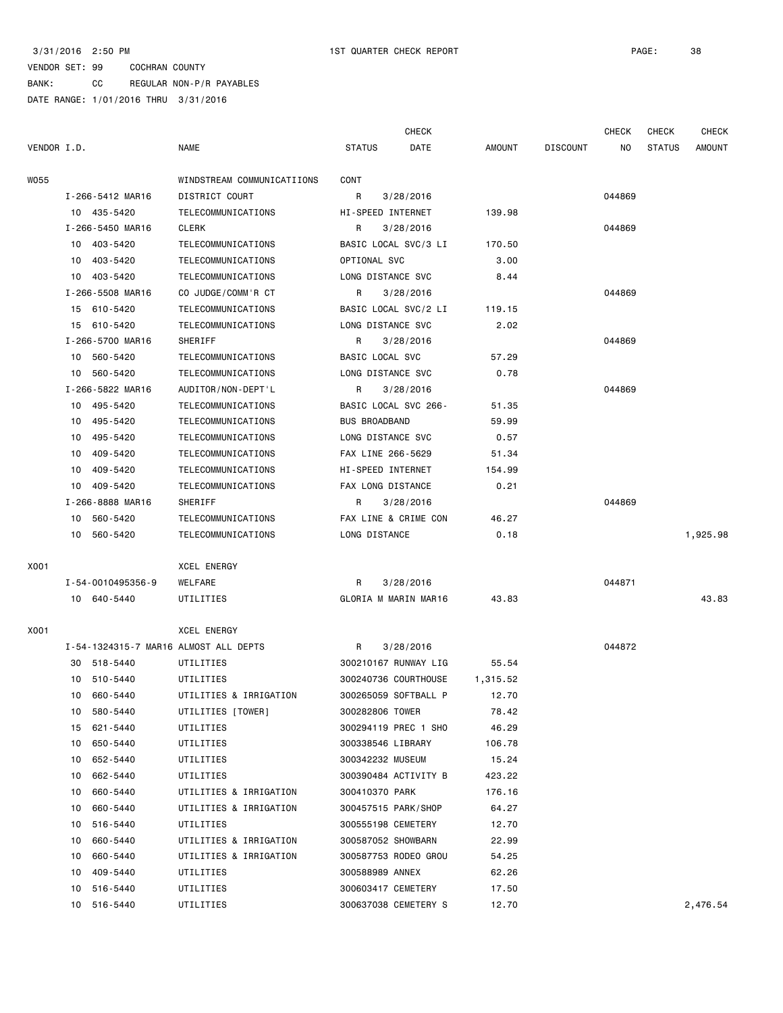BANK: CC REGULAR NON-P/R PAYABLES

|             |    |                   |                                       |                      | <b>CHECK</b>         |          |                 | <b>CHECK</b> | <b>CHECK</b>  | <b>CHECK</b>  |
|-------------|----|-------------------|---------------------------------------|----------------------|----------------------|----------|-----------------|--------------|---------------|---------------|
| VENDOR I.D. |    |                   | <b>NAME</b>                           | <b>STATUS</b>        | DATE                 | AMOUNT   | <b>DISCOUNT</b> | NO.          | <b>STATUS</b> | <b>AMOUNT</b> |
| W055        |    |                   | WINDSTREAM COMMUNICATIIONS            | CONT                 |                      |          |                 |              |               |               |
|             |    | I-266-5412 MAR16  | DISTRICT COURT                        | R                    | 3/28/2016            |          |                 | 044869       |               |               |
|             |    | 10 435-5420       | TELECOMMUNICATIONS                    |                      | HI-SPEED INTERNET    | 139.98   |                 |              |               |               |
|             |    | I-266-5450 MAR16  | CLERK                                 | R                    | 3/28/2016            |          |                 | 044869       |               |               |
|             |    | 10 403-5420       | TELECOMMUNICATIONS                    |                      | BASIC LOCAL SVC/3 LI | 170.50   |                 |              |               |               |
|             |    | 10 403-5420       | TELECOMMUNICATIONS                    | OPTIONAL SVC         |                      | 3.00     |                 |              |               |               |
|             |    | 10 403-5420       | TELECOMMUNICATIONS                    |                      | LONG DISTANCE SVC    | 8.44     |                 |              |               |               |
|             |    | I-266-5508 MAR16  | CO JUDGE/COMM'R CT                    | R                    | 3/28/2016            |          |                 | 044869       |               |               |
|             |    | 15 610-5420       | TELECOMMUNICATIONS                    |                      | BASIC LOCAL SVC/2 LI | 119.15   |                 |              |               |               |
|             |    | 15 610-5420       | TELECOMMUNICATIONS                    |                      | LONG DISTANCE SVC    | 2.02     |                 |              |               |               |
|             |    | I-266-5700 MAR16  | SHERIFF                               | R                    | 3/28/2016            |          |                 | 044869       |               |               |
|             |    | 10 560-5420       | TELECOMMUNICATIONS                    | BASIC LOCAL SVC      |                      | 57.29    |                 |              |               |               |
|             | 10 | 560-5420          | TELECOMMUNICATIONS                    |                      | LONG DISTANCE SVC    | 0.78     |                 |              |               |               |
|             |    | I-266-5822 MAR16  | AUDITOR/NON-DEPT'L                    | R                    | 3/28/2016            |          |                 | 044869       |               |               |
|             |    | 10 495-5420       | TELECOMMUNICATIONS                    |                      | BASIC LOCAL SVC 266- | 51.35    |                 |              |               |               |
|             |    | 10 495-5420       | TELECOMMUNICATIONS                    | <b>BUS BROADBAND</b> |                      | 59.99    |                 |              |               |               |
|             | 10 | 495-5420          | TELECOMMUNICATIONS                    |                      | LONG DISTANCE SVC    | 0.57     |                 |              |               |               |
|             | 10 | 409-5420          | TELECOMMUNICATIONS                    |                      | FAX LINE 266-5629    | 51.34    |                 |              |               |               |
|             | 10 | 409-5420          | TELECOMMUNICATIONS                    |                      | HI-SPEED INTERNET    | 154.99   |                 |              |               |               |
|             |    | 10 409-5420       | TELECOMMUNICATIONS                    |                      | FAX LONG DISTANCE    | 0.21     |                 |              |               |               |
|             |    | I-266-8888 MAR16  | SHERIFF                               | R                    | 3/28/2016            |          |                 | 044869       |               |               |
|             |    | 10 560-5420       | TELECOMMUNICATIONS                    |                      | FAX LINE & CRIME CON | 46.27    |                 |              |               |               |
|             | 10 | 560-5420          | TELECOMMUNICATIONS                    | LONG DISTANCE        |                      | 0.18     |                 |              |               | 1,925.98      |
| X001        |    |                   | XCEL ENERGY                           |                      |                      |          |                 |              |               |               |
|             |    | I-54-0010495356-9 | WELFARE                               | R                    | 3/28/2016            |          |                 | 044871       |               |               |
|             |    | 10 640-5440       | UTILITIES                             |                      | GLORIA M MARIN MAR16 | 43.83    |                 |              |               | 43.83         |
| X001        |    |                   | XCEL ENERGY                           |                      |                      |          |                 |              |               |               |
|             |    |                   | I-54-1324315-7 MAR16 ALMOST ALL DEPTS | R                    | 3/28/2016            |          |                 | 044872       |               |               |
|             |    | 30 518-5440       | UTILITIES                             |                      | 300210167 RUNWAY LIG | 55.54    |                 |              |               |               |
|             |    | 10 510-5440       | UTILITIES                             |                      | 300240736 COURTHOUSE | 1,315.52 |                 |              |               |               |
|             |    | 10 660-5440       | UTILITIES & IRRIGATION                |                      | 300265059 SOFTBALL P | 12.70    |                 |              |               |               |
|             |    | 10 580-5440       | UTILITIES [TOWER]                     | 300282806 TOWER      |                      | 78.42    |                 |              |               |               |
|             |    | 15 621-5440       | UTILITIES                             |                      | 300294119 PREC 1 SHO | 46.29    |                 |              |               |               |
|             |    | 10 650-5440       | UTILITIES                             |                      | 300338546 LIBRARY    | 106.78   |                 |              |               |               |
|             | 10 | 652-5440          | UTILITIES                             |                      | 300342232 MUSEUM     | 15.24    |                 |              |               |               |
|             | 10 | 662-5440          | UTILITIES                             |                      | 300390484 ACTIVITY B | 423.22   |                 |              |               |               |
|             | 10 | 660-5440          | UTILITIES & IRRIGATION                | 300410370 PARK       |                      | 176.16   |                 |              |               |               |
|             | 10 | 660-5440          | UTILITIES & IRRIGATION                |                      | 300457515 PARK/SHOP  | 64.27    |                 |              |               |               |
|             | 10 | 516-5440          | UTILITIES                             |                      | 300555198 CEMETERY   | 12.70    |                 |              |               |               |
|             | 10 | 660-5440          | UTILITIES & IRRIGATION                |                      | 300587052 SHOWBARN   | 22.99    |                 |              |               |               |
|             | 10 | 660-5440          | UTILITIES & IRRIGATION                |                      | 300587753 RODEO GROU | 54.25    |                 |              |               |               |
|             | 10 | 409-5440          | UTILITIES                             | 300588989 ANNEX      |                      | 62.26    |                 |              |               |               |
|             | 10 | 516-5440          | UTILITIES                             |                      | 300603417 CEMETERY   | 17.50    |                 |              |               |               |
|             |    | 10 516-5440       | UTILITIES                             |                      | 300637038 CEMETERY S | 12.70    |                 |              |               | 2,476.54      |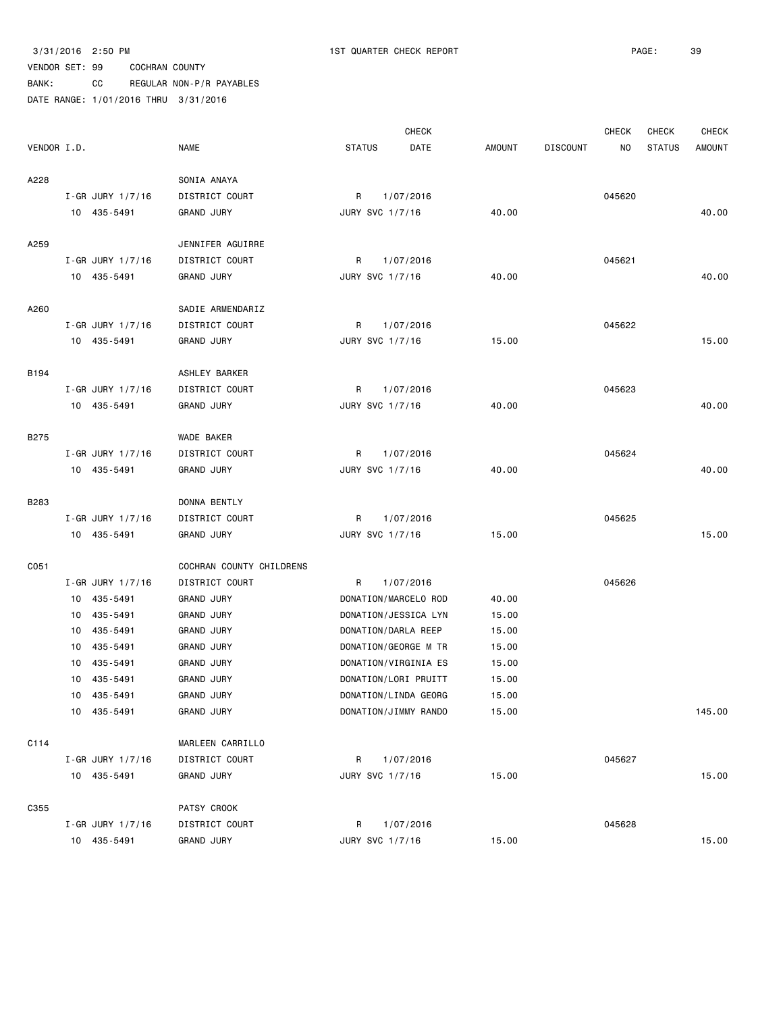|             |                        |                          |                      | <b>CHECK</b> |               |                 | <b>CHECK</b> | <b>CHECK</b>  | <b>CHECK</b>  |
|-------------|------------------------|--------------------------|----------------------|--------------|---------------|-----------------|--------------|---------------|---------------|
| VENDOR I.D. |                        | <b>NAME</b>              | <b>STATUS</b>        | DATE         | <b>AMOUNT</b> | <b>DISCOUNT</b> | NO           | <b>STATUS</b> | <b>AMOUNT</b> |
| A228        |                        | SONIA ANAYA              |                      |              |               |                 |              |               |               |
|             | I-GR JURY $1/7/16$     | DISTRICT COURT           | R                    | 1/07/2016    |               |                 | 045620       |               |               |
|             | 10 435-5491            | <b>GRAND JURY</b>        | JURY SVC 1/7/16      |              | 40.00         |                 |              |               | 40.00         |
| A259        |                        | JENNIFER AGUIRRE         |                      |              |               |                 |              |               |               |
|             | I-GR JURY 1/7/16       | DISTRICT COURT           | R                    | 1/07/2016    |               |                 | 045621       |               |               |
|             | 10 435-5491            | <b>GRAND JURY</b>        | JURY SVC 1/7/16      |              | 40.00         |                 |              |               | 40.00         |
| A260        |                        | SADIE ARMENDARIZ         |                      |              |               |                 |              |               |               |
|             | I-GR JURY 1/7/16       | DISTRICT COURT           | R                    | 1/07/2016    |               |                 | 045622       |               |               |
|             | 10 435-5491            | <b>GRAND JURY</b>        | JURY SVC 1/7/16      |              | 15.00         |                 |              |               | 15.00         |
| B194        |                        | ASHLEY BARKER            |                      |              |               |                 |              |               |               |
|             | I-GR JURY 1/7/16       | DISTRICT COURT           | R                    | 1/07/2016    |               |                 | 045623       |               |               |
|             | 10 435-5491            | <b>GRAND JURY</b>        | JURY SVC 1/7/16      |              | 40.00         |                 |              |               | 40.00         |
| <b>B275</b> |                        | WADE BAKER               |                      |              |               |                 |              |               |               |
|             | I-GR JURY $1/7/16$     | DISTRICT COURT           | R                    | 1/07/2016    |               |                 | 045624       |               |               |
|             | 10 435-5491            | <b>GRAND JURY</b>        | JURY SVC 1/7/16      |              | 40.00         |                 |              |               | 40.00         |
| B283        |                        | DONNA BENTLY             |                      |              |               |                 |              |               |               |
|             | $I - GR$ JURY $1/7/16$ | DISTRICT COURT           | R                    | 1/07/2016    |               |                 | 045625       |               |               |
|             | 10 435-5491            | <b>GRAND JURY</b>        | JURY SVC 1/7/16      |              | 15.00         |                 |              |               | 15.00         |
| C051        |                        | COCHRAN COUNTY CHILDRENS |                      |              |               |                 |              |               |               |
|             | $I-GR$ JURY $1/7/16$   | DISTRICT COURT           | R                    | 1/07/2016    |               |                 | 045626       |               |               |
|             | 10 435-5491            | <b>GRAND JURY</b>        | DONATION/MARCELO ROD |              | 40.00         |                 |              |               |               |
|             | 10 435-5491            | <b>GRAND JURY</b>        | DONATION/JESSICA LYN |              | 15.00         |                 |              |               |               |
|             | 10 435-5491            | <b>GRAND JURY</b>        | DONATION/DARLA REEP  |              | 15.00         |                 |              |               |               |
|             | 435-5491<br>10         | <b>GRAND JURY</b>        | DONATION/GEORGE M TR |              | 15.00         |                 |              |               |               |
|             | 10<br>435-5491         | <b>GRAND JURY</b>        | DONATION/VIRGINIA ES |              | 15.00         |                 |              |               |               |
|             | 10<br>435-5491         | <b>GRAND JURY</b>        | DONATION/LORI PRUITT |              | 15.00         |                 |              |               |               |
|             | 10 435-5491            | <b>GRAND JURY</b>        | DONATION/LINDA GEORG |              | 15.00         |                 |              |               |               |
|             | 10 435-5491            | <b>GRAND JURY</b>        | DONATION/JIMMY RANDO |              | 15.00         |                 |              |               | 145.00        |
| C114        |                        | MARLEEN CARRILLO         |                      |              |               |                 |              |               |               |
|             | I-GR JURY 1/7/16       | DISTRICT COURT           | R                    | 1/07/2016    |               |                 | 045627       |               |               |
|             | 10 435-5491            | <b>GRAND JURY</b>        | JURY SVC 1/7/16      |              | 15.00         |                 |              |               | 15.00         |
| C355        |                        | PATSY CROOK              |                      |              |               |                 |              |               |               |
|             | $I-GR$ JURY 1/7/16     | DISTRICT COURT           | R                    | 1/07/2016    |               |                 | 045628       |               |               |
|             | 10 435-5491            | GRAND JURY               | JURY SVC 1/7/16      |              | 15.00         |                 |              |               | 15.00         |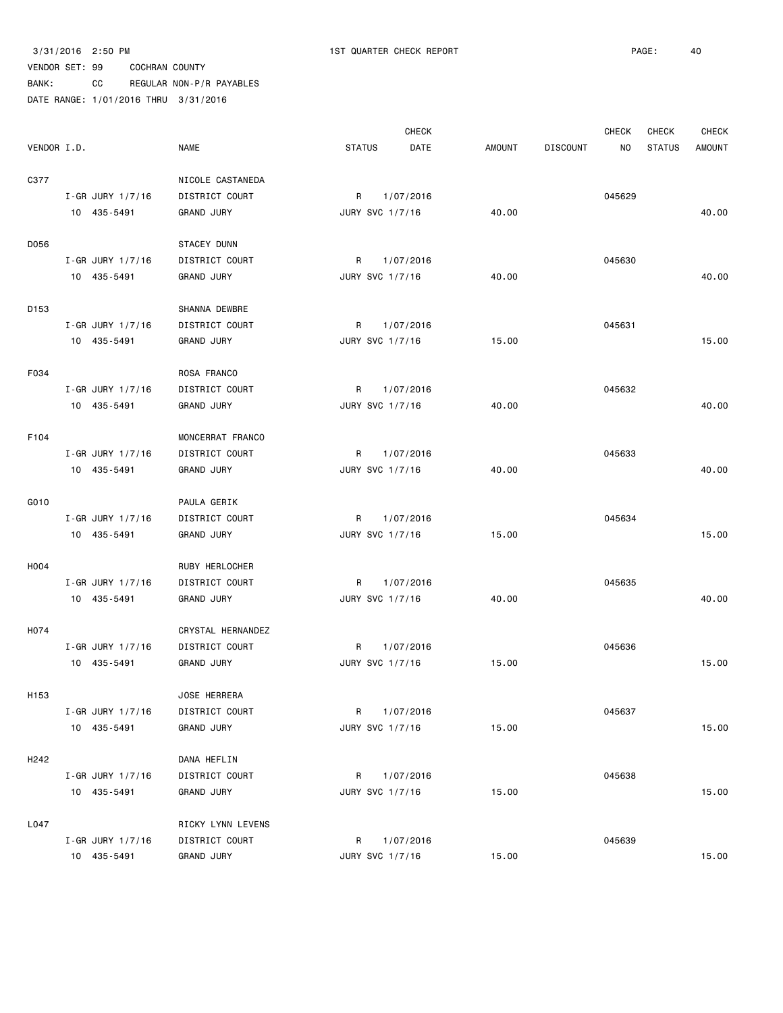|                  |                        |                       |                 | <b>CHECK</b> |               |                 | <b>CHECK</b> | CHECK         | <b>CHECK</b>  |
|------------------|------------------------|-----------------------|-----------------|--------------|---------------|-----------------|--------------|---------------|---------------|
| VENDOR I.D.      |                        | <b>NAME</b>           | <b>STATUS</b>   | DATE         | <b>AMOUNT</b> | <b>DISCOUNT</b> | NO           | <b>STATUS</b> | <b>AMOUNT</b> |
| C377             |                        | NICOLE CASTANEDA      |                 |              |               |                 |              |               |               |
|                  | $I - GR$ JURY $1/7/16$ | <b>DISTRICT COURT</b> | R               | 1/07/2016    |               |                 | 045629       |               |               |
|                  | 10 435-5491            | <b>GRAND JURY</b>     | JURY SVC 1/7/16 |              | 40.00         |                 |              |               | 40.00         |
| D056             |                        | STACEY DUNN           |                 |              |               |                 |              |               |               |
|                  | I-GR JURY 1/7/16       | DISTRICT COURT        | R               | 1/07/2016    |               |                 | 045630       |               |               |
|                  | 10 435-5491            | <b>GRAND JURY</b>     | JURY SVC 1/7/16 |              | 40.00         |                 |              |               | 40.00         |
| D153             |                        | SHANNA DEWBRE         |                 |              |               |                 |              |               |               |
|                  | $I - GR$ JURY $1/7/16$ | DISTRICT COURT        | R               | 1/07/2016    |               |                 | 045631       |               |               |
|                  | 10 435-5491            | <b>GRAND JURY</b>     | JURY SVC 1/7/16 |              | 15.00         |                 |              |               | 15.00         |
| F034             |                        | ROSA FRANCO           |                 |              |               |                 |              |               |               |
|                  | $I - GR$ JURY $1/7/16$ | DISTRICT COURT        | R               | 1/07/2016    |               |                 | 045632       |               |               |
|                  | 10 435-5491            | <b>GRAND JURY</b>     | JURY SVC 1/7/16 |              | 40.00         |                 |              |               | 40.00         |
| F104             |                        | MONCERRAT FRANCO      |                 |              |               |                 |              |               |               |
|                  | $I - GR$ JURY $1/7/16$ | DISTRICT COURT        | R.              | 1/07/2016    |               |                 | 045633       |               |               |
|                  | 10 435-5491            | <b>GRAND JURY</b>     | JURY SVC 1/7/16 |              | 40.00         |                 |              |               | 40.00         |
| G010             |                        | PAULA GERIK           |                 |              |               |                 |              |               |               |
|                  | $I - GR$ JURY $1/7/16$ | DISTRICT COURT        | R               | 1/07/2016    |               |                 | 045634       |               |               |
|                  | 10 435-5491            | <b>GRAND JURY</b>     | JURY SVC 1/7/16 |              | 15.00         |                 |              |               | 15.00         |
| H004             |                        | RUBY HERLOCHER        |                 |              |               |                 |              |               |               |
|                  | I-GR JURY 1/7/16       | DISTRICT COURT        | R               | 1/07/2016    |               |                 | 045635       |               |               |
|                  | 10 435-5491            | <b>GRAND JURY</b>     | JURY SVC 1/7/16 |              | 40.00         |                 |              |               | 40.00         |
| H074             |                        | CRYSTAL HERNANDEZ     |                 |              |               |                 |              |               |               |
|                  | I-GR JURY 1/7/16       | DISTRICT COURT        | R               | 1/07/2016    |               |                 | 045636       |               |               |
|                  | 10 435-5491            | <b>GRAND JURY</b>     | JURY SVC 1/7/16 |              | 15.00         |                 |              |               | 15.00         |
| H <sub>153</sub> |                        | JOSE HERRERA          |                 |              |               |                 |              |               |               |
|                  | I-GR JURY 1/7/16       | DISTRICT COURT        | R               | 1/07/2016    |               |                 | 045637       |               |               |
|                  | 10 435-5491            | <b>GRAND JURY</b>     | JURY SVC 1/7/16 |              | 15.00         |                 |              |               | 15.00         |
| H <sub>242</sub> |                        | DANA HEFLIN           |                 |              |               |                 |              |               |               |
|                  | I-GR JURY 1/7/16       | DISTRICT COURT        | R 1/07/2016     |              |               |                 | 045638       |               |               |
|                  | 10 435-5491            | <b>GRAND JURY</b>     | JURY SVC 1/7/16 |              | 15.00         |                 |              |               | 15.00         |
| L047             |                        | RICKY LYNN LEVENS     |                 |              |               |                 |              |               |               |
|                  | $I-GR$ JURY 1/7/16     | DISTRICT COURT        | R               | 1/07/2016    |               |                 | 045639       |               |               |
|                  | 10 435-5491            | <b>GRAND JURY</b>     | JURY SVC 1/7/16 |              | 15.00         |                 |              |               | 15.00         |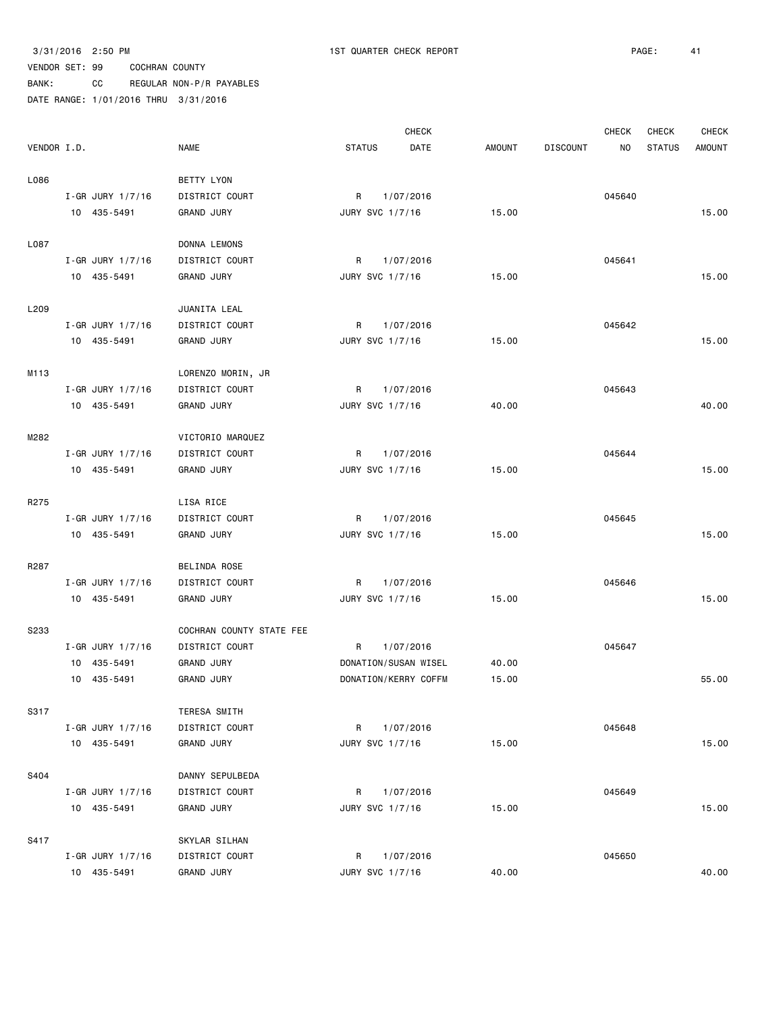|             |                        |                          | <b>CHECK</b>                 |               | <b>CHECK</b>           | CHECK         | <b>CHECK</b>  |
|-------------|------------------------|--------------------------|------------------------------|---------------|------------------------|---------------|---------------|
| VENDOR I.D. |                        | <b>NAME</b>              | <b>STATUS</b><br><b>DATE</b> | <b>AMOUNT</b> | <b>DISCOUNT</b><br>NO. | <b>STATUS</b> | <b>AMOUNT</b> |
| L086        |                        | BETTY LYON               |                              |               |                        |               |               |
|             | $I - GR$ JURY $1/7/16$ | DISTRICT COURT           | R<br>1/07/2016               |               | 045640                 |               |               |
|             | 10 435-5491            | <b>GRAND JURY</b>        | JURY SVC 1/7/16              | 15.00         |                        |               | 15.00         |
| L087        |                        | DONNA LEMONS             |                              |               |                        |               |               |
|             | I-GR JURY 1/7/16       | DISTRICT COURT           | 1/07/2016<br>R               |               | 045641                 |               |               |
|             | 10 435-5491            | <b>GRAND JURY</b>        | JURY SVC 1/7/16              | 15.00         |                        |               | 15.00         |
| L209        |                        | JUANITA LEAL             |                              |               |                        |               |               |
|             | I-GR JURY 1/7/16       | DISTRICT COURT           | R<br>1/07/2016               |               | 045642                 |               |               |
|             | 10 435-5491            | <b>GRAND JURY</b>        | JURY SVC 1/7/16              | 15.00         |                        |               | 15.00         |
| M113        |                        | LORENZO MORIN, JR        |                              |               |                        |               |               |
|             | I-GR JURY 1/7/16       | DISTRICT COURT           | R<br>1/07/2016               |               | 045643                 |               |               |
|             | 10 435-5491            | <b>GRAND JURY</b>        | JURY SVC 1/7/16              | 40.00         |                        |               | 40.00         |
| M282        |                        | VICTORIO MARQUEZ         |                              |               |                        |               |               |
|             | $I - GR$ JURY $1/7/16$ | DISTRICT COURT           | R<br>1/07/2016               |               | 045644                 |               |               |
|             | 10 435-5491            | <b>GRAND JURY</b>        | JURY SVC 1/7/16              | 15.00         |                        |               | 15.00         |
| R275        |                        | LISA RICE                |                              |               |                        |               |               |
|             | I-GR JURY 1/7/16       | DISTRICT COURT           | R<br>1/07/2016               |               | 045645                 |               |               |
|             | 10 435-5491            | <b>GRAND JURY</b>        | JURY SVC 1/7/16              | 15.00         |                        |               | 15.00         |
| R287        |                        | BELINDA ROSE             |                              |               |                        |               |               |
|             | I-GR JURY 1/7/16       | DISTRICT COURT           | R<br>1/07/2016               |               | 045646                 |               |               |
|             | 10 435-5491            | <b>GRAND JURY</b>        | JURY SVC 1/7/16              | 15.00         |                        |               | 15.00         |
| <b>S233</b> |                        | COCHRAN COUNTY STATE FEE |                              |               |                        |               |               |
|             | I-GR JURY 1/7/16       | DISTRICT COURT           | R<br>1/07/2016               |               | 045647                 |               |               |
|             | 10 435-5491            | <b>GRAND JURY</b>        | DONATION/SUSAN WISEL         | 40.00         |                        |               |               |
|             | 10 435-5491            | <b>GRAND JURY</b>        | DONATION/KERRY COFFM         | 15.00         |                        |               | 55.00         |
| S317        |                        | TERESA SMITH             |                              |               |                        |               |               |
|             | I-GR JURY 1/7/16       | DISTRICT COURT           | 1/07/2016<br>R               |               | 045648                 |               |               |
|             | 10 435-5491            | <b>GRAND JURY</b>        | JURY SVC 1/7/16              | 15.00         |                        |               | 15.00         |
| S404        |                        | DANNY SEPULBEDA          |                              |               |                        |               |               |
|             | I-GR JURY 1/7/16       | DISTRICT COURT           | R<br>1/07/2016               |               | 045649                 |               |               |
|             | 10 435-5491            | <b>GRAND JURY</b>        | JURY SVC 1/7/16              | 15.00         |                        |               | 15.00         |
| S417        |                        | SKYLAR SILHAN            |                              |               |                        |               |               |
|             | $I - GR$ JURY $1/7/16$ | DISTRICT COURT           | R<br>1/07/2016               |               | 045650                 |               |               |
|             | 10 435-5491            | <b>GRAND JURY</b>        | JURY SVC 1/7/16              | 40.00         |                        |               | 40.00         |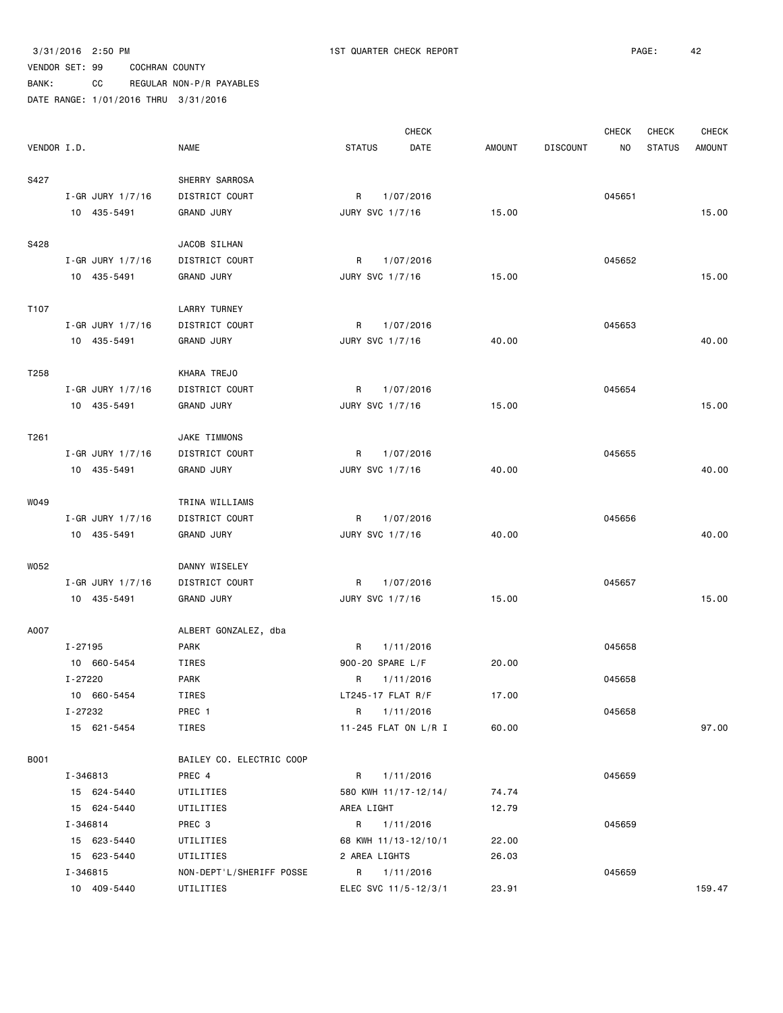|             |                    |                          |                     | <b>CHECK</b>         |        |                 | <b>CHECK</b> | <b>CHECK</b>  | <b>CHECK</b>  |
|-------------|--------------------|--------------------------|---------------------|----------------------|--------|-----------------|--------------|---------------|---------------|
| VENDOR I.D. |                    | <b>NAME</b>              | <b>STATUS</b>       | DATE                 | AMOUNT | <b>DISCOUNT</b> | NO           | <b>STATUS</b> | <b>AMOUNT</b> |
| S427        |                    | SHERRY SARROSA           |                     |                      |        |                 |              |               |               |
|             | I-GR JURY 1/7/16   | DISTRICT COURT           | R                   | 1/07/2016            |        |                 | 045651       |               |               |
|             | 10 435-5491        | <b>GRAND JURY</b>        | JURY SVC 1/7/16     |                      | 15.00  |                 |              |               | 15.00         |
|             |                    |                          |                     |                      |        |                 |              |               |               |
| S428        |                    | JACOB SILHAN             |                     |                      |        |                 |              |               |               |
|             | I-GR JURY 1/7/16   | DISTRICT COURT           | R                   | 1/07/2016            |        |                 | 045652       |               |               |
|             | 10 435-5491        | <b>GRAND JURY</b>        | JURY SVC 1/7/16     |                      | 15.00  |                 |              |               | 15.00         |
|             |                    |                          |                     |                      |        |                 |              |               |               |
| T107        |                    | <b>LARRY TURNEY</b>      |                     |                      |        |                 |              |               |               |
|             | $I-GR$ JURY 1/7/16 | DISTRICT COURT           | R                   | 1/07/2016            |        |                 | 045653       |               |               |
|             | 10 435-5491        | <b>GRAND JURY</b>        | JURY SVC 1/7/16     |                      | 40.00  |                 |              |               | 40.00         |
|             |                    |                          |                     |                      |        |                 |              |               |               |
| T258        |                    | KHARA TREJO              |                     |                      |        |                 |              |               |               |
|             | I-GR JURY 1/7/16   | DISTRICT COURT           | R                   | 1/07/2016            |        |                 | 045654       |               |               |
|             | 10 435-5491        | <b>GRAND JURY</b>        | JURY SVC 1/7/16     |                      | 15.00  |                 |              |               | 15.00         |
|             |                    |                          |                     |                      |        |                 |              |               |               |
| T261        |                    | JAKE TIMMONS             |                     |                      |        |                 |              |               |               |
|             | I-GR JURY 1/7/16   | DISTRICT COURT           | R                   | 1/07/2016            |        |                 | 045655       |               |               |
|             | 10 435-5491        | <b>GRAND JURY</b>        | JURY SVC 1/7/16     |                      | 40.00  |                 |              |               | 40.00         |
|             |                    |                          |                     |                      |        |                 |              |               |               |
| W049        |                    | TRINA WILLIAMS           |                     |                      |        |                 |              |               |               |
|             | I-GR JURY 1/7/16   | DISTRICT COURT           | R                   | 1/07/2016            |        |                 | 045656       |               |               |
|             | 10 435-5491        | <b>GRAND JURY</b>        | JURY SVC 1/7/16     |                      | 40.00  |                 |              |               | 40.00         |
|             |                    |                          |                     |                      |        |                 |              |               |               |
| W052        |                    | DANNY WISELEY            |                     |                      |        |                 |              |               |               |
|             | $I-GR$ JURY 1/7/16 | DISTRICT COURT           | R                   | 1/07/2016            |        |                 | 045657       |               |               |
|             | 10 435-5491        | <b>GRAND JURY</b>        | JURY SVC 1/7/16     |                      | 15.00  |                 |              |               | 15.00         |
|             |                    |                          |                     |                      |        |                 |              |               |               |
| A007        |                    | ALBERT GONZALEZ, dba     |                     |                      |        |                 |              |               |               |
|             | $I - 27195$        | <b>PARK</b>              | R                   | 1/11/2016            |        |                 | 045658       |               |               |
|             | 10 660-5454        | TIRES                    | 900-20 SPARE L/F    |                      | 20.00  |                 |              |               |               |
|             | $I - 27220$        | <b>PARK</b>              | R                   | 1/11/2016            |        |                 | 045658       |               |               |
|             | 10 660-5454        | TIRES                    | $LT245-17$ FLAT R/F |                      | 17.00  |                 |              |               |               |
|             | I-27232            | PREC 1                   | R 1/11/2016         |                      |        |                 | 045658       |               |               |
|             | 15 621-5454        | TIRES                    |                     | 11-245 FLAT ON L/R I | 60.00  |                 |              |               | 97.00         |
|             |                    |                          |                     |                      |        |                 |              |               |               |
| <b>B001</b> |                    | BAILEY CO. ELECTRIC COOP |                     |                      |        |                 |              |               |               |
|             | I-346813           | PREC 4                   | R                   | 1/11/2016            |        |                 | 045659       |               |               |
|             | 15 624-5440        | UTILITIES                |                     | 580 KWH 11/17-12/14/ | 74.74  |                 |              |               |               |
|             | 15 624-5440        | UTILITIES                | AREA LIGHT          |                      | 12.79  |                 |              |               |               |
|             | I-346814           | PREC 3                   |                     | R 1/11/2016          |        |                 | 045659       |               |               |
|             | 15 623-5440        | UTILITIES                |                     | 68 KWH 11/13-12/10/1 | 22.00  |                 |              |               |               |
|             | 15 623-5440        | UTILITIES                | 2 AREA LIGHTS       |                      | 26.03  |                 |              |               |               |
|             | I-346815           | NON-DEPT'L/SHERIFF POSSE |                     | R 1/11/2016          |        |                 | 045659       |               |               |
|             | 10 409-5440        | UTILITIES                |                     | ELEC SVC 11/5-12/3/1 | 23.91  |                 |              |               | 159.47        |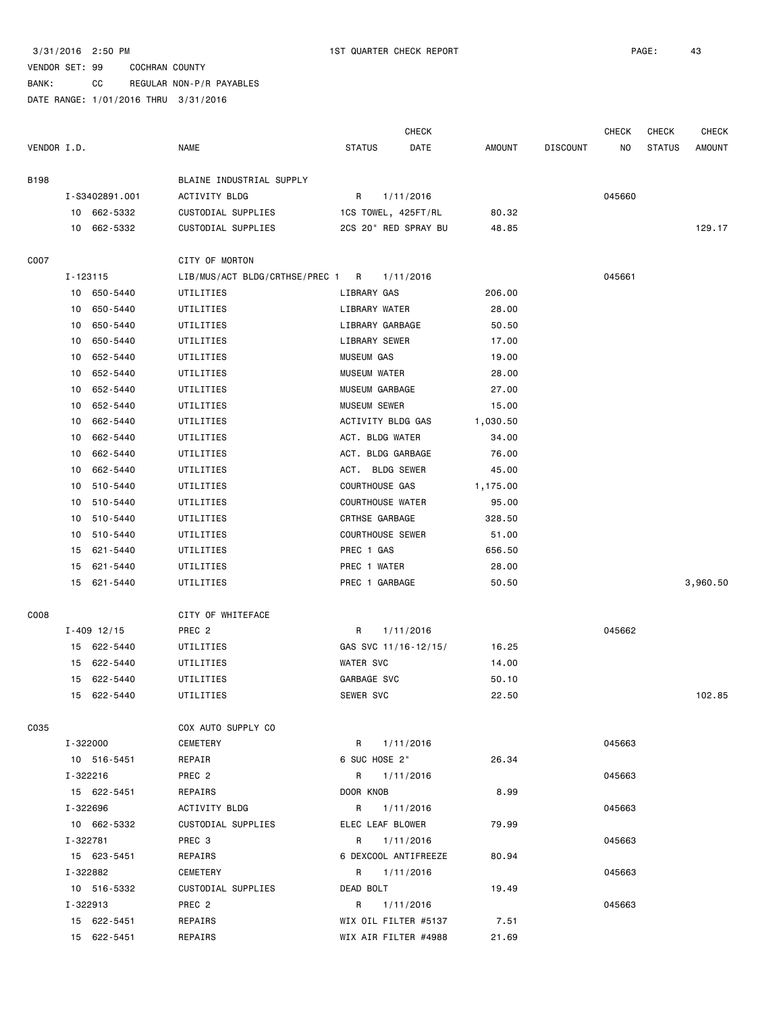### VENDOR SET: 99 COCHRAN COUNTY BANK: CC REGULAR NON-P/R PAYABLES

|             |    |                 |                                  |                         | <b>CHECK</b> |          |                 | <b>CHECK</b> | <b>CHECK</b>  | <b>CHECK</b>  |
|-------------|----|-----------------|----------------------------------|-------------------------|--------------|----------|-----------------|--------------|---------------|---------------|
| VENDOR I.D. |    |                 | <b>NAME</b>                      | <b>STATUS</b>           | DATE         | AMOUNT   | <b>DISCOUNT</b> | NO           | <b>STATUS</b> | <b>AMOUNT</b> |
| <b>B198</b> |    |                 | BLAINE INDUSTRIAL SUPPLY         |                         |              |          |                 |              |               |               |
|             |    | I-S3402891.001  | ACTIVITY BLDG                    | R                       | 1/11/2016    |          |                 | 045660       |               |               |
|             |    | 10 662-5332     | CUSTODIAL SUPPLIES               | 1CS TOWEL, 425FT/RL     |              | 80.32    |                 |              |               |               |
|             |    | 10 662-5332     | CUSTODIAL SUPPLIES               | 2CS 20" RED SPRAY BU    |              | 48.85    |                 |              |               | 129.17        |
| C007        |    |                 | CITY OF MORTON                   |                         |              |          |                 |              |               |               |
|             |    | I-123115        | LIB/MUS/ACT BLDG/CRTHSE/PREC 1 R |                         | 1/11/2016    |          |                 | 045661       |               |               |
|             |    | 10 650-5440     | UTILITIES                        | LIBRARY GAS             |              | 206.00   |                 |              |               |               |
|             | 10 | 650-5440        | UTILITIES                        | LIBRARY WATER           |              | 28.00    |                 |              |               |               |
|             | 10 | 650-5440        | UTILITIES                        | LIBRARY GARBAGE         |              | 50.50    |                 |              |               |               |
|             | 10 | 650-5440        | UTILITIES                        | LIBRARY SEWER           |              | 17.00    |                 |              |               |               |
|             | 10 | 652-5440        | UTILITIES                        | <b>MUSEUM GAS</b>       |              | 19.00    |                 |              |               |               |
|             | 10 | 652-5440        | UTILITIES                        | <b>MUSEUM WATER</b>     |              | 28.00    |                 |              |               |               |
|             | 10 | 652-5440        | UTILITIES                        | MUSEUM GARBAGE          |              | 27.00    |                 |              |               |               |
|             | 10 | 652-5440        | UTILITIES                        | <b>MUSEUM SEWER</b>     |              | 15.00    |                 |              |               |               |
|             | 10 | 662-5440        | UTILITIES                        | ACTIVITY BLDG GAS       |              | 1,030.50 |                 |              |               |               |
|             | 10 | 662-5440        | UTILITIES                        | ACT. BLDG WATER         |              | 34.00    |                 |              |               |               |
|             | 10 | 662-5440        | UTILITIES                        | ACT. BLDG GARBAGE       |              | 76.00    |                 |              |               |               |
|             | 10 | 662-5440        | UTILITIES                        | ACT. BLDG SEWER         |              | 45.00    |                 |              |               |               |
|             | 10 | 510-5440        | UTILITIES                        | COURTHOUSE GAS          |              | 1,175.00 |                 |              |               |               |
|             | 10 | 510-5440        | UTILITIES                        | <b>COURTHOUSE WATER</b> |              | 95.00    |                 |              |               |               |
|             | 10 | 510-5440        | UTILITIES                        | CRTHSE GARBAGE          |              | 328.50   |                 |              |               |               |
|             | 10 | 510-5440        | UTILITIES                        | <b>COURTHOUSE SEWER</b> |              | 51.00    |                 |              |               |               |
|             | 15 | 621-5440        | UTILITIES                        | PREC 1 GAS              |              | 656.50   |                 |              |               |               |
|             | 15 | 621-5440        | UTILITIES                        | PREC 1 WATER            |              | 28.00    |                 |              |               |               |
|             | 15 | 621-5440        | UTILITIES                        | PREC 1 GARBAGE          |              | 50.50    |                 |              |               | 3,960.50      |
| C008        |    |                 | CITY OF WHITEFACE                |                         |              |          |                 |              |               |               |
|             |    | $I - 409$ 12/15 | PREC <sub>2</sub>                | R                       | 1/11/2016    |          |                 | 045662       |               |               |
|             |    | 15 622-5440     | UTILITIES                        | GAS SVC 11/16-12/15/    |              | 16.25    |                 |              |               |               |
|             | 15 | 622-5440        | UTILITIES                        | <b>WATER SVC</b>        |              | 14.00    |                 |              |               |               |
|             | 15 | 622-5440        | UTILITIES                        | GARBAGE SVC             |              | 50.10    |                 |              |               |               |
|             |    | 15 622-5440     | UTILITIES                        | SEWER SVC               |              | 22.50    |                 |              |               | 102.85        |
| C035        |    |                 | COX AUTO SUPPLY CO               |                         |              |          |                 |              |               |               |
|             |    | I-322000        | CEMETERY                         | R 1/11/2016             |              |          |                 | 045663       |               |               |
|             |    | 10 516-5451     | REPAIR                           | 6 SUC HOSE 2"           |              | 26.34    |                 |              |               |               |
|             |    | I-322216        | PREC <sub>2</sub>                | R 1/11/2016             |              |          |                 | 045663       |               |               |
|             |    | 15 622-5451     | REPAIRS                          | DOOR KNOB               |              | 8.99     |                 |              |               |               |
|             |    | I-322696        | ACTIVITY BLDG                    | R 1/11/2016             |              |          |                 | 045663       |               |               |
|             |    | 10 662-5332     | CUSTODIAL SUPPLIES               | ELEC LEAF BLOWER        |              | 79.99    |                 |              |               |               |
|             |    | I-322781        | PREC 3                           | R 1/11/2016             |              |          |                 | 045663       |               |               |
|             |    | 15 623-5451     | REPAIRS                          | 6 DEXCOOL ANTIFREEZE    |              | 80.94    |                 |              |               |               |
|             |    | I-322882        | CEMETERY                         | R 1/11/2016             |              |          |                 | 045663       |               |               |
|             |    | 10 516-5332     | CUSTODIAL SUPPLIES               | DEAD BOLT               |              | 19.49    |                 |              |               |               |
|             |    | I-322913        | PREC 2                           | R 1/11/2016             |              |          |                 | 045663       |               |               |
|             |    | 15 622-5451     | REPAIRS                          | WIX OIL FILTER #5137    |              | 7.51     |                 |              |               |               |
|             |    | 15 622-5451     | REPAIRS                          | WIX AIR FILTER #4988    |              | 21.69    |                 |              |               |               |
|             |    |                 |                                  |                         |              |          |                 |              |               |               |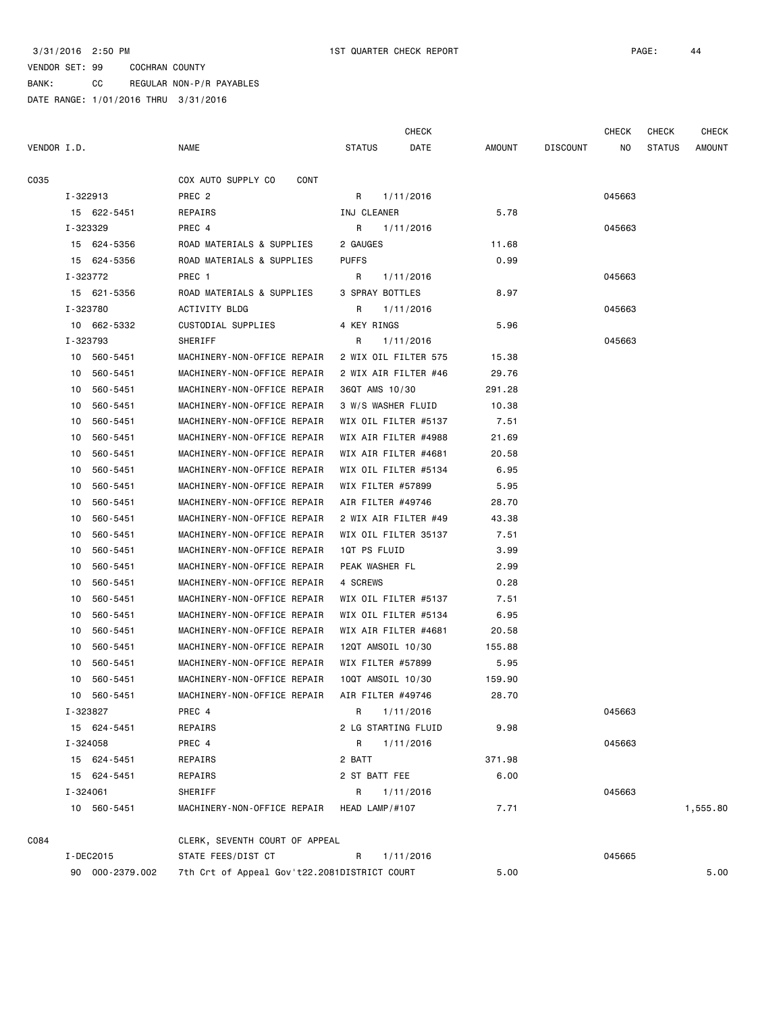BANK: CC REGULAR NON-P/R PAYABLES

|             |           |                 |                                              |                    | <b>CHECK</b>         |        |          | <b>CHECK</b> | <b>CHECK</b>  | <b>CHECK</b>  |
|-------------|-----------|-----------------|----------------------------------------------|--------------------|----------------------|--------|----------|--------------|---------------|---------------|
| VENDOR I.D. |           |                 | <b>NAME</b>                                  | <b>STATUS</b>      | DATE                 | AMOUNT | DISCOUNT | ΝO           | <b>STATUS</b> | <b>AMOUNT</b> |
| C035        |           |                 | COX AUTO SUPPLY CO<br>CONT                   |                    |                      |        |          |              |               |               |
|             | I-322913  |                 | PREC <sub>2</sub>                            | R                  | 1/11/2016            |        |          | 045663       |               |               |
|             |           | 15 622-5451     | REPAIRS                                      | INJ CLEANER        |                      | 5.78   |          |              |               |               |
|             | I-323329  |                 | PREC 4                                       | R                  | 1/11/2016            |        |          | 045663       |               |               |
|             |           | 15 624-5356     | ROAD MATERIALS & SUPPLIES                    | 2 GAUGES           |                      | 11.68  |          |              |               |               |
|             |           | 15 624-5356     | ROAD MATERIALS & SUPPLIES                    | <b>PUFFS</b>       |                      | 0.99   |          |              |               |               |
|             | I-323772  |                 | PREC 1                                       | R                  | 1/11/2016            |        |          | 045663       |               |               |
|             |           | 15 621-5356     | ROAD MATERIALS & SUPPLIES                    | 3 SPRAY BOTTLES    |                      | 8.97   |          |              |               |               |
|             | I-323780  |                 | ACTIVITY BLDG                                | R                  | 1/11/2016            |        |          | 045663       |               |               |
|             |           | 10 662-5332     | CUSTODIAL SUPPLIES                           | 4 KEY RINGS        |                      | 5.96   |          |              |               |               |
|             | I-323793  |                 | SHERIFF                                      | R                  | 1/11/2016            |        |          | 045663       |               |               |
|             |           | 10 560-5451     | MACHINERY-NON-OFFICE REPAIR                  |                    | 2 WIX OIL FILTER 575 | 15.38  |          |              |               |               |
|             |           | 10 560-5451     | MACHINERY-NON-OFFICE REPAIR                  |                    | 2 WIX AIR FILTER #46 | 29.76  |          |              |               |               |
|             | 10        | 560-5451        | MACHINERY-NON-OFFICE REPAIR                  | 36QT AMS 10/30     |                      | 291.28 |          |              |               |               |
|             | 10        | 560-5451        | MACHINERY-NON-OFFICE REPAIR                  | 3 W/S WASHER FLUID |                      | 10.38  |          |              |               |               |
|             | 10        | 560-5451        | MACHINERY-NON-OFFICE REPAIR                  |                    | WIX OIL FILTER #5137 | 7.51   |          |              |               |               |
|             | 10        | 560-5451        | MACHINERY-NON-OFFICE REPAIR                  |                    | WIX AIR FILTER #4988 | 21.69  |          |              |               |               |
|             | 10        | 560-5451        | MACHINERY-NON-OFFICE REPAIR                  |                    | WIX AIR FILTER #4681 | 20.58  |          |              |               |               |
|             | 10        | 560-5451        | MACHINERY-NON-OFFICE REPAIR                  |                    | WIX OIL FILTER #5134 | 6.95   |          |              |               |               |
|             | 10        | 560-5451        | MACHINERY-NON-OFFICE REPAIR                  | WIX FILTER #57899  |                      | 5.95   |          |              |               |               |
|             | 10        | 560-5451        | MACHINERY-NON-OFFICE REPAIR                  | AIR FILTER #49746  |                      | 28.70  |          |              |               |               |
|             | 10        | 560-5451        | MACHINERY-NON-OFFICE REPAIR                  |                    | 2 WIX AIR FILTER #49 | 43.38  |          |              |               |               |
|             | 10        | 560-5451        | MACHINERY-NON-OFFICE REPAIR                  |                    | WIX OIL FILTER 35137 | 7.51   |          |              |               |               |
|             | 10        | 560-5451        | MACHINERY-NON-OFFICE REPAIR                  | 1QT PS FLUID       |                      | 3.99   |          |              |               |               |
|             | 10        | 560-5451        | MACHINERY-NON-OFFICE REPAIR                  | PEAK WASHER FL     |                      | 2.99   |          |              |               |               |
|             | 10        | 560-5451        | MACHINERY-NON-OFFICE REPAIR                  | 4 SCREWS           |                      | 0.28   |          |              |               |               |
|             | 10        | 560-5451        | MACHINERY-NON-OFFICE REPAIR                  |                    | WIX OIL FILTER #5137 | 7.51   |          |              |               |               |
|             | 10        | 560-5451        | MACHINERY-NON-OFFICE REPAIR                  |                    | WIX OIL FILTER #5134 | 6.95   |          |              |               |               |
|             | 10        | 560-5451        | MACHINERY-NON-OFFICE REPAIR                  |                    | WIX AIR FILTER #4681 | 20.58  |          |              |               |               |
|             |           | 10 560-5451     | MACHINERY-NON-OFFICE REPAIR                  | 12QT AMSOIL 10/30  |                      | 155.88 |          |              |               |               |
|             | 10        | 560-5451        | MACHINERY-NON-OFFICE REPAIR                  | WIX FILTER #57899  |                      | 5.95   |          |              |               |               |
|             |           | 10 560-5451     | MACHINERY-NON-OFFICE REPAIR                  | 10QT AMSOIL 10/30  |                      | 159.90 |          |              |               |               |
|             |           | 10 560-5451     | MACHINERY-NON-OFFICE REPAIR                  | AIR FILTER #49746  |                      | 28.70  |          |              |               |               |
|             | I-323827  |                 | PREC 4                                       | R.                 | 1/11/2016            |        |          | 045663       |               |               |
|             |           | 15 624-5451     | REPAIRS                                      |                    | 2 LG STARTING FLUID  | 9.98   |          |              |               |               |
|             | I-324058  |                 | PREC 4                                       | R                  | 1/11/2016            |        |          | 045663       |               |               |
|             |           | 15 624-5451     | REPAIRS                                      | 2 BATT             |                      | 371.98 |          |              |               |               |
|             |           | 15 624-5451     | REPAIRS                                      | 2 ST BATT FEE      |                      | 6.00   |          | 045663       |               |               |
|             | I-324061  |                 | SHERIFF                                      | R                  | 1/11/2016            |        |          |              |               |               |
|             |           | 10 560-5451     | MACHINERY-NON-OFFICE REPAIR                  | HEAD LAMP/#107     |                      | 7.71   |          |              |               | 1,555.80      |
| C084        |           |                 | CLERK, SEVENTH COURT OF APPEAL               |                    |                      |        |          |              |               |               |
|             | I-DEC2015 |                 | STATE FEES/DIST CT                           | R                  | 1/11/2016            |        |          | 045665       |               |               |
|             |           | 90 000-2379.002 | 7th Crt of Appeal Gov't22.2081DISTRICT COURT |                    |                      | 5.00   |          |              |               | 5.00          |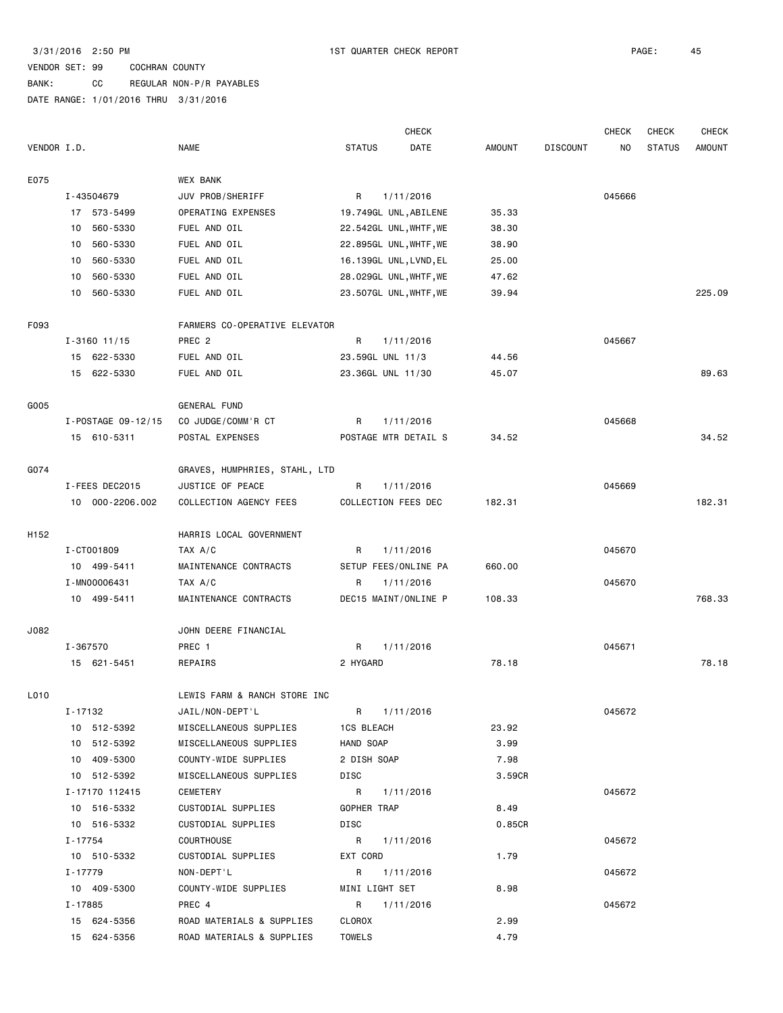# BANK: CC REGULAR NON-P/R PAYABLES

|      |                    |                               | <b>CHECK</b>           |        |                 | <b>CHECK</b>   | <b>CHECK</b>  | <b>CHECK</b>  |
|------|--------------------|-------------------------------|------------------------|--------|-----------------|----------------|---------------|---------------|
|      | VENDOR I.D.        | <b>NAME</b>                   | <b>STATUS</b><br>DATE  | AMOUNT | <b>DISCOUNT</b> | N <sub>O</sub> | <b>STATUS</b> | <b>AMOUNT</b> |
| E075 |                    | WEX BANK                      |                        |        |                 |                |               |               |
|      | I-43504679         | JUV PROB/SHERIFF              | R<br>1/11/2016         |        |                 | 045666         |               |               |
|      | 17 573-5499        | OPERATING EXPENSES            | 19.749GL UNL, ABILENE  | 35.33  |                 |                |               |               |
|      | 560-5330<br>10     | FUEL AND OIL                  | 22.542GL UNL, WHTF, WE | 38.30  |                 |                |               |               |
|      | 10 560-5330        | FUEL AND OIL                  | 22.895GL UNL, WHTF, WE | 38.90  |                 |                |               |               |
|      | 10 560-5330        | FUEL AND OIL                  | 16.139GL UNL, LVND, EL | 25.00  |                 |                |               |               |
|      | 560-5330<br>10     | FUEL AND OIL                  | 28.029GL UNL, WHTF, WE | 47.62  |                 |                |               |               |
|      | 560-5330<br>10     | FUEL AND OIL                  | 23.507GL UNL, WHTF, WE | 39.94  |                 |                |               | 225.09        |
| F093 |                    | FARMERS CO-OPERATIVE ELEVATOR |                        |        |                 |                |               |               |
|      | $I - 3160$ 11/15   | PREC <sub>2</sub>             | R<br>1/11/2016         |        |                 | 045667         |               |               |
|      | 15 622-5330        | FUEL AND OIL                  | 23.59GL UNL 11/3       | 44.56  |                 |                |               |               |
|      | 15 622-5330        | FUEL AND OIL                  | 23.36GL UNL 11/30      | 45.07  |                 |                |               | 89.63         |
| G005 |                    | GENERAL FUND                  |                        |        |                 |                |               |               |
|      | I-POSTAGE 09-12/15 | CO JUDGE/COMM'R CT            | R<br>1/11/2016         |        |                 | 045668         |               |               |
|      | 15 610-5311        | POSTAL EXPENSES               | POSTAGE MTR DETAIL S   | 34.52  |                 |                |               | 34.52         |
| G074 |                    | GRAVES, HUMPHRIES, STAHL, LTD |                        |        |                 |                |               |               |
|      | I-FEES DEC2015     | JUSTICE OF PEACE              | 1/11/2016<br>R         |        |                 | 045669         |               |               |
|      | 10 000-2206.002    | COLLECTION AGENCY FEES        | COLLECTION FEES DEC    | 182.31 |                 |                |               | 182.31        |
| H152 |                    | HARRIS LOCAL GOVERNMENT       |                        |        |                 |                |               |               |
|      | I-CT001809         | TAX A/C                       | R<br>1/11/2016         |        |                 | 045670         |               |               |
|      | 10 499-5411        | MAINTENANCE CONTRACTS         | SETUP FEES/ONLINE PA   | 660.00 |                 |                |               |               |
|      | I-MN00006431       | TAX A/C                       | R<br>1/11/2016         |        |                 | 045670         |               |               |
|      | 10 499-5411        | MAINTENANCE CONTRACTS         | DEC15 MAINT/ONLINE P   | 108.33 |                 |                |               | 768.33        |
| J082 |                    | JOHN DEERE FINANCIAL          |                        |        |                 |                |               |               |
|      | I-367570           | PREC 1                        | R<br>1/11/2016         |        |                 | 045671         |               |               |
|      | 15 621-5451        | REPAIRS                       | 2 HYGARD               | 78.18  |                 |                |               | 78.18         |
| L010 |                    | LEWIS FARM & RANCH STORE INC  |                        |        |                 |                |               |               |
|      | I-17132            | JAIL/NON-DEPT'L               | R 1/11/2016            |        |                 | 045672         |               |               |
|      | 10 512-5392        | MISCELLANEOUS SUPPLIES        | <b>1CS BLEACH</b>      | 23.92  |                 |                |               |               |
|      | 10 512-5392        | MISCELLANEOUS SUPPLIES        | HAND SOAP              | 3.99   |                 |                |               |               |
|      | 10 409-5300        | COUNTY-WIDE SUPPLIES          | 2 DISH SOAP            | 7.98   |                 |                |               |               |
|      | 10 512-5392        | MISCELLANEOUS SUPPLIES        | DISC                   | 3.59CR |                 |                |               |               |
|      | I-17170 112415     | CEMETERY                      | R<br>1/11/2016         |        |                 | 045672         |               |               |
|      | 10 516-5332        | CUSTODIAL SUPPLIES            | GOPHER TRAP            | 8.49   |                 |                |               |               |
|      | 10 516-5332        | CUSTODIAL SUPPLIES            | DISC                   | 0.85CR |                 |                |               |               |
|      | I - 17754          | COURTHOUSE                    | R<br>1/11/2016         |        |                 | 045672         |               |               |
|      | 10 510-5332        | CUSTODIAL SUPPLIES            | EXT CORD               | 1.79   |                 |                |               |               |
|      | I - 17779          | NON-DEPT'L                    | 1/11/2016<br>R         |        |                 | 045672         |               |               |
|      | 10 409-5300        | COUNTY-WIDE SUPPLIES          | MINI LIGHT SET         | 8.98   |                 |                |               |               |
|      | I-17885            | PREC 4                        | 1/11/2016<br>R         |        |                 | 045672         |               |               |
|      | 15 624-5356        | ROAD MATERIALS & SUPPLIES     | CLOROX                 | 2.99   |                 |                |               |               |
|      | 15 624-5356        | ROAD MATERIALS & SUPPLIES     | <b>TOWELS</b>          | 4.79   |                 |                |               |               |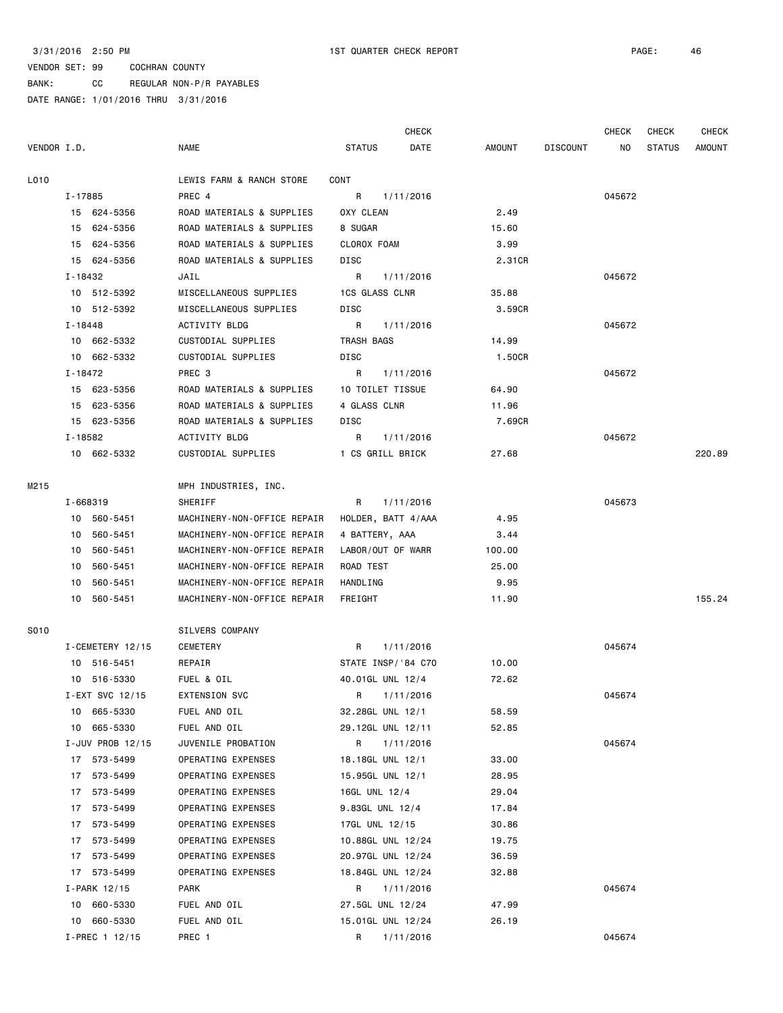BANK: CC REGULAR NON-P/R PAYABLES

|             |             |                  |                             |                       | <b>CHECK</b> |               |                 | <b>CHECK</b>   | <b>CHECK</b>  | CHECK         |
|-------------|-------------|------------------|-----------------------------|-----------------------|--------------|---------------|-----------------|----------------|---------------|---------------|
| VENDOR I.D. |             |                  | <b>NAME</b>                 | <b>STATUS</b>         | DATE         | <b>AMOUNT</b> | <b>DISCOUNT</b> | N <sub>O</sub> | <b>STATUS</b> | <b>AMOUNT</b> |
| L010        |             |                  | LEWIS FARM & RANCH STORE    | CONT                  |              |               |                 |                |               |               |
|             | I-17885     |                  | PREC 4                      | R                     | 1/11/2016    |               |                 | 045672         |               |               |
|             |             | 15 624-5356      | ROAD MATERIALS & SUPPLIES   | OXY CLEAN             |              | 2.49          |                 |                |               |               |
|             |             | 15 624-5356      | ROAD MATERIALS & SUPPLIES   | 8 SUGAR               |              | 15.60         |                 |                |               |               |
|             |             | 15 624-5356      | ROAD MATERIALS & SUPPLIES   | CLOROX FOAM           |              | 3.99          |                 |                |               |               |
|             |             | 15 624-5356      | ROAD MATERIALS & SUPPLIES   | DISC                  |              | 2.31CR        |                 |                |               |               |
|             | I-18432     |                  | JAIL                        | R                     | 1/11/2016    |               |                 | 045672         |               |               |
|             |             | 10 512-5392      | MISCELLANEOUS SUPPLIES      | <b>1CS GLASS CLNR</b> |              | 35.88         |                 |                |               |               |
|             |             | 10 512-5392      | MISCELLANEOUS SUPPLIES      | DISC                  |              | 3.59CR        |                 |                |               |               |
|             | $I - 18448$ |                  | ACTIVITY BLDG               | R                     | 1/11/2016    |               |                 | 045672         |               |               |
|             |             | 10 662-5332      | CUSTODIAL SUPPLIES          | TRASH BAGS            |              | 14.99         |                 |                |               |               |
|             |             | 10 662-5332      | CUSTODIAL SUPPLIES          | DISC                  |              | 1.50CR        |                 |                |               |               |
|             | I-18472     |                  | PREC 3                      | R                     | 1/11/2016    |               |                 | 045672         |               |               |
|             |             | 15 623-5356      | ROAD MATERIALS & SUPPLIES   | 10 TOILET TISSUE      |              | 64.90         |                 |                |               |               |
|             | 15          | 623-5356         | ROAD MATERIALS & SUPPLIES   | 4 GLASS CLNR          |              | 11.96         |                 |                |               |               |
|             |             | 15 623-5356      | ROAD MATERIALS & SUPPLIES   | DISC                  |              | 7.69CR        |                 |                |               |               |
|             | I-18582     |                  | ACTIVITY BLDG               | R                     | 1/11/2016    |               |                 | 045672         |               |               |
|             |             | 10 662-5332      | CUSTODIAL SUPPLIES          | 1 CS GRILL BRICK      |              | 27.68         |                 |                |               | 220.89        |
|             |             |                  |                             |                       |              |               |                 |                |               |               |
| M215        |             |                  | MPH INDUSTRIES, INC.        |                       |              |               |                 |                |               |               |
|             |             | I-668319         | SHERIFF                     | R                     | 1/11/2016    |               |                 | 045673         |               |               |
|             |             | 10 560-5451      | MACHINERY-NON-OFFICE REPAIR | HOLDER, BATT 4/AAA    |              | 4.95          |                 |                |               |               |
|             |             | 10 560-5451      | MACHINERY-NON-OFFICE REPAIR | 4 BATTERY, AAA        |              | 3.44          |                 |                |               |               |
|             |             | 10 560-5451      | MACHINERY-NON-OFFICE REPAIR | LABOR/OUT OF WARR     |              | 100.00        |                 |                |               |               |
|             | 10          | 560-5451         | MACHINERY-NON-OFFICE REPAIR | ROAD TEST             |              | 25.00         |                 |                |               |               |
|             | 10          | 560-5451         | MACHINERY-NON-OFFICE REPAIR | <b>HANDLING</b>       |              | 9.95          |                 |                |               |               |
|             |             | 10 560-5451      | MACHINERY-NON-OFFICE REPAIR | FREIGHT               |              | 11.90         |                 |                |               | 155.24        |
| S010        |             |                  | SILVERS COMPANY             |                       |              |               |                 |                |               |               |
|             |             | I-CEMETERY 12/15 | CEMETERY                    | R                     | 1/11/2016    |               |                 | 045674         |               |               |
|             |             | 10 516-5451      | REPAIR                      | STATE INSP/'84 C70    |              | 10.00         |                 |                |               |               |
|             |             | 10 516-5330      | FUEL & OIL                  | 40.01GL UNL 12/4      |              | 72.62         |                 |                |               |               |
|             |             | I-EXT SVC 12/15  | <b>EXTENSION SVC</b>        | R                     | 1/11/2016    |               |                 | 045674         |               |               |
|             | 10          | 665-5330         | FUEL AND OIL                | 32.28GL UNL 12/1      |              | 58.59         |                 |                |               |               |
|             | 10          | 665-5330         | FUEL AND OIL                | 29.12GL UNL 12/11     |              | 52.85         |                 |                |               |               |
|             |             | I-JUV PROB 12/15 | JUVENILE PROBATION          | R                     | 1/11/2016    |               |                 | 045674         |               |               |
|             | 17          | 573-5499         | OPERATING EXPENSES          | 18.18GL UNL 12/1      |              | 33.00         |                 |                |               |               |
|             | 17          | 573-5499         | OPERATING EXPENSES          | 15.95GL UNL 12/1      |              | 28.95         |                 |                |               |               |
|             | 17          | 573-5499         | OPERATING EXPENSES          | 16GL UNL 12/4         |              | 29.04         |                 |                |               |               |
|             | 17          | 573-5499         | OPERATING EXPENSES          | 9.83GL UNL 12/4       |              | 17.84         |                 |                |               |               |
|             | 17          | 573-5499         | OPERATING EXPENSES          | 17GL UNL 12/15        |              | 30.86         |                 |                |               |               |
|             | 17          | 573-5499         | OPERATING EXPENSES          | 10.88GL UNL 12/24     |              | 19.75         |                 |                |               |               |
|             | 17          | 573-5499         | OPERATING EXPENSES          | 20.97GL UNL 12/24     |              | 36.59         |                 |                |               |               |
|             | 17          | 573-5499         | OPERATING EXPENSES          | 18.84GL UNL 12/24     |              | 32.88         |                 |                |               |               |
|             |             | I-PARK 12/15     | PARK                        | R                     | 1/11/2016    |               |                 | 045674         |               |               |
|             | 10          | 660-5330         | FUEL AND OIL                | 27.5GL UNL 12/24      |              | 47.99         |                 |                |               |               |
|             | 10          | 660-5330         | FUEL AND OIL                | 15.01GL UNL 12/24     |              | 26.19         |                 |                |               |               |
|             |             | I-PREC 1 12/15   | PREC 1                      | R                     | 1/11/2016    |               |                 | 045674         |               |               |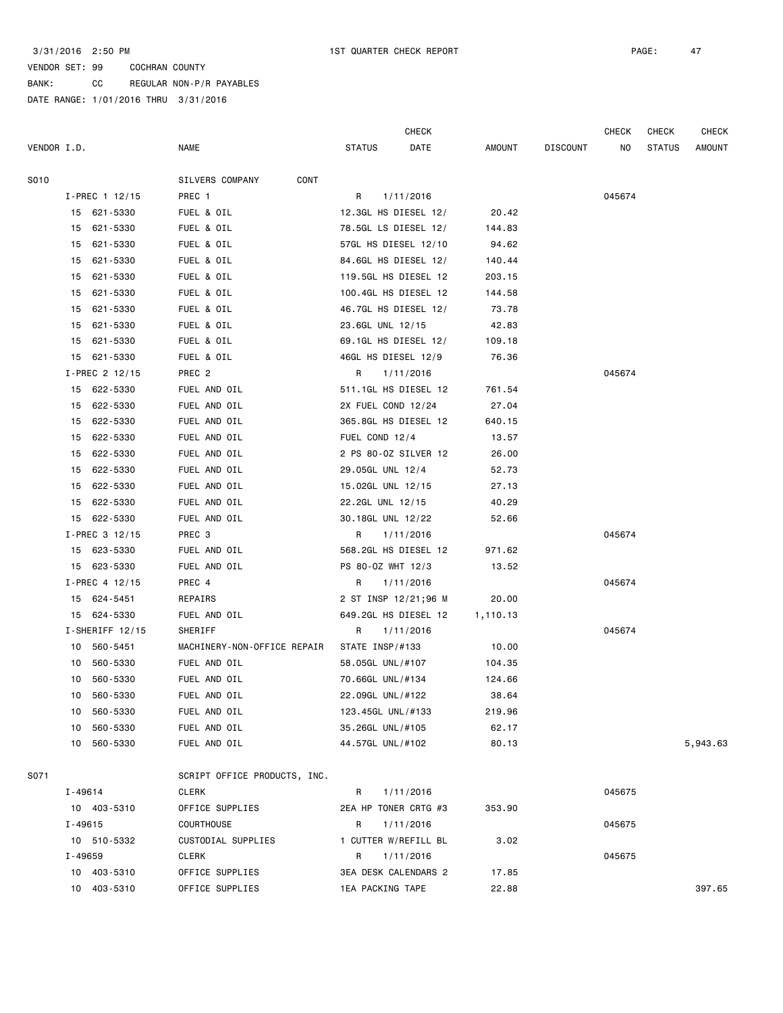BANK: CC REGULAR NON-P/R PAYABLES

|             |         |                   |                              |                      | <b>CHECK</b> |      |               |                 | <b>CHECK</b> | CHECK         | <b>CHECK</b> |
|-------------|---------|-------------------|------------------------------|----------------------|--------------|------|---------------|-----------------|--------------|---------------|--------------|
| VENDOR I.D. |         |                   | <b>NAME</b>                  | <b>STATUS</b>        |              | DATE | <b>AMOUNT</b> | <b>DISCOUNT</b> | NO           | <b>STATUS</b> | AMOUNT       |
| S010        |         |                   | CONT<br>SILVERS COMPANY      |                      |              |      |               |                 |              |               |              |
|             |         | I-PREC 1 12/15    | PREC 1                       | R                    | 1/11/2016    |      |               |                 | 045674       |               |              |
|             |         | 15 621-5330       | FUEL & OIL                   | 12.3GL HS DIESEL 12/ |              |      | 20.42         |                 |              |               |              |
|             | 15      | 621-5330          | FUEL & OIL                   | 78.5GL LS DIESEL 12/ |              |      | 144.83        |                 |              |               |              |
|             | 15      | 621-5330          | FUEL & OIL                   | 57GL HS DIESEL 12/10 |              |      | 94.62         |                 |              |               |              |
|             | 15      | 621-5330          | FUEL & OIL                   | 84.6GL HS DIESEL 12/ |              |      | 140.44        |                 |              |               |              |
|             | 15      | 621-5330          | FUEL & OIL                   | 119.5GL HS DIESEL 12 |              |      | 203.15        |                 |              |               |              |
|             | 15      | 621-5330          | FUEL & OIL                   | 100.4GL HS DIESEL 12 |              |      | 144.58        |                 |              |               |              |
|             | 15      | 621-5330          | FUEL & OIL                   | 46.7GL HS DIESEL 12/ |              |      | 73.78         |                 |              |               |              |
|             | 15      | 621-5330          | FUEL & OIL                   | 23.6GL UNL 12/15     |              |      | 42.83         |                 |              |               |              |
|             | 15      | 621-5330          | FUEL & OIL                   | 69.1GL HS DIESEL 12/ |              |      | 109.18        |                 |              |               |              |
|             | 15      | 621-5330          | FUEL & OIL                   | 46GL HS DIESEL 12/9  |              |      | 76.36         |                 |              |               |              |
|             |         | I-PREC 2 12/15    | PREC <sub>2</sub>            | R                    | 1/11/2016    |      |               |                 | 045674       |               |              |
|             | 15      | 622-5330          | FUEL AND OIL                 | 511.1GL HS DIESEL 12 |              |      | 761.54        |                 |              |               |              |
|             | 15      | 622-5330          | FUEL AND OIL                 | 2X FUEL COND 12/24   |              |      | 27.04         |                 |              |               |              |
|             | 15      | 622-5330          | FUEL AND OIL                 | 365.8GL HS DIESEL 12 |              |      | 640.15        |                 |              |               |              |
|             | 15      | 622-5330          | FUEL AND OIL                 | FUEL COND 12/4       |              |      | 13.57         |                 |              |               |              |
|             | 15      | 622-5330          | FUEL AND OIL                 | 2 PS 80-0Z SILVER 12 |              |      | 26.00         |                 |              |               |              |
|             | 15      | 622-5330          | FUEL AND OIL                 | 29.05GL UNL 12/4     |              |      | 52.73         |                 |              |               |              |
|             | 15      | 622-5330          | FUEL AND OIL                 | 15.02GL UNL 12/15    |              |      | 27.13         |                 |              |               |              |
|             | 15      | 622-5330          | FUEL AND OIL                 | 22.2GL UNL 12/15     |              |      | 40.29         |                 |              |               |              |
|             |         | 15 622-5330       | FUEL AND OIL                 | 30.18GL UNL 12/22    |              |      | 52.66         |                 |              |               |              |
|             |         | I-PREC 3 12/15    | PREC 3                       | R                    | 1/11/2016    |      |               |                 | 045674       |               |              |
|             |         | 15 623-5330       | FUEL AND OIL                 | 568.2GL HS DIESEL 12 |              |      | 971.62        |                 |              |               |              |
|             |         | 15 623-5330       | FUEL AND OIL                 | PS 80-0Z WHT 12/3    |              |      | 13.52         |                 |              |               |              |
|             |         | $I-PREC$ 4 12/15  | PREC 4                       | R                    | 1/11/2016    |      |               |                 | 045674       |               |              |
|             |         | 15 624-5451       | REPAIRS                      | 2 ST INSP 12/21;96 M |              |      | 20.00         |                 |              |               |              |
|             | 15      | 624-5330          | FUEL AND OIL                 | 649.2GL HS DIESEL 12 |              |      | 1,110.13      |                 |              |               |              |
|             |         | $I-SHERIFF 12/15$ | SHERIFF                      | R                    | 1/11/2016    |      |               |                 | 045674       |               |              |
|             | 10      | 560-5451          | MACHINERY-NON-OFFICE REPAIR  | STATE INSP/#133      |              |      | 10.00         |                 |              |               |              |
|             | 10      | 560-5330          | FUEL AND OIL                 | 58.05GL UNL/#107     |              |      | 104.35        |                 |              |               |              |
|             | 10      | 560-5330          | FUEL AND OIL                 | 70.66GL UNL/#134     |              |      | 124.66        |                 |              |               |              |
|             | 10      | 560-5330          | FUEL AND OIL                 | 22.09GL UNL/#122     |              |      | 38.64         |                 |              |               |              |
|             |         | 10 560-5330       | FUEL AND OIL                 | 123.45GL UNL/#133    |              |      | 219.96        |                 |              |               |              |
|             |         | 10 560-5330       | FUEL AND OIL                 | 35.26GL UNL/#105     |              |      | 62.17         |                 |              |               |              |
|             |         | 10 560-5330       | FUEL AND OIL                 | 44.57GL UNL/#102     |              |      | 80.13         |                 |              |               | 5,943.63     |
| S071        |         |                   | SCRIPT OFFICE PRODUCTS, INC. |                      |              |      |               |                 |              |               |              |
|             | I-49614 |                   | CLERK                        | R                    | 1/11/2016    |      |               |                 | 045675       |               |              |
|             |         | 10 403-5310       | OFFICE SUPPLIES              | 2EA HP TONER CRTG #3 |              |      | 353.90        |                 |              |               |              |
|             | I-49615 |                   | COURTHOUSE                   | R                    | 1/11/2016    |      |               |                 | 045675       |               |              |
|             |         | 10 510-5332       | CUSTODIAL SUPPLIES           | 1 CUTTER W/REFILL BL |              |      | 3.02          |                 |              |               |              |
|             | I-49659 |                   | <b>CLERK</b>                 | R                    | 1/11/2016    |      |               |                 | 045675       |               |              |
|             |         | 10 403-5310       | OFFICE SUPPLIES              | 3EA DESK CALENDARS 2 |              |      | 17.85         |                 |              |               |              |
|             |         | 10 403-5310       | OFFICE SUPPLIES              | 1EA PACKING TAPE     |              |      | 22.88         |                 |              |               | 397.65       |
|             |         |                   |                              |                      |              |      |               |                 |              |               |              |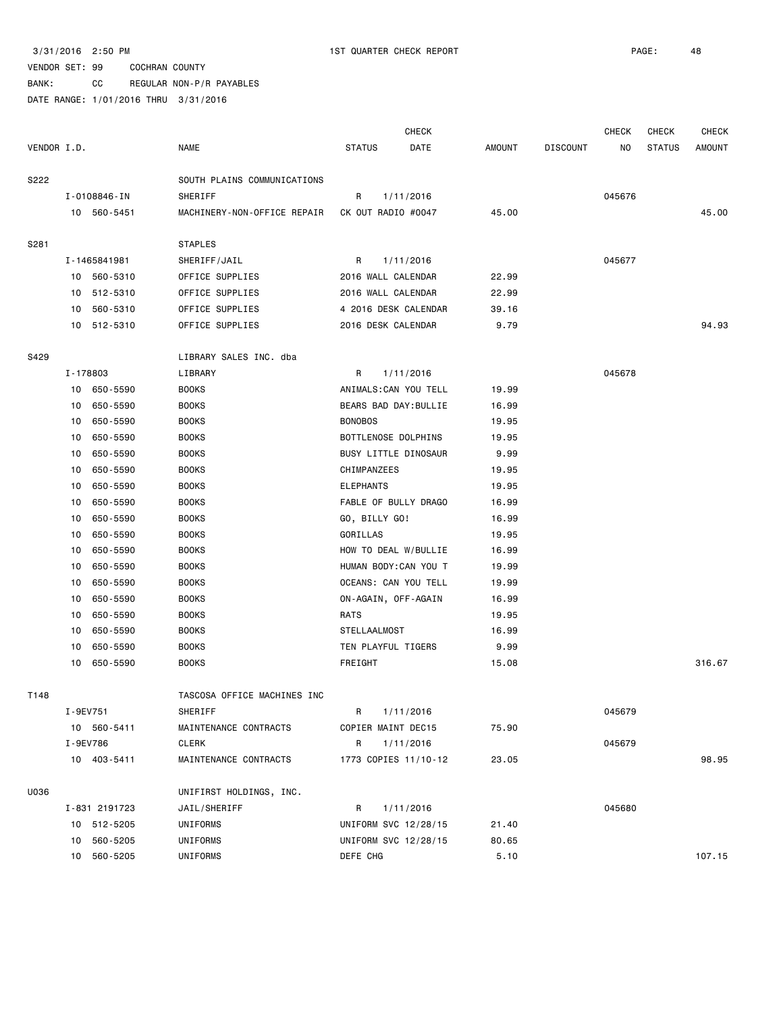BANK: CC REGULAR NON-P/R PAYABLES

|             |               |          |                             |                       | <b>CHECK</b> |               |                 | <b>CHECK</b> | <b>CHECK</b>  | CHECK         |
|-------------|---------------|----------|-----------------------------|-----------------------|--------------|---------------|-----------------|--------------|---------------|---------------|
| VENDOR I.D. |               |          | NAME                        | <b>STATUS</b>         | DATE         | <b>AMOUNT</b> | <b>DISCOUNT</b> | NO           | <b>STATUS</b> | <b>AMOUNT</b> |
| S222        |               |          | SOUTH PLAINS COMMUNICATIONS |                       |              |               |                 |              |               |               |
|             | I-0108846-IN  |          | SHERIFF                     | R                     | 1/11/2016    |               |                 | 045676       |               |               |
|             | 10 560-5451   |          | MACHINERY-NON-OFFICE REPAIR | CK OUT RADIO #0047    |              | 45.00         |                 |              |               | 45.00         |
| S281        |               |          | <b>STAPLES</b>              |                       |              |               |                 |              |               |               |
|             | I-1465841981  |          | SHERIFF/JAIL                | R                     | 1/11/2016    |               |                 | 045677       |               |               |
|             | 10 560-5310   |          | OFFICE SUPPLIES             | 2016 WALL CALENDAR    |              | 22.99         |                 |              |               |               |
|             | 10 512-5310   |          | OFFICE SUPPLIES             | 2016 WALL CALENDAR    |              | 22.99         |                 |              |               |               |
|             | 10 560-5310   |          | OFFICE SUPPLIES             | 4 2016 DESK CALENDAR  |              | 39.16         |                 |              |               |               |
|             | 10 512-5310   |          | OFFICE SUPPLIES             | 2016 DESK CALENDAR    |              | 9.79          |                 |              |               | 94.93         |
| S429        |               |          | LIBRARY SALES INC. dba      |                       |              |               |                 |              |               |               |
|             | I-178803      |          | LIBRARY                     | R                     | 1/11/2016    |               |                 | 045678       |               |               |
|             | 10            | 650-5590 | <b>BOOKS</b>                | ANIMALS: CAN YOU TELL |              | 19.99         |                 |              |               |               |
|             | 10            | 650-5590 | <b>BOOKS</b>                | BEARS BAD DAY: BULLIE |              | 16.99         |                 |              |               |               |
|             | 10            | 650-5590 | <b>BOOKS</b>                | <b>BONOBOS</b>        |              | 19.95         |                 |              |               |               |
|             | 10            | 650-5590 | <b>BOOKS</b>                | BOTTLENOSE DOLPHINS   |              | 19.95         |                 |              |               |               |
|             | 10            | 650-5590 | <b>BOOKS</b>                | BUSY LITTLE DINOSAUR  |              | 9.99          |                 |              |               |               |
|             | 10            | 650-5590 | <b>BOOKS</b>                | CHIMPANZEES           |              | 19.95         |                 |              |               |               |
|             | 10            | 650-5590 | <b>BOOKS</b>                | <b>ELEPHANTS</b>      |              | 19.95         |                 |              |               |               |
|             | 10            | 650-5590 | <b>BOOKS</b>                | FABLE OF BULLY DRAGO  |              | 16.99         |                 |              |               |               |
|             | 10            | 650-5590 | <b>BOOKS</b>                | GO, BILLY GO!         |              | 16.99         |                 |              |               |               |
|             | 10            | 650-5590 | <b>BOOKS</b>                | GORILLAS              |              | 19.95         |                 |              |               |               |
|             | 10            | 650-5590 | <b>BOOKS</b>                | HOW TO DEAL W/BULLIE  |              | 16.99         |                 |              |               |               |
|             | 10            | 650-5590 | <b>BOOKS</b>                | HUMAN BODY: CAN YOU T |              | 19.99         |                 |              |               |               |
|             | 10            | 650-5590 | <b>BOOKS</b>                | OCEANS: CAN YOU TELL  |              | 19.99         |                 |              |               |               |
|             | 10            | 650-5590 | <b>BOOKS</b>                | ON-AGAIN, OFF-AGAIN   |              | 16.99         |                 |              |               |               |
|             | 10            | 650-5590 | <b>BOOKS</b>                | RATS                  |              | 19.95         |                 |              |               |               |
|             | 10            | 650-5590 | <b>BOOKS</b>                | <b>STELLAALMOST</b>   |              | 16.99         |                 |              |               |               |
|             | 10            | 650-5590 | <b>BOOKS</b>                | TEN PLAYFUL TIGERS    |              | 9.99          |                 |              |               |               |
|             | 10            | 650-5590 | <b>BOOKS</b>                | FREIGHT               |              | 15.08         |                 |              |               | 316.67        |
| T148        |               |          | TASCOSA OFFICE MACHINES INC |                       |              |               |                 |              |               |               |
|             | I-9EV751      |          | SHERIFF                     | R                     | 1/11/2016    |               |                 | 045679       |               |               |
|             | 10 560-5411   |          | MAINTENANCE CONTRACTS       | COPIER MAINT DEC15    |              | 75.90         |                 |              |               |               |
|             | I-9EV786      |          | CLERK                       | R                     | 1/11/2016    |               |                 | 045679       |               |               |
|             | 10 403-5411   |          | MAINTENANCE CONTRACTS       | 1773 COPIES 11/10-12  |              | 23.05         |                 |              |               | 98.95         |
| U036        |               |          | UNIFIRST HOLDINGS, INC.     |                       |              |               |                 |              |               |               |
|             | I-831 2191723 |          | JAIL/SHERIFF                | R                     | 1/11/2016    |               |                 | 045680       |               |               |
|             | 10 512-5205   |          | UNIFORMS                    | UNIFORM SVC 12/28/15  |              | 21.40         |                 |              |               |               |
|             | 10            | 560-5205 | UNIFORMS                    | UNIFORM SVC 12/28/15  |              | 80.65         |                 |              |               |               |
|             | 10            | 560-5205 | UNIFORMS                    | DEFE CHG              |              | 5.10          |                 |              |               | 107.15        |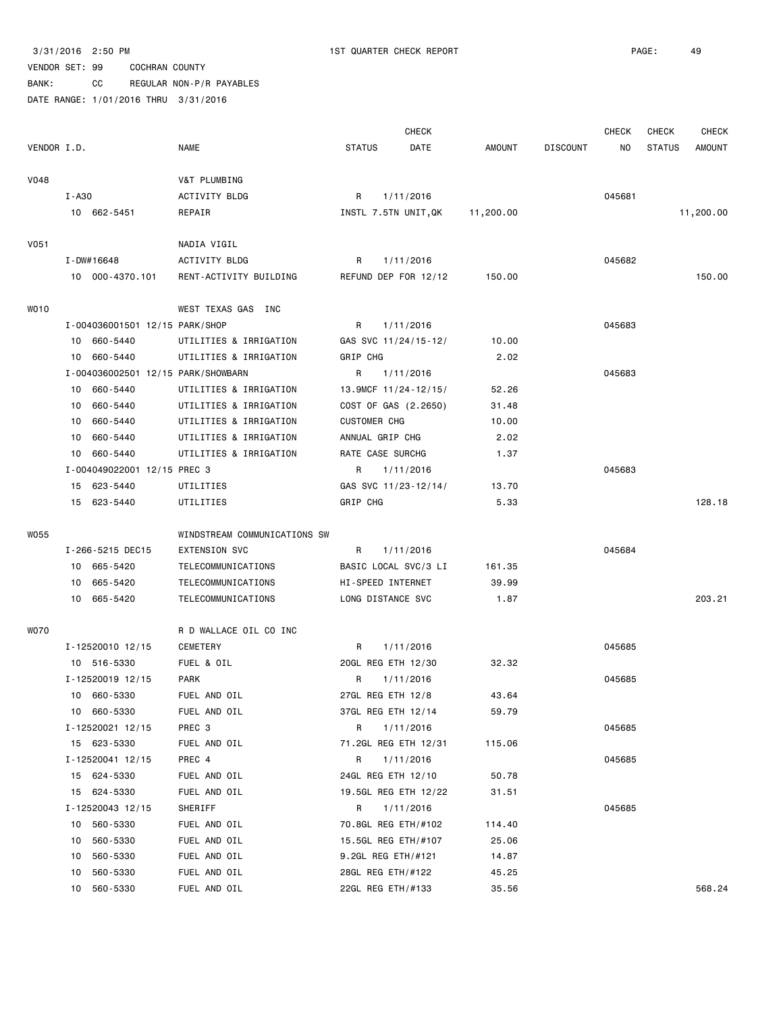## VENDOR SET: 99 COCHRAN COUNTY BANK: CC REGULAR NON-P/R PAYABLES

|             |       |                                    |                              |                     | <b>CHECK</b>         |               |                 | CHECK  | <b>CHECK</b>  | <b>CHECK</b>  |
|-------------|-------|------------------------------------|------------------------------|---------------------|----------------------|---------------|-----------------|--------|---------------|---------------|
| VENDOR I.D. |       |                                    | <b>NAME</b>                  | <b>STATUS</b>       | DATE                 | <b>AMOUNT</b> | <b>DISCOUNT</b> | NO.    | <b>STATUS</b> | <b>AMOUNT</b> |
| <b>V048</b> |       |                                    | V&T PLUMBING                 |                     |                      |               |                 |        |               |               |
|             | I-A30 |                                    | ACTIVITY BLDG                | R                   | 1/11/2016            |               |                 | 045681 |               |               |
|             |       | 10 662-5451                        | REPAIR                       |                     | INSTL 7.5TN UNIT, QK | 11,200.00     |                 |        |               | 11,200.00     |
| V051        |       |                                    | NADIA VIGIL                  |                     |                      |               |                 |        |               |               |
|             |       | I-DW#16648                         | <b>ACTIVITY BLDG</b>         | R                   | 1/11/2016            |               |                 | 045682 |               |               |
|             |       | 10 000-4370.101                    | RENT-ACTIVITY BUILDING       |                     | REFUND DEP FOR 12/12 | 150.00        |                 |        |               | 150.00        |
| WO10        |       |                                    | WEST TEXAS GAS INC           |                     |                      |               |                 |        |               |               |
|             |       | I-004036001501 12/15 PARK/SHOP     |                              | R                   | 1/11/2016            |               |                 | 045683 |               |               |
|             |       | 10 660-5440                        | UTILITIES & IRRIGATION       |                     | GAS SVC 11/24/15-12/ | 10.00         |                 |        |               |               |
|             | 10    | 660-5440                           | UTILITIES & IRRIGATION       | GRIP CHG            |                      | 2.02          |                 |        |               |               |
|             |       | I-004036002501 12/15 PARK/SHOWBARN |                              | R                   | 1/11/2016            |               |                 | 045683 |               |               |
|             | 10    | 660-5440                           | UTILITIES & IRRIGATION       |                     | 13.9MCF 11/24-12/15/ | 52.26         |                 |        |               |               |
|             | 10    | 660-5440                           | UTILITIES & IRRIGATION       |                     | COST OF GAS (2.2650) | 31.48         |                 |        |               |               |
|             | 10    | 660-5440                           | UTILITIES & IRRIGATION       | <b>CUSTOMER CHG</b> |                      | 10.00         |                 |        |               |               |
|             | 10    | 660-5440                           | UTILITIES & IRRIGATION       | ANNUAL GRIP CHG     |                      | 2.02          |                 |        |               |               |
|             | 10    | 660-5440                           | UTILITIES & IRRIGATION       | RATE CASE SURCHG    |                      | 1.37          |                 |        |               |               |
|             |       | I-004049022001 12/15 PREC 3        |                              | R                   | 1/11/2016            |               |                 | 045683 |               |               |
|             |       | 15 623-5440                        | UTILITIES                    |                     | GAS SVC 11/23-12/14/ | 13.70         |                 |        |               |               |
|             |       | 15 623-5440                        | UTILITIES                    | GRIP CHG            |                      | 5.33          |                 |        |               | 128.18        |
| W055        |       |                                    | WINDSTREAM COMMUNICATIONS SW |                     |                      |               |                 |        |               |               |
|             |       | I-266-5215 DEC15                   | <b>EXTENSION SVC</b>         | R                   | 1/11/2016            |               |                 | 045684 |               |               |
|             |       | 10 665-5420                        | TELECOMMUNICATIONS           |                     | BASIC LOCAL SVC/3 LI | 161.35        |                 |        |               |               |
|             | 10    | 665-5420                           | TELECOMMUNICATIONS           | HI-SPEED INTERNET   |                      | 39.99         |                 |        |               |               |
|             |       | 10 665-5420                        | TELECOMMUNICATIONS           | LONG DISTANCE SVC   |                      | 1.87          |                 |        |               | 203.21        |
| <b>WO70</b> |       |                                    | R D WALLACE OIL CO INC       |                     |                      |               |                 |        |               |               |
|             |       | I-12520010 12/15                   | CEMETERY                     | R                   | 1/11/2016            |               |                 | 045685 |               |               |
|             |       | 10 516-5330                        | FUEL & OIL                   | 20GL REG ETH 12/30  |                      | 32.32         |                 |        |               |               |
|             |       | I-12520019 12/15                   | <b>PARK</b>                  | R                   | 1/11/2016            |               |                 | 045685 |               |               |
|             |       | 10 660-5330                        | FUEL AND OIL                 | 27GL REG ETH 12/8   |                      | 43.64         |                 |        |               |               |
|             |       | 10 660-5330                        | FUEL AND OIL                 | 37GL REG ETH 12/14  |                      | 59.79         |                 |        |               |               |
|             |       | I-12520021 12/15                   | PREC 3                       | R                   | 1/11/2016            |               |                 | 045685 |               |               |
|             |       | 15 623-5330                        | FUEL AND OIL                 |                     | 71.2GL REG ETH 12/31 | 115.06        |                 |        |               |               |
|             |       | I-12520041 12/15                   | PREC 4                       | R                   | 1/11/2016            |               |                 | 045685 |               |               |
|             |       | 15 624-5330                        | FUEL AND OIL                 | 24GL REG ETH 12/10  |                      | 50.78         |                 |        |               |               |
|             | 15    | 624-5330                           | FUEL AND OIL                 |                     | 19.5GL REG ETH 12/22 | 31.51         |                 |        |               |               |
|             |       | I-12520043 12/15                   | SHERIFF                      | R                   | 1/11/2016            |               |                 | 045685 |               |               |
|             | 10    | 560-5330                           | FUEL AND OIL                 |                     | 70.8GL REG ETH/#102  | 114.40        |                 |        |               |               |
|             | 10    | 560-5330                           | FUEL AND OIL                 |                     | 15.5GL REG ETH/#107  | 25.06         |                 |        |               |               |
|             | 10    | 560-5330                           | FUEL AND OIL                 | 9.2GL REG ETH/#121  |                      | 14.87         |                 |        |               |               |
|             | 10    | 560-5330                           | FUEL AND OIL                 | 28GL REG ETH/#122   |                      | 45.25         |                 |        |               |               |
|             | 10    | 560-5330                           | FUEL AND OIL                 | 22GL REG ETH/#133   |                      | 35.56         |                 |        |               | 568.24        |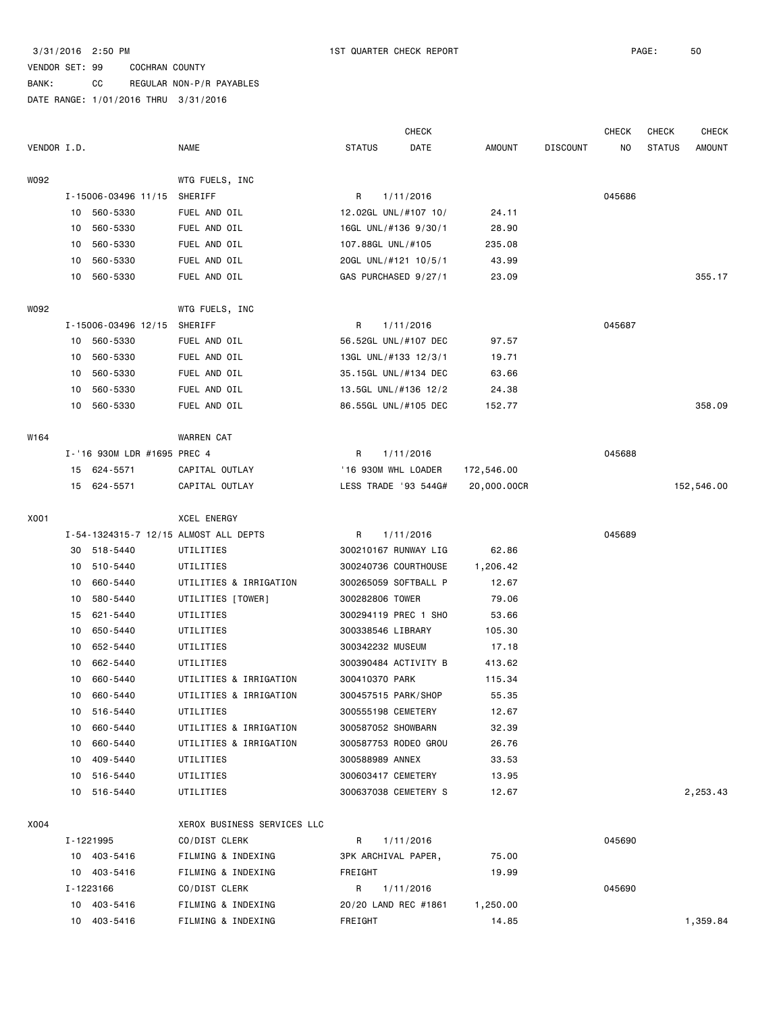|             |    |                             |                                       |                      | <b>CHECK</b> |             |                 | <b>CHECK</b> | <b>CHECK</b>  | <b>CHECK</b> |
|-------------|----|-----------------------------|---------------------------------------|----------------------|--------------|-------------|-----------------|--------------|---------------|--------------|
| VENDOR I.D. |    |                             | <b>NAME</b>                           | <b>STATUS</b>        | DATE         | AMOUNT      | <b>DISCOUNT</b> | NO.          | <b>STATUS</b> | AMOUNT       |
| W092        |    |                             | WTG FUELS, INC                        |                      |              |             |                 |              |               |              |
|             |    | I-15006-03496 11/15         | SHERIFF                               | R                    | 1/11/2016    |             |                 | 045686       |               |              |
|             |    | 10 560-5330                 | FUEL AND OIL                          | 12.02GL UNL/#107 10/ |              | 24.11       |                 |              |               |              |
|             |    | 10 560-5330                 | FUEL AND OIL                          | 16GL UNL/#136 9/30/1 |              | 28.90       |                 |              |               |              |
|             | 10 | 560-5330                    | FUEL AND OIL                          | 107.88GL UNL/#105    |              | 235.08      |                 |              |               |              |
|             | 10 | 560-5330                    | FUEL AND OIL                          | 20GL UNL/#121 10/5/1 |              | 43.99       |                 |              |               |              |
|             | 10 | 560-5330                    | FUEL AND OIL                          | GAS PURCHASED 9/27/1 |              | 23.09       |                 |              |               | 355.17       |
| W092        |    |                             | WTG FUELS, INC                        |                      |              |             |                 |              |               |              |
|             |    | I-15006-03496 12/15         | SHERIFF                               | R                    | 1/11/2016    |             |                 | 045687       |               |              |
|             | 10 | 560-5330                    | FUEL AND OIL                          | 56.52GL UNL/#107 DEC |              | 97.57       |                 |              |               |              |
|             | 10 | 560-5330                    | FUEL AND OIL                          | 13GL UNL/#133 12/3/1 |              | 19.71       |                 |              |               |              |
|             | 10 | 560-5330                    | FUEL AND OIL                          | 35.15GL UNL/#134 DEC |              | 63.66       |                 |              |               |              |
|             | 10 | 560-5330                    | FUEL AND OIL                          | 13.5GL UNL/#136 12/2 |              | 24.38       |                 |              |               |              |
|             |    | 10 560-5330                 | FUEL AND OIL                          | 86.55GL UNL/#105 DEC |              | 152.77      |                 |              |               | 358.09       |
| W164        |    |                             | <b>WARREN CAT</b>                     |                      |              |             |                 |              |               |              |
|             |    | I-'16 930M LDR #1695 PREC 4 |                                       | R                    | 1/11/2016    |             |                 | 045688       |               |              |
|             |    | 15 624-5571                 | CAPITAL OUTLAY                        | '16 930M WHL LOADER  |              | 172,546.00  |                 |              |               |              |
|             |    | 15 624-5571                 | CAPITAL OUTLAY                        | LESS TRADE '93 544G# |              | 20,000.00CR |                 |              |               | 152,546.00   |
| X001        |    |                             | <b>XCEL ENERGY</b>                    |                      |              |             |                 |              |               |              |
|             |    |                             | I-54-1324315-7 12/15 ALMOST ALL DEPTS | R                    | 1/11/2016    |             |                 | 045689       |               |              |
|             |    | 30 518-5440                 | UTILITIES                             | 300210167 RUNWAY LIG |              | 62.86       |                 |              |               |              |
|             |    | 10 510-5440                 | UTILITIES                             | 300240736 COURTHOUSE |              | 1,206.42    |                 |              |               |              |
|             | 10 | 660-5440                    | UTILITIES & IRRIGATION                | 300265059 SOFTBALL P |              | 12.67       |                 |              |               |              |
|             | 10 | 580-5440                    | UTILITIES [TOWER]                     | 300282806 TOWER      |              | 79.06       |                 |              |               |              |
|             | 15 | 621-5440                    | UTILITIES                             | 300294119 PREC 1 SHO |              | 53.66       |                 |              |               |              |
|             | 10 | 650-5440                    | UTILITIES                             | 300338546 LIBRARY    |              | 105.30      |                 |              |               |              |
|             | 10 | 652-5440                    | UTILITIES                             | 300342232 MUSEUM     |              | 17.18       |                 |              |               |              |
|             | 10 | 662-5440                    | UTILITIES                             | 300390484 ACTIVITY B |              | 413.62      |                 |              |               |              |
|             | 10 | 660-5440                    | UTILITIES & IRRIGATION                | 300410370 PARK       |              | 115.34      |                 |              |               |              |
|             | 10 | 660-5440                    | UTILITIES & IRRIGATION                | 300457515 PARK/SHOP  |              | 55.35       |                 |              |               |              |
|             |    | 10 516-5440                 | UTILITIES                             | 300555198 CEMETERY   |              | 12.67       |                 |              |               |              |
|             |    | 10 660-5440                 | UTILITIES & IRRIGATION                | 300587052 SHOWBARN   |              | 32.39       |                 |              |               |              |
|             | 10 | 660-5440                    | UTILITIES & IRRIGATION                | 300587753 RODEO GROU |              | 26.76       |                 |              |               |              |
|             | 10 | 409-5440                    | UTILITIES                             | 300588989 ANNEX      |              | 33.53       |                 |              |               |              |
|             |    | 10 516-5440                 | UTILITIES                             | 300603417 CEMETERY   |              | 13.95       |                 |              |               |              |
|             |    | 10 516-5440                 | UTILITIES                             | 300637038 CEMETERY S |              | 12.67       |                 |              |               | 2,253.43     |
| X004        |    |                             | XEROX BUSINESS SERVICES LLC           |                      |              |             |                 |              |               |              |
|             |    | I-1221995                   | CO/DIST CLERK                         | R                    | 1/11/2016    |             |                 | 045690       |               |              |
|             |    | 10 403-5416                 | FILMING & INDEXING                    | 3PK ARCHIVAL PAPER,  |              | 75.00       |                 |              |               |              |
|             |    | 10 403-5416                 | FILMING & INDEXING                    | FREIGHT              |              | 19.99       |                 |              |               |              |
|             |    | I-1223166                   | CO/DIST CLERK                         | R                    | 1/11/2016    |             |                 | 045690       |               |              |
|             |    | 10 403-5416                 | FILMING & INDEXING                    | 20/20 LAND REC #1861 |              | 1,250.00    |                 |              |               |              |
|             |    | 10 403-5416                 | FILMING & INDEXING                    | FREIGHT              |              | 14.85       |                 |              |               | 1,359.84     |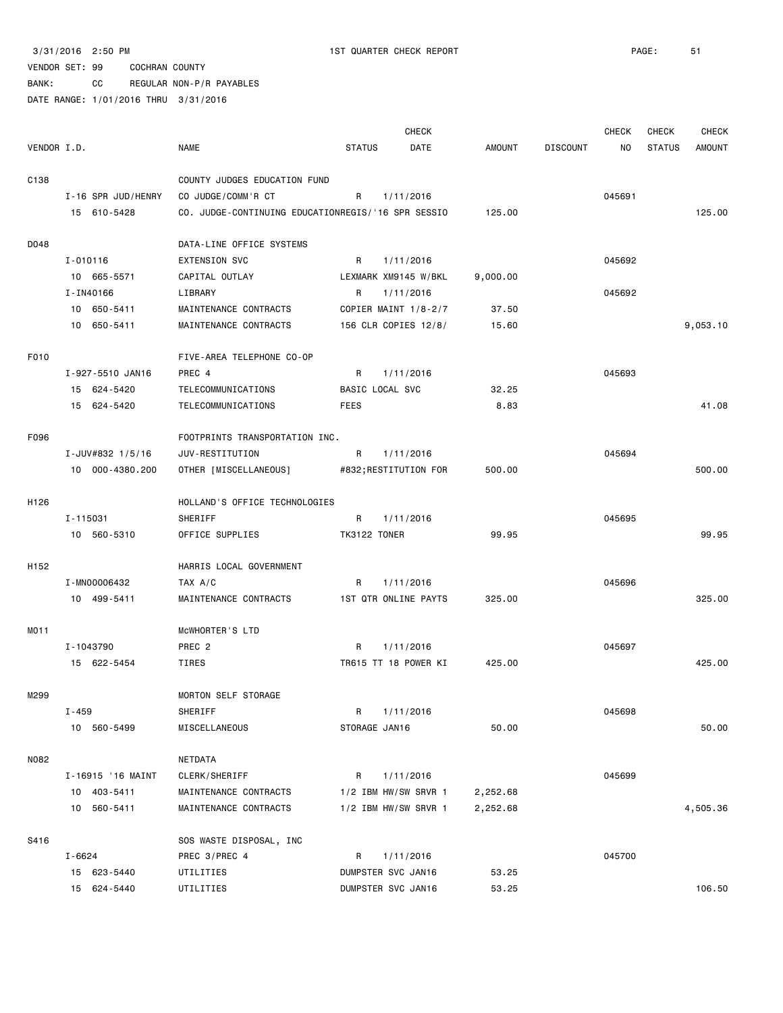BANK: CC REGULAR NON-P/R PAYABLES

|                  |                    |                                                    |               | <b>CHECK</b>         |               |                 | <b>CHECK</b> | <b>CHECK</b>  | <b>CHECK</b>  |
|------------------|--------------------|----------------------------------------------------|---------------|----------------------|---------------|-----------------|--------------|---------------|---------------|
| VENDOR I.D.      |                    | <b>NAME</b>                                        | <b>STATUS</b> | DATE                 | <b>AMOUNT</b> | <b>DISCOUNT</b> | NO           | <b>STATUS</b> | <b>AMOUNT</b> |
|                  |                    |                                                    |               |                      |               |                 |              |               |               |
| C <sub>138</sub> |                    | COUNTY JUDGES EDUCATION FUND                       |               |                      |               |                 |              |               |               |
|                  | I-16 SPR JUD/HENRY | CO JUDGE/COMM'R CT                                 | R             | 1/11/2016            |               |                 | 045691       |               |               |
|                  | 15 610-5428        | CO. JUDGE-CONTINUING EDUCATIONREGIS/'16 SPR SESSIO |               |                      | 125.00        |                 |              |               | 125,00        |
| D048             |                    | DATA-LINE OFFICE SYSTEMS                           |               |                      |               |                 |              |               |               |
|                  | $I - 010116$       | <b>EXTENSION SVC</b>                               | R             | 1/11/2016            |               |                 | 045692       |               |               |
|                  | 10 665-5571        | CAPITAL OUTLAY                                     |               | LEXMARK XM9145 W/BKL | 9,000.00      |                 |              |               |               |
|                  | I-IN40166          | LIBRARY                                            | R             | 1/11/2016            |               |                 | 045692       |               |               |
|                  | 10 650-5411        | MAINTENANCE CONTRACTS                              |               | COPIER MAINT 1/8-2/7 | 37.50         |                 |              |               |               |
|                  | 10 650-5411        | MAINTENANCE CONTRACTS                              |               | 156 CLR COPIES 12/8/ | 15.60         |                 |              |               | 9,053.10      |
|                  |                    |                                                    |               |                      |               |                 |              |               |               |
| F010             |                    | FIVE-AREA TELEPHONE CO-OP                          |               |                      |               |                 |              |               |               |
|                  | I-927-5510 JAN16   | PREC 4                                             | R             | 1/11/2016            |               |                 | 045693       |               |               |
|                  | 15 624-5420        | TELECOMMUNICATIONS                                 |               | BASIC LOCAL SVC      | 32.25         |                 |              |               |               |
|                  | 15 624-5420        | TELECOMMUNICATIONS                                 | FEES          |                      | 8.83          |                 |              |               | 41.08         |
| F096             |                    | FOOTPRINTS TRANSPORTATION INC.                     |               |                      |               |                 |              |               |               |
|                  | I-JUV#832 1/5/16   | JUV-RESTITUTION                                    | R             | 1/11/2016            |               |                 | 045694       |               |               |
|                  | 10 000-4380.200    | OTHER [MISCELLANEOUS]                              |               | #832;RESTITUTION FOR | 500.00        |                 |              |               | 500.00        |
|                  |                    |                                                    |               |                      |               |                 |              |               |               |
| H126             |                    | HOLLAND'S OFFICE TECHNOLOGIES                      |               |                      |               |                 |              |               |               |
|                  | I-115031           | SHERIFF                                            | R             | 1/11/2016            |               |                 | 045695       |               |               |
|                  | 10 560-5310        | OFFICE SUPPLIES                                    | TK3122 TONER  |                      | 99.95         |                 |              |               | 99.95         |
| H152             |                    | HARRIS LOCAL GOVERNMENT                            |               |                      |               |                 |              |               |               |
|                  | I-MN00006432       | TAX A/C                                            | R             | 1/11/2016            |               |                 | 045696       |               |               |
|                  | 10 499-5411        | MAINTENANCE CONTRACTS                              |               | 1ST QTR ONLINE PAYTS | 325.00        |                 |              |               | 325.00        |
|                  |                    |                                                    |               |                      |               |                 |              |               |               |
| MO11             |                    | MCWHORTER'S LTD                                    |               |                      |               |                 |              |               |               |
|                  | I-1043790          | PREC <sub>2</sub>                                  | R             | 1/11/2016            |               |                 | 045697       |               |               |
|                  | 15 622-5454        | TIRES                                              |               | TR615 TT 18 POWER KI | 425.00        |                 |              |               | 425.00        |
| M299             |                    | <b>MORTON SELF STORAGE</b>                         |               |                      |               |                 |              |               |               |
|                  | I-459              | SHERIFF                                            | R             | 1/11/2016            |               |                 | 045698       |               |               |
|                  | 10 560-5499        | MISCELLANEOUS                                      |               | STORAGE JAN16        | 50.00         |                 |              |               | 50.00         |
|                  |                    |                                                    |               |                      |               |                 |              |               |               |
| N082             |                    | NETDATA                                            |               |                      |               |                 |              |               |               |
|                  | I-16915 '16 MAINT  | CLERK/SHERIFF                                      | R             | 1/11/2016            |               |                 | 045699       |               |               |
|                  | 10 403-5411        | MAINTENANCE CONTRACTS                              |               | 1/2 IBM HW/SW SRVR 1 | 2,252.68      |                 |              |               |               |
|                  | 10 560-5411        | MAINTENANCE CONTRACTS                              |               | 1/2 IBM HW/SW SRVR 1 | 2,252.68      |                 |              |               | 4,505.36      |
| S416             |                    | SOS WASTE DISPOSAL, INC                            |               |                      |               |                 |              |               |               |
|                  | $I - 6624$         | PREC 3/PREC 4                                      | R             | 1/11/2016            |               |                 | 045700       |               |               |
|                  | 15 623-5440        | UTILITIES                                          |               | DUMPSTER SVC JAN16   | 53.25         |                 |              |               |               |
|                  | 15 624-5440        | UTILITIES                                          |               | DUMPSTER SVC JAN16   | 53.25         |                 |              |               | 106.50        |
|                  |                    |                                                    |               |                      |               |                 |              |               |               |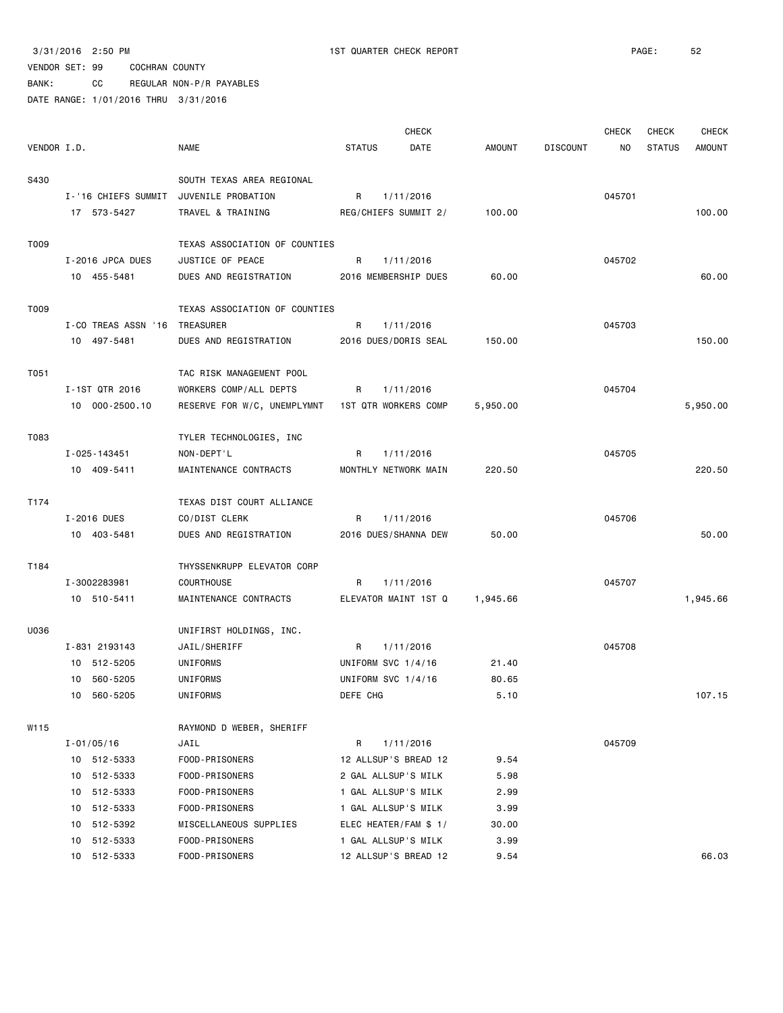BANK: CC REGULAR NON-P/R PAYABLES

|             |                               |                                                  |               | <b>CHECK</b>          |          |                 | <b>CHECK</b> | <b>CHECK</b>  | <b>CHECK</b>  |
|-------------|-------------------------------|--------------------------------------------------|---------------|-----------------------|----------|-----------------|--------------|---------------|---------------|
| VENDOR I.D. |                               | NAME                                             | <b>STATUS</b> | DATE                  | AMOUNT   | <b>DISCOUNT</b> | NO.          | <b>STATUS</b> | <b>AMOUNT</b> |
| S430        |                               | SOUTH TEXAS AREA REGIONAL                        |               |                       |          |                 |              |               |               |
|             |                               | I-'16 CHIEFS SUMMIT JUVENILE PROBATION           | R             | 1/11/2016             |          |                 | 045701       |               |               |
|             | 17 573-5427                   | TRAVEL & TRAINING                                |               | REG/CHIEFS SUMMIT 2/  | 100.00   |                 |              |               | 100.00        |
|             |                               |                                                  |               |                       |          |                 |              |               |               |
| T009        |                               | TEXAS ASSOCIATION OF COUNTIES                    |               |                       |          |                 |              |               |               |
|             | I-2016 JPCA DUES              | JUSTICE OF PEACE                                 | R             | 1/11/2016             |          |                 | 045702       |               |               |
|             | 10 455-5481                   | DUES AND REGISTRATION                            |               | 2016 MEMBERSHIP DUES  | 60.00    |                 |              |               | 60.00         |
| T009        |                               | TEXAS ASSOCIATION OF COUNTIES                    |               |                       |          |                 |              |               |               |
|             | I-CO TREAS ASSN '16 TREASURER |                                                  | R             | 1/11/2016             |          |                 | 045703       |               |               |
|             | 10 497-5481                   | DUES AND REGISTRATION                            |               | 2016 DUES/DORIS SEAL  | 150.00   |                 |              |               | 150.00        |
|             |                               |                                                  |               |                       |          |                 |              |               |               |
| T051        |                               | TAC RISK MANAGEMENT POOL                         |               |                       |          |                 |              |               |               |
|             | I-1ST QTR 2016                | WORKERS COMP/ALL DEPTS                           | R             | 1/11/2016             |          |                 | 045704       |               |               |
|             | 10 000-2500.10                | RESERVE FOR W/C, UNEMPLYMNT 1ST QTR WORKERS COMP |               |                       | 5,950.00 |                 |              |               | 5,950.00      |
| T083        |                               | TYLER TECHNOLOGIES, INC                          |               |                       |          |                 |              |               |               |
|             | I-025-143451                  | NON-DEPT'L                                       | R             | 1/11/2016             |          |                 | 045705       |               |               |
|             | 10 409-5411                   | MAINTENANCE CONTRACTS                            |               | MONTHLY NETWORK MAIN  | 220.50   |                 |              |               | 220.50        |
|             |                               |                                                  |               |                       |          |                 |              |               |               |
| T174        |                               | TEXAS DIST COURT ALLIANCE                        |               |                       |          |                 |              |               |               |
|             | I-2016 DUES                   | CO/DIST CLERK                                    | R             | 1/11/2016             |          |                 | 045706       |               |               |
|             | 10 403-5481                   | DUES AND REGISTRATION                            |               | 2016 DUES/SHANNA DEW  | 50.00    |                 |              |               | 50.00         |
| T184        |                               | THYSSENKRUPP ELEVATOR CORP                       |               |                       |          |                 |              |               |               |
|             | I-3002283981                  | <b>COURTHOUSE</b>                                | R             | 1/11/2016             |          |                 | 045707       |               |               |
|             | 10 510-5411                   | MAINTENANCE CONTRACTS                            |               | ELEVATOR MAINT 1ST Q  | 1,945.66 |                 |              |               | 1,945.66      |
|             |                               |                                                  |               |                       |          |                 |              |               |               |
| U036        |                               | UNIFIRST HOLDINGS, INC.                          |               |                       |          |                 |              |               |               |
|             | I-831 2193143                 | JAIL/SHERIFF                                     | R             | 1/11/2016             |          |                 | 045708       |               |               |
|             | 10 512-5205                   | UNIFORMS                                         |               | UNIFORM SVC 1/4/16    | 21.40    |                 |              |               |               |
|             | 10 560-5205                   | UNIFORMS                                         |               | UNIFORM SVC 1/4/16    | 80.65    |                 |              |               |               |
|             | 10 560-5205                   | UNIFORMS                                         | DEFE CHG      |                       | 5.10     |                 |              |               | 107.15        |
| W115        |                               | RAYMOND D WEBER, SHERIFF                         |               |                       |          |                 |              |               |               |
|             | $I - 01/05/16$                | JAIL                                             | R             | 1/11/2016             |          |                 | 045709       |               |               |
|             | 10 512-5333                   | FOOD-PRISONERS                                   |               | 12 ALLSUP'S BREAD 12  | 9.54     |                 |              |               |               |
|             | 10 512-5333                   | FOOD-PRISONERS                                   |               | 2 GAL ALLSUP'S MILK   | 5.98     |                 |              |               |               |
|             | 10 512-5333                   | FOOD-PRISONERS                                   |               | 1 GAL ALLSUP'S MILK   | 2.99     |                 |              |               |               |
|             | 10 512-5333                   | FOOD-PRISONERS                                   |               | 1 GAL ALLSUP'S MILK   | 3.99     |                 |              |               |               |
|             | 512-5392<br>10                | MISCELLANEOUS SUPPLIES                           |               | ELEC HEATER/FAM \$ 1/ | 30.00    |                 |              |               |               |
|             | 512-5333<br>10                | FOOD-PRISONERS                                   |               | 1 GAL ALLSUP'S MILK   | 3.99     |                 |              |               |               |
|             | 10 512-5333                   | FOOD-PRISONERS                                   |               | 12 ALLSUP'S BREAD 12  | 9.54     |                 |              |               | 66.03         |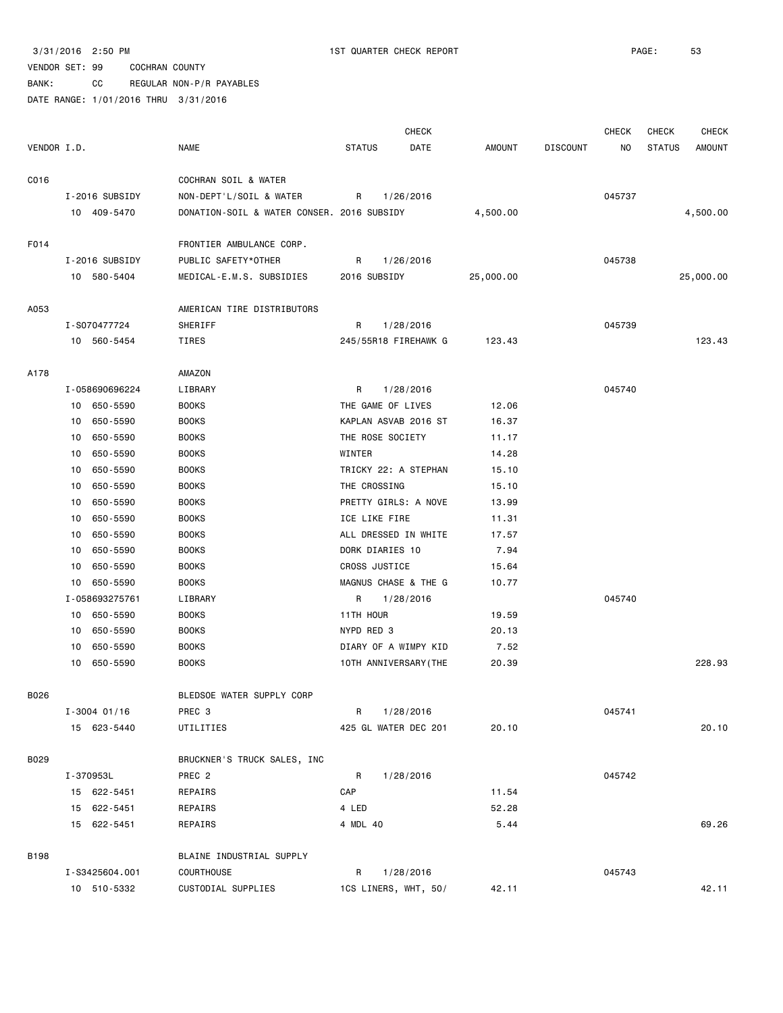BANK: CC REGULAR NON-P/R PAYABLES

| VENDOR I.D.<br><b>NAME</b><br><b>STATUS</b><br>DATE<br><b>AMOUNT</b><br><b>DISCOUNT</b><br><b>STATUS</b><br>ΝO<br>C016<br>COCHRAN SOIL & WATER<br>I-2016 SUBSIDY<br>NON-DEPT'L/SOIL & WATER<br>R<br>1/26/2016<br>045737<br>10 409-5470<br>DONATION-SOIL & WATER CONSER. 2016 SUBSIDY<br>4,500.00<br>4,500.00<br>F014<br>FRONTIER AMBULANCE CORP.<br>I-2016 SUBSIDY<br>PUBLIC SAFETY*OTHER<br>045738<br>R<br>1/26/2016<br>10 580-5404<br>25,000.00<br>MEDICAL-E.M.S. SUBSIDIES<br>2016 SUBSIDY<br>25,000.00<br>AMERICAN TIRE DISTRIBUTORS<br>A053<br>I-S070477724<br>SHERIFF<br>R<br>1/28/2016<br>045739<br>123.43<br>10 560-5454<br>TIRES<br>245/55R18 FIREHAWK G<br>123.43<br>A178<br>AMAZON<br>045740<br>I-058690696224<br>LIBRARY<br>R<br>1/28/2016<br>650-5590<br><b>BOOKS</b><br>THE GAME OF LIVES<br>12.06<br>10<br>650-5590<br><b>BOOKS</b><br>KAPLAN ASVAB 2016 ST<br>16.37<br>10<br><b>BOOKS</b><br>THE ROSE SOCIETY<br>10<br>650-5590<br>11.17<br>WINTER<br>10<br>650-5590<br><b>BOOKS</b><br>14.28<br>TRICKY 22: A STEPHAN<br>10<br>650-5590<br><b>BOOKS</b><br>15.10<br>THE CROSSING<br>650-5590<br><b>BOOKS</b><br>15.10<br>10<br><b>BOOKS</b><br>PRETTY GIRLS: A NOVE<br>650-5590<br>13.99<br>10<br>ICE LIKE FIRE<br>650-5590<br><b>BOOKS</b><br>11.31<br>10<br>650-5590<br>ALL DRESSED IN WHITE<br><b>BOOKS</b><br>17.57<br>10<br>650-5590<br>DORK DIARIES 10<br>10<br><b>BOOKS</b><br>7.94<br>CROSS JUSTICE<br>650-5590<br><b>BOOKS</b><br>15.64<br>10<br>MAGNUS CHASE & THE G<br>650-5590<br><b>BOOKS</b><br>10.77<br>10<br>I-058693275761<br>LIBRARY<br>1/28/2016<br>045740<br>R<br>650-5590<br><b>BOOKS</b><br>11TH HOUR<br>19.59<br>10<br>10<br>650-5590<br><b>BOOKS</b><br>NYPD RED 3<br>20.13<br>DIARY OF A WIMPY KID<br>10<br>650-5590<br><b>BOOKS</b><br>7.52<br>10<br>650-5590<br><b>BOOKS</b><br>10TH ANNIVERSARY (THE<br>20.39<br>B026<br>BLEDSOE WATER SUPPLY CORP<br>$I - 3004$ 01/16<br>PREC 3<br>R<br>1/28/2016<br>045741<br>15 623-5440<br>UTILITIES<br>425 GL WATER DEC 201<br>20.10 |  | <b>CHECK</b> |  | CHECK | CHECK | <b>CHECK</b>  |
|-----------------------------------------------------------------------------------------------------------------------------------------------------------------------------------------------------------------------------------------------------------------------------------------------------------------------------------------------------------------------------------------------------------------------------------------------------------------------------------------------------------------------------------------------------------------------------------------------------------------------------------------------------------------------------------------------------------------------------------------------------------------------------------------------------------------------------------------------------------------------------------------------------------------------------------------------------------------------------------------------------------------------------------------------------------------------------------------------------------------------------------------------------------------------------------------------------------------------------------------------------------------------------------------------------------------------------------------------------------------------------------------------------------------------------------------------------------------------------------------------------------------------------------------------------------------------------------------------------------------------------------------------------------------------------------------------------------------------------------------------------------------------------------------------------------------------------------------------------------------------------------------------------------------------------------------------------------------------------------------------------------------------|--|--------------|--|-------|-------|---------------|
|                                                                                                                                                                                                                                                                                                                                                                                                                                                                                                                                                                                                                                                                                                                                                                                                                                                                                                                                                                                                                                                                                                                                                                                                                                                                                                                                                                                                                                                                                                                                                                                                                                                                                                                                                                                                                                                                                                                                                                                                                       |  |              |  |       |       | <b>AMOUNT</b> |
|                                                                                                                                                                                                                                                                                                                                                                                                                                                                                                                                                                                                                                                                                                                                                                                                                                                                                                                                                                                                                                                                                                                                                                                                                                                                                                                                                                                                                                                                                                                                                                                                                                                                                                                                                                                                                                                                                                                                                                                                                       |  |              |  |       |       |               |
|                                                                                                                                                                                                                                                                                                                                                                                                                                                                                                                                                                                                                                                                                                                                                                                                                                                                                                                                                                                                                                                                                                                                                                                                                                                                                                                                                                                                                                                                                                                                                                                                                                                                                                                                                                                                                                                                                                                                                                                                                       |  |              |  |       |       |               |
|                                                                                                                                                                                                                                                                                                                                                                                                                                                                                                                                                                                                                                                                                                                                                                                                                                                                                                                                                                                                                                                                                                                                                                                                                                                                                                                                                                                                                                                                                                                                                                                                                                                                                                                                                                                                                                                                                                                                                                                                                       |  |              |  |       |       |               |
|                                                                                                                                                                                                                                                                                                                                                                                                                                                                                                                                                                                                                                                                                                                                                                                                                                                                                                                                                                                                                                                                                                                                                                                                                                                                                                                                                                                                                                                                                                                                                                                                                                                                                                                                                                                                                                                                                                                                                                                                                       |  |              |  |       |       |               |
|                                                                                                                                                                                                                                                                                                                                                                                                                                                                                                                                                                                                                                                                                                                                                                                                                                                                                                                                                                                                                                                                                                                                                                                                                                                                                                                                                                                                                                                                                                                                                                                                                                                                                                                                                                                                                                                                                                                                                                                                                       |  |              |  |       |       |               |
|                                                                                                                                                                                                                                                                                                                                                                                                                                                                                                                                                                                                                                                                                                                                                                                                                                                                                                                                                                                                                                                                                                                                                                                                                                                                                                                                                                                                                                                                                                                                                                                                                                                                                                                                                                                                                                                                                                                                                                                                                       |  |              |  |       |       |               |
|                                                                                                                                                                                                                                                                                                                                                                                                                                                                                                                                                                                                                                                                                                                                                                                                                                                                                                                                                                                                                                                                                                                                                                                                                                                                                                                                                                                                                                                                                                                                                                                                                                                                                                                                                                                                                                                                                                                                                                                                                       |  |              |  |       |       |               |
|                                                                                                                                                                                                                                                                                                                                                                                                                                                                                                                                                                                                                                                                                                                                                                                                                                                                                                                                                                                                                                                                                                                                                                                                                                                                                                                                                                                                                                                                                                                                                                                                                                                                                                                                                                                                                                                                                                                                                                                                                       |  |              |  |       |       |               |
|                                                                                                                                                                                                                                                                                                                                                                                                                                                                                                                                                                                                                                                                                                                                                                                                                                                                                                                                                                                                                                                                                                                                                                                                                                                                                                                                                                                                                                                                                                                                                                                                                                                                                                                                                                                                                                                                                                                                                                                                                       |  |              |  |       |       |               |
|                                                                                                                                                                                                                                                                                                                                                                                                                                                                                                                                                                                                                                                                                                                                                                                                                                                                                                                                                                                                                                                                                                                                                                                                                                                                                                                                                                                                                                                                                                                                                                                                                                                                                                                                                                                                                                                                                                                                                                                                                       |  |              |  |       |       |               |
|                                                                                                                                                                                                                                                                                                                                                                                                                                                                                                                                                                                                                                                                                                                                                                                                                                                                                                                                                                                                                                                                                                                                                                                                                                                                                                                                                                                                                                                                                                                                                                                                                                                                                                                                                                                                                                                                                                                                                                                                                       |  |              |  |       |       |               |
|                                                                                                                                                                                                                                                                                                                                                                                                                                                                                                                                                                                                                                                                                                                                                                                                                                                                                                                                                                                                                                                                                                                                                                                                                                                                                                                                                                                                                                                                                                                                                                                                                                                                                                                                                                                                                                                                                                                                                                                                                       |  |              |  |       |       |               |
|                                                                                                                                                                                                                                                                                                                                                                                                                                                                                                                                                                                                                                                                                                                                                                                                                                                                                                                                                                                                                                                                                                                                                                                                                                                                                                                                                                                                                                                                                                                                                                                                                                                                                                                                                                                                                                                                                                                                                                                                                       |  |              |  |       |       |               |
|                                                                                                                                                                                                                                                                                                                                                                                                                                                                                                                                                                                                                                                                                                                                                                                                                                                                                                                                                                                                                                                                                                                                                                                                                                                                                                                                                                                                                                                                                                                                                                                                                                                                                                                                                                                                                                                                                                                                                                                                                       |  |              |  |       |       |               |
|                                                                                                                                                                                                                                                                                                                                                                                                                                                                                                                                                                                                                                                                                                                                                                                                                                                                                                                                                                                                                                                                                                                                                                                                                                                                                                                                                                                                                                                                                                                                                                                                                                                                                                                                                                                                                                                                                                                                                                                                                       |  |              |  |       |       |               |
|                                                                                                                                                                                                                                                                                                                                                                                                                                                                                                                                                                                                                                                                                                                                                                                                                                                                                                                                                                                                                                                                                                                                                                                                                                                                                                                                                                                                                                                                                                                                                                                                                                                                                                                                                                                                                                                                                                                                                                                                                       |  |              |  |       |       |               |
|                                                                                                                                                                                                                                                                                                                                                                                                                                                                                                                                                                                                                                                                                                                                                                                                                                                                                                                                                                                                                                                                                                                                                                                                                                                                                                                                                                                                                                                                                                                                                                                                                                                                                                                                                                                                                                                                                                                                                                                                                       |  |              |  |       |       |               |
|                                                                                                                                                                                                                                                                                                                                                                                                                                                                                                                                                                                                                                                                                                                                                                                                                                                                                                                                                                                                                                                                                                                                                                                                                                                                                                                                                                                                                                                                                                                                                                                                                                                                                                                                                                                                                                                                                                                                                                                                                       |  |              |  |       |       |               |
|                                                                                                                                                                                                                                                                                                                                                                                                                                                                                                                                                                                                                                                                                                                                                                                                                                                                                                                                                                                                                                                                                                                                                                                                                                                                                                                                                                                                                                                                                                                                                                                                                                                                                                                                                                                                                                                                                                                                                                                                                       |  |              |  |       |       |               |
|                                                                                                                                                                                                                                                                                                                                                                                                                                                                                                                                                                                                                                                                                                                                                                                                                                                                                                                                                                                                                                                                                                                                                                                                                                                                                                                                                                                                                                                                                                                                                                                                                                                                                                                                                                                                                                                                                                                                                                                                                       |  |              |  |       |       |               |
|                                                                                                                                                                                                                                                                                                                                                                                                                                                                                                                                                                                                                                                                                                                                                                                                                                                                                                                                                                                                                                                                                                                                                                                                                                                                                                                                                                                                                                                                                                                                                                                                                                                                                                                                                                                                                                                                                                                                                                                                                       |  |              |  |       |       |               |
|                                                                                                                                                                                                                                                                                                                                                                                                                                                                                                                                                                                                                                                                                                                                                                                                                                                                                                                                                                                                                                                                                                                                                                                                                                                                                                                                                                                                                                                                                                                                                                                                                                                                                                                                                                                                                                                                                                                                                                                                                       |  |              |  |       |       |               |
|                                                                                                                                                                                                                                                                                                                                                                                                                                                                                                                                                                                                                                                                                                                                                                                                                                                                                                                                                                                                                                                                                                                                                                                                                                                                                                                                                                                                                                                                                                                                                                                                                                                                                                                                                                                                                                                                                                                                                                                                                       |  |              |  |       |       |               |
|                                                                                                                                                                                                                                                                                                                                                                                                                                                                                                                                                                                                                                                                                                                                                                                                                                                                                                                                                                                                                                                                                                                                                                                                                                                                                                                                                                                                                                                                                                                                                                                                                                                                                                                                                                                                                                                                                                                                                                                                                       |  |              |  |       |       |               |
|                                                                                                                                                                                                                                                                                                                                                                                                                                                                                                                                                                                                                                                                                                                                                                                                                                                                                                                                                                                                                                                                                                                                                                                                                                                                                                                                                                                                                                                                                                                                                                                                                                                                                                                                                                                                                                                                                                                                                                                                                       |  |              |  |       |       |               |
|                                                                                                                                                                                                                                                                                                                                                                                                                                                                                                                                                                                                                                                                                                                                                                                                                                                                                                                                                                                                                                                                                                                                                                                                                                                                                                                                                                                                                                                                                                                                                                                                                                                                                                                                                                                                                                                                                                                                                                                                                       |  |              |  |       |       |               |
|                                                                                                                                                                                                                                                                                                                                                                                                                                                                                                                                                                                                                                                                                                                                                                                                                                                                                                                                                                                                                                                                                                                                                                                                                                                                                                                                                                                                                                                                                                                                                                                                                                                                                                                                                                                                                                                                                                                                                                                                                       |  |              |  |       |       |               |
|                                                                                                                                                                                                                                                                                                                                                                                                                                                                                                                                                                                                                                                                                                                                                                                                                                                                                                                                                                                                                                                                                                                                                                                                                                                                                                                                                                                                                                                                                                                                                                                                                                                                                                                                                                                                                                                                                                                                                                                                                       |  |              |  |       |       |               |
|                                                                                                                                                                                                                                                                                                                                                                                                                                                                                                                                                                                                                                                                                                                                                                                                                                                                                                                                                                                                                                                                                                                                                                                                                                                                                                                                                                                                                                                                                                                                                                                                                                                                                                                                                                                                                                                                                                                                                                                                                       |  |              |  |       |       |               |
|                                                                                                                                                                                                                                                                                                                                                                                                                                                                                                                                                                                                                                                                                                                                                                                                                                                                                                                                                                                                                                                                                                                                                                                                                                                                                                                                                                                                                                                                                                                                                                                                                                                                                                                                                                                                                                                                                                                                                                                                                       |  |              |  |       |       | 228.93        |
|                                                                                                                                                                                                                                                                                                                                                                                                                                                                                                                                                                                                                                                                                                                                                                                                                                                                                                                                                                                                                                                                                                                                                                                                                                                                                                                                                                                                                                                                                                                                                                                                                                                                                                                                                                                                                                                                                                                                                                                                                       |  |              |  |       |       |               |
|                                                                                                                                                                                                                                                                                                                                                                                                                                                                                                                                                                                                                                                                                                                                                                                                                                                                                                                                                                                                                                                                                                                                                                                                                                                                                                                                                                                                                                                                                                                                                                                                                                                                                                                                                                                                                                                                                                                                                                                                                       |  |              |  |       |       |               |
|                                                                                                                                                                                                                                                                                                                                                                                                                                                                                                                                                                                                                                                                                                                                                                                                                                                                                                                                                                                                                                                                                                                                                                                                                                                                                                                                                                                                                                                                                                                                                                                                                                                                                                                                                                                                                                                                                                                                                                                                                       |  |              |  |       |       | 20.10         |
|                                                                                                                                                                                                                                                                                                                                                                                                                                                                                                                                                                                                                                                                                                                                                                                                                                                                                                                                                                                                                                                                                                                                                                                                                                                                                                                                                                                                                                                                                                                                                                                                                                                                                                                                                                                                                                                                                                                                                                                                                       |  |              |  |       |       |               |
| B029<br>BRUCKNER'S TRUCK SALES, INC                                                                                                                                                                                                                                                                                                                                                                                                                                                                                                                                                                                                                                                                                                                                                                                                                                                                                                                                                                                                                                                                                                                                                                                                                                                                                                                                                                                                                                                                                                                                                                                                                                                                                                                                                                                                                                                                                                                                                                                   |  |              |  |       |       |               |
| PREC 2<br>R<br>045742<br>I-370953L<br>1/28/2016                                                                                                                                                                                                                                                                                                                                                                                                                                                                                                                                                                                                                                                                                                                                                                                                                                                                                                                                                                                                                                                                                                                                                                                                                                                                                                                                                                                                                                                                                                                                                                                                                                                                                                                                                                                                                                                                                                                                                                       |  |              |  |       |       |               |
| 15 622-5451<br>CAP<br>REPAIRS<br>11.54                                                                                                                                                                                                                                                                                                                                                                                                                                                                                                                                                                                                                                                                                                                                                                                                                                                                                                                                                                                                                                                                                                                                                                                                                                                                                                                                                                                                                                                                                                                                                                                                                                                                                                                                                                                                                                                                                                                                                                                |  |              |  |       |       |               |
| 15 622-5451<br>REPAIRS<br>4 LED<br>52.28                                                                                                                                                                                                                                                                                                                                                                                                                                                                                                                                                                                                                                                                                                                                                                                                                                                                                                                                                                                                                                                                                                                                                                                                                                                                                                                                                                                                                                                                                                                                                                                                                                                                                                                                                                                                                                                                                                                                                                              |  |              |  |       |       |               |
| 15 622-5451<br>REPAIRS<br>4 MDL 40<br>5.44                                                                                                                                                                                                                                                                                                                                                                                                                                                                                                                                                                                                                                                                                                                                                                                                                                                                                                                                                                                                                                                                                                                                                                                                                                                                                                                                                                                                                                                                                                                                                                                                                                                                                                                                                                                                                                                                                                                                                                            |  |              |  |       |       | 69.26         |
| B198<br>BLAINE INDUSTRIAL SUPPLY                                                                                                                                                                                                                                                                                                                                                                                                                                                                                                                                                                                                                                                                                                                                                                                                                                                                                                                                                                                                                                                                                                                                                                                                                                                                                                                                                                                                                                                                                                                                                                                                                                                                                                                                                                                                                                                                                                                                                                                      |  |              |  |       |       |               |
| COURTHOUSE<br>045743<br>I-S3425604.001<br>R<br>1/28/2016                                                                                                                                                                                                                                                                                                                                                                                                                                                                                                                                                                                                                                                                                                                                                                                                                                                                                                                                                                                                                                                                                                                                                                                                                                                                                                                                                                                                                                                                                                                                                                                                                                                                                                                                                                                                                                                                                                                                                              |  |              |  |       |       |               |
| 10 510-5332<br>CUSTODIAL SUPPLIES<br>1CS LINERS, WHT, 50/<br>42.11                                                                                                                                                                                                                                                                                                                                                                                                                                                                                                                                                                                                                                                                                                                                                                                                                                                                                                                                                                                                                                                                                                                                                                                                                                                                                                                                                                                                                                                                                                                                                                                                                                                                                                                                                                                                                                                                                                                                                    |  |              |  |       |       | 42.11         |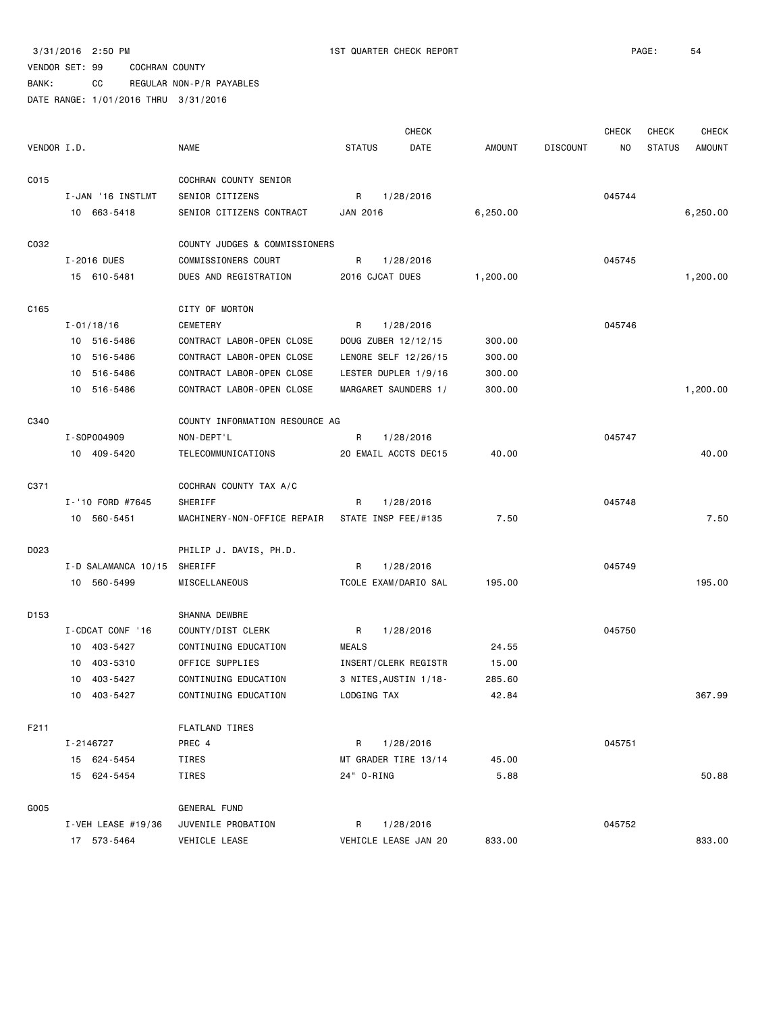BANK: CC REGULAR NON-P/R PAYABLES

|                  |                     |                                |                       | <b>CHECK</b> |          |                 | <b>CHECK</b> | <b>CHECK</b>  | <b>CHECK</b>  |
|------------------|---------------------|--------------------------------|-----------------------|--------------|----------|-----------------|--------------|---------------|---------------|
| VENDOR I.D.      |                     | <b>NAME</b>                    | <b>STATUS</b>         | DATE         | AMOUNT   | <b>DISCOUNT</b> | NO.          | <b>STATUS</b> | <b>AMOUNT</b> |
| C015             |                     | COCHRAN COUNTY SENIOR          |                       |              |          |                 |              |               |               |
|                  | I-JAN '16 INSTLMT   | SENIOR CITIZENS                | R                     | 1/28/2016    |          |                 | 045744       |               |               |
|                  | 10 663-5418         | SENIOR CITIZENS CONTRACT       | JAN 2016              |              | 6,250.00 |                 |              |               | 6,250.00      |
| C032             |                     | COUNTY JUDGES & COMMISSIONERS  |                       |              |          |                 |              |               |               |
|                  | I-2016 DUES         | COMMISSIONERS COURT            | R                     | 1/28/2016    |          |                 | 045745       |               |               |
|                  | 15 610-5481         | DUES AND REGISTRATION          | 2016 CJCAT DUES       |              | 1,200.00 |                 |              |               | 1,200.00      |
| C <sub>165</sub> |                     | CITY OF MORTON                 |                       |              |          |                 |              |               |               |
|                  | $I - 01/18/16$      | CEMETERY                       | R                     | 1/28/2016    |          |                 | 045746       |               |               |
|                  | 10 516-5486         | CONTRACT LABOR-OPEN CLOSE      | DOUG ZUBER 12/12/15   |              | 300.00   |                 |              |               |               |
|                  | 10 516-5486         | CONTRACT LABOR-OPEN CLOSE      | LENORE SELF 12/26/15  |              | 300.00   |                 |              |               |               |
|                  | 516-5486<br>10      | CONTRACT LABOR-OPEN CLOSE      | LESTER DUPLER 1/9/16  |              | 300.00   |                 |              |               |               |
|                  | 10 516-5486         | CONTRACT LABOR-OPEN CLOSE      | MARGARET SAUNDERS 1/  |              | 300.00   |                 |              |               | 1,200.00      |
| C340             |                     | COUNTY INFORMATION RESOURCE AG |                       |              |          |                 |              |               |               |
|                  | I-S0P004909         | NON-DEPT'L                     | R                     | 1/28/2016    |          |                 | 045747       |               |               |
|                  | 10 409-5420         | TELECOMMUNICATIONS             | 20 EMAIL ACCTS DEC15  |              | 40.00    |                 |              |               | 40.00         |
| C371             |                     | COCHRAN COUNTY TAX A/C         |                       |              |          |                 |              |               |               |
|                  | I-'10 FORD #7645    | SHERIFF                        | R                     | 1/28/2016    |          |                 | 045748       |               |               |
|                  | 10 560-5451         | MACHINERY-NON-OFFICE REPAIR    | STATE INSP FEE/#135   |              | 7.50     |                 |              |               | 7.50          |
| D023             |                     | PHILIP J. DAVIS, PH.D.         |                       |              |          |                 |              |               |               |
|                  | I-D SALAMANCA 10/15 | SHERIFF                        | R                     | 1/28/2016    |          |                 | 045749       |               |               |
|                  | 10 560-5499         | MISCELLANEOUS                  | TCOLE EXAM/DARIO SAL  |              | 195.00   |                 |              |               | 195.00        |
| D153             |                     | SHANNA DEWBRE                  |                       |              |          |                 |              |               |               |
|                  | I-CDCAT CONF '16    | COUNTY/DIST CLERK              | R                     | 1/28/2016    |          |                 | 045750       |               |               |
|                  | 10 403-5427         | CONTINUING EDUCATION           | <b>MEALS</b>          |              | 24.55    |                 |              |               |               |
|                  | 10<br>403-5310      | OFFICE SUPPLIES                | INSERT/CLERK REGISTR  |              | 15.00    |                 |              |               |               |
|                  | 10<br>403-5427      | CONTINUING EDUCATION           | 3 NITES, AUSTIN 1/18- |              | 285.60   |                 |              |               |               |
|                  | 10 403-5427         | CONTINUING EDUCATION           | LODGING TAX           |              | 42.84    |                 |              |               | 367.99        |
| F211             |                     | <b>FLATLAND TIRES</b>          |                       |              |          |                 |              |               |               |
|                  | I-2146727           | PREC 4                         | R                     | 1/28/2016    |          |                 | 045751       |               |               |
|                  | 15 624-5454         | TIRES                          | MT GRADER TIRE 13/14  |              | 45.00    |                 |              |               |               |
|                  | 15 624-5454         | TIRES                          | 24" 0-RING            |              | 5.88     |                 |              |               | 50.88         |
| G005             |                     | GENERAL FUND                   |                       |              |          |                 |              |               |               |
|                  | I-VEH LEASE #19/36  | JUVENILE PROBATION             | R                     | 1/28/2016    |          |                 | 045752       |               |               |
|                  | 17 573-5464         | VEHICLE LEASE                  | VEHICLE LEASE JAN 20  |              | 833.00   |                 |              |               | 833.00        |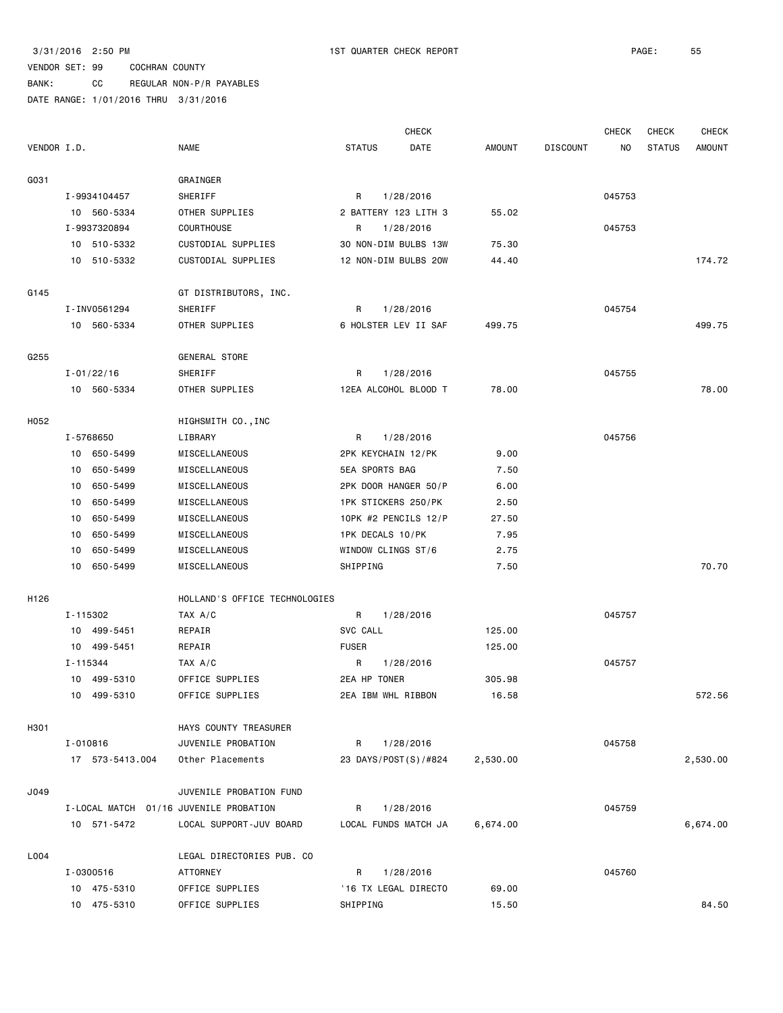# BANK: CC REGULAR NON-P/R PAYABLES

|             |                 |                                        |                    | <b>CHECK</b>         |          |                 | <b>CHECK</b> | <b>CHECK</b>  | <b>CHECK</b>  |
|-------------|-----------------|----------------------------------------|--------------------|----------------------|----------|-----------------|--------------|---------------|---------------|
| VENDOR I.D. |                 | <b>NAME</b>                            | <b>STATUS</b>      | DATE                 | AMOUNT   | <b>DISCOUNT</b> | ΝO           | <b>STATUS</b> | <b>AMOUNT</b> |
| G031        |                 | GRAINGER                               |                    |                      |          |                 |              |               |               |
|             | I-9934104457    | SHERIFF                                | R                  | 1/28/2016            |          |                 | 045753       |               |               |
|             | 10 560-5334     | OTHER SUPPLIES                         |                    | 2 BATTERY 123 LITH 3 | 55.02    |                 |              |               |               |
|             | I-9937320894    | COURTHOUSE                             | R                  | 1/28/2016            |          |                 | 045753       |               |               |
|             | 10 510-5332     | CUSTODIAL SUPPLIES                     |                    | 30 NON-DIM BULBS 13W | 75.30    |                 |              |               |               |
|             | 10 510-5332     | CUSTODIAL SUPPLIES                     |                    | 12 NON-DIM BULBS 20W | 44.40    |                 |              |               | 174.72        |
| G145        |                 | GT DISTRIBUTORS, INC.                  |                    |                      |          |                 |              |               |               |
|             | I-INV0561294    | SHERIFF                                | R                  | 1/28/2016            |          |                 | 045754       |               |               |
|             | 10 560-5334     | OTHER SUPPLIES                         |                    | 6 HOLSTER LEV II SAF | 499.75   |                 |              |               | 499.75        |
| G255        |                 | GENERAL STORE                          |                    |                      |          |                 |              |               |               |
|             | $I - 01/22/16$  | SHERIFF                                | R                  | 1/28/2016            |          |                 | 045755       |               |               |
|             | 10 560-5334     | OTHER SUPPLIES                         |                    | 12EA ALCOHOL BLOOD T | 78.00    |                 |              |               | 78.00         |
| H052        |                 | HIGHSMITH CO., INC                     |                    |                      |          |                 |              |               |               |
|             | I-5768650       | LIBRARY                                | R                  | 1/28/2016            |          |                 | 045756       |               |               |
|             | 10 650-5499     | MISCELLANEOUS                          | 2PK KEYCHAIN 12/PK |                      | 9.00     |                 |              |               |               |
|             | 10 650-5499     | MISCELLANEOUS                          | 5EA SPORTS BAG     |                      | 7.50     |                 |              |               |               |
|             | 10 650-5499     | MISCELLANEOUS                          |                    | 2PK DOOR HANGER 50/P | 6.00     |                 |              |               |               |
|             | 10 650-5499     | MISCELLANEOUS                          |                    | 1PK STICKERS 250/PK  | 2.50     |                 |              |               |               |
|             | 10 650-5499     | MISCELLANEOUS                          |                    | 10PK #2 PENCILS 12/P | 27.50    |                 |              |               |               |
|             | 10 650-5499     | MISCELLANEOUS                          | 1PK DECALS 10/PK   |                      | 7.95     |                 |              |               |               |
|             | 10 650-5499     | MISCELLANEOUS                          | WINDOW CLINGS ST/6 |                      | 2.75     |                 |              |               |               |
|             | 10 650-5499     | MISCELLANEOUS                          | SHIPPING           |                      | 7.50     |                 |              |               | 70.70         |
| H126        |                 | HOLLAND'S OFFICE TECHNOLOGIES          |                    |                      |          |                 |              |               |               |
|             | I-115302        | TAX A/C                                | R                  | 1/28/2016            |          |                 | 045757       |               |               |
|             | 10 499-5451     | REPAIR                                 | SVC CALL           |                      | 125.00   |                 |              |               |               |
|             | 10 499-5451     | REPAIR                                 | <b>FUSER</b>       |                      | 125.00   |                 |              |               |               |
|             | I-115344        | TAX A/C                                | R                  | 1/28/2016            |          |                 | 045757       |               |               |
|             | 10 499-5310     | OFFICE SUPPLIES                        | 2EA HP TONER       |                      | 305.98   |                 |              |               |               |
|             | 10 499-5310     | OFFICE SUPPLIES                        | 2EA IBM WHL RIBBON |                      | 16.58    |                 |              |               | 572.56        |
| H301        |                 | HAYS COUNTY TREASURER                  |                    |                      |          |                 |              |               |               |
|             | I-010816        | JUVENILE PROBATION                     | R                  | 1/28/2016            |          |                 | 045758       |               |               |
|             | 17 573-5413.004 | Other Placements                       |                    | 23 DAYS/POST(S)/#824 | 2,530.00 |                 |              |               | 2,530.00      |
| J049        |                 | JUVENILE PROBATION FUND                |                    |                      |          |                 |              |               |               |
|             |                 | I-LOCAL MATCH 01/16 JUVENILE PROBATION | R                  | 1/28/2016            |          |                 | 045759       |               |               |
|             | 10 571-5472     | LOCAL SUPPORT-JUV BOARD                |                    | LOCAL FUNDS MATCH JA | 6,674.00 |                 |              |               | 6,674.00      |
| L004        |                 | LEGAL DIRECTORIES PUB. CO              |                    |                      |          |                 |              |               |               |
|             | I-0300516       | <b>ATTORNEY</b>                        | R                  | 1/28/2016            |          |                 | 045760       |               |               |
|             | 10 475-5310     | OFFICE SUPPLIES                        |                    | '16 TX LEGAL DIRECTO | 69.00    |                 |              |               |               |
|             | 10 475-5310     | OFFICE SUPPLIES                        | SHIPPING           |                      | 15.50    |                 |              |               | 84.50         |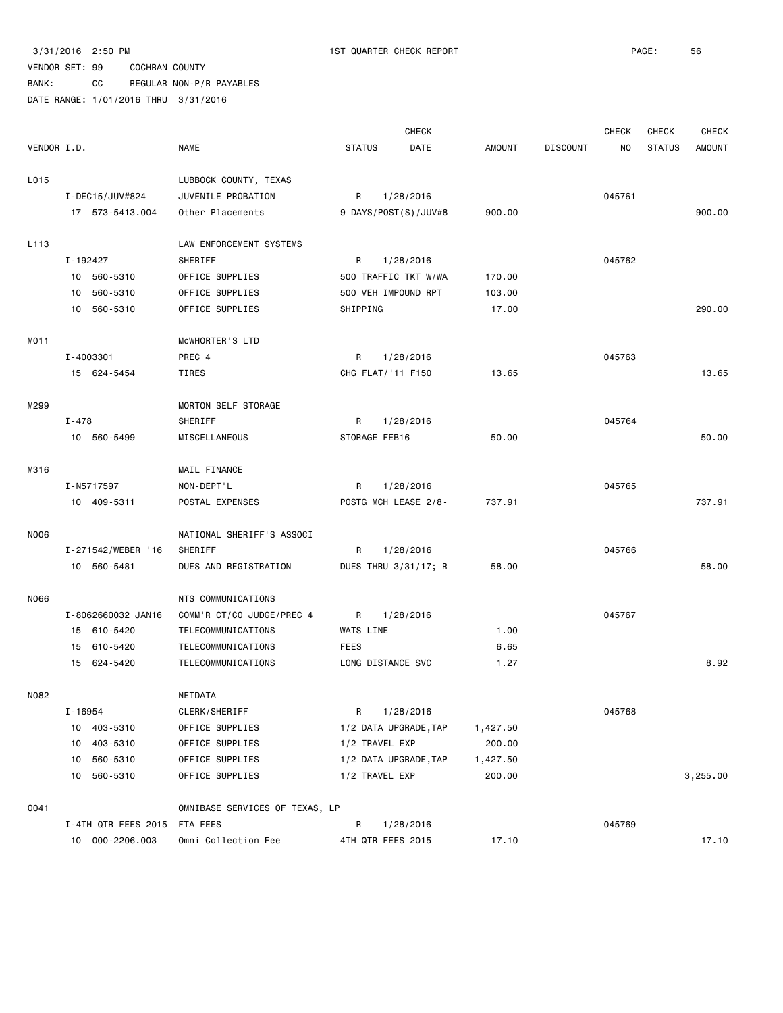|                  |                              |                                |                     | <b>CHECK</b>          |          |                 | <b>CHECK</b> | <b>CHECK</b>  | <b>CHECK</b>  |
|------------------|------------------------------|--------------------------------|---------------------|-----------------------|----------|-----------------|--------------|---------------|---------------|
| VENDOR I.D.      |                              | <b>NAME</b>                    | <b>STATUS</b>       | DATE                  | AMOUNT   | <b>DISCOUNT</b> | NO           | <b>STATUS</b> | <b>AMOUNT</b> |
| L015             |                              | LUBBOCK COUNTY, TEXAS          |                     |                       |          |                 |              |               |               |
|                  | I-DEC15/JUV#824              | JUVENILE PROBATION             | R                   | 1/28/2016             |          |                 | 045761       |               |               |
|                  | 17 573-5413.004              | Other Placements               |                     | 9 DAYS/POST(S)/JUV#8  | 900.00   |                 |              |               | 900.00        |
| L <sub>113</sub> |                              | LAW ENFORCEMENT SYSTEMS        |                     |                       |          |                 |              |               |               |
|                  | I-192427                     | SHERIFF                        | R                   | 1/28/2016             |          |                 | 045762       |               |               |
|                  | 10 560-5310                  | OFFICE SUPPLIES                |                     | 500 TRAFFIC TKT W/WA  | 170.00   |                 |              |               |               |
|                  | 10 560-5310                  | OFFICE SUPPLIES                | 500 VEH IMPOUND RPT |                       | 103.00   |                 |              |               |               |
|                  | 10 560-5310                  | OFFICE SUPPLIES                | SHIPPING            |                       | 17.00    |                 |              |               | 290.00        |
| MO11             |                              | MCWHORTER'S LTD                |                     |                       |          |                 |              |               |               |
|                  | I-4003301                    | PREC 4                         | R                   | 1/28/2016             |          |                 | 045763       |               |               |
|                  | 15 624-5454                  | TIRES                          | CHG FLAT/ '11 F150  |                       | 13.65    |                 |              |               | 13.65         |
| M299             |                              | MORTON SELF STORAGE            |                     |                       |          |                 |              |               |               |
|                  | $I - 478$                    | SHERIFF                        | R                   | 1/28/2016             |          |                 | 045764       |               |               |
|                  | 10 560-5499                  | MISCELLANEOUS                  | STORAGE FEB16       |                       | 50.00    |                 |              |               | 50.00         |
| M316             |                              | MAIL FINANCE                   |                     |                       |          |                 |              |               |               |
|                  | I-N5717597                   | NON-DEPT'L                     | R                   | 1/28/2016             |          |                 | 045765       |               |               |
|                  | 10 409-5311                  | POSTAL EXPENSES                |                     | POSTG MCH LEASE 2/8-  | 737.91   |                 |              |               | 737.91        |
| N006             |                              | NATIONAL SHERIFF'S ASSOCI      |                     |                       |          |                 |              |               |               |
|                  | I-271542/WEBER '16           | SHERIFF                        | R                   | 1/28/2016             |          |                 | 045766       |               |               |
|                  | 10 560-5481                  | DUES AND REGISTRATION          |                     | DUES THRU 3/31/17; R  | 58.00    |                 |              |               | 58.00         |
| N066             |                              | NTS COMMUNICATIONS             |                     |                       |          |                 |              |               |               |
|                  | I-8062660032 JAN16           | COMM'R CT/CO JUDGE/PREC 4      | R                   | 1/28/2016             |          |                 | 045767       |               |               |
|                  | 15 610-5420                  | TELECOMMUNICATIONS             | WATS LINE           |                       | 1.00     |                 |              |               |               |
|                  | 15 610-5420                  | TELECOMMUNICATIONS             | <b>FEES</b>         |                       | 6.65     |                 |              |               |               |
|                  | 15 624-5420                  | TELECOMMUNICATIONS             | LONG DISTANCE SVC   |                       | 1.27     |                 |              |               | 8.92          |
| N082             |                              | NETDATA                        |                     |                       |          |                 |              |               |               |
|                  | I-16954                      | CLERK/SHERIFF                  | R                   | 1/28/2016             |          |                 | 045768       |               |               |
|                  | 10 403-5310                  | OFFICE SUPPLIES                |                     | 1/2 DATA UPGRADE, TAP | 1,427.50 |                 |              |               |               |
|                  | 10 403-5310                  | OFFICE SUPPLIES                | 1/2 TRAVEL EXP      |                       | 200.00   |                 |              |               |               |
|                  | 10 560-5310                  | OFFICE SUPPLIES                |                     | 1/2 DATA UPGRADE, TAP | 1,427.50 |                 |              |               |               |
|                  | 10 560-5310                  | OFFICE SUPPLIES                | 1/2 TRAVEL EXP      |                       | 200.00   |                 |              |               | 3,255.00      |
| 0041             |                              | OMNIBASE SERVICES OF TEXAS, LP |                     |                       |          |                 |              |               |               |
|                  | I-4TH QTR FEES 2015 FTA FEES |                                | R                   | 1/28/2016             |          |                 | 045769       |               |               |
|                  | 10 000-2206.003              | Omni Collection Fee            | 4TH QTR FEES 2015   |                       | 17.10    |                 |              |               | 17.10         |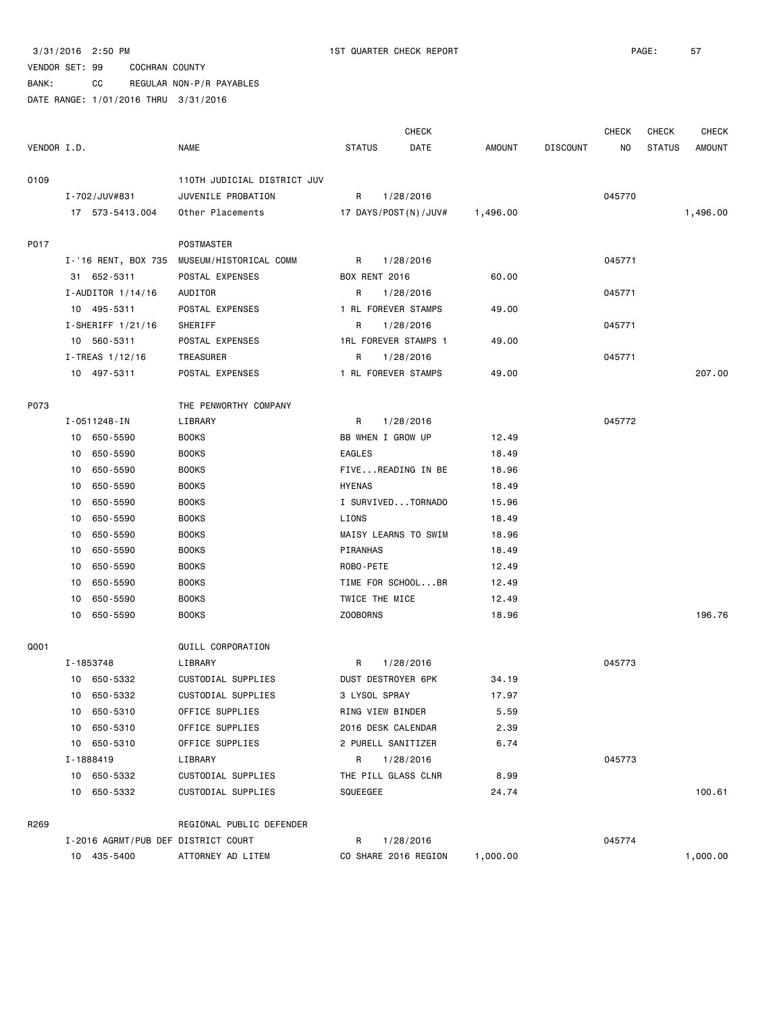#### VENDOR SET: 99 COCHRAN COUNTY BANK: CC REGULAR NON-P/R PAYABLES

DATE RANGE: 1/01/2016 THRU 3/31/2016

 CHECK CHECK CHECK CHECK VENDOR I.D. NAME STATUS DATE AMOUNT DISCOUNT NO STATUS AMOUNT O109 110TH JUDICIAL DISTRICT JUV I-702/JUV#831 JUVENILE PROBATION R 1/28/2016 045770 17 573-5413.004 Other Placements 17 DAYS/POST(N)/JUV# 1,496.00 1,496.00 P017 POSTMASTER I-'16 RENT, BOX 735 MUSEUM/HISTORICAL COMM R 1/28/2016 CASTA 2015 31 652-5311 POSTAL EXPENSES BOX RENT 2016 60.00 I-AUDITOR 1/14/16 AUDITOR R 1/28/2016 8 045771 10 495-5311 POSTAL EXPENSES 1 RL FOREVER STAMPS 49.00 I-SHERIFF 1/21/16 SHERIFF **R** 1/28/2016 **CHERIFF 1/21/16** 045771 10 560-5311 POSTAL EXPENSES 1RL FOREVER STAMPS 1 49.00 I-TREAS 1/12/16 TREASURER R R 1/28/2016 CASES 1/12/16 045771 10 497-5311 POSTAL EXPENSES 1 RL FOREVER STAMPS 49.00 207.00 P073 THE PENWORTHY COMPANY I-0511248-IN LIBRARY R 1/28/2016 045772 10 650-5590 BOOKS BB WHEN I GROW UP 12.49 10 650-5590 BOOKS EAGLES 18.49 10 650-5590 BOOKS FIVE...READING IN BE 18.96 10 650-5590 BOOKS HYENAS 18.49 10 650-5590 BOOKS I SURVIVED...TORNADO 15.96 10 650-5590 BOOKS LIONS 18.49 10 650-5590 BOOKS MAISY LEARNS TO SWIM 18.96 10 650-5590 BOOKS PIRANHAS 18.49 10 650-5590 BOOKS ROBO-PETE 12.49 10 650-5590 BOOKS TIME FOR SCHOOL...BR 12.49 10 650-5590 BOOKS TWICE THE MICE 12.49 10 650-5590 BOOKS ZOOBORNS 18.96 196.76 Q001 QUILL CORPORATION I-1853748 LIBRARY R 1/28/2016 045773 10 650-5332 CUSTODIAL SUPPLIES DUST DESTROYER 6PK 34.19 10 650-5332 CUSTODIAL SUPPLIES 3 LYSOL SPRAY 17.97 10 650-5310 OFFICE SUPPLIES RING VIEW BINDER 5.59 10 650-5310 OFFICE SUPPLIES 2016 DESK CALENDAR 2.39 10 650-5310 OFFICE SUPPLIES 2 PURELL SANITIZER 6.74 I-1888419 LIBRARY R 1/28/2016 045773 10 650-5332 CUSTODIAL SUPPLIES THE PILL GLASS CLNR 8.99 10 650-5332 CUSTODIAL SUPPLIES SQUEEGEE 24.74 100.61 R269 REGIONAL PUBLIC DEFENDER I-2016 AGRMT/PUB DEF DISTRICT COURT R 1/28/2016 045774 10 435-5400 ATTORNEY AD LITEM CO SHARE 2016 REGION 1,000.00 1,000.00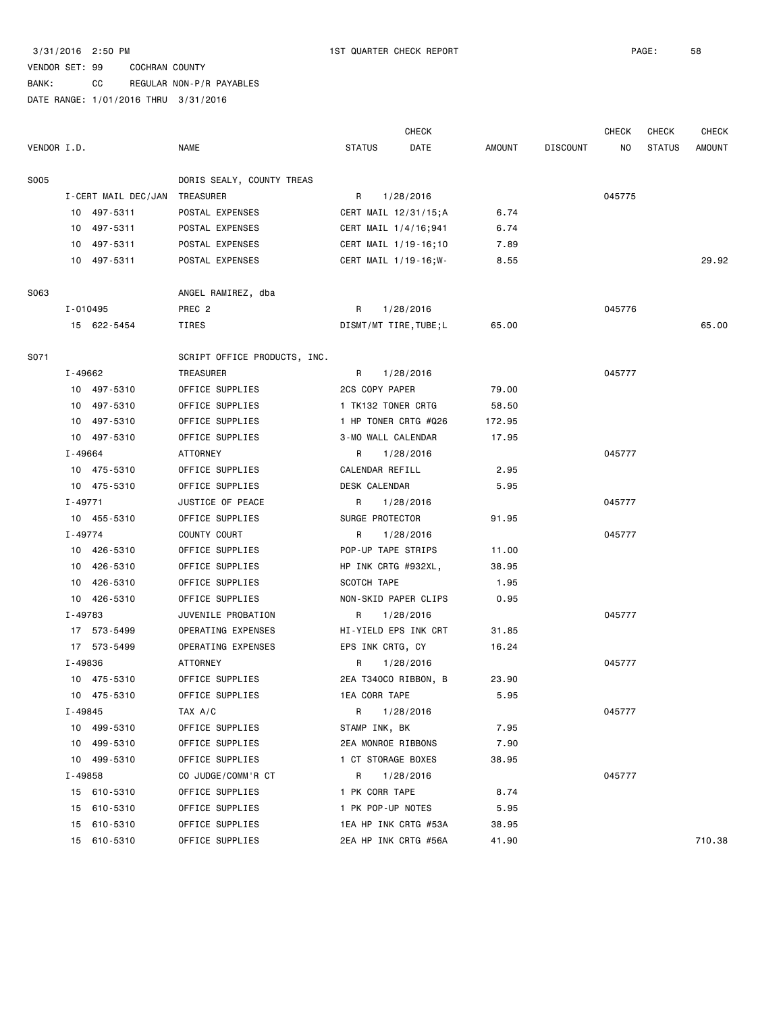BANK: CC REGULAR NON-P/R PAYABLES

|             |          |                     |                              |                      | <b>CHECK</b>           |        |                 | <b>CHECK</b> | CHECK         | CHECK         |
|-------------|----------|---------------------|------------------------------|----------------------|------------------------|--------|-----------------|--------------|---------------|---------------|
| VENDOR I.D. |          |                     | <b>NAME</b>                  | <b>STATUS</b>        | DATE                   | AMOUNT | <b>DISCOUNT</b> | NO.          | <b>STATUS</b> | <b>AMOUNT</b> |
| <b>S005</b> |          |                     | DORIS SEALY, COUNTY TREAS    |                      |                        |        |                 |              |               |               |
|             |          | I-CERT MAIL DEC/JAN | TREASURER                    | R                    | 1/28/2016              |        |                 | 045775       |               |               |
|             |          | 10 497-5311         | POSTAL EXPENSES              |                      | CERT MAIL 12/31/15;A   | 6.74   |                 |              |               |               |
|             |          | 10 497-5311         | POSTAL EXPENSES              |                      | CERT MAIL 1/4/16;941   | 6.74   |                 |              |               |               |
|             |          | 10 497-5311         | POSTAL EXPENSES              |                      | CERT MAIL 1/19-16;10   | 7.89   |                 |              |               |               |
|             |          | 10 497-5311         | POSTAL EXPENSES              |                      | CERT MAIL 1/19-16; W-  | 8.55   |                 |              |               | 29.92         |
| S063        |          |                     | ANGEL RAMIREZ, dba           |                      |                        |        |                 |              |               |               |
|             | I-010495 |                     | PREC 2                       | R                    | 1/28/2016              |        |                 | 045776       |               |               |
|             |          | 15 622-5454         | TIRES                        |                      | DISMT/MT TIRE, TUBE; L | 65.00  |                 |              |               | 65.00         |
| S071        |          |                     | SCRIPT OFFICE PRODUCTS, INC. |                      |                        |        |                 |              |               |               |
|             | I-49662  |                     | TREASURER                    | R                    | 1/28/2016              |        |                 | 045777       |               |               |
|             |          | 10 497-5310         | OFFICE SUPPLIES              | 2CS COPY PAPER       |                        | 79.00  |                 |              |               |               |
|             |          | 10 497-5310         | OFFICE SUPPLIES              | 1 TK132 TONER CRTG   |                        | 58.50  |                 |              |               |               |
|             |          | 10 497-5310         | OFFICE SUPPLIES              |                      | 1 HP TONER CRTG #Q26   | 172.95 |                 |              |               |               |
|             |          | 10 497-5310         | OFFICE SUPPLIES              | 3-MO WALL CALENDAR   |                        | 17.95  |                 |              |               |               |
|             | I-49664  |                     | <b>ATTORNEY</b>              | R                    | 1/28/2016              |        |                 | 045777       |               |               |
|             |          | 10 475-5310         | OFFICE SUPPLIES              | CALENDAR REFILL      |                        | 2.95   |                 |              |               |               |
|             |          | 10 475-5310         | OFFICE SUPPLIES              | <b>DESK CALENDAR</b> |                        | 5.95   |                 |              |               |               |
|             | I-49771  |                     | JUSTICE OF PEACE             | R                    | 1/28/2016              |        |                 | 045777       |               |               |
|             |          | 10 455-5310         | OFFICE SUPPLIES              | SURGE PROTECTOR      |                        | 91.95  |                 |              |               |               |
|             | I-49774  |                     | COUNTY COURT                 | R                    | 1/28/2016              |        |                 | 045777       |               |               |
|             |          | 10 426-5310         | OFFICE SUPPLIES              | POP-UP TAPE STRIPS   |                        | 11.00  |                 |              |               |               |
|             |          | 10 426-5310         | OFFICE SUPPLIES              | HP INK CRTG #932XL,  |                        | 38.95  |                 |              |               |               |
|             |          | 10 426-5310         | OFFICE SUPPLIES              | SCOTCH TAPE          |                        | 1.95   |                 |              |               |               |
|             |          | 10 426-5310         | OFFICE SUPPLIES              |                      | NON-SKID PAPER CLIPS   | 0.95   |                 |              |               |               |
|             | I-49783  |                     | JUVENILE PROBATION           | R                    | 1/28/2016              |        |                 | 045777       |               |               |
|             |          | 17 573-5499         | OPERATING EXPENSES           |                      | HI-YIELD EPS INK CRT   | 31.85  |                 |              |               |               |
|             |          | 17 573-5499         | OPERATING EXPENSES           | EPS INK CRTG, CY     |                        | 16.24  |                 |              |               |               |
|             | I-49836  |                     | ATTORNEY                     | R                    | 1/28/2016              |        |                 | 045777       |               |               |
|             |          | 10 475-5310         | OFFICE SUPPLIES              |                      | 2EA T340CO RIBBON, B   | 23.90  |                 |              |               |               |
|             |          | 10 475-5310         | OFFICE SUPPLIES              | <b>1EA CORR TAPE</b> |                        | 5.95   |                 |              |               |               |
|             | I-49845  |                     | TAX A/C                      | R                    | 1/28/2016              |        |                 | 045777       |               |               |
|             |          | 10 499-5310         | OFFICE SUPPLIES              | STAMP INK, BK        |                        | 7.95   |                 |              |               |               |
|             |          | 10 499-5310         | OFFICE SUPPLIES              | 2EA MONROE RIBBONS   |                        | 7.90   |                 |              |               |               |
|             |          | 10 499-5310         | OFFICE SUPPLIES              | 1 CT STORAGE BOXES   |                        | 38.95  |                 |              |               |               |
|             | I-49858  |                     | CO JUDGE/COMM'R CT           | R                    | 1/28/2016              |        |                 | 045777       |               |               |
|             |          | 15 610-5310         | OFFICE SUPPLIES              | 1 PK CORR TAPE       |                        | 8.74   |                 |              |               |               |
|             |          | 15 610-5310         | OFFICE SUPPLIES              | 1 PK POP-UP NOTES    |                        | 5.95   |                 |              |               |               |
|             |          | 15 610-5310         | OFFICE SUPPLIES              |                      | 1EA HP INK CRTG #53A   | 38.95  |                 |              |               |               |
|             |          | 15 610-5310         | OFFICE SUPPLIES              |                      | 2EA HP INK CRTG #56A   | 41.90  |                 |              |               | 710.38        |
|             |          |                     |                              |                      |                        |        |                 |              |               |               |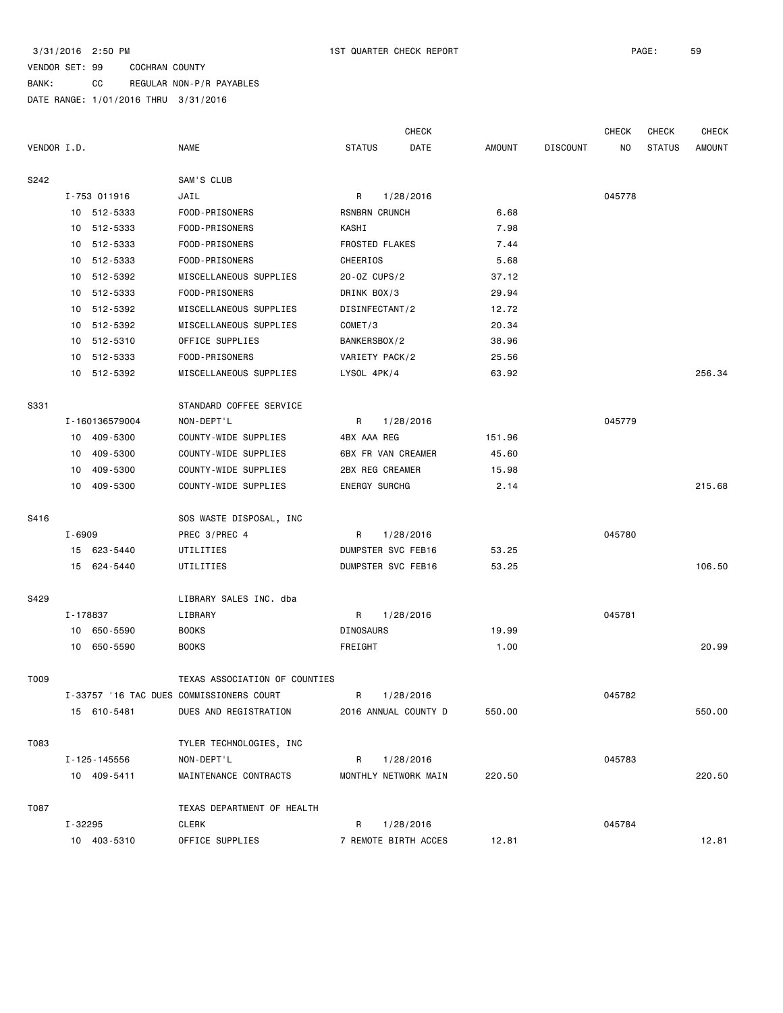### VENDOR SET: 99 COCHRAN COUNTY BANK: CC REGULAR NON-P/R PAYABLES

|             |          |                            |                                          |                       | <b>CHECK</b>                    |        |                 | <b>CHECK</b> | <b>CHECK</b>  | CHECK         |
|-------------|----------|----------------------------|------------------------------------------|-----------------------|---------------------------------|--------|-----------------|--------------|---------------|---------------|
| VENDOR I.D. |          |                            | <b>NAME</b>                              | <b>STATUS</b>         | DATE                            | AMOUNT | <b>DISCOUNT</b> | NO.          | <b>STATUS</b> | <b>AMOUNT</b> |
|             |          |                            |                                          |                       |                                 |        |                 |              |               |               |
| S242        |          |                            | SAM'S CLUB                               |                       |                                 |        |                 |              |               |               |
|             |          | I-753 011916               | JAIL                                     | R                     | 1/28/2016                       |        |                 | 045778       |               |               |
|             |          | 10 512-5333                | FOOD-PRISONERS                           | RSNBRN CRUNCH         |                                 | 6.68   |                 |              |               |               |
|             |          | 10 512-5333                | FOOD-PRISONERS                           | KASHI                 |                                 | 7.98   |                 |              |               |               |
|             | 10       | 512-5333                   | FOOD-PRISONERS                           | <b>FROSTED FLAKES</b> |                                 | 7.44   |                 |              |               |               |
|             |          | 10 512-5333                | FOOD-PRISONERS                           | CHEERIOS              |                                 | 5.68   |                 |              |               |               |
|             | 10       | 512-5392                   | MISCELLANEOUS SUPPLIES                   | 20-0Z CUPS/2          |                                 | 37.12  |                 |              |               |               |
|             | 10       | 512-5333                   | FOOD-PRISONERS                           | DRINK BOX/3           |                                 | 29.94  |                 |              |               |               |
|             |          | 10 512-5392                | MISCELLANEOUS SUPPLIES                   | DISINFECTANT/2        |                                 | 12.72  |                 |              |               |               |
|             |          | 10 512-5392                | MISCELLANEOUS SUPPLIES                   | COMET/3               |                                 | 20.34  |                 |              |               |               |
|             |          | 10 512-5310                | OFFICE SUPPLIES                          | BANKERSBOX/2          |                                 | 38.96  |                 |              |               |               |
|             |          | 10 512-5333                | FOOD-PRISONERS                           | VARIETY PACK/2        |                                 | 25.56  |                 |              |               |               |
|             |          | 10 512-5392                | MISCELLANEOUS SUPPLIES                   | LYSOL 4PK/4           |                                 | 63.92  |                 |              |               | 256.34        |
| S331        |          |                            | STANDARD COFFEE SERVICE                  |                       |                                 |        |                 |              |               |               |
|             |          | I-160136579004             | NON-DEPT'L                               | R                     | 1/28/2016                       |        |                 | 045779       |               |               |
|             |          | 10 409-5300                | COUNTY-WIDE SUPPLIES                     | 4BX AAA REG           |                                 | 151.96 |                 |              |               |               |
|             | 10       | 409-5300                   | COUNTY-WIDE SUPPLIES                     |                       | 6BX FR VAN CREAMER              | 45.60  |                 |              |               |               |
|             | 10       | 409-5300                   | COUNTY-WIDE SUPPLIES                     | 2BX REG CREAMER       |                                 | 15.98  |                 |              |               |               |
|             |          | 10 409-5300                | COUNTY-WIDE SUPPLIES                     | <b>ENERGY SURCHG</b>  |                                 | 2.14   |                 |              |               | 215.68        |
| S416        |          |                            | SOS WASTE DISPOSAL, INC                  |                       |                                 |        |                 |              |               |               |
|             | I-6909   |                            | PREC 3/PREC 4                            | R                     |                                 |        |                 | 045780       |               |               |
|             |          |                            |                                          |                       | 1/28/2016<br>DUMPSTER SVC FEB16 |        |                 |              |               |               |
|             |          | 15 623-5440<br>15 624-5440 | UTILITIES<br>UTILITIES                   |                       | DUMPSTER SVC FEB16              | 53.25  |                 |              |               | 106.50        |
|             |          |                            |                                          |                       |                                 | 53.25  |                 |              |               |               |
| S429        |          |                            | LIBRARY SALES INC. dba                   |                       |                                 |        |                 |              |               |               |
|             | I-178837 |                            | LIBRARY                                  | R                     | 1/28/2016                       |        |                 | 045781       |               |               |
|             |          | 10 650-5590                | <b>BOOKS</b>                             | <b>DINOSAURS</b>      |                                 | 19.99  |                 |              |               |               |
|             |          | 10 650-5590                | <b>BOOKS</b>                             | FREIGHT               |                                 | 1.00   |                 |              |               | 20.99         |
| T009        |          |                            | TEXAS ASSOCIATION OF COUNTIES            |                       |                                 |        |                 |              |               |               |
|             |          |                            | I-33757 '16 TAC DUES COMMISSIONERS COURT |                       | R 1/28/2016                     |        |                 | 045782       |               |               |
|             |          | 15 610-5481                | DUES AND REGISTRATION                    |                       | 2016 ANNUAL COUNTY D            | 550.00 |                 |              |               | 550.00        |
| T083        |          |                            | TYLER TECHNOLOGIES, INC                  |                       |                                 |        |                 |              |               |               |
|             |          | I-125-145556               | NON-DEPT'L                               | R                     | 1/28/2016                       |        |                 | 045783       |               |               |
|             |          | 10 409-5411                | MAINTENANCE CONTRACTS                    |                       | MONTHLY NETWORK MAIN            | 220.50 |                 |              |               | 220.50        |
|             |          |                            |                                          |                       |                                 |        |                 |              |               |               |
| T087        |          |                            | TEXAS DEPARTMENT OF HEALTH               |                       |                                 |        |                 |              |               |               |
|             | I-32295  |                            | CLERK                                    | R                     | 1/28/2016                       |        |                 | 045784       |               |               |
|             |          | 10 403-5310                | OFFICE SUPPLIES                          |                       | 7 REMOTE BIRTH ACCES            | 12.81  |                 |              |               | 12.81         |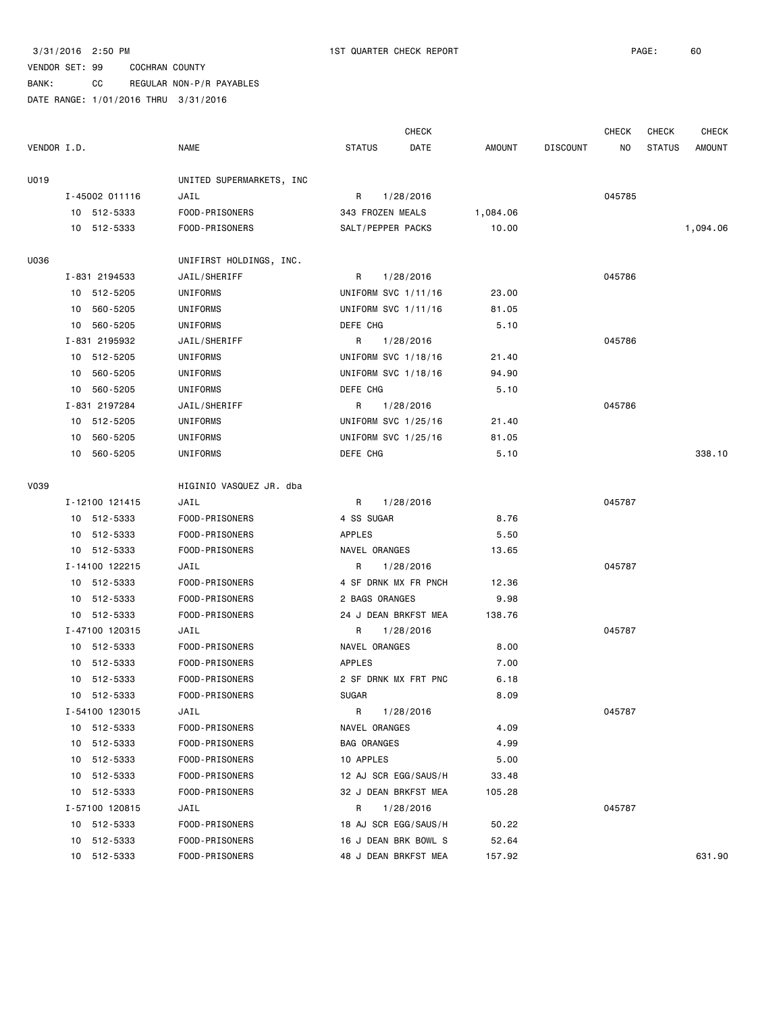BANK: CC REGULAR NON-P/R PAYABLES

|             |                |                          | <b>CHECK</b>          |               |                 | <b>CHECK</b> | CHECK         | CHECK         |
|-------------|----------------|--------------------------|-----------------------|---------------|-----------------|--------------|---------------|---------------|
| VENDOR I.D. |                | <b>NAME</b>              | <b>STATUS</b><br>DATE | <b>AMOUNT</b> | <b>DISCOUNT</b> | NO.          | <b>STATUS</b> | <b>AMOUNT</b> |
| U019        |                | UNITED SUPERMARKETS, INC |                       |               |                 |              |               |               |
|             | I-45002 011116 | JAIL                     | R<br>1/28/2016        |               |                 | 045785       |               |               |
|             | 10 512-5333    | FOOD-PRISONERS           | 343 FROZEN MEALS      | 1,084.06      |                 |              |               |               |
|             | 10 512-5333    | FOOD-PRISONERS           | SALT/PEPPER PACKS     | 10.00         |                 |              |               | 1,094.06      |
| U036        |                | UNIFIRST HOLDINGS, INC.  |                       |               |                 |              |               |               |
|             | I-831 2194533  | JAIL/SHERIFF             | R<br>1/28/2016        |               |                 | 045786       |               |               |
|             | 10 512-5205    | UNIFORMS                 | UNIFORM SVC 1/11/16   | 23.00         |                 |              |               |               |
|             | 560-5205<br>10 | UNIFORMS                 | UNIFORM SVC 1/11/16   | 81.05         |                 |              |               |               |
|             | 560-5205<br>10 | UNIFORMS                 | DEFE CHG              | 5.10          |                 |              |               |               |
|             | I-831 2195932  | JAIL/SHERIFF             | R<br>1/28/2016        |               |                 | 045786       |               |               |
|             | 10 512-5205    | UNIFORMS                 | UNIFORM SVC 1/18/16   | 21.40         |                 |              |               |               |
|             | 10<br>560-5205 | UNIFORMS                 | UNIFORM SVC 1/18/16   | 94.90         |                 |              |               |               |
|             | 10<br>560-5205 | UNIFORMS                 | DEFE CHG              | 5.10          |                 |              |               |               |
|             | I-831 2197284  | JAIL/SHERIFF             | R<br>1/28/2016        |               |                 | 045786       |               |               |
|             | 10 512-5205    | UNIFORMS                 | UNIFORM SVC 1/25/16   | 21.40         |                 |              |               |               |
|             | 560-5205<br>10 | UNIFORMS                 | UNIFORM SVC 1/25/16   | 81.05         |                 |              |               |               |
|             | 10 560-5205    | UNIFORMS                 | DEFE CHG              | 5.10          |                 |              |               | 338.10        |
| <b>V039</b> |                | HIGINIO VASQUEZ JR. dba  |                       |               |                 |              |               |               |
|             | I-12100 121415 | JAIL                     | R<br>1/28/2016        |               |                 | 045787       |               |               |
|             | 10 512-5333    | FOOD-PRISONERS           | 4 SS SUGAR            | 8.76          |                 |              |               |               |
|             | 10 512-5333    | FOOD-PRISONERS           | APPLES                | 5.50          |                 |              |               |               |
|             | 10 512-5333    | FOOD-PRISONERS           | NAVEL ORANGES         | 13.65         |                 |              |               |               |
|             | I-14100 122215 | JAIL                     | R<br>1/28/2016        |               |                 | 045787       |               |               |
|             | 10 512-5333    | FOOD-PRISONERS           | 4 SF DRNK MX FR PNCH  | 12.36         |                 |              |               |               |
|             | 10 512-5333    | FOOD-PRISONERS           | 2 BAGS ORANGES        | 9.98          |                 |              |               |               |
|             | 10 512-5333    | FOOD-PRISONERS           | 24 J DEAN BRKFST MEA  | 138.76        |                 |              |               |               |
|             | I-47100 120315 | JAIL                     | R<br>1/28/2016        |               |                 | 045787       |               |               |
|             | 10 512-5333    | FOOD-PRISONERS           | NAVEL ORANGES         | 8.00          |                 |              |               |               |
|             | 10 512-5333    | FOOD-PRISONERS           | APPLES                | 7.00          |                 |              |               |               |
|             | 10 512-5333    | FOOD-PRISONERS           | 2 SF DRNK MX FRT PNC  | 6.18          |                 |              |               |               |
|             | 10 512-5333    | FOOD-PRISONERS           | <b>SUGAR</b>          | 8.09          |                 |              |               |               |
|             | I-54100 123015 | JAIL                     | 1/28/2016<br>R        |               |                 | 045787       |               |               |
|             | 10 512-5333    | FOOD-PRISONERS           | NAVEL ORANGES         | 4.09          |                 |              |               |               |
|             | 10 512-5333    | FOOD-PRISONERS           | <b>BAG ORANGES</b>    | 4.99          |                 |              |               |               |
|             | 512-5333<br>10 | FOOD-PRISONERS           | 10 APPLES             | 5.00          |                 |              |               |               |
|             | 10 512-5333    | FOOD-PRISONERS           | 12 AJ SCR EGG/SAUS/H  | 33.48         |                 |              |               |               |
|             | 10 512-5333    | FOOD-PRISONERS           | 32 J DEAN BRKFST MEA  | 105.28        |                 |              |               |               |
|             | I-57100 120815 | JAIL                     | R<br>1/28/2016        |               |                 | 045787       |               |               |
|             | 10 512-5333    | FOOD-PRISONERS           | 18 AJ SCR EGG/SAUS/H  | 50.22         |                 |              |               |               |
|             | 10 512-5333    | FOOD-PRISONERS           | 16 J DEAN BRK BOWL S  | 52.64         |                 |              |               |               |
|             | 10 512-5333    | FOOD-PRISONERS           | 48 J DEAN BRKFST MEA  | 157.92        |                 |              |               | 631.90        |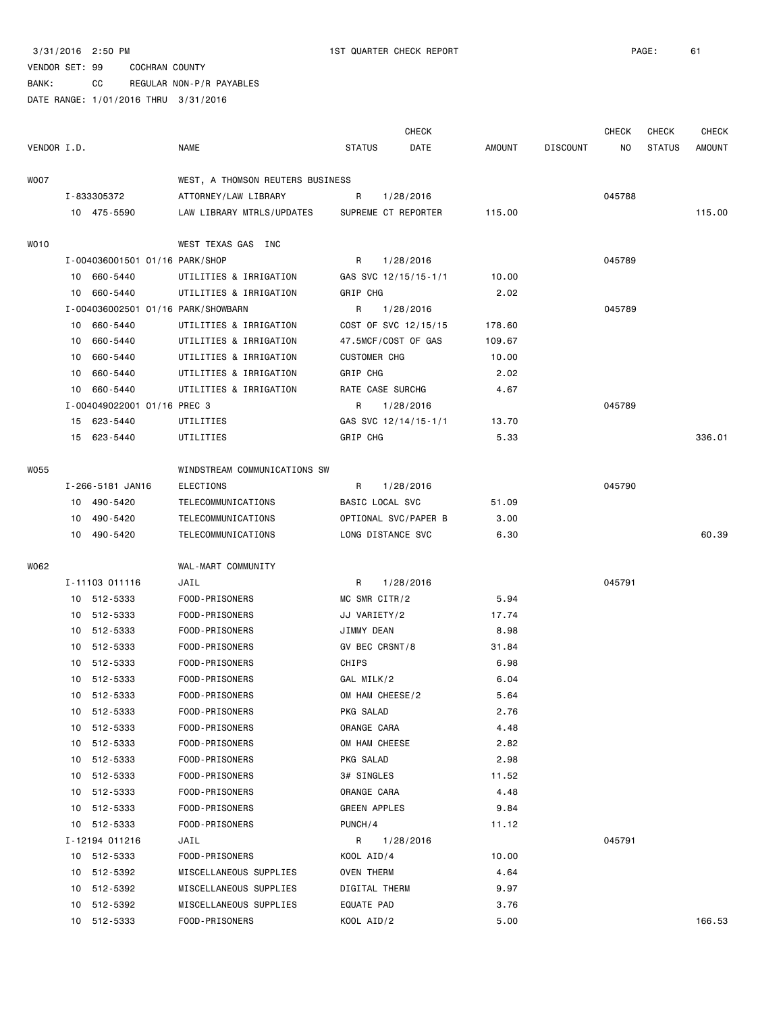BANK: CC REGULAR NON-P/R PAYABLES

|             |    |                                    |                                  |                     | <b>CHECK</b>         |        |                 | CHECK  | <b>CHECK</b>  | <b>CHECK</b>  |
|-------------|----|------------------------------------|----------------------------------|---------------------|----------------------|--------|-----------------|--------|---------------|---------------|
| VENDOR I.D. |    |                                    | <b>NAME</b>                      | <b>STATUS</b>       | DATE                 | AMOUNT | <b>DISCOUNT</b> | NO     | <b>STATUS</b> | <b>AMOUNT</b> |
| W007        |    |                                    | WEST, A THOMSON REUTERS BUSINESS |                     |                      |        |                 |        |               |               |
|             |    | I-833305372                        | ATTORNEY/LAW LIBRARY             | R                   | 1/28/2016            |        |                 | 045788 |               |               |
|             |    | 10 475-5590                        | LAW LIBRARY MTRLS/UPDATES        |                     | SUPREME CT REPORTER  | 115.00 |                 |        |               | 115.00        |
| WO10        |    |                                    | WEST TEXAS GAS INC               |                     |                      |        |                 |        |               |               |
|             |    | I-004036001501 01/16 PARK/SHOP     |                                  | R                   | 1/28/2016            |        |                 | 045789 |               |               |
|             |    | 10 660-5440                        | UTILITIES & IRRIGATION           |                     | GAS SVC 12/15/15-1/1 | 10.00  |                 |        |               |               |
|             | 10 | 660-5440                           | UTILITIES & IRRIGATION           | GRIP CHG            |                      | 2.02   |                 |        |               |               |
|             |    | I-004036002501 01/16 PARK/SHOWBARN |                                  | R                   | 1/28/2016            |        |                 | 045789 |               |               |
|             |    | 10 660-5440                        | UTILITIES & IRRIGATION           |                     | COST OF SVC 12/15/15 | 178.60 |                 |        |               |               |
|             | 10 | 660-5440                           | UTILITIES & IRRIGATION           |                     | 47.5MCF/COST OF GAS  | 109.67 |                 |        |               |               |
|             | 10 | 660-5440                           | UTILITIES & IRRIGATION           | <b>CUSTOMER CHG</b> |                      | 10.00  |                 |        |               |               |
|             | 10 | 660-5440                           | UTILITIES & IRRIGATION           | GRIP CHG            |                      | 2.02   |                 |        |               |               |
|             |    | 10 660-5440                        | UTILITIES & IRRIGATION           | RATE CASE SURCHG    |                      | 4.67   |                 |        |               |               |
|             |    | I-004049022001 01/16 PREC 3        |                                  | R                   | 1/28/2016            |        |                 | 045789 |               |               |
|             |    | 15 623-5440                        | UTILITIES                        |                     | GAS SVC 12/14/15-1/1 | 13.70  |                 |        |               |               |
|             |    | 15 623-5440                        | UTILITIES                        | GRIP CHG            |                      | 5.33   |                 |        |               | 336.01        |
| W055        |    |                                    | WINDSTREAM COMMUNICATIONS SW     |                     |                      |        |                 |        |               |               |
|             |    | I-266-5181 JAN16                   | <b>ELECTIONS</b>                 | R                   | 1/28/2016            |        |                 | 045790 |               |               |
|             |    | 10 490-5420                        | TELECOMMUNICATIONS               | BASIC LOCAL SVC     |                      | 51.09  |                 |        |               |               |
|             |    | 10 490-5420                        | TELECOMMUNICATIONS               |                     | OPTIONAL SVC/PAPER B | 3.00   |                 |        |               |               |
|             |    | 10 490-5420                        | TELECOMMUNICATIONS               | LONG DISTANCE SVC   |                      | 6.30   |                 |        |               | 60.39         |
| W062        |    |                                    | WAL-MART COMMUNITY               |                     |                      |        |                 |        |               |               |
|             |    | I-11103 011116                     | JAIL                             | R                   | 1/28/2016            |        |                 | 045791 |               |               |
|             |    | 10 512-5333                        | FOOD-PRISONERS                   | MC SMR CITR/2       |                      | 5.94   |                 |        |               |               |
|             |    | 10 512-5333                        | FOOD-PRISONERS                   | JJ VARIETY/2        |                      | 17.74  |                 |        |               |               |
|             |    | 10 512-5333                        | FOOD-PRISONERS                   | JIMMY DEAN          |                      | 8.98   |                 |        |               |               |
|             |    | 10 512-5333                        | FOOD-PRISONERS                   | GV BEC CRSNT/8      |                      | 31.84  |                 |        |               |               |
|             |    | 10 512-5333                        | FOOD-PRISONERS                   | CHIPS               |                      | 6.98   |                 |        |               |               |
|             |    | 10 512-5333                        | FOOD-PRISONERS                   | GAL MILK/2          |                      | 6.04   |                 |        |               |               |
|             |    | 10 512-5333                        | FOOD-PRISONERS                   | OM HAM CHEESE/2     |                      | 5.64   |                 |        |               |               |
|             |    | 10 512-5333                        | FOOD-PRISONERS                   | PKG SALAD           |                      | 2.76   |                 |        |               |               |
|             | 10 | 512-5333                           | FOOD-PRISONERS                   | ORANGE CARA         |                      | 4.48   |                 |        |               |               |
|             | 10 | 512-5333                           | FOOD-PRISONERS                   | OM HAM CHEESE       |                      | 2.82   |                 |        |               |               |
|             | 10 | 512-5333                           | FOOD-PRISONERS                   | PKG SALAD           |                      | 2.98   |                 |        |               |               |
|             | 10 | 512-5333                           | FOOD-PRISONERS                   | 3# SINGLES          |                      | 11.52  |                 |        |               |               |
|             |    | 10 512-5333                        | FOOD-PRISONERS                   | ORANGE CARA         |                      | 4.48   |                 |        |               |               |
|             | 10 | 512-5333                           | FOOD-PRISONERS                   | GREEN APPLES        |                      | 9.84   |                 |        |               |               |
|             |    | 10 512-5333                        | FOOD-PRISONERS                   | PUNCH/4             |                      | 11.12  |                 |        |               |               |
|             |    | I-12194 011216                     | JAIL                             | R                   | 1/28/2016            |        |                 | 045791 |               |               |
|             |    | 10 512-5333                        | FOOD-PRISONERS                   | KOOL AID/4          |                      | 10.00  |                 |        |               |               |
|             |    | 10 512-5392                        | MISCELLANEOUS SUPPLIES           | <b>OVEN THERM</b>   |                      | 4.64   |                 |        |               |               |
|             |    | 10 512-5392                        | MISCELLANEOUS SUPPLIES           | DIGITAL THERM       |                      | 9.97   |                 |        |               |               |
|             |    | 10 512-5392                        | MISCELLANEOUS SUPPLIES           | EQUATE PAD          |                      | 3.76   |                 |        |               |               |
|             |    | 10 512-5333                        | FOOD-PRISONERS                   | KOOL AID/2          |                      | 5.00   |                 |        |               | 166.53        |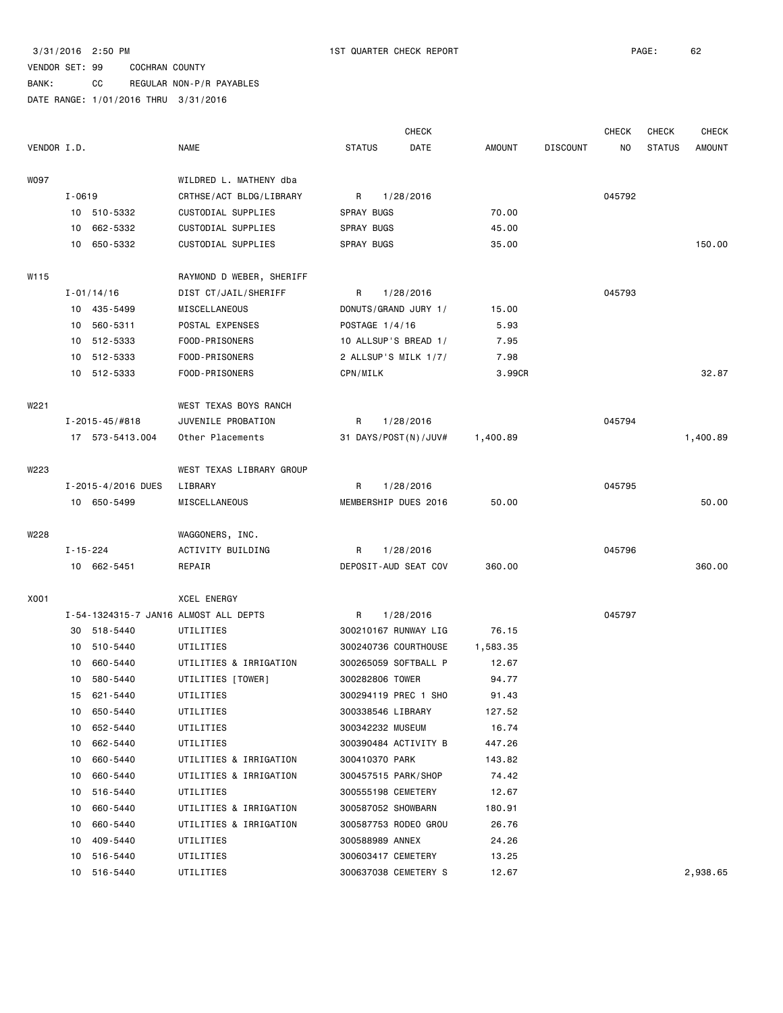### VENDOR SET: 99 COCHRAN COUNTY BANK: CC REGULAR NON-P/R PAYABLES

|             |                |                        |                                               |                        |                  | <b>CHECK</b>         |               |                 | <b>CHECK</b> | <b>CHECK</b>  | <b>CHECK</b>  |
|-------------|----------------|------------------------|-----------------------------------------------|------------------------|------------------|----------------------|---------------|-----------------|--------------|---------------|---------------|
| VENDOR I.D. |                |                        | <b>NAME</b>                                   | <b>STATUS</b>          |                  | DATE                 | <b>AMOUNT</b> | <b>DISCOUNT</b> | NO           | <b>STATUS</b> | <b>AMOUNT</b> |
|             |                |                        |                                               |                        |                  |                      |               |                 |              |               |               |
| <b>WO97</b> |                |                        | WILDRED L. MATHENY dba                        |                        |                  |                      |               |                 |              |               |               |
|             | $I - 0619$     | 10 510-5332            | CRTHSE/ACT BLDG/LIBRARY<br>CUSTODIAL SUPPLIES | R<br><b>SPRAY BUGS</b> |                  | 1/28/2016            | 70.00         |                 | 045792       |               |               |
|             | 10             | 662-5332               | CUSTODIAL SUPPLIES                            | SPRAY BUGS             |                  |                      | 45.00         |                 |              |               |               |
|             | 10             | 650-5332               | CUSTODIAL SUPPLIES                            | SPRAY BUGS             |                  |                      | 35.00         |                 |              |               | 150.00        |
|             |                |                        |                                               |                        |                  |                      |               |                 |              |               |               |
| W115        |                |                        | RAYMOND D WEBER, SHERIFF                      |                        |                  |                      |               |                 |              |               |               |
|             |                | $I - 01/14/16$         | DIST CT/JAIL/SHERIFF                          | R                      |                  | 1/28/2016            |               |                 | 045793       |               |               |
|             |                | 10 435-5499            | MISCELLANEOUS                                 |                        |                  | DONUTS/GRAND JURY 1/ | 15.00         |                 |              |               |               |
|             |                | 10 560-5311            | POSTAL EXPENSES                               |                        | POSTAGE 1/4/16   |                      | 5.93          |                 |              |               |               |
|             |                | 10 512-5333            | FOOD-PRISONERS                                |                        |                  | 10 ALLSUP'S BREAD 1/ | 7.95          |                 |              |               |               |
|             |                | 10 512-5333            | FOOD-PRISONERS                                |                        |                  | 2 ALLSUP'S MILK 1/7/ | 7.98          |                 |              |               |               |
|             |                | 10 512-5333            | FOOD-PRISONERS                                | CPN/MILK               |                  |                      | 3.99CR        |                 |              |               | 32.87         |
| W221        |                |                        | WEST TEXAS BOYS RANCH                         |                        |                  |                      |               |                 |              |               |               |
|             |                | $I - 2015 - 45 / #818$ | JUVENILE PROBATION                            | R                      |                  | 1/28/2016            |               |                 | 045794       |               |               |
|             |                | 17 573-5413.004        | Other Placements                              |                        |                  | 31 DAYS/POST(N)/JUV# | 1,400.89      |                 |              |               | 1,400.89      |
|             |                |                        |                                               |                        |                  |                      |               |                 |              |               |               |
| W223        |                |                        | WEST TEXAS LIBRARY GROUP                      |                        |                  |                      |               |                 |              |               |               |
|             |                | I-2015-4/2016 DUES     | LIBRARY                                       | R                      |                  | 1/28/2016            |               |                 | 045795       |               |               |
|             |                | 10 650-5499            | MISCELLANEOUS                                 |                        |                  | MEMBERSHIP DUES 2016 | 50.00         |                 |              |               | 50.00         |
| W228        |                |                        | WAGGONERS, INC.                               |                        |                  |                      |               |                 |              |               |               |
|             | $I - 15 - 224$ |                        | ACTIVITY BUILDING                             | R                      |                  | 1/28/2016            |               |                 | 045796       |               |               |
|             |                | 10 662-5451            | REPAIR                                        |                        |                  | DEPOSIT-AUD SEAT COV | 360.00        |                 |              |               | 360.00        |
|             |                |                        |                                               |                        |                  |                      |               |                 |              |               |               |
| X001        |                |                        | XCEL ENERGY                                   |                        |                  |                      |               |                 |              |               |               |
|             |                |                        | I-54-1324315-7 JAN16 ALMOST ALL DEPTS         | R                      |                  | 1/28/2016            |               |                 | 045797       |               |               |
|             | 30             | 518-5440               | UTILITIES                                     |                        |                  | 300210167 RUNWAY LIG | 76.15         |                 |              |               |               |
|             | 10             | 510-5440               | UTILITIES                                     |                        |                  | 300240736 COURTHOUSE | 1,583.35      |                 |              |               |               |
|             | 10             | 660-5440               | UTILITIES & IRRIGATION                        |                        |                  | 300265059 SOFTBALL P | 12.67         |                 |              |               |               |
|             |                | 10 580-5440            | UTILITIES [TOWER]                             |                        | 300282806 TOWER  |                      | 94.77         |                 |              |               |               |
|             |                | 15 621-5440            | UTILITIES                                     |                        |                  | 300294119 PREC 1 SHO | 91.43         |                 |              |               |               |
|             |                | 10 650-5440            | UTILITIES                                     |                        |                  | 300338546 LIBRARY    | 127.52        |                 |              |               |               |
|             |                | 10 652-5440            | UTILITIES                                     |                        | 300342232 MUSEUM |                      | 16.74         |                 |              |               |               |
|             |                | 10 662-5440            | UTILITIES                                     |                        |                  | 300390484 ACTIVITY B | 447.26        |                 |              |               |               |
|             |                | 10 660-5440            | UTILITIES & IRRIGATION                        |                        | 300410370 PARK   |                      | 143.82        |                 |              |               |               |
|             | 10             | 660-5440               | UTILITIES & IRRIGATION                        |                        |                  | 300457515 PARK/SHOP  | 74.42         |                 |              |               |               |
|             | 10             | 516-5440               | UTILITIES                                     |                        |                  | 300555198 CEMETERY   | 12.67         |                 |              |               |               |
|             | 10             | 660-5440               | UTILITIES & IRRIGATION                        |                        |                  | 300587052 SHOWBARN   | 180.91        |                 |              |               |               |
|             | 10             | 660-5440               | UTILITIES & IRRIGATION                        |                        |                  | 300587753 RODEO GROU | 26.76         |                 |              |               |               |
|             | 10             | 409-5440               | UTILITIES                                     |                        | 300588989 ANNEX  |                      | 24.26         |                 |              |               |               |
|             | 10             | 516-5440               | UTILITIES                                     |                        |                  | 300603417 CEMETERY   | 13.25         |                 |              |               |               |
|             |                | 10 516-5440            | UTILITIES                                     |                        |                  | 300637038 CEMETERY S | 12.67         |                 |              |               | 2,938.65      |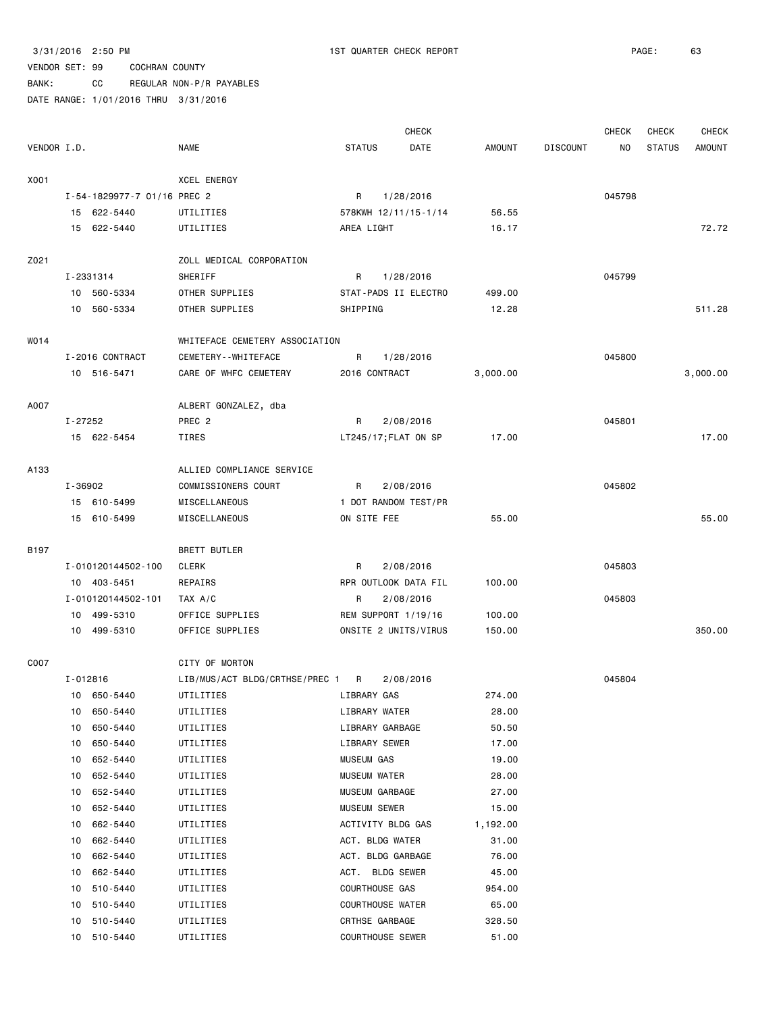BANK: CC REGULAR NON-P/R PAYABLES

|             |              |                             |                                |               | <b>CHECK</b>            |               |                 | <b>CHECK</b>   | <b>CHECK</b>  | <b>CHECK</b>  |
|-------------|--------------|-----------------------------|--------------------------------|---------------|-------------------------|---------------|-----------------|----------------|---------------|---------------|
| VENDOR I.D. |              |                             | <b>NAME</b>                    | <b>STATUS</b> | <b>DATE</b>             | <b>AMOUNT</b> | <b>DISCOUNT</b> | N <sub>O</sub> | <b>STATUS</b> | <b>AMOUNT</b> |
| X001        |              |                             | XCEL ENERGY                    |               |                         |               |                 |                |               |               |
|             |              | I-54-1829977-7 01/16 PREC 2 |                                | R             | 1/28/2016               |               |                 | 045798         |               |               |
|             |              | 15 622-5440                 | UTILITIES                      |               | 578KWH 12/11/15-1/14    | 56.55         |                 |                |               |               |
|             |              | 15 622-5440                 | UTILITIES                      | AREA LIGHT    |                         | 16.17         |                 |                |               | 72.72         |
|             |              |                             |                                |               |                         |               |                 |                |               |               |
| Z021        |              |                             | ZOLL MEDICAL CORPORATION       |               |                         |               |                 |                |               |               |
|             |              | I-2331314                   | SHERIFF                        | R             | 1/28/2016               |               |                 | 045799         |               |               |
|             |              | 10 560-5334                 | OTHER SUPPLIES                 |               | STAT-PADS II ELECTRO    | 499.00        |                 |                |               |               |
|             |              | 10 560-5334                 | OTHER SUPPLIES                 | SHIPPING      |                         | 12.28         |                 |                |               | 511.28        |
| W014        |              |                             | WHITEFACE CEMETERY ASSOCIATION |               |                         |               |                 |                |               |               |
|             |              | I-2016 CONTRACT             | CEMETERY - - WHITEFACE         | R             | 1/28/2016               |               |                 | 045800         |               |               |
|             |              | 10 516-5471                 | CARE OF WHFC CEMETERY          |               | 2016 CONTRACT           | 3,000.00      |                 |                |               | 3,000.00      |
|             |              |                             |                                |               |                         |               |                 |                |               |               |
| A007        |              |                             | ALBERT GONZALEZ, dba           |               |                         |               |                 |                |               |               |
|             | I-27252      |                             | PREC <sub>2</sub>              | R             | 2/08/2016               |               |                 | 045801         |               |               |
|             |              | 15 622-5454                 | TIRES                          |               | LT245/17; FLAT ON SP    | 17.00         |                 |                |               | 17.00         |
| A133        |              |                             | ALLIED COMPLIANCE SERVICE      |               |                         |               |                 |                |               |               |
|             | I-36902      |                             | COMMISSIONERS COURT            | R             | 2/08/2016               |               |                 | 045802         |               |               |
|             |              | 15 610-5499                 | MISCELLANEOUS                  |               | 1 DOT RANDOM TEST/PR    |               |                 |                |               |               |
|             |              | 15 610-5499                 | MISCELLANEOUS                  | ON SITE FEE   |                         | 55.00         |                 |                |               | 55.00         |
|             |              |                             |                                |               |                         |               |                 |                |               |               |
| <b>B197</b> |              |                             | <b>BRETT BUTLER</b>            |               |                         |               |                 |                |               |               |
|             |              | I-010120144502-100          | <b>CLERK</b>                   | R             | 2/08/2016               |               |                 | 045803         |               |               |
|             |              | 10 403-5451                 | REPAIRS                        |               | RPR OUTLOOK DATA FIL    | 100.00        |                 |                |               |               |
|             |              | I-010120144502-101          | TAX A/C                        | R             | 2/08/2016               |               |                 | 045803         |               |               |
|             | 10           | 499-5310                    | OFFICE SUPPLIES                |               | REM SUPPORT 1/19/16     | 100.00        |                 |                |               |               |
|             |              | 10 499-5310                 | OFFICE SUPPLIES                |               | ONSITE 2 UNITS/VIRUS    | 150.00        |                 |                |               | 350.00        |
| C007        |              |                             | CITY OF MORTON                 |               |                         |               |                 |                |               |               |
|             | $I - 012816$ |                             | LIB/MUS/ACT BLDG/CRTHSE/PREC 1 | R             | 2/08/2016               |               |                 | 045804         |               |               |
|             |              | 10 650-5440                 | UTILITIES                      | LIBRARY GAS   |                         | 274.00        |                 |                |               |               |
|             | 10           | 650-5440                    | UTILITIES                      |               | LIBRARY WATER           | 28.00         |                 |                |               |               |
|             | 10           | 650-5440                    | UTILITIES                      |               | LIBRARY GARBAGE         | 50.50         |                 |                |               |               |
|             | 10           | 650-5440                    | UTILITIES                      |               | LIBRARY SEWER           | 17.00         |                 |                |               |               |
|             | 10           | 652-5440                    | UTILITIES                      | MUSEUM GAS    |                         | 19.00         |                 |                |               |               |
|             | 10           | 652-5440                    | UTILITIES                      |               | <b>MUSEUM WATER</b>     | 28.00         |                 |                |               |               |
|             | 10           | 652-5440                    | UTILITIES                      |               | MUSEUM GARBAGE          | 27.00         |                 |                |               |               |
|             | 10           | 652-5440                    | UTILITIES                      |               | MUSEUM SEWER            | 15.00         |                 |                |               |               |
|             | 10           | 662-5440                    | UTILITIES                      |               | ACTIVITY BLDG GAS       | 1,192.00      |                 |                |               |               |
|             | 10           | 662-5440                    | UTILITIES                      |               | ACT. BLDG WATER         | 31.00         |                 |                |               |               |
|             | 10           | 662-5440                    | UTILITIES                      |               | ACT. BLDG GARBAGE       | 76.00         |                 |                |               |               |
|             | 10           | 662-5440                    | UTILITIES                      |               | ACT. BLDG SEWER         | 45.00         |                 |                |               |               |
|             | 10           | 510-5440                    | UTILITIES                      |               | COURTHOUSE GAS          | 954.00        |                 |                |               |               |
|             | 10           | 510-5440                    | UTILITIES                      |               | <b>COURTHOUSE WATER</b> | 65.00         |                 |                |               |               |
|             | 10           | 510-5440                    | UTILITIES                      |               | CRTHSE GARBAGE          | 328.50        |                 |                |               |               |
|             |              | 10 510-5440                 | UTILITIES                      |               | <b>COURTHOUSE SEWER</b> | 51.00         |                 |                |               |               |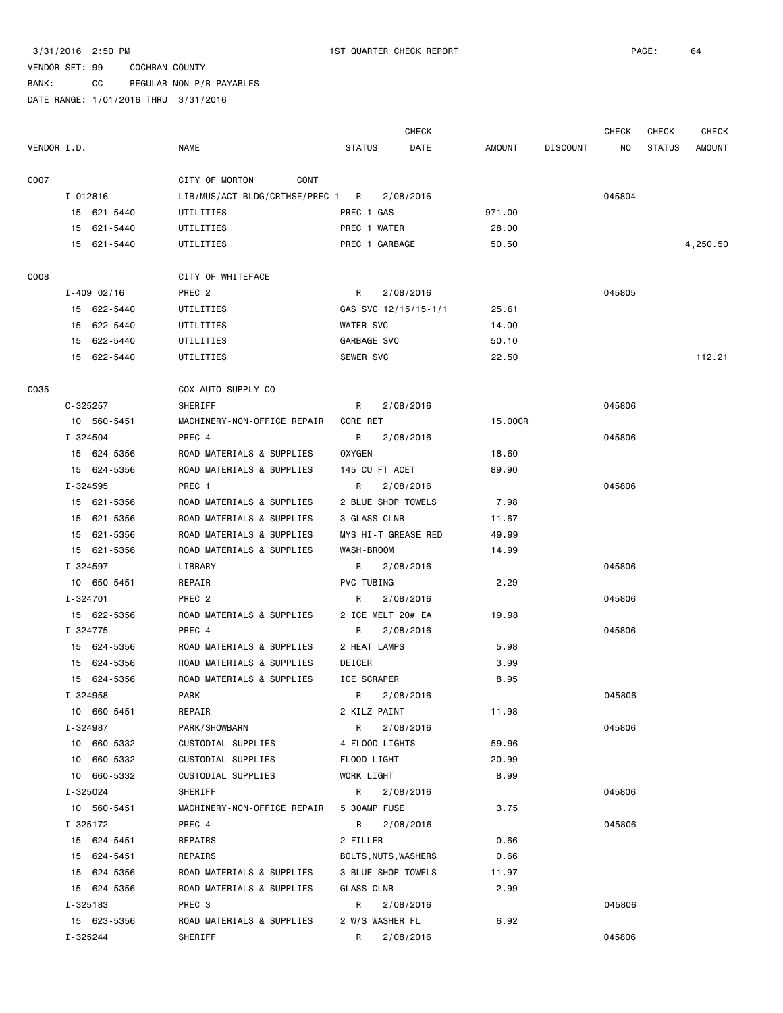BANK: CC REGULAR NON-P/R PAYABLES

|             |                 |                                  |                      | <b>CHECK</b> |         |                 | <b>CHECK</b> | <b>CHECK</b>  | CHECK         |
|-------------|-----------------|----------------------------------|----------------------|--------------|---------|-----------------|--------------|---------------|---------------|
| VENDOR I.D. |                 | <b>NAME</b>                      | <b>STATUS</b>        | DATE         | AMOUNT  | <b>DISCOUNT</b> | NO           | <b>STATUS</b> | <b>AMOUNT</b> |
| C007        |                 | CITY OF MORTON<br>CONT           |                      |              |         |                 |              |               |               |
|             | I-012816        | LIB/MUS/ACT BLDG/CRTHSE/PREC 1 R |                      | 2/08/2016    |         |                 | 045804       |               |               |
|             | 15 621-5440     | UTILITIES                        | PREC 1 GAS           |              | 971.00  |                 |              |               |               |
|             | 15 621-5440     | UTILITIES                        | PREC 1 WATER         |              | 28.00   |                 |              |               |               |
|             | 15 621-5440     | UTILITIES                        | PREC 1 GARBAGE       |              | 50.50   |                 |              |               | 4,250.50      |
|             |                 |                                  |                      |              |         |                 |              |               |               |
| C008        |                 | CITY OF WHITEFACE                |                      |              |         |                 |              |               |               |
|             | $I - 409$ 02/16 | PREC <sub>2</sub>                | R                    | 2/08/2016    |         |                 | 045805       |               |               |
|             | 15 622-5440     | UTILITIES                        | GAS SVC 12/15/15-1/1 |              | 25.61   |                 |              |               |               |
|             | 15 622-5440     | UTILITIES                        | <b>WATER SVC</b>     |              | 14.00   |                 |              |               |               |
|             | 15 622-5440     | UTILITIES                        | GARBAGE SVC          |              | 50.10   |                 |              |               |               |
|             | 15 622-5440     | UTILITIES                        | SEWER SVC            |              | 22.50   |                 |              |               | 112.21        |
| C035        |                 | COX AUTO SUPPLY CO               |                      |              |         |                 |              |               |               |
|             | $C - 325257$    | SHERIFF                          | R.                   | 2/08/2016    |         |                 | 045806       |               |               |
|             | 10 560-5451     | MACHINERY-NON-OFFICE REPAIR      | CORE RET             |              | 15.00CR |                 |              |               |               |
|             | I-324504        | PREC 4                           | R                    | 2/08/2016    |         |                 | 045806       |               |               |
|             | 15 624-5356     | ROAD MATERIALS & SUPPLIES        | <b>OXYGEN</b>        |              | 18.60   |                 |              |               |               |
|             | 15 624-5356     | ROAD MATERIALS & SUPPLIES        | 145 CU FT ACET       |              | 89.90   |                 |              |               |               |
|             | I-324595        | PREC 1                           | R                    | 2/08/2016    |         |                 | 045806       |               |               |
|             | 15 621-5356     | ROAD MATERIALS & SUPPLIES        | 2 BLUE SHOP TOWELS   |              | 7.98    |                 |              |               |               |
|             | 15 621-5356     | ROAD MATERIALS & SUPPLIES        | 3 GLASS CLNR         |              | 11.67   |                 |              |               |               |
|             | 15 621-5356     | ROAD MATERIALS & SUPPLIES        | MYS HI-T GREASE RED  |              | 49.99   |                 |              |               |               |
|             | 15 621-5356     | ROAD MATERIALS & SUPPLIES        | WASH-BROOM           |              | 14.99   |                 |              |               |               |
|             | I-324597        | LIBRARY                          | R                    | 2/08/2016    |         |                 | 045806       |               |               |
|             | 10 650-5451     | REPAIR                           | PVC TUBING           |              | 2.29    |                 |              |               |               |
|             | I-324701        | PREC <sub>2</sub>                | R                    | 2/08/2016    |         |                 | 045806       |               |               |
|             | 15 622-5356     | ROAD MATERIALS & SUPPLIES        | 2 ICE MELT 20# EA    |              | 19.98   |                 |              |               |               |
|             | I-324775        | PREC 4                           | R                    | 2/08/2016    |         |                 | 045806       |               |               |
|             | 15 624-5356     | ROAD MATERIALS & SUPPLIES        | 2 HEAT LAMPS         |              | 5.98    |                 |              |               |               |
|             | 15 624-5356     | ROAD MATERIALS & SUPPLIES        | DEICER               |              | 3.99    |                 |              |               |               |
|             | 15 624-5356     | ROAD MATERIALS & SUPPLIES        | ICE SCRAPER          |              | 8.95    |                 |              |               |               |
|             | I-324958        | <b>PARK</b>                      | R                    | 2/08/2016    |         |                 | 045806       |               |               |
|             | 10 660-5451     | REPAIR                           | 2 KILZ PAINT         |              | 11.98   |                 |              |               |               |
|             | I-324987        | PARK/SHOWBARN                    | R                    | 2/08/2016    |         |                 | 045806       |               |               |
|             | 10 660-5332     | CUSTODIAL SUPPLIES               | 4 FLOOD LIGHTS       |              | 59.96   |                 |              |               |               |
|             | 10 660-5332     | CUSTODIAL SUPPLIES               | FLOOD LIGHT          |              | 20.99   |                 |              |               |               |
|             | 10 660-5332     | CUSTODIAL SUPPLIES               | WORK LIGHT           |              | 8.99    |                 |              |               |               |
|             | I-325024        | SHERIFF                          | R                    | 2/08/2016    |         |                 | 045806       |               |               |
|             | 10 560-5451     | MACHINERY-NON-OFFICE REPAIR      | 5 30AMP FUSE         |              | 3.75    |                 |              |               |               |
|             | I-325172        | PREC 4                           | R                    | 2/08/2016    |         |                 | 045806       |               |               |
|             | 15 624-5451     | REPAIRS                          | 2 FILLER             |              | 0.66    |                 |              |               |               |
|             | 15 624-5451     | REPAIRS                          | BOLTS, NUTS, WASHERS |              | 0.66    |                 |              |               |               |
|             | 15 624-5356     | ROAD MATERIALS & SUPPLIES        | 3 BLUE SHOP TOWELS   |              | 11.97   |                 |              |               |               |
|             | 15 624-5356     | ROAD MATERIALS & SUPPLIES        | GLASS CLNR           |              | 2.99    |                 |              |               |               |
|             | I-325183        | PREC 3                           | R                    | 2/08/2016    |         |                 | 045806       |               |               |
|             | 15 623-5356     | ROAD MATERIALS & SUPPLIES        | 2 W/S WASHER FL      |              | 6.92    |                 |              |               |               |
|             | I-325244        | SHERIFF                          | R                    | 2/08/2016    |         |                 | 045806       |               |               |
|             |                 |                                  |                      |              |         |                 |              |               |               |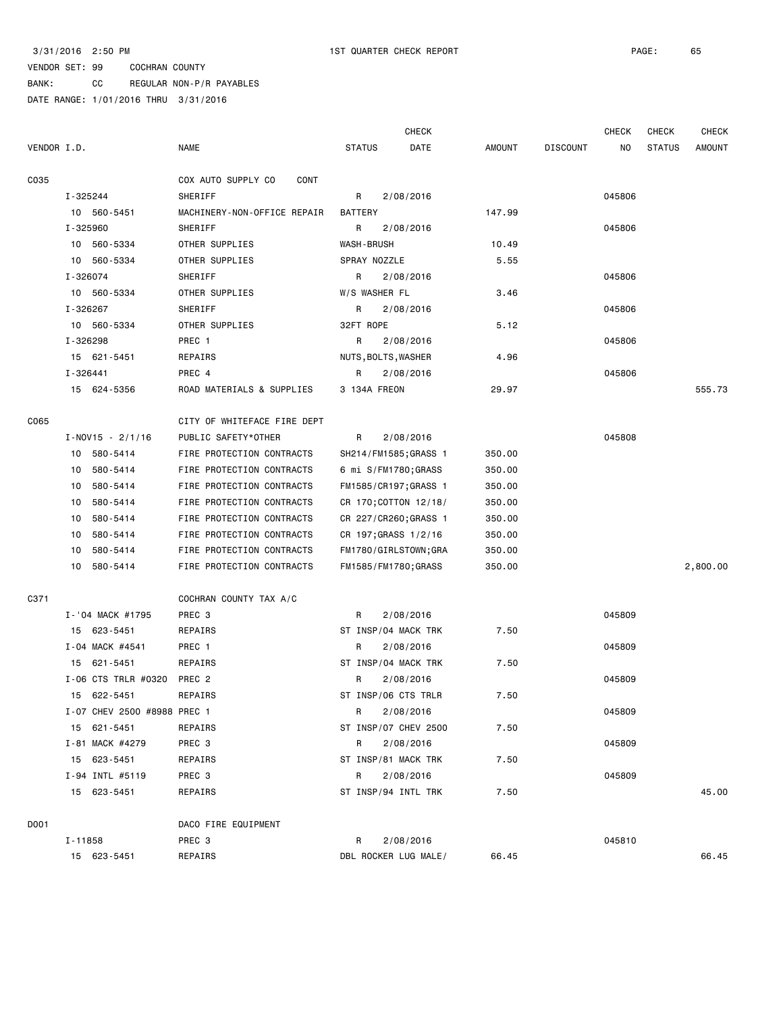BANK: CC REGULAR NON-P/R PAYABLES

|             |          |                             |                             |                   | <b>CHECK</b>          |        |                 | <b>CHECK</b> | <b>CHECK</b>  | <b>CHECK</b>  |
|-------------|----------|-----------------------------|-----------------------------|-------------------|-----------------------|--------|-----------------|--------------|---------------|---------------|
| VENDOR I.D. |          |                             | <b>NAME</b>                 | <b>STATUS</b>     | DATE                  | AMOUNT | <b>DISCOUNT</b> | NO.          | <b>STATUS</b> | <b>AMOUNT</b> |
| C035        |          |                             | COX AUTO SUPPLY CO<br>CONT  |                   |                       |        |                 |              |               |               |
|             | I-325244 |                             | SHERIFF                     | R                 | 2/08/2016             |        |                 | 045806       |               |               |
|             |          | 10 560-5451                 | MACHINERY-NON-OFFICE REPAIR | <b>BATTERY</b>    |                       | 147.99 |                 |              |               |               |
|             | I-325960 |                             | SHERIFF                     | R                 | 2/08/2016             |        |                 | 045806       |               |               |
|             |          | 10 560-5334                 | OTHER SUPPLIES              | <b>WASH-BRUSH</b> |                       | 10.49  |                 |              |               |               |
|             |          | 10 560-5334                 | OTHER SUPPLIES              | SPRAY NOZZLE      |                       | 5.55   |                 |              |               |               |
|             | I-326074 |                             | SHERIFF                     | R                 | 2/08/2016             |        |                 | 045806       |               |               |
|             |          | 10 560-5334                 | OTHER SUPPLIES              | W/S WASHER FL     |                       | 3.46   |                 |              |               |               |
|             | I-326267 |                             | SHERIFF                     | R                 | 2/08/2016             |        |                 | 045806       |               |               |
|             |          | 10 560-5334                 | OTHER SUPPLIES              | 32FT ROPE         |                       | 5.12   |                 |              |               |               |
|             | I-326298 |                             | PREC 1                      | R                 | 2/08/2016             |        |                 | 045806       |               |               |
|             |          | 15 621-5451                 | REPAIRS                     |                   | NUTS, BOLTS, WASHER   | 4.96   |                 |              |               |               |
|             | I-326441 |                             | PREC 4                      | R                 | 2/08/2016             |        |                 | 045806       |               |               |
|             |          | 15 624-5356                 | ROAD MATERIALS & SUPPLIES   | 3 134A FREON      |                       | 29.97  |                 |              |               | 555.73        |
| C065        |          |                             | CITY OF WHITEFACE FIRE DEPT |                   |                       |        |                 |              |               |               |
|             |          | $I-NOVI5 - 2/1/16$          | PUBLIC SAFETY*OTHER         | R                 | 2/08/2016             |        |                 | 045808       |               |               |
|             |          | 10 580-5414                 | FIRE PROTECTION CONTRACTS   |                   | SH214/FM1585; GRASS 1 | 350.00 |                 |              |               |               |
|             |          | 10 580-5414                 | FIRE PROTECTION CONTRACTS   |                   | 6 mi S/FM1780;GRASS   | 350.00 |                 |              |               |               |
|             |          | 10 580-5414                 | FIRE PROTECTION CONTRACTS   |                   | FM1585/CR197;GRASS 1  | 350.00 |                 |              |               |               |
|             | 10       | 580-5414                    | FIRE PROTECTION CONTRACTS   |                   | CR 170; COTTON 12/18/ | 350.00 |                 |              |               |               |
|             | 10       | 580-5414                    | FIRE PROTECTION CONTRACTS   |                   | CR 227/CR260;GRASS 1  | 350.00 |                 |              |               |               |
|             | 10       | 580-5414                    | FIRE PROTECTION CONTRACTS   |                   | CR 197; GRASS 1/2/16  | 350.00 |                 |              |               |               |
|             | 10       | 580-5414                    | FIRE PROTECTION CONTRACTS   |                   | FM1780/GIRLSTOWN;GRA  | 350.00 |                 |              |               |               |
|             | 10       | 580-5414                    | FIRE PROTECTION CONTRACTS   |                   | FM1585/FM1780;GRASS   | 350.00 |                 |              |               | 2,800.00      |
| C371        |          |                             | COCHRAN COUNTY TAX A/C      |                   |                       |        |                 |              |               |               |
|             |          | I-'04 MACK #1795            | PREC <sub>3</sub>           | R                 | 2/08/2016             |        |                 | 045809       |               |               |
|             |          | 15 623-5451                 | REPAIRS                     |                   | ST INSP/04 MACK TRK   | 7.50   |                 |              |               |               |
|             |          | I-04 MACK #4541             | PREC 1                      | R                 | 2/08/2016             |        |                 | 045809       |               |               |
|             |          | 15 621-5451                 | REPAIRS                     |                   | ST INSP/04 MACK TRK   | 7.50   |                 |              |               |               |
|             |          | I-06 CTS TRLR #0320         | PREC <sub>2</sub>           | R                 | 2/08/2016             |        |                 | 045809       |               |               |
|             |          | 15 622-5451                 | REPAIRS                     |                   | ST INSP/06 CTS TRLR   | 7.50   |                 |              |               |               |
|             |          | I-07 CHEV 2500 #8988 PREC 1 |                             | R                 | 2/08/2016             |        |                 | 045809       |               |               |
|             |          | 15 621-5451                 | REPAIRS                     |                   | ST INSP/07 CHEV 2500  | 7.50   |                 |              |               |               |
|             |          | I-81 MACK #4279             | PREC 3                      | R                 | 2/08/2016             |        |                 | 045809       |               |               |
|             |          | 15 623-5451                 | REPAIRS                     |                   | ST INSP/81 MACK TRK   | 7.50   |                 |              |               |               |
|             |          | I-94 INTL #5119             | PREC 3                      | R                 | 2/08/2016             |        |                 | 045809       |               |               |
|             |          | 15 623-5451                 | REPAIRS                     |                   | ST INSP/94 INTL TRK   | 7.50   |                 |              |               | 45.00         |
|             |          |                             |                             |                   |                       |        |                 |              |               |               |
| D001        |          |                             | DACO FIRE EQUIPMENT         |                   |                       |        |                 |              |               |               |
|             | I-11858  |                             | PREC 3                      | R                 | 2/08/2016             |        |                 | 045810       |               |               |
|             |          | 15 623-5451                 | REPAIRS                     |                   | DBL ROCKER LUG MALE/  | 66.45  |                 |              |               | 66.45         |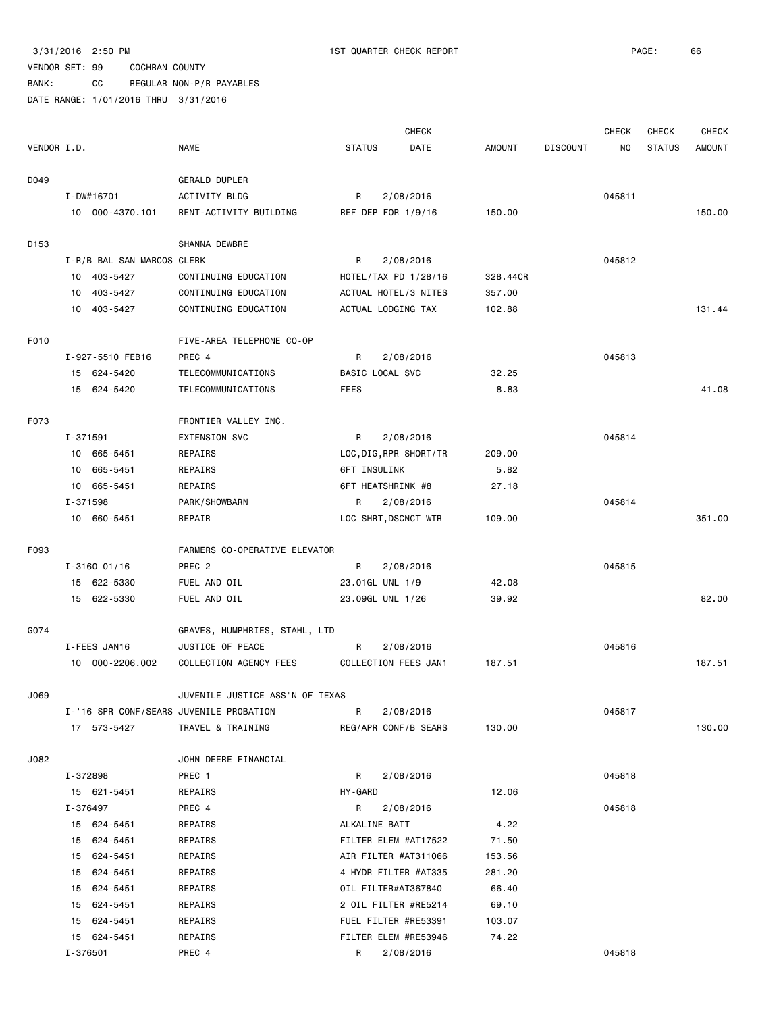BANK: CC REGULAR NON-P/R PAYABLES

|             |                            |                                         |                        | <b>CHECK</b> |               |                 | <b>CHECK</b> | <b>CHECK</b>  | <b>CHECK</b>  |
|-------------|----------------------------|-----------------------------------------|------------------------|--------------|---------------|-----------------|--------------|---------------|---------------|
| VENDOR I.D. |                            | <b>NAME</b>                             | <b>STATUS</b>          | DATE         | <b>AMOUNT</b> | <b>DISCOUNT</b> | NO           | <b>STATUS</b> | <b>AMOUNT</b> |
| D049        |                            | GERALD DUPLER                           |                        |              |               |                 |              |               |               |
|             | I-DW#16701                 | ACTIVITY BLDG                           | R                      | 2/08/2016    |               |                 | 045811       |               |               |
|             | 10 000-4370.101            | RENT-ACTIVITY BUILDING                  | REF DEP FOR 1/9/16     |              | 150.00        |                 |              |               | 150.00        |
|             |                            |                                         |                        |              |               |                 |              |               |               |
| D153        |                            | SHANNA DEWBRE                           |                        |              |               |                 |              |               |               |
|             | I-R/B BAL SAN MARCOS CLERK |                                         | R                      | 2/08/2016    |               |                 | 045812       |               |               |
|             | 10 403-5427                | CONTINUING EDUCATION                    | HOTEL/TAX PD 1/28/16   |              | 328,44CR      |                 |              |               |               |
|             | 10 403-5427                | CONTINUING EDUCATION                    | ACTUAL HOTEL/3 NITES   |              | 357.00        |                 |              |               |               |
|             | 10 403-5427                | CONTINUING EDUCATION                    | ACTUAL LODGING TAX     |              | 102.88        |                 |              |               | 131.44        |
| F010        |                            | FIVE-AREA TELEPHONE CO-OP               |                        |              |               |                 |              |               |               |
|             | I-927-5510 FEB16           | PREC 4                                  | R                      | 2/08/2016    |               |                 | 045813       |               |               |
|             | 15 624-5420                | TELECOMMUNICATIONS                      | BASIC LOCAL SVC        |              | 32.25         |                 |              |               |               |
|             | 15 624-5420                | TELECOMMUNICATIONS                      | <b>FEES</b>            |              | 8.83          |                 |              |               | 41.08         |
|             |                            |                                         |                        |              |               |                 |              |               |               |
| F073        |                            | FRONTIER VALLEY INC.                    |                        |              |               |                 |              |               |               |
|             | I-371591                   | <b>EXTENSION SVC</b>                    | R                      | 2/08/2016    |               |                 | 045814       |               |               |
|             | 10 665-5451                | REPAIRS                                 | LOC, DIG, RPR SHORT/TR |              | 209.00        |                 |              |               |               |
|             | 10 665-5451                | REPAIRS                                 | 6FT INSULINK           |              | 5.82          |                 |              |               |               |
|             | 10 665-5451                | <b>REPAIRS</b>                          | 6FT HEATSHRINK #8      |              | 27.18         |                 |              |               |               |
|             | I-371598                   | PARK/SHOWBARN                           | R                      | 2/08/2016    |               |                 | 045814       |               |               |
|             | 10 660-5451                | REPAIR                                  | LOC SHRT, DSCNCT WTR   |              | 109.00        |                 |              |               | 351.00        |
| F093        |                            | FARMERS CO-OPERATIVE ELEVATOR           |                        |              |               |                 |              |               |               |
|             | $I - 3160$ 01/16           | PREC <sub>2</sub>                       | R                      | 2/08/2016    |               |                 | 045815       |               |               |
|             | 15 622-5330                | FUEL AND OIL                            | 23.01GL UNL 1/9        |              | 42.08         |                 |              |               |               |
|             | 15 622-5330                | FUEL AND OIL                            | 23.09GL UNL 1/26       |              | 39.92         |                 |              |               | 82.00         |
| G074        |                            | GRAVES, HUMPHRIES, STAHL, LTD           |                        |              |               |                 |              |               |               |
|             | I-FEES JAN16               | JUSTICE OF PEACE                        | R                      | 2/08/2016    |               |                 | 045816       |               |               |
|             | 10 000-2206.002            | COLLECTION AGENCY FEES                  | COLLECTION FEES JAN1   |              | 187.51        |                 |              |               | 187.51        |
|             |                            |                                         |                        |              |               |                 |              |               |               |
| J069        |                            | JUVENILE JUSTICE ASS'N OF TEXAS         |                        |              |               |                 |              |               |               |
|             |                            | I-'16 SPR CONF/SEARS JUVENILE PROBATION | R                      | 2/08/2016    |               |                 | 045817       |               |               |
|             | 17 573-5427                | TRAVEL & TRAINING                       | REG/APR CONF/B SEARS   |              | 130.00        |                 |              |               | 130.00        |
| J082        |                            | JOHN DEERE FINANCIAL                    |                        |              |               |                 |              |               |               |
|             | I-372898                   | PREC 1                                  | R                      | 2/08/2016    |               |                 | 045818       |               |               |
|             | 15 621-5451                | REPAIRS                                 | HY-GARD                |              | 12.06         |                 |              |               |               |
|             | I-376497                   | PREC 4                                  | R                      | 2/08/2016    |               |                 | 045818       |               |               |
|             | 15 624-5451                | REPAIRS                                 | ALKALINE BATT          |              | 4.22          |                 |              |               |               |
|             | 15 624-5451                | REPAIRS                                 | FILTER ELEM #AT17522   |              | 71.50         |                 |              |               |               |
|             | 15 624-5451                | REPAIRS                                 | AIR FILTER #AT311066   |              | 153.56        |                 |              |               |               |
|             | 624-5451<br>15             | REPAIRS                                 | 4 HYDR FILTER #AT335   |              | 281.20        |                 |              |               |               |
|             | 624-5451<br>15             | REPAIRS                                 | OIL FILTER#AT367840    |              | 66.40         |                 |              |               |               |
|             | 15 624-5451                | REPAIRS                                 | 2 OIL FILTER #RE5214   |              | 69.10         |                 |              |               |               |
|             | 15 624-5451                | REPAIRS                                 | FUEL FILTER #RE53391   |              | 103.07        |                 |              |               |               |
|             | 15 624-5451                | REPAIRS                                 | FILTER ELEM #RE53946   |              | 74.22         |                 |              |               |               |
|             | I-376501                   | PREC 4                                  | R                      | 2/08/2016    |               |                 | 045818       |               |               |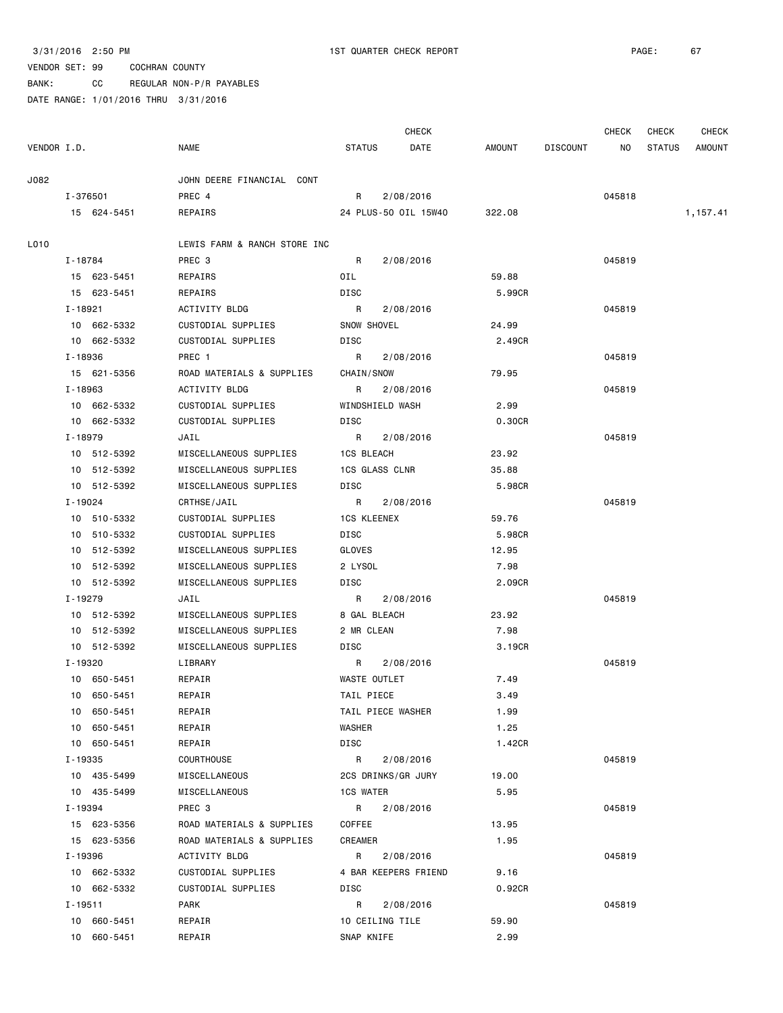BANK: CC REGULAR NON-P/R PAYABLES

|             |           |             |                              |                   | <b>CHECK</b>         |        |                 | CHECK  | CHECK         | <b>CHECK</b> |
|-------------|-----------|-------------|------------------------------|-------------------|----------------------|--------|-----------------|--------|---------------|--------------|
| VENDOR I.D. |           |             | <b>NAME</b>                  | <b>STATUS</b>     | DATE                 | AMOUNT | <b>DISCOUNT</b> | NO     | <b>STATUS</b> | AMOUNT       |
| J082        |           |             | JOHN DEERE FINANCIAL CONT    |                   |                      |        |                 |        |               |              |
|             | I-376501  |             | PREC 4                       | R                 | 2/08/2016            |        |                 | 045818 |               |              |
|             |           | 15 624-5451 | REPAIRS                      |                   | 24 PLUS-50 OIL 15W40 | 322.08 |                 |        |               | 1,157.41     |
| L010        |           |             | LEWIS FARM & RANCH STORE INC |                   |                      |        |                 |        |               |              |
|             | I - 18784 |             | PREC 3                       | R                 | 2/08/2016            |        |                 | 045819 |               |              |
|             |           | 15 623-5451 | REPAIRS                      | OIL               |                      | 59.88  |                 |        |               |              |
|             |           | 15 623-5451 | REPAIRS                      | DISC              |                      | 5.99CR |                 |        |               |              |
|             | I-18921   |             | ACTIVITY BLDG                | R                 | 2/08/2016            |        |                 | 045819 |               |              |
|             |           | 10 662-5332 | CUSTODIAL SUPPLIES           | SNOW SHOVEL       |                      | 24.99  |                 |        |               |              |
|             |           | 10 662-5332 | CUSTODIAL SUPPLIES           | DISC              |                      | 2.49CR |                 |        |               |              |
|             | I-18936   |             | PREC 1                       | R                 | 2/08/2016            |        |                 | 045819 |               |              |
|             |           | 15 621-5356 | ROAD MATERIALS & SUPPLIES    | CHAIN/SNOW        |                      | 79.95  |                 |        |               |              |
|             | I-18963   |             | ACTIVITY BLDG                | R                 | 2/08/2016            |        |                 | 045819 |               |              |
|             |           | 10 662-5332 | CUSTODIAL SUPPLIES           | WINDSHIELD WASH   |                      | 2.99   |                 |        |               |              |
|             |           | 10 662-5332 | CUSTODIAL SUPPLIES           | DISC              |                      | 0.30CR |                 |        |               |              |
|             | I-18979   |             | JAIL                         | R                 | 2/08/2016            |        |                 | 045819 |               |              |
|             |           | 10 512-5392 | MISCELLANEOUS SUPPLIES       | 1CS BLEACH        |                      | 23.92  |                 |        |               |              |
|             |           | 10 512-5392 | MISCELLANEOUS SUPPLIES       | 1CS GLASS CLNR    |                      | 35.88  |                 |        |               |              |
|             |           | 10 512-5392 | MISCELLANEOUS SUPPLIES       | DISC              |                      | 5.98CR |                 |        |               |              |
|             | I-19024   |             | CRTHSE/JAIL                  | R                 | 2/08/2016            |        |                 | 045819 |               |              |
|             |           | 10 510-5332 | CUSTODIAL SUPPLIES           | 1CS KLEENEX       |                      | 59.76  |                 |        |               |              |
|             |           | 10 510-5332 | CUSTODIAL SUPPLIES           | DISC              |                      | 5.98CR |                 |        |               |              |
|             |           | 10 512-5392 | MISCELLANEOUS SUPPLIES       | GLOVES            |                      | 12.95  |                 |        |               |              |
|             |           | 10 512-5392 | MISCELLANEOUS SUPPLIES       | 2 LYSOL           |                      | 7.98   |                 |        |               |              |
|             |           | 10 512-5392 | MISCELLANEOUS SUPPLIES       | DISC              |                      | 2.09CR |                 |        |               |              |
|             | I-19279   |             | JAIL                         | R                 | 2/08/2016            |        |                 | 045819 |               |              |
|             |           | 10 512-5392 | MISCELLANEOUS SUPPLIES       | 8 GAL BLEACH      |                      | 23.92  |                 |        |               |              |
|             |           | 10 512-5392 | MISCELLANEOUS SUPPLIES       | 2 MR CLEAN        |                      | 7.98   |                 |        |               |              |
|             |           | 10 512-5392 | MISCELLANEOUS SUPPLIES       | DISC              |                      | 3.19CR |                 |        |               |              |
|             | I-19320   |             | LIBRARY                      | R                 | 2/08/2016            |        |                 | 045819 |               |              |
|             |           | 10 650-5451 | REPAIR                       | WASTE OUTLET      |                      | 7.49   |                 |        |               |              |
|             |           | 10 650-5451 | REPAIR                       | TAIL PIECE        |                      | 3.49   |                 |        |               |              |
|             |           | 10 650-5451 | REPAIR                       | TAIL PIECE WASHER |                      | 1.99   |                 |        |               |              |
|             |           | 10 650-5451 | REPAIR                       | WASHER            |                      | 1.25   |                 |        |               |              |
|             |           | 10 650-5451 | REPAIR                       | DISC              |                      | 1.42CR |                 |        |               |              |
|             | I - 19335 |             | COURTHOUSE                   | R                 | 2/08/2016            |        |                 | 045819 |               |              |
|             |           | 10 435-5499 | MISCELLANEOUS                |                   | 2CS DRINKS/GR JURY   | 19.00  |                 |        |               |              |
|             |           | 10 435-5499 | MISCELLANEOUS                | <b>1CS WATER</b>  |                      | 5.95   |                 |        |               |              |
|             | I - 19394 |             | PREC 3                       | R                 | 2/08/2016            |        |                 | 045819 |               |              |
|             |           | 15 623-5356 | ROAD MATERIALS & SUPPLIES    | COFFEE            |                      | 13.95  |                 |        |               |              |
|             |           | 15 623-5356 | ROAD MATERIALS & SUPPLIES    | CREAMER           |                      | 1.95   |                 |        |               |              |
|             | I-19396   |             | ACTIVITY BLDG                | R                 | 2/08/2016            |        |                 | 045819 |               |              |
|             |           | 10 662-5332 | CUSTODIAL SUPPLIES           |                   | 4 BAR KEEPERS FRIEND | 9.16   |                 |        |               |              |
|             |           | 10 662-5332 | CUSTODIAL SUPPLIES           | DISC              |                      | 0.92CR |                 |        |               |              |
|             | I-19511   |             | PARK                         | R                 | 2/08/2016            |        |                 | 045819 |               |              |
|             |           | 10 660-5451 | REPAIR                       | 10 CEILING TILE   |                      | 59.90  |                 |        |               |              |
|             |           | 10 660-5451 | REPAIR                       | SNAP KNIFE        |                      | 2.99   |                 |        |               |              |
|             |           |             |                              |                   |                      |        |                 |        |               |              |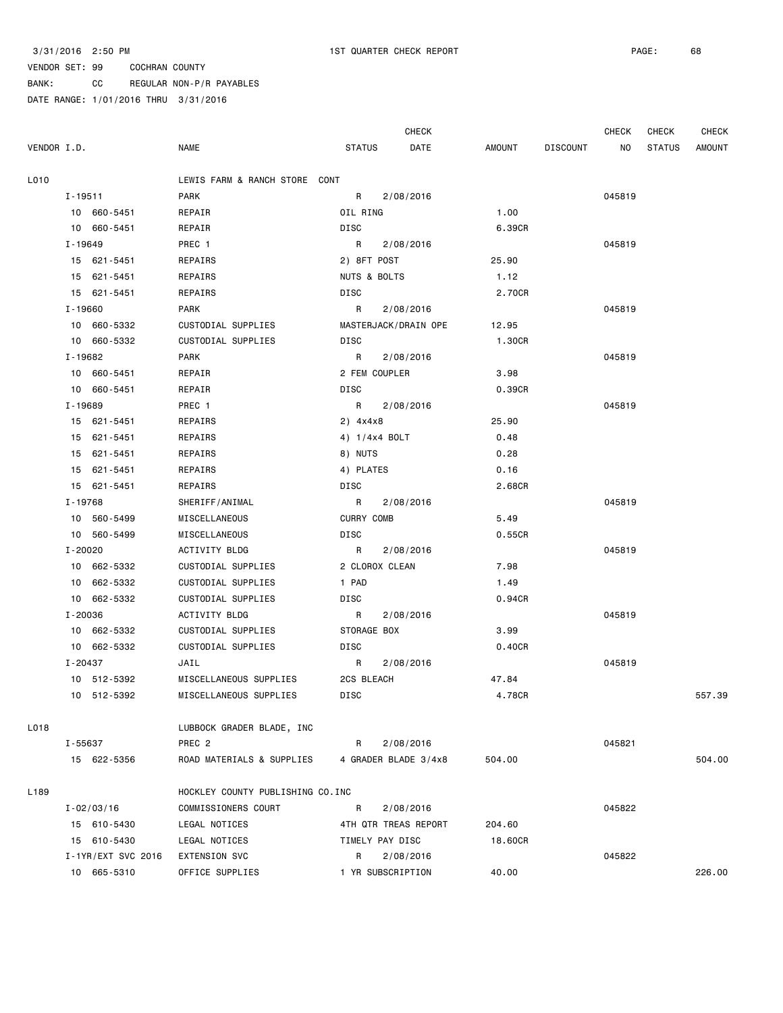BANK: CC REGULAR NON-P/R PAYABLES

|             |                    |  | CHECK                             | CHECK             | <b>CHECK</b>         |         |                 |        |               |               |
|-------------|--------------------|--|-----------------------------------|-------------------|----------------------|---------|-----------------|--------|---------------|---------------|
| VENDOR I.D. |                    |  | <b>NAME</b>                       | <b>STATUS</b>     | DATE                 | AMOUNT  | <b>DISCOUNT</b> | NO     | <b>STATUS</b> | <b>AMOUNT</b> |
| L010        |                    |  | LEWIS FARM & RANCH STORE CONT     |                   |                      |         |                 |        |               |               |
|             | I-19511            |  | PARK                              | R                 | 2/08/2016            |         |                 | 045819 |               |               |
|             | 10 660-5451        |  | REPAIR                            | OIL RING          |                      | 1.00    |                 |        |               |               |
|             | 10 660-5451        |  | REPAIR                            | DISC              |                      | 6.39CR  |                 |        |               |               |
|             | I-19649            |  | PREC 1                            | R                 | 2/08/2016            |         |                 | 045819 |               |               |
|             | 15 621-5451        |  | REPAIRS                           | 2) 8FT POST       |                      | 25.90   |                 |        |               |               |
|             | 15 621-5451        |  | REPAIRS                           | NUTS & BOLTS      |                      | 1.12    |                 |        |               |               |
|             | 15 621-5451        |  | REPAIRS                           | DISC              |                      | 2.70CR  |                 |        |               |               |
|             | $I - 19660$        |  | PARK                              | R                 | 2/08/2016            |         |                 | 045819 |               |               |
|             | 10 660-5332        |  | CUSTODIAL SUPPLIES                |                   | MASTERJACK/DRAIN OPE | 12.95   |                 |        |               |               |
|             | 10 660-5332        |  | CUSTODIAL SUPPLIES                | DISC              |                      | 1.30CR  |                 |        |               |               |
|             | I-19682            |  | PARK                              | R                 | 2/08/2016            |         |                 | 045819 |               |               |
|             | 10 660-5451        |  | REPAIR                            | 2 FEM COUPLER     |                      | 3.98    |                 |        |               |               |
|             | 10 660-5451        |  | REPAIR                            | DISC              |                      | 0.39CR  |                 |        |               |               |
|             | I-19689            |  | PREC 1                            | R                 | 2/08/2016            |         |                 | 045819 |               |               |
|             | 15 621-5451        |  | REPAIRS                           | 2) 4x4x8          |                      | 25.90   |                 |        |               |               |
|             | 15 621-5451        |  | REPAIRS                           | 4) 1/4x4 BOLT     |                      | 0.48    |                 |        |               |               |
|             | 15 621-5451        |  | REPAIRS                           | 8) NUTS           |                      | 0.28    |                 |        |               |               |
|             | 15 621-5451        |  | REPAIRS                           | 4) PLATES         |                      | 0.16    |                 |        |               |               |
|             | 15 621-5451        |  | REPAIRS                           | DISC              |                      | 2.68CR  |                 |        |               |               |
|             | I-19768            |  | SHERIFF/ANIMAL                    | R                 | 2/08/2016            |         |                 | 045819 |               |               |
|             | 10 560-5499        |  | MISCELLANEOUS                     | <b>CURRY COMB</b> |                      | 5.49    |                 |        |               |               |
|             | 10 560-5499        |  | MISCELLANEOUS                     | DISC              |                      | 0.55CR  |                 |        |               |               |
|             | I-20020            |  | ACTIVITY BLDG                     | R                 | 2/08/2016            |         |                 | 045819 |               |               |
|             | 10 662-5332        |  | CUSTODIAL SUPPLIES                | 2 CLOROX CLEAN    |                      | 7.98    |                 |        |               |               |
|             | 10 662-5332        |  | CUSTODIAL SUPPLIES                | 1 PAD             |                      | 1.49    |                 |        |               |               |
|             | 10 662-5332        |  | CUSTODIAL SUPPLIES                | DISC              |                      | 0.94CR  |                 |        |               |               |
|             | I-20036            |  | ACTIVITY BLDG                     | R                 | 2/08/2016            |         |                 | 045819 |               |               |
|             | 10 662-5332        |  | CUSTODIAL SUPPLIES                | STORAGE BOX       |                      | 3.99    |                 |        |               |               |
|             | 10 662-5332        |  | CUSTODIAL SUPPLIES                | DISC              |                      | 0.40CR  |                 |        |               |               |
|             | I-20437            |  | JAIL                              | R                 | 2/08/2016            |         |                 | 045819 |               |               |
|             | 10 512-5392        |  | MISCELLANEOUS SUPPLIES            | 2CS BLEACH        |                      | 47.84   |                 |        |               |               |
|             | 10 512-5392        |  | MISCELLANEOUS SUPPLIES            | DISC              |                      | 4.78CR  |                 |        |               | 557.39        |
| L018        |                    |  | LUBBOCK GRADER BLADE, INC         |                   |                      |         |                 |        |               |               |
|             | I-55637            |  | PREC 2                            | R                 | 2/08/2016            |         |                 | 045821 |               |               |
|             | 15 622-5356        |  | ROAD MATERIALS & SUPPLIES         |                   | 4 GRADER BLADE 3/4x8 | 504.00  |                 |        |               | 504.00        |
| L189        |                    |  | HOCKLEY COUNTY PUBLISHING CO. INC |                   |                      |         |                 |        |               |               |
|             | $I - 02/03/16$     |  | COMMISSIONERS COURT               | R                 | 2/08/2016            |         |                 | 045822 |               |               |
|             | 15 610-5430        |  | LEGAL NOTICES                     |                   | 4TH QTR TREAS REPORT | 204.60  |                 |        |               |               |
|             | 15 610-5430        |  | LEGAL NOTICES                     | TIMELY PAY DISC   |                      | 18.60CR |                 |        |               |               |
|             | I-1YR/EXT SVC 2016 |  | EXTENSION SVC                     | R                 | 2/08/2016            |         |                 | 045822 |               |               |
|             | 10 665-5310        |  | OFFICE SUPPLIES                   | 1 YR SUBSCRIPTION |                      | 40.00   |                 |        |               | 226.00        |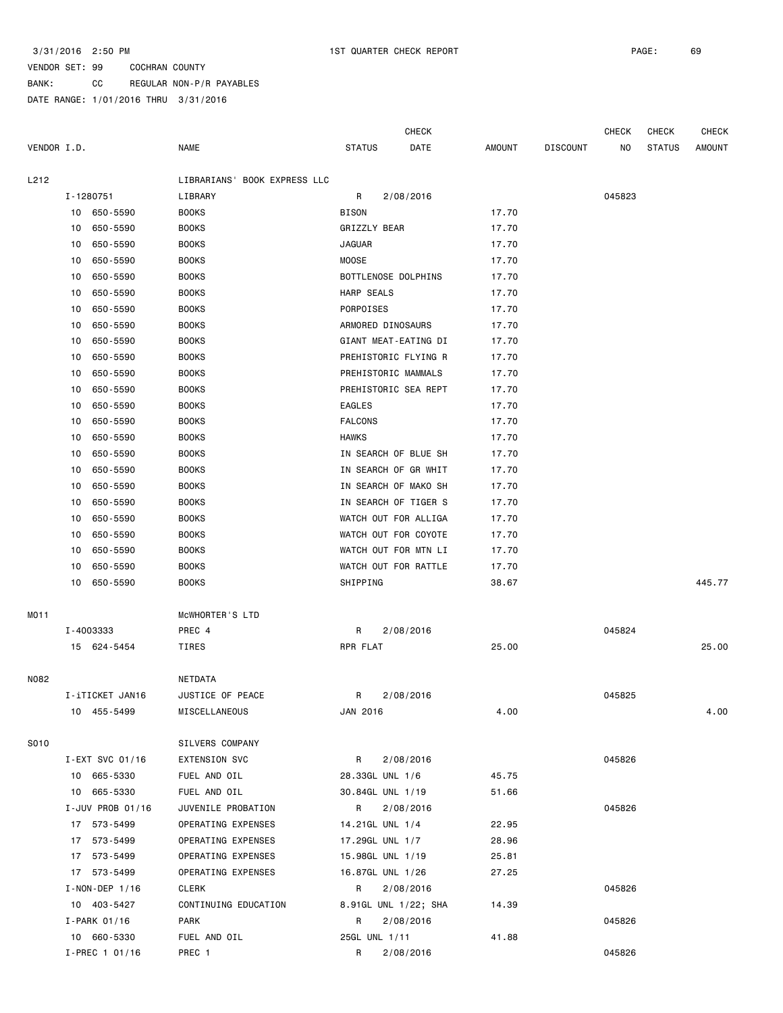BANK: CC REGULAR NON-P/R PAYABLES

|             |           |                      |                              |                     | <b>CHECK</b>         |        |                 | <b>CHECK</b> | <b>CHECK</b>  | <b>CHECK</b> |
|-------------|-----------|----------------------|------------------------------|---------------------|----------------------|--------|-----------------|--------------|---------------|--------------|
| VENDOR I.D. |           |                      | <b>NAME</b>                  | <b>STATUS</b>       | DATE                 | AMOUNT | <b>DISCOUNT</b> | NO.          | <b>STATUS</b> | AMOUNT       |
| L212        |           |                      | LIBRARIANS' BOOK EXPRESS LLC |                     |                      |        |                 |              |               |              |
|             | I-1280751 |                      | LIBRARY                      | R                   | 2/08/2016            |        |                 | 045823       |               |              |
|             |           | 10 650-5590          | <b>BOOKS</b>                 | <b>BISON</b>        |                      | 17.70  |                 |              |               |              |
|             | 10        | 650-5590             | <b>BOOKS</b>                 | GRIZZLY BEAR        |                      | 17.70  |                 |              |               |              |
|             | 10        | 650-5590             | <b>BOOKS</b>                 | <b>JAGUAR</b>       |                      | 17.70  |                 |              |               |              |
|             | 10        | 650-5590             | <b>BOOKS</b>                 | <b>MOOSE</b>        |                      | 17.70  |                 |              |               |              |
|             | 10        | 650-5590             | <b>BOOKS</b>                 | BOTTLENOSE DOLPHINS |                      | 17.70  |                 |              |               |              |
|             | 10        | 650-5590             | <b>BOOKS</b>                 | HARP SEALS          |                      | 17.70  |                 |              |               |              |
|             | 10        | 650-5590             | <b>BOOKS</b>                 | PORPOISES           |                      | 17.70  |                 |              |               |              |
|             | 10        | 650-5590             | <b>BOOKS</b>                 | ARMORED DINOSAURS   |                      | 17.70  |                 |              |               |              |
|             | 10        | 650-5590             | <b>BOOKS</b>                 |                     | GIANT MEAT-EATING DI | 17.70  |                 |              |               |              |
|             | 10        | 650-5590             | <b>BOOKS</b>                 |                     | PREHISTORIC FLYING R | 17.70  |                 |              |               |              |
|             | 10        | 650-5590             | <b>BOOKS</b>                 | PREHISTORIC MAMMALS |                      | 17.70  |                 |              |               |              |
|             | 10        | 650-5590             | <b>BOOKS</b>                 |                     | PREHISTORIC SEA REPT | 17.70  |                 |              |               |              |
|             | 10        | 650-5590             | <b>BOOKS</b>                 | <b>EAGLES</b>       |                      | 17.70  |                 |              |               |              |
|             | 10        | 650-5590             | <b>BOOKS</b>                 | <b>FALCONS</b>      |                      | 17.70  |                 |              |               |              |
|             | 10        | 650-5590             | <b>BOOKS</b>                 | <b>HAWKS</b>        |                      | 17.70  |                 |              |               |              |
|             | 10        | 650-5590             | <b>BOOKS</b>                 |                     | IN SEARCH OF BLUE SH | 17.70  |                 |              |               |              |
|             | 10        | 650-5590             | <b>BOOKS</b>                 |                     | IN SEARCH OF GR WHIT | 17.70  |                 |              |               |              |
|             | 10        | 650-5590             | <b>BOOKS</b>                 |                     | IN SEARCH OF MAKO SH | 17.70  |                 |              |               |              |
|             | 10        | 650-5590             | <b>BOOKS</b>                 |                     | IN SEARCH OF TIGER S | 17.70  |                 |              |               |              |
|             | 10        | 650-5590             | <b>BOOKS</b>                 |                     | WATCH OUT FOR ALLIGA | 17.70  |                 |              |               |              |
|             | 10        | 650-5590             | <b>BOOKS</b>                 |                     | WATCH OUT FOR COYOTE | 17.70  |                 |              |               |              |
|             | 10        | 650-5590             | <b>BOOKS</b>                 |                     | WATCH OUT FOR MTN LI | 17.70  |                 |              |               |              |
|             | 10        | 650-5590             | <b>BOOKS</b>                 |                     | WATCH OUT FOR RATTLE | 17.70  |                 |              |               |              |
|             | 10        | 650-5590             | <b>BOOKS</b>                 | SHIPPING            |                      | 38.67  |                 |              |               | 445.77       |
| MO11        |           |                      | MCWHORTER'S LTD              |                     |                      |        |                 |              |               |              |
|             | I-4003333 |                      | PREC 4                       | R                   | 2/08/2016            |        |                 | 045824       |               |              |
|             |           | 15 624-5454          | TIRES                        | RPR FLAT            |                      | 25.00  |                 |              |               | 25.00        |
| N082        |           |                      | NETDATA                      |                     |                      |        |                 |              |               |              |
|             |           | I-iTICKET JAN16      | JUSTICE OF PEACE             |                     | R 2/08/2016          |        |                 | 045825       |               |              |
|             |           | 10 455-5499          | MISCELLANEOUS                | JAN 2016            |                      | 4.00   |                 |              |               | 4.00         |
| S010        |           |                      | SILVERS COMPANY              |                     |                      |        |                 |              |               |              |
|             |           | I-EXT SVC 01/16      | EXTENSION SVC                | R                   | 2/08/2016            |        |                 | 045826       |               |              |
|             |           | 10 665-5330          | FUEL AND OIL                 | 28.33GL UNL 1/6     |                      | 45.75  |                 |              |               |              |
|             |           | 10 665-5330          | FUEL AND OIL                 | 30.84GL UNL 1/19    |                      | 51.66  |                 |              |               |              |
|             |           | I-JUV PROB 01/16     | JUVENILE PROBATION           | R                   | 2/08/2016            |        |                 | 045826       |               |              |
|             |           | 17 573-5499          | OPERATING EXPENSES           | 14.21GL UNL 1/4     |                      | 22.95  |                 |              |               |              |
|             |           | 17 573-5499          | OPERATING EXPENSES           | 17.29GL UNL 1/7     |                      | 28.96  |                 |              |               |              |
|             |           | 17 573-5499          | OPERATING EXPENSES           | 15.98GL UNL 1/19    |                      | 25.81  |                 |              |               |              |
|             |           | 17 573-5499          | OPERATING EXPENSES           | 16.87GL UNL 1/26    |                      | 27.25  |                 |              |               |              |
|             |           | $I - NON - DEP$ 1/16 | CLERK                        | R                   | 2/08/2016            |        |                 | 045826       |               |              |
|             |           | 10 403-5427          | CONTINUING EDUCATION         |                     | 8.91GL UNL 1/22; SHA | 14.39  |                 |              |               |              |
|             |           | I-PARK 01/16         | PARK                         | R                   | 2/08/2016            |        |                 | 045826       |               |              |
|             |           | 10 660-5330          | FUEL AND OIL                 | 25GL UNL 1/11       |                      | 41.88  |                 |              |               |              |
|             |           | I-PREC 1 01/16       | PREC 1                       | R                   | 2/08/2016            |        |                 | 045826       |               |              |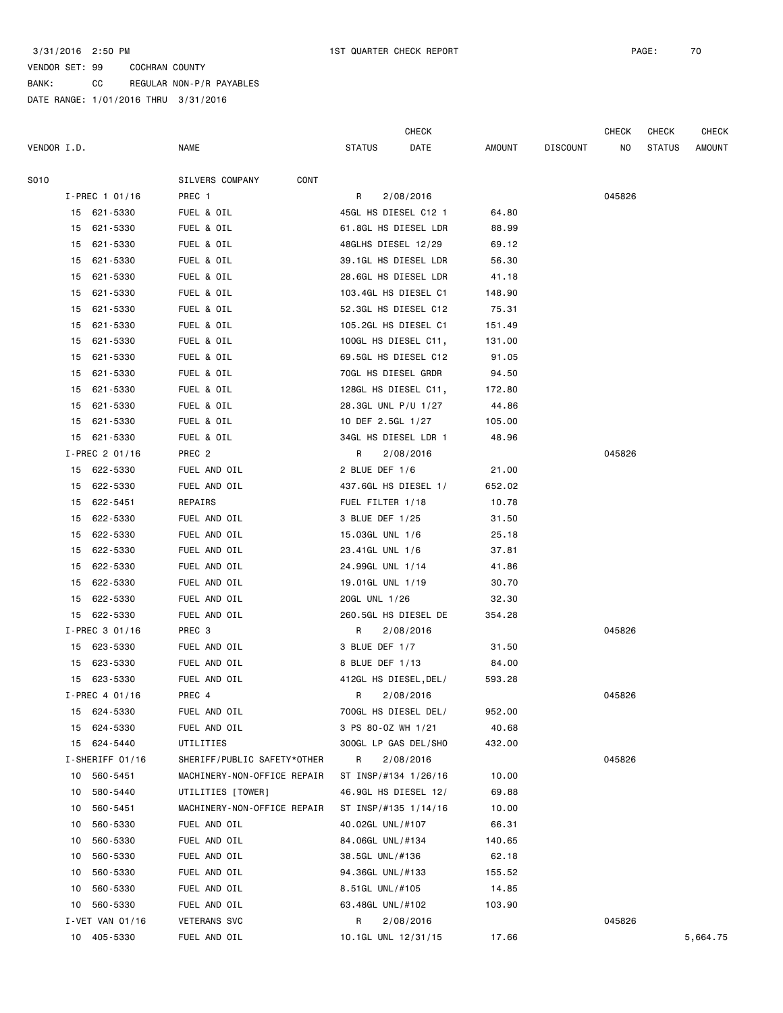BANK: CC REGULAR NON-P/R PAYABLES DATE RANGE: 1/01/2016 THRU 3/31/2016

|             |                  |                             | CHECK                 |           |        |                 | CHECK  | CHECK         | <b>CHECK</b> |
|-------------|------------------|-----------------------------|-----------------------|-----------|--------|-----------------|--------|---------------|--------------|
| VENDOR I.D. |                  | <b>NAME</b>                 | <b>STATUS</b>         | DATE      | AMOUNT | <b>DISCOUNT</b> | ΝO     | <b>STATUS</b> | AMOUNT       |
| S010        |                  | SILVERS COMPANY<br>CONT     |                       |           |        |                 |        |               |              |
|             | $I-PREC$ 1 01/16 | PREC 1                      | R                     | 2/08/2016 |        |                 | 045826 |               |              |
|             | 15 621-5330      | FUEL & OIL                  | 45GL HS DIESEL C12 1  |           | 64.80  |                 |        |               |              |
|             | 15 621-5330      | FUEL & OIL                  | 61.8GL HS DIESEL LDR  |           | 88.99  |                 |        |               |              |
|             | 15 621-5330      | FUEL & OIL                  | 48GLHS DIESEL 12/29   |           | 69.12  |                 |        |               |              |
|             | 15 621-5330      | FUEL & OIL                  | 39.1GL HS DIESEL LDR  |           | 56.30  |                 |        |               |              |
|             | 15 621-5330      | FUEL & OIL                  | 28.6GL HS DIESEL LDR  |           | 41.18  |                 |        |               |              |
|             | 15 621-5330      | FUEL & OIL                  | 103.4GL HS DIESEL C1  |           | 148.90 |                 |        |               |              |
| 15          | 621-5330         | FUEL & OIL                  | 52.3GL HS DIESEL C12  |           | 75.31  |                 |        |               |              |
| 15          | 621-5330         | FUEL & OIL                  | 105.2GL HS DIESEL C1  |           | 151.49 |                 |        |               |              |
| 15          | 621-5330         | FUEL & OIL                  | 100GL HS DIESEL C11,  |           | 131.00 |                 |        |               |              |
| 15          | 621-5330         | FUEL & OIL                  | 69.5GL HS DIESEL C12  |           | 91.05  |                 |        |               |              |
| 15          | 621-5330         | FUEL & OIL                  | 70GL HS DIESEL GRDR   |           | 94.50  |                 |        |               |              |
| 15          | 621-5330         | FUEL & OIL                  | 128GL HS DIESEL C11,  |           | 172.80 |                 |        |               |              |
| 15          | 621-5330         | FUEL & OIL                  | 28.3GL UNL P/U 1/27   |           | 44.86  |                 |        |               |              |
|             | 15 621-5330      | FUEL & OIL                  | 10 DEF 2.5GL 1/27     |           | 105.00 |                 |        |               |              |
|             | 15 621-5330      | FUEL & OIL                  | 34GL HS DIESEL LDR 1  |           | 48.96  |                 |        |               |              |
|             | I-PREC 2 01/16   | PREC 2                      | R                     | 2/08/2016 |        |                 | 045826 |               |              |
|             | 15 622-5330      | FUEL AND OIL                | 2 BLUE DEF 1/6        |           | 21.00  |                 |        |               |              |
|             | 15 622-5330      | FUEL AND OIL                | 437.6GL HS DIESEL 1/  |           | 652.02 |                 |        |               |              |
|             | 15 622-5451      | REPAIRS                     | FUEL FILTER 1/18      |           | 10.78  |                 |        |               |              |
|             | 15 622-5330      | FUEL AND OIL                | 3 BLUE DEF 1/25       |           | 31.50  |                 |        |               |              |
|             | 15 622-5330      | FUEL AND OIL                | 15.03GL UNL 1/6       |           | 25.18  |                 |        |               |              |
|             | 15 622-5330      | FUEL AND OIL                | 23.41GL UNL 1/6       |           | 37.81  |                 |        |               |              |
| 15          | 622-5330         | FUEL AND OIL                | 24.99GL UNL 1/14      |           | 41.86  |                 |        |               |              |
|             | 15 622-5330      | FUEL AND OIL                | 19.01GL UNL 1/19      |           | 30.70  |                 |        |               |              |
|             | 15 622-5330      | FUEL AND OIL                | 20GL UNL 1/26         |           | 32.30  |                 |        |               |              |
|             | 15 622-5330      | FUEL AND OIL                | 260.5GL HS DIESEL DE  |           | 354.28 |                 |        |               |              |
|             | I-PREC 3 01/16   | PREC 3                      | R                     | 2/08/2016 |        |                 | 045826 |               |              |
|             | 15 623-5330      | FUEL AND OIL                | 3 BLUE DEF 1/7        |           | 31.50  |                 |        |               |              |
|             | 15 623-5330      | FUEL AND OIL                | 8 BLUE DEF 1/13       |           | 84.00  |                 |        |               |              |
|             | 15 623-5330      | FUEL AND OIL                | 412GL HS DIESEL, DEL/ |           | 593.28 |                 |        |               |              |
|             | I-PREC 4 01/16   | PREC 4                      |                       | 2/08/2016 |        |                 | 045826 |               |              |
|             | 15 624-5330      | FUEL AND OIL                | 700GL HS DIESEL DEL/  |           | 952.00 |                 |        |               |              |
| 15          | 624-5330         | FUEL AND OIL                | 3 PS 80-0Z WH 1/21    |           | 40.68  |                 |        |               |              |
|             | 15 624-5440      | UTILITIES                   | 300GL LP GAS DEL/SHO  |           | 432.00 |                 |        |               |              |
|             | I-SHERIFF 01/16  | SHERIFF/PUBLIC SAFETY*OTHER | R                     | 2/08/2016 |        |                 | 045826 |               |              |
|             | 10 560-5451      | MACHINERY-NON-OFFICE REPAIR | ST INSP/#134 1/26/16  |           | 10.00  |                 |        |               |              |
| 10          | 580-5440         | UTILITIES [TOWER]           | 46.9GL HS DIESEL 12/  |           | 69.88  |                 |        |               |              |
| 10          | 560-5451         | MACHINERY-NON-OFFICE REPAIR | ST INSP/#135 1/14/16  |           | 10.00  |                 |        |               |              |
| 10          | 560-5330         | FUEL AND OIL                | 40.02GL UNL/#107      |           | 66.31  |                 |        |               |              |
| 10          | 560-5330         | FUEL AND OIL                | 84.06GL UNL/#134      |           | 140.65 |                 |        |               |              |
| 10          | 560-5330         | FUEL AND OIL                | 38.5GL UNL/#136       |           | 62.18  |                 |        |               |              |
| 10          | 560-5330         | FUEL AND OIL                | 94.36GL UNL/#133      |           | 155.52 |                 |        |               |              |
| 10          | 560-5330         | FUEL AND OIL                | 8.51GL UNL/#105       |           | 14.85  |                 |        |               |              |
| 10          | 560-5330         | FUEL AND OIL                | 63.48GL UNL/#102      |           | 103.90 |                 |        |               |              |
|             | I-VET VAN 01/16  | <b>VETERANS SVC</b>         | R                     | 2/08/2016 |        |                 | 045826 |               |              |
|             | 10 405-5330      | FUEL AND OIL                | 10.1GL UNL 12/31/15   |           | 17.66  |                 |        |               | 5,664.75     |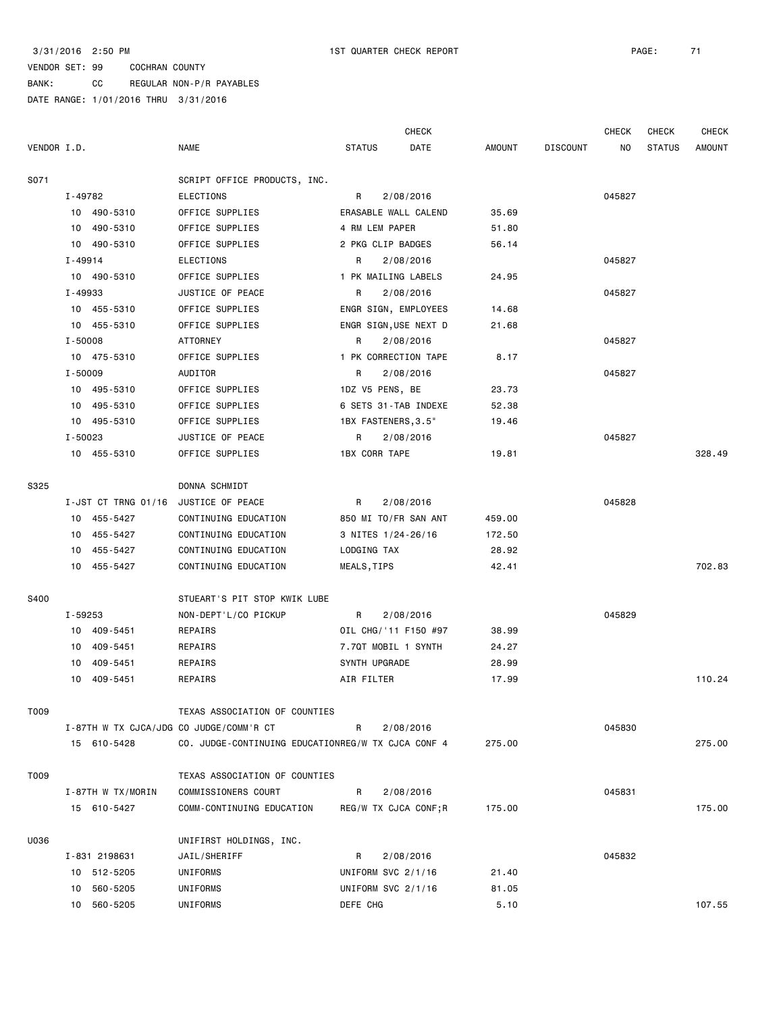### VENDOR SET: 99 COCHRAN COUNTY BANK: CC REGULAR NON-P/R PAYABLES

|             |             |                   |                                                    |                                |           | <b>CHECK</b> |        |                 | <b>CHECK</b> | <b>CHECK</b>  | <b>CHECK</b>  |
|-------------|-------------|-------------------|----------------------------------------------------|--------------------------------|-----------|--------------|--------|-----------------|--------------|---------------|---------------|
| VENDOR I.D. |             |                   | <b>NAME</b>                                        | <b>STATUS</b>                  |           | DATE         | AMOUNT | <b>DISCOUNT</b> | NO.          | <b>STATUS</b> | <b>AMOUNT</b> |
| S071        |             |                   | SCRIPT OFFICE PRODUCTS, INC.                       |                                |           |              |        |                 |              |               |               |
|             | I-49782     |                   | <b>ELECTIONS</b>                                   | R                              | 2/08/2016 |              |        |                 | 045827       |               |               |
|             |             | 10 490-5310       | OFFICE SUPPLIES                                    | ERASABLE WALL CALEND           |           |              | 35.69  |                 |              |               |               |
|             |             | 10 490-5310       | OFFICE SUPPLIES                                    | 4 RM LEM PAPER                 |           |              | 51.80  |                 |              |               |               |
|             |             | 10 490-5310       | OFFICE SUPPLIES                                    | 2 PKG CLIP BADGES              |           |              | 56.14  |                 |              |               |               |
|             | I-49914     |                   | <b>ELECTIONS</b>                                   | R                              | 2/08/2016 |              |        |                 | 045827       |               |               |
|             |             | 10 490-5310       | OFFICE SUPPLIES                                    | 1 PK MAILING LABELS            |           |              | 24.95  |                 |              |               |               |
|             | I-49933     |                   | JUSTICE OF PEACE                                   | R                              | 2/08/2016 |              |        |                 | 045827       |               |               |
|             |             | 10 455-5310       | OFFICE SUPPLIES                                    | ENGR SIGN, EMPLOYEES           |           |              | 14.68  |                 |              |               |               |
|             |             | 10 455-5310       | OFFICE SUPPLIES                                    | ENGR SIGN, USE NEXT D          |           |              | 21.68  |                 |              |               |               |
|             | $I - 50008$ |                   | ATTORNEY                                           | R                              | 2/08/2016 |              |        |                 | 045827       |               |               |
|             |             | 10 475-5310       | OFFICE SUPPLIES                                    | 1 PK CORRECTION TAPE           |           |              | 8.17   |                 |              |               |               |
|             | $I - 50009$ |                   | AUDITOR                                            | R                              | 2/08/2016 |              |        |                 | 045827       |               |               |
|             |             | 10 495-5310       | OFFICE SUPPLIES                                    | 1DZ V5 PENS, BE                |           |              | 23.73  |                 |              |               |               |
|             |             | 10 495-5310       | OFFICE SUPPLIES                                    | 6 SETS 31-TAB INDEXE           |           |              | 52.38  |                 |              |               |               |
|             |             | 10 495-5310       | OFFICE SUPPLIES                                    | 1BX FASTENERS, 3.5"            |           |              | 19.46  |                 |              |               |               |
|             | I-50023     |                   | JUSTICE OF PEACE                                   | R                              | 2/08/2016 |              |        |                 | 045827       |               |               |
|             |             | 10 455-5310       | OFFICE SUPPLIES                                    | <b>1BX CORR TAPE</b>           |           |              | 19.81  |                 |              |               | 328.49        |
| S325        |             |                   | DONNA SCHMIDT                                      |                                |           |              |        |                 |              |               |               |
|             |             |                   | I-JST CT TRNG 01/16 JUSTICE OF PEACE               | R                              | 2/08/2016 |              |        |                 | 045828       |               |               |
|             |             | 10 455-5427       | CONTINUING EDUCATION                               | 850 MI TO/FR SAN ANT           |           |              | 459.00 |                 |              |               |               |
|             |             | 10 455-5427       | CONTINUING EDUCATION                               | 3 NITES 1/24-26/16             |           |              | 172.50 |                 |              |               |               |
|             |             | 10 455-5427       | CONTINUING EDUCATION                               | LODGING TAX                    |           |              | 28.92  |                 |              |               |               |
|             |             | 10 455-5427       | CONTINUING EDUCATION                               | MEALS, TIPS                    |           |              | 42.41  |                 |              |               | 702.83        |
| S400        |             |                   | STUEART'S PIT STOP KWIK LUBE                       |                                |           |              |        |                 |              |               |               |
|             | I-59253     |                   | NON-DEPT'L/CO PICKUP                               | R                              | 2/08/2016 |              |        |                 | 045829       |               |               |
|             |             | 10 409-5451       | REPAIRS                                            | OIL CHG/'11 F150 #97           |           |              | 38.99  |                 |              |               |               |
|             | 10          | 409-5451          | REPAIRS                                            | 7.7QT MOBIL 1 SYNTH            |           |              | 24.27  |                 |              |               |               |
|             | 10          | 409-5451          | REPAIRS                                            | SYNTH UPGRADE                  |           |              | 28.99  |                 |              |               |               |
|             | 10          | 409-5451          | REPAIRS                                            | AIR FILTER                     |           |              | 17.99  |                 |              |               | 110.24        |
| T009        |             |                   | TEXAS ASSOCIATION OF COUNTIES                      |                                |           |              |        |                 |              |               |               |
|             |             |                   | I-87TH W TX CJCA/JDG CO JUDGE/COMM'R CT            | R                              | 2/08/2016 |              |        |                 | 045830       |               |               |
|             |             | 15 610-5428       | CO. JUDGE-CONTINUING EDUCATIONREG/W TX CJCA CONF 4 |                                |           |              | 275.00 |                 |              |               | 275.00        |
| T009        |             |                   | TEXAS ASSOCIATION OF COUNTIES                      |                                |           |              |        |                 |              |               |               |
|             |             | I-87TH W TX/MORIN | COMMISSIONERS COURT                                | R                              | 2/08/2016 |              |        |                 | 045831       |               |               |
|             |             | 15 610-5427       | COMM-CONTINUING EDUCATION                          | REG/W TX CJCA CONF; R          |           |              | 175.00 |                 |              |               | 175.00        |
|             |             |                   |                                                    |                                |           |              |        |                 |              |               |               |
| U036        |             |                   | UNIFIRST HOLDINGS, INC.                            |                                |           |              |        |                 |              |               |               |
|             |             | I-831 2198631     | JAIL/SHERIFF                                       | R                              | 2/08/2016 |              |        |                 | 045832       |               |               |
|             |             | 10 512-5205       | UNIFORMS<br>UNIFORMS                               | UNIFORM SVC 2/1/16             |           |              | 21.40  |                 |              |               |               |
|             |             | 10 560-5205       | UNIFORMS                                           | UNIFORM SVC 2/1/16<br>DEFE CHG |           |              | 81.05  |                 |              |               | 107.55        |
|             |             | 10 560-5205       |                                                    |                                |           |              | 5.10   |                 |              |               |               |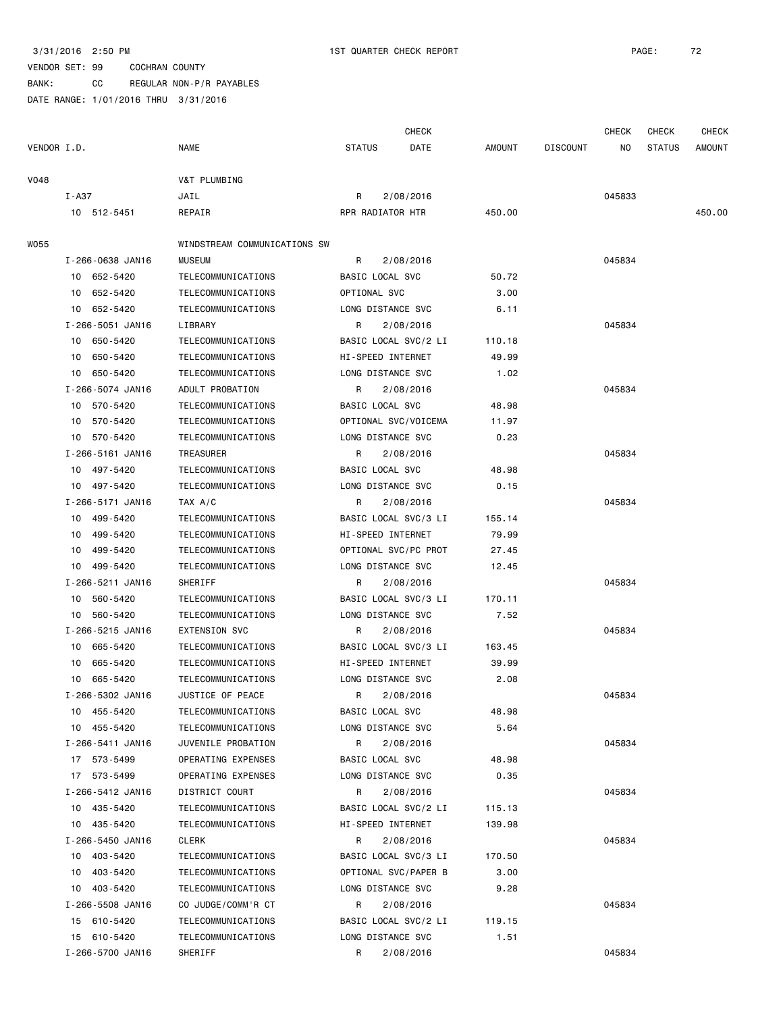BANK: CC REGULAR NON-P/R PAYABLES

|             |                  |                              |                      | <b>CHECK</b> |        |                 | <b>CHECK</b> | <b>CHECK</b>  | <b>CHECK</b> |
|-------------|------------------|------------------------------|----------------------|--------------|--------|-----------------|--------------|---------------|--------------|
| VENDOR I.D. |                  | NAME                         | <b>STATUS</b>        | DATE         | AMOUNT | <b>DISCOUNT</b> | NO.          | <b>STATUS</b> | AMOUNT       |
| V048        |                  | V&T PLUMBING                 |                      |              |        |                 |              |               |              |
|             | I - A37          | JAIL                         | R                    | 2/08/2016    |        |                 | 045833       |               |              |
|             | 10 512-5451      | REPAIR                       | RPR RADIATOR HTR     |              | 450.00 |                 |              |               | 450.00       |
| W055        |                  | WINDSTREAM COMMUNICATIONS SW |                      |              |        |                 |              |               |              |
|             | I-266-0638 JAN16 | <b>MUSEUM</b>                | R                    | 2/08/2016    |        |                 | 045834       |               |              |
|             | 10 652-5420      | TELECOMMUNICATIONS           | BASIC LOCAL SVC      |              | 50.72  |                 |              |               |              |
|             | 10 652-5420      | TELECOMMUNICATIONS           | OPTIONAL SVC         |              | 3.00   |                 |              |               |              |
|             | 10 652-5420      | TELECOMMUNICATIONS           | LONG DISTANCE SVC    |              | 6.11   |                 |              |               |              |
|             | I-266-5051 JAN16 | LIBRARY                      | R                    | 2/08/2016    |        |                 | 045834       |               |              |
|             | 10 650-5420      | TELECOMMUNICATIONS           | BASIC LOCAL SVC/2 LI |              | 110.18 |                 |              |               |              |
|             | 10 650-5420      | TELECOMMUNICATIONS           | HI-SPEED INTERNET    |              | 49.99  |                 |              |               |              |
|             | 10 650-5420      | TELECOMMUNICATIONS           | LONG DISTANCE SVC    |              | 1.02   |                 |              |               |              |
|             | I-266-5074 JAN16 | ADULT PROBATION              | R                    | 2/08/2016    |        |                 | 045834       |               |              |
|             | 10 570-5420      | TELECOMMUNICATIONS           | BASIC LOCAL SVC      |              | 48.98  |                 |              |               |              |
|             | 10 570-5420      | TELECOMMUNICATIONS           | OPTIONAL SVC/VOICEMA |              | 11.97  |                 |              |               |              |
|             | 10 570-5420      | TELECOMMUNICATIONS           | LONG DISTANCE SVC    |              | 0.23   |                 |              |               |              |
|             | I-266-5161 JAN16 | TREASURER                    | R                    | 2/08/2016    |        |                 | 045834       |               |              |
|             | 10 497-5420      | TELECOMMUNICATIONS           | BASIC LOCAL SVC      |              | 48.98  |                 |              |               |              |
|             | 10 497-5420      | TELECOMMUNICATIONS           | LONG DISTANCE SVC    |              | 0.15   |                 |              |               |              |
|             | I-266-5171 JAN16 | TAX A/C                      | R                    | 2/08/2016    |        |                 | 045834       |               |              |
|             | 10 499-5420      | TELECOMMUNICATIONS           | BASIC LOCAL SVC/3 LI |              | 155.14 |                 |              |               |              |
|             | 10 499-5420      | TELECOMMUNICATIONS           | HI-SPEED INTERNET    |              | 79.99  |                 |              |               |              |
|             | 10 499-5420      | TELECOMMUNICATIONS           | OPTIONAL SVC/PC PROT |              | 27.45  |                 |              |               |              |
|             | 10 499-5420      | TELECOMMUNICATIONS           | LONG DISTANCE SVC    |              | 12.45  |                 |              |               |              |
|             | I-266-5211 JAN16 | SHERIFF                      | R                    | 2/08/2016    |        |                 | 045834       |               |              |
|             | 10 560-5420      | TELECOMMUNICATIONS           | BASIC LOCAL SVC/3 LI |              | 170.11 |                 |              |               |              |
|             | 10 560-5420      | TELECOMMUNICATIONS           | LONG DISTANCE SVC    |              | 7.52   |                 |              |               |              |
|             | I-266-5215 JAN16 | <b>EXTENSION SVC</b>         | R                    | 2/08/2016    |        |                 | 045834       |               |              |
|             | 10 665-5420      | TELECOMMUNICATIONS           | BASIC LOCAL SVC/3 LI |              | 163.45 |                 |              |               |              |
|             | 10 665-5420      | TELECOMMUNICATIONS           | HI-SPEED INTERNET    |              | 39.99  |                 |              |               |              |
|             | 10 665-5420      | TELECOMMUNICATIONS           | LONG DISTANCE SVC    |              | 2.08   |                 |              |               |              |
|             | I-266-5302 JAN16 | JUSTICE OF PEACE             | R 2/08/2016          |              |        |                 | 045834       |               |              |
|             | 10 455-5420      | TELECOMMUNICATIONS           | BASIC LOCAL SVC      |              | 48.98  |                 |              |               |              |
|             | 10 455-5420      | TELECOMMUNICATIONS           | LONG DISTANCE SVC    |              | 5.64   |                 |              |               |              |
|             | I-266-5411 JAN16 | JUVENILE PROBATION           | R                    | 2/08/2016    |        |                 | 045834       |               |              |
|             | 17 573-5499      | OPERATING EXPENSES           | BASIC LOCAL SVC      |              | 48.98  |                 |              |               |              |
|             | 17 573-5499      | OPERATING EXPENSES           | LONG DISTANCE SVC    |              | 0.35   |                 |              |               |              |
|             | I-266-5412 JAN16 | DISTRICT COURT               | R                    | 2/08/2016    |        |                 | 045834       |               |              |
|             | 10 435-5420      | TELECOMMUNICATIONS           | BASIC LOCAL SVC/2 LI |              | 115.13 |                 |              |               |              |
|             | 10 435-5420      | TELECOMMUNICATIONS           | HI-SPEED INTERNET    |              | 139.98 |                 |              |               |              |
|             | I-266-5450 JAN16 | CLERK                        | R                    | 2/08/2016    |        |                 | 045834       |               |              |
|             | 10 403-5420      | TELECOMMUNICATIONS           | BASIC LOCAL SVC/3 LI |              | 170.50 |                 |              |               |              |
|             | 10 403-5420      | TELECOMMUNICATIONS           | OPTIONAL SVC/PAPER B |              | 3.00   |                 |              |               |              |
|             | 10 403-5420      | TELECOMMUNICATIONS           | LONG DISTANCE SVC    |              | 9.28   |                 |              |               |              |
|             | I-266-5508 JAN16 | CO JUDGE/COMM'R CT           | R                    | 2/08/2016    |        |                 | 045834       |               |              |
|             | 15 610-5420      | TELECOMMUNICATIONS           | BASIC LOCAL SVC/2 LI |              | 119.15 |                 |              |               |              |
|             | 15 610-5420      | TELECOMMUNICATIONS           | LONG DISTANCE SVC    |              | 1.51   |                 |              |               |              |
|             | I-266-5700 JAN16 | SHERIFF                      | R                    | 2/08/2016    |        |                 | 045834       |               |              |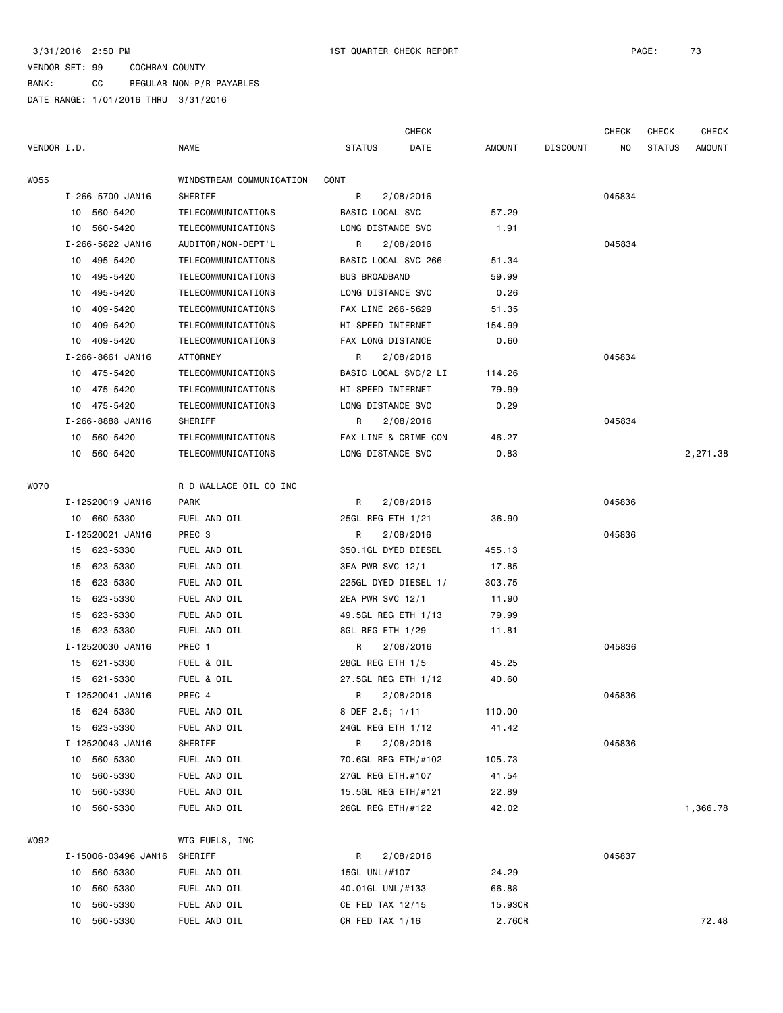BANK: CC REGULAR NON-P/R PAYABLES

DATE RANGE: 1/01/2016 THRU 3/31/2016

|             |    |                     |                          |                      | <b>CHECK</b>         |         |                 | <b>CHECK</b>   | <b>CHECK</b>  | CHECK         |
|-------------|----|---------------------|--------------------------|----------------------|----------------------|---------|-----------------|----------------|---------------|---------------|
| VENDOR I.D. |    |                     | <b>NAME</b>              | <b>STATUS</b>        | DATE                 | AMOUNT  | <b>DISCOUNT</b> | N <sub>O</sub> | <b>STATUS</b> | <b>AMOUNT</b> |
| W055        |    |                     | WINDSTREAM COMMUNICATION | CONT                 |                      |         |                 |                |               |               |
|             |    | I-266-5700 JAN16    | SHERIFF                  | R                    | 2/08/2016            |         |                 | 045834         |               |               |
|             |    | 10 560-5420         | TELECOMMUNICATIONS       | BASIC LOCAL SVC      |                      | 57.29   |                 |                |               |               |
|             | 10 | 560-5420            | TELECOMMUNICATIONS       | LONG DISTANCE SVC    |                      | 1.91    |                 |                |               |               |
|             |    | I-266-5822 JAN16    | AUDITOR/NON-DEPT'L       | R                    | 2/08/2016            |         |                 | 045834         |               |               |
|             | 10 | 495-5420            | TELECOMMUNICATIONS       | BASIC LOCAL SVC 266- |                      | 51.34   |                 |                |               |               |
|             | 10 | 495-5420            | TELECOMMUNICATIONS       | <b>BUS BROADBAND</b> |                      | 59.99   |                 |                |               |               |
|             | 10 | 495-5420            | TELECOMMUNICATIONS       | LONG DISTANCE SVC    |                      | 0.26    |                 |                |               |               |
|             | 10 | 409-5420            | TELECOMMUNICATIONS       | FAX LINE 266-5629    |                      | 51.35   |                 |                |               |               |
|             | 10 | 409-5420            | TELECOMMUNICATIONS       | HI-SPEED INTERNET    |                      | 154.99  |                 |                |               |               |
|             | 10 | 409-5420            | TELECOMMUNICATIONS       | FAX LONG DISTANCE    |                      | 0.60    |                 |                |               |               |
|             |    | I-266-8661 JAN16    | ATTORNEY                 | R                    | 2/08/2016            |         |                 | 045834         |               |               |
|             |    | 10 475-5420         | TELECOMMUNICATIONS       |                      | BASIC LOCAL SVC/2 LI | 114.26  |                 |                |               |               |
|             | 10 | 475-5420            | TELECOMMUNICATIONS       | HI-SPEED INTERNET    |                      | 79.99   |                 |                |               |               |
|             | 10 | 475-5420            | TELECOMMUNICATIONS       | LONG DISTANCE SVC    |                      | 0.29    |                 |                |               |               |
|             |    | I-266-8888 JAN16    | SHERIFF                  | R                    | 2/08/2016            |         |                 | 045834         |               |               |
|             | 10 | 560-5420            | TELECOMMUNICATIONS       |                      | FAX LINE & CRIME CON | 46.27   |                 |                |               |               |
|             |    | 10 560-5420         | TELECOMMUNICATIONS       | LONG DISTANCE SVC    |                      | 0.83    |                 |                |               | 2,271.38      |
|             |    |                     |                          |                      |                      |         |                 |                |               |               |
| W070        |    |                     | R D WALLACE OIL CO INC   |                      |                      |         |                 |                |               |               |
|             |    | I-12520019 JAN16    | PARK                     | R                    | 2/08/2016            |         |                 | 045836         |               |               |
|             |    | 10 660-5330         | FUEL AND OIL             | 25GL REG ETH 1/21    |                      | 36.90   |                 |                |               |               |
|             |    | I-12520021 JAN16    | PREC 3                   | R                    | 2/08/2016            |         |                 | 045836         |               |               |
|             | 15 | 623-5330            | FUEL AND OIL             | 350.1GL DYED DIESEL  |                      | 455.13  |                 |                |               |               |
|             | 15 | 623-5330            | FUEL AND OIL             | 3EA PWR SVC 12/1     |                      | 17.85   |                 |                |               |               |
|             | 15 | 623-5330            | FUEL AND OIL             |                      | 225GL DYED DIESEL 1/ | 303.75  |                 |                |               |               |
|             | 15 | 623-5330            | FUEL AND OIL             | 2EA PWR SVC 12/1     |                      | 11.90   |                 |                |               |               |
|             | 15 | 623-5330            | FUEL AND OIL             | 49.5GL REG ETH 1/13  |                      | 79.99   |                 |                |               |               |
|             |    | 15 623-5330         | FUEL AND OIL             | 8GL REG ETH 1/29     |                      | 11.81   |                 |                |               |               |
|             |    | I-12520030 JAN16    | PREC 1                   | R                    | 2/08/2016            |         |                 | 045836         |               |               |
|             |    | 15 621-5330         | FUEL & OIL               | 28GL REG ETH 1/5     |                      | 45.25   |                 |                |               |               |
|             |    | 15 621-5330         | FUEL & OIL               | 27.5GL REG ETH 1/12  |                      | 40.60   |                 |                |               |               |
|             |    | I-12520041 JAN16    | PREC 4                   | R                    | 2/08/2016            |         |                 | 045836         |               |               |
|             |    | 15 624-5330         | FUEL AND OIL             | 8 DEF 2.5; 1/11      |                      | 110.00  |                 |                |               |               |
|             | 15 | 623-5330            | FUEL AND OIL             | 24GL REG ETH 1/12    |                      | 41.42   |                 |                |               |               |
|             |    | I-12520043 JAN16    | SHERIFF                  | R                    | 2/08/2016            |         |                 | 045836         |               |               |
|             | 10 | 560-5330            | FUEL AND OIL             | 70.6GL REG ETH/#102  |                      | 105.73  |                 |                |               |               |
|             | 10 | 560-5330            | FUEL AND OIL             | 27GL REG ETH.#107    |                      | 41.54   |                 |                |               |               |
|             | 10 | 560-5330            | FUEL AND OIL             | 15.5GL REG ETH/#121  |                      | 22.89   |                 |                |               |               |
|             | 10 | 560-5330            | FUEL AND OIL             | 26GL REG ETH/#122    |                      | 42.02   |                 |                |               | 1,366.78      |
|             |    |                     |                          |                      |                      |         |                 |                |               |               |
| W092        |    |                     | WTG FUELS, INC           |                      |                      |         |                 |                |               |               |
|             |    | I-15006-03496 JAN16 | SHERIFF                  | R                    | 2/08/2016            |         |                 | 045837         |               |               |
|             | 10 | 560-5330            | FUEL AND OIL             | 15GL UNL/#107        |                      | 24.29   |                 |                |               |               |
|             | 10 | 560-5330            | FUEL AND OIL             | 40.01GL UNL/#133     |                      | 66.88   |                 |                |               |               |
|             | 10 | 560-5330            | FUEL AND OIL             | CE FED TAX 12/15     |                      | 15.93CR |                 |                |               |               |
|             | 10 | 560-5330            | FUEL AND OIL             | CR FED TAX 1/16      |                      | 2.76CR  |                 |                |               | 72.48         |
|             |    |                     |                          |                      |                      |         |                 |                |               |               |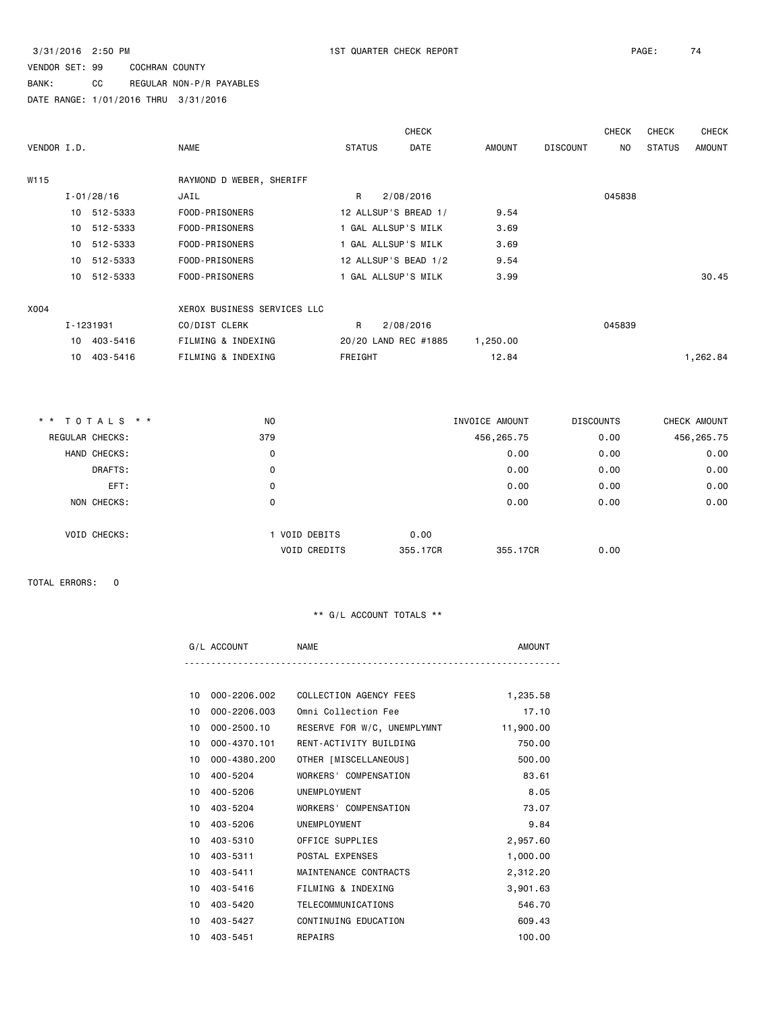BANK: CC REGULAR NON-P/R PAYABLES

DATE RANGE: 1/01/2016 THRU 3/31/2016

|             |                 |                |                             |              | <b>CHECK</b>          |                |                 | <b>CHECK</b>     | <b>CHECK</b>  | <b>CHECK</b>  |
|-------------|-----------------|----------------|-----------------------------|--------------|-----------------------|----------------|-----------------|------------------|---------------|---------------|
| VENDOR I.D. |                 |                | <b>NAME</b>                 |              | <b>STATUS</b><br>DATE | AMOUNT         | <b>DISCOUNT</b> | NO.              | <b>STATUS</b> | <b>AMOUNT</b> |
| W115        |                 |                | RAYMOND D WEBER, SHERIFF    |              |                       |                |                 |                  |               |               |
|             |                 | $I - 01/28/16$ | JAIL                        | $\mathsf{R}$ | 2/08/2016             |                |                 | 045838           |               |               |
|             |                 | 10 512-5333    | FOOD-PRISONERS              |              | 12 ALLSUP'S BREAD 1/  | 9.54           |                 |                  |               |               |
|             |                 | 10 512-5333    | FOOD-PRISONERS              |              | 1 GAL ALLSUP'S MILK   | 3.69           |                 |                  |               |               |
|             |                 | 10 512-5333    | FOOD-PRISONERS              |              | 1 GAL ALLSUP'S MILK   | 3.69           |                 |                  |               |               |
|             |                 | 10 512-5333    | FOOD-PRISONERS              |              | 12 ALLSUP'S BEAD 1/2  | 9.54           |                 |                  |               |               |
|             |                 | 10 512-5333    | FOOD-PRISONERS              |              | 1 GAL ALLSUP'S MILK   | 3.99           |                 |                  |               | 30.45         |
| X004        |                 |                | XEROX BUSINESS SERVICES LLC |              |                       |                |                 |                  |               |               |
|             |                 | I-1231931      | CO/DIST CLERK               | R            | 2/08/2016             |                |                 | 045839           |               |               |
|             |                 | 10 403-5416    | FILMING & INDEXING          |              | 20/20 LAND REC #1885  | 1,250.00       |                 |                  |               |               |
|             | 10 <sup>1</sup> | 403-5416       | FILMING & INDEXING          | FREIGHT      |                       | 12.84          |                 |                  |               | 1,262.84      |
|             |                 |                |                             |              |                       |                |                 |                  |               |               |
|             |                 | * * TOTALS * * | NO.                         |              |                       | INVOICE AMOUNT |                 | <b>DISCOUNTS</b> |               | CHECK AMOUNT  |

| REGULAR CHECKS: |                     | 379                                |                  | 456,265.75 | 0.00 | 456,265.75 |
|-----------------|---------------------|------------------------------------|------------------|------------|------|------------|
|                 | HAND CHECKS:        | 0                                  |                  | 0.00       | 0.00 | 0.00       |
|                 | DRAFTS:             | 0                                  |                  | 0.00       | 0.00 | 0.00       |
|                 | EFT:                | 0                                  |                  | 0.00       | 0.00 | 0.00       |
|                 | NON CHECKS:         | 0                                  |                  | 0.00       | 0.00 | 0.00       |
|                 | <b>VOID CHECKS:</b> | VOID DEBITS<br><b>VOID CREDITS</b> | 0.00<br>355.17CR | 355, 17CR  | 0.00 |            |
|                 |                     |                                    |                  |            |      |            |

TOTAL ERRORS: 0

|  | IVI L |  |
|--|-------|--|
|  |       |  |

| 10 | 000-2206.002 | COLLECTION AGENCY FEES      | 1,235.58  |
|----|--------------|-----------------------------|-----------|
| 10 | 000-2206.003 | Omni Collection Fee         | 17.10     |
| 10 | 000-2500.10  | RESERVE FOR W/C, UNEMPLYMNT | 11,900.00 |
| 10 | 000-4370.101 | RENT-ACTIVITY BUILDING      | 750.00    |
| 10 | 000-4380.200 | OTHER [MISCELLANEOUS]       | 500.00    |
| 10 | 400-5204     | WORKERS' COMPENSATION       | 83.61     |
| 10 | 400-5206     | UNEMPLOYMENT                | 8.05      |
| 10 | 403-5204     | WORKERS' COMPENSATION       | 73.07     |
| 10 | 403-5206     | UNEMPLOYMENT                | 9.84      |
| 10 | 403-5310     | OFFICE SUPPLIES             | 2,957.60  |
|    | 10 403-5311  | POSTAL EXPENSES             | 1,000.00  |
| 10 | 403-5411     | MAINTENANCE CONTRACTS       | 2,312.20  |
| 10 | 403-5416     | FILMING & INDEXING          | 3,901.63  |
|    | 10 403-5420  | TELECOMMUNICATIONS          | 546.70    |
| 10 | 403-5427     | CONTINUING EDUCATION        | 609.43    |
|    | 10 403-5451  | REPAIRS                     | 100.00    |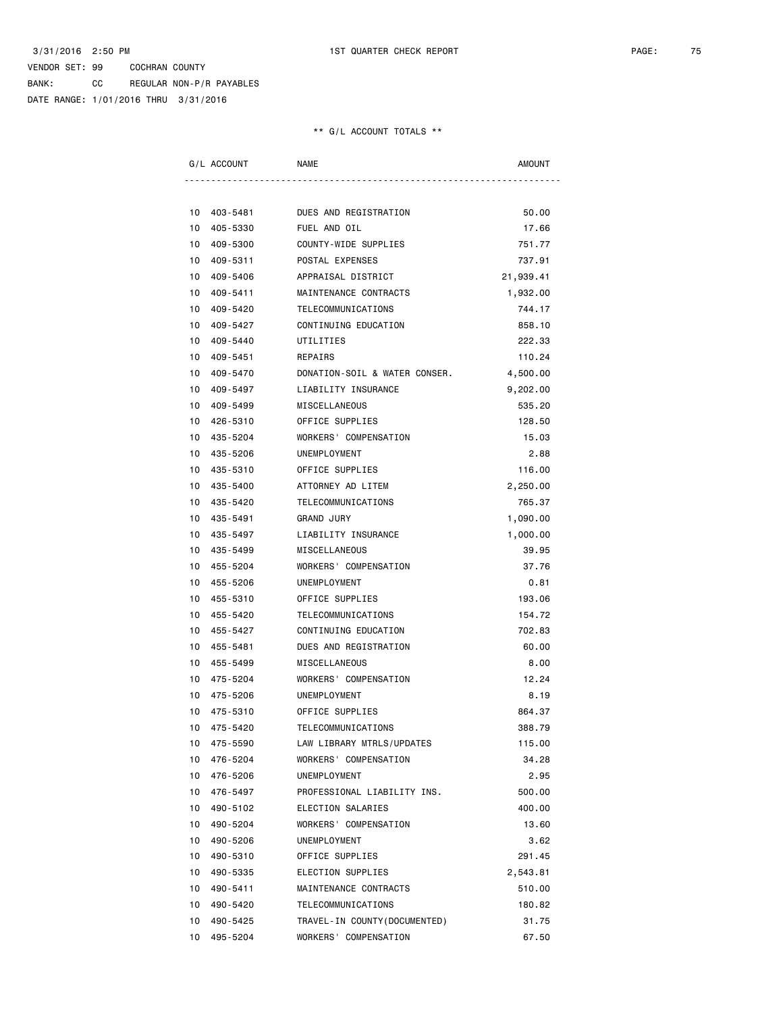BANK: CC REGULAR NON-P/R PAYABLES DATE RANGE: 1/01/2016 THRU 3/31/2016

| G/L ACCOUNT    | <b>NAME</b>                   | <b>AMOUNT</b> |
|----------------|-------------------------------|---------------|
|                |                               |               |
| 10 403-5481    | DUES AND REGISTRATION         | 50.00         |
| 10 405-5330    | FUEL AND OIL                  | 17.66         |
| 409-5300<br>10 | COUNTY-WIDE SUPPLIES          | 751.77        |
| 10<br>409-5311 | POSTAL EXPENSES               | 737.91        |
| 10<br>409-5406 | APPRAISAL DISTRICT            | 21,939.41     |
| 10 409-5411    | MAINTENANCE CONTRACTS         | 1,932.00      |
| 409-5420<br>10 | TELECOMMUNICATIONS            | 744.17        |
| 409-5427<br>10 | CONTINUING EDUCATION          | 858,10        |
| 409-5440<br>10 | UTILITIES                     | 222.33        |
| 10<br>409-5451 | REPAIRS                       | 110.24        |
| 10 409-5470    | DONATION-SOIL & WATER CONSER. | 4,500.00      |
| 10 409-5497    | LIABILITY INSURANCE           | 9,202.00      |
| 10 409-5499    | MISCELLANEOUS                 | 535.20        |
| 10<br>426-5310 | OFFICE SUPPLIES               | 128.50        |
| 10 435-5204    | WORKERS' COMPENSATION         | 15.03         |
| 10 435-5206    | UNEMPLOYMENT                  | 2.88          |
| 10 435-5310    | OFFICE SUPPLIES               | 116.00        |
| 10 435-5400    | ATTORNEY AD LITEM             | 2,250.00      |
| 10 435-5420    | TELECOMMUNICATIONS            | 765.37        |
| 10 435-5491    | <b>GRAND JURY</b>             | 1,090.00      |
| 10 435-5497    | LIABILITY INSURANCE           | 1,000.00      |
| 10 435-5499    | MISCELLANEOUS                 | 39.95         |
| 455-5204<br>10 | WORKERS' COMPENSATION         | 37.76         |
| 10<br>455-5206 | UNEMPLOYMENT                  | 0.81          |
| 10 455-5310    | OFFICE SUPPLIES               | 193.06        |
| 10 455-5420    | TELECOMMUNICATIONS            | 154.72        |
| 10 455-5427    | CONTINUING EDUCATION          | 702.83        |
| 10 455-5481    | DUES AND REGISTRATION         | 60.00         |
| 10 455-5499    | MISCELLANEOUS                 | 8.00          |
| 10 475-5204    | WORKERS' COMPENSATION         | 12.24         |
| 475-5206<br>10 | <b>UNEMPLOYMENT</b>           | 8.19          |
| 10 475-5310    | OFFICE SUPPLIES               | 864.37        |
| 10<br>475-5420 | TELECOMMUNICATIONS            | 388.79        |
| 475-5590<br>10 | LAW LIBRARY MTRLS/UPDATES     | 115.00        |
| 476-5204<br>10 | WORKERS' COMPENSATION         | 34.28         |
| 10<br>476-5206 | UNEMPLOYMENT                  | 2.95          |
| 10<br>476-5497 | PROFESSIONAL LIABILITY INS.   | 500.00        |
| 10<br>490-5102 | ELECTION SALARIES             | 400.00        |
| 10<br>490-5204 | WORKERS' COMPENSATION         | 13.60         |
| 10<br>490-5206 | UNEMPLOYMENT                  | 3.62          |
| 10 490-5310    | OFFICE SUPPLIES               | 291.45        |
| 10<br>490-5335 | ELECTION SUPPLIES             | 2,543.81      |
| 10<br>490-5411 | MAINTENANCE CONTRACTS         | 510.00        |
| 10<br>490-5420 | TELECOMMUNICATIONS            | 180.82        |
| 10<br>490-5425 | TRAVEL-IN COUNTY (DOCUMENTED) | 31.75         |
| 10 495-5204    | WORKERS' COMPENSATION         | 67.50         |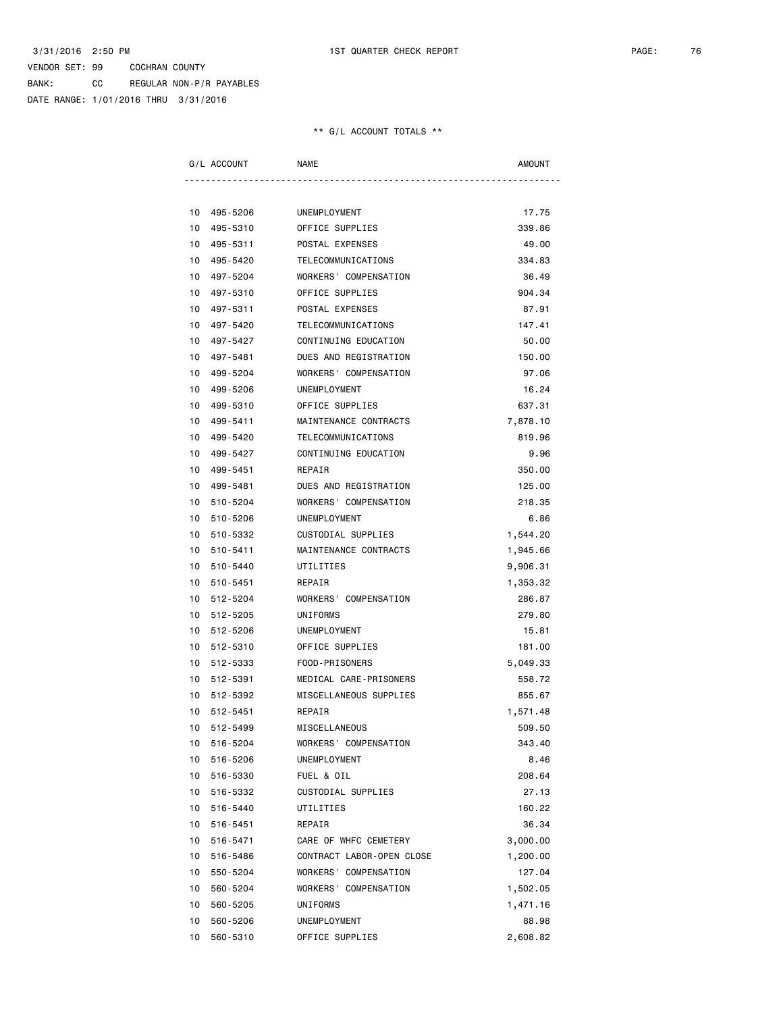BANK: CC REGULAR NON-P/R PAYABLES DATE RANGE: 1/01/2016 THRU 3/31/2016

| G/L ACCOUNT    | <b>NAME</b>               | AMOUNT   |
|----------------|---------------------------|----------|
|                |                           |          |
| 10 495-5206    | UNEMPLOYMENT              | 17.75    |
| 495-5310<br>10 | OFFICE SUPPLIES           | 339.86   |
| 10 495-5311    | POSTAL EXPENSES           | 49.00    |
| 10 495-5420    | TELECOMMUNICATIONS        | 334.83   |
| 10<br>497-5204 | WORKERS' COMPENSATION     | 36.49    |
| 10<br>497-5310 | OFFICE SUPPLIES           | 904.34   |
| 497-5311<br>10 | POSTAL EXPENSES           | 87.91    |
| 10 497-5420    | TELECOMMUNICATIONS        | 147.41   |
| 10 497-5427    | CONTINUING EDUCATION      | 50.00    |
| 10<br>497-5481 | DUES AND REGISTRATION     | 150.00   |
| 10<br>499-5204 | WORKERS' COMPENSATION     | 97.06    |
| 499-5206<br>10 | UNEMPLOYMENT              | 16.24    |
| 499-5310<br>10 | OFFICE SUPPLIES           | 637.31   |
| 10 499-5411    | MAINTENANCE CONTRACTS     | 7,878.10 |
| 10 499-5420    | TELECOMMUNICATIONS        | 819.96   |
| 10<br>499-5427 | CONTINUING EDUCATION      | 9.96     |
| 10 499-5451    | REPAIR                    | 350.00   |
| 10 499-5481    | DUES AND REGISTRATION     | 125.00   |
| 10 510-5204    | WORKERS' COMPENSATION     | 218.35   |
| 510-5206<br>10 | UNEMPLOYMENT              | 6.86     |
| 10<br>510-5332 | CUSTODIAL SUPPLIES        | 1,544.20 |
| 10 510-5411    | MAINTENANCE CONTRACTS     | 1,945.66 |
| 10 510-5440    | UTILITIES                 | 9,906.31 |
| 10 510-5451    | REPAIR                    | 1,353.32 |
| 10 512-5204    | WORKERS' COMPENSATION     | 286.87   |
| 10<br>512-5205 | UNIFORMS                  | 279.80   |
| 10 512-5206    | UNEMPLOYMENT              | 15.81    |
| 10 512-5310    | OFFICE SUPPLIES           | 181.00   |
| 10 512-5333    | FOOD-PRISONERS            | 5,049.33 |
| 10 512-5391    | MEDICAL CARE-PRISONERS    | 558.72   |
| 10<br>512-5392 | MISCELLANEOUS SUPPLIES    | 855.67   |
| 10 512-5451    | REPAIR                    | 1,571.48 |
| 10<br>512-5499 | MISCELLANEOUS             | 509.50   |
| 10<br>516-5204 | WORKERS' COMPENSATION     | 343.40   |
| 516-5206<br>10 | UNEMPLOYMENT              | 8.46     |
| 516-5330<br>10 | FUEL & OIL                | 208.64   |
| 10<br>516-5332 | CUSTODIAL SUPPLIES        | 27.13    |
| 516-5440<br>10 | UTILITIES                 | 160.22   |
| 10<br>516-5451 | REPAIR                    | 36.34    |
| 516-5471<br>10 | CARE OF WHFC CEMETERY     | 3,000.00 |
| 10<br>516-5486 | CONTRACT LABOR-OPEN CLOSE | 1,200.00 |
| 10<br>550-5204 | WORKERS' COMPENSATION     | 127.04   |
| 10<br>560-5204 | WORKERS' COMPENSATION     | 1,502.05 |
| 10<br>560-5205 | UNIFORMS                  | 1,471.16 |
| 10<br>560-5206 | UNEMPLOYMENT              | 88.98    |
| 10<br>560-5310 | OFFICE SUPPLIES           | 2,608.82 |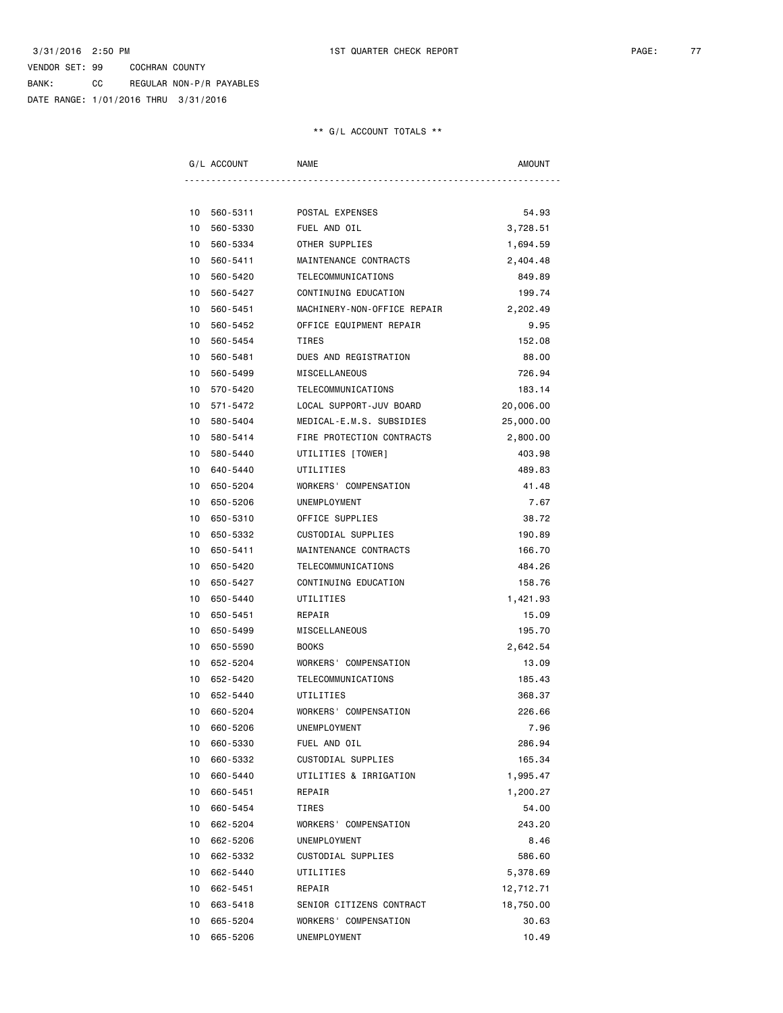BANK: CC REGULAR NON-P/R PAYABLES DATE RANGE: 1/01/2016 THRU 3/31/2016

| G/L ACCOUNT    | NAME                        | <b>AMOUNT</b> |
|----------------|-----------------------------|---------------|
| 10 560-5311    | POSTAL EXPENSES             | 54.93         |
| 10<br>560-5330 | FUEL AND OIL                | 3,728.51      |
| 560-5334<br>10 | OTHER SUPPLIES              | 1,694.59      |
| 10<br>560-5411 | MAINTENANCE CONTRACTS       | 2,404.48      |
| 10<br>560-5420 | TELECOMMUNICATIONS          | 849.89        |
| 560-5427<br>10 | CONTINUING EDUCATION        | 199.74        |
| 560-5451<br>10 | MACHINERY-NON-OFFICE REPAIR | 2,202.49      |
| 560-5452<br>10 | OFFICE EQUIPMENT REPAIR     | 9.95          |
| 560-5454<br>10 | <b>TIRES</b>                | 152.08        |
| 10<br>560-5481 | DUES AND REGISTRATION       | 88.00         |
| 560-5499<br>10 | MISCELLANEOUS               | 726.94        |
| 10<br>570-5420 | TELECOMMUNICATIONS          | 183.14        |
| 10 571-5472    | LOCAL SUPPORT-JUV BOARD     | 20,006.00     |
| 10 580-5404    | MEDICAL-E.M.S. SUBSIDIES    | 25,000.00     |
| 10 580-5414    | FIRE PROTECTION CONTRACTS   | 2,800.00      |
| 580-5440<br>10 | UTILITIES [TOWER]           | 403.98        |
| 10<br>640-5440 | UTILITIES                   | 489.83        |
| 650-5204<br>10 | WORKERS' COMPENSATION       | 41.48         |
| 10<br>650-5206 | UNEMPLOYMENT                | 7.67          |
| 10<br>650-5310 | OFFICE SUPPLIES             | 38.72         |
| 650-5332<br>10 | CUSTODIAL SUPPLIES          | 190.89        |
| 10<br>650-5411 | MAINTENANCE CONTRACTS       | 166.70        |
| 650-5420<br>10 | TELECOMMUNICATIONS          | 484.26        |
| 10<br>650-5427 | CONTINUING EDUCATION        | 158.76        |
| 10<br>650-5440 | UTILITIES                   | 1,421.93      |
| 650-5451<br>10 | REPAIR                      | 15.09         |
| 10<br>650-5499 | MISCELLANEOUS               | 195.70        |
| 10<br>650-5590 | <b>BOOKS</b>                | 2,642.54      |
| 10<br>652-5204 | WORKERS' COMPENSATION       | 13.09         |
| 10<br>652-5420 | TELECOMMUNICATIONS          | 185.43        |
| 652-5440<br>10 | UTILITIES                   | 368.37        |
| 10<br>660-5204 | WORKERS' COMPENSATION       | 226.66        |
| 660-5206<br>10 | UNEMPLOYMENT                | 7.96          |
| 10<br>660-5330 | FUEL AND OIL                | 286.94        |
| 10<br>660-5332 | CUSTODIAL SUPPLIES          | 165.34        |
| 10<br>660-5440 | UTILITIES & IRRIGATION      | 1,995.47      |
| 10<br>660-5451 | REPAIR                      | 1,200.27      |
| 10<br>660-5454 | TIRES                       | 54.00         |
| 10<br>662-5204 | WORKERS' COMPENSATION       | 243.20        |
| 662-5206<br>10 | UNEMPLOYMENT                | 8.46          |
| 10<br>662-5332 | CUSTODIAL SUPPLIES          | 586.60        |
| 10<br>662-5440 | UTILITIES                   | 5,378.69      |
| 10<br>662-5451 | REPAIR                      | 12,712.71     |
| 10 663-5418    | SENIOR CITIZENS CONTRACT    | 18,750.00     |
| 10<br>665-5204 | WORKERS' COMPENSATION       | 30.63         |
| 10<br>665-5206 | UNEMPLOYMENT                | 10.49         |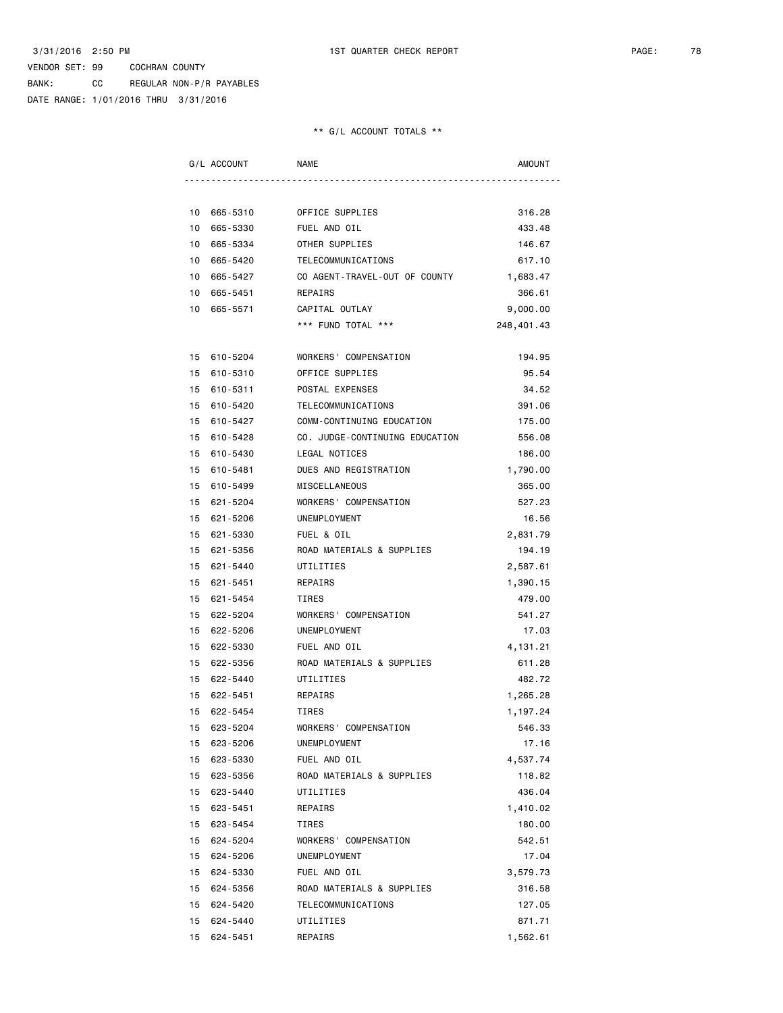BANK: CC REGULAR NON-P/R PAYABLES DATE RANGE: 1/01/2016 THRU 3/31/2016

| G/L ACCOUNT |             | <b>NAME</b>                    | AMOUNT     |
|-------------|-------------|--------------------------------|------------|
|             |             |                                |            |
|             | 10 665-5310 | OFFICE SUPPLIES                | 316.28     |
| 10          | 665-5330    | FUEL AND OIL                   | 433.48     |
| 10          | 665-5334    | OTHER SUPPLIES                 | 146.67     |
| 10          | 665-5420    | TELECOMMUNICATIONS             | 617.10     |
| 10          | 665-5427    | CO AGENT-TRAVEL-OUT OF COUNTY  | 1,683.47   |
| 10          | 665-5451    | REPAIRS                        | 366.61     |
| 10          | 665-5571    | CAPITAL OUTLAY                 | 9,000.00   |
|             |             | *** FUND TOTAL ***             | 248,401.43 |
|             |             |                                |            |
|             | 15 610-5204 | WORKERS' COMPENSATION          | 194.95     |
|             | 15 610-5310 | OFFICE SUPPLIES                | 95.54      |
| 15          | 610-5311    | POSTAL EXPENSES                | 34.52      |
| 15          | 610-5420    | TELECOMMUNICATIONS             | 391.06     |
| 15          | 610-5427    | COMM-CONTINUING EDUCATION      | 175.00     |
| 15          | 610-5428    | CO. JUDGE-CONTINUING EDUCATION | 556.08     |
|             | 15 610-5430 | LEGAL NOTICES                  | 186.00     |
| 15          | 610-5481    | DUES AND REGISTRATION          | 1,790.00   |
|             | 15 610-5499 | MISCELLANEOUS                  | 365.00     |
| 15          | 621-5204    | WORKERS' COMPENSATION          | 527.23     |
| 15          | 621-5206    | UNEMPLOYMENT                   | 16.56      |
|             | 15 621-5330 | FUEL & OIL                     | 2,831.79   |
|             | 15 621-5356 | ROAD MATERIALS & SUPPLIES      | 194.19     |
| 15          | 621-5440    | UTILITIES                      | 2,587.61   |
| 15          | 621-5451    | REPAIRS                        | 1,390.15   |
| 15          | 621-5454    | TIRES                          | 479.00     |
| 15          | 622-5204    | WORKERS' COMPENSATION          | 541.27     |
| 15          | 622-5206    | UNEMPLOYMENT                   | 17.03      |
|             | 15 622-5330 | FUEL AND OIL                   | 4, 131.21  |
|             | 15 622-5356 | ROAD MATERIALS & SUPPLIES      | 611.28     |
|             | 15 622-5440 | UTILITIES                      | 482.72     |
|             | 15 622-5451 | REPAIRS                        | 1,265.28   |
|             | 15 622-5454 | TIRES                          | 1,197.24   |
|             | 15 623-5204 | WORKERS' COMPENSATION          | 546.33     |
|             | 15 623-5206 | UNEMPLOYMENT                   | 17.16      |
|             | 15 623-5330 | FUEL AND OIL                   | 4,537.74   |
|             | 15 623-5356 | ROAD MATERIALS & SUPPLIES      | 118.82     |
|             | 15 623-5440 | UTILITIES                      | 436.04     |
| 15          | 623-5451    | REPAIRS                        | 1,410.02   |
| 15          | 623-5454    | TIRES                          | 180.00     |
| 15          | 624-5204    | WORKERS' COMPENSATION          | 542.51     |
|             | 15 624-5206 | UNEMPLOYMENT                   | 17.04      |
|             | 15 624-5330 | FUEL AND OIL                   | 3,579.73   |
|             | 15 624-5356 | ROAD MATERIALS & SUPPLIES      | 316.58     |
|             | 15 624-5420 | TELECOMMUNICATIONS             | 127.05     |
|             | 15 624-5440 | UTILITIES                      | 871.71     |
| 15          | 624-5451    | REPAIRS                        | 1,562.61   |
|             |             |                                |            |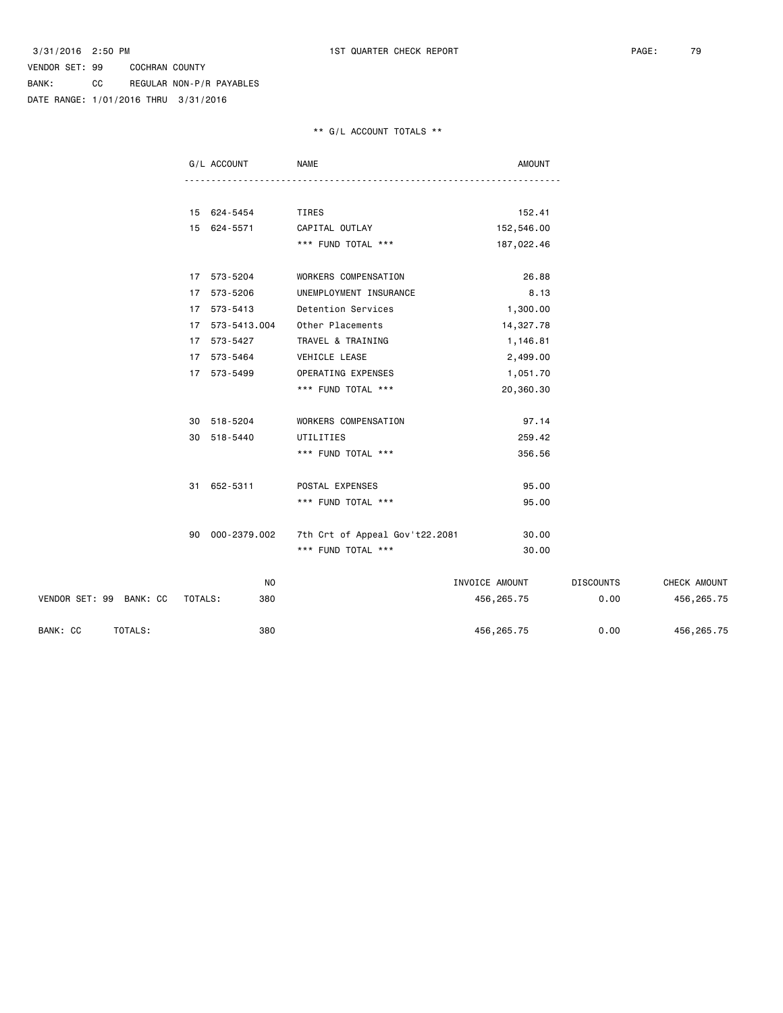BANK: CC REGULAR NON-P/R PAYABLES DATE RANGE: 1/01/2016 THRU 3/31/2016

#### \*\* G/L ACCOUNT TOTALS \*\*

|                         |         | G/L ACCOUNT     | <b>NAME</b>                    | <b>AMOUNT</b>  |                  |              |
|-------------------------|---------|-----------------|--------------------------------|----------------|------------------|--------------|
|                         |         |                 |                                |                |                  |              |
|                         |         | 15 624-5454     | TIRES                          | 152.41         |                  |              |
|                         |         | 15 624-5571     | CAPITAL OUTLAY                 | 152,546.00     |                  |              |
|                         |         |                 | *** FUND TOTAL ***             | 187,022.46     |                  |              |
|                         |         | 17 573-5204     | WORKERS COMPENSATION           | 26.88          |                  |              |
|                         |         | 17 573-5206     | UNEMPLOYMENT INSURANCE         | 8.13           |                  |              |
|                         |         | 17 573-5413     | Detention Services             | 1,300.00       |                  |              |
|                         |         | 17 573-5413.004 | Other Placements               | 14,327.78      |                  |              |
|                         |         | 17 573-5427     | TRAVEL & TRAINING              | 1,146.81       |                  |              |
|                         |         | 17 573-5464     | VEHICLE LEASE                  | 2,499.00       |                  |              |
|                         |         | 17 573-5499     | OPERATING EXPENSES             | 1,051.70       |                  |              |
|                         |         |                 | *** FUND TOTAL ***             | 20,360.30      |                  |              |
|                         |         | 30 518-5204     | WORKERS COMPENSATION           | 97.14          |                  |              |
|                         |         | 30 518-5440     | UTILITIES                      | 259.42         |                  |              |
|                         |         |                 | *** FUND TOTAL ***             | 356.56         |                  |              |
|                         |         | 31 652-5311     | POSTAL EXPENSES                | 95.00          |                  |              |
|                         |         |                 | *** FUND TOTAL ***             | 95.00          |                  |              |
|                         | 90      | 000-2379.002    | 7th Crt of Appeal Gov't22.2081 | 30.00          |                  |              |
|                         |         |                 | *** FUND TOTAL ***             | 30.00          |                  |              |
|                         |         | NO              |                                | INVOICE AMOUNT | <b>DISCOUNTS</b> | CHECK AMOUNT |
| VENDOR SET: 99 BANK: CC | TOTALS: | 380             |                                |                | 0.00             |              |
|                         |         |                 |                                | 456, 265.75    |                  | 456,265.75   |

BANK: CC TOTALS: 380 456,265.75 0.00 456,265.75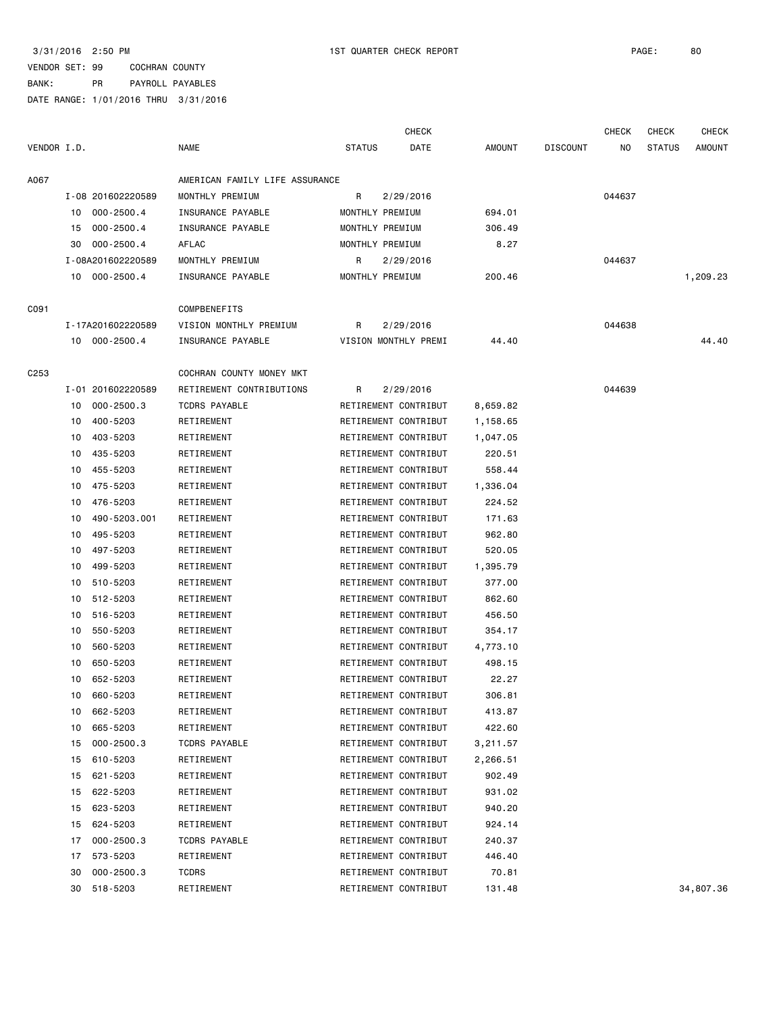|                  |    |                   |                                |               | CHECK                |               |                 | <b>CHECK</b> | <b>CHECK</b>  | CHECK     |
|------------------|----|-------------------|--------------------------------|---------------|----------------------|---------------|-----------------|--------------|---------------|-----------|
| VENDOR I.D.      |    |                   | <b>NAME</b>                    | <b>STATUS</b> | DATE                 | <b>AMOUNT</b> | <b>DISCOUNT</b> | NO           | <b>STATUS</b> | AMOUNT    |
| A067             |    |                   | AMERICAN FAMILY LIFE ASSURANCE |               |                      |               |                 |              |               |           |
|                  |    | I-08 201602220589 | MONTHLY PREMIUM                | R             | 2/29/2016            |               |                 | 044637       |               |           |
|                  | 10 | $000 - 2500.4$    | INSURANCE PAYABLE              |               | MONTHLY PREMIUM      | 694.01        |                 |              |               |           |
|                  | 15 | $000 - 2500.4$    | INSURANCE PAYABLE              |               | MONTHLY PREMIUM      | 306.49        |                 |              |               |           |
|                  | 30 | $000 - 2500.4$    | AFLAC                          |               | MONTHLY PREMIUM      | 8.27          |                 |              |               |           |
|                  |    | I-08A201602220589 | MONTHLY PREMIUM                | R             | 2/29/2016            |               |                 | 044637       |               |           |
|                  |    | 10 000-2500.4     | INSURANCE PAYABLE              |               | MONTHLY PREMIUM      | 200.46        |                 |              |               | 1,209.23  |
| C091             |    |                   | COMPBENEFITS                   |               |                      |               |                 |              |               |           |
|                  |    | I-17A201602220589 | VISION MONTHLY PREMIUM         | R             | 2/29/2016            |               |                 | 044638       |               |           |
|                  |    | 10 000-2500.4     | INSURANCE PAYABLE              |               | VISION MONTHLY PREMI | 44.40         |                 |              |               | 44.40     |
| C <sub>253</sub> |    |                   | COCHRAN COUNTY MONEY MKT       |               |                      |               |                 |              |               |           |
|                  |    | I-01 201602220589 | RETIREMENT CONTRIBUTIONS       | R             | 2/29/2016            |               |                 | 044639       |               |           |
|                  | 10 | $000 - 2500.3$    | TCDRS PAYABLE                  |               | RETIREMENT CONTRIBUT | 8,659.82      |                 |              |               |           |
|                  | 10 | 400-5203          | RETIREMENT                     |               | RETIREMENT CONTRIBUT | 1,158.65      |                 |              |               |           |
|                  | 10 | 403-5203          | RETIREMENT                     |               | RETIREMENT CONTRIBUT | 1,047.05      |                 |              |               |           |
|                  | 10 | 435-5203          | RETIREMENT                     |               | RETIREMENT CONTRIBUT | 220.51        |                 |              |               |           |
|                  | 10 | 455-5203          | RETIREMENT                     |               | RETIREMENT CONTRIBUT | 558.44        |                 |              |               |           |
|                  | 10 | 475-5203          | RETIREMENT                     |               | RETIREMENT CONTRIBUT | 1,336.04      |                 |              |               |           |
|                  | 10 | 476-5203          | RETIREMENT                     |               | RETIREMENT CONTRIBUT | 224.52        |                 |              |               |           |
|                  | 10 | 490-5203.001      | RETIREMENT                     |               | RETIREMENT CONTRIBUT | 171.63        |                 |              |               |           |
|                  | 10 | 495-5203          | RETIREMENT                     |               | RETIREMENT CONTRIBUT | 962.80        |                 |              |               |           |
|                  | 10 | 497-5203          | RETIREMENT                     |               | RETIREMENT CONTRIBUT | 520.05        |                 |              |               |           |
|                  | 10 | 499-5203          | RETIREMENT                     |               | RETIREMENT CONTRIBUT | 1,395.79      |                 |              |               |           |
|                  | 10 | 510-5203          | RETIREMENT                     |               | RETIREMENT CONTRIBUT | 377.00        |                 |              |               |           |
|                  | 10 | 512-5203          | RETIREMENT                     |               | RETIREMENT CONTRIBUT | 862.60        |                 |              |               |           |
|                  | 10 | 516-5203          | RETIREMENT                     |               | RETIREMENT CONTRIBUT | 456.50        |                 |              |               |           |
|                  | 10 | 550-5203          | RETIREMENT                     |               | RETIREMENT CONTRIBUT | 354.17        |                 |              |               |           |
|                  | 10 | 560-5203          | RETIREMENT                     |               | RETIREMENT CONTRIBUT | 4,773.10      |                 |              |               |           |
|                  | 10 | 650-5203          | RETIREMENT                     |               | RETIREMENT CONTRIBUT | 498.15        |                 |              |               |           |
|                  | 10 | 652-5203          | RETIREMENT                     |               | RETIREMENT CONTRIBUT | 22.27         |                 |              |               |           |
|                  |    | 10 660-5203       | RETIREMENT                     |               | RETIREMENT CONTRIBUT | 306.81        |                 |              |               |           |
|                  | 10 | 662-5203          | RETIREMENT                     |               | RETIREMENT CONTRIBUT | 413.87        |                 |              |               |           |
|                  | 10 | 665-5203          | RETIREMENT                     |               | RETIREMENT CONTRIBUT | 422.60        |                 |              |               |           |
|                  | 15 | $000 - 2500.3$    | <b>TCDRS PAYABLE</b>           |               | RETIREMENT CONTRIBUT | 3,211.57      |                 |              |               |           |
|                  | 15 | 610-5203          | RETIREMENT                     |               | RETIREMENT CONTRIBUT | 2,266.51      |                 |              |               |           |
|                  | 15 | 621-5203          | RETIREMENT                     |               | RETIREMENT CONTRIBUT | 902.49        |                 |              |               |           |
|                  | 15 | 622-5203          | RETIREMENT                     |               | RETIREMENT CONTRIBUT | 931.02        |                 |              |               |           |
|                  | 15 | 623-5203          | RETIREMENT                     |               | RETIREMENT CONTRIBUT | 940.20        |                 |              |               |           |
|                  | 15 | 624-5203          | RETIREMENT                     |               | RETIREMENT CONTRIBUT | 924.14        |                 |              |               |           |
|                  | 17 | $000 - 2500.3$    | <b>TCDRS PAYABLE</b>           |               | RETIREMENT CONTRIBUT | 240.37        |                 |              |               |           |
|                  | 17 | 573-5203          | RETIREMENT                     |               | RETIREMENT CONTRIBUT | 446.40        |                 |              |               |           |
|                  | 30 | $000 - 2500.3$    | <b>TCDRS</b>                   |               | RETIREMENT CONTRIBUT | 70.81         |                 |              |               |           |
|                  | 30 | 518-5203          | RETIREMENT                     |               | RETIREMENT CONTRIBUT | 131.48        |                 |              |               | 34,807.36 |
|                  |    |                   |                                |               |                      |               |                 |              |               |           |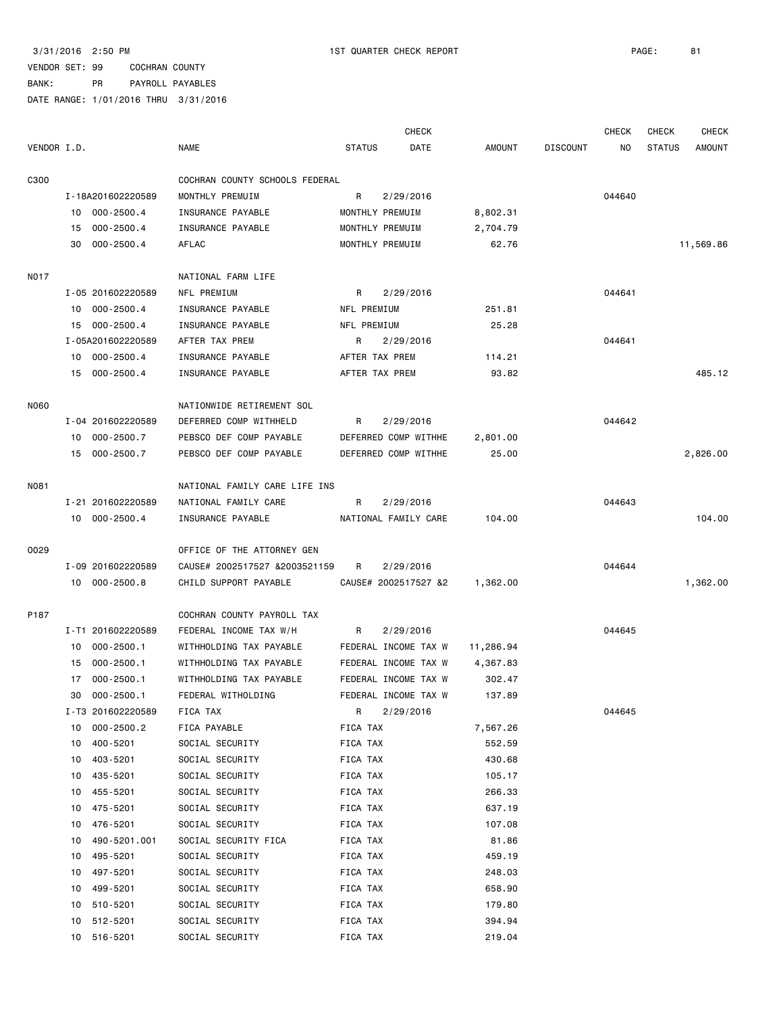|             |    |                   |                                |                | <b>CHECK</b>         |           |                 | <b>CHECK</b> | <b>CHECK</b>  | CHECK     |
|-------------|----|-------------------|--------------------------------|----------------|----------------------|-----------|-----------------|--------------|---------------|-----------|
| VENDOR I.D. |    |                   | <b>NAME</b>                    | <b>STATUS</b>  | DATE                 | AMOUNT    | <b>DISCOUNT</b> | ΝO           | <b>STATUS</b> | AMOUNT    |
| C300        |    |                   | COCHRAN COUNTY SCHOOLS FEDERAL |                |                      |           |                 |              |               |           |
|             |    | I-18A201602220589 | MONTHLY PREMUIM                | R              | 2/29/2016            |           |                 | 044640       |               |           |
|             |    | 10 000-2500.4     | INSURANCE PAYABLE              |                | MONTHLY PREMUIM      | 8,802.31  |                 |              |               |           |
|             | 15 | $000 - 2500.4$    | INSURANCE PAYABLE              |                | MONTHLY PREMUIM      | 2,704.79  |                 |              |               |           |
|             | 30 | $000 - 2500.4$    | AFLAC                          |                | MONTHLY PREMUIM      | 62.76     |                 |              |               | 11,569.86 |
| N017        |    |                   | NATIONAL FARM LIFE             |                |                      |           |                 |              |               |           |
|             |    | I-05 201602220589 | NFL PREMIUM                    | R              | 2/29/2016            |           |                 | 044641       |               |           |
|             | 10 | $000 - 2500.4$    | INSURANCE PAYABLE              | NFL PREMIUM    |                      | 251.81    |                 |              |               |           |
|             |    | 15 000-2500.4     | INSURANCE PAYABLE              | NFL PREMIUM    |                      | 25.28     |                 |              |               |           |
|             |    | I-05A201602220589 | AFTER TAX PREM                 | R              | 2/29/2016            |           |                 | 044641       |               |           |
|             |    | 10 000-2500.4     | INSURANCE PAYABLE              | AFTER TAX PREM |                      | 114.21    |                 |              |               |           |
|             |    | 15 000-2500.4     | INSURANCE PAYABLE              | AFTER TAX PREM |                      | 93.82     |                 |              |               | 485.12    |
| N060        |    |                   | NATIONWIDE RETIREMENT SOL      |                |                      |           |                 |              |               |           |
|             |    | I-04 201602220589 | DEFERRED COMP WITHHELD         | R              | 2/29/2016            |           |                 | 044642       |               |           |
|             | 10 | $000 - 2500.7$    | PEBSCO DEF COMP PAYABLE        |                | DEFERRED COMP WITHHE | 2,801.00  |                 |              |               |           |
|             |    | 15 000-2500.7     | PEBSCO DEF COMP PAYABLE        |                | DEFERRED COMP WITHHE | 25.00     |                 |              |               | 2,826.00  |
|             |    |                   |                                |                |                      |           |                 |              |               |           |
| N081        |    |                   | NATIONAL FAMILY CARE LIFE INS  |                |                      |           |                 |              |               |           |
|             |    | I-21 201602220589 | NATIONAL FAMILY CARE           | R              | 2/29/2016            |           |                 | 044643       |               |           |
|             |    | 10 000-2500.4     | INSURANCE PAYABLE              |                | NATIONAL FAMILY CARE | 104.00    |                 |              |               | 104.00    |
| 0029        |    |                   | OFFICE OF THE ATTORNEY GEN     |                |                      |           |                 |              |               |           |
|             |    | I-09 201602220589 | CAUSE# 2002517527 &2003521159  | R              | 2/29/2016            |           |                 | 044644       |               |           |
|             |    | 10 000-2500.8     | CHILD SUPPORT PAYABLE          |                | CAUSE# 2002517527 &2 | 1,362.00  |                 |              |               | 1,362.00  |
| P187        |    |                   | COCHRAN COUNTY PAYROLL TAX     |                |                      |           |                 |              |               |           |
|             |    | I-T1 201602220589 | FEDERAL INCOME TAX W/H         | R              | 2/29/2016            |           |                 | 044645       |               |           |
|             | 10 | $000 - 2500.1$    | WITHHOLDING TAX PAYABLE        |                | FEDERAL INCOME TAX W | 11,286.94 |                 |              |               |           |
|             | 15 | 000-2500.1        | WITHHOLDING TAX PAYABLE        |                | FEDERAL INCOME TAX W | 4,367.83  |                 |              |               |           |
|             |    | 17 000-2500.1     | WITHHOLDING TAX PAYABLE        |                | FEDERAL INCOME TAX W | 302.47    |                 |              |               |           |
|             |    | 30 000-2500.1     | FEDERAL WITHOLDING             |                | FEDERAL INCOME TAX W | 137.89    |                 |              |               |           |
|             |    | I-T3 201602220589 | FICA TAX                       | R              | 2/29/2016            |           |                 | 044645       |               |           |
|             | 10 | $000 - 2500.2$    | FICA PAYABLE                   | FICA TAX       |                      | 7,567.26  |                 |              |               |           |
|             | 10 | 400-5201          | SOCIAL SECURITY                | FICA TAX       |                      | 552.59    |                 |              |               |           |
|             | 10 | 403-5201          | SOCIAL SECURITY                | FICA TAX       |                      | 430.68    |                 |              |               |           |
|             | 10 | 435-5201          | SOCIAL SECURITY                | FICA TAX       |                      | 105.17    |                 |              |               |           |
|             | 10 | 455-5201          | SOCIAL SECURITY                | FICA TAX       |                      | 266.33    |                 |              |               |           |
|             | 10 | 475-5201          | SOCIAL SECURITY                | FICA TAX       |                      | 637.19    |                 |              |               |           |
|             | 10 | 476-5201          | SOCIAL SECURITY                | FICA TAX       |                      | 107.08    |                 |              |               |           |
|             | 10 | 490-5201.001      | SOCIAL SECURITY FICA           | FICA TAX       |                      | 81.86     |                 |              |               |           |
|             | 10 | 495-5201          | SOCIAL SECURITY                | FICA TAX       |                      | 459.19    |                 |              |               |           |
|             | 10 | 497-5201          | SOCIAL SECURITY                | FICA TAX       |                      | 248.03    |                 |              |               |           |
|             | 10 | 499-5201          | SOCIAL SECURITY                | FICA TAX       |                      | 658.90    |                 |              |               |           |
|             | 10 | 510-5201          | SOCIAL SECURITY                | FICA TAX       |                      | 179.80    |                 |              |               |           |
|             | 10 | 512-5201          | SOCIAL SECURITY                | FICA TAX       |                      | 394.94    |                 |              |               |           |
|             | 10 | 516-5201          | SOCIAL SECURITY                | FICA TAX       |                      | 219.04    |                 |              |               |           |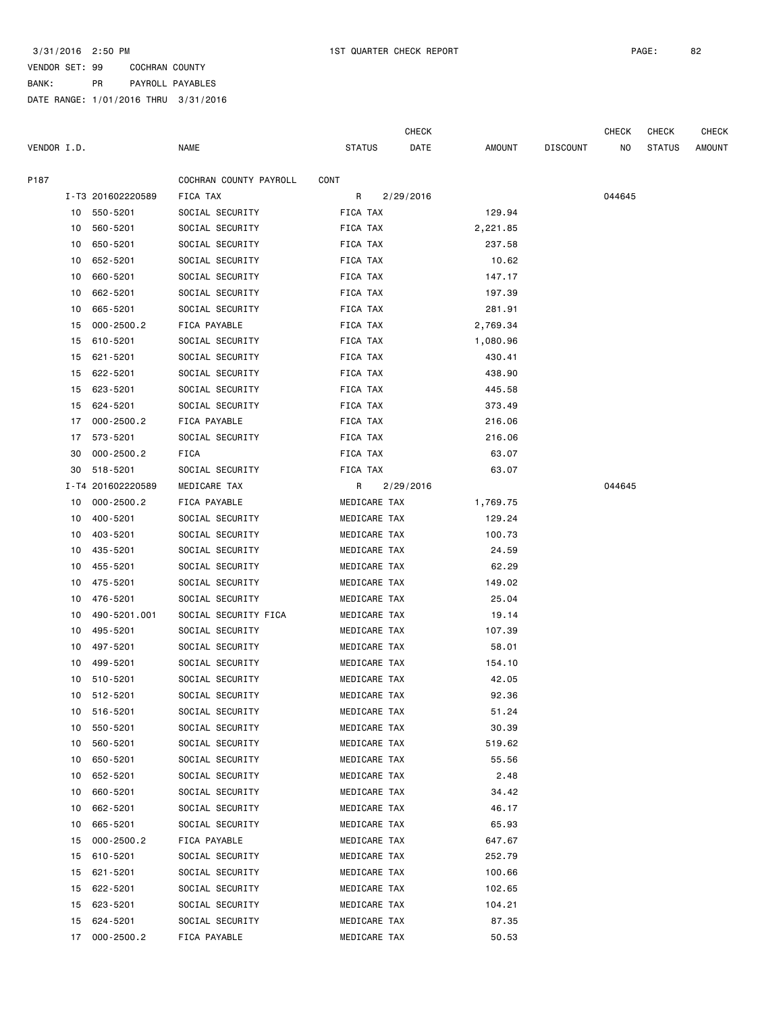|             |    |                   |                        |               | <b>CHECK</b> |          |                 | CHECK  | CHECK         | <b>CHECK</b> |
|-------------|----|-------------------|------------------------|---------------|--------------|----------|-----------------|--------|---------------|--------------|
| VENDOR I.D. |    |                   | <b>NAME</b>            | <b>STATUS</b> | DATE         | AMOUNT   | <b>DISCOUNT</b> | ΝO     | <b>STATUS</b> | AMOUNT       |
| P187        |    |                   | COCHRAN COUNTY PAYROLL | CONT          |              |          |                 |        |               |              |
|             |    | I-T3 201602220589 | FICA TAX               | R             | 2/29/2016    |          |                 | 044645 |               |              |
|             |    | 10 550-5201       | SOCIAL SECURITY        | FICA TAX      |              | 129.94   |                 |        |               |              |
|             | 10 | 560-5201          | SOCIAL SECURITY        | FICA TAX      |              | 2,221.85 |                 |        |               |              |
|             | 10 | 650-5201          | SOCIAL SECURITY        | FICA TAX      |              | 237.58   |                 |        |               |              |
|             | 10 | 652-5201          | SOCIAL SECURITY        | FICA TAX      |              | 10.62    |                 |        |               |              |
|             | 10 | 660-5201          | SOCIAL SECURITY        | FICA TAX      |              | 147.17   |                 |        |               |              |
|             | 10 | 662-5201          | SOCIAL SECURITY        | FICA TAX      |              | 197.39   |                 |        |               |              |
|             | 10 | 665-5201          | SOCIAL SECURITY        | FICA TAX      |              | 281.91   |                 |        |               |              |
|             | 15 | $000 - 2500.2$    | FICA PAYABLE           | FICA TAX      |              | 2,769.34 |                 |        |               |              |
|             | 15 | 610-5201          | SOCIAL SECURITY        | FICA TAX      |              | 1,080.96 |                 |        |               |              |
|             | 15 | 621-5201          | SOCIAL SECURITY        | FICA TAX      |              | 430.41   |                 |        |               |              |
|             | 15 | 622-5201          | SOCIAL SECURITY        | FICA TAX      |              | 438.90   |                 |        |               |              |
|             | 15 | 623-5201          | SOCIAL SECURITY        | FICA TAX      |              | 445.58   |                 |        |               |              |
|             | 15 | 624-5201          | SOCIAL SECURITY        | FICA TAX      |              | 373.49   |                 |        |               |              |
|             | 17 | $000 - 2500.2$    | FICA PAYABLE           | FICA TAX      |              | 216.06   |                 |        |               |              |
|             | 17 | 573-5201          | SOCIAL SECURITY        | FICA TAX      |              | 216.06   |                 |        |               |              |
|             | 30 | $000 - 2500.2$    | FICA                   | FICA TAX      |              | 63.07    |                 |        |               |              |
|             | 30 | 518-5201          | SOCIAL SECURITY        | FICA TAX      |              | 63.07    |                 |        |               |              |
|             |    | I-T4 201602220589 | MEDICARE TAX           | R             | 2/29/2016    |          |                 | 044645 |               |              |
|             | 10 | $000 - 2500.2$    | FICA PAYABLE           | MEDICARE TAX  |              | 1,769.75 |                 |        |               |              |
|             | 10 | 400-5201          | SOCIAL SECURITY        | MEDICARE TAX  |              | 129.24   |                 |        |               |              |
|             | 10 | 403-5201          | SOCIAL SECURITY        | MEDICARE TAX  |              | 100.73   |                 |        |               |              |
|             | 10 | 435-5201          | SOCIAL SECURITY        | MEDICARE TAX  |              | 24.59    |                 |        |               |              |
|             | 10 | 455-5201          | SOCIAL SECURITY        | MEDICARE TAX  |              | 62.29    |                 |        |               |              |
|             | 10 | 475-5201          | SOCIAL SECURITY        | MEDICARE TAX  |              | 149.02   |                 |        |               |              |
|             | 10 | 476-5201          | SOCIAL SECURITY        | MEDICARE TAX  |              | 25.04    |                 |        |               |              |
|             | 10 | 490-5201.001      | SOCIAL SECURITY FICA   | MEDICARE TAX  |              | 19.14    |                 |        |               |              |
|             | 10 | 495-5201          | SOCIAL SECURITY        | MEDICARE TAX  |              | 107.39   |                 |        |               |              |
|             | 10 | 497-5201          | SOCIAL SECURITY        | MEDICARE TAX  |              | 58.01    |                 |        |               |              |
|             | 10 | 499-5201          | SOCIAL SECURITY        | MEDICARE TAX  |              | 154.10   |                 |        |               |              |
|             |    | 10 510-5201       | SOCIAL SECURITY        | MEDICARE TAX  |              | 42.05    |                 |        |               |              |
|             |    | 10 512-5201       | SOCIAL SECURITY        | MEDICARE TAX  |              | 92.36    |                 |        |               |              |
|             |    | 10 516-5201       | SOCIAL SECURITY        | MEDICARE TAX  |              | 51.24    |                 |        |               |              |
|             | 10 | 550-5201          | SOCIAL SECURITY        | MEDICARE TAX  |              | 30.39    |                 |        |               |              |
|             | 10 | 560-5201          | SOCIAL SECURITY        | MEDICARE TAX  |              | 519.62   |                 |        |               |              |
|             | 10 | 650-5201          | SOCIAL SECURITY        | MEDICARE TAX  |              | 55.56    |                 |        |               |              |
|             | 10 | 652-5201          | SOCIAL SECURITY        | MEDICARE TAX  |              | 2.48     |                 |        |               |              |
|             | 10 | 660-5201          | SOCIAL SECURITY        | MEDICARE TAX  |              | 34.42    |                 |        |               |              |
|             | 10 | 662-5201          | SOCIAL SECURITY        | MEDICARE TAX  |              | 46.17    |                 |        |               |              |
|             | 10 | 665-5201          | SOCIAL SECURITY        | MEDICARE TAX  |              | 65.93    |                 |        |               |              |
|             | 15 | $000 - 2500.2$    | FICA PAYABLE           | MEDICARE TAX  |              | 647.67   |                 |        |               |              |
|             | 15 | 610-5201          | SOCIAL SECURITY        | MEDICARE TAX  |              | 252.79   |                 |        |               |              |
|             | 15 | 621-5201          | SOCIAL SECURITY        | MEDICARE TAX  |              | 100.66   |                 |        |               |              |
|             | 15 | 622-5201          | SOCIAL SECURITY        | MEDICARE TAX  |              | 102.65   |                 |        |               |              |
|             | 15 | 623-5201          | SOCIAL SECURITY        | MEDICARE TAX  |              | 104.21   |                 |        |               |              |
|             | 15 | 624-5201          | SOCIAL SECURITY        | MEDICARE TAX  |              | 87.35    |                 |        |               |              |
|             | 17 | 000-2500.2        | FICA PAYABLE           | MEDICARE TAX  |              | 50.53    |                 |        |               |              |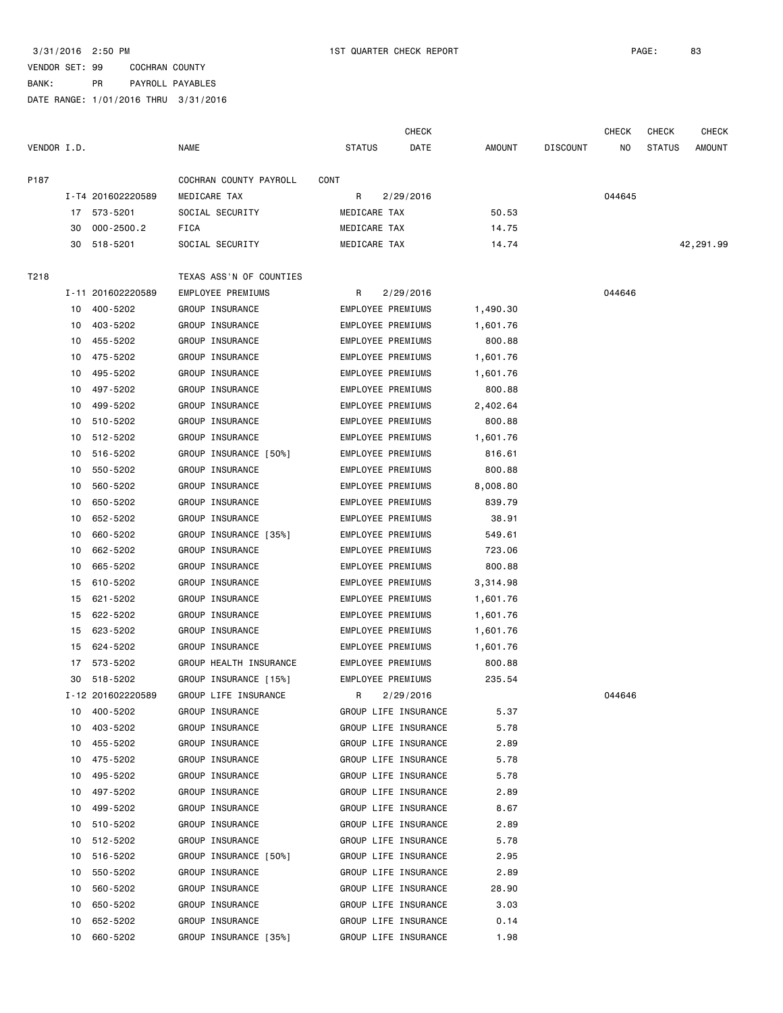|             |    |                   |                         |                          | <b>CHECK</b>         |          |                 | <b>CHECK</b> | <b>CHECK</b>  | <b>CHECK</b> |
|-------------|----|-------------------|-------------------------|--------------------------|----------------------|----------|-----------------|--------------|---------------|--------------|
| VENDOR I.D. |    |                   | <b>NAME</b>             | <b>STATUS</b>            | DATE                 | AMOUNT   | <b>DISCOUNT</b> | NO.          | <b>STATUS</b> | AMOUNT       |
| P187        |    |                   | COCHRAN COUNTY PAYROLL  | CONT                     |                      |          |                 |              |               |              |
|             |    | I-T4 201602220589 | MEDICARE TAX            | R                        | 2/29/2016            |          |                 | 044645       |               |              |
|             |    | 17 573-5201       | SOCIAL SECURITY         | MEDICARE TAX             |                      | 50.53    |                 |              |               |              |
|             | 30 | $000 - 2500.2$    | FICA                    | MEDICARE TAX             |                      | 14.75    |                 |              |               |              |
|             | 30 | 518-5201          | SOCIAL SECURITY         | MEDICARE TAX             |                      | 14.74    |                 |              |               | 42,291.99    |
| T218        |    |                   | TEXAS ASS'N OF COUNTIES |                          |                      |          |                 |              |               |              |
|             |    | I-11 201602220589 | EMPLOYEE PREMIUMS       | R.                       | 2/29/2016            |          |                 | 044646       |               |              |
|             | 10 | 400-5202          | GROUP INSURANCE         | <b>EMPLOYEE PREMIUMS</b> |                      | 1,490.30 |                 |              |               |              |
|             | 10 | 403-5202          | GROUP INSURANCE         | EMPLOYEE PREMIUMS        |                      | 1,601.76 |                 |              |               |              |
|             | 10 | 455-5202          | GROUP INSURANCE         | EMPLOYEE PREMIUMS        |                      | 800.88   |                 |              |               |              |
|             | 10 | 475-5202          | GROUP INSURANCE         | EMPLOYEE PREMIUMS        |                      | 1,601.76 |                 |              |               |              |
|             | 10 | 495-5202          | GROUP INSURANCE         | EMPLOYEE PREMIUMS        |                      | 1,601.76 |                 |              |               |              |
|             | 10 | 497-5202          | GROUP INSURANCE         | EMPLOYEE PREMIUMS        |                      | 800.88   |                 |              |               |              |
|             | 10 | 499-5202          | GROUP INSURANCE         | EMPLOYEE PREMIUMS        |                      | 2,402.64 |                 |              |               |              |
|             | 10 | 510-5202          | GROUP INSURANCE         | EMPLOYEE PREMIUMS        |                      | 800.88   |                 |              |               |              |
|             | 10 | 512-5202          | GROUP INSURANCE         | EMPLOYEE PREMIUMS        |                      | 1,601.76 |                 |              |               |              |
|             | 10 | 516-5202          | GROUP INSURANCE [50%]   | EMPLOYEE PREMIUMS        |                      | 816.61   |                 |              |               |              |
|             | 10 | 550-5202          | GROUP INSURANCE         | EMPLOYEE PREMIUMS        |                      | 800.88   |                 |              |               |              |
|             | 10 | 560-5202          | GROUP INSURANCE         | EMPLOYEE PREMIUMS        |                      | 8,008.80 |                 |              |               |              |
|             | 10 | 650-5202          | GROUP INSURANCE         | EMPLOYEE PREMIUMS        |                      | 839.79   |                 |              |               |              |
|             | 10 | 652-5202          | GROUP INSURANCE         | EMPLOYEE PREMIUMS        |                      | 38.91    |                 |              |               |              |
|             | 10 | 660-5202          | GROUP INSURANCE [35%]   | EMPLOYEE PREMIUMS        |                      | 549.61   |                 |              |               |              |
|             | 10 | 662-5202          | GROUP INSURANCE         | EMPLOYEE PREMIUMS        |                      | 723.06   |                 |              |               |              |
|             | 10 | 665-5202          | GROUP INSURANCE         | EMPLOYEE PREMIUMS        |                      | 800.88   |                 |              |               |              |
|             | 15 | 610-5202          | GROUP INSURANCE         | EMPLOYEE PREMIUMS        |                      | 3,314.98 |                 |              |               |              |
|             | 15 | 621-5202          | GROUP INSURANCE         | EMPLOYEE PREMIUMS        |                      | 1,601.76 |                 |              |               |              |
|             | 15 | 622-5202          | GROUP INSURANCE         | EMPLOYEE PREMIUMS        |                      | 1,601.76 |                 |              |               |              |
|             | 15 | 623-5202          | GROUP INSURANCE         | EMPLOYEE PREMIUMS        |                      | 1,601.76 |                 |              |               |              |
|             | 15 | 624-5202          | GROUP INSURANCE         | EMPLOYEE PREMIUMS        |                      | 1,601.76 |                 |              |               |              |
|             | 17 | 573-5202          | GROUP HEALTH INSURANCE  | EMPLOYEE PREMIUMS        |                      | 800.88   |                 |              |               |              |
|             |    | 30 518-5202       | GROUP INSURANCE [15%]   | EMPLOYEE PREMIUMS        |                      | 235.54   |                 |              |               |              |
|             |    | I-12 201602220589 | GROUP LIFE INSURANCE    | R 2/29/2016              |                      |          |                 | 044646       |               |              |
|             |    | 10 400-5202       | GROUP INSURANCE         | GROUP LIFE INSURANCE     |                      | 5.37     |                 |              |               |              |
|             | 10 | 403-5202          | GROUP INSURANCE         |                          | GROUP LIFE INSURANCE | 5.78     |                 |              |               |              |
|             | 10 | 455-5202          | GROUP INSURANCE         | GROUP LIFE INSURANCE     |                      | 2.89     |                 |              |               |              |
|             | 10 | 475-5202          | GROUP INSURANCE         | GROUP LIFE INSURANCE     |                      | 5.78     |                 |              |               |              |
|             | 10 | 495-5202          | GROUP INSURANCE         | GROUP LIFE INSURANCE     |                      | 5.78     |                 |              |               |              |
|             | 10 | 497-5202          | GROUP INSURANCE         | GROUP LIFE INSURANCE     |                      | 2.89     |                 |              |               |              |
|             | 10 | 499-5202          | GROUP INSURANCE         | GROUP LIFE INSURANCE     |                      | 8.67     |                 |              |               |              |
|             | 10 | 510-5202          | GROUP INSURANCE         | GROUP LIFE INSURANCE     |                      | 2.89     |                 |              |               |              |
|             | 10 | 512-5202          | GROUP INSURANCE         | GROUP LIFE INSURANCE     |                      | 5.78     |                 |              |               |              |
|             | 10 | 516-5202          | GROUP INSURANCE [50%]   | GROUP LIFE INSURANCE     |                      | 2.95     |                 |              |               |              |
|             | 10 | 550-5202          | GROUP INSURANCE         |                          | GROUP LIFE INSURANCE | 2.89     |                 |              |               |              |
|             | 10 | 560-5202          | GROUP INSURANCE         |                          | GROUP LIFE INSURANCE | 28.90    |                 |              |               |              |
|             | 10 | 650-5202          | GROUP INSURANCE         | GROUP LIFE INSURANCE     |                      | 3.03     |                 |              |               |              |
|             | 10 | 652-5202          | GROUP INSURANCE         | GROUP LIFE INSURANCE     |                      | 0.14     |                 |              |               |              |
|             | 10 | 660-5202          | GROUP INSURANCE [35%]   | GROUP LIFE INSURANCE     |                      | 1.98     |                 |              |               |              |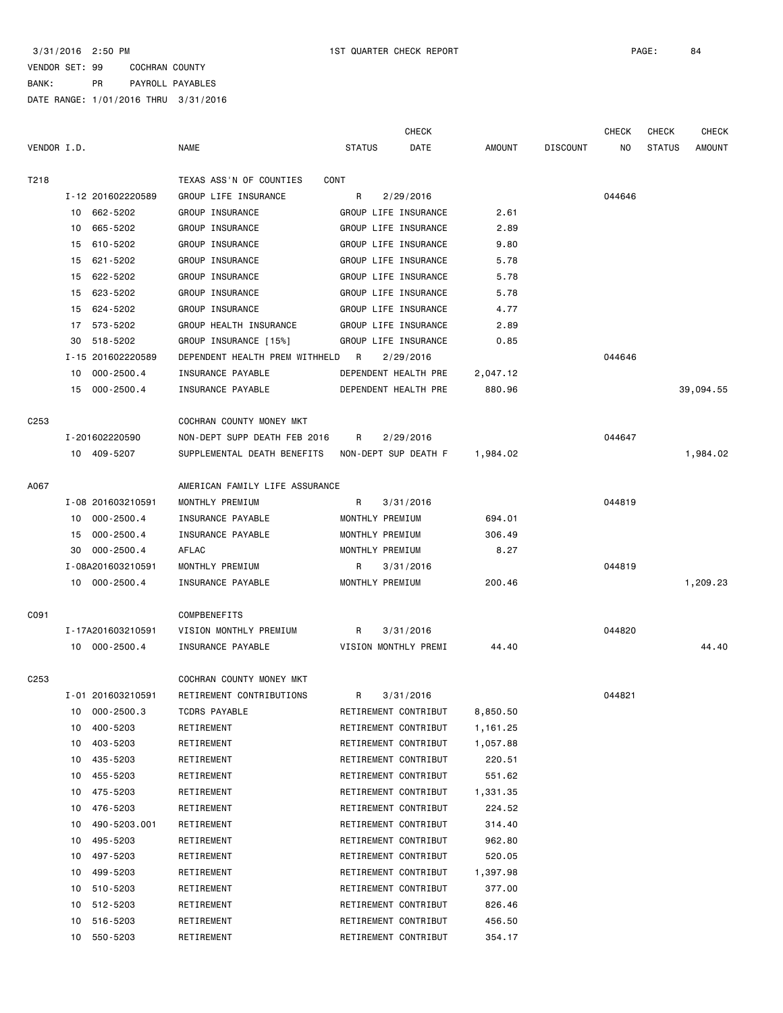|                  |    |                   |                                |                 | <b>CHECK</b>         |          |                 | <b>CHECK</b> | <b>CHECK</b>  | <b>CHECK</b>  |
|------------------|----|-------------------|--------------------------------|-----------------|----------------------|----------|-----------------|--------------|---------------|---------------|
| VENDOR I.D.      |    |                   | NAME                           | <b>STATUS</b>   | DATE                 | AMOUNT   | <b>DISCOUNT</b> | NO.          | <b>STATUS</b> | <b>AMOUNT</b> |
| T218             |    |                   | TEXAS ASS'N OF COUNTIES        | CONT            |                      |          |                 |              |               |               |
|                  |    | I-12 201602220589 | GROUP LIFE INSURANCE           | R               | 2/29/2016            |          |                 | 044646       |               |               |
|                  |    | 10 662-5202       | GROUP INSURANCE                |                 | GROUP LIFE INSURANCE | 2.61     |                 |              |               |               |
|                  | 10 | 665-5202          | GROUP INSURANCE                |                 | GROUP LIFE INSURANCE | 2.89     |                 |              |               |               |
|                  | 15 | 610-5202          | GROUP INSURANCE                |                 | GROUP LIFE INSURANCE | 9.80     |                 |              |               |               |
|                  | 15 | 621-5202          | GROUP INSURANCE                |                 | GROUP LIFE INSURANCE | 5.78     |                 |              |               |               |
|                  | 15 | 622-5202          | GROUP INSURANCE                |                 | GROUP LIFE INSURANCE | 5.78     |                 |              |               |               |
|                  | 15 | 623-5202          | GROUP INSURANCE                |                 | GROUP LIFE INSURANCE | 5.78     |                 |              |               |               |
|                  | 15 | 624-5202          | GROUP INSURANCE                |                 | GROUP LIFE INSURANCE | 4.77     |                 |              |               |               |
|                  | 17 | 573-5202          | GROUP HEALTH INSURANCE         |                 | GROUP LIFE INSURANCE | 2.89     |                 |              |               |               |
|                  | 30 | 518-5202          | GROUP INSURANCE [15%]          |                 | GROUP LIFE INSURANCE | 0.85     |                 |              |               |               |
|                  |    | I-15 201602220589 | DEPENDENT HEALTH PREM WITHHELD | R               | 2/29/2016            |          |                 | 044646       |               |               |
|                  | 10 | $000 - 2500.4$    | INSURANCE PAYABLE              |                 | DEPENDENT HEALTH PRE | 2,047.12 |                 |              |               |               |
|                  | 15 | 000-2500.4        | INSURANCE PAYABLE              |                 | DEPENDENT HEALTH PRE | 880.96   |                 |              |               | 39,094.55     |
| C <sub>253</sub> |    |                   | COCHRAN COUNTY MONEY MKT       |                 |                      |          |                 |              |               |               |
|                  |    | I-201602220590    | NON-DEPT SUPP DEATH FEB 2016   | R               | 2/29/2016            |          |                 | 044647       |               |               |
|                  |    | 10 409-5207       | SUPPLEMENTAL DEATH BENEFITS    |                 | NON-DEPT SUP DEATH F | 1,984.02 |                 |              |               | 1,984.02      |
| A067             |    |                   | AMERICAN FAMILY LIFE ASSURANCE |                 |                      |          |                 |              |               |               |
|                  |    | I-08 201603210591 | MONTHLY PREMIUM                | R               | 3/31/2016            |          |                 | 044819       |               |               |
|                  | 10 | 000-2500.4        | INSURANCE PAYABLE              | MONTHLY PREMIUM |                      | 694.01   |                 |              |               |               |
|                  | 15 | $000 - 2500.4$    | INSURANCE PAYABLE              | MONTHLY PREMIUM |                      | 306.49   |                 |              |               |               |
|                  | 30 | $000 - 2500.4$    | AFLAC                          | MONTHLY PREMIUM |                      | 8.27     |                 |              |               |               |
|                  |    | I-08A201603210591 | MONTHLY PREMIUM                | R               | 3/31/2016            |          |                 | 044819       |               |               |
|                  |    | 10 000-2500.4     | INSURANCE PAYABLE              | MONTHLY PREMIUM |                      | 200.46   |                 |              |               | 1,209.23      |
| C091             |    |                   | <b>COMPBENEFITS</b>            |                 |                      |          |                 |              |               |               |
|                  |    | I-17A201603210591 | VISION MONTHLY PREMIUM         | R               | 3/31/2016            |          |                 | 044820       |               |               |
|                  |    | 10 000-2500.4     | INSURANCE PAYABLE              |                 | VISION MONTHLY PREMI | 44.40    |                 |              |               | 44.40         |
| C <sub>253</sub> |    |                   | COCHRAN COUNTY MONEY MKT       |                 |                      |          |                 |              |               |               |
|                  |    | I-01 201603210591 | RETIREMENT CONTRIBUTIONS       | R               | 3/31/2016            |          |                 | 044821       |               |               |
|                  |    | 10 000-2500.3     | TCDRS PAYABLE                  |                 | RETIREMENT CONTRIBUT | 8,850.50 |                 |              |               |               |
|                  | 10 | 400-5203          | RETIREMENT                     |                 | RETIREMENT CONTRIBUT | 1,161.25 |                 |              |               |               |
|                  | 10 | 403-5203          | RETIREMENT                     |                 | RETIREMENT CONTRIBUT | 1,057.88 |                 |              |               |               |
|                  | 10 | 435-5203          | RETIREMENT                     |                 | RETIREMENT CONTRIBUT | 220.51   |                 |              |               |               |
|                  | 10 | 455-5203          | RETIREMENT                     |                 | RETIREMENT CONTRIBUT | 551.62   |                 |              |               |               |
|                  | 10 | 475-5203          | RETIREMENT                     |                 | RETIREMENT CONTRIBUT | 1,331.35 |                 |              |               |               |
|                  | 10 | 476-5203          | RETIREMENT                     |                 | RETIREMENT CONTRIBUT | 224.52   |                 |              |               |               |
|                  | 10 | 490-5203.001      | RETIREMENT                     |                 | RETIREMENT CONTRIBUT | 314.40   |                 |              |               |               |
|                  | 10 | 495-5203          | RETIREMENT                     |                 | RETIREMENT CONTRIBUT | 962.80   |                 |              |               |               |
|                  | 10 | 497-5203          | RETIREMENT                     |                 | RETIREMENT CONTRIBUT | 520.05   |                 |              |               |               |
|                  | 10 | 499-5203          | RETIREMENT                     |                 | RETIREMENT CONTRIBUT | 1,397.98 |                 |              |               |               |
|                  | 10 | 510-5203          | RETIREMENT                     |                 | RETIREMENT CONTRIBUT | 377.00   |                 |              |               |               |
|                  | 10 | 512-5203          | RETIREMENT                     |                 | RETIREMENT CONTRIBUT | 826.46   |                 |              |               |               |
|                  | 10 | 516-5203          | RETIREMENT                     |                 | RETIREMENT CONTRIBUT | 456.50   |                 |              |               |               |
|                  | 10 | 550-5203          | RETIREMENT                     |                 | RETIREMENT CONTRIBUT | 354.17   |                 |              |               |               |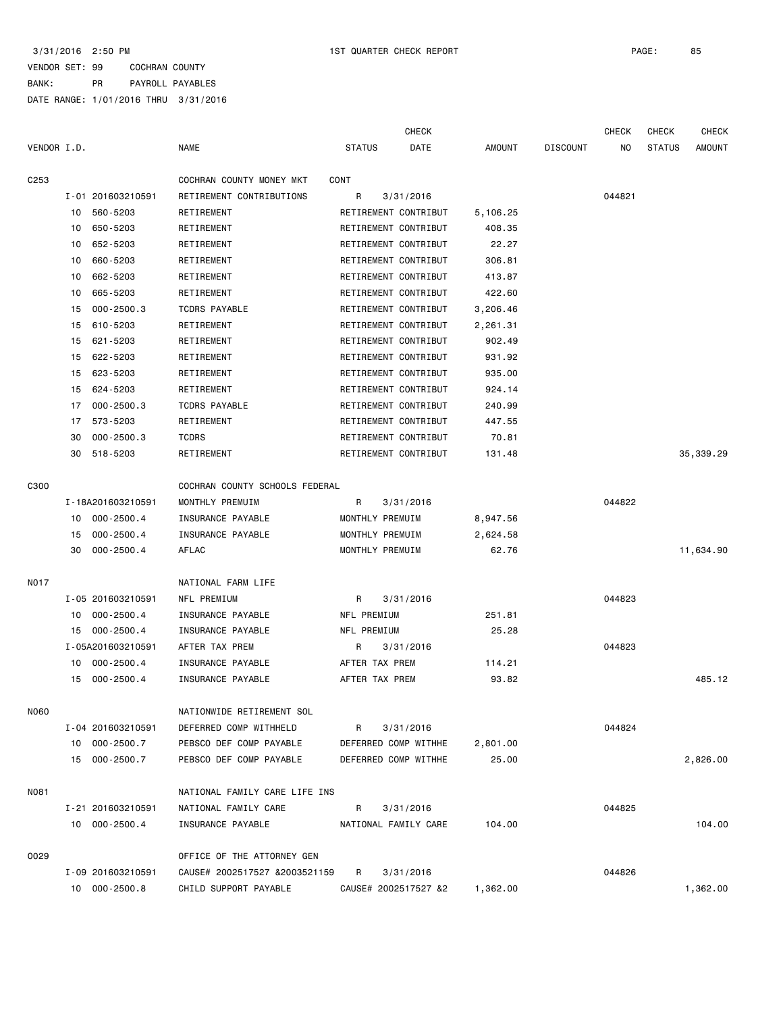|                  |    |                   |                                |                      | <b>CHECK</b> |          |                 | <b>CHECK</b> | <b>CHECK</b>  | <b>CHECK</b>  |
|------------------|----|-------------------|--------------------------------|----------------------|--------------|----------|-----------------|--------------|---------------|---------------|
| VENDOR I.D.      |    |                   | <b>NAME</b>                    | <b>STATUS</b>        | DATE         | AMOUNT   | <b>DISCOUNT</b> | NO           | <b>STATUS</b> | <b>AMOUNT</b> |
| C <sub>253</sub> |    |                   | COCHRAN COUNTY MONEY MKT       | CONT                 |              |          |                 |              |               |               |
|                  |    | I-01 201603210591 | RETIREMENT CONTRIBUTIONS       | R                    | 3/31/2016    |          |                 | 044821       |               |               |
|                  | 10 | 560-5203          | RETIREMENT                     | RETIREMENT CONTRIBUT |              | 5,106.25 |                 |              |               |               |
|                  | 10 | 650-5203          | RETIREMENT                     | RETIREMENT CONTRIBUT |              | 408.35   |                 |              |               |               |
|                  | 10 | 652-5203          | RETIREMENT                     | RETIREMENT CONTRIBUT |              | 22.27    |                 |              |               |               |
|                  | 10 | 660-5203          | RETIREMENT                     | RETIREMENT CONTRIBUT |              | 306.81   |                 |              |               |               |
|                  | 10 | 662-5203          | RETIREMENT                     | RETIREMENT CONTRIBUT |              | 413.87   |                 |              |               |               |
|                  | 10 | 665-5203          | RETIREMENT                     | RETIREMENT CONTRIBUT |              | 422.60   |                 |              |               |               |
|                  | 15 | $000 - 2500.3$    | <b>TCDRS PAYABLE</b>           | RETIREMENT CONTRIBUT |              | 3,206.46 |                 |              |               |               |
|                  | 15 | 610-5203          | RETIREMENT                     | RETIREMENT CONTRIBUT |              | 2,261.31 |                 |              |               |               |
|                  | 15 | 621-5203          | RETIREMENT                     | RETIREMENT CONTRIBUT |              | 902.49   |                 |              |               |               |
|                  | 15 | 622-5203          | RETIREMENT                     | RETIREMENT CONTRIBUT |              | 931.92   |                 |              |               |               |
|                  | 15 | 623-5203          | RETIREMENT                     | RETIREMENT CONTRIBUT |              | 935.00   |                 |              |               |               |
|                  | 15 | 624-5203          | RETIREMENT                     | RETIREMENT CONTRIBUT |              | 924.14   |                 |              |               |               |
|                  | 17 | $000 - 2500.3$    | <b>TCDRS PAYABLE</b>           | RETIREMENT CONTRIBUT |              | 240.99   |                 |              |               |               |
|                  | 17 | 573-5203          | RETIREMENT                     | RETIREMENT CONTRIBUT |              | 447.55   |                 |              |               |               |
|                  | 30 | $000 - 2500.3$    | <b>TCDRS</b>                   | RETIREMENT CONTRIBUT |              | 70.81    |                 |              |               |               |
|                  | 30 | 518-5203          | RETIREMENT                     | RETIREMENT CONTRIBUT |              | 131.48   |                 |              |               | 35,339.29     |
|                  |    |                   |                                |                      |              |          |                 |              |               |               |
| C300             |    |                   | COCHRAN COUNTY SCHOOLS FEDERAL |                      |              |          |                 |              |               |               |
|                  |    | I-18A201603210591 | MONTHLY PREMUIM                | R                    | 3/31/2016    |          |                 | 044822       |               |               |
|                  | 10 | $000 - 2500.4$    | INSURANCE PAYABLE              | MONTHLY PREMUIM      |              | 8,947.56 |                 |              |               |               |
|                  | 15 | $000 - 2500.4$    | INSURANCE PAYABLE              | MONTHLY PREMUIM      |              | 2,624.58 |                 |              |               |               |
|                  | 30 | $000 - 2500.4$    | AFLAC                          | MONTHLY PREMUIM      |              | 62.76    |                 |              |               | 11,634.90     |
|                  |    |                   |                                |                      |              |          |                 |              |               |               |
| <b>NO17</b>      |    |                   | NATIONAL FARM LIFE             |                      |              |          |                 |              |               |               |
|                  |    | I-05 201603210591 | NFL PREMIUM                    | R                    | 3/31/2016    |          |                 | 044823       |               |               |
|                  | 10 | $000 - 2500.4$    | INSURANCE PAYABLE              | NFL PREMIUM          |              | 251.81   |                 |              |               |               |
|                  | 15 | $000 - 2500.4$    | INSURANCE PAYABLE              | NFL PREMIUM          |              | 25.28    |                 |              |               |               |
|                  |    | I-05A201603210591 | AFTER TAX PREM                 | R                    | 3/31/2016    |          |                 | 044823       |               |               |
|                  | 10 | $000 - 2500.4$    | INSURANCE PAYABLE              | AFTER TAX PREM       |              | 114.21   |                 |              |               |               |
|                  | 15 | $000 - 2500.4$    | INSURANCE PAYABLE              | AFTER TAX PREM       |              | 93.82    |                 |              |               | 485.12        |
|                  |    |                   |                                |                      |              |          |                 |              |               |               |
| N060             |    |                   | NATIONWIDE RETIREMENT SOL      |                      |              |          |                 |              |               |               |
|                  |    | I-04 201603210591 | DEFERRED COMP WITHHELD         | R                    | 3/31/2016    |          |                 | 044824       |               |               |
|                  |    | 10 000-2500.7     | PEBSCO DEF COMP PAYABLE        | DEFERRED COMP WITHHE |              | 2,801.00 |                 |              |               |               |
|                  |    | 15 000-2500.7     | PEBSCO DEF COMP PAYABLE        | DEFERRED COMP WITHHE |              | 25.00    |                 |              |               | 2,826.00      |
| N081             |    |                   | NATIONAL FAMILY CARE LIFE INS  |                      |              |          |                 |              |               |               |
|                  |    | I-21 201603210591 | NATIONAL FAMILY CARE           | R                    | 3/31/2016    |          |                 | 044825       |               |               |
|                  |    | 10 000-2500.4     | INSURANCE PAYABLE              | NATIONAL FAMILY CARE |              | 104.00   |                 |              |               | 104.00        |
|                  |    |                   |                                |                      |              |          |                 |              |               |               |
| 0029             |    |                   | OFFICE OF THE ATTORNEY GEN     |                      |              |          |                 |              |               |               |
|                  |    | I-09 201603210591 | CAUSE# 2002517527 &2003521159  | R                    | 3/31/2016    |          |                 | 044826       |               |               |
|                  |    | 10 000-2500.8     | CHILD SUPPORT PAYABLE          | CAUSE# 2002517527 &2 |              | 1,362.00 |                 |              |               | 1,362.00      |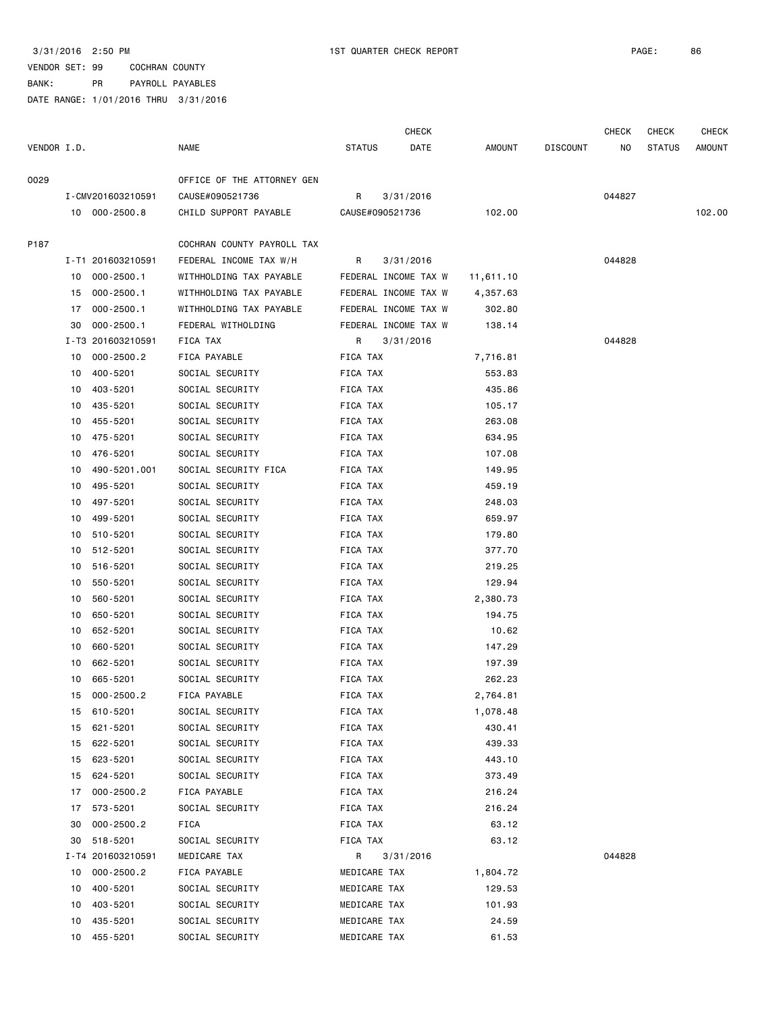|             |    |                   |                            |               | <b>CHECK</b>         |           |                 | <b>CHECK</b> | CHECK         | <b>CHECK</b> |
|-------------|----|-------------------|----------------------------|---------------|----------------------|-----------|-----------------|--------------|---------------|--------------|
| VENDOR I.D. |    |                   | <b>NAME</b>                | <b>STATUS</b> | DATE                 | AMOUNT    | <b>DISCOUNT</b> | ΝO           | <b>STATUS</b> | AMOUNT       |
| 0029        |    |                   | OFFICE OF THE ATTORNEY GEN |               |                      |           |                 |              |               |              |
|             |    | I-CMV201603210591 | CAUSE#090521736            | R             | 3/31/2016            |           |                 | 044827       |               |              |
|             |    | 10 000-2500.8     | CHILD SUPPORT PAYABLE      |               | CAUSE#090521736      | 102.00    |                 |              |               | 102.00       |
| P187        |    |                   | COCHRAN COUNTY PAYROLL TAX |               |                      |           |                 |              |               |              |
|             |    | I-T1 201603210591 | FEDERAL INCOME TAX W/H     | R             | 3/31/2016            |           |                 | 044828       |               |              |
|             | 10 | 000-2500.1        | WITHHOLDING TAX PAYABLE    |               | FEDERAL INCOME TAX W | 11,611.10 |                 |              |               |              |
|             | 15 | $000 - 2500.1$    | WITHHOLDING TAX PAYABLE    |               | FEDERAL INCOME TAX W | 4,357.63  |                 |              |               |              |
|             | 17 | $000 - 2500.1$    | WITHHOLDING TAX PAYABLE    |               | FEDERAL INCOME TAX W | 302.80    |                 |              |               |              |
|             | 30 | $000 - 2500.1$    | FEDERAL WITHOLDING         |               | FEDERAL INCOME TAX W | 138.14    |                 |              |               |              |
|             |    | I-T3 201603210591 | FICA TAX                   | R.            | 3/31/2016            |           |                 | 044828       |               |              |
|             | 10 | $000 - 2500.2$    | FICA PAYABLE               | FICA TAX      |                      | 7,716.81  |                 |              |               |              |
|             | 10 | 400-5201          | SOCIAL SECURITY            | FICA TAX      |                      | 553.83    |                 |              |               |              |
|             | 10 | 403-5201          | SOCIAL SECURITY            | FICA TAX      |                      | 435.86    |                 |              |               |              |
|             | 10 | 435-5201          | SOCIAL SECURITY            | FICA TAX      |                      | 105.17    |                 |              |               |              |
|             | 10 | 455-5201          | SOCIAL SECURITY            | FICA TAX      |                      | 263.08    |                 |              |               |              |
|             | 10 | 475-5201          | SOCIAL SECURITY            | FICA TAX      |                      | 634.95    |                 |              |               |              |
|             | 10 | 476-5201          | SOCIAL SECURITY            | FICA TAX      |                      | 107.08    |                 |              |               |              |
|             | 10 | 490-5201.001      | SOCIAL SECURITY FICA       | FICA TAX      |                      | 149.95    |                 |              |               |              |
|             | 10 | 495-5201          | SOCIAL SECURITY            | FICA TAX      |                      | 459.19    |                 |              |               |              |
|             | 10 | 497-5201          | SOCIAL SECURITY            | FICA TAX      |                      | 248.03    |                 |              |               |              |
|             | 10 | 499-5201          | SOCIAL SECURITY            | FICA TAX      |                      | 659.97    |                 |              |               |              |
|             | 10 | 510-5201          | SOCIAL SECURITY            | FICA TAX      |                      | 179.80    |                 |              |               |              |
|             | 10 | 512-5201          | SOCIAL SECURITY            | FICA TAX      |                      | 377.70    |                 |              |               |              |
|             | 10 | 516-5201          | SOCIAL SECURITY            | FICA TAX      |                      | 219.25    |                 |              |               |              |
|             | 10 | 550-5201          | SOCIAL SECURITY            | FICA TAX      |                      | 129.94    |                 |              |               |              |
|             | 10 | 560-5201          | SOCIAL SECURITY            | FICA TAX      |                      | 2,380.73  |                 |              |               |              |
|             | 10 | 650-5201          | SOCIAL SECURITY            | FICA TAX      |                      | 194.75    |                 |              |               |              |
|             | 10 | 652-5201          | SOCIAL SECURITY            | FICA TAX      |                      | 10.62     |                 |              |               |              |
|             | 10 | 660-5201          | SOCIAL SECURITY            | FICA TAX      |                      | 147.29    |                 |              |               |              |
|             | 10 | 662-5201          | SOCIAL SECURITY            | FICA TAX      |                      | 197.39    |                 |              |               |              |
|             | 10 | 665-5201          | SOCIAL SECURITY            | FICA TAX      |                      | 262.23    |                 |              |               |              |
|             |    | 15 000-2500.2     | FICA PAYABLE               | FICA TAX      |                      | 2,764.81  |                 |              |               |              |
|             | 15 | 610-5201          | SOCIAL SECURITY            | FICA TAX      |                      | 1,078.48  |                 |              |               |              |
|             | 15 | 621-5201          | SOCIAL SECURITY            | FICA TAX      |                      | 430.41    |                 |              |               |              |
|             | 15 | 622-5201          | SOCIAL SECURITY            | FICA TAX      |                      | 439.33    |                 |              |               |              |
|             | 15 | 623-5201          | SOCIAL SECURITY            | FICA TAX      |                      | 443.10    |                 |              |               |              |
|             | 15 | 624-5201          | SOCIAL SECURITY            | FICA TAX      |                      | 373.49    |                 |              |               |              |
|             | 17 | $000 - 2500.2$    | FICA PAYABLE               | FICA TAX      |                      | 216.24    |                 |              |               |              |
|             | 17 | 573-5201          | SOCIAL SECURITY            | FICA TAX      |                      | 216.24    |                 |              |               |              |
|             | 30 | $000 - 2500.2$    | FICA                       | FICA TAX      |                      | 63.12     |                 |              |               |              |
|             | 30 | 518-5201          | SOCIAL SECURITY            | FICA TAX      |                      | 63.12     |                 |              |               |              |
|             |    | I-T4 201603210591 | MEDICARE TAX               | R             | 3/31/2016            |           |                 | 044828       |               |              |
|             | 10 | $000 - 2500.2$    | FICA PAYABLE               | MEDICARE TAX  |                      | 1,804.72  |                 |              |               |              |
|             | 10 | 400-5201          | SOCIAL SECURITY            | MEDICARE TAX  |                      | 129.53    |                 |              |               |              |
|             | 10 | 403-5201          | SOCIAL SECURITY            | MEDICARE TAX  |                      | 101.93    |                 |              |               |              |
|             | 10 | 435-5201          | SOCIAL SECURITY            | MEDICARE TAX  |                      | 24.59     |                 |              |               |              |
|             | 10 | 455-5201          | SOCIAL SECURITY            | MEDICARE TAX  |                      | 61.53     |                 |              |               |              |
|             |    |                   |                            |               |                      |           |                 |              |               |              |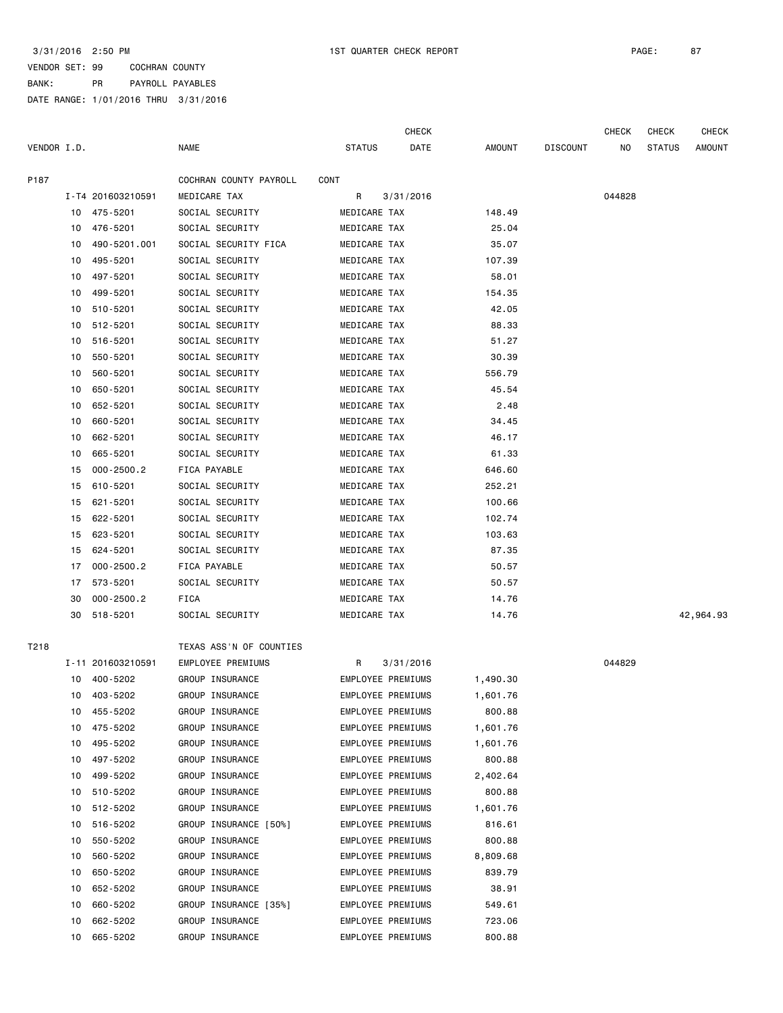|             |    |                   |                         |                          | <b>CHECK</b> |               |                 | <b>CHECK</b> | CHECK         | CHECK         |
|-------------|----|-------------------|-------------------------|--------------------------|--------------|---------------|-----------------|--------------|---------------|---------------|
| VENDOR I.D. |    |                   | <b>NAME</b>             | <b>STATUS</b>            | DATE         | <b>AMOUNT</b> | <b>DISCOUNT</b> | NO.          | <b>STATUS</b> | <b>AMOUNT</b> |
| P187        |    |                   | COCHRAN COUNTY PAYROLL  | CONT                     |              |               |                 |              |               |               |
|             |    | I-T4 201603210591 | MEDICARE TAX            | R                        | 3/31/2016    |               |                 | 044828       |               |               |
|             | 10 | 475-5201          | SOCIAL SECURITY         | MEDICARE TAX             |              | 148.49        |                 |              |               |               |
|             | 10 | 476-5201          | SOCIAL SECURITY         | MEDICARE TAX             |              | 25.04         |                 |              |               |               |
|             | 10 | 490-5201.001      | SOCIAL SECURITY FICA    | MEDICARE TAX             |              | 35.07         |                 |              |               |               |
|             | 10 | 495-5201          | SOCIAL SECURITY         | MEDICARE TAX             |              | 107.39        |                 |              |               |               |
|             | 10 | 497-5201          | SOCIAL SECURITY         | MEDICARE TAX             |              | 58.01         |                 |              |               |               |
|             | 10 | 499-5201          | SOCIAL SECURITY         | MEDICARE TAX             |              | 154.35        |                 |              |               |               |
|             | 10 | 510-5201          | SOCIAL SECURITY         | MEDICARE TAX             |              | 42.05         |                 |              |               |               |
|             | 10 | 512-5201          | SOCIAL SECURITY         | MEDICARE TAX             |              | 88.33         |                 |              |               |               |
|             | 10 | 516-5201          | SOCIAL SECURITY         | MEDICARE TAX             |              | 51.27         |                 |              |               |               |
|             | 10 | 550-5201          | SOCIAL SECURITY         | MEDICARE TAX             |              | 30.39         |                 |              |               |               |
|             | 10 | 560-5201          | SOCIAL SECURITY         | MEDICARE TAX             |              | 556.79        |                 |              |               |               |
|             | 10 | 650-5201          | SOCIAL SECURITY         | MEDICARE TAX             |              | 45.54         |                 |              |               |               |
|             | 10 | 652-5201          | SOCIAL SECURITY         | MEDICARE TAX             |              | 2.48          |                 |              |               |               |
|             | 10 | 660-5201          | SOCIAL SECURITY         | MEDICARE TAX             |              | 34.45         |                 |              |               |               |
|             | 10 | 662-5201          | SOCIAL SECURITY         | MEDICARE TAX             |              | 46.17         |                 |              |               |               |
|             | 10 | 665-5201          | SOCIAL SECURITY         | MEDICARE TAX             |              | 61.33         |                 |              |               |               |
|             | 15 | $000 - 2500.2$    | FICA PAYABLE            | MEDICARE TAX             |              | 646.60        |                 |              |               |               |
|             | 15 | 610-5201          | SOCIAL SECURITY         | MEDICARE TAX             |              | 252.21        |                 |              |               |               |
|             | 15 | 621-5201          | SOCIAL SECURITY         | MEDICARE TAX             |              | 100.66        |                 |              |               |               |
|             | 15 | 622-5201          | SOCIAL SECURITY         | MEDICARE TAX             |              | 102.74        |                 |              |               |               |
|             | 15 | 623-5201          | SOCIAL SECURITY         | MEDICARE TAX             |              | 103.63        |                 |              |               |               |
|             | 15 | 624-5201          | SOCIAL SECURITY         | MEDICARE TAX             |              | 87.35         |                 |              |               |               |
|             | 17 | $000 - 2500.2$    | FICA PAYABLE            | MEDICARE TAX             |              | 50.57         |                 |              |               |               |
|             | 17 | 573-5201          | SOCIAL SECURITY         | MEDICARE TAX             |              | 50.57         |                 |              |               |               |
|             | 30 | $000 - 2500.2$    | FICA                    | MEDICARE TAX             |              | 14.76         |                 |              |               |               |
|             | 30 | 518-5201          | SOCIAL SECURITY         | MEDICARE TAX             |              | 14.76         |                 |              |               | 42,964.93     |
|             |    |                   |                         |                          |              |               |                 |              |               |               |
| T218        |    |                   | TEXAS ASS'N OF COUNTIES |                          |              |               |                 |              |               |               |
|             |    | I-11 201603210591 | EMPLOYEE PREMIUMS       | R                        | 3/31/2016    |               |                 | 044829       |               |               |
|             | 10 | 400-5202          | GROUP INSURANCE         | EMPLOYEE PREMIUMS        |              | 1,490.30      |                 |              |               |               |
|             | 10 | 403-5202          | GROUP INSURANCE         | EMPLOYEE PREMIUMS        |              | 1,601.76      |                 |              |               |               |
|             | 10 | 455-5202          | GROUP INSURANCE         | EMPLOYEE PREMIUMS        |              | 800.88        |                 |              |               |               |
|             | 10 | 475-5202          | GROUP INSURANCE         | <b>EMPLOYEE PREMIUMS</b> |              | 1,601.76      |                 |              |               |               |
|             | 10 | 495-5202          | GROUP INSURANCE         | <b>EMPLOYEE PREMIUMS</b> |              | 1,601.76      |                 |              |               |               |
|             | 10 | 497-5202          | GROUP INSURANCE         | <b>EMPLOYEE PREMIUMS</b> |              | 800.88        |                 |              |               |               |
|             | 10 | 499-5202          | GROUP INSURANCE         | EMPLOYEE PREMIUMS        |              | 2,402.64      |                 |              |               |               |
|             | 10 | 510-5202          | GROUP INSURANCE         | <b>EMPLOYEE PREMIUMS</b> |              | 800.88        |                 |              |               |               |
|             | 10 | 512-5202          | GROUP INSURANCE         | EMPLOYEE PREMIUMS        |              | 1,601.76      |                 |              |               |               |
|             | 10 | 516-5202          | GROUP INSURANCE [50%]   | EMPLOYEE PREMIUMS        |              | 816.61        |                 |              |               |               |
|             | 10 | 550-5202          | GROUP INSURANCE         | <b>EMPLOYEE PREMIUMS</b> |              | 800.88        |                 |              |               |               |
|             | 10 | 560-5202          | GROUP INSURANCE         | <b>EMPLOYEE PREMIUMS</b> |              | 8,809.68      |                 |              |               |               |
|             | 10 | 650-5202          | GROUP INSURANCE         | EMPLOYEE PREMIUMS        |              | 839.79        |                 |              |               |               |
|             | 10 | 652-5202          | GROUP INSURANCE         | EMPLOYEE PREMIUMS        |              | 38.91         |                 |              |               |               |
|             | 10 | 660-5202          | GROUP INSURANCE [35%]   | EMPLOYEE PREMIUMS        |              | 549.61        |                 |              |               |               |
|             | 10 | 662-5202          | GROUP INSURANCE         | EMPLOYEE PREMIUMS        |              | 723.06        |                 |              |               |               |
|             | 10 | 665-5202          | GROUP INSURANCE         | EMPLOYEE PREMIUMS        |              | 800.88        |                 |              |               |               |
|             |    |                   |                         |                          |              |               |                 |              |               |               |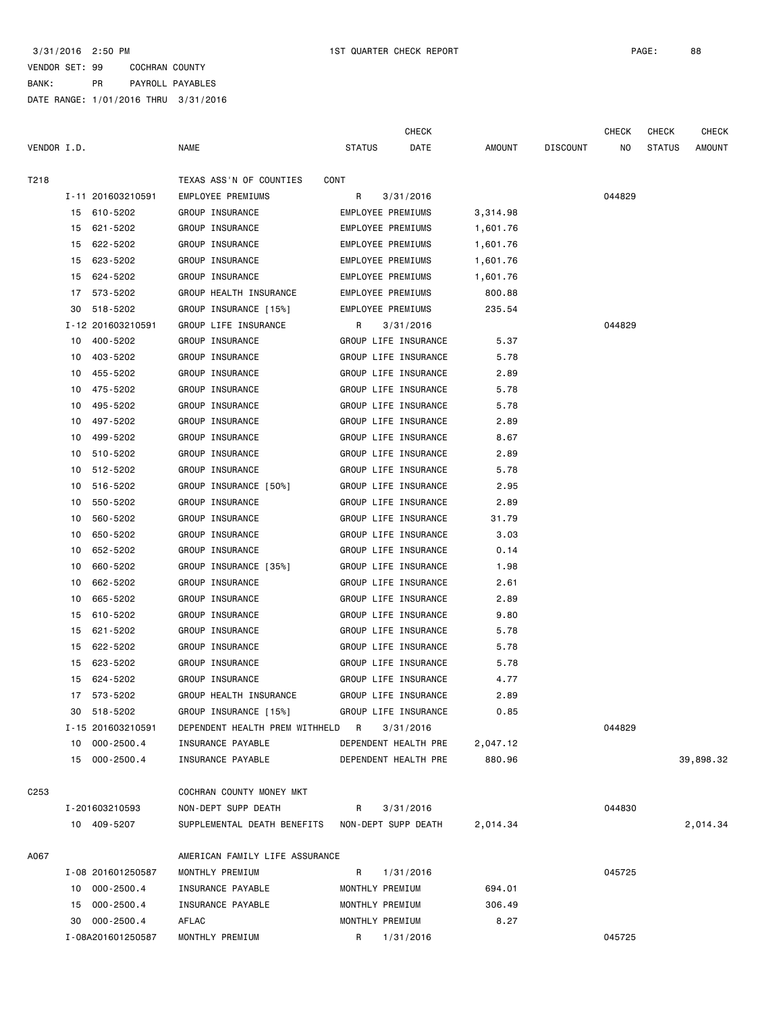|                  |                      |                                  | <b>CHECK</b>             |               |                 | <b>CHECK</b> | <b>CHECK</b>  | <b>CHECK</b> |
|------------------|----------------------|----------------------------------|--------------------------|---------------|-----------------|--------------|---------------|--------------|
| VENDOR I.D.      |                      | <b>NAME</b>                      | <b>STATUS</b><br>DATE    | <b>AMOUNT</b> | <b>DISCOUNT</b> | NO.          | <b>STATUS</b> | AMOUNT       |
| T218             |                      | TEXAS ASS'N OF COUNTIES          | CONT                     |               |                 |              |               |              |
|                  | I-11 201603210591    | EMPLOYEE PREMIUMS                | R<br>3/31/2016           |               |                 | 044829       |               |              |
|                  | 15 610-5202          | GROUP INSURANCE                  | EMPLOYEE PREMIUMS        | 3,314.98      |                 |              |               |              |
|                  | 15 621-5202          | GROUP INSURANCE                  | EMPLOYEE PREMIUMS        | 1,601.76      |                 |              |               |              |
|                  | 622-5202<br>15       | GROUP INSURANCE                  | <b>EMPLOYEE PREMIUMS</b> | 1,601.76      |                 |              |               |              |
|                  | 15<br>623-5202       | GROUP INSURANCE                  | EMPLOYEE PREMIUMS        | 1,601.76      |                 |              |               |              |
|                  | 624-5202<br>15       | GROUP INSURANCE                  | EMPLOYEE PREMIUMS        | 1,601.76      |                 |              |               |              |
|                  | 17<br>573-5202       | GROUP HEALTH INSURANCE           | <b>EMPLOYEE PREMIUMS</b> | 800.88        |                 |              |               |              |
|                  | 30<br>518-5202       | GROUP INSURANCE [15%]            | EMPLOYEE PREMIUMS        | 235.54        |                 |              |               |              |
|                  | I-12 201603210591    | GROUP LIFE INSURANCE             | R<br>3/31/2016           |               |                 | 044829       |               |              |
|                  | 400-5202<br>10       | GROUP INSURANCE                  | GROUP LIFE INSURANCE     | 5.37          |                 |              |               |              |
|                  | 403-5202<br>10       | GROUP INSURANCE                  | GROUP LIFE INSURANCE     | 5.78          |                 |              |               |              |
|                  | 455-5202<br>10       | GROUP INSURANCE                  | GROUP LIFE INSURANCE     | 2.89          |                 |              |               |              |
|                  | 475-5202<br>10       | GROUP INSURANCE                  | GROUP LIFE INSURANCE     | 5.78          |                 |              |               |              |
|                  | 495-5202<br>10       | GROUP INSURANCE                  | GROUP LIFE INSURANCE     | 5.78          |                 |              |               |              |
|                  | 497-5202<br>10       | GROUP INSURANCE                  | GROUP LIFE INSURANCE     | 2.89          |                 |              |               |              |
|                  | 499-5202<br>10       | GROUP INSURANCE                  | GROUP LIFE INSURANCE     | 8.67          |                 |              |               |              |
|                  | 510-5202<br>10       | GROUP INSURANCE                  | GROUP LIFE INSURANCE     | 2.89          |                 |              |               |              |
|                  | 512-5202<br>10       | GROUP INSURANCE                  | GROUP LIFE INSURANCE     | 5.78          |                 |              |               |              |
|                  | 516-5202<br>10       | GROUP INSURANCE [50%]            | GROUP LIFE INSURANCE     | 2.95          |                 |              |               |              |
|                  | 550-5202<br>10       | GROUP INSURANCE                  | GROUP LIFE INSURANCE     | 2.89          |                 |              |               |              |
|                  | 560-5202<br>10       | GROUP INSURANCE                  | GROUP LIFE INSURANCE     | 31.79         |                 |              |               |              |
|                  | 650-5202<br>10       | GROUP INSURANCE                  | GROUP LIFE INSURANCE     | 3.03          |                 |              |               |              |
|                  | 652-5202<br>10       | GROUP INSURANCE                  | GROUP LIFE INSURANCE     | 0.14          |                 |              |               |              |
|                  | 660-5202<br>10       | GROUP INSURANCE [35%]            | GROUP LIFE INSURANCE     | 1.98          |                 |              |               |              |
|                  | 662-5202<br>10       | GROUP INSURANCE                  | GROUP LIFE INSURANCE     | 2.61          |                 |              |               |              |
|                  | 10<br>665-5202       | GROUP INSURANCE                  | GROUP LIFE INSURANCE     | 2.89          |                 |              |               |              |
|                  | 15<br>610-5202       | GROUP INSURANCE                  | GROUP LIFE INSURANCE     | 9.80          |                 |              |               |              |
|                  | 621-5202<br>15       | GROUP INSURANCE                  | GROUP LIFE INSURANCE     | 5.78          |                 |              |               |              |
|                  | 15<br>622-5202       | GROUP INSURANCE                  | GROUP LIFE INSURANCE     | 5.78          |                 |              |               |              |
|                  | 623-5202<br>15       | GROUP INSURANCE                  | GROUP LIFE INSURANCE     | 5.78          |                 |              |               |              |
|                  | 624-5202<br>15       | GROUP INSURANCE                  | GROUP LIFE INSURANCE     | 4.77          |                 |              |               |              |
|                  | 573-5202<br>17       | GROUP HEALTH INSURANCE           | GROUP LIFE INSURANCE     | 2.89          |                 |              |               |              |
|                  | 30 518-5202          | GROUP INSURANCE [15%]            | GROUP LIFE INSURANCE     | 0.85          |                 |              |               |              |
|                  | I-15 201603210591    | DEPENDENT HEALTH PREM WITHHELD R | 3/31/2016                |               |                 | 044829       |               |              |
|                  | 10 000-2500.4        | INSURANCE PAYABLE                | DEPENDENT HEALTH PRE     | 2,047.12      |                 |              |               |              |
|                  | 15 000-2500.4        | INSURANCE PAYABLE                | DEPENDENT HEALTH PRE     | 880.96        |                 |              |               | 39,898.32    |
| C <sub>253</sub> |                      | COCHRAN COUNTY MONEY MKT         |                          |               |                 |              |               |              |
|                  | I-201603210593       | NON-DEPT SUPP DEATH              | 3/31/2016<br>R           |               |                 | 044830       |               |              |
|                  | 10 409-5207          | SUPPLEMENTAL DEATH BENEFITS      | NON-DEPT SUPP DEATH      | 2,014.34      |                 |              |               | 2,014.34     |
| A067             |                      | AMERICAN FAMILY LIFE ASSURANCE   |                          |               |                 |              |               |              |
|                  | I-08 201601250587    | MONTHLY PREMIUM                  | R<br>1/31/2016           |               |                 | 045725       |               |              |
|                  | 10 000-2500.4        | INSURANCE PAYABLE                | MONTHLY PREMIUM          | 694.01        |                 |              |               |              |
|                  | $000 - 2500.4$<br>15 | INSURANCE PAYABLE                | MONTHLY PREMIUM          | 306.49        |                 |              |               |              |
|                  | 30 000-2500.4        | AFLAC                            | MONTHLY PREMIUM          | 8.27          |                 |              |               |              |
|                  | I-08A201601250587    | MONTHLY PREMIUM                  | R.<br>1/31/2016          |               |                 | 045725       |               |              |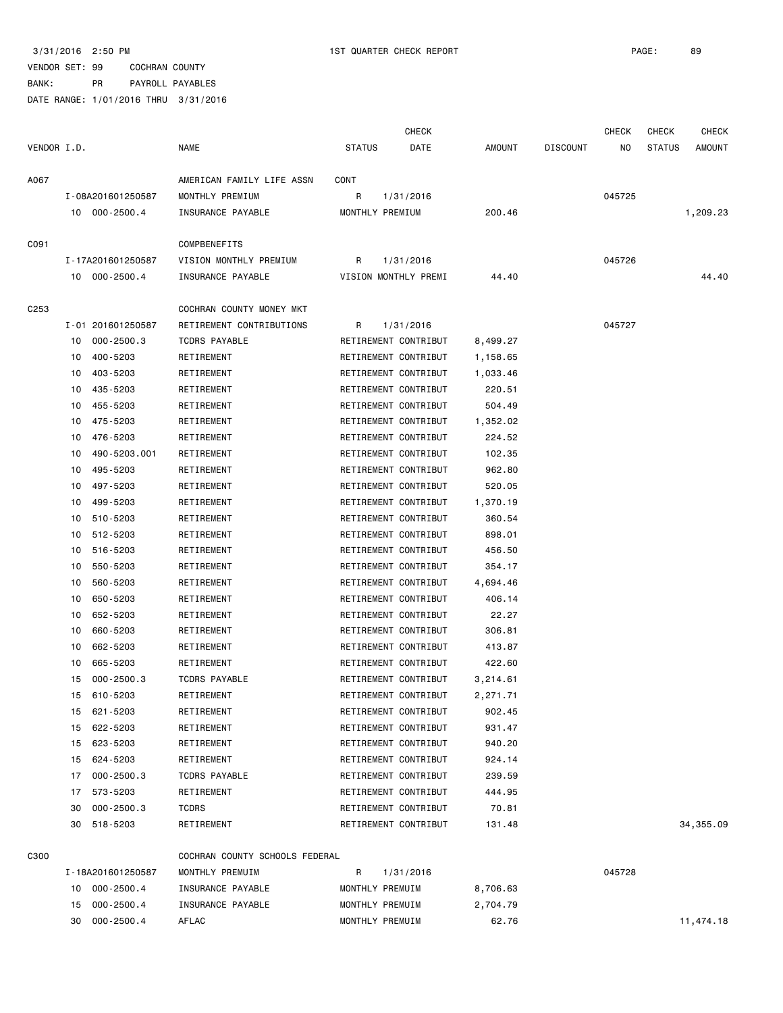|                  |                            |                                                   |                      | CHECK     |               |                 | <b>CHECK</b> | <b>CHECK</b>  | CHECK         |
|------------------|----------------------------|---------------------------------------------------|----------------------|-----------|---------------|-----------------|--------------|---------------|---------------|
| VENDOR I.D.      |                            | <b>NAME</b>                                       | <b>STATUS</b>        | DATE      | <b>AMOUNT</b> | <b>DISCOUNT</b> | NO           | <b>STATUS</b> | <b>AMOUNT</b> |
| A067             |                            | AMERICAN FAMILY LIFE ASSN                         | CONT                 |           |               |                 |              |               |               |
|                  | I-08A201601250587          | MONTHLY PREMIUM                                   | R                    | 1/31/2016 |               |                 | 045725       |               |               |
|                  | 10 000-2500.4              | INSURANCE PAYABLE                                 | MONTHLY PREMIUM      |           | 200.46        |                 |              |               | 1,209.23      |
|                  |                            |                                                   |                      |           |               |                 |              |               |               |
| C091             |                            | <b>COMPBENEFITS</b>                               |                      |           |               |                 |              |               |               |
|                  | I-17A201601250587          | VISION MONTHLY PREMIUM                            | R                    | 1/31/2016 |               |                 | 045726       |               |               |
|                  | 10 000-2500.4              | INSURANCE PAYABLE                                 | VISION MONTHLY PREMI |           | 44.40         |                 |              |               | 44.40         |
| C <sub>253</sub> |                            | COCHRAN COUNTY MONEY MKT                          |                      |           |               |                 |              |               |               |
|                  | I-01 201601250587          | RETIREMENT CONTRIBUTIONS                          | R                    | 1/31/2016 |               |                 | 045727       |               |               |
|                  | $000 - 2500.3$<br>10       | <b>TCDRS PAYABLE</b>                              | RETIREMENT CONTRIBUT |           | 8,499.27      |                 |              |               |               |
|                  | 400-5203<br>10             | RETIREMENT                                        | RETIREMENT CONTRIBUT |           | 1,158.65      |                 |              |               |               |
|                  | 10<br>403-5203             | RETIREMENT                                        | RETIREMENT CONTRIBUT |           | 1,033.46      |                 |              |               |               |
|                  | 435-5203<br>10             | RETIREMENT                                        | RETIREMENT CONTRIBUT |           | 220.51        |                 |              |               |               |
|                  | 455-5203<br>10             | RETIREMENT                                        | RETIREMENT CONTRIBUT |           | 504.49        |                 |              |               |               |
|                  | 475-5203<br>10             | RETIREMENT                                        | RETIREMENT CONTRIBUT |           |               |                 |              |               |               |
|                  | 10                         |                                                   | RETIREMENT CONTRIBUT |           | 1,352.02      |                 |              |               |               |
|                  | 476-5203                   | RETIREMENT                                        |                      |           | 224.52        |                 |              |               |               |
|                  | 490-5203.001<br>10         | RETIREMENT                                        | RETIREMENT CONTRIBUT |           | 102.35        |                 |              |               |               |
|                  | 495-5203<br>10             | RETIREMENT                                        | RETIREMENT CONTRIBUT |           | 962.80        |                 |              |               |               |
|                  | 497-5203<br>10             | RETIREMENT                                        | RETIREMENT CONTRIBUT |           | 520.05        |                 |              |               |               |
|                  | 499-5203<br>10             | RETIREMENT                                        | RETIREMENT CONTRIBUT |           | 1,370.19      |                 |              |               |               |
|                  | 510-5203<br>10             | RETIREMENT                                        | RETIREMENT CONTRIBUT |           | 360.54        |                 |              |               |               |
|                  | 512-5203<br>10             | RETIREMENT                                        | RETIREMENT CONTRIBUT |           | 898.01        |                 |              |               |               |
|                  | 516-5203<br>10             | RETIREMENT                                        | RETIREMENT CONTRIBUT |           | 456.50        |                 |              |               |               |
|                  | 550-5203<br>10             | RETIREMENT                                        | RETIREMENT CONTRIBUT |           | 354.17        |                 |              |               |               |
|                  | 560-5203<br>10             | RETIREMENT                                        | RETIREMENT CONTRIBUT |           | 4,694.46      |                 |              |               |               |
|                  | 650-5203<br>10             | RETIREMENT                                        | RETIREMENT CONTRIBUT |           | 406.14        |                 |              |               |               |
|                  | 10<br>652-5203             | RETIREMENT                                        | RETIREMENT CONTRIBUT |           | 22.27         |                 |              |               |               |
|                  | 10<br>660-5203             | RETIREMENT                                        | RETIREMENT CONTRIBUT |           | 306.81        |                 |              |               |               |
|                  | 662-5203<br>10             | RETIREMENT                                        | RETIREMENT CONTRIBUT |           | 413.87        |                 |              |               |               |
|                  | 10<br>665-5203             | RETIREMENT                                        | RETIREMENT CONTRIBUT |           | 422.60        |                 |              |               |               |
|                  | 15<br>$000 - 2500.3$       | <b>TCDRS PAYABLE</b>                              | RETIREMENT CONTRIBUT |           | 3,214.61      |                 |              |               |               |
|                  | 15 610-5203                | RETIREMENT                                        | RETIREMENT CONTRIBUT |           | 2,271.71      |                 |              |               |               |
|                  | 621-5203<br>15             | RETIREMENT                                        | RETIREMENT CONTRIBUT |           | 902.45        |                 |              |               |               |
|                  | 622-5203<br>15             | RETIREMENT                                        | RETIREMENT CONTRIBUT |           | 931.47        |                 |              |               |               |
|                  | 623-5203<br>15             | RETIREMENT                                        | RETIREMENT CONTRIBUT |           | 940.20        |                 |              |               |               |
|                  | 624-5203<br>15             | RETIREMENT                                        | RETIREMENT CONTRIBUT |           | 924.14        |                 |              |               |               |
|                  | $000 - 2500.3$<br>17       | <b>TCDRS PAYABLE</b>                              | RETIREMENT CONTRIBUT |           | 239.59        |                 |              |               |               |
|                  | 573-5203<br>17             | RETIREMENT                                        | RETIREMENT CONTRIBUT |           | 444.95        |                 |              |               |               |
|                  | 30<br>$000 - 2500.3$       | <b>TCDRS</b>                                      | RETIREMENT CONTRIBUT |           | 70.81         |                 |              |               |               |
|                  | 518-5203<br>30             | RETIREMENT                                        | RETIREMENT CONTRIBUT |           | 131.48        |                 |              |               | 34, 355.09    |
|                  |                            |                                                   |                      |           |               |                 |              |               |               |
| C300             | I-18A201601250587          | COCHRAN COUNTY SCHOOLS FEDERAL<br>MONTHLY PREMUIM | R                    | 1/31/2016 |               |                 | 045728       |               |               |
|                  | $000 - 2500.4$             |                                                   |                      |           |               |                 |              |               |               |
|                  | 10                         | INSURANCE PAYABLE                                 | MONTHLY PREMUIM      |           | 8,706.63      |                 |              |               |               |
|                  | $000 - 2500.4$<br>15<br>30 | INSURANCE PAYABLE                                 | MONTHLY PREMUIM      |           | 2,704.79      |                 |              |               |               |
|                  | $000 - 2500.4$             | AFLAC                                             | MONTHLY PREMUIM      |           | 62.76         |                 |              |               | 11,474.18     |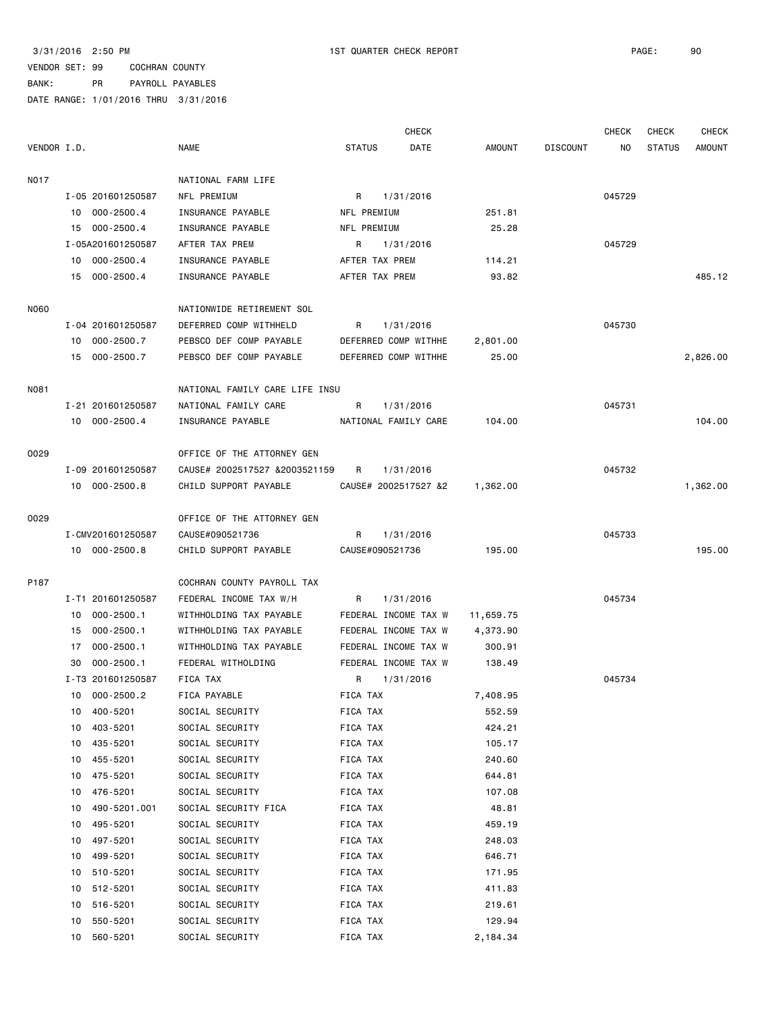|             |    |                   |                                |                 | <b>CHECK</b>         |               |                 | <b>CHECK</b> | <b>CHECK</b>  | <b>CHECK</b>  |
|-------------|----|-------------------|--------------------------------|-----------------|----------------------|---------------|-----------------|--------------|---------------|---------------|
| VENDOR I.D. |    |                   | <b>NAME</b>                    | <b>STATUS</b>   | DATE                 | <b>AMOUNT</b> | <b>DISCOUNT</b> | NO.          | <b>STATUS</b> | <b>AMOUNT</b> |
| N017        |    |                   | NATIONAL FARM LIFE             |                 |                      |               |                 |              |               |               |
|             |    | I-05 201601250587 | NFL PREMIUM                    | R               | 1/31/2016            |               |                 | 045729       |               |               |
|             |    | 10 000-2500.4     | INSURANCE PAYABLE              | NFL PREMIUM     |                      | 251.81        |                 |              |               |               |
|             |    | 15 000-2500.4     | INSURANCE PAYABLE              | NFL PREMIUM     |                      | 25.28         |                 |              |               |               |
|             |    | I-05A201601250587 | AFTER TAX PREM                 | R               | 1/31/2016            |               |                 | 045729       |               |               |
|             |    | 10 000-2500.4     | INSURANCE PAYABLE              | AFTER TAX PREM  |                      | 114.21        |                 |              |               |               |
|             | 15 | 000-2500.4        | INSURANCE PAYABLE              | AFTER TAX PREM  |                      | 93.82         |                 |              |               | 485.12        |
| <b>N060</b> |    |                   | NATIONWIDE RETIREMENT SOL      |                 |                      |               |                 |              |               |               |
|             |    | I-04 201601250587 | DEFERRED COMP WITHHELD         | R               | 1/31/2016            |               |                 | 045730       |               |               |
|             |    | 10 000-2500.7     | PEBSCO DEF COMP PAYABLE        |                 | DEFERRED COMP WITHHE | 2,801.00      |                 |              |               |               |
|             |    | 15 000-2500.7     | PEBSCO DEF COMP PAYABLE        |                 | DEFERRED COMP WITHHE | 25.00         |                 |              |               | 2,826.00      |
| N081        |    |                   | NATIONAL FAMILY CARE LIFE INSU |                 |                      |               |                 |              |               |               |
|             |    | I-21 201601250587 | NATIONAL FAMILY CARE           | R               | 1/31/2016            |               |                 | 045731       |               |               |
|             |    | 10 000-2500.4     | INSURANCE PAYABLE              |                 | NATIONAL FAMILY CARE | 104.00        |                 |              |               | 104.00        |
| 0029        |    |                   | OFFICE OF THE ATTORNEY GEN     |                 |                      |               |                 |              |               |               |
|             |    | I-09 201601250587 | CAUSE# 2002517527 &2003521159  | R               | 1/31/2016            |               |                 | 045732       |               |               |
|             |    | 10 000-2500.8     | CHILD SUPPORT PAYABLE          |                 | CAUSE# 2002517527 &2 | 1,362.00      |                 |              |               | 1,362.00      |
| 0029        |    |                   | OFFICE OF THE ATTORNEY GEN     |                 |                      |               |                 |              |               |               |
|             |    | I-CMV201601250587 | CAUSE#090521736                | R               | 1/31/2016            |               |                 | 045733       |               |               |
|             |    | 10 000-2500.8     | CHILD SUPPORT PAYABLE          | CAUSE#090521736 |                      | 195.00        |                 |              |               | 195.00        |
| P187        |    |                   | COCHRAN COUNTY PAYROLL TAX     |                 |                      |               |                 |              |               |               |
|             |    | I-T1 201601250587 | FEDERAL INCOME TAX W/H         | R               | 1/31/2016            |               |                 | 045734       |               |               |
|             | 10 | $000 - 2500.1$    | WITHHOLDING TAX PAYABLE        |                 | FEDERAL INCOME TAX W | 11,659.75     |                 |              |               |               |
|             |    | 15 000-2500.1     | WITHHOLDING TAX PAYABLE        |                 | FEDERAL INCOME TAX W | 4,373.90      |                 |              |               |               |
|             | 17 | $000 - 2500.1$    | WITHHOLDING TAX PAYABLE        |                 | FEDERAL INCOME TAX W | 300.91        |                 |              |               |               |
|             | 30 | $000 - 2500.1$    | FEDERAL WITHOLDING             |                 | FEDERAL INCOME TAX W | 138.49        |                 |              |               |               |
|             |    | I-T3 201601250587 | FICA TAX                       | R.              | 1/31/2016            |               |                 | 045734       |               |               |
|             |    | 10 000-2500.2     | FICA PAYABLE                   | FICA TAX        |                      | 7,408.95      |                 |              |               |               |
|             | 10 | 400-5201          | SOCIAL SECURITY                | FICA TAX        |                      | 552.59        |                 |              |               |               |
|             | 10 | 403-5201          | SOCIAL SECURITY                | FICA TAX        |                      | 424.21        |                 |              |               |               |
|             | 10 | 435-5201          | SOCIAL SECURITY                | FICA TAX        |                      | 105.17        |                 |              |               |               |
|             | 10 | 455-5201          | SOCIAL SECURITY                | FICA TAX        |                      | 240.60        |                 |              |               |               |
|             | 10 | 475-5201          | SOCIAL SECURITY                | FICA TAX        |                      | 644.81        |                 |              |               |               |
|             | 10 | 476-5201          | SOCIAL SECURITY                | FICA TAX        |                      | 107.08        |                 |              |               |               |
|             | 10 | 490-5201.001      | SOCIAL SECURITY FICA           | FICA TAX        |                      | 48.81         |                 |              |               |               |
|             | 10 | 495-5201          | SOCIAL SECURITY                | FICA TAX        |                      | 459.19        |                 |              |               |               |
|             | 10 | 497-5201          | SOCIAL SECURITY                | FICA TAX        |                      | 248.03        |                 |              |               |               |
|             | 10 | 499-5201          | SOCIAL SECURITY                | FICA TAX        |                      | 646.71        |                 |              |               |               |
|             | 10 | 510-5201          | SOCIAL SECURITY                | FICA TAX        |                      | 171.95        |                 |              |               |               |
|             | 10 | 512-5201          | SOCIAL SECURITY                | FICA TAX        |                      | 411.83        |                 |              |               |               |
|             | 10 | 516-5201          | SOCIAL SECURITY                | FICA TAX        |                      | 219.61        |                 |              |               |               |
|             | 10 | 550-5201          | SOCIAL SECURITY                | FICA TAX        |                      | 129.94        |                 |              |               |               |
|             | 10 | 560-5201          | SOCIAL SECURITY                | FICA TAX        |                      | 2,184.34      |                 |              |               |               |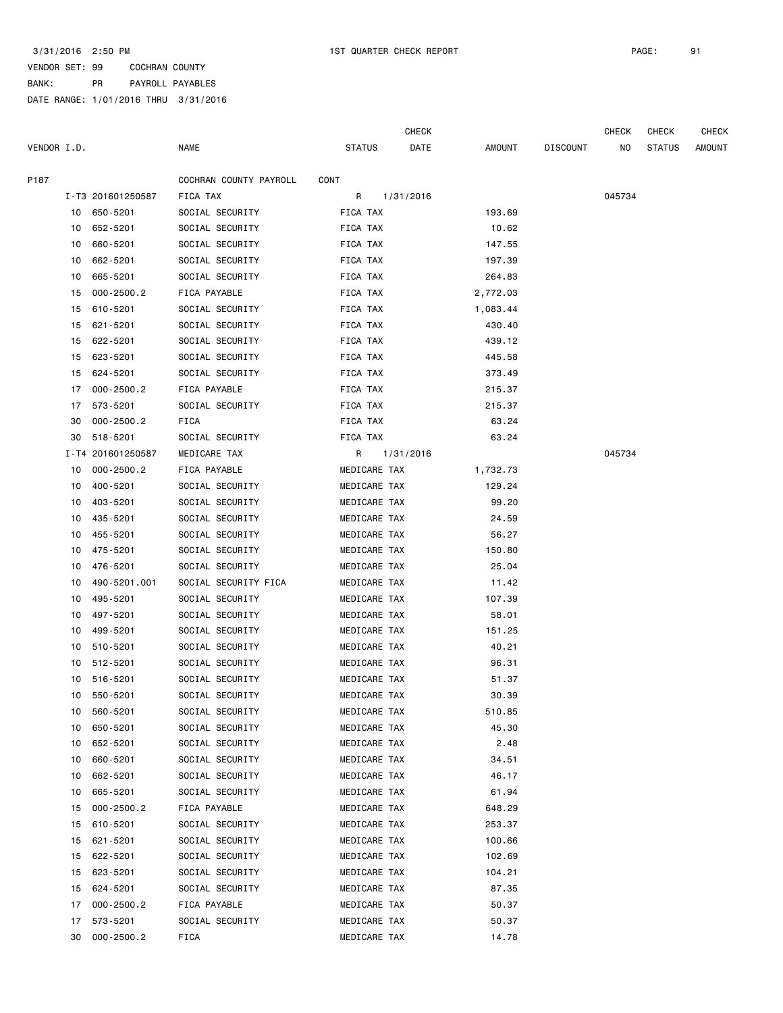CHECK CHECK CHECK CHECK

| VENDOR I.D. |    |                   | <b>NAME</b>            | STATUS       | DATE      | <b>AMOUNT</b> | <b>DISCOUNT</b> | NO.    | <b>STATUS</b> | <b>AMOUNT</b> |
|-------------|----|-------------------|------------------------|--------------|-----------|---------------|-----------------|--------|---------------|---------------|
| P187        |    |                   | COCHRAN COUNTY PAYROLL | CONT         |           |               |                 |        |               |               |
|             |    | I-T3 201601250587 | FICA TAX               | R            | 1/31/2016 |               |                 | 045734 |               |               |
|             |    | 10 650-5201       | SOCIAL SECURITY        | FICA TAX     |           | 193.69        |                 |        |               |               |
|             |    | 10 652-5201       | SOCIAL SECURITY        | FICA TAX     |           | 10.62         |                 |        |               |               |
|             | 10 | 660-5201          | SOCIAL SECURITY        | FICA TAX     |           | 147.55        |                 |        |               |               |
|             | 10 | 662-5201          | SOCIAL SECURITY        | FICA TAX     |           | 197.39        |                 |        |               |               |
|             | 10 | 665-5201          | SOCIAL SECURITY        | FICA TAX     |           | 264.83        |                 |        |               |               |
|             | 15 | $000 - 2500.2$    | FICA PAYABLE           | FICA TAX     |           | 2,772.03      |                 |        |               |               |
|             | 15 | 610-5201          | SOCIAL SECURITY        | FICA TAX     |           | 1,083.44      |                 |        |               |               |
|             | 15 | 621-5201          | SOCIAL SECURITY        | FICA TAX     |           | 430.40        |                 |        |               |               |
|             | 15 | 622-5201          | SOCIAL SECURITY        | FICA TAX     |           | 439.12        |                 |        |               |               |
|             | 15 | 623-5201          | SOCIAL SECURITY        | FICA TAX     |           | 445.58        |                 |        |               |               |
|             | 15 | 624-5201          | SOCIAL SECURITY        | FICA TAX     |           | 373.49        |                 |        |               |               |
|             | 17 | $000 - 2500.2$    | FICA PAYABLE           | FICA TAX     |           | 215.37        |                 |        |               |               |
|             | 17 | 573-5201          | SOCIAL SECURITY        | FICA TAX     |           | 215.37        |                 |        |               |               |
|             | 30 | $000 - 2500.2$    | <b>FICA</b>            | FICA TAX     |           | 63.24         |                 |        |               |               |
|             | 30 | 518-5201          | SOCIAL SECURITY        | FICA TAX     |           | 63.24         |                 |        |               |               |
|             |    | I-T4 201601250587 | MEDICARE TAX           | R            | 1/31/2016 |               |                 | 045734 |               |               |
|             | 10 | $000 - 2500.2$    | FICA PAYABLE           | MEDICARE TAX |           | 1,732.73      |                 |        |               |               |
|             | 10 | 400-5201          | SOCIAL SECURITY        | MEDICARE TAX |           | 129.24        |                 |        |               |               |
|             | 10 | 403-5201          | SOCIAL SECURITY        | MEDICARE TAX |           | 99.20         |                 |        |               |               |
|             | 10 | 435-5201          | SOCIAL SECURITY        | MEDICARE TAX |           | 24.59         |                 |        |               |               |
|             | 10 | 455-5201          | SOCIAL SECURITY        | MEDICARE TAX |           | 56.27         |                 |        |               |               |
|             | 10 | 475-5201          | SOCIAL SECURITY        | MEDICARE TAX |           | 150.80        |                 |        |               |               |
|             | 10 | 476-5201          | SOCIAL SECURITY        | MEDICARE TAX |           | 25.04         |                 |        |               |               |
|             | 10 | 490-5201.001      | SOCIAL SECURITY FICA   | MEDICARE TAX |           | 11.42         |                 |        |               |               |
|             | 10 | 495-5201          | SOCIAL SECURITY        | MEDICARE TAX |           | 107.39        |                 |        |               |               |
|             | 10 | 497-5201          | SOCIAL SECURITY        | MEDICARE TAX |           | 58.01         |                 |        |               |               |
|             | 10 | 499-5201          | SOCIAL SECURITY        | MEDICARE TAX |           | 151.25        |                 |        |               |               |
|             |    | 10 510-5201       | SOCIAL SECURITY        | MEDICARE TAX |           | 40.21         |                 |        |               |               |
|             | 10 | 512-5201          | SOCIAL SECURITY        | MEDICARE TAX |           | 96.31         |                 |        |               |               |
|             | 10 | 516-5201          | SOCIAL SECURITY        | MEDICARE TAX |           | 51.37         |                 |        |               |               |
|             | 10 | 550-5201          | SOCIAL SECURITY        | MEDICARE TAX |           | 30.39         |                 |        |               |               |
|             |    | 10 560-5201       | SOCIAL SECURITY        | MEDICARE TAX |           | 510.85        |                 |        |               |               |
|             | 10 | 650-5201          | SOCIAL SECURITY        | MEDICARE TAX |           | 45.30         |                 |        |               |               |
|             | 10 | 652-5201          | SOCIAL SECURITY        | MEDICARE TAX |           | 2.48          |                 |        |               |               |
|             | 10 | 660-5201          | SOCIAL SECURITY        | MEDICARE TAX |           | 34.51         |                 |        |               |               |
|             | 10 | 662-5201          | SOCIAL SECURITY        | MEDICARE TAX |           | 46.17         |                 |        |               |               |
|             | 10 | 665-5201          | SOCIAL SECURITY        | MEDICARE TAX |           | 61.94         |                 |        |               |               |
|             | 15 | $000 - 2500.2$    | FICA PAYABLE           | MEDICARE TAX |           | 648.29        |                 |        |               |               |
|             | 15 | 610-5201          | SOCIAL SECURITY        | MEDICARE TAX |           | 253.37        |                 |        |               |               |
|             | 15 | 621-5201          | SOCIAL SECURITY        | MEDICARE TAX |           | 100.66        |                 |        |               |               |
|             | 15 | 622-5201          | SOCIAL SECURITY        | MEDICARE TAX |           | 102.69        |                 |        |               |               |
|             | 15 | 623-5201          | SOCIAL SECURITY        | MEDICARE TAX |           | 104.21        |                 |        |               |               |
|             | 15 | 624-5201          | SOCIAL SECURITY        | MEDICARE TAX |           | 87.35         |                 |        |               |               |
|             | 17 | $000 - 2500.2$    | FICA PAYABLE           | MEDICARE TAX |           | 50.37         |                 |        |               |               |
|             | 17 | 573-5201          | SOCIAL SECURITY        | MEDICARE TAX |           | 50.37         |                 |        |               |               |
|             | 30 | $000 - 2500.2$    | FICA                   | MEDICARE TAX |           | 14.78         |                 |        |               |               |
|             |    |                   |                        |              |           |               |                 |        |               |               |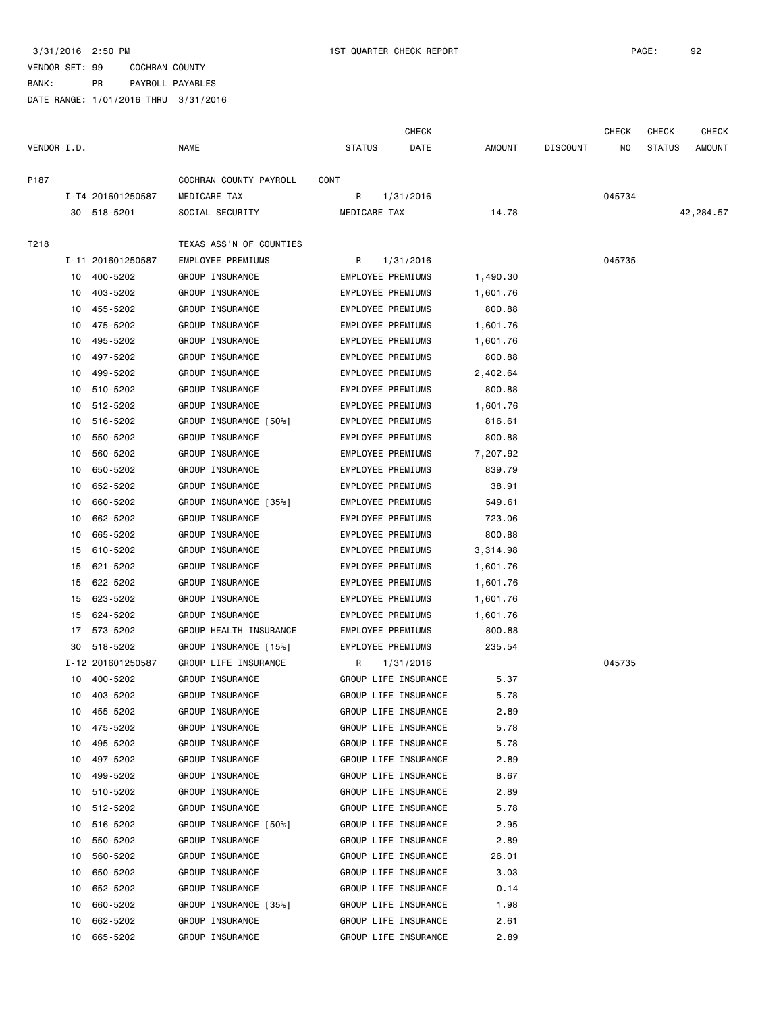CHECK CHECK CHECK CHECK

| VENDOR I.D. |    |                   | <b>NAME</b>             | <b>STATUS</b> | DATE                     | <b>AMOUNT</b> | <b>DISCOUNT</b> | NO.    | <b>STATUS</b> | <b>AMOUNT</b> |
|-------------|----|-------------------|-------------------------|---------------|--------------------------|---------------|-----------------|--------|---------------|---------------|
| P187        |    |                   | COCHRAN COUNTY PAYROLL  | CONT          |                          |               |                 |        |               |               |
|             |    | I-T4 201601250587 | MEDICARE TAX            | R             | 1/31/2016                |               |                 | 045734 |               |               |
|             |    | 30 518-5201       | SOCIAL SECURITY         | MEDICARE TAX  |                          | 14.78         |                 |        |               | 42,284.57     |
| T218        |    |                   | TEXAS ASS'N OF COUNTIES |               |                          |               |                 |        |               |               |
|             |    | I-11 201601250587 | EMPLOYEE PREMIUMS       | R             | 1/31/2016                |               |                 | 045735 |               |               |
|             |    | 10 400-5202       | GROUP INSURANCE         |               | EMPLOYEE PREMIUMS        | 1,490.30      |                 |        |               |               |
|             |    | 10 403-5202       | GROUP INSURANCE         |               | EMPLOYEE PREMIUMS        | 1,601.76      |                 |        |               |               |
|             | 10 | 455-5202          | GROUP INSURANCE         |               | EMPLOYEE PREMIUMS        | 800.88        |                 |        |               |               |
|             | 10 | 475-5202          | GROUP INSURANCE         |               | EMPLOYEE PREMIUMS        | 1,601.76      |                 |        |               |               |
|             | 10 | 495-5202          | GROUP INSURANCE         |               | EMPLOYEE PREMIUMS        | 1,601.76      |                 |        |               |               |
|             | 10 | 497-5202          | GROUP INSURANCE         |               | EMPLOYEE PREMIUMS        | 800.88        |                 |        |               |               |
|             | 10 | 499-5202          | GROUP INSURANCE         |               | EMPLOYEE PREMIUMS        | 2,402.64      |                 |        |               |               |
|             | 10 | 510-5202          | GROUP INSURANCE         |               | EMPLOYEE PREMIUMS        | 800.88        |                 |        |               |               |
|             | 10 | 512-5202          | GROUP INSURANCE         |               | EMPLOYEE PREMIUMS        | 1,601.76      |                 |        |               |               |
|             | 10 | 516-5202          | GROUP INSURANCE [50%]   |               | EMPLOYEE PREMIUMS        | 816.61        |                 |        |               |               |
|             | 10 | 550-5202          | GROUP INSURANCE         |               | <b>EMPLOYEE PREMIUMS</b> | 800.88        |                 |        |               |               |
|             | 10 | 560-5202          | GROUP INSURANCE         |               | EMPLOYEE PREMIUMS        | 7,207.92      |                 |        |               |               |
|             | 10 | 650-5202          | GROUP INSURANCE         |               | EMPLOYEE PREMIUMS        | 839.79        |                 |        |               |               |
|             | 10 | 652-5202          | GROUP INSURANCE         |               | EMPLOYEE PREMIUMS        | 38.91         |                 |        |               |               |
|             | 10 | 660-5202          | GROUP INSURANCE [35%]   |               | EMPLOYEE PREMIUMS        | 549.61        |                 |        |               |               |
|             | 10 | 662-5202          | GROUP INSURANCE         |               | EMPLOYEE PREMIUMS        | 723.06        |                 |        |               |               |
|             | 10 | 665-5202          | GROUP INSURANCE         |               | EMPLOYEE PREMIUMS        | 800.88        |                 |        |               |               |
|             | 15 | 610-5202          | GROUP INSURANCE         |               | EMPLOYEE PREMIUMS        | 3,314.98      |                 |        |               |               |
|             | 15 | 621-5202          | GROUP INSURANCE         |               | EMPLOYEE PREMIUMS        | 1,601.76      |                 |        |               |               |
|             | 15 | 622-5202          | GROUP INSURANCE         |               | EMPLOYEE PREMIUMS        | 1,601.76      |                 |        |               |               |
|             | 15 | 623-5202          | GROUP INSURANCE         |               | EMPLOYEE PREMIUMS        | 1,601.76      |                 |        |               |               |
|             | 15 | 624-5202          | GROUP INSURANCE         |               | EMPLOYEE PREMIUMS        | 1,601.76      |                 |        |               |               |
|             |    | 17 573-5202       | GROUP HEALTH INSURANCE  |               | EMPLOYEE PREMIUMS        | 800.88        |                 |        |               |               |
|             | 30 | 518-5202          | GROUP INSURANCE [15%]   |               | EMPLOYEE PREMIUMS        | 235.54        |                 |        |               |               |
|             |    | I-12 201601250587 | GROUP LIFE INSURANCE    | R             | 1/31/2016                |               |                 | 045735 |               |               |
|             |    | 10 400-5202       | GROUP INSURANCE         |               | GROUP LIFE INSURANCE     | 5.37          |                 |        |               |               |
|             |    | 10 403-5202       | <b>GROUP INSURANCE</b>  |               | GROUP LIFE INSURANCE     | 5.78          |                 |        |               |               |
|             |    | 10 455-5202       | GROUP INSURANCE         |               | GROUP LIFE INSURANCE     | 2.89          |                 |        |               |               |
|             | 10 | 475-5202          | GROUP INSURANCE         |               | GROUP LIFE INSURANCE     | 5.78          |                 |        |               |               |
|             | 10 | 495-5202          | GROUP INSURANCE         |               | GROUP LIFE INSURANCE     | 5.78          |                 |        |               |               |
|             | 10 | 497-5202          | GROUP INSURANCE         |               | GROUP LIFE INSURANCE     | 2.89          |                 |        |               |               |
|             | 10 | 499-5202          | GROUP INSURANCE         |               | GROUP LIFE INSURANCE     | 8.67          |                 |        |               |               |
|             | 10 | 510-5202          | GROUP INSURANCE         |               | GROUP LIFE INSURANCE     | 2.89          |                 |        |               |               |
|             | 10 | 512-5202          | GROUP INSURANCE         |               | GROUP LIFE INSURANCE     | 5.78          |                 |        |               |               |
|             | 10 | 516-5202          | GROUP INSURANCE [50%]   |               | GROUP LIFE INSURANCE     | 2.95          |                 |        |               |               |
|             | 10 | 550-5202          | GROUP INSURANCE         |               | GROUP LIFE INSURANCE     | 2.89          |                 |        |               |               |
|             | 10 | 560-5202          | GROUP INSURANCE         |               | GROUP LIFE INSURANCE     | 26.01         |                 |        |               |               |
|             | 10 | 650-5202          | GROUP INSURANCE         |               | GROUP LIFE INSURANCE     | 3.03          |                 |        |               |               |
|             | 10 | 652-5202          | GROUP INSURANCE         |               | GROUP LIFE INSURANCE     | 0.14          |                 |        |               |               |
|             | 10 | 660-5202          | GROUP INSURANCE [35%]   |               | GROUP LIFE INSURANCE     | 1.98          |                 |        |               |               |
|             | 10 | 662-5202          | GROUP INSURANCE         |               | GROUP LIFE INSURANCE     | 2.61          |                 |        |               |               |
|             | 10 | 665-5202          | GROUP INSURANCE         |               | GROUP LIFE INSURANCE     | 2.89          |                 |        |               |               |
|             |    |                   |                         |               |                          |               |                 |        |               |               |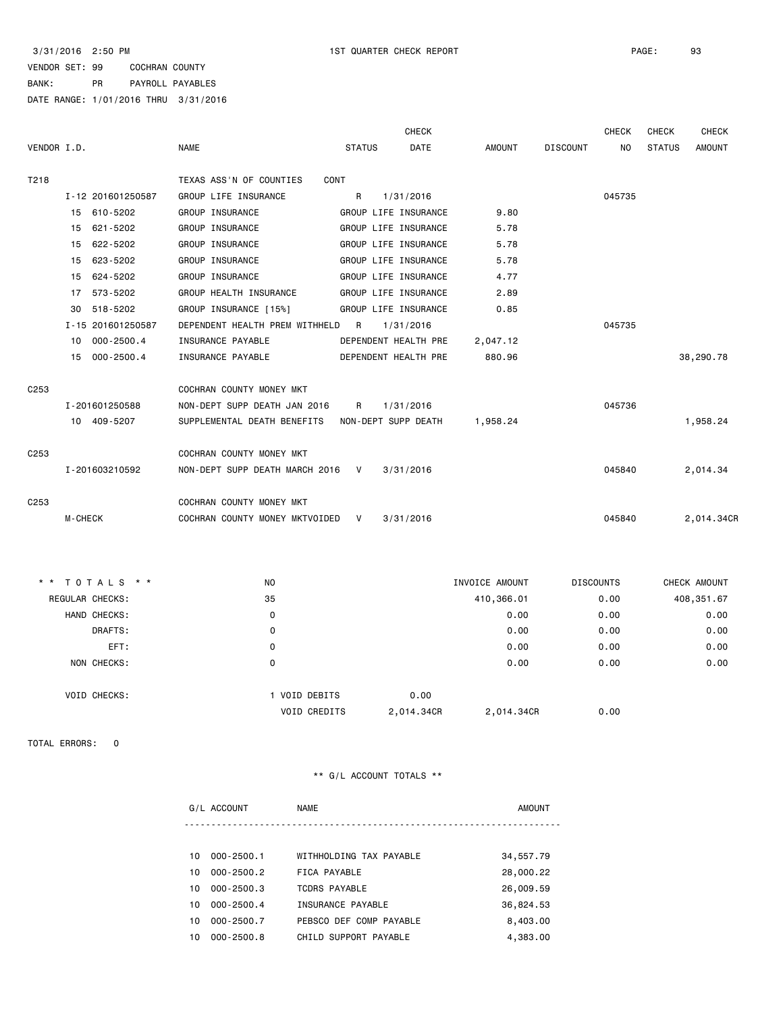|                      |                                  | <b>CHECK</b>                 |          | <b>CHECK</b>    | <b>CHECK</b>         | <b>CHECK</b>  |
|----------------------|----------------------------------|------------------------------|----------|-----------------|----------------------|---------------|
| VENDOR I.D.          | <b>NAME</b>                      | <b>DATE</b><br><b>STATUS</b> | AMOUNT   | <b>DISCOUNT</b> | <b>STATUS</b><br>NO. | <b>AMOUNT</b> |
| T218                 | TEXAS ASS'N OF COUNTIES          | CONT                         |          |                 |                      |               |
| I-12 201601250587    | GROUP LIFE INSURANCE             | $\mathsf{R}$<br>1/31/2016    |          | 045735          |                      |               |
| 15 610-5202          | GROUP INSURANCE                  | GROUP LIFE INSURANCE         | 9.80     |                 |                      |               |
| 15 621-5202          | GROUP INSURANCE                  | GROUP LIFE INSURANCE         | 5.78     |                 |                      |               |
| 622-5202<br>15       | GROUP INSURANCE                  | GROUP LIFE INSURANCE         | 5.78     |                 |                      |               |
| 15 623-5202          | GROUP INSURANCE                  | GROUP LIFE INSURANCE         | 5.78     |                 |                      |               |
| 15 624-5202          | GROUP INSURANCE                  | GROUP LIFE INSURANCE         | 4.77     |                 |                      |               |
| 17 573-5202          | GROUP HEALTH INSURANCE           | GROUP LIFE INSURANCE         | 2.89     |                 |                      |               |
| 518-5202<br>30       | GROUP INSURANCE [15%]            | GROUP LIFE INSURANCE         | 0.85     |                 |                      |               |
| I-15 201601250587    | DEPENDENT HEALTH PREM WITHHELD R | 1/31/2016                    |          | 045735          |                      |               |
| $000 - 2500.4$<br>10 | INSURANCE PAYABLE                | DEPENDENT HEALTH PRE         | 2,047.12 |                 |                      |               |
| 15 000-2500.4        | INSURANCE PAYABLE                | DEPENDENT HEALTH PRE         | 880.96   |                 |                      | 38,290.78     |
| C <sub>253</sub>     | COCHRAN COUNTY MONEY MKT         |                              |          |                 |                      |               |
| I-201601250588       | NON-DEPT SUPP DEATH JAN 2016     | $\mathsf{R}$<br>1/31/2016    |          | 045736          |                      |               |
| 10 409-5207          |                                  |                              |          |                 |                      | 1,958.24      |
| C <sub>253</sub>     | COCHRAN COUNTY MONEY MKT         |                              |          |                 |                      |               |
| I-201603210592       | NON-DEPT SUPP DEATH MARCH 2016 V | 3/31/2016                    |          | 045840          |                      | 2,014.34      |
| C <sub>253</sub>     | COCHRAN COUNTY MONEY MKT         |                              |          |                 |                      |               |
| <b>M-CHECK</b>       | COCHRAN COUNTY MONEY MKTVOIDED   | V<br>3/31/2016               |          | 045840          |                      | 2,014.34CR    |

|                        | ** TOTALS **        | N <sub>O</sub>      |            | INVOICE AMOUNT | <b>DISCOUNTS</b> | CHECK AMOUNT |
|------------------------|---------------------|---------------------|------------|----------------|------------------|--------------|
| <b>REGULAR CHECKS:</b> |                     | 35                  |            | 410,366.01     | 0.00             | 408,351.67   |
|                        | HAND CHECKS:        | 0                   |            | 0.00           | 0.00             | 0.00         |
|                        | DRAFTS:             | 0                   |            | 0.00           | 0.00             | 0.00         |
|                        | EFT:                | 0                   |            | 0.00           | 0.00             | 0.00         |
|                        | NON CHECKS:         | 0                   |            | 0.00           | 0.00             | 0.00         |
|                        |                     |                     |            |                |                  |              |
|                        | <b>VOID CHECKS:</b> | 1 VOID DEBITS       | 0.00       |                |                  |              |
|                        |                     | <b>VOID CREDITS</b> | 2,014.34CR | 2,014.34CR     | 0.00             |              |

TOTAL ERRORS: 0

|     | G/L ACCOUNT    | <b>NAME</b>             | <b>AMOUNT</b> |
|-----|----------------|-------------------------|---------------|
|     |                |                         |               |
| 10. | $000 - 2500.1$ | WITHHOLDING TAX PAYABLE | 34,557.79     |
| 10  | $000 - 2500.2$ | FICA PAYABLE            | 28,000.22     |
| 10  | $000 - 2500.3$ | <b>TCDRS PAYABLE</b>    | 26,009.59     |
| 10  | $000 - 2500.4$ | INSURANCE PAYABLE       | 36,824.53     |
| 10  | $000 - 2500.7$ | PEBSCO DEF COMP PAYABLE | 8,403.00      |
| 10  | $000 - 2500.8$ | CHILD SUPPORT PAYABLE   | 4,383.00      |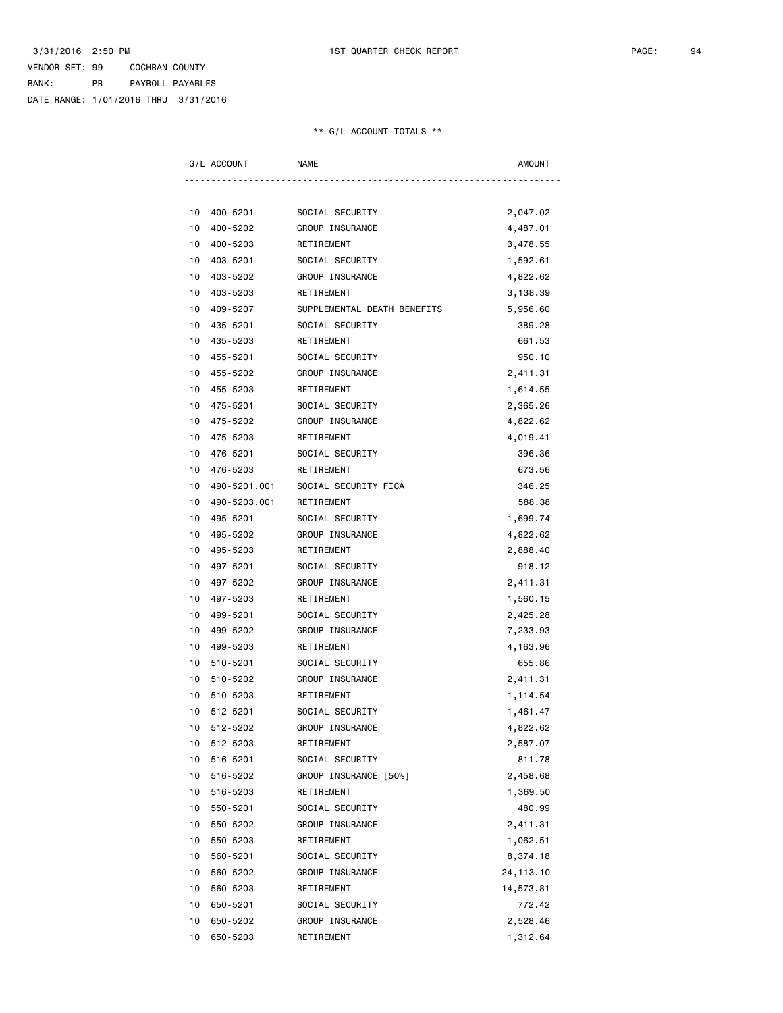| G/L ACCOUNT    | <b>NAME</b>                          | <b>AMOUNT</b> |
|----------------|--------------------------------------|---------------|
|                |                                      |               |
| 400-5201<br>10 | SOCIAL SECURITY                      | 2,047.02      |
| 10<br>400-5202 | GROUP INSURANCE                      | 4,487.01      |
| 10<br>400-5203 | RETIREMENT                           | 3,478.55      |
| 10<br>403-5201 | SOCIAL SECURITY                      | 1,592.61      |
| 10<br>403-5202 | GROUP INSURANCE                      | 4,822.62      |
| 403-5203<br>10 | RETIREMENT                           | 3,138.39      |
| 409-5207<br>10 | SUPPLEMENTAL DEATH BENEFITS          | 5,956.60      |
| 435-5201<br>10 | SOCIAL SECURITY                      | 389.28        |
| 10<br>435-5203 | RETIREMENT                           | 661.53        |
| 10<br>455-5201 | SOCIAL SECURITY                      | 950.10        |
| 455-5202<br>10 | GROUP INSURANCE                      | 2,411.31      |
| 10<br>455-5203 | RETIREMENT                           | 1,614.55      |
| 10<br>475-5201 | SOCIAL SECURITY                      | 2,365.26      |
| 475-5202<br>10 | GROUP INSURANCE                      | 4,822.62      |
| 10<br>475-5203 | RETIREMENT                           | 4,019.41      |
| 476-5201<br>10 | SOCIAL SECURITY                      | 396.36        |
| 476-5203<br>10 | RETIREMENT                           | 673.56        |
| 10             | 490-5201.001<br>SOCIAL SECURITY FICA | 346.25        |
| 10             | 490-5203.001<br>RETIREMENT           | 588.38        |
| 10<br>495-5201 | SOCIAL SECURITY                      | 1,699.74      |
| 10<br>495-5202 | GROUP INSURANCE                      | 4,822.62      |
| 10<br>495-5203 | RETIREMENT                           | 2,888.40      |
| 497-5201<br>10 | SOCIAL SECURITY                      | 918.12        |
| 497-5202<br>10 | GROUP INSURANCE                      | 2,411.31      |
| 10<br>497-5203 | RETIREMENT                           | 1,560.15      |
| 499-5201<br>10 | SOCIAL SECURITY                      | 2,425.28      |
| 10<br>499-5202 | GROUP INSURANCE                      | 7,233.93      |
| 499-5203<br>10 | RETIREMENT                           | 4,163.96      |
| 510-5201<br>10 | SOCIAL SECURITY                      | 655.86        |
| 10<br>510-5202 | GROUP INSURANCE                      | 2,411.31      |
| 510-5203<br>10 | RETIREMENT                           | 1,114.54      |
| 10<br>512-5201 | SOCIAL SECURITY                      | 1,461.47      |
| 512-5202<br>10 | GROUP INSURANCE                      | 4,822.62      |
| 512-5203<br>10 | RETIREMENT                           | 2,587.07      |
| 10<br>516-5201 | SOCIAL SECURITY                      | 811.78        |
| 516-5202<br>10 | GROUP INSURANCE [50%]                | 2,458.68      |
| 10<br>516-5203 | RETIREMENT                           | 1,369.50      |
| 10<br>550-5201 | SOCIAL SECURITY                      | 480.99        |
| 550-5202<br>10 | GROUP INSURANCE                      | 2,411.31      |
| 10<br>550-5203 | RETIREMENT                           | 1,062.51      |
| 560-5201<br>10 | SOCIAL SECURITY                      | 8,374.18      |
| 10<br>560-5202 | GROUP INSURANCE                      | 24, 113. 10   |
| 10<br>560-5203 | RETIREMENT                           | 14,573.81     |
| 10<br>650-5201 | SOCIAL SECURITY                      | 772.42        |
| 10<br>650-5202 | GROUP INSURANCE                      | 2,528.46      |
| 650-5203<br>10 | RETIREMENT                           | 1,312.64      |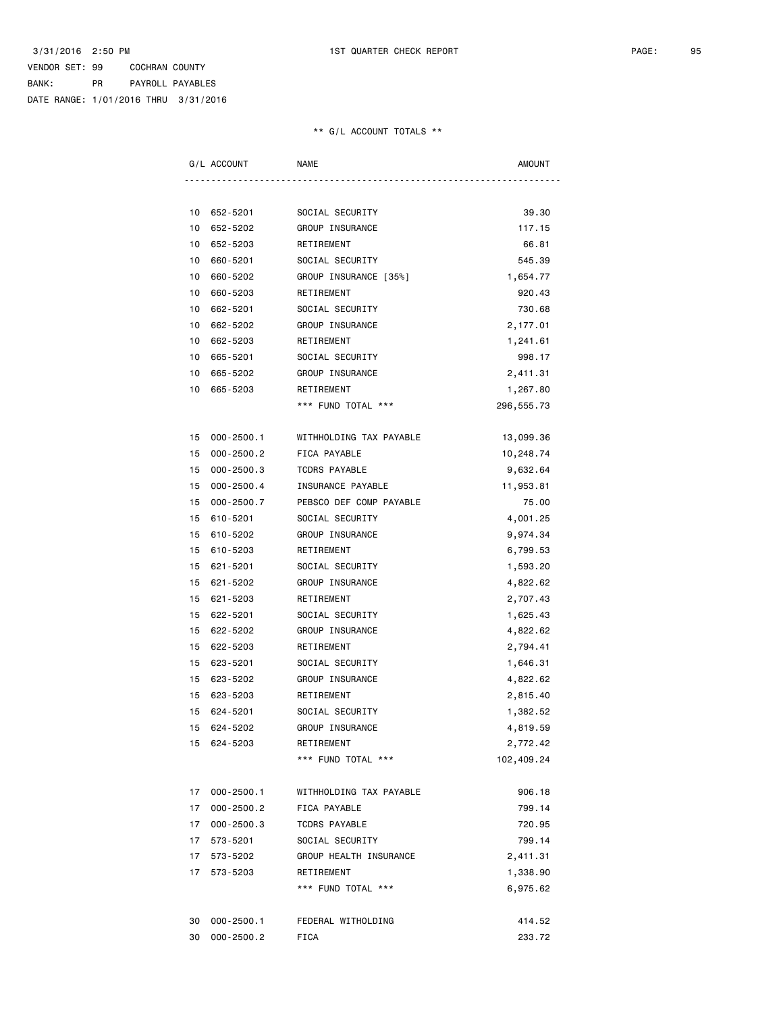|    | G/L ACCOUNT    | <b>NAME</b>             | <b>AMOUNT</b> |
|----|----------------|-------------------------|---------------|
|    |                |                         |               |
|    | 10 652-5201    | SOCIAL SECURITY         | 39.30         |
| 10 | 652-5202       | GROUP INSURANCE         | 117.15        |
| 10 | 652-5203       | RETIREMENT              | 66.81         |
| 10 | 660-5201       | SOCIAL SECURITY         | 545.39        |
| 10 | 660-5202       | GROUP INSURANCE [35%]   | 1,654.77      |
| 10 | 660-5203       | RETIREMENT              | 920.43        |
| 10 | 662-5201       | SOCIAL SECURITY         | 730.68        |
| 10 | 662-5202       | GROUP INSURANCE         | 2,177.01      |
| 10 | 662-5203       | RETIREMENT              | 1,241.61      |
| 10 | 665-5201       | SOCIAL SECURITY         | 998.17        |
| 10 | 665-5202       | GROUP INSURANCE         | 2,411.31      |
| 10 | 665-5203       | RETIREMENT              | 1,267.80      |
|    |                | *** FUND TOTAL ***      | 296, 555.73   |
| 15 | $000 - 2500.1$ | WITHHOLDING TAX PAYABLE | 13,099.36     |
| 15 | $000 - 2500.2$ | FICA PAYABLE            | 10,248.74     |
| 15 | $000 - 2500.3$ | <b>TCDRS PAYABLE</b>    | 9,632.64      |
| 15 | $000 - 2500.4$ | INSURANCE PAYABLE       | 11,953.81     |
| 15 | $000 - 2500.7$ | PEBSCO DEF COMP PAYABLE | 75.00         |
| 15 | 610-5201       | SOCIAL SECURITY         | 4,001.25      |
| 15 | 610-5202       | GROUP INSURANCE         | 9,974.34      |
| 15 | 610-5203       | RETIREMENT              | 6,799.53      |
| 15 | 621-5201       | SOCIAL SECURITY         | 1,593.20      |
| 15 | 621-5202       | GROUP INSURANCE         | 4,822.62      |
| 15 | 621-5203       | RETIREMENT              | 2,707.43      |
| 15 | 622-5201       | SOCIAL SECURITY         | 1,625.43      |
| 15 | 622-5202       | GROUP INSURANCE         | 4,822.62      |
| 15 | 622-5203       | RETIREMENT              | 2,794.41      |
| 15 | 623-5201       | SOCIAL SECURITY         | 1,646.31      |
| 15 | 623-5202       | GROUP INSURANCE         | 4,822.62      |
| 15 | 623-5203       | RETIREMENT              | 2,815.40      |
| 15 | 624-5201       | SOCIAL SECURITY         | 1,382.52      |
|    | 15 624-5202    | GROUP INSURANCE         | 4,819.59      |
|    | 15 624-5203    | RETIREMENT              | 2,772.42      |
|    |                | *** FUND TOTAL ***      | 102,409.24    |
| 17 | $000 - 2500.1$ | WITHHOLDING TAX PAYABLE | 906.18        |
| 17 | $000 - 2500.2$ | FICA PAYABLE            | 799.14        |
| 17 | 000-2500.3     | <b>TCDRS PAYABLE</b>    | 720.95        |
| 17 | 573-5201       | SOCIAL SECURITY         | 799.14        |
|    | 17 573-5202    | GROUP HEALTH INSURANCE  | 2,411.31      |
| 17 | 573-5203       | RETIREMENT              | 1,338.90      |
|    |                | *** FUND TOTAL ***      | 6,975.62      |
| 30 | $000 - 2500.1$ | FEDERAL WITHOLDING      | 414.52        |
| 30 | $000 - 2500.2$ | FICA                    | 233.72        |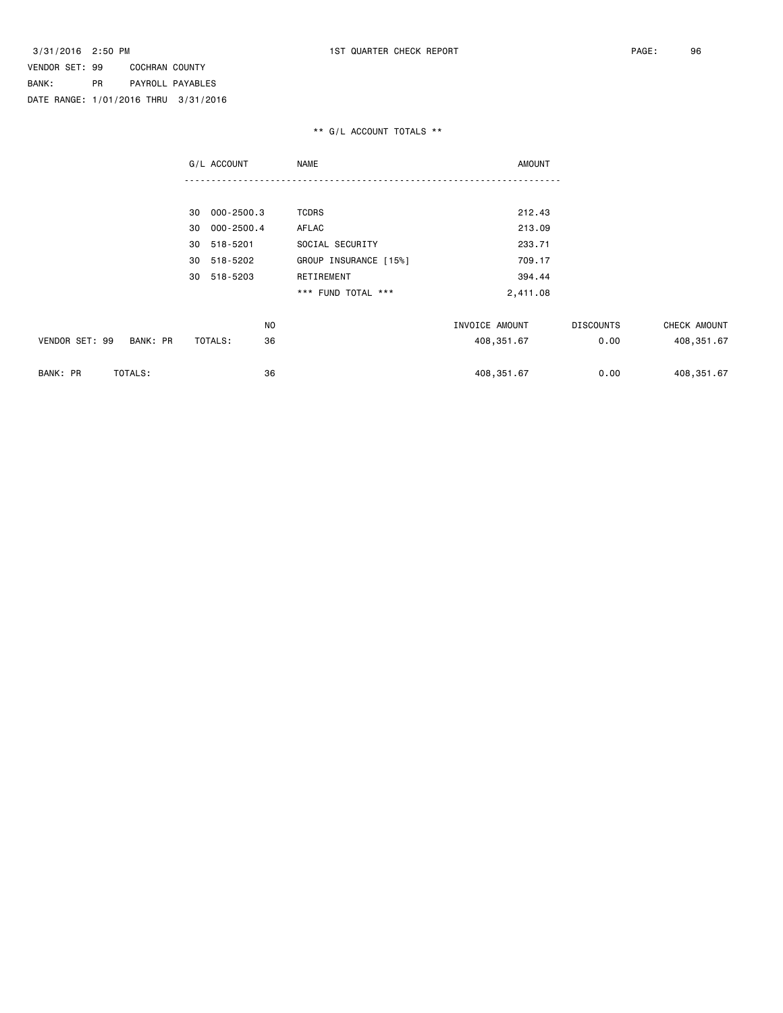|                            | G/L ACCOUNT      | <b>NAME</b>           | <b>AMOUNT</b>  |                  |              |
|----------------------------|------------------|-----------------------|----------------|------------------|--------------|
|                            |                  |                       |                |                  |              |
|                            | 000-2500.3<br>30 | <b>TCDRS</b>          | 212.43         |                  |              |
|                            | 000-2500.4<br>30 | AFLAC                 | 213.09         |                  |              |
|                            | 518-5201<br>30   | SOCIAL SECURITY       | 233.71         |                  |              |
|                            | 518-5202<br>30   | GROUP INSURANCE [15%] | 709.17         |                  |              |
|                            | 518-5203<br>30   | RETIREMENT            | 394.44         |                  |              |
|                            |                  | *** FUND TOTAL ***    | 2,411.08       |                  |              |
|                            | N <sub>O</sub>   |                       | INVOICE AMOUNT | <b>DISCOUNTS</b> | CHECK AMOUNT |
| VENDOR SET: 99<br>BANK: PR | 36<br>TOTALS:    |                       | 408,351.67     | 0.00             | 408,351.67   |
| BANK: PR<br>TOTALS:        | 36               |                       | 408, 351.67    | 0.00             | 408, 351.67  |